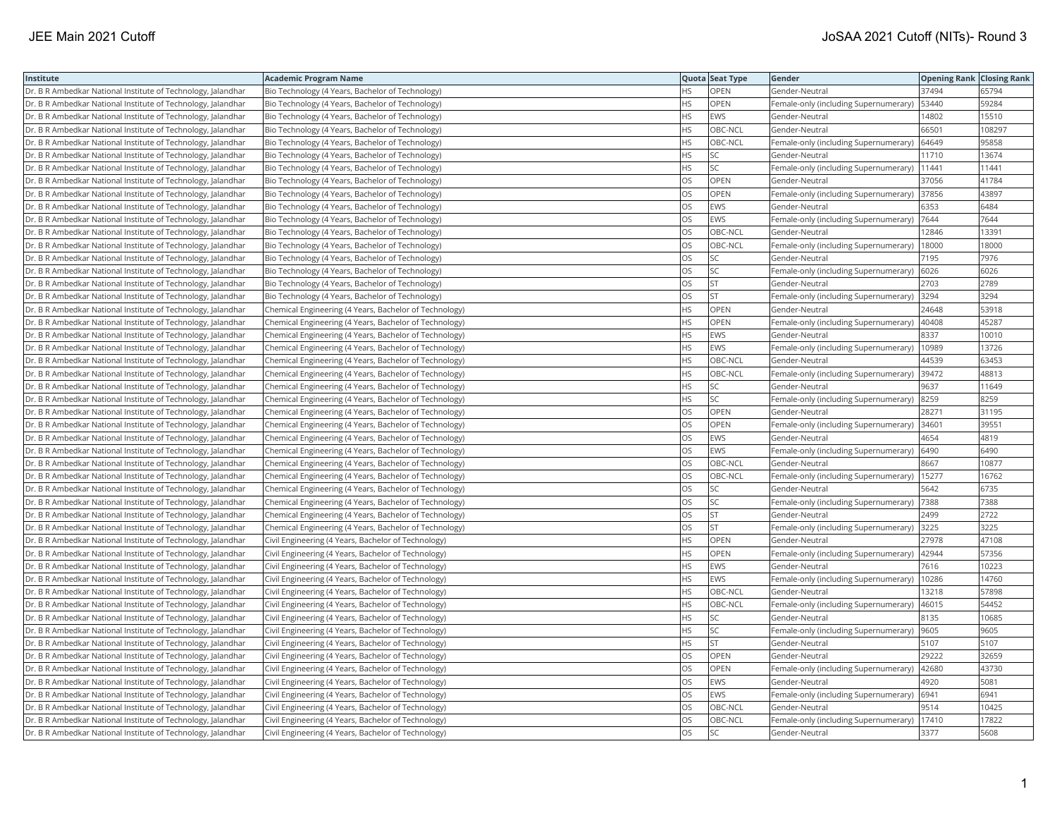| Institute                                                    | <b>Academic Program Name</b>                           |           | Quota Seat Type | Gender                                | <b>Opening Rank Closing Rank</b> |        |
|--------------------------------------------------------------|--------------------------------------------------------|-----------|-----------------|---------------------------------------|----------------------------------|--------|
| Dr. B R Ambedkar National Institute of Technology, Jalandhar | Bio Technology (4 Years, Bachelor of Technology)       | HS        | <b>OPEN</b>     | Gender-Neutral                        | 37494                            | 65794  |
| Dr. B R Ambedkar National Institute of Technology, Jalandhar | Bio Technology (4 Years, Bachelor of Technology)       | HS        | <b>OPEN</b>     | Female-only (including Supernumerary) | 53440                            | 59284  |
| Dr. B R Ambedkar National Institute of Technology, Jalandhar | Bio Technology (4 Years, Bachelor of Technology)       | HS.       | EWS             | Gender-Neutral                        | 14802                            | 15510  |
| Dr. B R Ambedkar National Institute of Technology, Jalandhar | Bio Technology (4 Years, Bachelor of Technology)       | HS        | OBC-NCL         | Gender-Neutral                        | 66501                            | 108297 |
| Dr. B R Ambedkar National Institute of Technology, Jalandhar | Bio Technology (4 Years, Bachelor of Technology)       | HS        | OBC-NCL         | Female-only (including Supernumerary) | 64649                            | 95858  |
| Dr. B R Ambedkar National Institute of Technology, Jalandhar | Bio Technology (4 Years, Bachelor of Technology)       | HS        | <b>SC</b>       | Gender-Neutral                        | 11710                            | 13674  |
| Dr. B R Ambedkar National Institute of Technology, Jalandhar | Bio Technology (4 Years, Bachelor of Technology)       | HS        | SC              | Female-only (including Supernumerary) | 11441                            | 11441  |
| Dr. B R Ambedkar National Institute of Technology, Jalandhar | Bio Technology (4 Years, Bachelor of Technology)       | OS        | <b>OPEN</b>     | Gender-Neutral                        | 37056                            | 41784  |
| Dr. B R Ambedkar National Institute of Technology, Jalandhar | Bio Technology (4 Years, Bachelor of Technology)       | OS        | OPEN            | Female-only (including Supernumerary) | 37856                            | 43897  |
| Dr. B R Ambedkar National Institute of Technology, Jalandhar | Bio Technology (4 Years, Bachelor of Technology)       | OS.       | <b>EWS</b>      | Gender-Neutral                        | 6353                             | 6484   |
| Dr. B R Ambedkar National Institute of Technology, Jalandhar | Bio Technology (4 Years, Bachelor of Technology)       | OS        | EWS             | Female-only (including Supernumerary) | 7644                             | 7644   |
| Dr. B R Ambedkar National Institute of Technology, Jalandhar | Bio Technology (4 Years, Bachelor of Technology)       | OS        | OBC-NCL         | Gender-Neutral                        | 12846                            | 13391  |
| Dr. B R Ambedkar National Institute of Technology, Jalandhar | Bio Technology (4 Years, Bachelor of Technology)       | <b>OS</b> | OBC-NCL         | Female-only (including Supernumerary) | 18000                            | 18000  |
| Dr. B R Ambedkar National Institute of Technology, Jalandhar | Bio Technology (4 Years, Bachelor of Technology)       | OS        | SC              | Gender-Neutral                        | 7195                             | 7976   |
| Dr. B R Ambedkar National Institute of Technology, Jalandhar | Bio Technology (4 Years, Bachelor of Technology)       | OS        | <b>SC</b>       | Female-only (including Supernumerary) | 6026                             | 6026   |
| Dr. B R Ambedkar National Institute of Technology, Jalandhar | Bio Technology (4 Years, Bachelor of Technology)       | OS        | <b>ST</b>       | Gender-Neutral                        | 2703                             | 2789   |
| Dr. B R Ambedkar National Institute of Technology, Jalandhar | Bio Technology (4 Years, Bachelor of Technology)       | OS        | lst.            | Female-only (including Supernumerary) | 3294                             | 3294   |
| Dr. B R Ambedkar National Institute of Technology, Jalandhar | Chemical Engineering (4 Years, Bachelor of Technology) | HS        | OPEN            | Gender-Neutral                        | 24648                            | 53918  |
| Dr. B R Ambedkar National Institute of Technology, Jalandhar | Chemical Engineering (4 Years, Bachelor of Technology) | HS        | OPEN            | Female-only (including Supernumerary) | 40408                            | 45287  |
| Dr. B R Ambedkar National Institute of Technology, Jalandhar | Chemical Engineering (4 Years, Bachelor of Technology) | HS        | <b>EWS</b>      | Gender-Neutral                        | 8337                             | 10010  |
| Dr. B R Ambedkar National Institute of Technology, Jalandhar | Chemical Engineering (4 Years, Bachelor of Technology) | HS        | EWS             | Female-only (including Supernumerary) | 10989                            | 13726  |
| Dr. B R Ambedkar National Institute of Technology, Jalandhar | Chemical Engineering (4 Years, Bachelor of Technology) | HS        | OBC-NCL         | Gender-Neutral                        | 44539                            | 63453  |
| Dr. B R Ambedkar National Institute of Technology, Jalandhar | Chemical Engineering (4 Years, Bachelor of Technology) | HS        | OBC-NCL         | Female-only (including Supernumerary) | 39472                            | 48813  |
| Dr. B R Ambedkar National Institute of Technology, Jalandhar | Chemical Engineering (4 Years, Bachelor of Technology) | HS        | <b>SC</b>       | Gender-Neutral                        | 9637                             | 11649  |
| Dr. B R Ambedkar National Institute of Technology, Jalandhar | Chemical Engineering (4 Years, Bachelor of Technology) | HS        | SC              | Female-only (including Supernumerary) | 8259                             | 8259   |
| Dr. B R Ambedkar National Institute of Technology, Jalandhar | Chemical Engineering (4 Years, Bachelor of Technology) | OS.       | <b>OPEN</b>     | Gender-Neutral                        | 28271                            | 31195  |
| Dr. B R Ambedkar National Institute of Technology, Jalandhar | Chemical Engineering (4 Years, Bachelor of Technology) | OS        | OPEN            | Female-only (including Supernumerary) | 34601                            | 39551  |
| Dr. B R Ambedkar National Institute of Technology, Jalandhar | Chemical Engineering (4 Years, Bachelor of Technology) | <b>OS</b> | <b>EWS</b>      | Gender-Neutral                        | 4654                             | 4819   |
| Dr. B R Ambedkar National Institute of Technology, Jalandhar | Chemical Engineering (4 Years, Bachelor of Technology) | OS        | <b>EWS</b>      | Female-only (including Supernumerary) | 6490                             | 6490   |
| Dr. B R Ambedkar National Institute of Technology, Jalandhar | Chemical Engineering (4 Years, Bachelor of Technology) | OS        | OBC-NCL         | Gender-Neutral                        | 8667                             | 10877  |
| Dr. B R Ambedkar National Institute of Technology, Jalandhar | Chemical Engineering (4 Years, Bachelor of Technology) | OS        | OBC-NCL         | Female-only (including Supernumerary) | 15277                            | 16762  |
| Dr. B R Ambedkar National Institute of Technology, Jalandhar | Chemical Engineering (4 Years, Bachelor of Technology) | OS        | SC              | Gender-Neutral                        | 5642                             | 6735   |
| Dr. B R Ambedkar National Institute of Technology, Jalandhar | Chemical Engineering (4 Years, Bachelor of Technology) | OS        | SC              | Female-only (including Supernumerary) | 7388                             | 7388   |
| Dr. B R Ambedkar National Institute of Technology, Jalandhar | Chemical Engineering (4 Years, Bachelor of Technology) | OS        | <b>ST</b>       | Gender-Neutral                        | 2499                             | 2722   |
| Dr. B R Ambedkar National Institute of Technology, Jalandhar | Chemical Engineering (4 Years, Bachelor of Technology) | OS        | <b>ST</b>       | Female-only (including Supernumerary) | 3225                             | 3225   |
| Dr. B R Ambedkar National Institute of Technology, Jalandhar | Civil Engineering (4 Years, Bachelor of Technology)    | HS.       | <b>OPEN</b>     | Gender-Neutral                        | 27978                            | 47108  |
| Dr. B R Ambedkar National Institute of Technology, Jalandhar | Civil Engineering (4 Years, Bachelor of Technology)    | HS        | <b>OPEN</b>     | Female-only (including Supernumerary) | 42944                            | 57356  |
| Dr. B R Ambedkar National Institute of Technology, Jalandhar | Civil Engineering (4 Years, Bachelor of Technology)    | HS        | EWS             | Gender-Neutral                        | 7616                             | 10223  |
| Dr. B R Ambedkar National Institute of Technology, Jalandhar | Civil Engineering (4 Years, Bachelor of Technology)    | НS        | EWS             | Female-only (including Supernumerary) | 10286                            | 14760  |
| Dr. B R Ambedkar National Institute of Technology, Jalandhar | Civil Engineering (4 Years, Bachelor of Technology)    | HS.       | OBC-NCL         | Gender-Neutral                        | 13218                            | 57898  |
| Dr. B R Ambedkar National Institute of Technology, Jalandhar | Civil Engineering (4 Years, Bachelor of Technology)    | HS        | OBC-NCL         | Female-only (including Supernumerary) | 46015                            | 54452  |
| Dr. B R Ambedkar National Institute of Technology, Jalandhar | Civil Engineering (4 Years, Bachelor of Technology)    | HS        | SC              | Gender-Neutral                        | 8135                             | 10685  |
| Dr. B R Ambedkar National Institute of Technology, Jalandhar | Civil Engineering (4 Years, Bachelor of Technology)    | HS        | <b>SC</b>       | Female-only (including Supernumerary) | 9605                             | 9605   |
| Dr. B R Ambedkar National Institute of Technology, Jalandhar | Civil Engineering (4 Years, Bachelor of Technology)    | HS        | <b>ST</b>       | Gender-Neutral                        | 5107                             | 5107   |
| Dr. B R Ambedkar National Institute of Technology, Jalandhar | Civil Engineering (4 Years, Bachelor of Technology)    | OS        | OPEN            | Gender-Neutral                        | 29222                            | 32659  |
| Dr. B R Ambedkar National Institute of Technology, Jalandhar | Civil Engineering (4 Years, Bachelor of Technology)    | OS        | OPEN            | Female-only (including Supernumerary) | 42680                            | 43730  |
| Dr. B R Ambedkar National Institute of Technology, Jalandhar | Civil Engineering (4 Years, Bachelor of Technology)    | <b>OS</b> | <b>EWS</b>      | Gender-Neutral                        | 4920                             | 5081   |
| Dr. B R Ambedkar National Institute of Technology, Jalandhar | Civil Engineering (4 Years, Bachelor of Technology)    | OS        | EWS             | Female-only (including Supernumerary) | 6941                             | 6941   |
| Dr. B R Ambedkar National Institute of Technology, Jalandhar | Civil Engineering (4 Years, Bachelor of Technology)    | OS        | OBC-NCL         | Gender-Neutral                        | 9514                             | 10425  |
| Dr. B R Ambedkar National Institute of Technology, Jalandhar | Civil Engineering (4 Years, Bachelor of Technology)    | OS        | OBC-NCL         | Female-only (including Supernumerary) | 17410                            | 17822  |
| Dr. B R Ambedkar National Institute of Technology, Jalandhar | Civil Engineering (4 Years, Bachelor of Technology)    | <b>OS</b> | lsc             | Gender-Neutral                        | 3377                             | 5608   |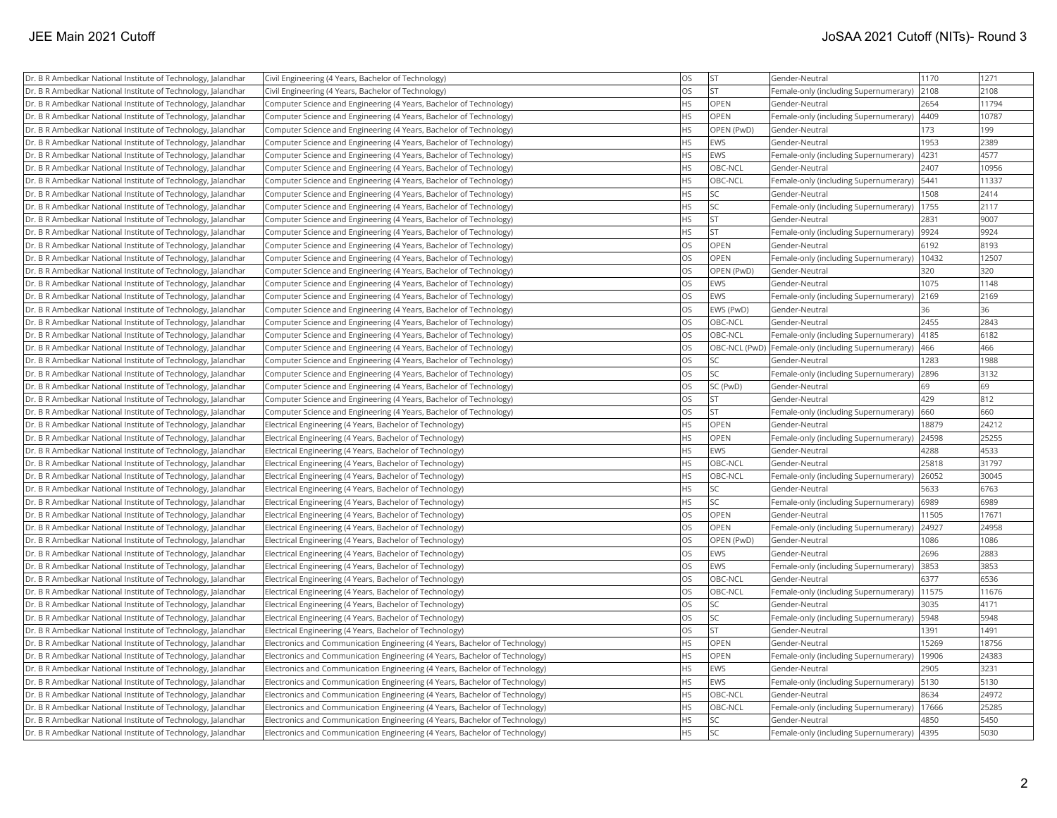| Dr. B R Ambedkar National Institute of Technology, Jalandhar | Civil Engineering (4 Years, Bachelor of Technology)                         | OS        | lst         | Gender-Neutral                                      | 1170  | 1271  |
|--------------------------------------------------------------|-----------------------------------------------------------------------------|-----------|-------------|-----------------------------------------------------|-------|-------|
| Dr. B R Ambedkar National Institute of Technology, Jalandhar | Civil Engineering (4 Years, Bachelor of Technology)                         | <b>OS</b> | lst         | Female-only (including Supernumerary)               | 2108  | 2108  |
| Dr. B R Ambedkar National Institute of Technology, Jalandhar | Computer Science and Engineering (4 Years, Bachelor of Technology)          | <b>HS</b> | OPEN        | Gender-Neutral                                      | 2654  | 11794 |
| Dr. B R Ambedkar National Institute of Technology, Jalandhar | Computer Science and Engineering (4 Years, Bachelor of Technology)          | <b>HS</b> | OPEN        | Female-only (including Supernumerary)               | 4409  | 10787 |
| Dr. B R Ambedkar National Institute of Technology, Jalandhar | Computer Science and Engineering (4 Years, Bachelor of Technology)          | <b>HS</b> | OPEN (PwD)  | Gender-Neutral                                      | 173   | 199   |
| Dr. B R Ambedkar National Institute of Technology, Jalandhar | Computer Science and Engineering (4 Years, Bachelor of Technology)          | <b>HS</b> | <b>EWS</b>  | Gender-Neutral                                      | 1953  | 2389  |
| Dr. B R Ambedkar National Institute of Technology, Jalandhar | Computer Science and Engineering (4 Years, Bachelor of Technology)          | HS        | <b>EWS</b>  | Female-only (including Supernumerary)               | 4231  | 4577  |
| Dr. B R Ambedkar National Institute of Technology, Jalandhar | Computer Science and Engineering (4 Years, Bachelor of Technology)          | <b>HS</b> | OBC-NCL     | Gender-Neutral                                      | 2407  | 10956 |
| Dr. B R Ambedkar National Institute of Technology, Jalandhar | Computer Science and Engineering (4 Years, Bachelor of Technology)          | HS        | OBC-NCL     | Female-only (including Supernumerary)               | 5441  | 11337 |
| Dr. B R Ambedkar National Institute of Technology, Jalandhar | Computer Science and Engineering (4 Years, Bachelor of Technology)          | <b>HS</b> | lsc         | Gender-Neutral                                      | 1508  | 2414  |
| Dr. B R Ambedkar National Institute of Technology, Jalandhar | Computer Science and Engineering (4 Years, Bachelor of Technology)          | HS        | SC.         | Female-only (including Supernumerary)               | 1755  | 2117  |
| Dr. B R Ambedkar National Institute of Technology, Jalandhar | Computer Science and Engineering (4 Years, Bachelor of Technology)          | <b>HS</b> | İst         | Gender-Neutral                                      | 2831  | 9007  |
| Dr. B R Ambedkar National Institute of Technology, Jalandhar | Computer Science and Engineering (4 Years, Bachelor of Technology)          | <b>HS</b> | İst         | Female-only (including Supernumerary)               | 9924  | 9924  |
| Dr. B R Ambedkar National Institute of Technology, Jalandhar | Computer Science and Engineering (4 Years, Bachelor of Technology)          | <b>OS</b> | <b>OPEN</b> | Gender-Neutral                                      | 6192  | 8193  |
| Dr. B R Ambedkar National Institute of Technology, Jalandhar | Computer Science and Engineering (4 Years, Bachelor of Technology)          | OS        | <b>OPEN</b> | Female-only (including Supernumerary)               | 10432 | 12507 |
| Dr. B R Ambedkar National Institute of Technology, Jalandhar | Computer Science and Engineering (4 Years, Bachelor of Technology)          | OS        | OPEN (PwD)  | Gender-Neutral                                      | 320   | 320   |
| Dr. B R Ambedkar National Institute of Technology, Jalandhar | Computer Science and Engineering (4 Years, Bachelor of Technology)          | OS        | <b>EWS</b>  | Gender-Neutral                                      | 1075  | 1148  |
| Dr. B R Ambedkar National Institute of Technology, Jalandhar | Computer Science and Engineering (4 Years, Bachelor of Technology)          | <b>OS</b> | <b>EWS</b>  | Female-only (including Supernumerary)               | 2169  | 2169  |
| Dr. B R Ambedkar National Institute of Technology, Jalandhar | Computer Science and Engineering (4 Years, Bachelor of Technology)          | <b>OS</b> | EWS (PwD)   | Gender-Neutral                                      | 36    | 36    |
| Dr. B R Ambedkar National Institute of Technology, Jalandhar | Computer Science and Engineering (4 Years, Bachelor of Technology)          | OS        | OBC-NCL     | Gender-Neutral                                      | 2455  | 2843  |
| Dr. B R Ambedkar National Institute of Technology, Jalandhar | Computer Science and Engineering (4 Years, Bachelor of Technology)          | <b>OS</b> | OBC-NCL     | Female-only (including Supernumerary)               | 4185  | 6182  |
| Dr. B R Ambedkar National Institute of Technology, Jalandhar | Computer Science and Engineering (4 Years, Bachelor of Technology)          | <b>OS</b> |             | OBC-NCL (PwD) Female-only (including Supernumerary) | 466   | 466   |
| Dr. B R Ambedkar National Institute of Technology, Jalandhar | Computer Science and Engineering (4 Years, Bachelor of Technology)          | OS        | SC.         | Gender-Neutral                                      | 1283  | 1988  |
| Dr. B R Ambedkar National Institute of Technology, Jalandhar | Computer Science and Engineering (4 Years, Bachelor of Technology)          | <b>OS</b> | SC          | Female-only (including Supernumerary)               | 2896  | 3132  |
| Dr. B R Ambedkar National Institute of Technology, Jalandhar | Computer Science and Engineering (4 Years, Bachelor of Technology)          | OS        | SC (PwD)    | Gender-Neutral                                      | 69    | 69    |
| Dr. B R Ambedkar National Institute of Technology, Jalandhar | Computer Science and Engineering (4 Years, Bachelor of Technology)          | OS        | lst         | Gender-Neutral                                      | 429   | 812   |
| Dr. B R Ambedkar National Institute of Technology, Jalandhar | Computer Science and Engineering (4 Years, Bachelor of Technology)          | <b>OS</b> | lst         | Female-only (including Supernumerary)               | 660   | 660   |
| Dr. B R Ambedkar National Institute of Technology, Jalandhar | Electrical Engineering (4 Years, Bachelor of Technology)                    | <b>HS</b> | OPEN        | Gender-Neutral                                      | 18879 | 24212 |
| Dr. B R Ambedkar National Institute of Technology, Jalandhar | Electrical Engineering (4 Years, Bachelor of Technology)                    | <b>HS</b> | <b>OPEN</b> | Female-only (including Supernumerary)               | 24598 | 25255 |
| Dr. B R Ambedkar National Institute of Technology, Jalandhar | Electrical Engineering (4 Years, Bachelor of Technology)                    | HS        | <b>EWS</b>  | Gender-Neutral                                      | 4288  | 4533  |
| Dr. B R Ambedkar National Institute of Technology, Jalandhar | Electrical Engineering (4 Years, Bachelor of Technology)                    | <b>HS</b> | OBC-NCL     | Gender-Neutral                                      | 25818 | 31797 |
| Dr. B R Ambedkar National Institute of Technology, Jalandhar | Electrical Engineering (4 Years, Bachelor of Technology)                    | HS        | OBC-NCL     | Female-only (including Supernumerary)               | 26052 | 30045 |
| Dr. B R Ambedkar National Institute of Technology, Jalandhar | Electrical Engineering (4 Years, Bachelor of Technology)                    | HS        | SC          | Gender-Neutral                                      | 5633  | 6763  |
| Dr. B R Ambedkar National Institute of Technology, Jalandhar | Electrical Engineering (4 Years, Bachelor of Technology)                    | HS        | SC.         | Female-only (including Supernumerary)               | 6989  | 6989  |
| Dr. B R Ambedkar National Institute of Technology, Jalandhar | Electrical Engineering (4 Years, Bachelor of Technology)                    | OS        | OPEN        | Gender-Neutral                                      | 11505 | 17671 |
| Dr. B R Ambedkar National Institute of Technology, Jalandhar | Electrical Engineering (4 Years, Bachelor of Technology)                    | <b>OS</b> | OPEN        | Female-only (including Supernumerary)               | 24927 | 24958 |
| Dr. B R Ambedkar National Institute of Technology, Jalandhar | Electrical Engineering (4 Years, Bachelor of Technology)                    | <b>OS</b> | OPEN (PwD)  | Gender-Neutral                                      | 1086  | 1086  |
| Dr. B R Ambedkar National Institute of Technology, Jalandhar | Electrical Engineering (4 Years, Bachelor of Technology)                    | <b>OS</b> | <b>EWS</b>  | Gender-Neutral                                      | 2696  | 2883  |
| Dr. B R Ambedkar National Institute of Technology, Jalandhar | Electrical Engineering (4 Years, Bachelor of Technology)                    | <b>OS</b> | <b>EWS</b>  | Female-only (including Supernumerary)               | 3853  | 3853  |
| Dr. B R Ambedkar National Institute of Technology, Jalandhar | Electrical Engineering (4 Years, Bachelor of Technology)                    | <b>OS</b> | OBC-NCL     | Gender-Neutral                                      | 6377  | 6536  |
| Dr. B R Ambedkar National Institute of Technology, Jalandhar | Electrical Engineering (4 Years, Bachelor of Technology)                    | OS        | OBC-NCL     | Female-only (including Supernumerary)               | 11575 | 11676 |
| Dr. B R Ambedkar National Institute of Technology, Jalandhar | Electrical Engineering (4 Years, Bachelor of Technology)                    | OS        | SC)         | Gender-Neutral                                      | 3035  | 4171  |
| Dr. B R Ambedkar National Institute of Technology, Jalandhar | Electrical Engineering (4 Years, Bachelor of Technology)                    | <b>OS</b> | SC          | Female-only (including Supernumerary)               | 5948  | 5948  |
| Dr. B R Ambedkar National Institute of Technology, Jalandhar | Electrical Engineering (4 Years, Bachelor of Technology)                    | <b>OS</b> | İst         | Gender-Neutral                                      | 1391  | 1491  |
| Dr. B R Ambedkar National Institute of Technology, Jalandhar | Electronics and Communication Engineering (4 Years, Bachelor of Technology) | HS        | OPEN        | Gender-Neutral                                      | 15269 | 18756 |
| Dr. B R Ambedkar National Institute of Technology, Jalandhar | Electronics and Communication Engineering (4 Years, Bachelor of Technology) | <b>HS</b> | <b>OPEN</b> | Female-only (including Supernumerary)               | 19906 | 24383 |
| Dr. B R Ambedkar National Institute of Technology, Jalandhar | Electronics and Communication Engineering (4 Years, Bachelor of Technology) | HS        | <b>EWS</b>  | Gender-Neutral                                      | 2905  | 3231  |
| Dr. B R Ambedkar National Institute of Technology, Jalandhar | Electronics and Communication Engineering (4 Years, Bachelor of Technology) | <b>HS</b> | <b>EWS</b>  | Female-only (including Supernumerary)               | 5130  | 5130  |
| Dr. B R Ambedkar National Institute of Technology, Jalandhar | Electronics and Communication Engineering (4 Years, Bachelor of Technology) | <b>HS</b> | OBC-NCL     | Gender-Neutral                                      | 8634  | 24972 |
| Dr. B R Ambedkar National Institute of Technology, Jalandhar | Electronics and Communication Engineering (4 Years, Bachelor of Technology) | <b>HS</b> | OBC-NCL     | Female-only (including Supernumerary)               | 17666 | 25285 |
| Dr. B R Ambedkar National Institute of Technology, Jalandhar | Electronics and Communication Engineering (4 Years, Bachelor of Technology) | <b>HS</b> | SC]         | Gender-Neutral                                      | 4850  | 5450  |
| Dr. B R Ambedkar National Institute of Technology, Jalandhar | Electronics and Communication Engineering (4 Years, Bachelor of Technology) | <b>HS</b> | lsc         | Female-only (including Supernumerary)               | 4395  | 5030  |
|                                                              |                                                                             |           |             |                                                     |       |       |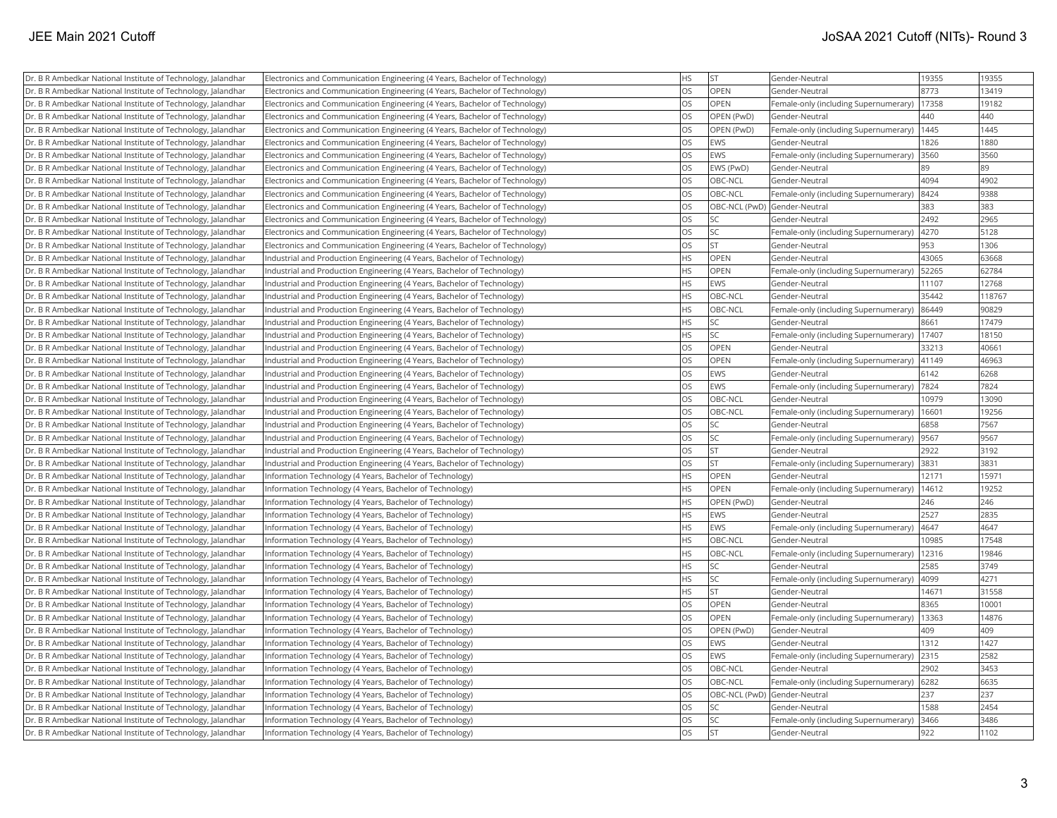| Dr. B R Ambedkar National Institute of Technology, Jalandhar | [Electronics and Communication Engineering (4 Years, Bachelor of Technology) | <b>HS</b> | <b>ST</b>                    | Gender-Neutral                                | 19355 | 19355  |
|--------------------------------------------------------------|------------------------------------------------------------------------------|-----------|------------------------------|-----------------------------------------------|-------|--------|
| Dr. B R Ambedkar National Institute of Technology, Jalandhar | Electronics and Communication Engineering (4 Years, Bachelor of Technology)  | <b>OS</b> | <b>OPEN</b>                  | Gender-Neutral                                | 8773  | 13419  |
| Dr. B R Ambedkar National Institute of Technology, Jalandhar | Electronics and Communication Engineering (4 Years, Bachelor of Technology)  | <b>OS</b> | <b>OPEN</b>                  | Female-only (including Supernumerary)         | 17358 | 19182  |
| Dr. B R Ambedkar National Institute of Technology, Jalandhar | Electronics and Communication Engineering (4 Years, Bachelor of Technology)  | OS        | OPEN (PwD)                   | Gender-Neutral                                | 440   | 440    |
| Dr. B R Ambedkar National Institute of Technology, Jalandhar | Electronics and Communication Engineering (4 Years, Bachelor of Technology)  | OS        | OPEN (PwD)                   | Female-only (including Supernumerary)   1445  |       | 1445   |
| Dr. B R Ambedkar National Institute of Technology, Jalandhar | Electronics and Communication Engineering (4 Years, Bachelor of Technology)  | OS        | <b>EWS</b>                   | Gender-Neutral                                | 1826  | 1880   |
| Dr. B R Ambedkar National Institute of Technology, Jalandhar | Electronics and Communication Engineering (4 Years, Bachelor of Technology)  | <b>OS</b> | <b>EWS</b>                   | Female-only (including Supernumerary)         | 3560  | 3560   |
| Dr. B R Ambedkar National Institute of Technology, Jalandhar | Electronics and Communication Engineering (4 Years, Bachelor of Technology)  | OS        | EWS (PwD)                    | Gender-Neutral                                | 89    | 89     |
| Dr. B R Ambedkar National Institute of Technology, Jalandhar | Electronics and Communication Engineering (4 Years, Bachelor of Technology)  | OS        | OBC-NCL                      | Gender-Neutral                                | 4094  | 4902   |
| Dr. B R Ambedkar National Institute of Technology, Jalandhar | Electronics and Communication Engineering (4 Years, Bachelor of Technology)  | OS        | OBC-NCL                      | Female-only (including Supernumerary)         | 8424  | 9388   |
| Dr. B R Ambedkar National Institute of Technology, Jalandhar | Electronics and Communication Engineering (4 Years, Bachelor of Technology)  | OS        | OBC-NCL (PwD) Gender-Neutral |                                               | 383   | 383    |
| Dr. B R Ambedkar National Institute of Technology, Jalandhar | Electronics and Communication Engineering (4 Years, Bachelor of Technology)  | OS        | <b>SC</b>                    | Gender-Neutral                                | 2492  | 2965   |
| Dr. B R Ambedkar National Institute of Technology, Jalandhar | Electronics and Communication Engineering (4 Years, Bachelor of Technology)  | OS        | SC                           | Female-only (including Supernumerary)  4270   |       | 5128   |
| Dr. B R Ambedkar National Institute of Technology, Jalandhar | Electronics and Communication Engineering (4 Years, Bachelor of Technology)  | OS        | <b>ST</b>                    | Gender-Neutral                                | 953   | 1306   |
| Dr. B R Ambedkar National Institute of Technology, Jalandhar | Industrial and Production Engineering (4 Years, Bachelor of Technology)      | HS        | <b>OPEN</b>                  | Gender-Neutral                                | 43065 | 63668  |
| Dr. B R Ambedkar National Institute of Technology, Jalandhar | Industrial and Production Engineering (4 Years, Bachelor of Technology)      | HS        | <b>OPEN</b>                  | Female-only (including Supernumerary)         | 52265 | 62784  |
| Dr. B R Ambedkar National Institute of Technology, Jalandhar | Industrial and Production Engineering (4 Years, Bachelor of Technology)      | <b>HS</b> | <b>EWS</b>                   | Gender-Neutral                                | 11107 | 12768  |
| Dr. B R Ambedkar National Institute of Technology, Jalandhar | Industrial and Production Engineering (4 Years, Bachelor of Technology)      | <b>HS</b> | OBC-NCL                      | Gender-Neutral                                | 35442 | 118767 |
| Dr. B R Ambedkar National Institute of Technology, Jalandhar | Industrial and Production Engineering (4 Years, Bachelor of Technology)      | <b>HS</b> | OBC-NCL                      | Female-only (including Supernumerary)         | 86449 | 90829  |
| Dr. B R Ambedkar National Institute of Technology, Jalandhar | Industrial and Production Engineering (4 Years, Bachelor of Technology)      | <b>HS</b> | <b>SC</b>                    | Gender-Neutral                                | 8661  | 17479  |
| Dr. B R Ambedkar National Institute of Technology, Jalandhar | Industrial and Production Engineering (4 Years, Bachelor of Technology)      | <b>HS</b> | SC                           | Female-only (including Supernumerary)   17407 |       | 18150  |
| Dr. B R Ambedkar National Institute of Technology, Jalandhar | Industrial and Production Engineering (4 Years, Bachelor of Technology)      | OS        | OPEN                         | Gender-Neutral                                | 33213 | 40661  |
| Dr. B R Ambedkar National Institute of Technology, Jalandhar | Industrial and Production Engineering (4 Years, Bachelor of Technology)      | <b>OS</b> | <b>OPEN</b>                  | Female-only (including Supernumerary)         | 41149 | 46963  |
| Dr. B R Ambedkar National Institute of Technology, Jalandhar | Industrial and Production Engineering (4 Years, Bachelor of Technology)      | OS        | <b>EWS</b>                   | Gender-Neutral                                | 6142  | 6268   |
| Dr. B R Ambedkar National Institute of Technology, Jalandhar | Industrial and Production Engineering (4 Years, Bachelor of Technology)      | <b>OS</b> | EWS                          | Female-only (including Supernumerary)         | 7824  | 7824   |
| Dr. B R Ambedkar National Institute of Technology, Jalandhar | Industrial and Production Engineering (4 Years, Bachelor of Technology)      | OS        | OBC-NCL                      | Gender-Neutral                                | 10979 | 13090  |
| Dr. B R Ambedkar National Institute of Technology, Jalandhar | Industrial and Production Engineering (4 Years, Bachelor of Technology)      | OS        | OBC-NCL                      | Female-only (including Supernumerary)         | 16601 | 19256  |
| Dr. B R Ambedkar National Institute of Technology, Jalandhar | Industrial and Production Engineering (4 Years, Bachelor of Technology)      | <b>OS</b> | <b>SC</b>                    | Gender-Neutral                                | 6858  | 7567   |
| Dr. B R Ambedkar National Institute of Technology, Jalandhar | Industrial and Production Engineering (4 Years, Bachelor of Technology)      | OS        | SC                           | Female-only (including Supernumerary)         | 9567  | 9567   |
| Dr. B R Ambedkar National Institute of Technology, Jalandhar | Industrial and Production Engineering (4 Years, Bachelor of Technology)      | OS        | <b>ST</b>                    | Gender-Neutral                                | 2922  | 3192   |
| Dr. B R Ambedkar National Institute of Technology, Jalandhar | Industrial and Production Engineering (4 Years, Bachelor of Technology)      | OS        | <b>ST</b>                    | Female-only (including Supernumerary)         | 3831  | 3831   |
| Dr. B R Ambedkar National Institute of Technology, Jalandhar | Information Technology (4 Years, Bachelor of Technology)                     | HS        | OPEN                         | Gender-Neutral                                | 12171 | 15971  |
| Dr. B R Ambedkar National Institute of Technology, Jalandhar | Information Technology (4 Years, Bachelor of Technology)                     | <b>HS</b> | OPEN                         | Female-only (including Supernumerary)         | 14612 | 19252  |
| Dr. B R Ambedkar National Institute of Technology, Jalandhar | Information Technology (4 Years, Bachelor of Technology)                     | HS        | OPEN (PwD)                   | Gender-Neutral                                | 246   | 246    |
| Dr. B R Ambedkar National Institute of Technology, Jalandhar | Information Technology (4 Years, Bachelor of Technology)                     | <b>HS</b> | EWS                          | Gender-Neutral                                | 2527  | 2835   |
| Dr. B R Ambedkar National Institute of Technology, Jalandhar | Information Technology (4 Years, Bachelor of Technology)                     | <b>HS</b> | <b>EWS</b>                   | Female-only (including Supernumerary)         | 4647  | 4647   |
| Dr. B R Ambedkar National Institute of Technology, Jalandhar | Information Technology (4 Years, Bachelor of Technology)                     | <b>HS</b> | OBC-NCL                      | Gender-Neutral                                | 10985 | 17548  |
| Dr. B R Ambedkar National Institute of Technology, Jalandhar | Information Technology (4 Years, Bachelor of Technology)                     | <b>HS</b> | OBC-NCL                      | Female-only (including Supernumerary)         | 12316 | 19846  |
| Dr. B R Ambedkar National Institute of Technology, Jalandhar | Information Technology (4 Years, Bachelor of Technology)                     | <b>HS</b> | <b>SC</b>                    | Gender-Neutral                                | 2585  | 3749   |
| Dr. B R Ambedkar National Institute of Technology, Jalandhar | Information Technology (4 Years, Bachelor of Technology)                     | HS        | <b>SC</b>                    | Female-only (including Supernumerary)         | 4099  | 4271   |
| Dr. B R Ambedkar National Institute of Technology, Jalandhar | Information Technology (4 Years, Bachelor of Technology)                     | <b>HS</b> | <b>ST</b>                    | Gender-Neutral                                | 1467' | 31558  |
| Dr. B R Ambedkar National Institute of Technology, Jalandhar | Information Technology (4 Years, Bachelor of Technology)                     | OS        | OPEN                         | Gender-Neutral                                | 8365  | 10001  |
| Dr. B R Ambedkar National Institute of Technology, Jalandhar | Information Technology (4 Years, Bachelor of Technology)                     | OS        | <b>OPEN</b>                  | Female-only (including Supernumerary)         | 13363 | 14876  |
| Dr. B R Ambedkar National Institute of Technology, Jalandhar | Information Technology (4 Years, Bachelor of Technology)                     | <b>OS</b> | OPEN (PwD)                   | Gender-Neutral                                | 409   | 409    |
| Dr. B R Ambedkar National Institute of Technology, Jalandhar | Information Technology (4 Years, Bachelor of Technology)                     | OS        | <b>EWS</b>                   | Gender-Neutral                                | 1312  | 1427   |
| Dr. B R Ambedkar National Institute of Technology, Jalandhar | Information Technology (4 Years, Bachelor of Technology)                     | OS        | <b>EWS</b>                   | Female-only (including Supernumerary) 2315    |       | 2582   |
| Dr. B R Ambedkar National Institute of Technology, Jalandhar | Information Technology (4 Years, Bachelor of Technology)                     | OS        | OBC-NCL                      | Gender-Neutral                                | 2902  | 3453   |
| Dr. B R Ambedkar National Institute of Technology, Jalandhar | Information Technology (4 Years, Bachelor of Technology)                     | <b>OS</b> | OBC-NCL                      | Female-only (including Supernumerary)   6282  |       | 6635   |
| Dr. B R Ambedkar National Institute of Technology, Jalandhar | Information Technology (4 Years, Bachelor of Technology)                     | OS        | OBC-NCL (PwD) Gender-Neutral |                                               | 237   | 237    |
| Dr. B R Ambedkar National Institute of Technology, Jalandhar | Information Technology (4 Years, Bachelor of Technology)                     | <b>OS</b> | <b>SC</b>                    | Gender-Neutral                                | 1588  | 2454   |
| Dr. B R Ambedkar National Institute of Technology, Jalandhar | Information Technology (4 Years, Bachelor of Technology)                     | OS        | <b>SC</b>                    | Female-only (including Supernumerary)         | 3466  | 3486   |
| Dr. B R Ambedkar National Institute of Technology, Jalandhar | Information Technology (4 Years, Bachelor of Technology)                     | <b>OS</b> | <b>ST</b>                    | Gender-Neutral                                | 922   | 1102   |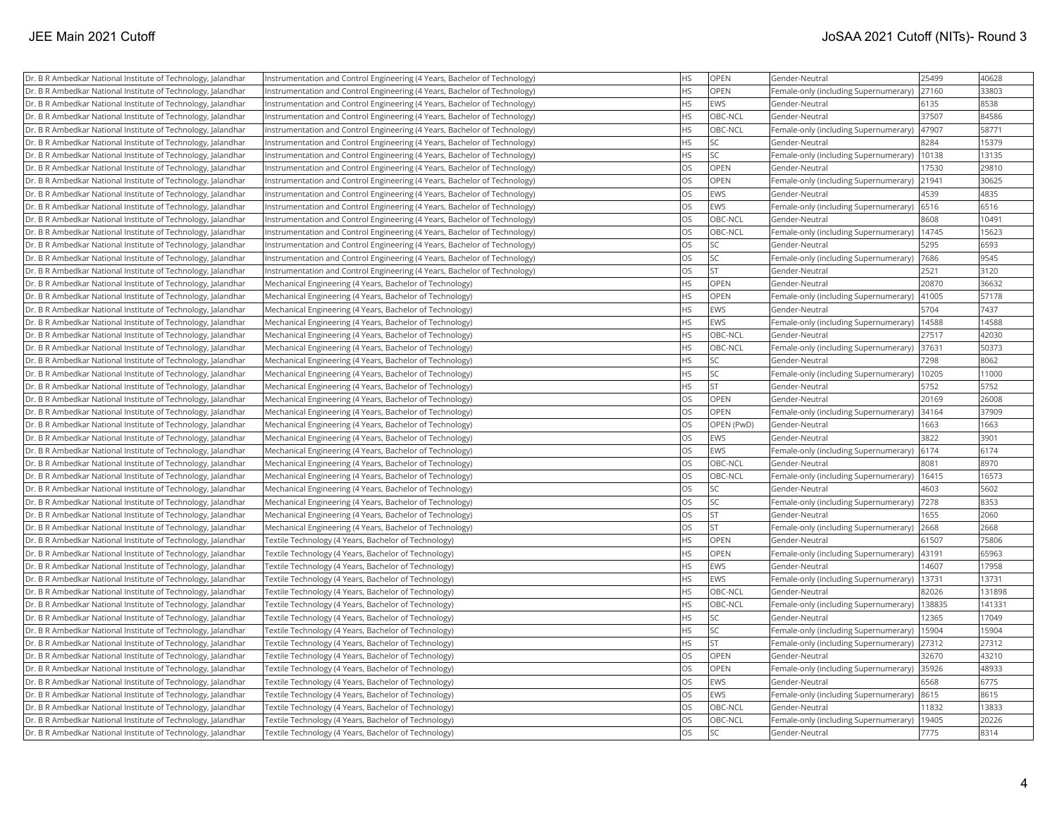| <b>OPEN</b><br>25499<br>40628<br>Dr. B R Ambedkar National Institute of Technology, Jalandhar<br>Instrumentation and Control Engineering (4 Years, Bachelor of Technology)<br>ΗS<br>Gender-Neutral<br>HS<br>OPEN<br>33803<br>Dr. B R Ambedkar National Institute of Technology, Jalandhar<br>Female-only (including Supernumerary)<br>27160<br>Instrumentation and Control Engineering (4 Years, Bachelor of Technology)<br>8538<br>HS<br>EWS<br>6135<br>Dr. B R Ambedkar National Institute of Technology, Jalandhar<br>Instrumentation and Control Engineering (4 Years, Bachelor of Technology)<br>Gender-Neutral<br>Dr. B R Ambedkar National Institute of Technology, Jalandhar<br>HS<br>OBC-NCL<br>37507<br>84586<br>Instrumentation and Control Engineering (4 Years, Bachelor of Technology)<br>Gender-Neutral<br>HS<br>Dr. B R Ambedkar National Institute of Technology, Jalandhar<br>Instrumentation and Control Engineering (4 Years, Bachelor of Technology)<br>OBC-NCL<br>Female-only (including Supernumerary)<br>47907<br>58771<br><b>HS</b><br><b>SC</b><br>8284<br>15379<br>Dr. B R Ambedkar National Institute of Technology, Jalandhar<br>Instrumentation and Control Engineering (4 Years, Bachelor of Technology)<br>Gender-Neutral<br><b>HS</b><br>SC<br>10138<br>13135<br>Dr. B R Ambedkar National Institute of Technology, Jalandhar<br>Instrumentation and Control Engineering (4 Years, Bachelor of Technology)<br>Female-only (including Supernumerary)<br>OS<br>OPEN<br>17530<br>29810<br>Dr. B R Ambedkar National Institute of Technology, Jalandhar<br>Instrumentation and Control Engineering (4 Years, Bachelor of Technology)<br>Gender-Neutral<br>OS<br><b>OPEN</b><br>21941<br>30625<br>Dr. B R Ambedkar National Institute of Technology, Jalandhar<br>Instrumentation and Control Engineering (4 Years, Bachelor of Technology)<br>Female-only (including Supernumerary)<br>OS<br>EWS<br>4539<br>4835<br>Dr. B R Ambedkar National Institute of Technology, Jalandhar<br>Instrumentation and Control Engineering (4 Years, Bachelor of Technology)<br>Gender-Neutral<br>OS<br>EWS<br>6516<br>Female-only (including Supernumerary)<br>6516<br>Dr. B R Ambedkar National Institute of Technology, Jalandhar<br>Instrumentation and Control Engineering (4 Years, Bachelor of Technology)<br>OS<br>OBC-NCL<br>8608<br>10491<br>Dr. B R Ambedkar National Institute of Technology, Jalandhar<br>Instrumentation and Control Engineering (4 Years, Bachelor of Technology)<br>Gender-Neutral<br>OS<br>OBC-NCL<br>15623<br>Dr. B R Ambedkar National Institute of Technology, Jalandhar<br>Instrumentation and Control Engineering (4 Years, Bachelor of Technology)<br>Female-only (including Supernumerary)<br>14745<br>OS<br>6593<br><b>SC</b><br>5295<br>Dr. B R Ambedkar National Institute of Technology, Jalandhar<br>Instrumentation and Control Engineering (4 Years, Bachelor of Technology)<br>Gender-Neutral<br>OS<br>SC<br>7686<br>9545<br>Dr. B R Ambedkar National Institute of Technology, Jalandhar<br>Instrumentation and Control Engineering (4 Years, Bachelor of Technology)<br>Female-only (including Supernumerary)<br>OS<br><b>ST</b><br>2521<br>3120<br>Dr. B R Ambedkar National Institute of Technology, Jalandhar<br>Instrumentation and Control Engineering (4 Years, Bachelor of Technology)<br>Gender-Neutral<br><b>HS</b><br><b>OPEN</b><br>20870<br>36632<br>Dr. B R Ambedkar National Institute of Technology, Jalandhar<br>Mechanical Engineering (4 Years, Bachelor of Technology)<br>Gender-Neutral<br>HS<br><b>OPEN</b><br>41005<br>57178<br>Dr. B R Ambedkar National Institute of Technology, Jalandhar<br>Mechanical Engineering (4 Years, Bachelor of Technology)<br>Female-only (including Supernumerary)<br>HS<br>EWS<br>5704<br>7437<br>Mechanical Engineering (4 Years, Bachelor of Technology)<br>Gender-Neutral<br>Dr. B R Ambedkar National Institute of Technology, Jalandhar<br><b>HS</b><br><b>EWS</b><br>Female-only (including Supernumerary)<br>14588<br>14588<br>Dr. B R Ambedkar National Institute of Technology, Jalandhar<br>Mechanical Engineering (4 Years, Bachelor of Technology)<br>HS<br>OBC-NCL<br>Dr. B R Ambedkar National Institute of Technology, Jalandhar<br>Mechanical Engineering (4 Years, Bachelor of Technology)<br>Gender-Neutral<br>27517<br>42030<br><b>HS</b><br>50373<br>Mechanical Engineering (4 Years, Bachelor of Technology)<br>OBC-NCL<br>Female-only (including Supernumerary)<br>37631<br>Dr. B R Ambedkar National Institute of Technology, Jalandhar<br><b>HS</b><br><b>SC</b><br>7298<br>8062<br>Dr. B R Ambedkar National Institute of Technology, Jalandhar<br>Mechanical Engineering (4 Years, Bachelor of Technology)<br>Gender-Neutral<br>HS<br>SC<br>11000<br>Dr. B R Ambedkar National Institute of Technology, Jalandhar<br>Mechanical Engineering (4 Years, Bachelor of Technology)<br>Female-only (including Supernumerary)<br>10205<br><b>ST</b><br>HS<br>5752<br>5752<br>Mechanical Engineering (4 Years, Bachelor of Technology)<br>Dr. B R Ambedkar National Institute of Technology, Jalandhar<br>Gender-Neutral<br>OS<br>OPEN<br>20169<br>26008<br>Dr. B R Ambedkar National Institute of Technology, Jalandhar<br>Mechanical Engineering (4 Years, Bachelor of Technology)<br>Gender-Neutral<br>OS<br>OPEN<br>34164<br>37909<br>Dr. B R Ambedkar National Institute of Technology, Jalandhar<br>Mechanical Engineering (4 Years, Bachelor of Technology)<br>Female-only (including Supernumerary)<br><b>OS</b><br>Dr. B R Ambedkar National Institute of Technology, Jalandhar<br>Mechanical Engineering (4 Years, Bachelor of Technology)<br>OPEN (PwD)<br>Gender-Neutral<br>1663<br>1663<br>OS<br>EWS<br>3822<br>3901<br>Dr. B R Ambedkar National Institute of Technology, Jalandhar<br>Mechanical Engineering (4 Years, Bachelor of Technology)<br>Gender-Neutral<br>OS<br><b>EWS</b><br>Female-only (including Supernumerary)   6174<br>6174<br>Dr. B R Ambedkar National Institute of Technology, Jalandhar<br>Mechanical Engineering (4 Years, Bachelor of Technology)<br>OS<br>OBC-NCL<br>8081<br>8970<br>Dr. B R Ambedkar National Institute of Technology, Jalandhar<br>Mechanical Engineering (4 Years, Bachelor of Technology)<br>Gender-Neutral<br>OS<br>OBC-NCL<br>Female-only (including Supernumerary)<br>16415<br>16573<br>Dr. B R Ambedkar National Institute of Technology, Jalandhar<br>Mechanical Engineering (4 Years, Bachelor of Technology)<br>OS<br><b>SC</b><br>5602<br>Dr. B R Ambedkar National Institute of Technology, Jalandhar<br>Mechanical Engineering (4 Years, Bachelor of Technology)<br>4603<br>Gender-Neutral<br>OS<br><b>SC</b><br>7278<br>8353<br>Dr. B R Ambedkar National Institute of Technology, Jalandhar<br>Mechanical Engineering (4 Years, Bachelor of Technology)<br>Female-only (including Supernumerary)<br>OS<br>lst<br>1655<br>2060<br>Dr. B R Ambedkar National Institute of Technology, Jalandhar<br>Mechanical Engineering (4 Years, Bachelor of Technology)<br>Gender-Neutral<br>OS<br><b>ST</b><br>2668<br>2668<br>Dr. B R Ambedkar National Institute of Technology, Jalandhar<br>Mechanical Engineering (4 Years, Bachelor of Technology)<br>Female-only (including Supernumerary)<br><b>HS</b><br><b>OPEN</b><br>61507<br>75806<br>Dr. B R Ambedkar National Institute of Technology, Jalandhar<br>Textile Technology (4 Years, Bachelor of Technology)<br>Gender-Neutral<br><b>HS</b><br>OPEN<br>43191<br>65963<br>Dr. B R Ambedkar National Institute of Technology, Jalandhar<br>Textile Technology (4 Years, Bachelor of Technology)<br>Female-only (including Supernumerary)<br>HS<br>EWS<br>17958<br>Textile Technology (4 Years, Bachelor of Technology)<br>14607<br>Dr. B R Ambedkar National Institute of Technology, Jalandhar<br>Gender-Neutral<br>HS<br>EWS<br>Female-only (including Supernumerary)<br>13731<br>13731<br>Dr. B R Ambedkar National Institute of Technology, Jalandhar<br>Textile Technology (4 Years, Bachelor of Technology)<br>HS<br>82026<br>Dr. B R Ambedkar National Institute of Technology, Jalandhar<br>Textile Technology (4 Years, Bachelor of Technology)<br>OBC-NCL<br>Gender-Neutral<br>131898<br>OBC-NCL<br>138835<br>141331<br><b>HS</b> |
|-------------------------------------------------------------------------------------------------------------------------------------------------------------------------------------------------------------------------------------------------------------------------------------------------------------------------------------------------------------------------------------------------------------------------------------------------------------------------------------------------------------------------------------------------------------------------------------------------------------------------------------------------------------------------------------------------------------------------------------------------------------------------------------------------------------------------------------------------------------------------------------------------------------------------------------------------------------------------------------------------------------------------------------------------------------------------------------------------------------------------------------------------------------------------------------------------------------------------------------------------------------------------------------------------------------------------------------------------------------------------------------------------------------------------------------------------------------------------------------------------------------------------------------------------------------------------------------------------------------------------------------------------------------------------------------------------------------------------------------------------------------------------------------------------------------------------------------------------------------------------------------------------------------------------------------------------------------------------------------------------------------------------------------------------------------------------------------------------------------------------------------------------------------------------------------------------------------------------------------------------------------------------------------------------------------------------------------------------------------------------------------------------------------------------------------------------------------------------------------------------------------------------------------------------------------------------------------------------------------------------------------------------------------------------------------------------------------------------------------------------------------------------------------------------------------------------------------------------------------------------------------------------------------------------------------------------------------------------------------------------------------------------------------------------------------------------------------------------------------------------------------------------------------------------------------------------------------------------------------------------------------------------------------------------------------------------------------------------------------------------------------------------------------------------------------------------------------------------------------------------------------------------------------------------------------------------------------------------------------------------------------------------------------------------------------------------------------------------------------------------------------------------------------------------------------------------------------------------------------------------------------------------------------------------------------------------------------------------------------------------------------------------------------------------------------------------------------------------------------------------------------------------------------------------------------------------------------------------------------------------------------------------------------------------------------------------------------------------------------------------------------------------------------------------------------------------------------------------------------------------------------------------------------------------------------------------------------------------------------------------------------------------------------------------------------------------------------------------------------------------------------------------------------------------------------------------------------------------------------------------------------------------------------------------------------------------------------------------------------------------------------------------------------------------------------------------------------------------------------------------------------------------------------------------------------------------------------------------------------------------------------------------------------------------------------------------------------------------------------------------------------------------------------------------------------------------------------------------------------------------------------------------------------------------------------------------------------------------------------------------------------------------------------------------------------------------------------------------------------------------------------------------------------------------------------------------------------------------------------------------------------------------------------------------------------------------------------------------------------------------------------------------------------------------------------------------------------------------------------------------------------------------------------------------------------------------------------------------------------------------------------------------------------------------------------------------------------------------------------------------------------------------------------------------------------------------------------------------------------------------------------------------------------------------------------------------------------------------------------------------------------------------------------------------------------------------------------------------------------------------------------------------------------------------------------------------------------------------------------------------------------------------------------------------------------------------------------------------------------------------------------------------------------------------------------------------------------------------------------------------------------------------------------------------------------------------------------------------------------------------------------------------------------------------------------------------------------------------------------------------------------------------------------------------------------------------------------------------------------------------------------------------------------------------------------------------------------------------------------------------------------------------------------------------------------------------------------------------------------------------------------------------------------------------------------------------------------------------------------------------------------------------------------------------------------------------------------------------------------------------------------------------------------------------------------------------------------------------------------------------------------------------------------------------------------------------------------------------------------------------------------------------------------------------------|
|                                                                                                                                                                                                                                                                                                                                                                                                                                                                                                                                                                                                                                                                                                                                                                                                                                                                                                                                                                                                                                                                                                                                                                                                                                                                                                                                                                                                                                                                                                                                                                                                                                                                                                                                                                                                                                                                                                                                                                                                                                                                                                                                                                                                                                                                                                                                                                                                                                                                                                                                                                                                                                                                                                                                                                                                                                                                                                                                                                                                                                                                                                                                                                                                                                                                                                                                                                                                                                                                                                                                                                                                                                                                                                                                                                                                                                                                                                                                                                                                                                                                                                                                                                                                                                                                                                                                                                                                                                                                                                                                                                                                                                                                                                                                                                                                                                                                                                                                                                                                                                                                                                                                                                                                                                                                                                                                                                                                                                                                                                                                                                                                                                                                                                                                                                                                                                                                                                                                                                                                                                                                                                                                                                                                                                                                                                                                                                                                                                                                                                                                                                                                                                                                                                                                                                                                                                                                                                                                                                                                                                                                                                                                                                                                                                                                                                                                                                                                                                                                                                                                                                                                                                                                                                                                                                                                                                                                                                                                                                                                                                                                                                                                                                                                                                                                                                       |
|                                                                                                                                                                                                                                                                                                                                                                                                                                                                                                                                                                                                                                                                                                                                                                                                                                                                                                                                                                                                                                                                                                                                                                                                                                                                                                                                                                                                                                                                                                                                                                                                                                                                                                                                                                                                                                                                                                                                                                                                                                                                                                                                                                                                                                                                                                                                                                                                                                                                                                                                                                                                                                                                                                                                                                                                                                                                                                                                                                                                                                                                                                                                                                                                                                                                                                                                                                                                                                                                                                                                                                                                                                                                                                                                                                                                                                                                                                                                                                                                                                                                                                                                                                                                                                                                                                                                                                                                                                                                                                                                                                                                                                                                                                                                                                                                                                                                                                                                                                                                                                                                                                                                                                                                                                                                                                                                                                                                                                                                                                                                                                                                                                                                                                                                                                                                                                                                                                                                                                                                                                                                                                                                                                                                                                                                                                                                                                                                                                                                                                                                                                                                                                                                                                                                                                                                                                                                                                                                                                                                                                                                                                                                                                                                                                                                                                                                                                                                                                                                                                                                                                                                                                                                                                                                                                                                                                                                                                                                                                                                                                                                                                                                                                                                                                                                                                       |
|                                                                                                                                                                                                                                                                                                                                                                                                                                                                                                                                                                                                                                                                                                                                                                                                                                                                                                                                                                                                                                                                                                                                                                                                                                                                                                                                                                                                                                                                                                                                                                                                                                                                                                                                                                                                                                                                                                                                                                                                                                                                                                                                                                                                                                                                                                                                                                                                                                                                                                                                                                                                                                                                                                                                                                                                                                                                                                                                                                                                                                                                                                                                                                                                                                                                                                                                                                                                                                                                                                                                                                                                                                                                                                                                                                                                                                                                                                                                                                                                                                                                                                                                                                                                                                                                                                                                                                                                                                                                                                                                                                                                                                                                                                                                                                                                                                                                                                                                                                                                                                                                                                                                                                                                                                                                                                                                                                                                                                                                                                                                                                                                                                                                                                                                                                                                                                                                                                                                                                                                                                                                                                                                                                                                                                                                                                                                                                                                                                                                                                                                                                                                                                                                                                                                                                                                                                                                                                                                                                                                                                                                                                                                                                                                                                                                                                                                                                                                                                                                                                                                                                                                                                                                                                                                                                                                                                                                                                                                                                                                                                                                                                                                                                                                                                                                                                       |
|                                                                                                                                                                                                                                                                                                                                                                                                                                                                                                                                                                                                                                                                                                                                                                                                                                                                                                                                                                                                                                                                                                                                                                                                                                                                                                                                                                                                                                                                                                                                                                                                                                                                                                                                                                                                                                                                                                                                                                                                                                                                                                                                                                                                                                                                                                                                                                                                                                                                                                                                                                                                                                                                                                                                                                                                                                                                                                                                                                                                                                                                                                                                                                                                                                                                                                                                                                                                                                                                                                                                                                                                                                                                                                                                                                                                                                                                                                                                                                                                                                                                                                                                                                                                                                                                                                                                                                                                                                                                                                                                                                                                                                                                                                                                                                                                                                                                                                                                                                                                                                                                                                                                                                                                                                                                                                                                                                                                                                                                                                                                                                                                                                                                                                                                                                                                                                                                                                                                                                                                                                                                                                                                                                                                                                                                                                                                                                                                                                                                                                                                                                                                                                                                                                                                                                                                                                                                                                                                                                                                                                                                                                                                                                                                                                                                                                                                                                                                                                                                                                                                                                                                                                                                                                                                                                                                                                                                                                                                                                                                                                                                                                                                                                                                                                                                                                       |
|                                                                                                                                                                                                                                                                                                                                                                                                                                                                                                                                                                                                                                                                                                                                                                                                                                                                                                                                                                                                                                                                                                                                                                                                                                                                                                                                                                                                                                                                                                                                                                                                                                                                                                                                                                                                                                                                                                                                                                                                                                                                                                                                                                                                                                                                                                                                                                                                                                                                                                                                                                                                                                                                                                                                                                                                                                                                                                                                                                                                                                                                                                                                                                                                                                                                                                                                                                                                                                                                                                                                                                                                                                                                                                                                                                                                                                                                                                                                                                                                                                                                                                                                                                                                                                                                                                                                                                                                                                                                                                                                                                                                                                                                                                                                                                                                                                                                                                                                                                                                                                                                                                                                                                                                                                                                                                                                                                                                                                                                                                                                                                                                                                                                                                                                                                                                                                                                                                                                                                                                                                                                                                                                                                                                                                                                                                                                                                                                                                                                                                                                                                                                                                                                                                                                                                                                                                                                                                                                                                                                                                                                                                                                                                                                                                                                                                                                                                                                                                                                                                                                                                                                                                                                                                                                                                                                                                                                                                                                                                                                                                                                                                                                                                                                                                                                                                       |
|                                                                                                                                                                                                                                                                                                                                                                                                                                                                                                                                                                                                                                                                                                                                                                                                                                                                                                                                                                                                                                                                                                                                                                                                                                                                                                                                                                                                                                                                                                                                                                                                                                                                                                                                                                                                                                                                                                                                                                                                                                                                                                                                                                                                                                                                                                                                                                                                                                                                                                                                                                                                                                                                                                                                                                                                                                                                                                                                                                                                                                                                                                                                                                                                                                                                                                                                                                                                                                                                                                                                                                                                                                                                                                                                                                                                                                                                                                                                                                                                                                                                                                                                                                                                                                                                                                                                                                                                                                                                                                                                                                                                                                                                                                                                                                                                                                                                                                                                                                                                                                                                                                                                                                                                                                                                                                                                                                                                                                                                                                                                                                                                                                                                                                                                                                                                                                                                                                                                                                                                                                                                                                                                                                                                                                                                                                                                                                                                                                                                                                                                                                                                                                                                                                                                                                                                                                                                                                                                                                                                                                                                                                                                                                                                                                                                                                                                                                                                                                                                                                                                                                                                                                                                                                                                                                                                                                                                                                                                                                                                                                                                                                                                                                                                                                                                                                       |
|                                                                                                                                                                                                                                                                                                                                                                                                                                                                                                                                                                                                                                                                                                                                                                                                                                                                                                                                                                                                                                                                                                                                                                                                                                                                                                                                                                                                                                                                                                                                                                                                                                                                                                                                                                                                                                                                                                                                                                                                                                                                                                                                                                                                                                                                                                                                                                                                                                                                                                                                                                                                                                                                                                                                                                                                                                                                                                                                                                                                                                                                                                                                                                                                                                                                                                                                                                                                                                                                                                                                                                                                                                                                                                                                                                                                                                                                                                                                                                                                                                                                                                                                                                                                                                                                                                                                                                                                                                                                                                                                                                                                                                                                                                                                                                                                                                                                                                                                                                                                                                                                                                                                                                                                                                                                                                                                                                                                                                                                                                                                                                                                                                                                                                                                                                                                                                                                                                                                                                                                                                                                                                                                                                                                                                                                                                                                                                                                                                                                                                                                                                                                                                                                                                                                                                                                                                                                                                                                                                                                                                                                                                                                                                                                                                                                                                                                                                                                                                                                                                                                                                                                                                                                                                                                                                                                                                                                                                                                                                                                                                                                                                                                                                                                                                                                                                       |
|                                                                                                                                                                                                                                                                                                                                                                                                                                                                                                                                                                                                                                                                                                                                                                                                                                                                                                                                                                                                                                                                                                                                                                                                                                                                                                                                                                                                                                                                                                                                                                                                                                                                                                                                                                                                                                                                                                                                                                                                                                                                                                                                                                                                                                                                                                                                                                                                                                                                                                                                                                                                                                                                                                                                                                                                                                                                                                                                                                                                                                                                                                                                                                                                                                                                                                                                                                                                                                                                                                                                                                                                                                                                                                                                                                                                                                                                                                                                                                                                                                                                                                                                                                                                                                                                                                                                                                                                                                                                                                                                                                                                                                                                                                                                                                                                                                                                                                                                                                                                                                                                                                                                                                                                                                                                                                                                                                                                                                                                                                                                                                                                                                                                                                                                                                                                                                                                                                                                                                                                                                                                                                                                                                                                                                                                                                                                                                                                                                                                                                                                                                                                                                                                                                                                                                                                                                                                                                                                                                                                                                                                                                                                                                                                                                                                                                                                                                                                                                                                                                                                                                                                                                                                                                                                                                                                                                                                                                                                                                                                                                                                                                                                                                                                                                                                                                       |
|                                                                                                                                                                                                                                                                                                                                                                                                                                                                                                                                                                                                                                                                                                                                                                                                                                                                                                                                                                                                                                                                                                                                                                                                                                                                                                                                                                                                                                                                                                                                                                                                                                                                                                                                                                                                                                                                                                                                                                                                                                                                                                                                                                                                                                                                                                                                                                                                                                                                                                                                                                                                                                                                                                                                                                                                                                                                                                                                                                                                                                                                                                                                                                                                                                                                                                                                                                                                                                                                                                                                                                                                                                                                                                                                                                                                                                                                                                                                                                                                                                                                                                                                                                                                                                                                                                                                                                                                                                                                                                                                                                                                                                                                                                                                                                                                                                                                                                                                                                                                                                                                                                                                                                                                                                                                                                                                                                                                                                                                                                                                                                                                                                                                                                                                                                                                                                                                                                                                                                                                                                                                                                                                                                                                                                                                                                                                                                                                                                                                                                                                                                                                                                                                                                                                                                                                                                                                                                                                                                                                                                                                                                                                                                                                                                                                                                                                                                                                                                                                                                                                                                                                                                                                                                                                                                                                                                                                                                                                                                                                                                                                                                                                                                                                                                                                                                       |
|                                                                                                                                                                                                                                                                                                                                                                                                                                                                                                                                                                                                                                                                                                                                                                                                                                                                                                                                                                                                                                                                                                                                                                                                                                                                                                                                                                                                                                                                                                                                                                                                                                                                                                                                                                                                                                                                                                                                                                                                                                                                                                                                                                                                                                                                                                                                                                                                                                                                                                                                                                                                                                                                                                                                                                                                                                                                                                                                                                                                                                                                                                                                                                                                                                                                                                                                                                                                                                                                                                                                                                                                                                                                                                                                                                                                                                                                                                                                                                                                                                                                                                                                                                                                                                                                                                                                                                                                                                                                                                                                                                                                                                                                                                                                                                                                                                                                                                                                                                                                                                                                                                                                                                                                                                                                                                                                                                                                                                                                                                                                                                                                                                                                                                                                                                                                                                                                                                                                                                                                                                                                                                                                                                                                                                                                                                                                                                                                                                                                                                                                                                                                                                                                                                                                                                                                                                                                                                                                                                                                                                                                                                                                                                                                                                                                                                                                                                                                                                                                                                                                                                                                                                                                                                                                                                                                                                                                                                                                                                                                                                                                                                                                                                                                                                                                                                       |
|                                                                                                                                                                                                                                                                                                                                                                                                                                                                                                                                                                                                                                                                                                                                                                                                                                                                                                                                                                                                                                                                                                                                                                                                                                                                                                                                                                                                                                                                                                                                                                                                                                                                                                                                                                                                                                                                                                                                                                                                                                                                                                                                                                                                                                                                                                                                                                                                                                                                                                                                                                                                                                                                                                                                                                                                                                                                                                                                                                                                                                                                                                                                                                                                                                                                                                                                                                                                                                                                                                                                                                                                                                                                                                                                                                                                                                                                                                                                                                                                                                                                                                                                                                                                                                                                                                                                                                                                                                                                                                                                                                                                                                                                                                                                                                                                                                                                                                                                                                                                                                                                                                                                                                                                                                                                                                                                                                                                                                                                                                                                                                                                                                                                                                                                                                                                                                                                                                                                                                                                                                                                                                                                                                                                                                                                                                                                                                                                                                                                                                                                                                                                                                                                                                                                                                                                                                                                                                                                                                                                                                                                                                                                                                                                                                                                                                                                                                                                                                                                                                                                                                                                                                                                                                                                                                                                                                                                                                                                                                                                                                                                                                                                                                                                                                                                                                       |
|                                                                                                                                                                                                                                                                                                                                                                                                                                                                                                                                                                                                                                                                                                                                                                                                                                                                                                                                                                                                                                                                                                                                                                                                                                                                                                                                                                                                                                                                                                                                                                                                                                                                                                                                                                                                                                                                                                                                                                                                                                                                                                                                                                                                                                                                                                                                                                                                                                                                                                                                                                                                                                                                                                                                                                                                                                                                                                                                                                                                                                                                                                                                                                                                                                                                                                                                                                                                                                                                                                                                                                                                                                                                                                                                                                                                                                                                                                                                                                                                                                                                                                                                                                                                                                                                                                                                                                                                                                                                                                                                                                                                                                                                                                                                                                                                                                                                                                                                                                                                                                                                                                                                                                                                                                                                                                                                                                                                                                                                                                                                                                                                                                                                                                                                                                                                                                                                                                                                                                                                                                                                                                                                                                                                                                                                                                                                                                                                                                                                                                                                                                                                                                                                                                                                                                                                                                                                                                                                                                                                                                                                                                                                                                                                                                                                                                                                                                                                                                                                                                                                                                                                                                                                                                                                                                                                                                                                                                                                                                                                                                                                                                                                                                                                                                                                                                       |
|                                                                                                                                                                                                                                                                                                                                                                                                                                                                                                                                                                                                                                                                                                                                                                                                                                                                                                                                                                                                                                                                                                                                                                                                                                                                                                                                                                                                                                                                                                                                                                                                                                                                                                                                                                                                                                                                                                                                                                                                                                                                                                                                                                                                                                                                                                                                                                                                                                                                                                                                                                                                                                                                                                                                                                                                                                                                                                                                                                                                                                                                                                                                                                                                                                                                                                                                                                                                                                                                                                                                                                                                                                                                                                                                                                                                                                                                                                                                                                                                                                                                                                                                                                                                                                                                                                                                                                                                                                                                                                                                                                                                                                                                                                                                                                                                                                                                                                                                                                                                                                                                                                                                                                                                                                                                                                                                                                                                                                                                                                                                                                                                                                                                                                                                                                                                                                                                                                                                                                                                                                                                                                                                                                                                                                                                                                                                                                                                                                                                                                                                                                                                                                                                                                                                                                                                                                                                                                                                                                                                                                                                                                                                                                                                                                                                                                                                                                                                                                                                                                                                                                                                                                                                                                                                                                                                                                                                                                                                                                                                                                                                                                                                                                                                                                                                                                       |
|                                                                                                                                                                                                                                                                                                                                                                                                                                                                                                                                                                                                                                                                                                                                                                                                                                                                                                                                                                                                                                                                                                                                                                                                                                                                                                                                                                                                                                                                                                                                                                                                                                                                                                                                                                                                                                                                                                                                                                                                                                                                                                                                                                                                                                                                                                                                                                                                                                                                                                                                                                                                                                                                                                                                                                                                                                                                                                                                                                                                                                                                                                                                                                                                                                                                                                                                                                                                                                                                                                                                                                                                                                                                                                                                                                                                                                                                                                                                                                                                                                                                                                                                                                                                                                                                                                                                                                                                                                                                                                                                                                                                                                                                                                                                                                                                                                                                                                                                                                                                                                                                                                                                                                                                                                                                                                                                                                                                                                                                                                                                                                                                                                                                                                                                                                                                                                                                                                                                                                                                                                                                                                                                                                                                                                                                                                                                                                                                                                                                                                                                                                                                                                                                                                                                                                                                                                                                                                                                                                                                                                                                                                                                                                                                                                                                                                                                                                                                                                                                                                                                                                                                                                                                                                                                                                                                                                                                                                                                                                                                                                                                                                                                                                                                                                                                                                       |
|                                                                                                                                                                                                                                                                                                                                                                                                                                                                                                                                                                                                                                                                                                                                                                                                                                                                                                                                                                                                                                                                                                                                                                                                                                                                                                                                                                                                                                                                                                                                                                                                                                                                                                                                                                                                                                                                                                                                                                                                                                                                                                                                                                                                                                                                                                                                                                                                                                                                                                                                                                                                                                                                                                                                                                                                                                                                                                                                                                                                                                                                                                                                                                                                                                                                                                                                                                                                                                                                                                                                                                                                                                                                                                                                                                                                                                                                                                                                                                                                                                                                                                                                                                                                                                                                                                                                                                                                                                                                                                                                                                                                                                                                                                                                                                                                                                                                                                                                                                                                                                                                                                                                                                                                                                                                                                                                                                                                                                                                                                                                                                                                                                                                                                                                                                                                                                                                                                                                                                                                                                                                                                                                                                                                                                                                                                                                                                                                                                                                                                                                                                                                                                                                                                                                                                                                                                                                                                                                                                                                                                                                                                                                                                                                                                                                                                                                                                                                                                                                                                                                                                                                                                                                                                                                                                                                                                                                                                                                                                                                                                                                                                                                                                                                                                                                                                       |
|                                                                                                                                                                                                                                                                                                                                                                                                                                                                                                                                                                                                                                                                                                                                                                                                                                                                                                                                                                                                                                                                                                                                                                                                                                                                                                                                                                                                                                                                                                                                                                                                                                                                                                                                                                                                                                                                                                                                                                                                                                                                                                                                                                                                                                                                                                                                                                                                                                                                                                                                                                                                                                                                                                                                                                                                                                                                                                                                                                                                                                                                                                                                                                                                                                                                                                                                                                                                                                                                                                                                                                                                                                                                                                                                                                                                                                                                                                                                                                                                                                                                                                                                                                                                                                                                                                                                                                                                                                                                                                                                                                                                                                                                                                                                                                                                                                                                                                                                                                                                                                                                                                                                                                                                                                                                                                                                                                                                                                                                                                                                                                                                                                                                                                                                                                                                                                                                                                                                                                                                                                                                                                                                                                                                                                                                                                                                                                                                                                                                                                                                                                                                                                                                                                                                                                                                                                                                                                                                                                                                                                                                                                                                                                                                                                                                                                                                                                                                                                                                                                                                                                                                                                                                                                                                                                                                                                                                                                                                                                                                                                                                                                                                                                                                                                                                                                       |
|                                                                                                                                                                                                                                                                                                                                                                                                                                                                                                                                                                                                                                                                                                                                                                                                                                                                                                                                                                                                                                                                                                                                                                                                                                                                                                                                                                                                                                                                                                                                                                                                                                                                                                                                                                                                                                                                                                                                                                                                                                                                                                                                                                                                                                                                                                                                                                                                                                                                                                                                                                                                                                                                                                                                                                                                                                                                                                                                                                                                                                                                                                                                                                                                                                                                                                                                                                                                                                                                                                                                                                                                                                                                                                                                                                                                                                                                                                                                                                                                                                                                                                                                                                                                                                                                                                                                                                                                                                                                                                                                                                                                                                                                                                                                                                                                                                                                                                                                                                                                                                                                                                                                                                                                                                                                                                                                                                                                                                                                                                                                                                                                                                                                                                                                                                                                                                                                                                                                                                                                                                                                                                                                                                                                                                                                                                                                                                                                                                                                                                                                                                                                                                                                                                                                                                                                                                                                                                                                                                                                                                                                                                                                                                                                                                                                                                                                                                                                                                                                                                                                                                                                                                                                                                                                                                                                                                                                                                                                                                                                                                                                                                                                                                                                                                                                                                       |
|                                                                                                                                                                                                                                                                                                                                                                                                                                                                                                                                                                                                                                                                                                                                                                                                                                                                                                                                                                                                                                                                                                                                                                                                                                                                                                                                                                                                                                                                                                                                                                                                                                                                                                                                                                                                                                                                                                                                                                                                                                                                                                                                                                                                                                                                                                                                                                                                                                                                                                                                                                                                                                                                                                                                                                                                                                                                                                                                                                                                                                                                                                                                                                                                                                                                                                                                                                                                                                                                                                                                                                                                                                                                                                                                                                                                                                                                                                                                                                                                                                                                                                                                                                                                                                                                                                                                                                                                                                                                                                                                                                                                                                                                                                                                                                                                                                                                                                                                                                                                                                                                                                                                                                                                                                                                                                                                                                                                                                                                                                                                                                                                                                                                                                                                                                                                                                                                                                                                                                                                                                                                                                                                                                                                                                                                                                                                                                                                                                                                                                                                                                                                                                                                                                                                                                                                                                                                                                                                                                                                                                                                                                                                                                                                                                                                                                                                                                                                                                                                                                                                                                                                                                                                                                                                                                                                                                                                                                                                                                                                                                                                                                                                                                                                                                                                                                       |
|                                                                                                                                                                                                                                                                                                                                                                                                                                                                                                                                                                                                                                                                                                                                                                                                                                                                                                                                                                                                                                                                                                                                                                                                                                                                                                                                                                                                                                                                                                                                                                                                                                                                                                                                                                                                                                                                                                                                                                                                                                                                                                                                                                                                                                                                                                                                                                                                                                                                                                                                                                                                                                                                                                                                                                                                                                                                                                                                                                                                                                                                                                                                                                                                                                                                                                                                                                                                                                                                                                                                                                                                                                                                                                                                                                                                                                                                                                                                                                                                                                                                                                                                                                                                                                                                                                                                                                                                                                                                                                                                                                                                                                                                                                                                                                                                                                                                                                                                                                                                                                                                                                                                                                                                                                                                                                                                                                                                                                                                                                                                                                                                                                                                                                                                                                                                                                                                                                                                                                                                                                                                                                                                                                                                                                                                                                                                                                                                                                                                                                                                                                                                                                                                                                                                                                                                                                                                                                                                                                                                                                                                                                                                                                                                                                                                                                                                                                                                                                                                                                                                                                                                                                                                                                                                                                                                                                                                                                                                                                                                                                                                                                                                                                                                                                                                                                       |
|                                                                                                                                                                                                                                                                                                                                                                                                                                                                                                                                                                                                                                                                                                                                                                                                                                                                                                                                                                                                                                                                                                                                                                                                                                                                                                                                                                                                                                                                                                                                                                                                                                                                                                                                                                                                                                                                                                                                                                                                                                                                                                                                                                                                                                                                                                                                                                                                                                                                                                                                                                                                                                                                                                                                                                                                                                                                                                                                                                                                                                                                                                                                                                                                                                                                                                                                                                                                                                                                                                                                                                                                                                                                                                                                                                                                                                                                                                                                                                                                                                                                                                                                                                                                                                                                                                                                                                                                                                                                                                                                                                                                                                                                                                                                                                                                                                                                                                                                                                                                                                                                                                                                                                                                                                                                                                                                                                                                                                                                                                                                                                                                                                                                                                                                                                                                                                                                                                                                                                                                                                                                                                                                                                                                                                                                                                                                                                                                                                                                                                                                                                                                                                                                                                                                                                                                                                                                                                                                                                                                                                                                                                                                                                                                                                                                                                                                                                                                                                                                                                                                                                                                                                                                                                                                                                                                                                                                                                                                                                                                                                                                                                                                                                                                                                                                                                       |
|                                                                                                                                                                                                                                                                                                                                                                                                                                                                                                                                                                                                                                                                                                                                                                                                                                                                                                                                                                                                                                                                                                                                                                                                                                                                                                                                                                                                                                                                                                                                                                                                                                                                                                                                                                                                                                                                                                                                                                                                                                                                                                                                                                                                                                                                                                                                                                                                                                                                                                                                                                                                                                                                                                                                                                                                                                                                                                                                                                                                                                                                                                                                                                                                                                                                                                                                                                                                                                                                                                                                                                                                                                                                                                                                                                                                                                                                                                                                                                                                                                                                                                                                                                                                                                                                                                                                                                                                                                                                                                                                                                                                                                                                                                                                                                                                                                                                                                                                                                                                                                                                                                                                                                                                                                                                                                                                                                                                                                                                                                                                                                                                                                                                                                                                                                                                                                                                                                                                                                                                                                                                                                                                                                                                                                                                                                                                                                                                                                                                                                                                                                                                                                                                                                                                                                                                                                                                                                                                                                                                                                                                                                                                                                                                                                                                                                                                                                                                                                                                                                                                                                                                                                                                                                                                                                                                                                                                                                                                                                                                                                                                                                                                                                                                                                                                                                       |
|                                                                                                                                                                                                                                                                                                                                                                                                                                                                                                                                                                                                                                                                                                                                                                                                                                                                                                                                                                                                                                                                                                                                                                                                                                                                                                                                                                                                                                                                                                                                                                                                                                                                                                                                                                                                                                                                                                                                                                                                                                                                                                                                                                                                                                                                                                                                                                                                                                                                                                                                                                                                                                                                                                                                                                                                                                                                                                                                                                                                                                                                                                                                                                                                                                                                                                                                                                                                                                                                                                                                                                                                                                                                                                                                                                                                                                                                                                                                                                                                                                                                                                                                                                                                                                                                                                                                                                                                                                                                                                                                                                                                                                                                                                                                                                                                                                                                                                                                                                                                                                                                                                                                                                                                                                                                                                                                                                                                                                                                                                                                                                                                                                                                                                                                                                                                                                                                                                                                                                                                                                                                                                                                                                                                                                                                                                                                                                                                                                                                                                                                                                                                                                                                                                                                                                                                                                                                                                                                                                                                                                                                                                                                                                                                                                                                                                                                                                                                                                                                                                                                                                                                                                                                                                                                                                                                                                                                                                                                                                                                                                                                                                                                                                                                                                                                                                       |
|                                                                                                                                                                                                                                                                                                                                                                                                                                                                                                                                                                                                                                                                                                                                                                                                                                                                                                                                                                                                                                                                                                                                                                                                                                                                                                                                                                                                                                                                                                                                                                                                                                                                                                                                                                                                                                                                                                                                                                                                                                                                                                                                                                                                                                                                                                                                                                                                                                                                                                                                                                                                                                                                                                                                                                                                                                                                                                                                                                                                                                                                                                                                                                                                                                                                                                                                                                                                                                                                                                                                                                                                                                                                                                                                                                                                                                                                                                                                                                                                                                                                                                                                                                                                                                                                                                                                                                                                                                                                                                                                                                                                                                                                                                                                                                                                                                                                                                                                                                                                                                                                                                                                                                                                                                                                                                                                                                                                                                                                                                                                                                                                                                                                                                                                                                                                                                                                                                                                                                                                                                                                                                                                                                                                                                                                                                                                                                                                                                                                                                                                                                                                                                                                                                                                                                                                                                                                                                                                                                                                                                                                                                                                                                                                                                                                                                                                                                                                                                                                                                                                                                                                                                                                                                                                                                                                                                                                                                                                                                                                                                                                                                                                                                                                                                                                                                       |
|                                                                                                                                                                                                                                                                                                                                                                                                                                                                                                                                                                                                                                                                                                                                                                                                                                                                                                                                                                                                                                                                                                                                                                                                                                                                                                                                                                                                                                                                                                                                                                                                                                                                                                                                                                                                                                                                                                                                                                                                                                                                                                                                                                                                                                                                                                                                                                                                                                                                                                                                                                                                                                                                                                                                                                                                                                                                                                                                                                                                                                                                                                                                                                                                                                                                                                                                                                                                                                                                                                                                                                                                                                                                                                                                                                                                                                                                                                                                                                                                                                                                                                                                                                                                                                                                                                                                                                                                                                                                                                                                                                                                                                                                                                                                                                                                                                                                                                                                                                                                                                                                                                                                                                                                                                                                                                                                                                                                                                                                                                                                                                                                                                                                                                                                                                                                                                                                                                                                                                                                                                                                                                                                                                                                                                                                                                                                                                                                                                                                                                                                                                                                                                                                                                                                                                                                                                                                                                                                                                                                                                                                                                                                                                                                                                                                                                                                                                                                                                                                                                                                                                                                                                                                                                                                                                                                                                                                                                                                                                                                                                                                                                                                                                                                                                                                                                       |
|                                                                                                                                                                                                                                                                                                                                                                                                                                                                                                                                                                                                                                                                                                                                                                                                                                                                                                                                                                                                                                                                                                                                                                                                                                                                                                                                                                                                                                                                                                                                                                                                                                                                                                                                                                                                                                                                                                                                                                                                                                                                                                                                                                                                                                                                                                                                                                                                                                                                                                                                                                                                                                                                                                                                                                                                                                                                                                                                                                                                                                                                                                                                                                                                                                                                                                                                                                                                                                                                                                                                                                                                                                                                                                                                                                                                                                                                                                                                                                                                                                                                                                                                                                                                                                                                                                                                                                                                                                                                                                                                                                                                                                                                                                                                                                                                                                                                                                                                                                                                                                                                                                                                                                                                                                                                                                                                                                                                                                                                                                                                                                                                                                                                                                                                                                                                                                                                                                                                                                                                                                                                                                                                                                                                                                                                                                                                                                                                                                                                                                                                                                                                                                                                                                                                                                                                                                                                                                                                                                                                                                                                                                                                                                                                                                                                                                                                                                                                                                                                                                                                                                                                                                                                                                                                                                                                                                                                                                                                                                                                                                                                                                                                                                                                                                                                                                       |
|                                                                                                                                                                                                                                                                                                                                                                                                                                                                                                                                                                                                                                                                                                                                                                                                                                                                                                                                                                                                                                                                                                                                                                                                                                                                                                                                                                                                                                                                                                                                                                                                                                                                                                                                                                                                                                                                                                                                                                                                                                                                                                                                                                                                                                                                                                                                                                                                                                                                                                                                                                                                                                                                                                                                                                                                                                                                                                                                                                                                                                                                                                                                                                                                                                                                                                                                                                                                                                                                                                                                                                                                                                                                                                                                                                                                                                                                                                                                                                                                                                                                                                                                                                                                                                                                                                                                                                                                                                                                                                                                                                                                                                                                                                                                                                                                                                                                                                                                                                                                                                                                                                                                                                                                                                                                                                                                                                                                                                                                                                                                                                                                                                                                                                                                                                                                                                                                                                                                                                                                                                                                                                                                                                                                                                                                                                                                                                                                                                                                                                                                                                                                                                                                                                                                                                                                                                                                                                                                                                                                                                                                                                                                                                                                                                                                                                                                                                                                                                                                                                                                                                                                                                                                                                                                                                                                                                                                                                                                                                                                                                                                                                                                                                                                                                                                                                       |
|                                                                                                                                                                                                                                                                                                                                                                                                                                                                                                                                                                                                                                                                                                                                                                                                                                                                                                                                                                                                                                                                                                                                                                                                                                                                                                                                                                                                                                                                                                                                                                                                                                                                                                                                                                                                                                                                                                                                                                                                                                                                                                                                                                                                                                                                                                                                                                                                                                                                                                                                                                                                                                                                                                                                                                                                                                                                                                                                                                                                                                                                                                                                                                                                                                                                                                                                                                                                                                                                                                                                                                                                                                                                                                                                                                                                                                                                                                                                                                                                                                                                                                                                                                                                                                                                                                                                                                                                                                                                                                                                                                                                                                                                                                                                                                                                                                                                                                                                                                                                                                                                                                                                                                                                                                                                                                                                                                                                                                                                                                                                                                                                                                                                                                                                                                                                                                                                                                                                                                                                                                                                                                                                                                                                                                                                                                                                                                                                                                                                                                                                                                                                                                                                                                                                                                                                                                                                                                                                                                                                                                                                                                                                                                                                                                                                                                                                                                                                                                                                                                                                                                                                                                                                                                                                                                                                                                                                                                                                                                                                                                                                                                                                                                                                                                                                                                       |
|                                                                                                                                                                                                                                                                                                                                                                                                                                                                                                                                                                                                                                                                                                                                                                                                                                                                                                                                                                                                                                                                                                                                                                                                                                                                                                                                                                                                                                                                                                                                                                                                                                                                                                                                                                                                                                                                                                                                                                                                                                                                                                                                                                                                                                                                                                                                                                                                                                                                                                                                                                                                                                                                                                                                                                                                                                                                                                                                                                                                                                                                                                                                                                                                                                                                                                                                                                                                                                                                                                                                                                                                                                                                                                                                                                                                                                                                                                                                                                                                                                                                                                                                                                                                                                                                                                                                                                                                                                                                                                                                                                                                                                                                                                                                                                                                                                                                                                                                                                                                                                                                                                                                                                                                                                                                                                                                                                                                                                                                                                                                                                                                                                                                                                                                                                                                                                                                                                                                                                                                                                                                                                                                                                                                                                                                                                                                                                                                                                                                                                                                                                                                                                                                                                                                                                                                                                                                                                                                                                                                                                                                                                                                                                                                                                                                                                                                                                                                                                                                                                                                                                                                                                                                                                                                                                                                                                                                                                                                                                                                                                                                                                                                                                                                                                                                                                       |
|                                                                                                                                                                                                                                                                                                                                                                                                                                                                                                                                                                                                                                                                                                                                                                                                                                                                                                                                                                                                                                                                                                                                                                                                                                                                                                                                                                                                                                                                                                                                                                                                                                                                                                                                                                                                                                                                                                                                                                                                                                                                                                                                                                                                                                                                                                                                                                                                                                                                                                                                                                                                                                                                                                                                                                                                                                                                                                                                                                                                                                                                                                                                                                                                                                                                                                                                                                                                                                                                                                                                                                                                                                                                                                                                                                                                                                                                                                                                                                                                                                                                                                                                                                                                                                                                                                                                                                                                                                                                                                                                                                                                                                                                                                                                                                                                                                                                                                                                                                                                                                                                                                                                                                                                                                                                                                                                                                                                                                                                                                                                                                                                                                                                                                                                                                                                                                                                                                                                                                                                                                                                                                                                                                                                                                                                                                                                                                                                                                                                                                                                                                                                                                                                                                                                                                                                                                                                                                                                                                                                                                                                                                                                                                                                                                                                                                                                                                                                                                                                                                                                                                                                                                                                                                                                                                                                                                                                                                                                                                                                                                                                                                                                                                                                                                                                                                       |
|                                                                                                                                                                                                                                                                                                                                                                                                                                                                                                                                                                                                                                                                                                                                                                                                                                                                                                                                                                                                                                                                                                                                                                                                                                                                                                                                                                                                                                                                                                                                                                                                                                                                                                                                                                                                                                                                                                                                                                                                                                                                                                                                                                                                                                                                                                                                                                                                                                                                                                                                                                                                                                                                                                                                                                                                                                                                                                                                                                                                                                                                                                                                                                                                                                                                                                                                                                                                                                                                                                                                                                                                                                                                                                                                                                                                                                                                                                                                                                                                                                                                                                                                                                                                                                                                                                                                                                                                                                                                                                                                                                                                                                                                                                                                                                                                                                                                                                                                                                                                                                                                                                                                                                                                                                                                                                                                                                                                                                                                                                                                                                                                                                                                                                                                                                                                                                                                                                                                                                                                                                                                                                                                                                                                                                                                                                                                                                                                                                                                                                                                                                                                                                                                                                                                                                                                                                                                                                                                                                                                                                                                                                                                                                                                                                                                                                                                                                                                                                                                                                                                                                                                                                                                                                                                                                                                                                                                                                                                                                                                                                                                                                                                                                                                                                                                                                       |
|                                                                                                                                                                                                                                                                                                                                                                                                                                                                                                                                                                                                                                                                                                                                                                                                                                                                                                                                                                                                                                                                                                                                                                                                                                                                                                                                                                                                                                                                                                                                                                                                                                                                                                                                                                                                                                                                                                                                                                                                                                                                                                                                                                                                                                                                                                                                                                                                                                                                                                                                                                                                                                                                                                                                                                                                                                                                                                                                                                                                                                                                                                                                                                                                                                                                                                                                                                                                                                                                                                                                                                                                                                                                                                                                                                                                                                                                                                                                                                                                                                                                                                                                                                                                                                                                                                                                                                                                                                                                                                                                                                                                                                                                                                                                                                                                                                                                                                                                                                                                                                                                                                                                                                                                                                                                                                                                                                                                                                                                                                                                                                                                                                                                                                                                                                                                                                                                                                                                                                                                                                                                                                                                                                                                                                                                                                                                                                                                                                                                                                                                                                                                                                                                                                                                                                                                                                                                                                                                                                                                                                                                                                                                                                                                                                                                                                                                                                                                                                                                                                                                                                                                                                                                                                                                                                                                                                                                                                                                                                                                                                                                                                                                                                                                                                                                                                       |
|                                                                                                                                                                                                                                                                                                                                                                                                                                                                                                                                                                                                                                                                                                                                                                                                                                                                                                                                                                                                                                                                                                                                                                                                                                                                                                                                                                                                                                                                                                                                                                                                                                                                                                                                                                                                                                                                                                                                                                                                                                                                                                                                                                                                                                                                                                                                                                                                                                                                                                                                                                                                                                                                                                                                                                                                                                                                                                                                                                                                                                                                                                                                                                                                                                                                                                                                                                                                                                                                                                                                                                                                                                                                                                                                                                                                                                                                                                                                                                                                                                                                                                                                                                                                                                                                                                                                                                                                                                                                                                                                                                                                                                                                                                                                                                                                                                                                                                                                                                                                                                                                                                                                                                                                                                                                                                                                                                                                                                                                                                                                                                                                                                                                                                                                                                                                                                                                                                                                                                                                                                                                                                                                                                                                                                                                                                                                                                                                                                                                                                                                                                                                                                                                                                                                                                                                                                                                                                                                                                                                                                                                                                                                                                                                                                                                                                                                                                                                                                                                                                                                                                                                                                                                                                                                                                                                                                                                                                                                                                                                                                                                                                                                                                                                                                                                                                       |
|                                                                                                                                                                                                                                                                                                                                                                                                                                                                                                                                                                                                                                                                                                                                                                                                                                                                                                                                                                                                                                                                                                                                                                                                                                                                                                                                                                                                                                                                                                                                                                                                                                                                                                                                                                                                                                                                                                                                                                                                                                                                                                                                                                                                                                                                                                                                                                                                                                                                                                                                                                                                                                                                                                                                                                                                                                                                                                                                                                                                                                                                                                                                                                                                                                                                                                                                                                                                                                                                                                                                                                                                                                                                                                                                                                                                                                                                                                                                                                                                                                                                                                                                                                                                                                                                                                                                                                                                                                                                                                                                                                                                                                                                                                                                                                                                                                                                                                                                                                                                                                                                                                                                                                                                                                                                                                                                                                                                                                                                                                                                                                                                                                                                                                                                                                                                                                                                                                                                                                                                                                                                                                                                                                                                                                                                                                                                                                                                                                                                                                                                                                                                                                                                                                                                                                                                                                                                                                                                                                                                                                                                                                                                                                                                                                                                                                                                                                                                                                                                                                                                                                                                                                                                                                                                                                                                                                                                                                                                                                                                                                                                                                                                                                                                                                                                                                       |
|                                                                                                                                                                                                                                                                                                                                                                                                                                                                                                                                                                                                                                                                                                                                                                                                                                                                                                                                                                                                                                                                                                                                                                                                                                                                                                                                                                                                                                                                                                                                                                                                                                                                                                                                                                                                                                                                                                                                                                                                                                                                                                                                                                                                                                                                                                                                                                                                                                                                                                                                                                                                                                                                                                                                                                                                                                                                                                                                                                                                                                                                                                                                                                                                                                                                                                                                                                                                                                                                                                                                                                                                                                                                                                                                                                                                                                                                                                                                                                                                                                                                                                                                                                                                                                                                                                                                                                                                                                                                                                                                                                                                                                                                                                                                                                                                                                                                                                                                                                                                                                                                                                                                                                                                                                                                                                                                                                                                                                                                                                                                                                                                                                                                                                                                                                                                                                                                                                                                                                                                                                                                                                                                                                                                                                                                                                                                                                                                                                                                                                                                                                                                                                                                                                                                                                                                                                                                                                                                                                                                                                                                                                                                                                                                                                                                                                                                                                                                                                                                                                                                                                                                                                                                                                                                                                                                                                                                                                                                                                                                                                                                                                                                                                                                                                                                                                       |
|                                                                                                                                                                                                                                                                                                                                                                                                                                                                                                                                                                                                                                                                                                                                                                                                                                                                                                                                                                                                                                                                                                                                                                                                                                                                                                                                                                                                                                                                                                                                                                                                                                                                                                                                                                                                                                                                                                                                                                                                                                                                                                                                                                                                                                                                                                                                                                                                                                                                                                                                                                                                                                                                                                                                                                                                                                                                                                                                                                                                                                                                                                                                                                                                                                                                                                                                                                                                                                                                                                                                                                                                                                                                                                                                                                                                                                                                                                                                                                                                                                                                                                                                                                                                                                                                                                                                                                                                                                                                                                                                                                                                                                                                                                                                                                                                                                                                                                                                                                                                                                                                                                                                                                                                                                                                                                                                                                                                                                                                                                                                                                                                                                                                                                                                                                                                                                                                                                                                                                                                                                                                                                                                                                                                                                                                                                                                                                                                                                                                                                                                                                                                                                                                                                                                                                                                                                                                                                                                                                                                                                                                                                                                                                                                                                                                                                                                                                                                                                                                                                                                                                                                                                                                                                                                                                                                                                                                                                                                                                                                                                                                                                                                                                                                                                                                                                       |
|                                                                                                                                                                                                                                                                                                                                                                                                                                                                                                                                                                                                                                                                                                                                                                                                                                                                                                                                                                                                                                                                                                                                                                                                                                                                                                                                                                                                                                                                                                                                                                                                                                                                                                                                                                                                                                                                                                                                                                                                                                                                                                                                                                                                                                                                                                                                                                                                                                                                                                                                                                                                                                                                                                                                                                                                                                                                                                                                                                                                                                                                                                                                                                                                                                                                                                                                                                                                                                                                                                                                                                                                                                                                                                                                                                                                                                                                                                                                                                                                                                                                                                                                                                                                                                                                                                                                                                                                                                                                                                                                                                                                                                                                                                                                                                                                                                                                                                                                                                                                                                                                                                                                                                                                                                                                                                                                                                                                                                                                                                                                                                                                                                                                                                                                                                                                                                                                                                                                                                                                                                                                                                                                                                                                                                                                                                                                                                                                                                                                                                                                                                                                                                                                                                                                                                                                                                                                                                                                                                                                                                                                                                                                                                                                                                                                                                                                                                                                                                                                                                                                                                                                                                                                                                                                                                                                                                                                                                                                                                                                                                                                                                                                                                                                                                                                                                       |
|                                                                                                                                                                                                                                                                                                                                                                                                                                                                                                                                                                                                                                                                                                                                                                                                                                                                                                                                                                                                                                                                                                                                                                                                                                                                                                                                                                                                                                                                                                                                                                                                                                                                                                                                                                                                                                                                                                                                                                                                                                                                                                                                                                                                                                                                                                                                                                                                                                                                                                                                                                                                                                                                                                                                                                                                                                                                                                                                                                                                                                                                                                                                                                                                                                                                                                                                                                                                                                                                                                                                                                                                                                                                                                                                                                                                                                                                                                                                                                                                                                                                                                                                                                                                                                                                                                                                                                                                                                                                                                                                                                                                                                                                                                                                                                                                                                                                                                                                                                                                                                                                                                                                                                                                                                                                                                                                                                                                                                                                                                                                                                                                                                                                                                                                                                                                                                                                                                                                                                                                                                                                                                                                                                                                                                                                                                                                                                                                                                                                                                                                                                                                                                                                                                                                                                                                                                                                                                                                                                                                                                                                                                                                                                                                                                                                                                                                                                                                                                                                                                                                                                                                                                                                                                                                                                                                                                                                                                                                                                                                                                                                                                                                                                                                                                                                                                       |
|                                                                                                                                                                                                                                                                                                                                                                                                                                                                                                                                                                                                                                                                                                                                                                                                                                                                                                                                                                                                                                                                                                                                                                                                                                                                                                                                                                                                                                                                                                                                                                                                                                                                                                                                                                                                                                                                                                                                                                                                                                                                                                                                                                                                                                                                                                                                                                                                                                                                                                                                                                                                                                                                                                                                                                                                                                                                                                                                                                                                                                                                                                                                                                                                                                                                                                                                                                                                                                                                                                                                                                                                                                                                                                                                                                                                                                                                                                                                                                                                                                                                                                                                                                                                                                                                                                                                                                                                                                                                                                                                                                                                                                                                                                                                                                                                                                                                                                                                                                                                                                                                                                                                                                                                                                                                                                                                                                                                                                                                                                                                                                                                                                                                                                                                                                                                                                                                                                                                                                                                                                                                                                                                                                                                                                                                                                                                                                                                                                                                                                                                                                                                                                                                                                                                                                                                                                                                                                                                                                                                                                                                                                                                                                                                                                                                                                                                                                                                                                                                                                                                                                                                                                                                                                                                                                                                                                                                                                                                                                                                                                                                                                                                                                                                                                                                                                       |
|                                                                                                                                                                                                                                                                                                                                                                                                                                                                                                                                                                                                                                                                                                                                                                                                                                                                                                                                                                                                                                                                                                                                                                                                                                                                                                                                                                                                                                                                                                                                                                                                                                                                                                                                                                                                                                                                                                                                                                                                                                                                                                                                                                                                                                                                                                                                                                                                                                                                                                                                                                                                                                                                                                                                                                                                                                                                                                                                                                                                                                                                                                                                                                                                                                                                                                                                                                                                                                                                                                                                                                                                                                                                                                                                                                                                                                                                                                                                                                                                                                                                                                                                                                                                                                                                                                                                                                                                                                                                                                                                                                                                                                                                                                                                                                                                                                                                                                                                                                                                                                                                                                                                                                                                                                                                                                                                                                                                                                                                                                                                                                                                                                                                                                                                                                                                                                                                                                                                                                                                                                                                                                                                                                                                                                                                                                                                                                                                                                                                                                                                                                                                                                                                                                                                                                                                                                                                                                                                                                                                                                                                                                                                                                                                                                                                                                                                                                                                                                                                                                                                                                                                                                                                                                                                                                                                                                                                                                                                                                                                                                                                                                                                                                                                                                                                                                       |
|                                                                                                                                                                                                                                                                                                                                                                                                                                                                                                                                                                                                                                                                                                                                                                                                                                                                                                                                                                                                                                                                                                                                                                                                                                                                                                                                                                                                                                                                                                                                                                                                                                                                                                                                                                                                                                                                                                                                                                                                                                                                                                                                                                                                                                                                                                                                                                                                                                                                                                                                                                                                                                                                                                                                                                                                                                                                                                                                                                                                                                                                                                                                                                                                                                                                                                                                                                                                                                                                                                                                                                                                                                                                                                                                                                                                                                                                                                                                                                                                                                                                                                                                                                                                                                                                                                                                                                                                                                                                                                                                                                                                                                                                                                                                                                                                                                                                                                                                                                                                                                                                                                                                                                                                                                                                                                                                                                                                                                                                                                                                                                                                                                                                                                                                                                                                                                                                                                                                                                                                                                                                                                                                                                                                                                                                                                                                                                                                                                                                                                                                                                                                                                                                                                                                                                                                                                                                                                                                                                                                                                                                                                                                                                                                                                                                                                                                                                                                                                                                                                                                                                                                                                                                                                                                                                                                                                                                                                                                                                                                                                                                                                                                                                                                                                                                                                       |
|                                                                                                                                                                                                                                                                                                                                                                                                                                                                                                                                                                                                                                                                                                                                                                                                                                                                                                                                                                                                                                                                                                                                                                                                                                                                                                                                                                                                                                                                                                                                                                                                                                                                                                                                                                                                                                                                                                                                                                                                                                                                                                                                                                                                                                                                                                                                                                                                                                                                                                                                                                                                                                                                                                                                                                                                                                                                                                                                                                                                                                                                                                                                                                                                                                                                                                                                                                                                                                                                                                                                                                                                                                                                                                                                                                                                                                                                                                                                                                                                                                                                                                                                                                                                                                                                                                                                                                                                                                                                                                                                                                                                                                                                                                                                                                                                                                                                                                                                                                                                                                                                                                                                                                                                                                                                                                                                                                                                                                                                                                                                                                                                                                                                                                                                                                                                                                                                                                                                                                                                                                                                                                                                                                                                                                                                                                                                                                                                                                                                                                                                                                                                                                                                                                                                                                                                                                                                                                                                                                                                                                                                                                                                                                                                                                                                                                                                                                                                                                                                                                                                                                                                                                                                                                                                                                                                                                                                                                                                                                                                                                                                                                                                                                                                                                                                                                       |
| Dr. B R Ambedkar National Institute of Technology, Jalandhar<br>Textile Technology (4 Years, Bachelor of Technology)<br>Female-only (including Supernumerary)                                                                                                                                                                                                                                                                                                                                                                                                                                                                                                                                                                                                                                                                                                                                                                                                                                                                                                                                                                                                                                                                                                                                                                                                                                                                                                                                                                                                                                                                                                                                                                                                                                                                                                                                                                                                                                                                                                                                                                                                                                                                                                                                                                                                                                                                                                                                                                                                                                                                                                                                                                                                                                                                                                                                                                                                                                                                                                                                                                                                                                                                                                                                                                                                                                                                                                                                                                                                                                                                                                                                                                                                                                                                                                                                                                                                                                                                                                                                                                                                                                                                                                                                                                                                                                                                                                                                                                                                                                                                                                                                                                                                                                                                                                                                                                                                                                                                                                                                                                                                                                                                                                                                                                                                                                                                                                                                                                                                                                                                                                                                                                                                                                                                                                                                                                                                                                                                                                                                                                                                                                                                                                                                                                                                                                                                                                                                                                                                                                                                                                                                                                                                                                                                                                                                                                                                                                                                                                                                                                                                                                                                                                                                                                                                                                                                                                                                                                                                                                                                                                                                                                                                                                                                                                                                                                                                                                                                                                                                                                                                                                                                                                                                         |
| HS<br>SC<br>12365<br>17049<br>Dr. B R Ambedkar National Institute of Technology, Jalandhar<br>Textile Technology (4 Years, Bachelor of Technology)<br>Gender-Neutral                                                                                                                                                                                                                                                                                                                                                                                                                                                                                                                                                                                                                                                                                                                                                                                                                                                                                                                                                                                                                                                                                                                                                                                                                                                                                                                                                                                                                                                                                                                                                                                                                                                                                                                                                                                                                                                                                                                                                                                                                                                                                                                                                                                                                                                                                                                                                                                                                                                                                                                                                                                                                                                                                                                                                                                                                                                                                                                                                                                                                                                                                                                                                                                                                                                                                                                                                                                                                                                                                                                                                                                                                                                                                                                                                                                                                                                                                                                                                                                                                                                                                                                                                                                                                                                                                                                                                                                                                                                                                                                                                                                                                                                                                                                                                                                                                                                                                                                                                                                                                                                                                                                                                                                                                                                                                                                                                                                                                                                                                                                                                                                                                                                                                                                                                                                                                                                                                                                                                                                                                                                                                                                                                                                                                                                                                                                                                                                                                                                                                                                                                                                                                                                                                                                                                                                                                                                                                                                                                                                                                                                                                                                                                                                                                                                                                                                                                                                                                                                                                                                                                                                                                                                                                                                                                                                                                                                                                                                                                                                                                                                                                                                                  |
| HS<br>SC<br>15904<br>15904<br>Dr. B R Ambedkar National Institute of Technology, Jalandhar<br>Textile Technology (4 Years, Bachelor of Technology)<br>Female-only (including Supernumerary)                                                                                                                                                                                                                                                                                                                                                                                                                                                                                                                                                                                                                                                                                                                                                                                                                                                                                                                                                                                                                                                                                                                                                                                                                                                                                                                                                                                                                                                                                                                                                                                                                                                                                                                                                                                                                                                                                                                                                                                                                                                                                                                                                                                                                                                                                                                                                                                                                                                                                                                                                                                                                                                                                                                                                                                                                                                                                                                                                                                                                                                                                                                                                                                                                                                                                                                                                                                                                                                                                                                                                                                                                                                                                                                                                                                                                                                                                                                                                                                                                                                                                                                                                                                                                                                                                                                                                                                                                                                                                                                                                                                                                                                                                                                                                                                                                                                                                                                                                                                                                                                                                                                                                                                                                                                                                                                                                                                                                                                                                                                                                                                                                                                                                                                                                                                                                                                                                                                                                                                                                                                                                                                                                                                                                                                                                                                                                                                                                                                                                                                                                                                                                                                                                                                                                                                                                                                                                                                                                                                                                                                                                                                                                                                                                                                                                                                                                                                                                                                                                                                                                                                                                                                                                                                                                                                                                                                                                                                                                                                                                                                                                                           |
| <b>HS</b><br><b>ST</b><br>27312<br>Dr. B R Ambedkar National Institute of Technology, Jalandhar<br>Textile Technology (4 Years, Bachelor of Technology)<br>Female-only (including Supernumerary)<br>27312                                                                                                                                                                                                                                                                                                                                                                                                                                                                                                                                                                                                                                                                                                                                                                                                                                                                                                                                                                                                                                                                                                                                                                                                                                                                                                                                                                                                                                                                                                                                                                                                                                                                                                                                                                                                                                                                                                                                                                                                                                                                                                                                                                                                                                                                                                                                                                                                                                                                                                                                                                                                                                                                                                                                                                                                                                                                                                                                                                                                                                                                                                                                                                                                                                                                                                                                                                                                                                                                                                                                                                                                                                                                                                                                                                                                                                                                                                                                                                                                                                                                                                                                                                                                                                                                                                                                                                                                                                                                                                                                                                                                                                                                                                                                                                                                                                                                                                                                                                                                                                                                                                                                                                                                                                                                                                                                                                                                                                                                                                                                                                                                                                                                                                                                                                                                                                                                                                                                                                                                                                                                                                                                                                                                                                                                                                                                                                                                                                                                                                                                                                                                                                                                                                                                                                                                                                                                                                                                                                                                                                                                                                                                                                                                                                                                                                                                                                                                                                                                                                                                                                                                                                                                                                                                                                                                                                                                                                                                                                                                                                                                                             |
| OS<br>OPEN<br>43210<br>Dr. B R Ambedkar National Institute of Technology, Jalandhar<br>Textile Technology (4 Years, Bachelor of Technology)<br>32670<br>Gender-Neutral                                                                                                                                                                                                                                                                                                                                                                                                                                                                                                                                                                                                                                                                                                                                                                                                                                                                                                                                                                                                                                                                                                                                                                                                                                                                                                                                                                                                                                                                                                                                                                                                                                                                                                                                                                                                                                                                                                                                                                                                                                                                                                                                                                                                                                                                                                                                                                                                                                                                                                                                                                                                                                                                                                                                                                                                                                                                                                                                                                                                                                                                                                                                                                                                                                                                                                                                                                                                                                                                                                                                                                                                                                                                                                                                                                                                                                                                                                                                                                                                                                                                                                                                                                                                                                                                                                                                                                                                                                                                                                                                                                                                                                                                                                                                                                                                                                                                                                                                                                                                                                                                                                                                                                                                                                                                                                                                                                                                                                                                                                                                                                                                                                                                                                                                                                                                                                                                                                                                                                                                                                                                                                                                                                                                                                                                                                                                                                                                                                                                                                                                                                                                                                                                                                                                                                                                                                                                                                                                                                                                                                                                                                                                                                                                                                                                                                                                                                                                                                                                                                                                                                                                                                                                                                                                                                                                                                                                                                                                                                                                                                                                                                                                |
| OS<br>OPEN<br>Female-only (including Supernumerary) 35926<br>48933<br>Textile Technology (4 Years, Bachelor of Technology)<br>Dr. B R Ambedkar National Institute of Technology, Jalandhar                                                                                                                                                                                                                                                                                                                                                                                                                                                                                                                                                                                                                                                                                                                                                                                                                                                                                                                                                                                                                                                                                                                                                                                                                                                                                                                                                                                                                                                                                                                                                                                                                                                                                                                                                                                                                                                                                                                                                                                                                                                                                                                                                                                                                                                                                                                                                                                                                                                                                                                                                                                                                                                                                                                                                                                                                                                                                                                                                                                                                                                                                                                                                                                                                                                                                                                                                                                                                                                                                                                                                                                                                                                                                                                                                                                                                                                                                                                                                                                                                                                                                                                                                                                                                                                                                                                                                                                                                                                                                                                                                                                                                                                                                                                                                                                                                                                                                                                                                                                                                                                                                                                                                                                                                                                                                                                                                                                                                                                                                                                                                                                                                                                                                                                                                                                                                                                                                                                                                                                                                                                                                                                                                                                                                                                                                                                                                                                                                                                                                                                                                                                                                                                                                                                                                                                                                                                                                                                                                                                                                                                                                                                                                                                                                                                                                                                                                                                                                                                                                                                                                                                                                                                                                                                                                                                                                                                                                                                                                                                                                                                                                                            |
| <b>OS</b><br><b>EWS</b><br>6568<br>6775<br>Dr. B R Ambedkar National Institute of Technology, Jalandhar<br>Textile Technology (4 Years, Bachelor of Technology)<br>Gender-Neutral                                                                                                                                                                                                                                                                                                                                                                                                                                                                                                                                                                                                                                                                                                                                                                                                                                                                                                                                                                                                                                                                                                                                                                                                                                                                                                                                                                                                                                                                                                                                                                                                                                                                                                                                                                                                                                                                                                                                                                                                                                                                                                                                                                                                                                                                                                                                                                                                                                                                                                                                                                                                                                                                                                                                                                                                                                                                                                                                                                                                                                                                                                                                                                                                                                                                                                                                                                                                                                                                                                                                                                                                                                                                                                                                                                                                                                                                                                                                                                                                                                                                                                                                                                                                                                                                                                                                                                                                                                                                                                                                                                                                                                                                                                                                                                                                                                                                                                                                                                                                                                                                                                                                                                                                                                                                                                                                                                                                                                                                                                                                                                                                                                                                                                                                                                                                                                                                                                                                                                                                                                                                                                                                                                                                                                                                                                                                                                                                                                                                                                                                                                                                                                                                                                                                                                                                                                                                                                                                                                                                                                                                                                                                                                                                                                                                                                                                                                                                                                                                                                                                                                                                                                                                                                                                                                                                                                                                                                                                                                                                                                                                                                                     |
| OS<br>8615<br>Dr. B R Ambedkar National Institute of Technology, Jalandhar<br>Textile Technology (4 Years, Bachelor of Technology)<br>EWS<br>Female-only (including Supernumerary)<br>8615                                                                                                                                                                                                                                                                                                                                                                                                                                                                                                                                                                                                                                                                                                                                                                                                                                                                                                                                                                                                                                                                                                                                                                                                                                                                                                                                                                                                                                                                                                                                                                                                                                                                                                                                                                                                                                                                                                                                                                                                                                                                                                                                                                                                                                                                                                                                                                                                                                                                                                                                                                                                                                                                                                                                                                                                                                                                                                                                                                                                                                                                                                                                                                                                                                                                                                                                                                                                                                                                                                                                                                                                                                                                                                                                                                                                                                                                                                                                                                                                                                                                                                                                                                                                                                                                                                                                                                                                                                                                                                                                                                                                                                                                                                                                                                                                                                                                                                                                                                                                                                                                                                                                                                                                                                                                                                                                                                                                                                                                                                                                                                                                                                                                                                                                                                                                                                                                                                                                                                                                                                                                                                                                                                                                                                                                                                                                                                                                                                                                                                                                                                                                                                                                                                                                                                                                                                                                                                                                                                                                                                                                                                                                                                                                                                                                                                                                                                                                                                                                                                                                                                                                                                                                                                                                                                                                                                                                                                                                                                                                                                                                                                            |
| OS<br>13833<br>OBC-NCL<br>11832<br>Dr. B R Ambedkar National Institute of Technology, Jalandhar<br>Textile Technology (4 Years, Bachelor of Technology)<br>Gender-Neutral                                                                                                                                                                                                                                                                                                                                                                                                                                                                                                                                                                                                                                                                                                                                                                                                                                                                                                                                                                                                                                                                                                                                                                                                                                                                                                                                                                                                                                                                                                                                                                                                                                                                                                                                                                                                                                                                                                                                                                                                                                                                                                                                                                                                                                                                                                                                                                                                                                                                                                                                                                                                                                                                                                                                                                                                                                                                                                                                                                                                                                                                                                                                                                                                                                                                                                                                                                                                                                                                                                                                                                                                                                                                                                                                                                                                                                                                                                                                                                                                                                                                                                                                                                                                                                                                                                                                                                                                                                                                                                                                                                                                                                                                                                                                                                                                                                                                                                                                                                                                                                                                                                                                                                                                                                                                                                                                                                                                                                                                                                                                                                                                                                                                                                                                                                                                                                                                                                                                                                                                                                                                                                                                                                                                                                                                                                                                                                                                                                                                                                                                                                                                                                                                                                                                                                                                                                                                                                                                                                                                                                                                                                                                                                                                                                                                                                                                                                                                                                                                                                                                                                                                                                                                                                                                                                                                                                                                                                                                                                                                                                                                                                                             |
| OS<br>Dr. B R Ambedkar National Institute of Technology, Jalandhar<br>OBC-NCL<br>Female-only (including Supernumerary)<br>19405<br>20226<br>Textile Technology (4 Years, Bachelor of Technology)                                                                                                                                                                                                                                                                                                                                                                                                                                                                                                                                                                                                                                                                                                                                                                                                                                                                                                                                                                                                                                                                                                                                                                                                                                                                                                                                                                                                                                                                                                                                                                                                                                                                                                                                                                                                                                                                                                                                                                                                                                                                                                                                                                                                                                                                                                                                                                                                                                                                                                                                                                                                                                                                                                                                                                                                                                                                                                                                                                                                                                                                                                                                                                                                                                                                                                                                                                                                                                                                                                                                                                                                                                                                                                                                                                                                                                                                                                                                                                                                                                                                                                                                                                                                                                                                                                                                                                                                                                                                                                                                                                                                                                                                                                                                                                                                                                                                                                                                                                                                                                                                                                                                                                                                                                                                                                                                                                                                                                                                                                                                                                                                                                                                                                                                                                                                                                                                                                                                                                                                                                                                                                                                                                                                                                                                                                                                                                                                                                                                                                                                                                                                                                                                                                                                                                                                                                                                                                                                                                                                                                                                                                                                                                                                                                                                                                                                                                                                                                                                                                                                                                                                                                                                                                                                                                                                                                                                                                                                                                                                                                                                                                      |
| <b>OS</b><br>lsc<br>Dr. B R Ambedkar National Institute of Technology, Jalandhar<br>7775<br>8314<br>Textile Technology (4 Years, Bachelor of Technology)<br>Gender-Neutral                                                                                                                                                                                                                                                                                                                                                                                                                                                                                                                                                                                                                                                                                                                                                                                                                                                                                                                                                                                                                                                                                                                                                                                                                                                                                                                                                                                                                                                                                                                                                                                                                                                                                                                                                                                                                                                                                                                                                                                                                                                                                                                                                                                                                                                                                                                                                                                                                                                                                                                                                                                                                                                                                                                                                                                                                                                                                                                                                                                                                                                                                                                                                                                                                                                                                                                                                                                                                                                                                                                                                                                                                                                                                                                                                                                                                                                                                                                                                                                                                                                                                                                                                                                                                                                                                                                                                                                                                                                                                                                                                                                                                                                                                                                                                                                                                                                                                                                                                                                                                                                                                                                                                                                                                                                                                                                                                                                                                                                                                                                                                                                                                                                                                                                                                                                                                                                                                                                                                                                                                                                                                                                                                                                                                                                                                                                                                                                                                                                                                                                                                                                                                                                                                                                                                                                                                                                                                                                                                                                                                                                                                                                                                                                                                                                                                                                                                                                                                                                                                                                                                                                                                                                                                                                                                                                                                                                                                                                                                                                                                                                                                                                            |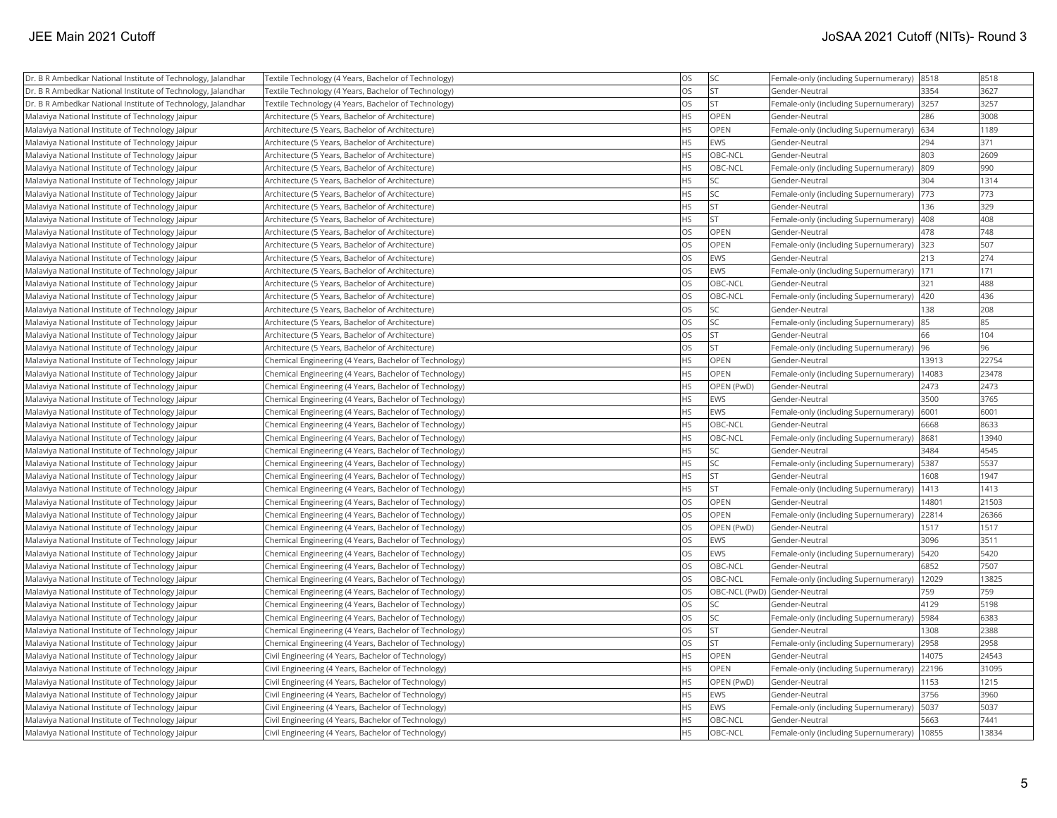| Dr. B R Ambedkar National Institute of Technology, Jalandhar | Textile Technology (4 Years, Bachelor of Technology)   | <b>OS</b> | <b>SC</b>                    | Female-only (including Supernumerary) 8518 |       | 8518  |
|--------------------------------------------------------------|--------------------------------------------------------|-----------|------------------------------|--------------------------------------------|-------|-------|
| Dr. B R Ambedkar National Institute of Technology, Jalandhar | Textile Technology (4 Years, Bachelor of Technology)   | OS        | İst                          | Gender-Neutral                             | 3354  | 3627  |
| Dr. B R Ambedkar National Institute of Technology, Jalandhar | Textile Technology (4 Years, Bachelor of Technology)   | <b>OS</b> | lst                          | Female-only (including Supernumerary)      | 3257  | 3257  |
| Malaviya National Institute of Technology Jaipur             | Architecture (5 Years, Bachelor of Architecture)       | <b>HS</b> | <b>OPEN</b>                  | Gender-Neutral                             | 286   | 3008  |
| Malaviya National Institute of Technology Jaipur             | Architecture (5 Years, Bachelor of Architecture)       | <b>HS</b> | OPEN                         | Female-only (including Supernumerary)      | 634   | 1189  |
| Malaviya National Institute of Technology Jaipur             | Architecture (5 Years, Bachelor of Architecture)       | <b>HS</b> | EWS                          | Gender-Neutral                             | 294   | 371   |
| Malaviya National Institute of Technology Jaipur             | Architecture (5 Years, Bachelor of Architecture)       | <b>HS</b> | OBC-NCL                      | Gender-Neutral                             | 803   | 2609  |
| Malaviya National Institute of Technology Jaipur             | Architecture (5 Years, Bachelor of Architecture)       | <b>HS</b> | OBC-NCL                      | Female-only (including Supernumerary)      | 809   | 990   |
| Malaviya National Institute of Technology Jaipur             | Architecture (5 Years, Bachelor of Architecture)       | <b>HS</b> | lsc                          | Gender-Neutral                             | 304   | 1314  |
| Malaviya National Institute of Technology Jaipur             | Architecture (5 Years, Bachelor of Architecture)       | <b>HS</b> | <b>SC</b>                    | Female-only (including Supernumerary)      | 773   | 773   |
| Malaviya National Institute of Technology Jaipur             | Architecture (5 Years, Bachelor of Architecture)       | <b>HS</b> | <b>ST</b>                    | Gender-Neutral                             | 136   | 329   |
| Malaviya National Institute of Technology Jaipur             | Architecture (5 Years, Bachelor of Architecture)       | <b>HS</b> | İst                          | Female-only (including Supernumerary)      | 408   | 408   |
| Malaviya National Institute of Technology Jaipur             | Architecture (5 Years, Bachelor of Architecture)       | <b>OS</b> | OPEN                         | Gender-Neutral                             | 478   | 748   |
| Malaviya National Institute of Technology Jaipur             | Architecture (5 Years, Bachelor of Architecture)       | <b>OS</b> | OPEN                         | Female-only (including Supernumerary) 323  |       | 507   |
| Malaviya National Institute of Technology Jaipur             | Architecture (5 Years, Bachelor of Architecture)       | <b>OS</b> | EWS                          | Gender-Neutral                             | 213   | 274   |
| Malaviya National Institute of Technology Jaipur             | Architecture (5 Years, Bachelor of Architecture)       | <b>OS</b> | EWS                          | Female-only (including Supernumerary)      | 171   | 171   |
| Malaviya National Institute of Technology Jaipur             | Architecture (5 Years, Bachelor of Architecture)       | OS        | OBC-NCL                      | Gender-Neutral                             | 321   | 488   |
| Malaviya National Institute of Technology Jaipur             | Architecture (5 Years, Bachelor of Architecture)       | <b>OS</b> | OBC-NCL                      | Female-only (including Supernumerary)      | 420   | 436   |
| Malaviya National Institute of Technology Jaipur             | Architecture (5 Years, Bachelor of Architecture)       | <b>OS</b> | lsc                          | Gender-Neutral                             | 138   | 208   |
| Malaviya National Institute of Technology Jaipur             | Architecture (5 Years, Bachelor of Architecture)       | <b>OS</b> | <b>SC</b>                    | Female-only (including Supernumerary)      | 85    | 85    |
| Malaviya National Institute of Technology Jaipur             | Architecture (5 Years, Bachelor of Architecture)       | <b>OS</b> | <b>ST</b>                    | Gender-Neutral                             | 66    | 104   |
| Malaviya National Institute of Technology Jaipur             | Architecture (5 Years, Bachelor of Architecture)       | OS        | <b>ST</b>                    | Female-only (including Supernumerary) 96   |       | 96    |
| Malaviya National Institute of Technology Jaipur             | Chemical Engineering (4 Years, Bachelor of Technology) | HS        | OPEN                         | Gender-Neutral                             | 13913 | 22754 |
| Malaviya National Institute of Technology Jaipur             | Chemical Engineering (4 Years, Bachelor of Technology) | <b>HS</b> | <b>OPEN</b>                  | Female-only (including Supernumerary)      | 14083 | 23478 |
| Malaviya National Institute of Technology Jaipur             | Chemical Engineering (4 Years, Bachelor of Technology) | <b>HS</b> | OPEN (PwD)                   | Gender-Neutral                             | 2473  | 2473  |
| Malaviya National Institute of Technology Jaipur             | Chemical Engineering (4 Years, Bachelor of Technology) | <b>HS</b> | EWS                          | Gender-Neutral                             | 3500  | 3765  |
| Malaviya National Institute of Technology Jaipur             | Chemical Engineering (4 Years, Bachelor of Technology) | <b>HS</b> | EWS                          | Female-only (including Supernumerary)      | 6001  | 6001  |
| Malaviya National Institute of Technology Jaipur             | Chemical Engineering (4 Years, Bachelor of Technology) | <b>HS</b> | OBC-NCL                      | Gender-Neutral                             | 6668  | 8633  |
| Malaviya National Institute of Technology Jaipur             | Chemical Engineering (4 Years, Bachelor of Technology) | <b>HS</b> | OBC-NCL                      | Female-only (including Supernumerary)      | 8681  | 13940 |
| Malaviya National Institute of Technology Jaipur             | Chemical Engineering (4 Years, Bachelor of Technology) | <b>HS</b> | <b>SC</b>                    | Gender-Neutral                             | 3484  | 4545  |
| Malaviya National Institute of Technology Jaipur             | Chemical Engineering (4 Years, Bachelor of Technology) | <b>HS</b> | <b>SC</b>                    | Female-only (including Supernumerary)      | 5387  | 5537  |
| Malaviya National Institute of Technology Jaipur             | Chemical Engineering (4 Years, Bachelor of Technology) | <b>HS</b> | İst                          | Gender-Neutral                             | 1608  | 1947  |
| Malaviya National Institute of Technology Jaipur             | Chemical Engineering (4 Years, Bachelor of Technology) | HS        | <b>ST</b>                    | Female-only (including Supernumerary)      | 1413  | 1413  |
| Malaviya National Institute of Technology Jaipur             | Chemical Engineering (4 Years, Bachelor of Technology) | <b>OS</b> | OPEN                         | Gender-Neutral                             | 14801 | 21503 |
| Malaviya National Institute of Technology Jaipur             | Chemical Engineering (4 Years, Bachelor of Technology) | <b>OS</b> | OPEN                         | Female-only (including Supernumerary)      | 22814 | 26366 |
| Malaviya National Institute of Technology Jaipur             | Chemical Engineering (4 Years, Bachelor of Technology) | <b>OS</b> | OPEN (PwD)                   | Gender-Neutral                             | 1517  | 1517  |
| Malaviya National Institute of Technology Jaipur             | Chemical Engineering (4 Years, Bachelor of Technology) | <b>OS</b> | EWS                          | Gender-Neutral                             | 3096  | 3511  |
| Malaviya National Institute of Technology Jaipur             | Chemical Engineering (4 Years, Bachelor of Technology) | <b>OS</b> | EWS                          | Female-only (including Supernumerary)      | 5420  | 5420  |
| Malaviya National Institute of Technology Jaipur             | Chemical Engineering (4 Years, Bachelor of Technology) | <b>OS</b> | OBC-NCL                      | Gender-Neutral                             | 6852  | 7507  |
| Malaviya National Institute of Technology Jaipur             | Chemical Engineering (4 Years, Bachelor of Technology) | OS        | OBC-NCL                      | Female-only (including Supernumerary)      | 12029 | 13825 |
| Malaviya National Institute of Technology Jaipur             | Chemical Engineering (4 Years, Bachelor of Technology) | OS        | OBC-NCL (PwD) Gender-Neutral |                                            | 759   | 759   |
| Malaviya National Institute of Technology Jaipur             | Chemical Engineering (4 Years, Bachelor of Technology) | <b>OS</b> | <b>SC</b>                    | Gender-Neutral                             | 4129  | 5198  |
| Malaviya National Institute of Technology Jaipur             | Chemical Engineering (4 Years, Bachelor of Technology) | <b>OS</b> | <b>SC</b>                    | Female-only (including Supernumerary)      | 5984  | 6383  |
| Malaviya National Institute of Technology Jaipur             | Chemical Engineering (4 Years, Bachelor of Technology) | <b>OS</b> | İst                          | Gender-Neutral                             | 1308  | 2388  |
| Malaviya National Institute of Technology Jaipur             | Chemical Engineering (4 Years, Bachelor of Technology) | <b>OS</b> | İst                          | Female-only (including Supernumerary)      | 2958  | 2958  |
| Malaviya National Institute of Technology Jaipur             | Civil Engineering (4 Years, Bachelor of Technology)    | <b>HS</b> | <b>OPEN</b>                  | Gender-Neutral                             | 14075 | 24543 |
| Malaviya National Institute of Technology Jaipur             | Civil Engineering (4 Years, Bachelor of Technology)    | <b>HS</b> | OPEN                         | Female-only (including Supernumerary)      | 22196 | 31095 |
| Malaviya National Institute of Technology Jaipur             | Civil Engineering (4 Years, Bachelor of Technology)    | HS        | OPEN (PwD)                   | Gender-Neutral                             | 1153  | 1215  |
| Malaviya National Institute of Technology Jaipur             | Civil Engineering (4 Years, Bachelor of Technology)    | <b>HS</b> | EWS                          | Gender-Neutral                             | 3756  | 3960  |
| Malaviya National Institute of Technology Jaipur             | Civil Engineering (4 Years, Bachelor of Technology)    | <b>HS</b> | EWS                          | Female-only (including Supernumerary)      | 5037  | 5037  |
| Malaviya National Institute of Technology Jaipur             | Civil Engineering (4 Years, Bachelor of Technology)    | <b>HS</b> | OBC-NCL                      | Gender-Neutral                             | 5663  | 7441  |
| Malaviya National Institute of Technology Jaipur             | Civil Engineering (4 Years, Bachelor of Technology)    | <b>HS</b> | <b>OBC-NCL</b>               | Female-only (including Supernumerary)      | 10855 | 13834 |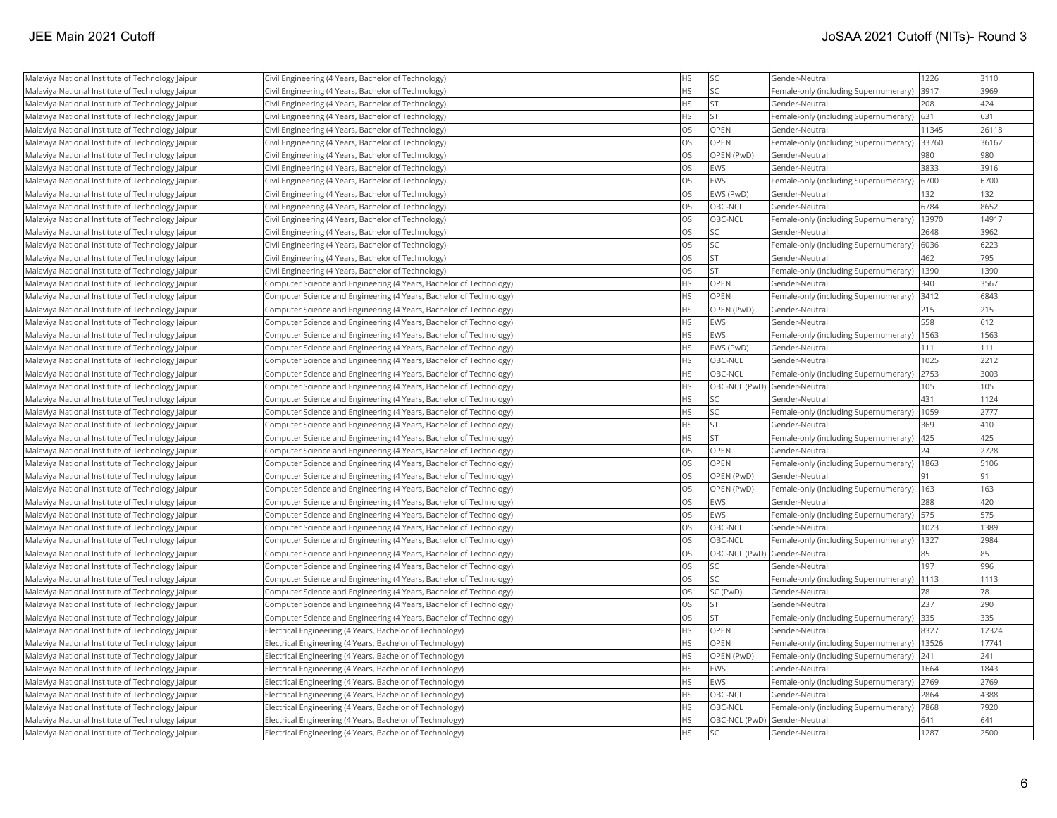| Malaviya National Institute of Technology Jaipur | Civil Engineering (4 Years, Bachelor of Technology)                | <b>HS</b> | <b>SC</b>                    | Gender-Neutral                        | 1226  | 3110  |
|--------------------------------------------------|--------------------------------------------------------------------|-----------|------------------------------|---------------------------------------|-------|-------|
| Malaviya National Institute of Technology Jaipur | Civil Engineering (4 Years, Bachelor of Technology)                | <b>HS</b> | lsc                          | Female-only (including Supernumerary) | 3917  | 3969  |
| Malaviya National Institute of Technology Jaipur | Civil Engineering (4 Years, Bachelor of Technology)                | <b>HS</b> | <b>ST</b>                    | Gender-Neutral                        | 208   | 424   |
| Malaviya National Institute of Technology Jaipur | Civil Engineering (4 Years, Bachelor of Technology)                | <b>HS</b> | <b>ST</b>                    | Female-only (including Supernumerary) | 631   | 631   |
| Malaviya National Institute of Technology Jaipur | Civil Engineering (4 Years, Bachelor of Technology)                | OS        | <b>OPEN</b>                  | Gender-Neutral                        | 11345 | 26118 |
| Malaviya National Institute of Technology Jaipur | Civil Engineering (4 Years, Bachelor of Technology)                | OS        | OPEN                         | Female-only (including Supernumerary) | 33760 | 36162 |
| Malaviya National Institute of Technology Jaipur | Civil Engineering (4 Years, Bachelor of Technology)                | OS        | OPEN (PwD)                   | Gender-Neutral                        | 980   | 980   |
| Malaviya National Institute of Technology Jaipur | Civil Engineering (4 Years, Bachelor of Technology)                | <b>OS</b> | EWS                          | Gender-Neutral                        | 3833  | 3916  |
| Malaviya National Institute of Technology Jaipur | Civil Engineering (4 Years, Bachelor of Technology)                | <b>OS</b> | EWS                          | Female-only (including Supernumerary) | 6700  | 6700  |
| Malaviya National Institute of Technology Jaipur | Civil Engineering (4 Years, Bachelor of Technology)                | OS        | EWS (PwD)                    | Gender-Neutral                        | 132   | 132   |
| Malaviya National Institute of Technology Jaipur | Civil Engineering (4 Years, Bachelor of Technology)                | OS        | OBC-NCL                      | Gender-Neutral                        | 6784  | 8652  |
| Malaviya National Institute of Technology Jaipur | Civil Engineering (4 Years, Bachelor of Technology)                | OS        | OBC-NCL                      | Female-only (including Supernumerary) | 13970 | 14917 |
| Malaviya National Institute of Technology Jaipur | Civil Engineering (4 Years, Bachelor of Technology)                | OS        | <b>SC</b>                    | Gender-Neutral                        | 2648  | 3962  |
| Malaviya National Institute of Technology Jaipur | Civil Engineering (4 Years, Bachelor of Technology)                | OS        | <b>SC</b>                    | Female-only (including Supernumerary) | 6036  | 6223  |
| Malaviya National Institute of Technology Jaipur | Civil Engineering (4 Years, Bachelor of Technology)                | <b>OS</b> | <b>ST</b>                    | Gender-Neutral                        | 462   | 795   |
| Malaviya National Institute of Technology Jaipur | Civil Engineering (4 Years, Bachelor of Technology)                | OS        | İst                          | Female-only (including Supernumerary) | 1390  | 1390  |
| Malaviya National Institute of Technology Jaipur | Computer Science and Engineering (4 Years, Bachelor of Technology) | <b>HS</b> | OPEN                         | Gender-Neutral                        | 340   | 3567  |
| Malaviya National Institute of Technology Jaipur | Computer Science and Engineering (4 Years, Bachelor of Technology) | <b>HS</b> | OPEN                         | Female-only (including Supernumerary) | 3412  | 6843  |
| Malaviya National Institute of Technology Jaipur | Computer Science and Engineering (4 Years, Bachelor of Technology) | <b>HS</b> | OPEN (PwD)                   | Gender-Neutral                        | 215   | 215   |
| Malaviya National Institute of Technology Jaipur | Computer Science and Engineering (4 Years, Bachelor of Technology) | <b>HS</b> | EWS                          | Gender-Neutral                        | 558   | 612   |
| Malaviya National Institute of Technology Jaipur | Computer Science and Engineering (4 Years, Bachelor of Technology) | HS        | EWS                          | Female-only (including Supernumerary) | 1563  | 1563  |
| Malaviya National Institute of Technology Jaipur | Computer Science and Engineering (4 Years, Bachelor of Technology) | <b>HS</b> | EWS (PwD)                    | Gender-Neutral                        | 111   | 111   |
| Malaviya National Institute of Technology Jaipur | Computer Science and Engineering (4 Years, Bachelor of Technology) | <b>HS</b> | OBC-NCL                      | Gender-Neutral                        | 1025  | 2212  |
| Malaviya National Institute of Technology Jaipur | Computer Science and Engineering (4 Years, Bachelor of Technology) | <b>HS</b> | OBC-NCL                      | Female-only (including Supernumerary) | 2753  | 3003  |
| Malaviya National Institute of Technology Jaipur | Computer Science and Engineering (4 Years, Bachelor of Technology) | <b>HS</b> | OBC-NCL (PwD) Gender-Neutral |                                       | 105   | 105   |
| Malaviya National Institute of Technology Jaipur | Computer Science and Engineering (4 Years, Bachelor of Technology) | <b>HS</b> | <b>SC</b>                    | Gender-Neutral                        | 431   | 1124  |
| Malaviya National Institute of Technology Jaipur | Computer Science and Engineering (4 Years, Bachelor of Technology) | <b>HS</b> | <b>SC</b>                    | Female-only (including Supernumerary) | 1059  | 2777  |
| Malaviya National Institute of Technology Jaipur | Computer Science and Engineering (4 Years, Bachelor of Technology) | <b>HS</b> | lst                          | Gender-Neutral                        | 369   | 410   |
| Malaviya National Institute of Technology Jaipur | Computer Science and Engineering (4 Years, Bachelor of Technology) | <b>HS</b> | <b>ST</b>                    | Female-only (including Supernumerary) | 425   | 425   |
| Malaviya National Institute of Technology Jaipur | Computer Science and Engineering (4 Years, Bachelor of Technology) | OS        | <b>OPEN</b>                  | Gender-Neutral                        | 24    | 2728  |
| Malaviya National Institute of Technology Jaipur | Computer Science and Engineering (4 Years, Bachelor of Technology) | OS        | <b>OPEN</b>                  | Female-only (including Supernumerary) | 1863  | 5106  |
| Malaviya National Institute of Technology Jaipur | Computer Science and Engineering (4 Years, Bachelor of Technology) | <b>OS</b> | OPEN (PwD)                   | Gender-Neutral                        | 91    | 91    |
| Malaviya National Institute of Technology Jaipur | Computer Science and Engineering (4 Years, Bachelor of Technology) | <b>OS</b> | OPEN (PwD)                   | Female-only (including Supernumerary) | 163   | 163   |
| Malaviya National Institute of Technology Jaipur | Computer Science and Engineering (4 Years, Bachelor of Technology) | OS        | EWS                          | Gender-Neutral                        | 288   | 420   |
| Malaviya National Institute of Technology Jaipur | Computer Science and Engineering (4 Years, Bachelor of Technology) | OS        | EWS                          | Female-only (including Supernumerary) | 575   | 575   |
| Malaviya National Institute of Technology Jaipur | Computer Science and Engineering (4 Years, Bachelor of Technology) | OS        | OBC-NCL                      | Gender-Neutral                        | 1023  | 1389  |
| Malaviya National Institute of Technology Jaipur | Computer Science and Engineering (4 Years, Bachelor of Technology) | OS        | OBC-NCL                      | Female-only (including Supernumerary) | 1327  | 2984  |
| Malaviya National Institute of Technology Jaipur | Computer Science and Engineering (4 Years, Bachelor of Technology) | OS        | OBC-NCL (PwD) Gender-Neutral |                                       | 85    | 85    |
| Malaviya National Institute of Technology Jaipur | Computer Science and Engineering (4 Years, Bachelor of Technology) | OS        | <b>SC</b>                    | Gender-Neutral                        | 197   | 996   |
| Malaviya National Institute of Technology Jaipur | Computer Science and Engineering (4 Years, Bachelor of Technology) | OS        | <b>SC</b>                    | Female-only (including Supernumerary) | 1113  | 1113  |
| Malaviya National Institute of Technology Jaipur | Computer Science and Engineering (4 Years, Bachelor of Technology) | OS        | SC (PwD)                     | Gender-Neutral                        | 78    | 78    |
| Malaviya National Institute of Technology Jaipur | Computer Science and Engineering (4 Years, Bachelor of Technology) | <b>OS</b> | <b>ST</b>                    | Gender-Neutral                        | 237   | 290   |
| Malaviya National Institute of Technology Jaipur | Computer Science and Engineering (4 Years, Bachelor of Technology) | OS        | <b>ST</b>                    | Female-only (including Supernumerary) | 335   | 335   |
| Malaviya National Institute of Technology Jaipur | Electrical Engineering (4 Years, Bachelor of Technology)           | <b>HS</b> | OPEN                         | Gender-Neutral                        | 8327  | 12324 |
| Malaviya National Institute of Technology Jaipur | Electrical Engineering (4 Years, Bachelor of Technology)           | <b>HS</b> | OPEN                         | Female-only (including Supernumerary) | 13526 | 17741 |
| Malaviya National Institute of Technology Jaipur | Electrical Engineering (4 Years, Bachelor of Technology)           | <b>HS</b> | OPEN (PwD)                   | Female-only (including Supernumerary) | 241   | 241   |
| Malaviya National Institute of Technology Jaipur | Electrical Engineering (4 Years, Bachelor of Technology)           | <b>HS</b> | EWS                          | Gender-Neutral                        | 1664  | 1843  |
| Malaviya National Institute of Technology Jaipur | Electrical Engineering (4 Years, Bachelor of Technology)           | <b>HS</b> | EWS                          | Female-only (including Supernumerary) | 2769  | 2769  |
| Malaviya National Institute of Technology Jaipur | Electrical Engineering (4 Years, Bachelor of Technology)           | <b>HS</b> | OBC-NCL                      | Gender-Neutral                        | 2864  | 4388  |
| Malaviya National Institute of Technology Jaipur | Electrical Engineering (4 Years, Bachelor of Technology)           | <b>HS</b> | OBC-NCL                      | Female-only (including Supernumerary) | 7868  | 7920  |
| Malaviya National Institute of Technology Jaipur | Electrical Engineering (4 Years, Bachelor of Technology)           | <b>HS</b> | OBC-NCL (PwD) Gender-Neutral |                                       | 641   | 641   |
| Malaviya National Institute of Technology Jaipur | Electrical Engineering (4 Years, Bachelor of Technology)           | <b>HS</b> | <b>SC</b>                    | Gender-Neutral                        | 1287  | 2500  |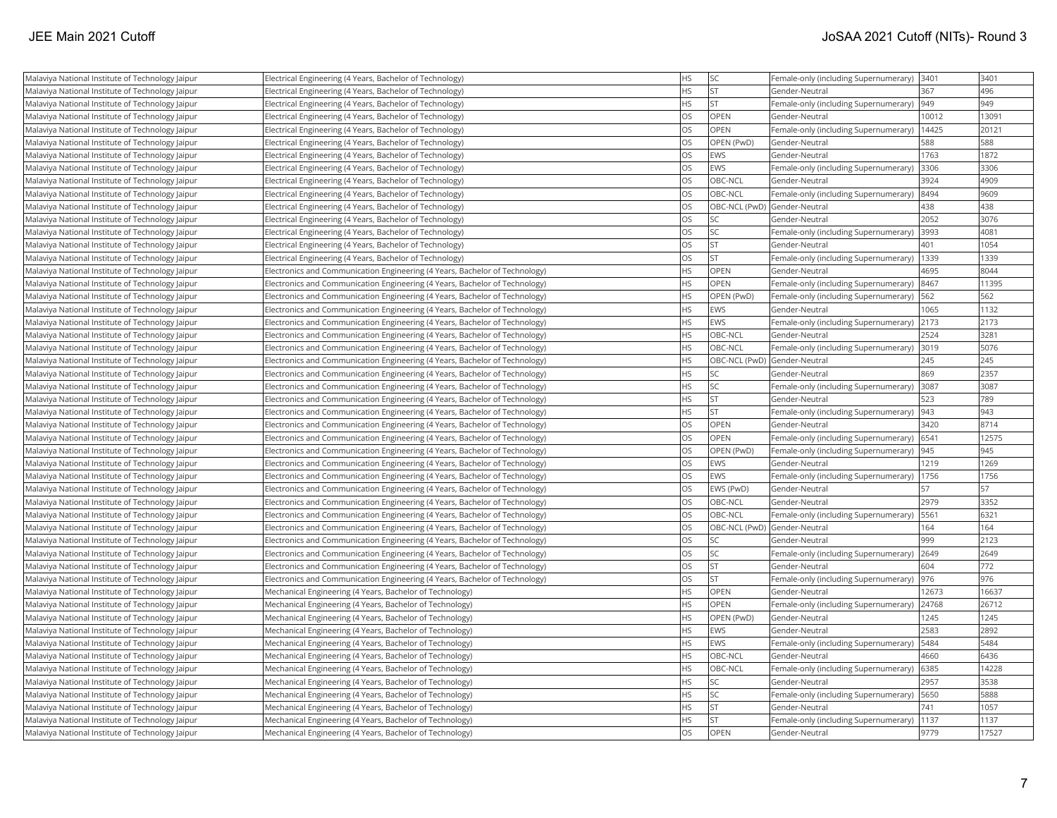| Malaviya National Institute of Technology Jaipur | Electrical Engineering (4 Years, Bachelor of Technology)                    | HS        | <b>SC</b>                    | Female-only (including Supernumerary)   3401 |       | 3401  |
|--------------------------------------------------|-----------------------------------------------------------------------------|-----------|------------------------------|----------------------------------------------|-------|-------|
| Malaviya National Institute of Technology Jaipur | Electrical Engineering (4 Years, Bachelor of Technology)                    | <b>HS</b> | <b>ST</b>                    | Gender-Neutral                               | 367   | 496   |
| Malaviya National Institute of Technology Jaipur | Electrical Engineering (4 Years, Bachelor of Technology)                    | <b>HS</b> | lst                          | Female-only (including Supernumerary)        | 949   | 949   |
| Malaviya National Institute of Technology Jaipur | Electrical Engineering (4 Years, Bachelor of Technology)                    | OS        | <b>OPEN</b>                  | Gender-Neutral                               | 10012 | 13091 |
| Malaviya National Institute of Technology Jaipur | Electrical Engineering (4 Years, Bachelor of Technology)                    | OS        | OPEN                         | Female-only (including Supernumerary)        | 14425 | 20121 |
| Malaviya National Institute of Technology Jaipur | Electrical Engineering (4 Years, Bachelor of Technology)                    | OS        | OPEN (PwD)                   | Gender-Neutral                               | 588   | 588   |
| Malaviya National Institute of Technology Jaipur | Electrical Engineering (4 Years, Bachelor of Technology)                    | OS        | EWS                          | Gender-Neutral                               | 1763  | 1872  |
| Malaviya National Institute of Technology Jaipur | Electrical Engineering (4 Years, Bachelor of Technology)                    | OS        | EWS                          | Female-only (including Supernumerary)        | 3306  | 3306  |
| Malaviya National Institute of Technology Jaipur | Electrical Engineering (4 Years, Bachelor of Technology)                    | OS        | OBC-NCL                      | Gender-Neutral                               | 3924  | 4909  |
| Malaviya National Institute of Technology Jaipur | Electrical Engineering (4 Years, Bachelor of Technology)                    | OS        | OBC-NCL                      | Female-only (including Supernumerary)        | 8494  | 9609  |
| Malaviya National Institute of Technology Jaipur | Electrical Engineering (4 Years, Bachelor of Technology)                    | OS        | OBC-NCL (PwD) Gender-Neutral |                                              | 438   | 438   |
| Malaviya National Institute of Technology Jaipur | Electrical Engineering (4 Years, Bachelor of Technology)                    | <b>OS</b> | lsc                          | Gender-Neutral                               | 2052  | 3076  |
| Malaviya National Institute of Technology Jaipur | Electrical Engineering (4 Years, Bachelor of Technology)                    | OS        | <b>SC</b>                    | Female-only (including Supernumerary)        | 3993  | 4081  |
| Malaviya National Institute of Technology Jaipur | Electrical Engineering (4 Years, Bachelor of Technology)                    | OS        | <b>ST</b>                    | Gender-Neutral                               | 401   | 1054  |
| Malaviya National Institute of Technology Jaipur | Electrical Engineering (4 Years, Bachelor of Technology)                    | OS        | <b>ST</b>                    | Female-only (including Supernumerary)        | 1339  | 1339  |
| Malaviya National Institute of Technology Jaipur | Electronics and Communication Engineering (4 Years, Bachelor of Technology) | <b>HS</b> | <b>OPEN</b>                  | Gender-Neutral                               | 4695  | 8044  |
| Malaviya National Institute of Technology Jaipur | Electronics and Communication Engineering (4 Years, Bachelor of Technology) | <b>HS</b> | <b>OPEN</b>                  | Female-only (including Supernumerary)        | 8467  | 11395 |
| Malaviya National Institute of Technology Jaipur | Electronics and Communication Engineering (4 Years, Bachelor of Technology) | HS        | OPEN (PwD)                   | Female-only (including Supernumerary)        | 562   | 562   |
| Malaviya National Institute of Technology Jaipur | Electronics and Communication Engineering (4 Years, Bachelor of Technology) | <b>HS</b> | EWS                          | Gender-Neutral                               | 1065  | 1132  |
| Malaviya National Institute of Technology Jaipur | Electronics and Communication Engineering (4 Years, Bachelor of Technology) | <b>HS</b> | EWS                          | Female-only (including Supernumerary)        | 2173  | 2173  |
| Malaviya National Institute of Technology Jaipur | Electronics and Communication Engineering (4 Years, Bachelor of Technology) | <b>HS</b> | OBC-NCL                      | Gender-Neutral                               | 2524  | 3281  |
| Malaviya National Institute of Technology Jaipur | Electronics and Communication Engineering (4 Years, Bachelor of Technology) | HS        | OBC-NCL                      | Female-only (including Supernumerary)        | 3019  | 5076  |
| Malaviya National Institute of Technology Jaipur | Electronics and Communication Engineering (4 Years, Bachelor of Technology) | <b>HS</b> | OBC-NCL (PwD) Gender-Neutral |                                              | 245   | 245   |
| Malaviya National Institute of Technology Jaipur | Electronics and Communication Engineering (4 Years, Bachelor of Technology) | <b>HS</b> | SC                           | Gender-Neutral                               | 869   | 2357  |
| Malaviya National Institute of Technology Jaipur | Electronics and Communication Engineering (4 Years, Bachelor of Technology) | HS        | <b>SC</b>                    | Female-only (including Supernumerary)        | 3087  | 3087  |
| Malaviya National Institute of Technology Jaipur | Electronics and Communication Engineering (4 Years, Bachelor of Technology) | <b>HS</b> | <b>ST</b>                    | Gender-Neutral                               | 523   | 789   |
| Malaviya National Institute of Technology Jaipur | Electronics and Communication Engineering (4 Years, Bachelor of Technology) | HS        | <b>ST</b>                    | Female-only (including Supernumerary)        | 943   | 943   |
| Malaviya National Institute of Technology Jaipur | Electronics and Communication Engineering (4 Years, Bachelor of Technology) | <b>OS</b> | OPEN                         | Gender-Neutral                               | 3420  | 8714  |
| Malaviya National Institute of Technology Jaipur | Electronics and Communication Engineering (4 Years, Bachelor of Technology) | <b>OS</b> | <b>OPEN</b>                  | Female-only (including Supernumerary)        | 6541  | 12575 |
| Malaviya National Institute of Technology Jaipur | Electronics and Communication Engineering (4 Years, Bachelor of Technology) | OS        | OPEN (PwD)                   | Female-only (including Supernumerary)        | 945   | 945   |
| Malaviya National Institute of Technology Jaipur | Electronics and Communication Engineering (4 Years, Bachelor of Technology) | <b>OS</b> | EWS                          | Gender-Neutral                               | 1219  | 1269  |
| Malaviya National Institute of Technology Jaipur | Electronics and Communication Engineering (4 Years, Bachelor of Technology) | OS        | EWS                          | Female-only (including Supernumerary)        | 1756  | 1756  |
| Malaviya National Institute of Technology Jaipur | Electronics and Communication Engineering (4 Years, Bachelor of Technology) | OS        | EWS (PwD)                    | Gender-Neutral                               | 57    | 57    |
| Malaviya National Institute of Technology Jaipur | Electronics and Communication Engineering (4 Years, Bachelor of Technology) | <b>OS</b> | OBC-NCL                      | Gender-Neutral                               | 2979  | 3352  |
| Malaviya National Institute of Technology Jaipur | Electronics and Communication Engineering (4 Years, Bachelor of Technology) | OS        | OBC-NCL                      | Female-only (including Supernumerary)        | 5561  | 6321  |
| Malaviya National Institute of Technology Jaipur | Electronics and Communication Engineering (4 Years, Bachelor of Technology) | OS        | OBC-NCL (PwD) Gender-Neutral |                                              | 164   | 164   |
| Malaviya National Institute of Technology Jaipur | Electronics and Communication Engineering (4 Years, Bachelor of Technology) | OS        | <b>SC</b>                    | Gender-Neutral                               | 999   | 2123  |
| Malaviya National Institute of Technology Jaipur | Electronics and Communication Engineering (4 Years, Bachelor of Technology) | <b>OS</b> | <b>SC</b>                    | Female-only (including Supernumerary)        | 2649  | 2649  |
| Malaviya National Institute of Technology Jaipur | Electronics and Communication Engineering (4 Years, Bachelor of Technology) | OS        | <b>ST</b>                    | Gender-Neutral                               | 604   | 772   |
| Malaviya National Institute of Technology Jaipur | Electronics and Communication Engineering (4 Years, Bachelor of Technology) | OS        | <b>ST</b>                    | Female-only (including Supernumerary)        | 976   | 976   |
| Malaviya National Institute of Technology Jaipur | Mechanical Engineering (4 Years, Bachelor of Technology)                    | <b>HS</b> | <b>OPEN</b>                  | Gender-Neutral                               | 12673 | 16637 |
| Malaviya National Institute of Technology Jaipur | Mechanical Engineering (4 Years, Bachelor of Technology)                    | <b>HS</b> | <b>OPEN</b>                  | Female-only (including Supernumerary)        | 24768 | 26712 |
| Malaviya National Institute of Technology Jaipur | Mechanical Engineering (4 Years, Bachelor of Technology)                    | <b>HS</b> | OPEN (PwD)                   | Gender-Neutral                               | 1245  | 1245  |
| Malaviya National Institute of Technology Jaipur | Mechanical Engineering (4 Years, Bachelor of Technology)                    | HS        | EWS                          | Gender-Neutral                               | 2583  | 2892  |
| Malaviya National Institute of Technology Jaipur | Mechanical Engineering (4 Years, Bachelor of Technology)                    | <b>HS</b> | EWS                          | Female-only (including Supernumerary)        | 5484  | 5484  |
| Malaviya National Institute of Technology Jaipur | Mechanical Engineering (4 Years, Bachelor of Technology)                    | <b>HS</b> | OBC-NCL                      | Gender-Neutral                               | 4660  | 6436  |
| Malaviya National Institute of Technology Jaipur | Mechanical Engineering (4 Years, Bachelor of Technology)                    | <b>HS</b> | OBC-NCL                      | Female-only (including Supernumerary)        | 6385  | 14228 |
| Malaviya National Institute of Technology Jaipur | Mechanical Engineering (4 Years, Bachelor of Technology)                    | <b>HS</b> | <b>SC</b>                    | Gender-Neutral                               | 2957  | 3538  |
| Malaviya National Institute of Technology Jaipur | Mechanical Engineering (4 Years, Bachelor of Technology)                    | HS        | <b>SC</b>                    | Female-only (including Supernumerary)        | 5650  | 5888  |
| Malaviya National Institute of Technology Jaipur | Mechanical Engineering (4 Years, Bachelor of Technology)                    | HS        | <b>ST</b>                    | Gender-Neutral                               | 741   | 1057  |
| Malaviya National Institute of Technology Jaipur | Mechanical Engineering (4 Years, Bachelor of Technology)                    | <b>HS</b> | <b>ST</b>                    | Female-only (including Supernumerary)        | 1137  | 1137  |
| Malaviya National Institute of Technology Jaipur | Mechanical Engineering (4 Years, Bachelor of Technology)                    | <b>OS</b> | OPEN                         | Gender-Neutral                               | 9779  | 17527 |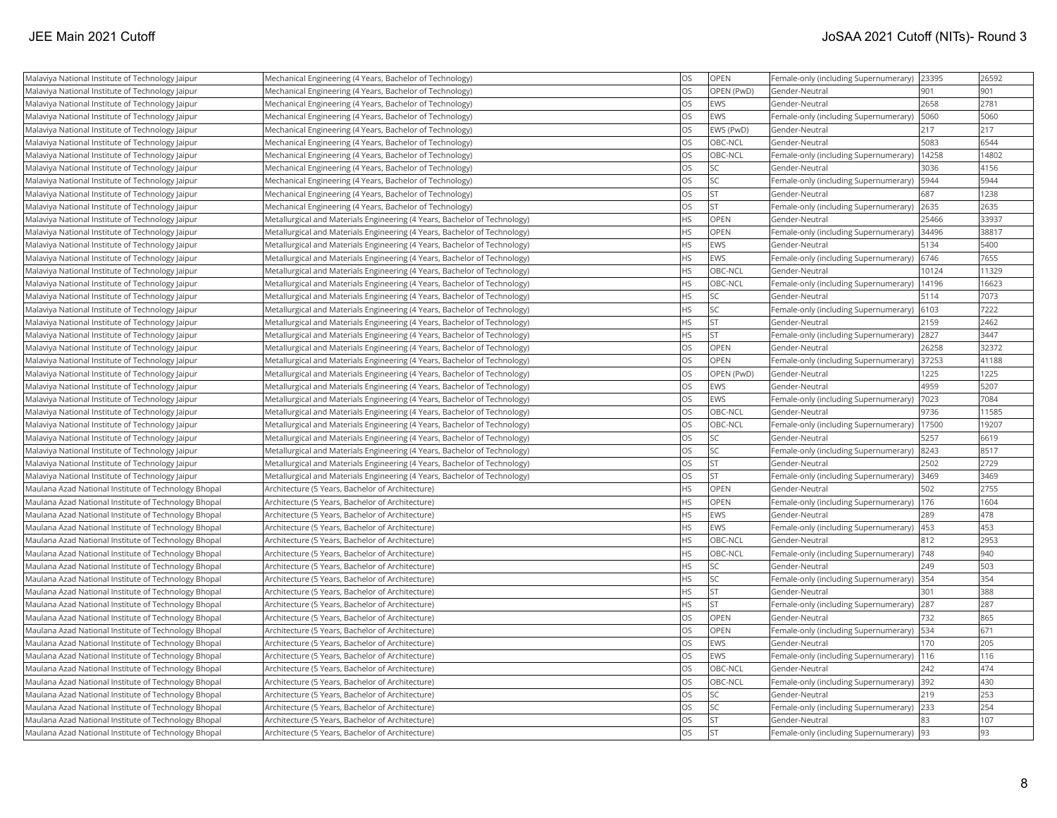| Malaviya National Institute of Technology Jaipur     | Mechanical Engineering (4 Years, Bachelor of Technology)                  | <b>OS</b> | OPEN        | Female-only (including Supernumerary)     | 23395 | 26592 |
|------------------------------------------------------|---------------------------------------------------------------------------|-----------|-------------|-------------------------------------------|-------|-------|
| Malaviya National Institute of Technology Jaipur     | Mechanical Engineering (4 Years, Bachelor of Technology)                  | OS        | OPEN (PwD)  | Gender-Neutral                            | 901   | 901   |
| Malaviya National Institute of Technology Jaipur     | Mechanical Engineering (4 Years, Bachelor of Technology)                  | <b>OS</b> | EWS         | Gender-Neutral                            | 2658  | 2781  |
| Malaviya National Institute of Technology Jaipur     | Mechanical Engineering (4 Years, Bachelor of Technology)                  | OS        | EWS         | Female-only (including Supernumerary)     | 5060  | 5060  |
| Malaviya National Institute of Technology Jaipur     | Mechanical Engineering (4 Years, Bachelor of Technology)                  | <b>OS</b> | EWS (PwD)   | Gender-Neutral                            | 217   | 217   |
| Malaviya National Institute of Technology Jaipur     | Mechanical Engineering (4 Years, Bachelor of Technology)                  | OS        | OBC-NCL     | Gender-Neutral                            | 5083  | 6544  |
| Malaviya National Institute of Technology Jaipur     | Mechanical Engineering (4 Years, Bachelor of Technology)                  | OS        | OBC-NCL     | Female-only (including Supernumerary)     | 14258 | 14802 |
| Malaviya National Institute of Technology Jaipur     | Mechanical Engineering (4 Years, Bachelor of Technology)                  | <b>OS</b> | <b>SC</b>   | Gender-Neutral                            | 3036  | 4156  |
| Malaviya National Institute of Technology Jaipur     | Mechanical Engineering (4 Years, Bachelor of Technology)                  | <b>OS</b> | <b>SC</b>   | Female-only (including Supernumerary)     | 5944  | 5944  |
| Malaviya National Institute of Technology Jaipur     | Mechanical Engineering (4 Years, Bachelor of Technology)                  | OS        | lst         | Gender-Neutral                            | 687   | 1238  |
| Malaviya National Institute of Technology Jaipur     | Mechanical Engineering (4 Years, Bachelor of Technology)                  | OS        | İst         | Female-only (including Supernumerary)     | 2635  | 2635  |
| Malaviya National Institute of Technology Jaipur     | Metallurgical and Materials Engineering (4 Years, Bachelor of Technology) | <b>HS</b> | OPEN        | Gender-Neutral                            | 25466 | 33937 |
| Malaviya National Institute of Technology Jaipur     | Metallurgical and Materials Engineering (4 Years, Bachelor of Technology) | <b>HS</b> | OPEN        | Female-only (including Supernumerary)     | 34496 | 38817 |
| Malaviya National Institute of Technology Jaipur     | Metallurgical and Materials Engineering (4 Years, Bachelor of Technology) | HS        | EWS         | Gender-Neutral                            | 5134  | 5400  |
| Malaviya National Institute of Technology Jaipur     | Metallurgical and Materials Engineering (4 Years, Bachelor of Technology) | HS        | EWS         | Female-only (including Supernumerary)     | 6746  | 7655  |
| Malaviya National Institute of Technology Jaipur     | Metallurgical and Materials Engineering (4 Years, Bachelor of Technology) | <b>HS</b> | OBC-NCL     | Gender-Neutral                            | 10124 | 11329 |
| Malaviya National Institute of Technology Jaipur     | Metallurgical and Materials Engineering (4 Years, Bachelor of Technology) | <b>HS</b> | OBC-NCL     | Female-only (including Supernumerary)     | 14196 | 16623 |
| Malaviya National Institute of Technology Jaipur     | Metallurgical and Materials Engineering (4 Years, Bachelor of Technology) | <b>HS</b> | <b>SC</b>   | Gender-Neutral                            | 5114  | 7073  |
| Malaviya National Institute of Technology Jaipur     | Metallurgical and Materials Engineering (4 Years, Bachelor of Technology) | HS        | <b>SC</b>   | Female-only (including Supernumerary)     | 6103  | 7222  |
| Malaviya National Institute of Technology Jaipur     | Metallurgical and Materials Engineering (4 Years, Bachelor of Technology) | <b>HS</b> | <b>ST</b>   | Gender-Neutral                            | 2159  | 2462  |
| Malaviya National Institute of Technology Jaipur     | Metallurgical and Materials Engineering (4 Years, Bachelor of Technology) | <b>HS</b> | lst         | Female-only (including Supernumerary)     | 2827  | 3447  |
| Malaviya National Institute of Technology Jaipur     | Metallurgical and Materials Engineering (4 Years, Bachelor of Technology) | <b>OS</b> | OPEN        | Gender-Neutral                            | 26258 | 32372 |
| Malaviya National Institute of Technology Jaipur     | Metallurgical and Materials Engineering (4 Years, Bachelor of Technology) | OS        | OPEN        | Female-only (including Supernumerary)     | 37253 | 41188 |
| Malaviya National Institute of Technology Jaipur     | Metallurgical and Materials Engineering (4 Years, Bachelor of Technology) | <b>OS</b> | OPEN (PwD)  | Gender-Neutral                            | 1225  | 1225  |
| Malaviya National Institute of Technology Jaipur     | Metallurgical and Materials Engineering (4 Years, Bachelor of Technology) | OS        | EWS         | Gender-Neutral                            | 4959  | 5207  |
| Malaviya National Institute of Technology Jaipur     | Metallurgical and Materials Engineering (4 Years, Bachelor of Technology) | OS        | <b>EWS</b>  | Female-only (including Supernumerary)     | 7023  | 7084  |
| Malaviya National Institute of Technology Jaipur     | Metallurgical and Materials Engineering (4 Years, Bachelor of Technology) | <b>OS</b> | OBC-NCL     | Gender-Neutral                            | 9736  | 11585 |
| Malaviya National Institute of Technology Jaipur     | Metallurgical and Materials Engineering (4 Years, Bachelor of Technology) | OS        | OBC-NCL     | Female-only (including Supernumerary)     | 17500 | 19207 |
| Malaviya National Institute of Technology Jaipur     | Metallurgical and Materials Engineering (4 Years, Bachelor of Technology) | <b>OS</b> | lsc         | Gender-Neutral                            | 5257  | 6619  |
| Malaviya National Institute of Technology Jaipur     | Metallurgical and Materials Engineering (4 Years, Bachelor of Technology) | <b>OS</b> | <b>SC</b>   | Female-only (including Supernumerary)     | 8243  | 8517  |
| Malaviya National Institute of Technology Jaipur     | Metallurgical and Materials Engineering (4 Years, Bachelor of Technology) | OS        | <b>ST</b>   | Gender-Neutral                            | 2502  | 2729  |
| Malaviya National Institute of Technology Jaipur     | Metallurgical and Materials Engineering (4 Years, Bachelor of Technology) | <b>OS</b> | <b>ST</b>   | Female-only (including Supernumerary)     | 3469  | 3469  |
| Maulana Azad National Institute of Technology Bhopal | Architecture (5 Years, Bachelor of Architecture)                          | <b>HS</b> | OPEN        | Gender-Neutral                            | 502   | 2755  |
| Maulana Azad National Institute of Technology Bhopal | Architecture (5 Years, Bachelor of Architecture)                          | <b>HS</b> | <b>OPEN</b> | Female-only (including Supernumerary)     | 176   | 1604  |
| Maulana Azad National Institute of Technology Bhopal | Architecture (5 Years, Bachelor of Architecture)                          | <b>HS</b> | EWS         | Gender-Neutral                            | 289   | 478   |
| Maulana Azad National Institute of Technology Bhopal | Architecture (5 Years, Bachelor of Architecture)                          | <b>HS</b> | <b>EWS</b>  | Female-only (including Supernumerary)     | 453   | 453   |
| Maulana Azad National Institute of Technology Bhopal | Architecture (5 Years, Bachelor of Architecture)                          | <b>HS</b> | OBC-NCL     | Gender-Neutral                            | 812   | 2953  |
| Maulana Azad National Institute of Technology Bhopal | Architecture (5 Years, Bachelor of Architecture)                          | <b>HS</b> | OBC-NCL     | Female-only (including Supernumerary)     | 748   | 940   |
| Maulana Azad National Institute of Technology Bhopal | Architecture (5 Years, Bachelor of Architecture)                          | <b>HS</b> | <b>SC</b>   | Gender-Neutral                            | 249   | 503   |
| Maulana Azad National Institute of Technology Bhopal | Architecture (5 Years, Bachelor of Architecture)                          | HS        | <b>SC</b>   | Female-only (including Supernumerary)     | 354   | 354   |
| Maulana Azad National Institute of Technology Bhopal | Architecture (5 Years, Bachelor of Architecture)                          | <b>HS</b> | <b>ST</b>   | Gender-Neutral                            | 301   | 388   |
| Maulana Azad National Institute of Technology Bhopal | Architecture (5 Years, Bachelor of Architecture)                          | <b>HS</b> | lst         | Female-only (including Supernumerary)     | 287   | 287   |
| Maulana Azad National Institute of Technology Bhopal | Architecture (5 Years, Bachelor of Architecture)                          | <b>OS</b> | OPEN        | Gender-Neutral                            | 732   | 865   |
| Maulana Azad National Institute of Technology Bhopal | Architecture (5 Years, Bachelor of Architecture)                          | OS        | OPEN        | Female-only (including Supernumerary)     | 534   | 671   |
| Maulana Azad National Institute of Technology Bhopal | Architecture (5 Years, Bachelor of Architecture)                          | OS        | EWS         | Gender-Neutral                            | 170   | 205   |
| Maulana Azad National Institute of Technology Bhopal | Architecture (5 Years, Bachelor of Architecture)                          | OS        | EWS         | Female-only (including Supernumerary)     | 116   | 116   |
| Maulana Azad National Institute of Technology Bhopal | Architecture (5 Years, Bachelor of Architecture)                          | <b>OS</b> | OBC-NCL     | Gender-Neutral                            | 242   | 474   |
| Maulana Azad National Institute of Technology Bhopal | Architecture (5 Years, Bachelor of Architecture)                          | OS        | OBC-NCL     | Female-only (including Supernumerary) 392 |       | 430   |
| Maulana Azad National Institute of Technology Bhopal | Architecture (5 Years, Bachelor of Architecture)                          | <b>OS</b> | <b>SC</b>   | Gender-Neutral                            | 219   | 253   |
| Maulana Azad National Institute of Technology Bhopal | Architecture (5 Years, Bachelor of Architecture)                          | OS        | <b>SC</b>   | Female-only (including Supernumerary)     | 233   | 254   |
| Maulana Azad National Institute of Technology Bhopal | Architecture (5 Years, Bachelor of Architecture)                          | OS        | İst         | lGender-Neutral                           | 83    | 107   |
| Maulana Azad National Institute of Technology Bhopal | Architecture (5 Years, Bachelor of Architecture)                          | OS        | İst         | Female-only (including Supernumerary) 93  |       | 93    |
|                                                      |                                                                           |           |             |                                           |       |       |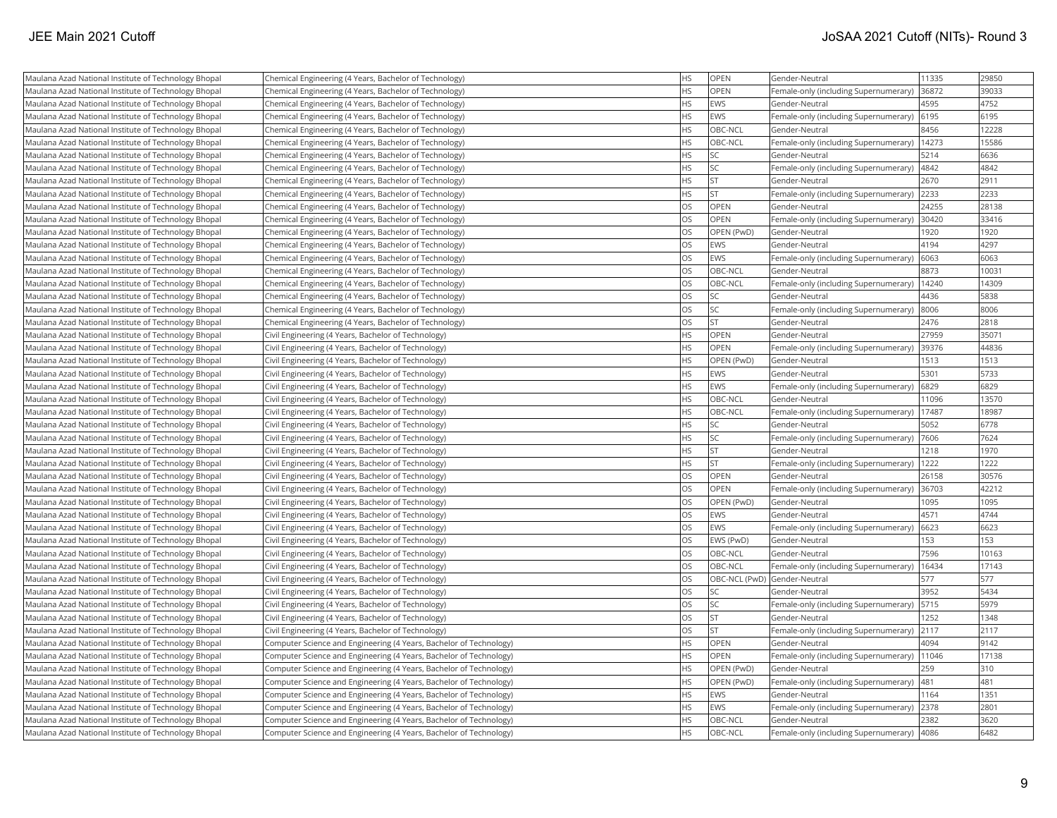| Maulana Azad National Institute of Technology Bhopal | Chemical Engineering (4 Years, Bachelor of Technology)             | <b>HS</b> | OPEN                         | Gender-Neutral                                | 11335 | 29850 |
|------------------------------------------------------|--------------------------------------------------------------------|-----------|------------------------------|-----------------------------------------------|-------|-------|
| Maulana Azad National Institute of Technology Bhopal | Chemical Engineering (4 Years, Bachelor of Technology)             | <b>HS</b> | <b>OPEN</b>                  | Female-only (including Supernumerary)         | 36872 | 39033 |
| Maulana Azad National Institute of Technology Bhopal | Chemical Engineering (4 Years, Bachelor of Technology)             | <b>HS</b> | EWS                          | Gender-Neutral                                | 4595  | 4752  |
| Maulana Azad National Institute of Technology Bhopal | Chemical Engineering (4 Years, Bachelor of Technology)             | <b>HS</b> | EWS                          | Female-only (including Supernumerary)         | 6195  | 6195  |
| Maulana Azad National Institute of Technology Bhopal | Chemical Engineering (4 Years, Bachelor of Technology)             | <b>HS</b> | OBC-NCL                      | Gender-Neutral                                | 8456  | 12228 |
| Maulana Azad National Institute of Technology Bhopal | Chemical Engineering (4 Years, Bachelor of Technology)             | <b>HS</b> | OBC-NCL                      | Female-only (including Supernumerary)         | 14273 | 15586 |
| Maulana Azad National Institute of Technology Bhopal | Chemical Engineering (4 Years, Bachelor of Technology)             | <b>HS</b> | <b>SC</b>                    | Gender-Neutral                                | 5214  | 6636  |
| Maulana Azad National Institute of Technology Bhopal | Chemical Engineering (4 Years, Bachelor of Technology)             | <b>HS</b> | <b>SC</b>                    | Female-only (including Supernumerary)         | 4842  | 4842  |
| Maulana Azad National Institute of Technology Bhopal | Chemical Engineering (4 Years, Bachelor of Technology)             | <b>HS</b> | <b>ST</b>                    | Gender-Neutral                                | 2670  | 2911  |
| Maulana Azad National Institute of Technology Bhopal | Chemical Engineering (4 Years, Bachelor of Technology)             | <b>HS</b> | <b>ST</b>                    | Female-only (including Supernumerary)         | 2233  | 2233  |
| Maulana Azad National Institute of Technology Bhopal | Chemical Engineering (4 Years, Bachelor of Technology)             | <b>OS</b> | OPEN                         | Gender-Neutral                                | 24255 | 28138 |
| Maulana Azad National Institute of Technology Bhopal | Chemical Engineering (4 Years, Bachelor of Technology)             | <b>OS</b> | OPEN                         | Female-only (including Supernumerary)         | 30420 | 33416 |
| Maulana Azad National Institute of Technology Bhopal | Chemical Engineering (4 Years, Bachelor of Technology)             | <b>OS</b> | OPEN (PwD)                   | Gender-Neutral                                | 1920  | 1920  |
| Maulana Azad National Institute of Technology Bhopal | Chemical Engineering (4 Years, Bachelor of Technology)             | <b>OS</b> | EWS                          | Gender-Neutral                                | 4194  | 4297  |
| Maulana Azad National Institute of Technology Bhopal | Chemical Engineering (4 Years, Bachelor of Technology)             | OS        | EWS                          | Female-only (including Supernumerary)         | 6063  | 6063  |
| Maulana Azad National Institute of Technology Bhopal | Chemical Engineering (4 Years, Bachelor of Technology)             | <b>OS</b> | OBC-NCL                      | Gender-Neutral                                | 8873  | 10031 |
| Maulana Azad National Institute of Technology Bhopal | Chemical Engineering (4 Years, Bachelor of Technology)             | OS        | OBC-NCL                      | Female-only (including Supernumerary)         | 14240 | 14309 |
| Maulana Azad National Institute of Technology Bhopal | Chemical Engineering (4 Years, Bachelor of Technology)             | OS        | <b>SC</b>                    | Gender-Neutral                                | 4436  | 5838  |
| Maulana Azad National Institute of Technology Bhopal | Chemical Engineering (4 Years, Bachelor of Technology)             | <b>OS</b> | <b>SC</b>                    | Female-only (including Supernumerary)         | 8006  | 8006  |
| Maulana Azad National Institute of Technology Bhopal | Chemical Engineering (4 Years, Bachelor of Technology)             | <b>OS</b> | <b>ST</b>                    | Gender-Neutral                                | 2476  | 2818  |
| Maulana Azad National Institute of Technology Bhopal | Civil Engineering (4 Years, Bachelor of Technology)                | <b>HS</b> | <b>OPEN</b>                  | Gender-Neutral                                | 27959 | 35071 |
| Maulana Azad National Institute of Technology Bhopal | Civil Engineering (4 Years, Bachelor of Technology)                | <b>HS</b> | <b>OPEN</b>                  | Female-only (including Supernumerary)         | 39376 | 44836 |
| Maulana Azad National Institute of Technology Bhopal | Civil Engineering (4 Years, Bachelor of Technology)                | <b>HS</b> | OPEN (PwD)                   | Gender-Neutral                                | 1513  | 1513  |
| Maulana Azad National Institute of Technology Bhopal | Civil Engineering (4 Years, Bachelor of Technology)                | <b>HS</b> | EWS                          | Gender-Neutral                                | 5301  | 5733  |
| Maulana Azad National Institute of Technology Bhopal | Civil Engineering (4 Years, Bachelor of Technology)                | <b>HS</b> | <b>EWS</b>                   | Female-only (including Supernumerary)         | 6829  | 6829  |
| Maulana Azad National Institute of Technology Bhopal | Civil Engineering (4 Years, Bachelor of Technology)                | <b>HS</b> | OBC-NCL                      | Gender-Neutral                                | 11096 | 13570 |
| Maulana Azad National Institute of Technology Bhopal | Civil Engineering (4 Years, Bachelor of Technology)                | <b>HS</b> | OBC-NCL                      | Female-only (including Supernumerary)         | 17487 | 18987 |
| Maulana Azad National Institute of Technology Bhopal | Civil Engineering (4 Years, Bachelor of Technology)                | <b>HS</b> | <b>SC</b>                    | Gender-Neutral                                | 5052  | 6778  |
| Maulana Azad National Institute of Technology Bhopal | Civil Engineering (4 Years, Bachelor of Technology)                | <b>HS</b> | lsc                          | Female-only (including Supernumerary)         | 7606  | 7624  |
| Maulana Azad National Institute of Technology Bhopal | Civil Engineering (4 Years, Bachelor of Technology)                | HS        | <b>ST</b>                    | Gender-Neutral                                | 1218  | 1970  |
| Maulana Azad National Institute of Technology Bhopal | Civil Engineering (4 Years, Bachelor of Technology)                | <b>HS</b> | <b>ST</b>                    | Female-only (including Supernumerary)         | 1222  | 1222  |
| Maulana Azad National Institute of Technology Bhopal | Civil Engineering (4 Years, Bachelor of Technology)                | OS        | <b>OPEN</b>                  | Gender-Neutral                                | 26158 | 30576 |
| Maulana Azad National Institute of Technology Bhopal | Civil Engineering (4 Years, Bachelor of Technology)                | OS        | <b>OPEN</b>                  | Female-only (including Supernumerary)         | 36703 | 42212 |
| Maulana Azad National Institute of Technology Bhopal | Civil Engineering (4 Years, Bachelor of Technology)                | OS        | OPEN (PwD)                   | Gender-Neutral                                | 1095  | 1095  |
| Maulana Azad National Institute of Technology Bhopal | Civil Engineering (4 Years, Bachelor of Technology)                | <b>OS</b> | <b>EWS</b>                   | Gender-Neutral                                | 4571  | 4744  |
| Maulana Azad National Institute of Technology Bhopal | Civil Engineering (4 Years, Bachelor of Technology)                | <b>OS</b> | EWS                          | Female-only (including Supernumerary)         | 6623  | 6623  |
| Maulana Azad National Institute of Technology Bhopal | Civil Engineering (4 Years, Bachelor of Technology)                | <b>OS</b> | EWS (PwD)                    | Gender-Neutral                                | 153   | 153   |
| Maulana Azad National Institute of Technology Bhopal | Civil Engineering (4 Years, Bachelor of Technology)                | <b>OS</b> | OBC-NCL                      | Gender-Neutral                                | 7596  | 10163 |
| Maulana Azad National Institute of Technology Bhopal | Civil Engineering (4 Years, Bachelor of Technology)                | OS        | OBC-NCL                      | Female-only (including Supernumerary)   16434 |       | 17143 |
| Maulana Azad National Institute of Technology Bhopal | Civil Engineering (4 Years, Bachelor of Technology)                | <b>OS</b> | OBC-NCL (PwD) Gender-Neutral |                                               | 577   | 577   |
| Maulana Azad National Institute of Technology Bhopal | Civil Engineering (4 Years, Bachelor of Technology)                | OS        | <b>SC</b>                    | Gender-Neutral                                | 3952  | 5434  |
| Maulana Azad National Institute of Technology Bhopal | Civil Engineering (4 Years, Bachelor of Technology)                | OS        | lsc                          | Female-only (including Supernumerary)         | 5715  | 5979  |
| Maulana Azad National Institute of Technology Bhopal | Civil Engineering (4 Years, Bachelor of Technology)                | <b>OS</b> | <b>ST</b>                    | Gender-Neutral                                | 1252  | 1348  |
| Maulana Azad National Institute of Technology Bhopal | Civil Engineering (4 Years, Bachelor of Technology)                | <b>OS</b> | <b>ST</b>                    | Female-only (including Supernumerary)         | 2117  | 2117  |
| Maulana Azad National Institute of Technology Bhopal | Computer Science and Engineering (4 Years, Bachelor of Technology) | <b>HS</b> | <b>OPEN</b>                  | lGender-Neutral                               | 4094  | 9142  |
| Maulana Azad National Institute of Technology Bhopal | Computer Science and Engineering (4 Years, Bachelor of Technology) | <b>HS</b> | OPEN                         | Female-only (including Supernumerary)         | 11046 | 17138 |
| Maulana Azad National Institute of Technology Bhopal | Computer Science and Engineering (4 Years, Bachelor of Technology) | <b>HS</b> | OPEN (PwD)                   | Gender-Neutral                                | 259   | 310   |
| Maulana Azad National Institute of Technology Bhopal | Computer Science and Engineering (4 Years, Bachelor of Technology) | <b>HS</b> | OPEN (PwD)                   | Female-only (including Supernumerary)         | 481   | 481   |
| Maulana Azad National Institute of Technology Bhopal | Computer Science and Engineering (4 Years, Bachelor of Technology) | <b>HS</b> | EWS                          | Gender-Neutral                                | 1164  | 1351  |
| Maulana Azad National Institute of Technology Bhopal | Computer Science and Engineering (4 Years, Bachelor of Technology) | <b>HS</b> | <b>EWS</b>                   | Female-only (including Supernumerary)         | 2378  | 2801  |
| Maulana Azad National Institute of Technology Bhopal | Computer Science and Engineering (4 Years, Bachelor of Technology) | <b>HS</b> | OBC-NCL                      | Gender-Neutral                                | 2382  | 3620  |
| Maulana Azad National Institute of Technology Bhopal | Computer Science and Engineering (4 Years, Bachelor of Technology) | <b>HS</b> | OBC-NCL                      | Female-only (including Supernumerary)         | 4086  | 6482  |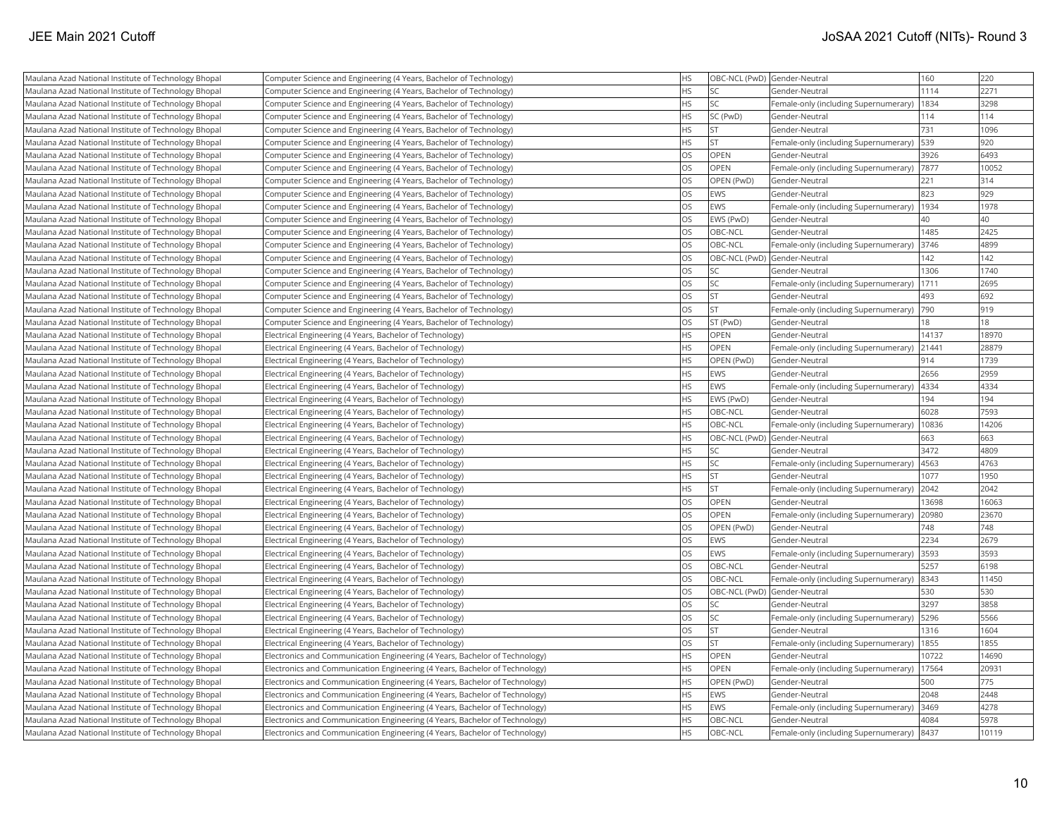| Maulana Azad National Institute of Technology Bhopal | Computer Science and Engineering (4 Years, Bachelor of Technology)          | <b>HS</b> | OBC-NCL (PwD) Gender-Neutral |                                            | 160   | 220   |
|------------------------------------------------------|-----------------------------------------------------------------------------|-----------|------------------------------|--------------------------------------------|-------|-------|
| Maulana Azad National Institute of Technology Bhopal | Computer Science and Engineering (4 Years, Bachelor of Technology)          | <b>HS</b> | <b>SC</b>                    | Gender-Neutral                             | 1114  | 2271  |
| Maulana Azad National Institute of Technology Bhopal | Computer Science and Engineering (4 Years, Bachelor of Technology)          | <b>HS</b> | lsc                          | Female-only (including Supernumerary)      | 1834  | 3298  |
| Maulana Azad National Institute of Technology Bhopal | Computer Science and Engineering (4 Years, Bachelor of Technology)          | <b>HS</b> | SC (PwD)                     | Gender-Neutral                             | 114   | 114   |
| Maulana Azad National Institute of Technology Bhopal | Computer Science and Engineering (4 Years, Bachelor of Technology)          | <b>HS</b> | <b>ST</b>                    | Gender-Neutral                             | 731   | 1096  |
| Maulana Azad National Institute of Technology Bhopal | Computer Science and Engineering (4 Years, Bachelor of Technology)          | <b>HS</b> | <b>ST</b>                    | Female-only (including Supernumerary)      | 539   | 920   |
| Maulana Azad National Institute of Technology Bhopal | Computer Science and Engineering (4 Years, Bachelor of Technology)          | <b>OS</b> | OPEN                         | Gender-Neutral                             | 3926  | 6493  |
| Maulana Azad National Institute of Technology Bhopal | Computer Science and Engineering (4 Years, Bachelor of Technology)          | OS        | OPEN                         | Female-only (including Supernumerary)      | 7877  | 10052 |
| Maulana Azad National Institute of Technology Bhopal | Computer Science and Engineering (4 Years, Bachelor of Technology)          | <b>OS</b> | OPEN (PwD)                   | Gender-Neutral                             | 221   | 314   |
| Maulana Azad National Institute of Technology Bhopal | Computer Science and Engineering (4 Years, Bachelor of Technology)          | <b>OS</b> | EWS                          | Gender-Neutral                             | 823   | 929   |
| Maulana Azad National Institute of Technology Bhopal | Computer Science and Engineering (4 Years, Bachelor of Technology)          | <b>OS</b> | <b>EWS</b>                   | Female-only (including Supernumerary)      | 1934  | 1978  |
| Maulana Azad National Institute of Technology Bhopal | Computer Science and Engineering (4 Years, Bachelor of Technology)          | <b>OS</b> | EWS (PwD)                    | Gender-Neutral                             | 40    | 40    |
| Maulana Azad National Institute of Technology Bhopal | Computer Science and Engineering (4 Years, Bachelor of Technology)          | <b>OS</b> | OBC-NCL                      | Gender-Neutral                             | 1485  | 2425  |
| Maulana Azad National Institute of Technology Bhopal | Computer Science and Engineering (4 Years, Bachelor of Technology)          | OS        | OBC-NCL                      | Female-only (including Supernumerary) 3746 |       | 4899  |
| Maulana Azad National Institute of Technology Bhopal | Computer Science and Engineering (4 Years, Bachelor of Technology)          | OS        | OBC-NCL (PwD) Gender-Neutral |                                            | 142   | 142   |
| Maulana Azad National Institute of Technology Bhopal | Computer Science and Engineering (4 Years, Bachelor of Technology)          | OS        | <b>SC</b>                    | lGender-Neutral                            | 1306  | 1740  |
| Maulana Azad National Institute of Technology Bhopal | Computer Science and Engineering (4 Years, Bachelor of Technology)          | OS        | <b>SC</b>                    | Female-only (including Supernumerary)      | 1711  | 2695  |
| Maulana Azad National Institute of Technology Bhopal | Computer Science and Engineering (4 Years, Bachelor of Technology)          | <b>OS</b> | <b>ST</b>                    | Gender-Neutral                             | 493   | 692   |
| Maulana Azad National Institute of Technology Bhopal | Computer Science and Engineering (4 Years, Bachelor of Technology)          | <b>OS</b> | <b>ST</b>                    | Female-only (including Supernumerary)      | 790   | 919   |
| Maulana Azad National Institute of Technology Bhopal | Computer Science and Engineering (4 Years, Bachelor of Technology)          | <b>OS</b> | ST (PwD)                     | Gender-Neutral                             | 18    | 18    |
| Maulana Azad National Institute of Technology Bhopal | Electrical Engineering (4 Years, Bachelor of Technology)                    | <b>HS</b> | OPEN                         | Gender-Neutral                             | 14137 | 18970 |
| Maulana Azad National Institute of Technology Bhopal | Electrical Engineering (4 Years, Bachelor of Technology)                    | <b>HS</b> | <b>OPEN</b>                  | Female-only (including Supernumerary)      | 21441 | 28879 |
| Maulana Azad National Institute of Technology Bhopal | Electrical Engineering (4 Years, Bachelor of Technology)                    | <b>HS</b> | OPEN (PwD)                   | Gender-Neutral                             | 914   | 1739  |
| Maulana Azad National Institute of Technology Bhopal | Electrical Engineering (4 Years, Bachelor of Technology)                    | <b>HS</b> | EWS                          | Gender-Neutral                             | 2656  | 2959  |
| Maulana Azad National Institute of Technology Bhopal | Electrical Engineering (4 Years, Bachelor of Technology)                    | <b>HS</b> | <b>EWS</b>                   | Female-only (including Supernumerary)      | 4334  | 4334  |
| Maulana Azad National Institute of Technology Bhopal | Electrical Engineering (4 Years, Bachelor of Technology)                    | <b>HS</b> | EWS (PwD)                    | Gender-Neutral                             | 194   | 194   |
| Maulana Azad National Institute of Technology Bhopal | Electrical Engineering (4 Years, Bachelor of Technology)                    | <b>HS</b> | OBC-NCL                      | Gender-Neutral                             | 6028  | 7593  |
| Maulana Azad National Institute of Technology Bhopal | Electrical Engineering (4 Years, Bachelor of Technology)                    | <b>HS</b> | OBC-NCL                      | Female-only (including Supernumerary)      | 10836 | 14206 |
| Maulana Azad National Institute of Technology Bhopal | Electrical Engineering (4 Years, Bachelor of Technology)                    | <b>HS</b> | OBC-NCL (PwD) Gender-Neutral |                                            | 663   | 663   |
| Maulana Azad National Institute of Technology Bhopal | Electrical Engineering (4 Years, Bachelor of Technology)                    | <b>HS</b> | <b>SC</b>                    | Gender-Neutral                             | 3472  | 4809  |
| Maulana Azad National Institute of Technology Bhopal | Electrical Engineering (4 Years, Bachelor of Technology)                    | <b>HS</b> | <b>SC</b>                    | Female-only (including Supernumerary)      | 4563  | 4763  |
| Maulana Azad National Institute of Technology Bhopal | Electrical Engineering (4 Years, Bachelor of Technology)                    | <b>HS</b> | <b>ST</b>                    | Gender-Neutral                             | 1077  | 1950  |
| Maulana Azad National Institute of Technology Bhopal | Electrical Engineering (4 Years, Bachelor of Technology)                    | <b>HS</b> | İst                          | Female-only (including Supernumerary)      | 2042  | 2042  |
| Maulana Azad National Institute of Technology Bhopal | Electrical Engineering (4 Years, Bachelor of Technology)                    | OS        | <b>OPEN</b>                  | Gender-Neutral                             | 13698 | 16063 |
| Maulana Azad National Institute of Technology Bhopal | Electrical Engineering (4 Years, Bachelor of Technology)                    | <b>OS</b> | OPEN                         | Female-only (including Supernumerary)      | 20980 | 23670 |
| Maulana Azad National Institute of Technology Bhopal | Electrical Engineering (4 Years, Bachelor of Technology)                    | <b>OS</b> | OPEN (PwD)                   | Gender-Neutral                             | 748   | 748   |
| Maulana Azad National Institute of Technology Bhopal | Electrical Engineering (4 Years, Bachelor of Technology)                    | <b>OS</b> | EWS                          | Gender-Neutral                             | 2234  | 2679  |
| Maulana Azad National Institute of Technology Bhopal | Electrical Engineering (4 Years, Bachelor of Technology)                    | <b>OS</b> | EWS                          | Female-only (including Supernumerary)      | 3593  | 3593  |
| Maulana Azad National Institute of Technology Bhopal | Electrical Engineering (4 Years, Bachelor of Technology)                    | <b>OS</b> | OBC-NCL                      | Gender-Neutral                             | 5257  | 6198  |
| Maulana Azad National Institute of Technology Bhopal | Electrical Engineering (4 Years, Bachelor of Technology)                    | <b>OS</b> | OBC-NCL                      | Female-only (including Supernumerary)      | 8343  | 11450 |
| Maulana Azad National Institute of Technology Bhopal | Electrical Engineering (4 Years, Bachelor of Technology)                    | OS        | OBC-NCL (PwD) Gender-Neutral |                                            | 530   | 530   |
| Maulana Azad National Institute of Technology Bhopal | Electrical Engineering (4 Years, Bachelor of Technology)                    | <b>OS</b> | <b>SC</b>                    | Gender-Neutral                             | 3297  | 3858  |
| Maulana Azad National Institute of Technology Bhopal | Electrical Engineering (4 Years, Bachelor of Technology)                    | OS        | <b>SC</b>                    | Female-only (including Supernumerary)      | 5296  | 5566  |
| Maulana Azad National Institute of Technology Bhopal | Electrical Engineering (4 Years, Bachelor of Technology)                    | <b>OS</b> | <b>ST</b>                    | Gender-Neutral                             | 1316  | 1604  |
| Maulana Azad National Institute of Technology Bhopal | Electrical Engineering (4 Years, Bachelor of Technology)                    | <b>OS</b> | İst                          | Female-only (including Supernumerary)      | 1855  | 1855  |
| Maulana Azad National Institute of Technology Bhopal | Electronics and Communication Engineering (4 Years, Bachelor of Technology) | <b>HS</b> | OPEN                         | Gender-Neutral                             | 10722 | 14690 |
| Maulana Azad National Institute of Technology Bhopal | Electronics and Communication Engineering (4 Years, Bachelor of Technology) | <b>HS</b> | OPEN                         | Female-only (including Supernumerary)      | 17564 | 20931 |
| Maulana Azad National Institute of Technology Bhopal | Electronics and Communication Engineering (4 Years, Bachelor of Technology) | <b>HS</b> | OPEN (PwD)                   | Gender-Neutral                             | 500   | 775   |
| Maulana Azad National Institute of Technology Bhopal | Electronics and Communication Engineering (4 Years, Bachelor of Technology) | <b>HS</b> | EWS                          | Gender-Neutral                             | 2048  | 2448  |
| Maulana Azad National Institute of Technology Bhopal | Electronics and Communication Engineering (4 Years, Bachelor of Technology) | <b>HS</b> | <b>EWS</b>                   | Female-only (including Supernumerary)      | 3469  | 4278  |
| Maulana Azad National Institute of Technology Bhopal | Electronics and Communication Engineering (4 Years, Bachelor of Technology) | <b>HS</b> | OBC-NCL                      | Gender-Neutral                             | 4084  | 5978  |
| Maulana Azad National Institute of Technology Bhopal | Electronics and Communication Engineering (4 Years, Bachelor of Technology) | <b>HS</b> | OBC-NCL                      | Female-only (including Supernumerary)      | 8437  | 10119 |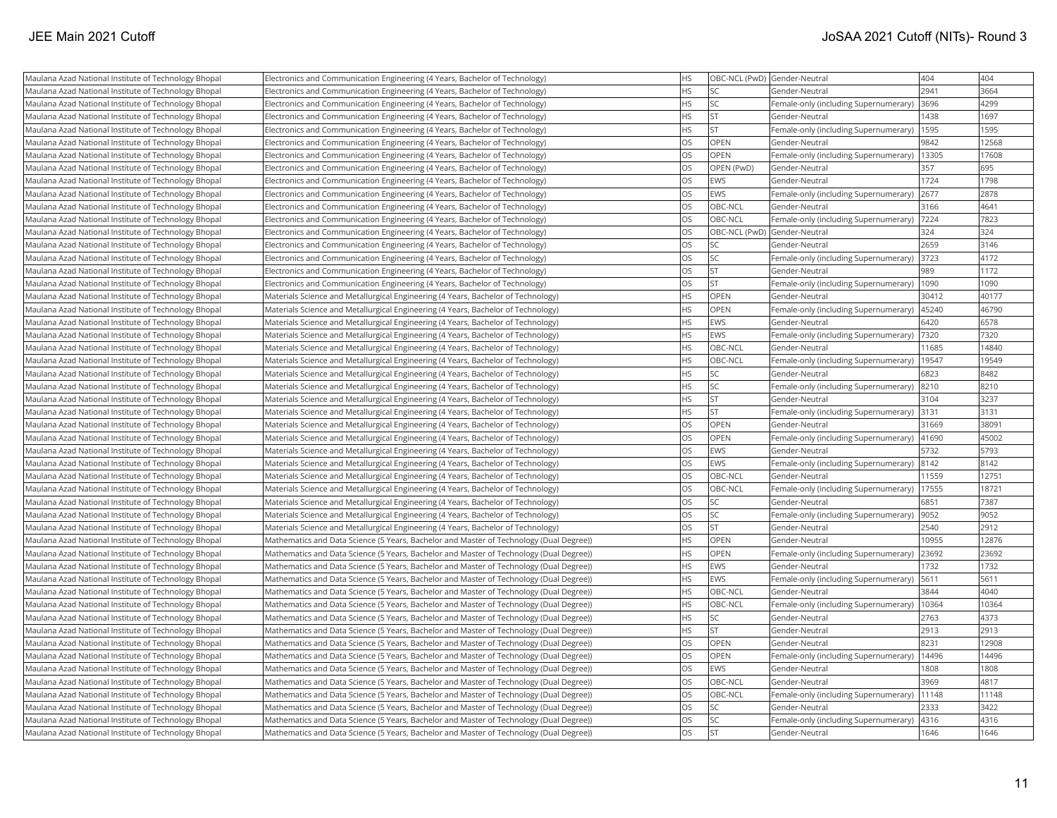| Maulana Azad National Institute of Technology Bhopal | Electronics and Communication Engineering (4 Years, Bachelor of Technology)             | <b>HS</b>              | OBC-NCL (PwD) Gender-Neutral |                                              | 404          | 404          |
|------------------------------------------------------|-----------------------------------------------------------------------------------------|------------------------|------------------------------|----------------------------------------------|--------------|--------------|
| Maulana Azad National Institute of Technology Bhopal | Electronics and Communication Engineering (4 Years, Bachelor of Technology)             | <b>HS</b>              | <b>SC</b>                    | lGender-Neutral                              | 2941         | 3664         |
| Maulana Azad National Institute of Technology Bhopal | Electronics and Communication Engineering (4 Years, Bachelor of Technology)             | <b>HS</b>              | lsc                          | Female-only (including Supernumerary)        | 3696         | 4299         |
| Maulana Azad National Institute of Technology Bhopal | Electronics and Communication Engineering (4 Years, Bachelor of Technology)             | <b>HS</b>              | <b>ST</b>                    | Gender-Neutral                               | 1438         | 1697         |
| Maulana Azad National Institute of Technology Bhopal | Electronics and Communication Engineering (4 Years, Bachelor of Technology)             | <b>HS</b>              | İst                          | Female-only (including Supernumerary)   1595 |              | 1595         |
| Maulana Azad National Institute of Technology Bhopal | Electronics and Communication Engineering (4 Years, Bachelor of Technology)             | <b>OS</b>              | OPEN                         | Gender-Neutral                               | 9842         | 12568        |
| Maulana Azad National Institute of Technology Bhopal | Electronics and Communication Engineering (4 Years, Bachelor of Technology)             | OS                     | <b>OPEN</b>                  | Female-only (including Supernumerary)        | 13305        | 17608        |
| Maulana Azad National Institute of Technology Bhopal | Electronics and Communication Engineering (4 Years, Bachelor of Technology)             | <b>OS</b>              | OPEN (PwD)                   | Gender-Neutral                               | 357          | 695          |
| Maulana Azad National Institute of Technology Bhopal | Electronics and Communication Engineering (4 Years, Bachelor of Technology)             | <b>OS</b>              | EWS                          | Gender-Neutral                               | 1724         | 1798         |
| Maulana Azad National Institute of Technology Bhopal | Electronics and Communication Engineering (4 Years, Bachelor of Technology)             | <b>OS</b>              | EWS                          | Female-only (including Supernumerary)        | 2677         | 2878         |
| Maulana Azad National Institute of Technology Bhopal | Electronics and Communication Engineering (4 Years, Bachelor of Technology)             | <b>OS</b>              | OBC-NCL                      | Gender-Neutral                               | 3166         | 4641         |
| Maulana Azad National Institute of Technology Bhopal | Electronics and Communication Engineering (4 Years, Bachelor of Technology)             | <b>OS</b>              | OBC-NCL                      | Female-only (including Supernumerary)        | 7224         | 7823         |
| Maulana Azad National Institute of Technology Bhopal | Electronics and Communication Engineering (4 Years, Bachelor of Technology)             | <b>OS</b>              | OBC-NCL (PwD) Gender-Neutral |                                              | 324          | 324          |
| Maulana Azad National Institute of Technology Bhopal | Electronics and Communication Engineering (4 Years, Bachelor of Technology)             | <b>OS</b>              | <b>SC</b>                    | Gender-Neutral                               | 2659         | 3146         |
| Maulana Azad National Institute of Technology Bhopal | Electronics and Communication Engineering (4 Years, Bachelor of Technology)             | <b>OS</b>              | lsc                          | Female-only (including Supernumerary)        | 3723         | 4172         |
| Maulana Azad National Institute of Technology Bhopal | Electronics and Communication Engineering (4 Years, Bachelor of Technology)             | <b>OS</b>              | <b>ST</b>                    | Gender-Neutral                               | 989          | 1172         |
| Maulana Azad National Institute of Technology Bhopal | Electronics and Communication Engineering (4 Years, Bachelor of Technology)             | <b>OS</b>              | <b>ST</b>                    | Female-only (including Supernumerary)        | 1090         | 1090         |
| Maulana Azad National Institute of Technology Bhopal | Materials Science and Metallurgical Engineering (4 Years, Bachelor of Technology)       | <b>HS</b>              | OPEN                         | Gender-Neutral                               | 30412        | 40177        |
| Maulana Azad National Institute of Technology Bhopal | Materials Science and Metallurgical Engineering (4 Years, Bachelor of Technology)       | <b>HS</b>              | OPEN                         | Female-only (including Supernumerary)        | 45240        | 46790        |
| Maulana Azad National Institute of Technology Bhopal | Materials Science and Metallurgical Engineering (4 Years, Bachelor of Technology)       | <b>HS</b>              | EWS                          | Gender-Neutral                               | 6420         | 6578         |
| Maulana Azad National Institute of Technology Bhopal | Materials Science and Metallurgical Engineering (4 Years, Bachelor of Technology)       | <b>HS</b>              | EWS                          | Female-only (including Supernumerary)   7320 |              | 7320         |
| Maulana Azad National Institute of Technology Bhopal | Materials Science and Metallurgical Engineering (4 Years, Bachelor of Technology)       | <b>HS</b>              | OBC-NCL                      | Gender-Neutral                               | 11685        | 14840        |
| Maulana Azad National Institute of Technology Bhopal | Materials Science and Metallurgical Engineering (4 Years, Bachelor of Technology)       | <b>HS</b>              | OBC-NCL                      | Female-only (including Supernumerary)        | 19547        | 19549        |
| Maulana Azad National Institute of Technology Bhopal | Materials Science and Metallurgical Engineering (4 Years, Bachelor of Technology)       | <b>HS</b>              | <b>SC</b>                    | Gender-Neutral                               | 6823         | 8482         |
| Maulana Azad National Institute of Technology Bhopal | Materials Science and Metallurgical Engineering (4 Years, Bachelor of Technology)       | <b>HS</b>              | lsc                          | Female-only (including Supernumerary)        | 8210         | 8210         |
| Maulana Azad National Institute of Technology Bhopal | Materials Science and Metallurgical Engineering (4 Years, Bachelor of Technology)       | <b>HS</b>              | lst                          | Gender-Neutral                               | 3104         | 3237         |
| Maulana Azad National Institute of Technology Bhopal | Materials Science and Metallurgical Engineering (4 Years, Bachelor of Technology)       | <b>HS</b>              | İst                          | Female-only (including Supernumerary)        | 3131         | 3131         |
| Maulana Azad National Institute of Technology Bhopal | Materials Science and Metallurgical Engineering (4 Years, Bachelor of Technology)       | <b>OS</b>              | <b>OPEN</b>                  | lGender-Neutral                              | 31669        | 38091        |
| Maulana Azad National Institute of Technology Bhopal | Materials Science and Metallurgical Engineering (4 Years, Bachelor of Technology)       | <b>OS</b>              | OPEN                         | Female-only (including Supernumerary)        | 41690        | 45002        |
| Maulana Azad National Institute of Technology Bhopal | Materials Science and Metallurgical Engineering (4 Years, Bachelor of Technology)       | <b>OS</b>              | EWS                          | Gender-Neutral                               | 5732         | 5793         |
| Maulana Azad National Institute of Technology Bhopal | Materials Science and Metallurgical Engineering (4 Years, Bachelor of Technology)       | <b>OS</b>              | <b>EWS</b>                   | Female-only (including Supernumerary)        | 8142         | 8142         |
| Maulana Azad National Institute of Technology Bhopal | Materials Science and Metallurgical Engineering (4 Years, Bachelor of Technology)       | <b>OS</b>              | OBC-NCL                      | Gender-Neutral                               | 11559        | 12751        |
| Maulana Azad National Institute of Technology Bhopal | Materials Science and Metallurgical Engineering (4 Years, Bachelor of Technology)       | <b>OS</b>              | OBC-NCL                      | Female-only (including Supernumerary)        | 17555        | 18721        |
| Maulana Azad National Institute of Technology Bhopal | Materials Science and Metallurgical Engineering (4 Years, Bachelor of Technology)       | <b>OS</b>              | lsc                          | Gender-Neutral                               | 6851         | 7387         |
| Maulana Azad National Institute of Technology Bhopal | Materials Science and Metallurgical Engineering (4 Years, Bachelor of Technology)       | <b>OS</b>              | lsc                          | Female-only (including Supernumerary)        | 9052         | 9052         |
| Maulana Azad National Institute of Technology Bhopal | Materials Science and Metallurgical Engineering (4 Years, Bachelor of Technology)       | <b>OS</b>              | <b>ST</b>                    | Gender-Neutral                               | 2540         | 2912         |
| Maulana Azad National Institute of Technology Bhopal | Mathematics and Data Science (5 Years, Bachelor and Master of Technology (Dual Degree)) | <b>HS</b>              | OPEN                         | Gender-Neutral                               | 10955        | 12876        |
| Maulana Azad National Institute of Technology Bhopal | Mathematics and Data Science (5 Years, Bachelor and Master of Technology (Dual Degree)) | <b>HS</b>              | OPEN                         | Female-only (including Supernumerary)        | 23692        | 23692        |
| Maulana Azad National Institute of Technology Bhopal | Mathematics and Data Science (5 Years, Bachelor and Master of Technology (Dual Degree)) | <b>HS</b>              | <b>EWS</b>                   | Gender-Neutral                               | 1732         | 1732         |
| Maulana Azad National Institute of Technology Bhopal | Mathematics and Data Science (5 Years, Bachelor and Master of Technology (Dual Degree)) | <b>HS</b>              | EWS                          | Female-only (including Supernumerary)        | 5611         | 5611         |
| Maulana Azad National Institute of Technology Bhopal | Mathematics and Data Science (5 Years, Bachelor and Master of Technology (Dual Degree)) | <b>HS</b>              | OBC-NCL                      | Gender-Neutral                               | 3844         | 4040         |
| Maulana Azad National Institute of Technology Bhopal | Mathematics and Data Science (5 Years, Bachelor and Master of Technology (Dual Degree)) | <b>HS</b>              | OBC-NCL                      | Female-only (including Supernumerary)        | 10364        | 10364        |
| Maulana Azad National Institute of Technology Bhopal | Mathematics and Data Science (5 Years, Bachelor and Master of Technology (Dual Degree)) | <b>HS</b>              | lsc                          | Gender-Neutral                               | 2763         | 4373         |
| Maulana Azad National Institute of Technology Bhopal | Mathematics and Data Science (5 Years, Bachelor and Master of Technology (Dual Degree)) | <b>HS</b>              | lst                          | Gender-Neutral                               | 2913         | 2913         |
| Maulana Azad National Institute of Technology Bhopal | Mathematics and Data Science (5 Years, Bachelor and Master of Technology (Dual Degree)) | <b>OS</b>              | OPEN                         | Gender-Neutral                               | 8231         | 12908        |
| Maulana Azad National Institute of Technology Bhopal | Mathematics and Data Science (5 Years, Bachelor and Master of Technology (Dual Degree)) | OS                     | OPEN                         | Female-only (including Supernumerary)        | 14496        | 14496        |
| Maulana Azad National Institute of Technology Bhopal | Mathematics and Data Science (5 Years, Bachelor and Master of Technology (Dual Degree)) | <b>OS</b>              | EWS                          | Gender-Neutral                               | 1808         | 1808         |
| Maulana Azad National Institute of Technology Bhopal | Mathematics and Data Science (5 Years, Bachelor and Master of Technology (Dual Degree)) | OS                     | OBC-NCL                      | lGender-Neutral                              | 3969         | 4817         |
| Maulana Azad National Institute of Technology Bhopal | Mathematics and Data Science (5 Years, Bachelor and Master of Technology (Dual Degree)) | <b>OS</b>              | OBC-NCL                      | Female-only (including Supernumerary)        | 11148        | 11148        |
| Maulana Azad National Institute of Technology Bhopal | Mathematics and Data Science (5 Years, Bachelor and Master of Technology (Dual Degree)) | <b>OS</b><br><b>OS</b> | <b>SC</b><br>lsc             | Gender-Neutral                               | 2333         | 3422<br>4316 |
| Maulana Azad National Institute of Technology Bhopal | Mathematics and Data Science (5 Years, Bachelor and Master of Technology (Dual Degree)) | <b>OS</b>              | İst                          | Female-only (including Supernumerary)        | 4316<br>1646 | 1646         |
| Maulana Azad National Institute of Technology Bhopal | Mathematics and Data Science (5 Years, Bachelor and Master of Technology (Dual Degree)) |                        |                              | lGender-Neutral                              |              |              |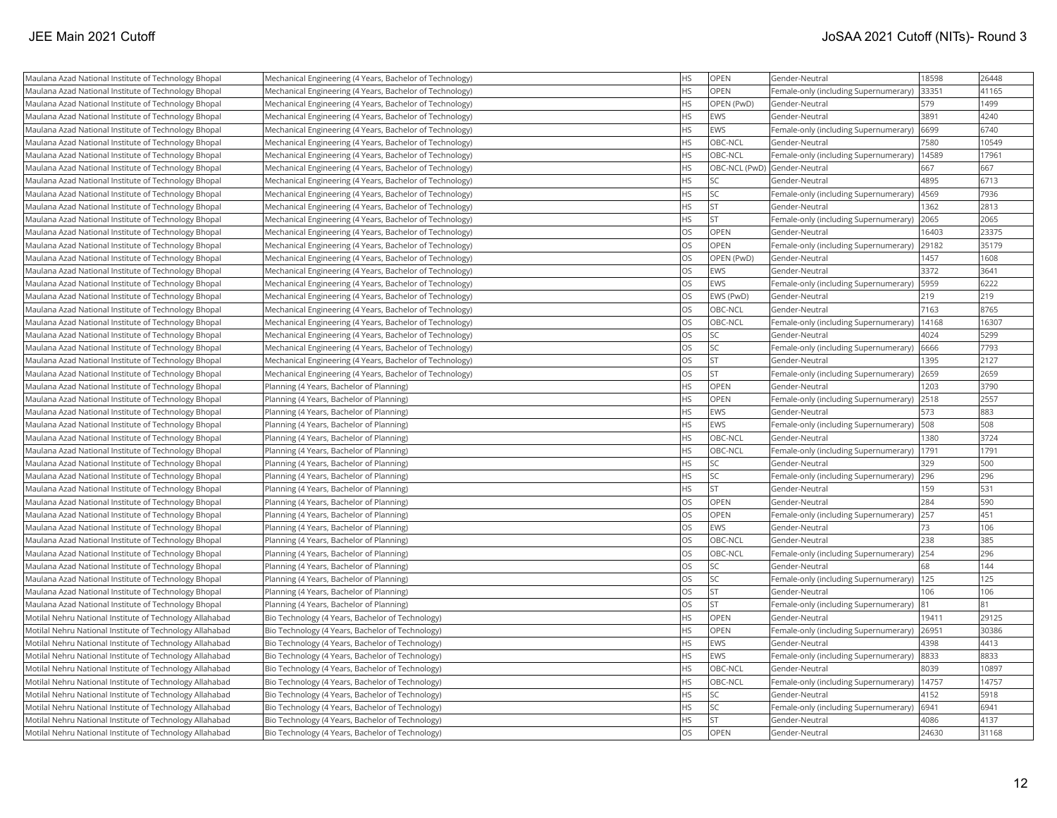| Maulana Azad National Institute of Technology Bhopal     | Mechanical Engineering (4 Years, Bachelor of Technology) | <b>HS</b> | OPEN        | Gender-Neutral                              | 18598 | 26448 |
|----------------------------------------------------------|----------------------------------------------------------|-----------|-------------|---------------------------------------------|-------|-------|
| Maulana Azad National Institute of Technology Bhopal     | Mechanical Engineering (4 Years, Bachelor of Technology) | HS        | OPEN        | Female-only (including Supernumerary)       | 33351 | 41165 |
| Maulana Azad National Institute of Technology Bhopal     | Mechanical Engineering (4 Years, Bachelor of Technology) | <b>HS</b> | OPEN (PwD)  | Gender-Neutral                              | 579   | 1499  |
| Maulana Azad National Institute of Technology Bhopal     | Mechanical Engineering (4 Years, Bachelor of Technology) | <b>HS</b> | <b>EWS</b>  | Gender-Neutral                              | 3891  | 4240  |
| Maulana Azad National Institute of Technology Bhopal     | Mechanical Engineering (4 Years, Bachelor of Technology) | <b>HS</b> | <b>EWS</b>  | Female-only (including Supernumerary)       | 6699  | 6740  |
| Maulana Azad National Institute of Technology Bhopal     | Mechanical Engineering (4 Years, Bachelor of Technology) | <b>HS</b> | OBC-NCL     | Gender-Neutral                              | 7580  | 10549 |
| Maulana Azad National Institute of Technology Bhopal     | Mechanical Engineering (4 Years, Bachelor of Technology) | HS        | OBC-NCL     | Female-only (including Supernumerary)       | 14589 | 17961 |
| Maulana Azad National Institute of Technology Bhopal     | Mechanical Engineering (4 Years, Bachelor of Technology) | HS        |             | OBC-NCL (PwD) Gender-Neutral                | 667   | 667   |
| Maulana Azad National Institute of Technology Bhopal     | Mechanical Engineering (4 Years, Bachelor of Technology) | <b>HS</b> | SC          | lGender-Neutral                             | 4895  | 6713  |
| Maulana Azad National Institute of Technology Bhopal     | Mechanical Engineering (4 Years, Bachelor of Technology) | HS        | SC.         | Female-only (including Supernumerary)       | 4569  | 7936  |
| Maulana Azad National Institute of Technology Bhopal     | Mechanical Engineering (4 Years, Bachelor of Technology) | HS        | ST.         | Gender-Neutral                              | 1362  | 2813  |
| Maulana Azad National Institute of Technology Bhopal     | Mechanical Engineering (4 Years, Bachelor of Technology) | <b>HS</b> | İst         | Female-only (including Supernumerary)       | 2065  | 2065  |
| Maulana Azad National Institute of Technology Bhopal     | Mechanical Engineering (4 Years, Bachelor of Technology) | <b>OS</b> | OPEN        | Gender-Neutral                              | 16403 | 23375 |
| Maulana Azad National Institute of Technology Bhopal     | Mechanical Engineering (4 Years, Bachelor of Technology) | <b>OS</b> | <b>OPEN</b> | Female-only (including Supernumerary)       | 29182 | 35179 |
| Maulana Azad National Institute of Technology Bhopal     | Mechanical Engineering (4 Years, Bachelor of Technology) | <b>OS</b> | OPEN (PwD)  | Gender-Neutral                              | 1457  | 1608  |
| Maulana Azad National Institute of Technology Bhopal     | Mechanical Engineering (4 Years, Bachelor of Technology) | <b>OS</b> | <b>EWS</b>  | Gender-Neutral                              | 3372  | 3641  |
| Maulana Azad National Institute of Technology Bhopal     | Mechanical Engineering (4 Years, Bachelor of Technology) | OS        | <b>EWS</b>  | Female-only (including Supernumerary)       | 5959  | 6222  |
| Maulana Azad National Institute of Technology Bhopal     | Mechanical Engineering (4 Years, Bachelor of Technology) | OS        | EWS (PwD)   | Gender-Neutral                              | 219   | 219   |
| Maulana Azad National Institute of Technology Bhopal     | Mechanical Engineering (4 Years, Bachelor of Technology) | <b>OS</b> | OBC-NCL     | Gender-Neutral                              | 7163  | 8765  |
| Maulana Azad National Institute of Technology Bhopal     | Mechanical Engineering (4 Years, Bachelor of Technology) | <b>OS</b> | OBC-NCL     | Female-only (including Supernumerary)       | 14168 | 16307 |
| Maulana Azad National Institute of Technology Bhopal     | Mechanical Engineering (4 Years, Bachelor of Technology) | OS        | lsc         | Gender-Neutral                              | 4024  | 5299  |
| Maulana Azad National Institute of Technology Bhopal     | Mechanical Engineering (4 Years, Bachelor of Technology) | <b>OS</b> | SC.         | Female-only (including Supernumerary)       | 6666  | 7793  |
| Maulana Azad National Institute of Technology Bhopal     | Mechanical Engineering (4 Years, Bachelor of Technology) | <b>OS</b> | ST.         | Gender-Neutral                              | 1395  | 2127  |
| Maulana Azad National Institute of Technology Bhopal     | Mechanical Engineering (4 Years, Bachelor of Technology) | <b>OS</b> | ST.         | Female-only (including Supernumerary)       | 2659  | 2659  |
| Maulana Azad National Institute of Technology Bhopal     | Planning (4 Years, Bachelor of Planning)                 | HS        | OPEN        | Gender-Neutral                              | 1203  | 3790  |
| Maulana Azad National Institute of Technology Bhopal     | Planning (4 Years, Bachelor of Planning)                 | <b>HS</b> | OPEN        | Female-only (including Supernumerary)       | 2518  | 2557  |
| Maulana Azad National Institute of Technology Bhopal     | Planning (4 Years, Bachelor of Planning)                 | HS        | <b>EWS</b>  | Gender-Neutral                              | 573   | 883   |
| Maulana Azad National Institute of Technology Bhopal     | Planning (4 Years, Bachelor of Planning)                 | HS        | <b>EWS</b>  | Female-only (including Supernumerary)       | 508   | 508   |
| Maulana Azad National Institute of Technology Bhopal     | Planning (4 Years, Bachelor of Planning)                 | <b>HS</b> | OBC-NCL     | Gender-Neutral                              | 1380  | 3724  |
| Maulana Azad National Institute of Technology Bhopal     | Planning (4 Years, Bachelor of Planning)                 | HS        | OBC-NCL     | Female-only (including Supernumerary)       | 1791  | 1791  |
| Maulana Azad National Institute of Technology Bhopal     | Planning (4 Years, Bachelor of Planning)                 | <b>HS</b> | SC.         | Gender-Neutral                              | 329   | 500   |
| Maulana Azad National Institute of Technology Bhopal     | Planning (4 Years, Bachelor of Planning)                 | HS        | SC          | Female-only (including Supernumerary)       | 296   | 296   |
| Maulana Azad National Institute of Technology Bhopal     | Planning (4 Years, Bachelor of Planning)                 | <b>HS</b> | İst         | Gender-Neutral                              | 159   | 531   |
| Maulana Azad National Institute of Technology Bhopal     | Planning (4 Years, Bachelor of Planning)                 | OS        | OPEN        | Gender-Neutral                              | 284   | 590   |
| Maulana Azad National Institute of Technology Bhopal     | Planning (4 Years, Bachelor of Planning)                 | OS        | OPEN        | Female-only (including Supernumerary)       | 257   | 451   |
| Maulana Azad National Institute of Technology Bhopal     | Planning (4 Years, Bachelor of Planning)                 | <b>OS</b> | <b>EWS</b>  | Gender-Neutral                              | 73    | 106   |
| Maulana Azad National Institute of Technology Bhopal     | Planning (4 Years, Bachelor of Planning)                 | OS        | OBC-NCL     | Gender-Neutral                              | 238   | 385   |
| Maulana Azad National Institute of Technology Bhopal     | Planning (4 Years, Bachelor of Planning)                 | <b>OS</b> | OBC-NCL     | Female-only (including Supernumerary)       | 254   | 296   |
| Maulana Azad National Institute of Technology Bhopal     | Planning (4 Years, Bachelor of Planning)                 | <b>OS</b> | SC          | Gender-Neutral                              | 68    | 144   |
| Maulana Azad National Institute of Technology Bhopal     | Planning (4 Years, Bachelor of Planning)                 | <b>OS</b> | SC          | Female-only (including Supernumerary)   125 |       | 125   |
| Maulana Azad National Institute of Technology Bhopal     | Planning (4 Years, Bachelor of Planning)                 | OS        | ST          | Gender-Neutral                              | 106   | 106   |
| Maulana Azad National Institute of Technology Bhopal     | Planning (4 Years, Bachelor of Planning)                 | OS        | İst         | Female-only (including Supernumerary)       | 81    | 81    |
| Motilal Nehru National Institute of Technology Allahabad | Bio Technology (4 Years, Bachelor of Technology)         | HS        | OPEN        | Gender-Neutral                              | 19411 | 29125 |
| Motilal Nehru National Institute of Technology Allahabad | Bio Technology (4 Years, Bachelor of Technology)         | HS        | OPEN        | Female-only (including Supernumerary)       | 26951 | 30386 |
| Motilal Nehru National Institute of Technology Allahabad | Bio Technology (4 Years, Bachelor of Technology)         | <b>HS</b> | <b>EWS</b>  | Gender-Neutral                              | 4398  | 4413  |
| Motilal Nehru National Institute of Technology Allahabad | Bio Technology (4 Years, Bachelor of Technology)         | <b>HS</b> | <b>EWS</b>  | Female-only (including Supernumerary)       | 8833  | 8833  |
| Motilal Nehru National Institute of Technology Allahabad | Bio Technology (4 Years, Bachelor of Technology)         | HS        | OBC-NCL     | Gender-Neutral                              | 8039  | 10897 |
| Motilal Nehru National Institute of Technology Allahabad | Bio Technology (4 Years, Bachelor of Technology)         | <b>HS</b> | OBC-NCL     | Female-only (including Supernumerary)       | 14757 | 14757 |
| Motilal Nehru National Institute of Technology Allahabad | Bio Technology (4 Years, Bachelor of Technology)         | <b>HS</b> | SC.         | Gender-Neutral                              | 4152  | 5918  |
| Motilal Nehru National Institute of Technology Allahabad | Bio Technology (4 Years, Bachelor of Technology)         | HS        | SC          | Female-only (including Supernumerary)       | 6941  | 6941  |
| Motilal Nehru National Institute of Technology Allahabad | Bio Technology (4 Years, Bachelor of Technology)         | <b>HS</b> | İst         | Gender-Neutral                              | 4086  | 4137  |
| Motilal Nehru National Institute of Technology Allahabad | Bio Technology (4 Years, Bachelor of Technology)         | <b>OS</b> | <b>OPEN</b> | Gender-Neutral                              | 24630 | 31168 |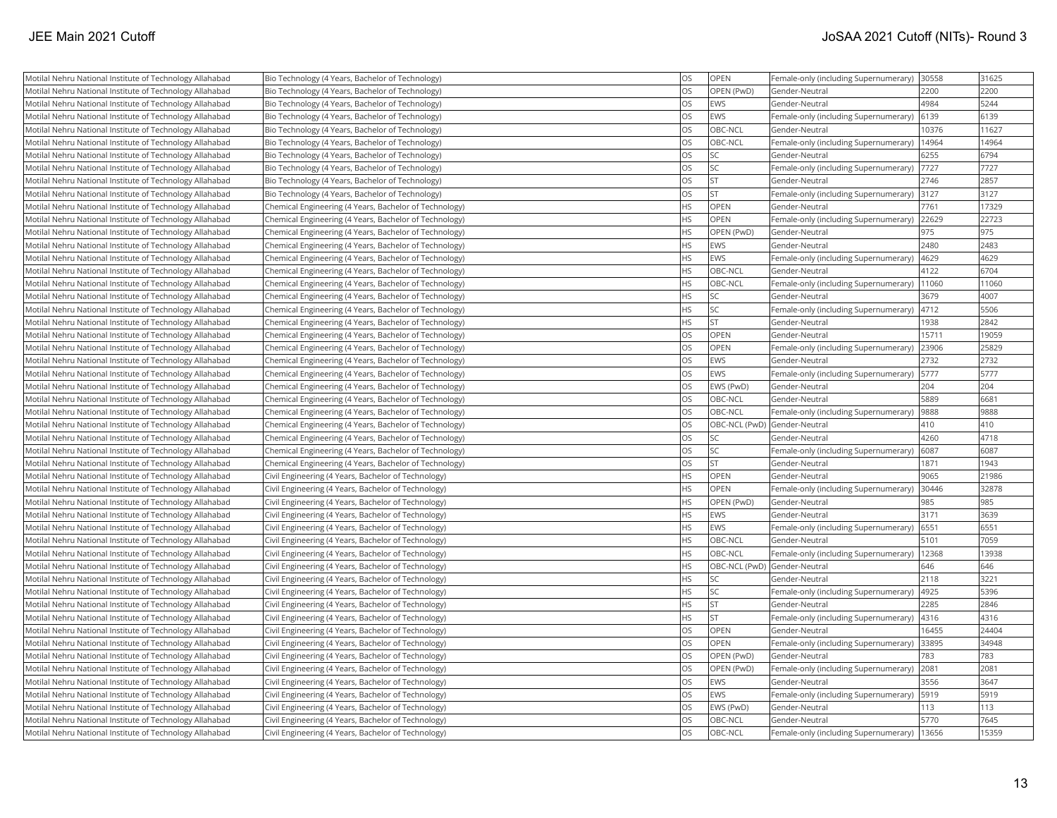| Motilal Nehru National Institute of Technology Allahabad | Bio Technology (4 Years, Bachelor of Technology)        | OS        | <b>OPEN</b> | Female-only (including Supernumerary) 30558 |       | 31625 |
|----------------------------------------------------------|---------------------------------------------------------|-----------|-------------|---------------------------------------------|-------|-------|
| Motilal Nehru National Institute of Technology Allahabad | Bio Technology (4 Years, Bachelor of Technology)        | OS        | OPEN (PwD)  | Gender-Neutral                              | 2200  | 2200  |
| Motilal Nehru National Institute of Technology Allahabad | Bio Technology (4 Years, Bachelor of Technology)        | OS        | <b>EWS</b>  | Gender-Neutral                              | 4984  | 5244  |
| Motilal Nehru National Institute of Technology Allahabad | Bio Technology (4 Years, Bachelor of Technology)        | OS        | <b>EWS</b>  | Female-only (including Supernumerary)       | 6139  | 6139  |
| Motilal Nehru National Institute of Technology Allahabad | Bio Technology (4 Years, Bachelor of Technology)        | OS        | OBC-NCL     | Gender-Neutral                              | 10376 | 11627 |
| Motilal Nehru National Institute of Technology Allahabad | Bio Technology (4 Years, Bachelor of Technology)        | <b>OS</b> | OBC-NCL     | Female-only (including Supernumerary)       | 14964 | 14964 |
| Motilal Nehru National Institute of Technology Allahabad | Bio Technology (4 Years, Bachelor of Technology)        | OS        | SC          | Gender-Neutral                              | 6255  | 6794  |
| Motilal Nehru National Institute of Technology Allahabad | Bio Technology (4 Years, Bachelor of Technology)        | OS        | SC          | Female-only (including Supernumerary)  7727 |       | 7727  |
| Motilal Nehru National Institute of Technology Allahabad | Bio Technology (4 Years, Bachelor of Technology)        | <b>OS</b> | <b>ST</b>   | Gender-Neutral                              | 2746  | 2857  |
| Motilal Nehru National Institute of Technology Allahabad | Bio Technology (4 Years, Bachelor of Technology)        | OS        | <b>ST</b>   | Female-only (including Supernumerary)       | 3127  | 3127  |
| Motilal Nehru National Institute of Technology Allahabad | Chemical Engineering (4 Years, Bachelor of Technology)  | HS        | <b>OPEN</b> | Gender-Neutral                              | 7761  | 17329 |
| Motilal Nehru National Institute of Technology Allahabad | Chemical Engineering (4 Years, Bachelor of Technology)  | <b>HS</b> | OPEN        | Female-only (including Supernumerary)       | 22629 | 22723 |
| Motilal Nehru National Institute of Technology Allahabad | Chemical Engineering (4 Years, Bachelor of Technology)  | <b>HS</b> | OPEN (PwD)  | Gender-Neutral                              | 975   | 975   |
| Motilal Nehru National Institute of Technology Allahabad | Chemical Engineering (4 Years, Bachelor of Technology)  | HS        | EWS         | Gender-Neutral                              | 2480  | 2483  |
| Motilal Nehru National Institute of Technology Allahabad | Chemical Engineering (4 Years, Bachelor of Technology)  | HS        | <b>EWS</b>  | Female-only (including Supernumerary)       | 4629  | 4629  |
| Motilal Nehru National Institute of Technology Allahabad | Chemical Engineering (4 Years, Bachelor of Technology)  | HS        | OBC-NCL     | Gender-Neutral                              | 4122  | 6704  |
| Motilal Nehru National Institute of Technology Allahabad | Chemical Engineering (4 Years, Bachelor of Technology)  | <b>HS</b> | OBC-NCL     | Female-only (including Supernumerary)       | 11060 | 11060 |
| Motilal Nehru National Institute of Technology Allahabad | Chemical Engineering (4 Years, Bachelor of Technology)  | HS        | <b>SC</b>   | Gender-Neutral                              | 3679  | 4007  |
| Motilal Nehru National Institute of Technology Allahabad | Chemical Engineering (4 Years, Bachelor of Technology)  | HS        | SC          | Female-only (including Supernumerary)       | 4712  | 5506  |
| Motilal Nehru National Institute of Technology Allahabad | Chemical Engineering (4 Years, Bachelor of Technology)  | <b>HS</b> | <b>ST</b>   | Gender-Neutral                              | 1938  | 2842  |
| Motilal Nehru National Institute of Technology Allahabad | Chemical Engineering (4 Years, Bachelor of Technology)  | <b>OS</b> | OPEN        | Gender-Neutral                              | 15711 | 19059 |
| Motilal Nehru National Institute of Technology Allahabad | Chemical Engineering (4 Years, Bachelor of Technology)  | OS        | OPEN        | Female-only (including Supernumerary)       | 23906 | 25829 |
| Motilal Nehru National Institute of Technology Allahabad | Chemical Engineering (4 Years, Bachelor of Technology)  | <b>OS</b> | EWS         | Gender-Neutral                              | 2732  | 2732  |
| Motilal Nehru National Institute of Technology Allahabad | Chemical Engineering (4 Years, Bachelor of Technology)  | OS        | EWS         | Female-only (including Supernumerary)       | 5777  | 5777  |
| Motilal Nehru National Institute of Technology Allahabad | Chemical Engineering (4 Years, Bachelor of Technology)  | OS        | EWS (PwD)   | Gender-Neutral                              | 204   | 204   |
| Motilal Nehru National Institute of Technology Allahabad | Chemical Engineering (4 Years, Bachelor of Technology)  | OS        | OBC-NCL     | Gender-Neutral                              | 5889  | 6681  |
| Motilal Nehru National Institute of Technology Allahabad | Chemical Engineering (4 Years, Bachelor of Technology)  | OS        | OBC-NCL     | Female-only (including Supernumerary)       | 9888  | 9888  |
| Motilal Nehru National Institute of Technology Allahabad | (Chemical Engineering (4 Years, Bachelor of Technology) | OS        |             | OBC-NCL (PwD) Gender-Neutral                | 410   | 410   |
| Motilal Nehru National Institute of Technology Allahabad | Chemical Engineering (4 Years, Bachelor of Technology)  | OS        | <b>SC</b>   | Gender-Neutral                              | 4260  | 4718  |
| Motilal Nehru National Institute of Technology Allahabad | Chemical Engineering (4 Years, Bachelor of Technology)  | OS        | <b>SC</b>   | Female-only (including Supernumerary)       | 6087  | 6087  |
| Motilal Nehru National Institute of Technology Allahabad | Chemical Engineering (4 Years, Bachelor of Technology)  | OS        | <b>ST</b>   | Gender-Neutral                              | 1871  | 1943  |
| Motilal Nehru National Institute of Technology Allahabad | Civil Engineering (4 Years, Bachelor of Technology)     | HS        | OPEN        | Gender-Neutral                              | 9065  | 21986 |
| Motilal Nehru National Institute of Technology Allahabad | Civil Engineering (4 Years, Bachelor of Technology)     | НS        | <b>OPEN</b> | Female-only (including Supernumerary) 30446 |       | 32878 |
| Motilal Nehru National Institute of Technology Allahabad | Civil Engineering (4 Years, Bachelor of Technology)     | <b>HS</b> | OPEN (PwD)  | Gender-Neutral                              | 985   | 985   |
| Motilal Nehru National Institute of Technology Allahabad | Civil Engineering (4 Years, Bachelor of Technology)     | HS        | <b>EWS</b>  | Gender-Neutral                              | 3171  | 3639  |
| Motilal Nehru National Institute of Technology Allahabad | Civil Engineering (4 Years, Bachelor of Technology)     | HS        | <b>EWS</b>  | Female-only (including Supernumerary)       | 6551  | 6551  |
| Motilal Nehru National Institute of Technology Allahabad | Civil Engineering (4 Years, Bachelor of Technology)     | <b>HS</b> | OBC-NCL     | Gender-Neutral                              | 5101  | 7059  |
| Motilal Nehru National Institute of Technology Allahabad | Civil Engineering (4 Years, Bachelor of Technology)     | HS        | OBC-NCL     | Female-only (including Supernumerary)       | 12368 | 13938 |
| Motilal Nehru National Institute of Technology Allahabad | Civil Engineering (4 Years, Bachelor of Technology)     | HS        |             | OBC-NCL (PwD) Gender-Neutral                | 646   | 646   |
| Motilal Nehru National Institute of Technology Allahabad | Civil Engineering (4 Years, Bachelor of Technology)     | HS        | SC          | Gender-Neutral                              | 2118  | 3221  |
| Motilal Nehru National Institute of Technology Allahabad | Civil Engineering (4 Years, Bachelor of Technology)     | HS        | SC          | Female-only (including Supernumerary)  4925 |       | 5396  |
| Motilal Nehru National Institute of Technology Allahabad | Civil Engineering (4 Years, Bachelor of Technology)     | HS        | <b>ST</b>   | Gender-Neutral                              | 2285  | 2846  |
| Motilal Nehru National Institute of Technology Allahabad | Civil Engineering (4 Years, Bachelor of Technology)     | HS        | <b>ST</b>   | Female-only (including Supernumerary)       | 4316  | 4316  |
| Motilal Nehru National Institute of Technology Allahabad | Civil Engineering (4 Years, Bachelor of Technology)     | OS        | OPEN        | Gender-Neutral                              | 16455 | 24404 |
| Motilal Nehru National Institute of Technology Allahabad | Civil Engineering (4 Years, Bachelor of Technology)     | <b>OS</b> | <b>OPEN</b> | Female-only (including Supernumerary)       | 33895 | 34948 |
| Motilal Nehru National Institute of Technology Allahabad | Civil Engineering (4 Years, Bachelor of Technology)     | OS        | OPEN (PwD)  | Gender-Neutral                              | 783   | 783   |
| Motilal Nehru National Institute of Technology Allahabad | Civil Engineering (4 Years, Bachelor of Technology)     | OS        | OPEN (PwD)  | Female-only (including Supernumerary)       | 2081  | 2081  |
| Motilal Nehru National Institute of Technology Allahabad | Civil Engineering (4 Years, Bachelor of Technology)     | <b>OS</b> | EWS         | Gender-Neutral                              | 3556  | 3647  |
| Motilal Nehru National Institute of Technology Allahabad | Civil Engineering (4 Years, Bachelor of Technology)     | OS        | EWS         | Female-only (including Supernumerary)  5919 |       | 5919  |
| Motilal Nehru National Institute of Technology Allahabad | Civil Engineering (4 Years, Bachelor of Technology)     | OS        | EWS (PwD)   | Gender-Neutral                              | 113   | 113   |
| Motilal Nehru National Institute of Technology Allahabad | Civil Engineering (4 Years, Bachelor of Technology)     | OS        | OBC-NCL     | Gender-Neutral                              | 5770  | 7645  |
| Motilal Nehru National Institute of Technology Allahabad | Civil Engineering (4 Years, Bachelor of Technology)     | OS        | OBC-NCL     | Female-only (including Supernumerary) 13656 |       | 15359 |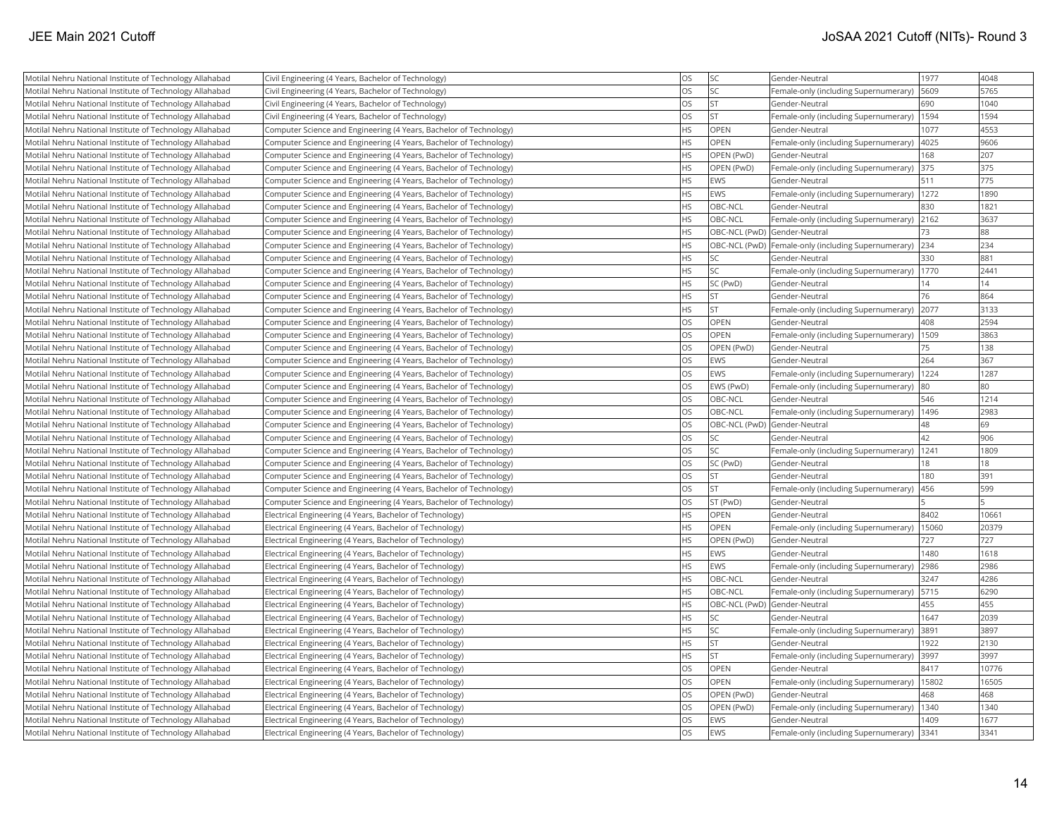| Motilal Nehru National Institute of Technology Allahabad | Civil Engineering (4 Years, Bachelor of Technology)                | OS        | SC.         | Gender-Neutral                                          | 1977  | 4048  |
|----------------------------------------------------------|--------------------------------------------------------------------|-----------|-------------|---------------------------------------------------------|-------|-------|
| Motilal Nehru National Institute of Technology Allahabad | Civil Engineering (4 Years, Bachelor of Technology)                | OS        | lsc         | Female-only (including Supernumerary)                   | 5609  | 5765  |
| Motilal Nehru National Institute of Technology Allahabad | Civil Engineering (4 Years, Bachelor of Technology)                | OS        | lst         | Gender-Neutral                                          | 690   | 1040  |
| Motilal Nehru National Institute of Technology Allahabad | Civil Engineering (4 Years, Bachelor of Technology)                | <b>OS</b> | ST.         | Female-only (including Supernumerary)                   | 1594  | 1594  |
| Motilal Nehru National Institute of Technology Allahabad | Computer Science and Engineering (4 Years, Bachelor of Technology) | HS        | OPEN        | Gender-Neutral                                          | 1077  | 4553  |
| Motilal Nehru National Institute of Technology Allahabad | Computer Science and Engineering (4 Years, Bachelor of Technology) | HS        | <b>OPEN</b> | Female-only (including Supernumerary)                   | 4025  | 9606  |
| Motilal Nehru National Institute of Technology Allahabad | Computer Science and Engineering (4 Years, Bachelor of Technology) | HS        | OPEN (PwD)  | Gender-Neutral                                          | 168   | 207   |
| Motilal Nehru National Institute of Technology Allahabad | Computer Science and Engineering (4 Years, Bachelor of Technology) | <b>HS</b> | OPEN (PwD)  | Female-only (including Supernumerary)                   | 375   | 375   |
| Motilal Nehru National Institute of Technology Allahabad | Computer Science and Engineering (4 Years, Bachelor of Technology) | <b>HS</b> | <b>EWS</b>  | Gender-Neutral                                          | 511   | 775   |
| Motilal Nehru National Institute of Technology Allahabad | Computer Science and Engineering (4 Years, Bachelor of Technology) | <b>HS</b> | <b>EWS</b>  | Female-only (including Supernumerary)                   | 1272  | 1890  |
| Motilal Nehru National Institute of Technology Allahabad | Computer Science and Engineering (4 Years, Bachelor of Technology) | <b>HS</b> | OBC-NCL     | Gender-Neutral                                          | 830   | 1821  |
| Motilal Nehru National Institute of Technology Allahabad | Computer Science and Engineering (4 Years, Bachelor of Technology) | HS        | OBC-NCL     | Female-only (including Supernumerary) 2162              |       | 3637  |
| Motilal Nehru National Institute of Technology Allahabad | Computer Science and Engineering (4 Years, Bachelor of Technology) | <b>HS</b> |             | OBC-NCL (PwD) Gender-Neutral                            | 73    | 88    |
| Motilal Nehru National Institute of Technology Allahabad | Computer Science and Engineering (4 Years, Bachelor of Technology) | HS        |             | OBC-NCL (PwD) Female-only (including Supernumerary) 234 |       | 234   |
| Motilal Nehru National Institute of Technology Allahabad | Computer Science and Engineering (4 Years, Bachelor of Technology) | <b>HS</b> | lsc         | Gender-Neutral                                          | 330   | 881   |
| Motilal Nehru National Institute of Technology Allahabad | Computer Science and Engineering (4 Years, Bachelor of Technology) | <b>HS</b> | SC.         | Female-only (including Supernumerary)                   | 1770  | 2441  |
| Motilal Nehru National Institute of Technology Allahabad | Computer Science and Engineering (4 Years, Bachelor of Technology) | HS        | SC (PwD)    | Gender-Neutral                                          | 14    | 14    |
| Motilal Nehru National Institute of Technology Allahabad | Computer Science and Engineering (4 Years, Bachelor of Technology) | <b>HS</b> | <b>ST</b>   | Gender-Neutral                                          | 76    | 864   |
| Motilal Nehru National Institute of Technology Allahabad | Computer Science and Engineering (4 Years, Bachelor of Technology) | <b>HS</b> | İst         | Female-only (including Supernumerary)                   | 2077  | 3133  |
| Motilal Nehru National Institute of Technology Allahabad | Computer Science and Engineering (4 Years, Bachelor of Technology) | <b>OS</b> | OPEN        | Gender-Neutral                                          | 408   | 2594  |
| Motilal Nehru National Institute of Technology Allahabad | Computer Science and Engineering (4 Years, Bachelor of Technology) | <b>OS</b> | OPEN        | Female-only (including Supernumerary)   1509            |       | 3863  |
| Motilal Nehru National Institute of Technology Allahabad | Computer Science and Engineering (4 Years, Bachelor of Technology) | <b>OS</b> | OPEN (PwD)  | Gender-Neutral                                          | 75    | 138   |
| Motilal Nehru National Institute of Technology Allahabad | Computer Science and Engineering (4 Years, Bachelor of Technology) | OS        | <b>EWS</b>  | Gender-Neutral                                          | 264   | 367   |
| Motilal Nehru National Institute of Technology Allahabad | Computer Science and Engineering (4 Years, Bachelor of Technology) | OS        | <b>EWS</b>  | Female-only (including Supernumerary)                   | 1224  | 1287  |
| Motilal Nehru National Institute of Technology Allahabad | Computer Science and Engineering (4 Years, Bachelor of Technology) | OS        | EWS (PwD)   | Female-only (including Supernumerary)                   | 80    | 80    |
| Motilal Nehru National Institute of Technology Allahabad | Computer Science and Engineering (4 Years, Bachelor of Technology) | <b>OS</b> | OBC-NCL     | Gender-Neutral                                          | 546   | 1214  |
| Motilal Nehru National Institute of Technology Allahabad | Computer Science and Engineering (4 Years, Bachelor of Technology) | <b>OS</b> | OBC-NCL     | Female-only (including Supernumerary)                   | 1496  | 2983  |
| Motilal Nehru National Institute of Technology Allahabad | Computer Science and Engineering (4 Years, Bachelor of Technology) | <b>OS</b> |             | OBC-NCL (PwD) Gender-Neutral                            | 48    | 69    |
| Motilal Nehru National Institute of Technology Allahabad | Computer Science and Engineering (4 Years, Bachelor of Technology) | <b>OS</b> | SC          | Gender-Neutral                                          | 42    | 906   |
| Motilal Nehru National Institute of Technology Allahabad | Computer Science and Engineering (4 Years, Bachelor of Technology) | <b>OS</b> | <b>SC</b>   | Female-only (including Supernumerary)   1241            |       | 1809  |
| Motilal Nehru National Institute of Technology Allahabad | Computer Science and Engineering (4 Years, Bachelor of Technology) | OS        | SC (PwD)    | Gender-Neutral                                          | 18    | 18    |
| Motilal Nehru National Institute of Technology Allahabad | Computer Science and Engineering (4 Years, Bachelor of Technology) | OS        | lst         | Gender-Neutral                                          | 180   | 391   |
| Motilal Nehru National Institute of Technology Allahabad | Computer Science and Engineering (4 Years, Bachelor of Technology) | OS        | ST          | Female-only (including Supernumerary)                   | 456   | 599   |
| Motilal Nehru National Institute of Technology Allahabad | Computer Science and Engineering (4 Years, Bachelor of Technology) | <b>OS</b> | ST (PwD)    | Gender-Neutral                                          |       |       |
| Motilal Nehru National Institute of Technology Allahabad | Electrical Engineering (4 Years, Bachelor of Technology)           | HS        | OPEN        | Gender-Neutral                                          | 8402  | 10661 |
| Motilal Nehru National Institute of Technology Allahabad | Electrical Engineering (4 Years, Bachelor of Technology)           | HS        | OPEN        | Female-only (including Supernumerary)                   | 15060 | 20379 |
| Motilal Nehru National Institute of Technology Allahabad | Electrical Engineering (4 Years, Bachelor of Technology)           | HS        | OPEN (PwD)  | Gender-Neutral                                          | 727   | 727   |
| Motilal Nehru National Institute of Technology Allahabad | Electrical Engineering (4 Years, Bachelor of Technology)           | HS        | <b>EWS</b>  | Gender-Neutral                                          | 1480  | 1618  |
| Motilal Nehru National Institute of Technology Allahabad | Electrical Engineering (4 Years, Bachelor of Technology)           | <b>HS</b> | <b>EWS</b>  | Female-only (including Supernumerary)                   | 2986  | 2986  |
| Motilal Nehru National Institute of Technology Allahabad | Electrical Engineering (4 Years, Bachelor of Technology)           | <b>HS</b> | OBC-NCL     | Gender-Neutral                                          | 3247  | 4286  |
| Motilal Nehru National Institute of Technology Allahabad | Electrical Engineering (4 Years, Bachelor of Technology)           | <b>HS</b> | OBC-NCL     | Female-only (including Supernumerary)                   | 5715  | 6290  |
| Motilal Nehru National Institute of Technology Allahabad | Electrical Engineering (4 Years, Bachelor of Technology)           | <b>HS</b> |             | OBC-NCL (PwD) Gender-Neutral                            | 455   | 455   |
| Motilal Nehru National Institute of Technology Allahabad | Electrical Engineering (4 Years, Bachelor of Technology)           | HS        | SC          | Gender-Neutral                                          | 1647  | 2039  |
| Motilal Nehru National Institute of Technology Allahabad | Electrical Engineering (4 Years, Bachelor of Technology)           | HS        | SC.         | Female-only (including Supernumerary)                   | 3891  | 3897  |
| Motilal Nehru National Institute of Technology Allahabad | Electrical Engineering (4 Years, Bachelor of Technology)           | <b>HS</b> | İst         | Gender-Neutral                                          | 1922  | 2130  |
| Motilal Nehru National Institute of Technology Allahabad | Electrical Engineering (4 Years, Bachelor of Technology)           | HS        | İst         | Female-only (including Supernumerary)                   | 3997  | 3997  |
| Motilal Nehru National Institute of Technology Allahabad | Electrical Engineering (4 Years, Bachelor of Technology)           | <b>OS</b> | <b>OPEN</b> | Gender-Neutral                                          | 8417  | 10776 |
| Motilal Nehru National Institute of Technology Allahabad | Electrical Engineering (4 Years, Bachelor of Technology)           | <b>OS</b> | OPEN        | Female-only (including Supernumerary)                   | 15802 | 16505 |
| Motilal Nehru National Institute of Technology Allahabad | Electrical Engineering (4 Years, Bachelor of Technology)           | OS        | OPEN (PwD)  | Gender-Neutral                                          | 468   | 468   |
| Motilal Nehru National Institute of Technology Allahabad | Electrical Engineering (4 Years, Bachelor of Technology)           | OS        | OPEN (PwD)  | Female-only (including Supernumerary)                   | 1340  | 1340  |
| Motilal Nehru National Institute of Technology Allahabad | Electrical Engineering (4 Years, Bachelor of Technology)           | OS        | <b>EWS</b>  | Gender-Neutral                                          | 1409  | 1677  |
| Motilal Nehru National Institute of Technology Allahabad | Electrical Engineering (4 Years, Bachelor of Technology)           | <b>OS</b> | <b>EWS</b>  | Female-only (including Supernumerary) 3341              |       | 3341  |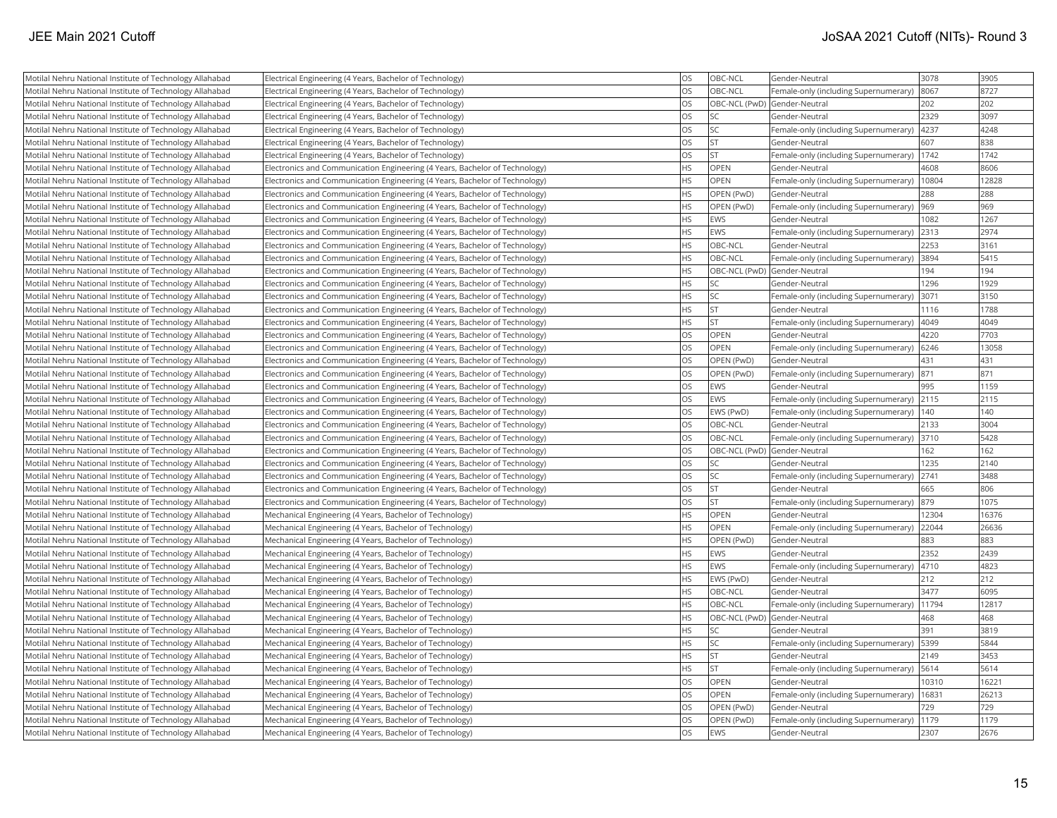| Motilal Nehru National Institute of Technology Allahabad | Electrical Engineering (4 Years, Bachelor of Technology)                    | <b>OS</b> | OBC-NCL                      | Gender-Neutral                        | 3078  | 3905  |
|----------------------------------------------------------|-----------------------------------------------------------------------------|-----------|------------------------------|---------------------------------------|-------|-------|
| Motilal Nehru National Institute of Technology Allahabad | Electrical Engineering (4 Years, Bachelor of Technology)                    | <b>OS</b> | OBC-NCL                      | Female-only (including Supernumerary) | 8067  | 8727  |
| Motilal Nehru National Institute of Technology Allahabad | Electrical Engineering (4 Years, Bachelor of Technology)                    | <b>OS</b> | OBC-NCL (PwD) Gender-Neutral |                                       | 202   | 202   |
| Motilal Nehru National Institute of Technology Allahabad | Electrical Engineering (4 Years, Bachelor of Technology)                    | <b>OS</b> | <b>SC</b>                    | Gender-Neutral                        | 2329  | 3097  |
| Motilal Nehru National Institute of Technology Allahabad | Electrical Engineering (4 Years, Bachelor of Technology)                    | <b>OS</b> | <b>SC</b>                    | Female-only (including Supernumerary) | 4237  | 4248  |
| Motilal Nehru National Institute of Technology Allahabad | Electrical Engineering (4 Years, Bachelor of Technology)                    | <b>OS</b> | <b>ST</b>                    | Gender-Neutral                        | 607   | 838   |
| Motilal Nehru National Institute of Technology Allahabad | Electrical Engineering (4 Years, Bachelor of Technology)                    | OS        | <b>ST</b>                    | Female-only (including Supernumerary) | 1742  | 1742  |
| Motilal Nehru National Institute of Technology Allahabad | Electronics and Communication Engineering (4 Years, Bachelor of Technology) | <b>HS</b> | <b>OPEN</b>                  | Gender-Neutral                        | 4608  | 8606  |
| Motilal Nehru National Institute of Technology Allahabad | Electronics and Communication Engineering (4 Years, Bachelor of Technology) | <b>HS</b> | OPEN                         | Female-only (including Supernumerary) | 10804 | 12828 |
| Motilal Nehru National Institute of Technology Allahabad | Electronics and Communication Engineering (4 Years, Bachelor of Technology) | <b>HS</b> | OPEN (PwD)                   | Gender-Neutral                        | 288   | 288   |
| Motilal Nehru National Institute of Technology Allahabad | Electronics and Communication Engineering (4 Years, Bachelor of Technology) | <b>HS</b> | OPEN (PwD)                   | Female-only (including Supernumerary) | 969   | 969   |
| Motilal Nehru National Institute of Technology Allahabad | Electronics and Communication Engineering (4 Years, Bachelor of Technology) | <b>HS</b> | EWS                          | Gender-Neutral                        | 1082  | 1267  |
| Motilal Nehru National Institute of Technology Allahabad | Electronics and Communication Engineering (4 Years, Bachelor of Technology) | <b>HS</b> | EWS                          | Female-only (including Supernumerary) | 2313  | 2974  |
| Motilal Nehru National Institute of Technology Allahabad | Electronics and Communication Engineering (4 Years, Bachelor of Technology) | <b>HS</b> | OBC-NCL                      | Gender-Neutral                        | 2253  | 3161  |
| Motilal Nehru National Institute of Technology Allahabad | Electronics and Communication Engineering (4 Years, Bachelor of Technology) | <b>HS</b> | OBC-NCL                      | Female-only (including Supernumerary) | 3894  | 5415  |
| Motilal Nehru National Institute of Technology Allahabad | Electronics and Communication Engineering (4 Years, Bachelor of Technology) | <b>HS</b> | OBC-NCL (PwD) Gender-Neutral |                                       | 194   | 194   |
| Motilal Nehru National Institute of Technology Allahabad | Electronics and Communication Engineering (4 Years, Bachelor of Technology) | <b>HS</b> | <b>SC</b>                    | Gender-Neutral                        | 1296  | 1929  |
| Motilal Nehru National Institute of Technology Allahabad | Electronics and Communication Engineering (4 Years, Bachelor of Technology) | <b>HS</b> | <b>SC</b>                    | Female-only (including Supernumerary) | 3071  | 3150  |
| Motilal Nehru National Institute of Technology Allahabad | Electronics and Communication Engineering (4 Years, Bachelor of Technology) | <b>HS</b> | lst                          | Gender-Neutral                        | 1116  | 1788  |
| Motilal Nehru National Institute of Technology Allahabad | Electronics and Communication Engineering (4 Years, Bachelor of Technology) | <b>HS</b> | İst                          | Female-only (including Supernumerary) | 4049  | 4049  |
| Motilal Nehru National Institute of Technology Allahabad | Electronics and Communication Engineering (4 Years, Bachelor of Technology) | <b>OS</b> | OPEN                         | Gender-Neutral                        | 4220  | 7703  |
| Motilal Nehru National Institute of Technology Allahabad | Electronics and Communication Engineering (4 Years, Bachelor of Technology) | OS        | OPEN                         | Female-only (including Supernumerary) | 6246  | 13058 |
| Motilal Nehru National Institute of Technology Allahabad | Electronics and Communication Engineering (4 Years, Bachelor of Technology) | <b>OS</b> | OPEN (PwD)                   | Gender-Neutral                        | 431   | 431   |
| Motilal Nehru National Institute of Technology Allahabad | Electronics and Communication Engineering (4 Years, Bachelor of Technology) | OS        | OPEN (PwD)                   | Female-only (including Supernumerary) | 871   | 871   |
| Motilal Nehru National Institute of Technology Allahabad | Electronics and Communication Engineering (4 Years, Bachelor of Technology) | OS        | <b>EWS</b>                   | Gender-Neutral                        | 995   | 1159  |
| Motilal Nehru National Institute of Technology Allahabad | Electronics and Communication Engineering (4 Years, Bachelor of Technology) | <b>OS</b> | <b>EWS</b>                   | Female-only (including Supernumerary) | 2115  | 2115  |
| Motilal Nehru National Institute of Technology Allahabad | Electronics and Communication Engineering (4 Years, Bachelor of Technology) | <b>OS</b> | EWS (PwD)                    | Female-only (including Supernumerary) | 140   | 140   |
| Motilal Nehru National Institute of Technology Allahabad | Electronics and Communication Engineering (4 Years, Bachelor of Technology) | <b>OS</b> | OBC-NCL                      | Gender-Neutral                        | 2133  | 3004  |
| Motilal Nehru National Institute of Technology Allahabad | Electronics and Communication Engineering (4 Years, Bachelor of Technology) | <b>OS</b> | OBC-NCL                      | Female-only (including Supernumerary) | 3710  | 5428  |
| Motilal Nehru National Institute of Technology Allahabad | Electronics and Communication Engineering (4 Years, Bachelor of Technology) | <b>OS</b> | OBC-NCL (PwD) Gender-Neutral |                                       | 162   | 162   |
| Motilal Nehru National Institute of Technology Allahabad | Electronics and Communication Engineering (4 Years, Bachelor of Technology) | OS        | <b>SC</b>                    | Gender-Neutral                        | 1235  | 2140  |
| Motilal Nehru National Institute of Technology Allahabad | Electronics and Communication Engineering (4 Years, Bachelor of Technology) | OS        | <b>SC</b>                    | Female-only (including Supernumerary) | 2741  | 3488  |
| Motilal Nehru National Institute of Technology Allahabad | Electronics and Communication Engineering (4 Years, Bachelor of Technology) | <b>OS</b> | <b>ST</b>                    | Gender-Neutral                        | 665   | 806   |
| Motilal Nehru National Institute of Technology Allahabad | Electronics and Communication Engineering (4 Years, Bachelor of Technology) | <b>OS</b> | <b>ST</b>                    | Female-only (including Supernumerary) | 879   | 1075  |
| Motilal Nehru National Institute of Technology Allahabad | Mechanical Engineering (4 Years, Bachelor of Technology)                    | <b>HS</b> | OPEN                         | Gender-Neutral                        | 12304 | 16376 |
| Motilal Nehru National Institute of Technology Allahabad | Mechanical Engineering (4 Years, Bachelor of Technology)                    | <b>HS</b> | <b>OPEN</b>                  | Female-only (including Supernumerary) | 22044 | 26636 |
| Motilal Nehru National Institute of Technology Allahabad | Mechanical Engineering (4 Years, Bachelor of Technology)                    | <b>HS</b> | OPEN (PwD)                   | Gender-Neutral                        | 883   | 883   |
| Motilal Nehru National Institute of Technology Allahabad | Mechanical Engineering (4 Years, Bachelor of Technology)                    | <b>HS</b> | EWS                          | Gender-Neutral                        | 2352  | 2439  |
| Motilal Nehru National Institute of Technology Allahabad | Mechanical Engineering (4 Years, Bachelor of Technology)                    | <b>HS</b> | EWS                          | Female-only (including Supernumerary) | 4710  | 4823  |
| Motilal Nehru National Institute of Technology Allahabad | Mechanical Engineering (4 Years, Bachelor of Technology)                    | <b>HS</b> | EWS (PwD)                    | Gender-Neutral                        | 212   | 212   |
| Motilal Nehru National Institute of Technology Allahabad | Mechanical Engineering (4 Years, Bachelor of Technology)                    | <b>HS</b> | OBC-NCL                      | lGender-Neutral                       | 3477  | 6095  |
| Motilal Nehru National Institute of Technology Allahabad | Mechanical Engineering (4 Years, Bachelor of Technology)                    | <b>HS</b> | OBC-NCL                      | Female-only (including Supernumerary) | 11794 | 12817 |
| Motilal Nehru National Institute of Technology Allahabad | Mechanical Engineering (4 Years, Bachelor of Technology)                    | <b>HS</b> | OBC-NCL (PwD) Gender-Neutral |                                       | 468   | 468   |
| Motilal Nehru National Institute of Technology Allahabad | Mechanical Engineering (4 Years, Bachelor of Technology)                    | <b>HS</b> | lsc                          | Gender-Neutral                        | 391   | 3819  |
| Motilal Nehru National Institute of Technology Allahabad | Mechanical Engineering (4 Years, Bachelor of Technology)                    | <b>HS</b> | <b>SC</b>                    | Female-only (including Supernumerary) | 5399  | 5844  |
| Motilal Nehru National Institute of Technology Allahabad | Mechanical Engineering (4 Years, Bachelor of Technology)                    | <b>HS</b> | İst                          | Gender-Neutral                        | 2149  | 3453  |
| Motilal Nehru National Institute of Technology Allahabad | Mechanical Engineering (4 Years, Bachelor of Technology)                    | <b>HS</b> | <b>ST</b>                    | Female-only (including Supernumerary) | 5614  | 5614  |
| Motilal Nehru National Institute of Technology Allahabad | Mechanical Engineering (4 Years, Bachelor of Technology)                    | <b>OS</b> | OPEN                         | Gender-Neutral                        | 10310 | 16221 |
| Motilal Nehru National Institute of Technology Allahabad | Mechanical Engineering (4 Years, Bachelor of Technology)                    | <b>OS</b> | <b>OPEN</b>                  | Female-only (including Supernumerary) | 16831 | 26213 |
| Motilal Nehru National Institute of Technology Allahabad | Mechanical Engineering (4 Years, Bachelor of Technology)                    | OS        | OPEN (PwD)                   | Gender-Neutral                        | 729   | 729   |
| Motilal Nehru National Institute of Technology Allahabad | Mechanical Engineering (4 Years, Bachelor of Technology)                    | OS        | OPEN (PwD)                   | Female-only (including Supernumerary) | 1179  | 1179  |
| Motilal Nehru National Institute of Technology Allahabad | Mechanical Engineering (4 Years, Bachelor of Technology)                    | <b>OS</b> | EWS                          | Gender-Neutral                        | 2307  | 2676  |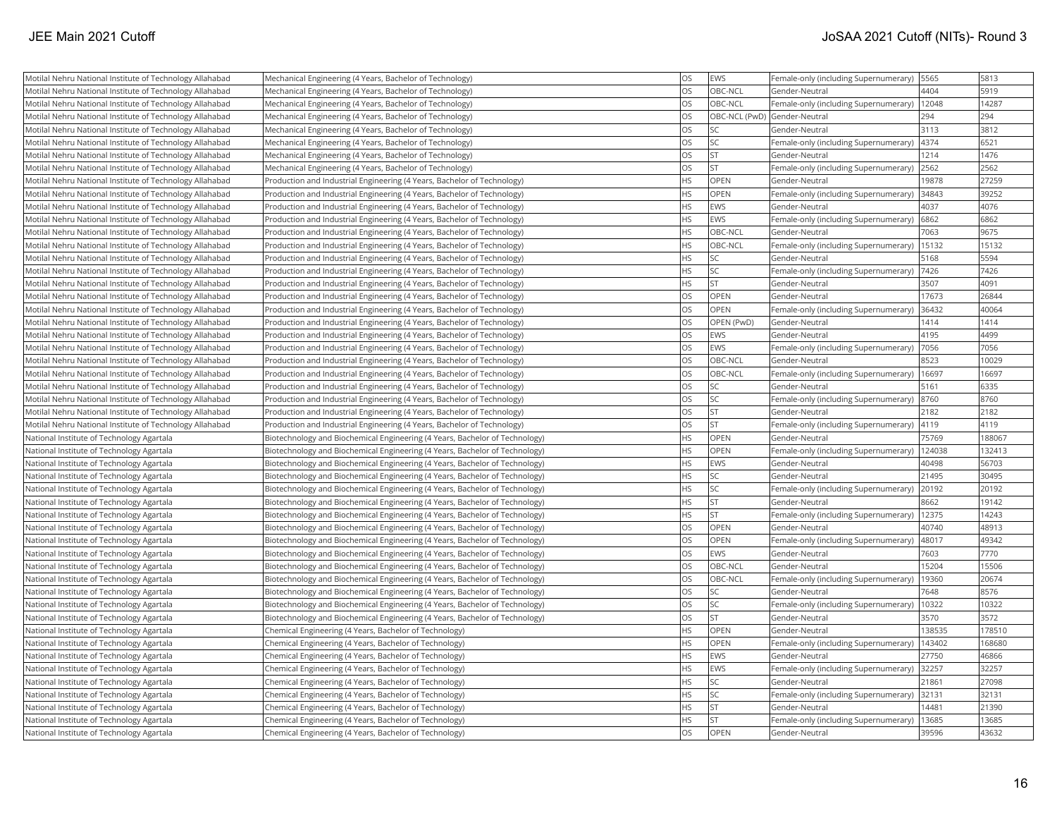| Motilal Nehru National Institute of Technology Allahabad | Mechanical Engineering (4 Years, Bachelor of Technology)                    | <b>OS</b> | EWS                          | Female-only (including Supernumerary) | 5565   | 5813   |
|----------------------------------------------------------|-----------------------------------------------------------------------------|-----------|------------------------------|---------------------------------------|--------|--------|
| Motilal Nehru National Institute of Technology Allahabad | Mechanical Engineering (4 Years, Bachelor of Technology)                    | <b>OS</b> | OBC-NCL                      | Gender-Neutral                        | 4404   | 5919   |
| Motilal Nehru National Institute of Technology Allahabad | Mechanical Engineering (4 Years, Bachelor of Technology)                    | <b>OS</b> | OBC-NCL                      | Female-only (including Supernumerary) | 12048  | 14287  |
| Motilal Nehru National Institute of Technology Allahabad | Mechanical Engineering (4 Years, Bachelor of Technology)                    | <b>OS</b> | OBC-NCL (PwD) Gender-Neutral |                                       | 294    | 294    |
| Motilal Nehru National Institute of Technology Allahabad | Mechanical Engineering (4 Years, Bachelor of Technology)                    | <b>OS</b> | <b>SC</b>                    | Gender-Neutral                        | 3113   | 3812   |
| Motilal Nehru National Institute of Technology Allahabad | Mechanical Engineering (4 Years, Bachelor of Technology)                    | <b>OS</b> | SC <sub>1</sub>              | Female-only (including Supernumerary) | 4374   | 6521   |
| Motilal Nehru National Institute of Technology Allahabad | Mechanical Engineering (4 Years, Bachelor of Technology)                    | OS        | İst                          | Gender-Neutral                        | 1214   | 1476   |
| Motilal Nehru National Institute of Technology Allahabad | Mechanical Engineering (4 Years, Bachelor of Technology)                    | <b>OS</b> | İst                          | Female-only (including Supernumerary) | 2562   | 2562   |
| Motilal Nehru National Institute of Technology Allahabad | Production and Industrial Engineering (4 Years, Bachelor of Technology)     | <b>HS</b> | OPEN                         | Gender-Neutral                        | 19878  | 27259  |
| Motilal Nehru National Institute of Technology Allahabad | Production and Industrial Engineering (4 Years, Bachelor of Technology)     | <b>HS</b> | <b>OPEN</b>                  | Female-only (including Supernumerary) | 34843  | 39252  |
| Motilal Nehru National Institute of Technology Allahabad | Production and Industrial Engineering (4 Years, Bachelor of Technology)     | <b>HS</b> | EWS                          | Gender-Neutral                        | 4037   | 4076   |
| Motilal Nehru National Institute of Technology Allahabad | Production and Industrial Engineering (4 Years, Bachelor of Technology)     | <b>HS</b> | <b>EWS</b>                   | Female-only (including Supernumerary) | 6862   | 6862   |
| Motilal Nehru National Institute of Technology Allahabad | Production and Industrial Engineering (4 Years, Bachelor of Technology)     | <b>HS</b> | OBC-NCL                      | Gender-Neutral                        | 7063   | 9675   |
| Motilal Nehru National Institute of Technology Allahabad | Production and Industrial Engineering (4 Years, Bachelor of Technology)     | <b>HS</b> | OBC-NCL                      | Female-only (including Supernumerary) | 15132  | 15132  |
| Motilal Nehru National Institute of Technology Allahabad | Production and Industrial Engineering (4 Years, Bachelor of Technology)     | <b>HS</b> | lsc                          | Gender-Neutral                        | 5168   | 5594   |
| Motilal Nehru National Institute of Technology Allahabad | Production and Industrial Engineering (4 Years, Bachelor of Technology)     | <b>HS</b> | SC.                          | Female-only (including Supernumerary) | 7426   | 7426   |
| Motilal Nehru National Institute of Technology Allahabad | Production and Industrial Engineering (4 Years, Bachelor of Technology)     | <b>HS</b> | İst                          | Gender-Neutral                        | 3507   | 4091   |
| Motilal Nehru National Institute of Technology Allahabad | Production and Industrial Engineering (4 Years, Bachelor of Technology)     | <b>OS</b> | OPEN                         | Gender-Neutral                        | 17673  | 26844  |
| Motilal Nehru National Institute of Technology Allahabad | Production and Industrial Engineering (4 Years, Bachelor of Technology)     | <b>OS</b> | <b>OPEN</b>                  | Female-only (including Supernumerary) | 36432  | 40064  |
| Motilal Nehru National Institute of Technology Allahabad | Production and Industrial Engineering (4 Years, Bachelor of Technology)     | <b>OS</b> | OPEN (PwD)                   | Gender-Neutral                        | 1414   | 1414   |
| Motilal Nehru National Institute of Technology Allahabad | Production and Industrial Engineering (4 Years, Bachelor of Technology)     | <b>OS</b> | <b>EWS</b>                   | Gender-Neutral                        | 4195   | 4499   |
| Motilal Nehru National Institute of Technology Allahabad | Production and Industrial Engineering (4 Years, Bachelor of Technology)     | <b>OS</b> | <b>EWS</b>                   | Female-only (including Supernumerary) | 7056   | 7056   |
| Motilal Nehru National Institute of Technology Allahabad | Production and Industrial Engineering (4 Years, Bachelor of Technology)     | <b>OS</b> | OBC-NCL                      | Gender-Neutral                        | 8523   | 10029  |
| Motilal Nehru National Institute of Technology Allahabad | Production and Industrial Engineering (4 Years, Bachelor of Technology)     | <b>OS</b> | OBC-NCL                      | Female-only (including Supernumerary) | 16697  | 16697  |
| Motilal Nehru National Institute of Technology Allahabad | Production and Industrial Engineering (4 Years, Bachelor of Technology)     | <b>OS</b> | SC.                          | Gender-Neutral                        | 5161   | 6335   |
| Motilal Nehru National Institute of Technology Allahabad | Production and Industrial Engineering (4 Years, Bachelor of Technology)     | <b>OS</b> | SC <sub>1</sub>              | Female-only (including Supernumerary) | 8760   | 8760   |
| Motilal Nehru National Institute of Technology Allahabad | Production and Industrial Engineering (4 Years, Bachelor of Technology)     | <b>OS</b> | <b>ST</b>                    | Gender-Neutral                        | 2182   | 2182   |
| Motilal Nehru National Institute of Technology Allahabad | Production and Industrial Engineering (4 Years, Bachelor of Technology)     | <b>OS</b> | lst                          | Female-only (including Supernumerary) | 4119   | 4119   |
| National Institute of Technology Agartala                | Biotechnology and Biochemical Engineering (4 Years, Bachelor of Technology) | <b>HS</b> | <b>OPEN</b>                  | Gender-Neutral                        | 75769  | 188067 |
| National Institute of Technology Agartala                | Biotechnology and Biochemical Engineering (4 Years, Bachelor of Technology) | <b>HS</b> | <b>OPEN</b>                  | Female-only (including Supernumerary) | 124038 | 132413 |
| National Institute of Technology Agartala                | Biotechnology and Biochemical Engineering (4 Years, Bachelor of Technology) | <b>HS</b> | <b>EWS</b>                   | Gender-Neutral                        | 40498  | 56703  |
| National Institute of Technology Agartala                | Biotechnology and Biochemical Engineering (4 Years, Bachelor of Technology) | <b>HS</b> | lsc                          | Gender-Neutral                        | 21495  | 30495  |
| National Institute of Technology Agartala                | Biotechnology and Biochemical Engineering (4 Years, Bachelor of Technology) | HS        | <b>SC</b>                    | Female-only (including Supernumerary) | 20192  | 20192  |
| National Institute of Technology Agartala                | Biotechnology and Biochemical Engineering (4 Years, Bachelor of Technology) | <b>HS</b> | <b>ST</b>                    | Gender-Neutral                        | 8662   | 19142  |
| National Institute of Technology Agartala                | Biotechnology and Biochemical Engineering (4 Years, Bachelor of Technology) | <b>HS</b> | <b>ST</b>                    | Female-only (including Supernumerary) | 12375  | 14243  |
| National Institute of Technology Agartala                | Biotechnology and Biochemical Engineering (4 Years, Bachelor of Technology) | <b>OS</b> | OPEN                         | Gender-Neutral                        | 40740  | 48913  |
| National Institute of Technology Agartala                | Biotechnology and Biochemical Engineering (4 Years, Bachelor of Technology) | <b>OS</b> | <b>OPEN</b>                  | Female-only (including Supernumerary) | 48017  | 49342  |
| National Institute of Technology Agartala                | Biotechnology and Biochemical Engineering (4 Years, Bachelor of Technology) | OS        | EWS                          | Gender-Neutral                        | 7603   | 7770   |
| National Institute of Technology Agartala                | Biotechnology and Biochemical Engineering (4 Years, Bachelor of Technology) | <b>OS</b> | OBC-NCL                      | Gender-Neutral                        | 15204  | 15506  |
| National Institute of Technology Agartala                | Biotechnology and Biochemical Engineering (4 Years, Bachelor of Technology) | <b>OS</b> | OBC-NCL                      | Female-only (including Supernumerary) | 19360  | 20674  |
| National Institute of Technology Agartala                | Biotechnology and Biochemical Engineering (4 Years, Bachelor of Technology) | <b>OS</b> | lsc                          | Gender-Neutral                        | 7648   | 8576   |
| National Institute of Technology Agartala                | Biotechnology and Biochemical Engineering (4 Years, Bachelor of Technology) | <b>OS</b> | <b>SC</b>                    | Female-only (including Supernumerary) | 10322  | 10322  |
| National Institute of Technology Agartala                | Biotechnology and Biochemical Engineering (4 Years, Bachelor of Technology) | <b>OS</b> | <b>ST</b>                    | Gender-Neutral                        | 3570   | 3572   |
| National Institute of Technology Agartala                | Chemical Engineering (4 Years, Bachelor of Technology)                      | <b>HS</b> | <b>OPEN</b>                  | Gender-Neutral                        | 138535 | 178510 |
| National Institute of Technology Agartala                | Chemical Engineering (4 Years, Bachelor of Technology)                      | <b>HS</b> | OPEN                         | Female-only (including Supernumerary) | 143402 | 168680 |
| National Institute of Technology Agartala                | Chemical Engineering (4 Years, Bachelor of Technology)                      | <b>HS</b> | EWS                          | Gender-Neutral                        | 27750  | 46866  |
| National Institute of Technology Agartala                | Chemical Engineering (4 Years, Bachelor of Technology)                      | <b>HS</b> | <b>EWS</b>                   | Female-only (including Supernumerary) | 32257  | 32257  |
| National Institute of Technology Agartala                | Chemical Engineering (4 Years, Bachelor of Technology)                      | <b>HS</b> | SC <sub>1</sub>              | Gender-Neutral                        | 21861  | 27098  |
| National Institute of Technology Agartala                | Chemical Engineering (4 Years, Bachelor of Technology)                      | <b>HS</b> | lsc                          | Female-only (including Supernumerary) | 32131  | 32131  |
| National Institute of Technology Agartala                | Chemical Engineering (4 Years, Bachelor of Technology)                      | <b>HS</b> | st                           | Gender-Neutral                        | 14481  | 21390  |
| National Institute of Technology Agartala                | Chemical Engineering (4 Years, Bachelor of Technology)                      | <b>HS</b> | İst                          | Female-only (including Supernumerary) | 13685  | 13685  |
| National Institute of Technology Agartala                | Chemical Engineering (4 Years, Bachelor of Technology)                      | <b>OS</b> | OPEN                         | Gender-Neutral                        | 39596  | 43632  |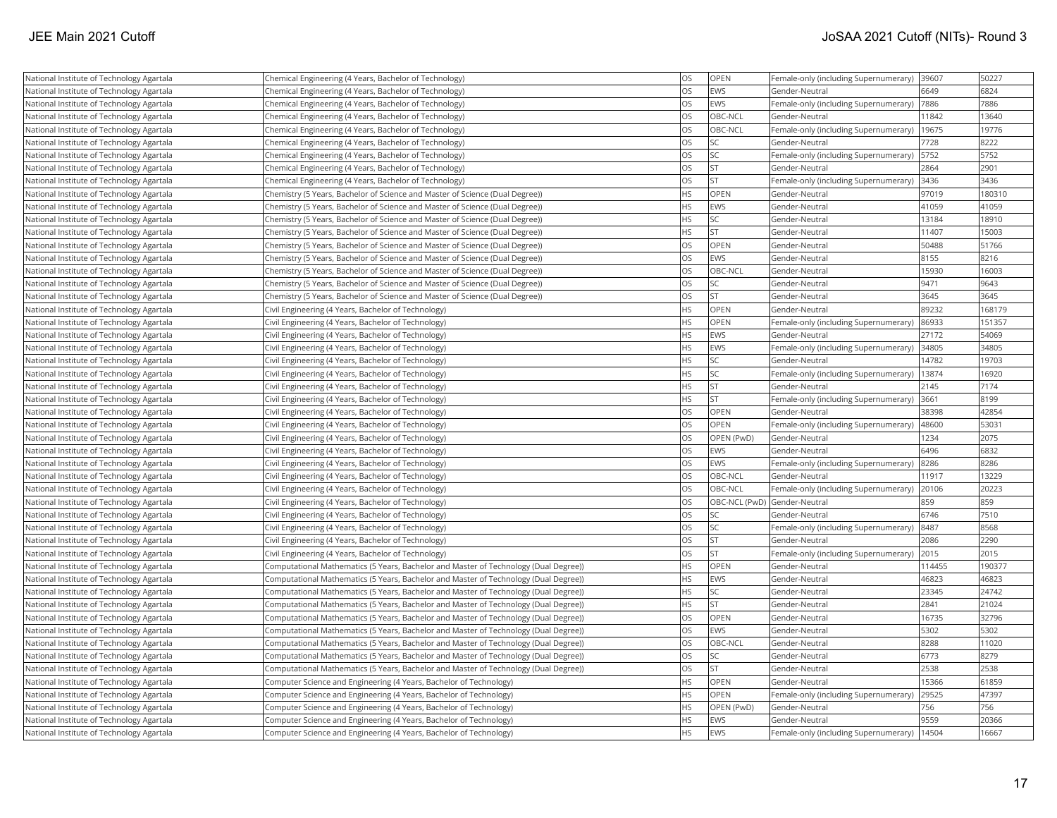| National Institute of Technology Agartala | Chemical Engineering (4 Years, Bachelor of Technology)                               | <b>OS</b> | OPEN                         | Female-only (including Supernumerary) | 39607  | 50227  |
|-------------------------------------------|--------------------------------------------------------------------------------------|-----------|------------------------------|---------------------------------------|--------|--------|
| National Institute of Technology Agartala | Chemical Engineering (4 Years, Bachelor of Technology)                               | <b>OS</b> | EWS                          | Gender-Neutral                        | 6649   | 6824   |
| National Institute of Technology Agartala | Chemical Engineering (4 Years, Bachelor of Technology)                               | <b>OS</b> | EWS                          | Female-only (including Supernumerary) | 7886   | 7886   |
| National Institute of Technology Agartala | Chemical Engineering (4 Years, Bachelor of Technology)                               | <b>OS</b> | OBC-NCL                      | Gender-Neutral                        | 11842  | 13640  |
| National Institute of Technology Agartala | Chemical Engineering (4 Years, Bachelor of Technology)                               | <b>OS</b> | OBC-NCL                      | Female-only (including Supernumerary) | 19675  | 19776  |
| National Institute of Technology Agartala | Chemical Engineering (4 Years, Bachelor of Technology)                               | <b>OS</b> | <b>SC</b>                    | Gender-Neutral                        | 7728   | 8222   |
| National Institute of Technology Agartala | Chemical Engineering (4 Years, Bachelor of Technology)                               | <b>OS</b> | <b>SC</b>                    | Female-only (including Supernumerary) | 5752   | 5752   |
| National Institute of Technology Agartala | Chemical Engineering (4 Years, Bachelor of Technology)                               | <b>OS</b> | <b>ST</b>                    | Gender-Neutral                        | 2864   | 2901   |
| National Institute of Technology Agartala | Chemical Engineering (4 Years, Bachelor of Technology)                               | <b>OS</b> | <b>ST</b>                    | Female-only (including Supernumerary) | 3436   | 3436   |
| National Institute of Technology Agartala | Chemistry (5 Years, Bachelor of Science and Master of Science (Dual Degree))         | <b>HS</b> | OPEN                         | Gender-Neutral                        | 97019  | 180310 |
| National Institute of Technology Agartala | Chemistry (5 Years, Bachelor of Science and Master of Science (Dual Degree))         | <b>HS</b> | EWS                          | Gender-Neutral                        | 41059  | 41059  |
| National Institute of Technology Agartala | Chemistry (5 Years, Bachelor of Science and Master of Science (Dual Degree))         | <b>HS</b> | <b>SC</b>                    | Gender-Neutral                        | 13184  | 18910  |
| National Institute of Technology Agartala | Chemistry (5 Years, Bachelor of Science and Master of Science (Dual Degree))         | <b>HS</b> | <b>ST</b>                    | Gender-Neutral                        | 11407  | 15003  |
| National Institute of Technology Agartala | Chemistry (5 Years, Bachelor of Science and Master of Science (Dual Degree))         | <b>OS</b> | OPEN                         | Gender-Neutral                        | 50488  | 51766  |
| National Institute of Technology Agartala | Chemistry (5 Years, Bachelor of Science and Master of Science (Dual Degree))         | <b>OS</b> | EWS                          | Gender-Neutral                        | 8155   | 8216   |
| National Institute of Technology Agartala | Chemistry (5 Years, Bachelor of Science and Master of Science (Dual Degree))         | <b>OS</b> | OBC-NCL                      | Gender-Neutral                        | 15930  | 16003  |
| National Institute of Technology Agartala | Chemistry (5 Years, Bachelor of Science and Master of Science (Dual Degree))         | <b>OS</b> | <b>SC</b>                    | Gender-Neutral                        | 9471   | 9643   |
| National Institute of Technology Agartala | Chemistry (5 Years, Bachelor of Science and Master of Science (Dual Degree))         | <b>OS</b> | <b>ST</b>                    | Gender-Neutral                        | 3645   | 3645   |
| National Institute of Technology Agartala | Civil Engineering (4 Years, Bachelor of Technology)                                  | <b>HS</b> | OPEN                         | Gender-Neutral                        | 89232  | 168179 |
| National Institute of Technology Agartala | Civil Engineering (4 Years, Bachelor of Technology)                                  | <b>HS</b> | <b>OPEN</b>                  | Female-only (including Supernumerary) | 86933  | 151357 |
| National Institute of Technology Agartala | Civil Engineering (4 Years, Bachelor of Technology)                                  | <b>HS</b> | EWS                          | Gender-Neutral                        | 27172  | 54069  |
| National Institute of Technology Agartala | Civil Engineering (4 Years, Bachelor of Technology)                                  | <b>HS</b> | EWS                          | Female-only (including Supernumerary) | 34805  | 34805  |
| National Institute of Technology Agartala | Civil Engineering (4 Years, Bachelor of Technology)                                  | <b>HS</b> | <b>SC</b>                    | Gender-Neutral                        | 14782  | 19703  |
| National Institute of Technology Agartala | Civil Engineering (4 Years, Bachelor of Technology)                                  | <b>HS</b> | <b>SC</b>                    | Female-only (including Supernumerary) | 13874  | 16920  |
| National Institute of Technology Agartala | Civil Engineering (4 Years, Bachelor of Technology)                                  | <b>HS</b> | <b>ST</b>                    | Gender-Neutral                        | 2145   | 7174   |
| National Institute of Technology Agartala | Civil Engineering (4 Years, Bachelor of Technology)                                  | <b>HS</b> | <b>ST</b>                    | Female-only (including Supernumerary) | 3661   | 8199   |
| National Institute of Technology Agartala | Civil Engineering (4 Years, Bachelor of Technology)                                  | <b>OS</b> | OPEN                         | Gender-Neutral                        | 38398  | 42854  |
| National Institute of Technology Agartala | Civil Engineering (4 Years, Bachelor of Technology)                                  | <b>OS</b> | <b>OPEN</b>                  | Female-only (including Supernumerary) | 48600  | 53031  |
| National Institute of Technology Agartala | Civil Engineering (4 Years, Bachelor of Technology)                                  | <b>OS</b> | OPEN (PwD)                   | Gender-Neutral                        | 1234   | 2075   |
| National Institute of Technology Agartala | Civil Engineering (4 Years, Bachelor of Technology)                                  | <b>OS</b> | EWS                          | Gender-Neutral                        | 6496   | 6832   |
| National Institute of Technology Agartala | Civil Engineering (4 Years, Bachelor of Technology)                                  | <b>OS</b> | EWS                          | Female-only (including Supernumerary) | 8286   | 8286   |
| National Institute of Technology Agartala | Civil Engineering (4 Years, Bachelor of Technology)                                  | <b>OS</b> | OBC-NCL                      | Gender-Neutral                        | 11917  | 13229  |
| National Institute of Technology Agartala | Civil Engineering (4 Years, Bachelor of Technology)                                  | <b>OS</b> | <b>OBC-NCL</b>               | Female-only (including Supernumerary) | 20106  | 20223  |
| National Institute of Technology Agartala | Civil Engineering (4 Years, Bachelor of Technology)                                  | <b>OS</b> | OBC-NCL (PwD) Gender-Neutral |                                       | 859    | 859    |
| National Institute of Technology Agartala | Civil Engineering (4 Years, Bachelor of Technology)                                  | <b>OS</b> | <b>SC</b>                    | Gender-Neutral                        | 6746   | 7510   |
| National Institute of Technology Agartala | Civil Engineering (4 Years, Bachelor of Technology)                                  | <b>OS</b> | <b>SC</b>                    | Female-only (including Supernumerary) | 8487   | 8568   |
| National Institute of Technology Agartala | Civil Engineering (4 Years, Bachelor of Technology)                                  | <b>OS</b> | <b>ST</b>                    | Gender-Neutral                        | 2086   | 2290   |
| National Institute of Technology Agartala | Civil Engineering (4 Years, Bachelor of Technology)                                  | <b>OS</b> | lst                          | Female-only (including Supernumerary) | 2015   | 2015   |
| National Institute of Technology Agartala | Computational Mathematics (5 Years, Bachelor and Master of Technology (Dual Degree)) | <b>HS</b> | <b>OPEN</b>                  | Gender-Neutral                        | 114455 | 190377 |
| National Institute of Technology Agartala | Computational Mathematics (5 Years, Bachelor and Master of Technology (Dual Degree)) | <b>HS</b> | EWS                          | Gender-Neutral                        | 46823  | 46823  |
| National Institute of Technology Agartala | Computational Mathematics (5 Years, Bachelor and Master of Technology (Dual Degree)) | <b>HS</b> | lsc                          | Gender-Neutral                        | 23345  | 24742  |
| National Institute of Technology Agartala | Computational Mathematics (5 Years, Bachelor and Master of Technology (Dual Degree)) | <b>HS</b> | <b>ST</b>                    | Gender-Neutral                        | 2841   | 21024  |
| National Institute of Technology Agartala | Computational Mathematics (5 Years, Bachelor and Master of Technology (Dual Degree)) | <b>OS</b> | OPEN                         | Gender-Neutral                        | 16735  | 32796  |
| National Institute of Technology Agartala | Computational Mathematics (5 Years, Bachelor and Master of Technology (Dual Degree)) | <b>OS</b> | EWS                          | Gender-Neutral                        | 5302   | 5302   |
| National Institute of Technology Agartala | Computational Mathematics (5 Years, Bachelor and Master of Technology (Dual Degree)) | <b>OS</b> | OBC-NCL                      | Gender-Neutral                        | 8288   | 11020  |
| National Institute of Technology Agartala | Computational Mathematics (5 Years, Bachelor and Master of Technology (Dual Degree)) | <b>OS</b> | <b>SC</b>                    | Gender-Neutral                        | 6773   | 8279   |
| National Institute of Technology Agartala | Computational Mathematics (5 Years, Bachelor and Master of Technology (Dual Degree)) | <b>OS</b> | <b>ST</b>                    | Gender-Neutral                        | 2538   | 2538   |
| National Institute of Technology Agartala | Computer Science and Engineering (4 Years, Bachelor of Technology)                   | <b>HS</b> | <b>OPEN</b>                  | Gender-Neutral                        | 15366  | 61859  |
| National Institute of Technology Agartala | Computer Science and Engineering (4 Years, Bachelor of Technology)                   | <b>HS</b> | <b>OPEN</b>                  | Female-only (including Supernumerary) | 29525  | 47397  |
| National Institute of Technology Agartala | Computer Science and Engineering (4 Years, Bachelor of Technology)                   | <b>HS</b> | OPEN (PwD)                   | Gender-Neutral                        | 756    | 756    |
| National Institute of Technology Agartala | Computer Science and Engineering (4 Years, Bachelor of Technology)                   | <b>HS</b> | EWS                          | Gender-Neutral                        | 9559   | 20366  |
| National Institute of Technology Agartala | Computer Science and Engineering (4 Years, Bachelor of Technology)                   | <b>HS</b> | EWS                          | Female-only (including Supernumerary) | 14504  | 16667  |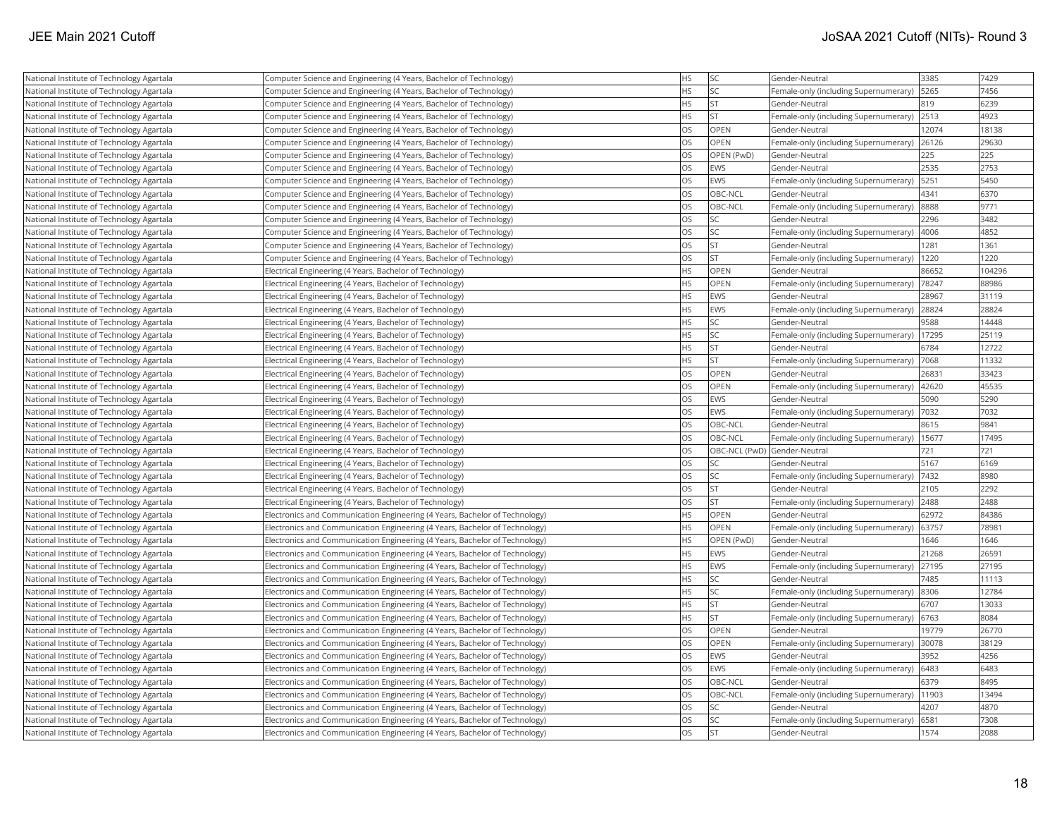| National Institute of Technology Agartala | Computer Science and Engineering (4 Years, Bachelor of Technology)          | <b>HS</b> | <b>SC</b>                    | Gender-Neutral                        | 3385  | 7429   |
|-------------------------------------------|-----------------------------------------------------------------------------|-----------|------------------------------|---------------------------------------|-------|--------|
| National Institute of Technology Agartala | Computer Science and Engineering (4 Years, Bachelor of Technology)          | <b>HS</b> | <b>SC</b>                    | Female-only (including Supernumerary) | 5265  | 7456   |
| National Institute of Technology Agartala | Computer Science and Engineering (4 Years, Bachelor of Technology)          | <b>HS</b> | <b>ST</b>                    | Gender-Neutral                        | 819   | 6239   |
| National Institute of Technology Agartala | Computer Science and Engineering (4 Years, Bachelor of Technology)          | <b>HS</b> | <b>ST</b>                    | Female-only (including Supernumerary) | 2513  | 4923   |
| National Institute of Technology Agartala | Computer Science and Engineering (4 Years, Bachelor of Technology)          | <b>OS</b> | <b>OPEN</b>                  | Gender-Neutral                        | 12074 | 18138  |
| National Institute of Technology Agartala | Computer Science and Engineering (4 Years, Bachelor of Technology)          | <b>OS</b> | OPEN                         | Female-only (including Supernumerary) | 26126 | 29630  |
| National Institute of Technology Agartala | Computer Science and Engineering (4 Years, Bachelor of Technology)          | <b>OS</b> | OPEN (PwD)                   | Gender-Neutral                        | 225   | 225    |
| National Institute of Technology Agartala | Computer Science and Engineering (4 Years, Bachelor of Technology)          | <b>OS</b> | <b>EWS</b>                   | Gender-Neutral                        | 2535  | 2753   |
| National Institute of Technology Agartala | Computer Science and Engineering (4 Years, Bachelor of Technology)          | <b>OS</b> | EWS                          | Female-only (including Supernumerary) | 5251  | 5450   |
| National Institute of Technology Agartala | Computer Science and Engineering (4 Years, Bachelor of Technology)          | <b>OS</b> | OBC-NCL                      | Gender-Neutral                        | 4341  | 6370   |
| National Institute of Technology Agartala | Computer Science and Engineering (4 Years, Bachelor of Technology)          | <b>OS</b> | OBC-NCL                      | Female-only (including Supernumerary) | 8888  | 9771   |
| National Institute of Technology Agartala | Computer Science and Engineering (4 Years, Bachelor of Technology)          | <b>OS</b> | <b>SC</b>                    | Gender-Neutral                        | 2296  | 3482   |
| National Institute of Technology Agartala | Computer Science and Engineering (4 Years, Bachelor of Technology)          | <b>OS</b> | <b>SC</b>                    | Female-only (including Supernumerary) | 4006  | 4852   |
| National Institute of Technology Agartala | Computer Science and Engineering (4 Years, Bachelor of Technology)          | <b>OS</b> | <b>ST</b>                    | Gender-Neutral                        | 1281  | 1361   |
| National Institute of Technology Agartala | Computer Science and Engineering (4 Years, Bachelor of Technology)          | <b>OS</b> | <b>ST</b>                    | Female-only (including Supernumerary) | 1220  | 1220   |
| National Institute of Technology Agartala | Electrical Engineering (4 Years, Bachelor of Technology)                    | <b>HS</b> | <b>OPEN</b>                  | Gender-Neutral                        | 86652 | 104296 |
| National Institute of Technology Agartala | Electrical Engineering (4 Years, Bachelor of Technology)                    | <b>HS</b> | OPEN                         | Female-only (including Supernumerary) | 78247 | 88986  |
| National Institute of Technology Agartala | Electrical Engineering (4 Years, Bachelor of Technology)                    | <b>HS</b> | EWS                          | Gender-Neutral                        | 28967 | 31119  |
| National Institute of Technology Agartala | Electrical Engineering (4 Years, Bachelor of Technology)                    | <b>HS</b> | EWS                          | Female-only (including Supernumerary) | 28824 | 28824  |
| National Institute of Technology Agartala | Electrical Engineering (4 Years, Bachelor of Technology)                    | <b>HS</b> | <b>SC</b>                    | Gender-Neutral                        | 9588  | 14448  |
| National Institute of Technology Agartala | Electrical Engineering (4 Years, Bachelor of Technology)                    | <b>HS</b> | <b>SC</b>                    | Female-only (including Supernumerary) | 17295 | 25119  |
| National Institute of Technology Agartala | Electrical Engineering (4 Years, Bachelor of Technology)                    | <b>HS</b> | <b>ST</b>                    | Gender-Neutral                        | 6784  | 12722  |
| National Institute of Technology Agartala | Electrical Engineering (4 Years, Bachelor of Technology)                    | <b>HS</b> | <b>ST</b>                    | Female-only (including Supernumerary) | 7068  | 11332  |
| National Institute of Technology Agartala | Electrical Engineering (4 Years, Bachelor of Technology)                    | <b>OS</b> | <b>OPEN</b>                  | Gender-Neutral                        | 26831 | 33423  |
| National Institute of Technology Agartala | Electrical Engineering (4 Years, Bachelor of Technology)                    | <b>OS</b> | OPEN                         | Female-only (including Supernumerary) | 42620 | 45535  |
| National Institute of Technology Agartala | Electrical Engineering (4 Years, Bachelor of Technology)                    | <b>OS</b> | EWS                          | Gender-Neutral                        | 5090  | 5290   |
| National Institute of Technology Agartala | Electrical Engineering (4 Years, Bachelor of Technology)                    | <b>OS</b> | EWS                          | Female-only (including Supernumerary) | 7032  | 7032   |
| National Institute of Technology Agartala | Electrical Engineering (4 Years, Bachelor of Technology)                    | <b>OS</b> | OBC-NCL                      | Gender-Neutral                        | 8615  | 9841   |
| National Institute of Technology Agartala | Electrical Engineering (4 Years, Bachelor of Technology)                    | <b>OS</b> | OBC-NCL                      | Female-only (including Supernumerary) | 15677 | 17495  |
| National Institute of Technology Agartala | Electrical Engineering (4 Years, Bachelor of Technology)                    | <b>OS</b> | OBC-NCL (PwD) Gender-Neutral |                                       | 721   | 721    |
| National Institute of Technology Agartala | Electrical Engineering (4 Years, Bachelor of Technology)                    | <b>OS</b> | <b>SC</b>                    | Gender-Neutral                        | 5167  | 6169   |
| National Institute of Technology Agartala | Electrical Engineering (4 Years, Bachelor of Technology)                    | <b>OS</b> | <b>SC</b>                    | Female-only (including Supernumerary) | 7432  | 8980   |
| National Institute of Technology Agartala | Electrical Engineering (4 Years, Bachelor of Technology)                    | <b>OS</b> | <b>ST</b>                    | Gender-Neutral                        | 2105  | 2292   |
| National Institute of Technology Agartala | Electrical Engineering (4 Years, Bachelor of Technology)                    | <b>OS</b> | <b>ST</b>                    | Female-only (including Supernumerary) | 2488  | 2488   |
| National Institute of Technology Agartala | Electronics and Communication Engineering (4 Years, Bachelor of Technology) | <b>HS</b> | <b>OPEN</b>                  | Gender-Neutral                        | 62972 | 84386  |
| National Institute of Technology Agartala | Electronics and Communication Engineering (4 Years, Bachelor of Technology) | <b>HS</b> | OPEN                         | Female-only (including Supernumerary) | 63757 | 78981  |
| National Institute of Technology Agartala | Electronics and Communication Engineering (4 Years, Bachelor of Technology) | <b>HS</b> | OPEN (PwD)                   | Gender-Neutral                        | 1646  | 1646   |
| National Institute of Technology Agartala | Electronics and Communication Engineering (4 Years, Bachelor of Technology) | <b>HS</b> | EWS                          | Gender-Neutral                        | 21268 | 26591  |
| National Institute of Technology Agartala | Electronics and Communication Engineering (4 Years, Bachelor of Technology) | <b>HS</b> | EWS                          | Female-only (including Supernumerary) | 27195 | 27195  |
| National Institute of Technology Agartala | Electronics and Communication Engineering (4 Years, Bachelor of Technology) | <b>HS</b> | lsc                          | Gender-Neutral                        | 7485  | 11113  |
| National Institute of Technology Agartala | Electronics and Communication Engineering (4 Years, Bachelor of Technology) | <b>HS</b> | <b>SC</b>                    | Female-only (including Supernumerary) | 8306  | 12784  |
| National Institute of Technology Agartala | Electronics and Communication Engineering (4 Years, Bachelor of Technology) | <b>HS</b> | <b>ST</b>                    | Gender-Neutral                        | 6707  | 13033  |
| National Institute of Technology Agartala | Electronics and Communication Engineering (4 Years, Bachelor of Technology) | <b>HS</b> | <b>ST</b>                    | Female-only (including Supernumerary) | 6763  | 8084   |
| National Institute of Technology Agartala | Electronics and Communication Engineering (4 Years, Bachelor of Technology) | <b>OS</b> | OPEN                         | Gender-Neutral                        | 19779 | 26770  |
| National Institute of Technology Agartala | Electronics and Communication Engineering (4 Years, Bachelor of Technology) | <b>OS</b> | <b>OPEN</b>                  | Female-only (including Supernumerary) | 30078 | 38129  |
| National Institute of Technology Agartala | Electronics and Communication Engineering (4 Years, Bachelor of Technology) | <b>OS</b> | EWS                          | Gender-Neutral                        | 3952  | 4256   |
| National Institute of Technology Agartala | Electronics and Communication Engineering (4 Years, Bachelor of Technology) | <b>OS</b> | EWS                          | Female-only (including Supernumerary) | 6483  | 6483   |
| National Institute of Technology Agartala | Electronics and Communication Engineering (4 Years, Bachelor of Technology) | <b>OS</b> | OBC-NCL                      | Gender-Neutral                        | 6379  | 8495   |
| National Institute of Technology Agartala | Electronics and Communication Engineering (4 Years, Bachelor of Technology) | <b>OS</b> | OBC-NCL                      | Female-only (including Supernumerary) | 11903 | 13494  |
| National Institute of Technology Agartala | Electronics and Communication Engineering (4 Years, Bachelor of Technology) | <b>OS</b> | <b>SC</b>                    | Gender-Neutral                        | 4207  | 4870   |
| National Institute of Technology Agartala | Electronics and Communication Engineering (4 Years, Bachelor of Technology) | <b>OS</b> | <b>SC</b>                    | Female-only (including Supernumerary) | 6581  | 7308   |
| National Institute of Technology Agartala | Electronics and Communication Engineering (4 Years, Bachelor of Technology) | <b>OS</b> | İst                          | Gender-Neutral                        | 1574  | 2088   |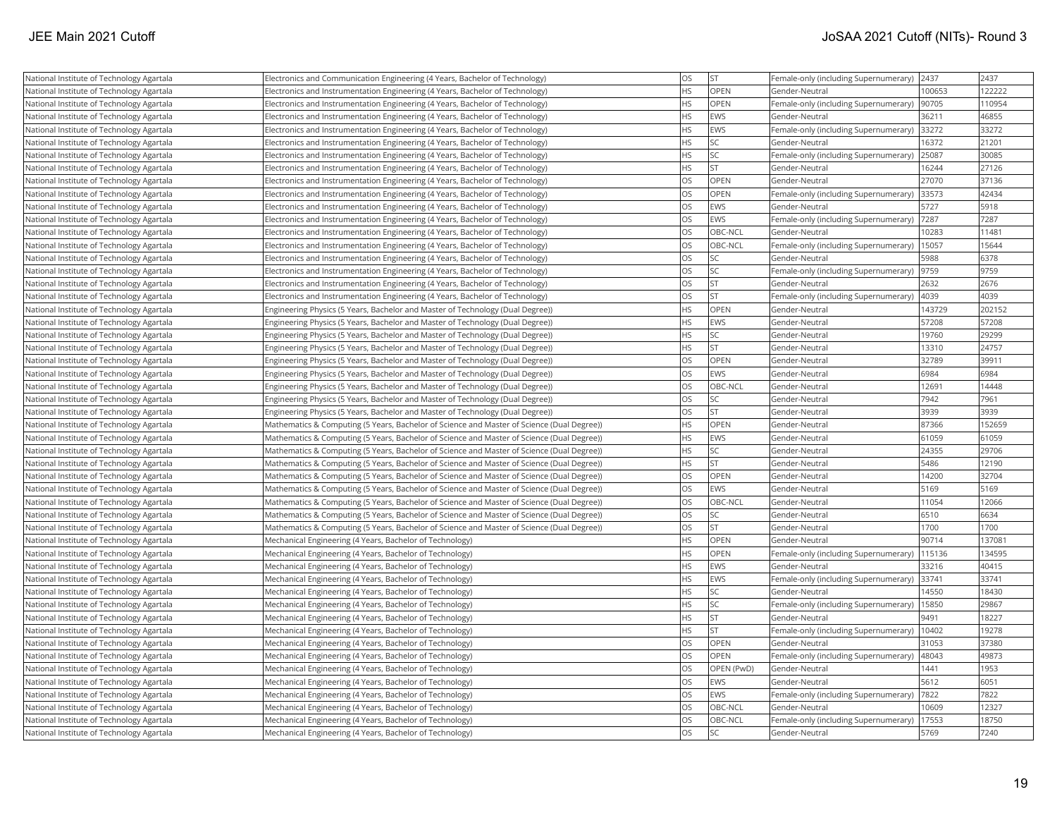| National Institute of Technology Agartala | Electronics and Communication Engineering (4 Years, Bachelor of Technology)                | OS        | <b>ST</b>   | Female-only (including Supernumerary) | 2437   | 2437   |
|-------------------------------------------|--------------------------------------------------------------------------------------------|-----------|-------------|---------------------------------------|--------|--------|
| National Institute of Technology Agartala | Electronics and Instrumentation Engineering (4 Years, Bachelor of Technology)              | <b>HS</b> | <b>OPEN</b> | Gender-Neutral                        | 100653 | 122222 |
| National Institute of Technology Agartala | Electronics and Instrumentation Engineering (4 Years, Bachelor of Technology)              | <b>HS</b> | OPEN        | Female-only (including Supernumerary) | 90705  | 110954 |
| National Institute of Technology Agartala | Electronics and Instrumentation Engineering (4 Years, Bachelor of Technology)              | <b>HS</b> | EWS         | Gender-Neutral                        | 36211  | 46855  |
| National Institute of Technology Agartala | Electronics and Instrumentation Engineering (4 Years, Bachelor of Technology)              | <b>HS</b> | <b>EWS</b>  | Female-only (including Supernumerary) | 33272  | 33272  |
| National Institute of Technology Agartala | Electronics and Instrumentation Engineering (4 Years, Bachelor of Technology)              | HS        | <b>SC</b>   | Gender-Neutral                        | 16372  | 21201  |
| National Institute of Technology Agartala | Electronics and Instrumentation Engineering (4 Years, Bachelor of Technology)              | <b>HS</b> | <b>SC</b>   | Female-only (including Supernumerary) | 25087  | 30085  |
| National Institute of Technology Agartala | Electronics and Instrumentation Engineering (4 Years, Bachelor of Technology)              | <b>HS</b> | <b>ST</b>   | Gender-Neutral                        | 16244  | 27126  |
| National Institute of Technology Agartala | Electronics and Instrumentation Engineering (4 Years, Bachelor of Technology)              | <b>OS</b> | OPEN        | Gender-Neutral                        | 27070  | 37136  |
| National Institute of Technology Agartala | Electronics and Instrumentation Engineering (4 Years, Bachelor of Technology)              | <b>OS</b> | <b>OPEN</b> | Female-only (including Supernumerary) | 33573  | 42434  |
| National Institute of Technology Agartala | Electronics and Instrumentation Engineering (4 Years, Bachelor of Technology)              | <b>OS</b> | EWS         | Gender-Neutral                        | 5727   | 5918   |
| National Institute of Technology Agartala | Electronics and Instrumentation Engineering (4 Years, Bachelor of Technology)              | <b>OS</b> | EWS         | Female-only (including Supernumerary) | 7287   | 7287   |
| National Institute of Technology Agartala | Electronics and Instrumentation Engineering (4 Years, Bachelor of Technology)              | <b>OS</b> | OBC-NCL     | Gender-Neutral                        | 10283  | 11481  |
| National Institute of Technology Agartala | Electronics and Instrumentation Engineering (4 Years, Bachelor of Technology)              | <b>OS</b> | OBC-NCL     | Female-only (including Supernumerary) | 15057  | 15644  |
| National Institute of Technology Agartala | Electronics and Instrumentation Engineering (4 Years, Bachelor of Technology)              | <b>OS</b> | <b>SC</b>   | Gender-Neutral                        | 5988   | 6378   |
| National Institute of Technology Agartala | Electronics and Instrumentation Engineering (4 Years, Bachelor of Technology)              | <b>OS</b> | <b>SC</b>   | Female-only (including Supernumerary) | 9759   | 9759   |
| National Institute of Technology Agartala | Electronics and Instrumentation Engineering (4 Years, Bachelor of Technology)              | <b>OS</b> | <b>ST</b>   | Gender-Neutral                        | 2632   | 2676   |
| National Institute of Technology Agartala | Electronics and Instrumentation Engineering (4 Years, Bachelor of Technology)              | <b>OS</b> | lst         | Female-only (including Supernumerary) | 4039   | 4039   |
| National Institute of Technology Agartala | Engineering Physics (5 Years, Bachelor and Master of Technology (Dual Degree))             | <b>HS</b> | <b>OPEN</b> | Gender-Neutral                        | 143729 | 202152 |
| National Institute of Technology Agartala | Engineering Physics (5 Years, Bachelor and Master of Technology (Dual Degree))             | <b>HS</b> | EWS         | Gender-Neutral                        | 57208  | 57208  |
| National Institute of Technology Agartala | Engineering Physics (5 Years, Bachelor and Master of Technology (Dual Degree))             | <b>HS</b> | <b>SC</b>   | Gender-Neutral                        | 19760  | 29299  |
| National Institute of Technology Agartala | Engineering Physics (5 Years, Bachelor and Master of Technology (Dual Degree))             | <b>HS</b> | <b>ST</b>   | Gender-Neutral                        | 13310  | 24757  |
| National Institute of Technology Agartala | Engineering Physics (5 Years, Bachelor and Master of Technology (Dual Degree))             | <b>OS</b> | <b>OPEN</b> | Gender-Neutral                        | 32789  | 39911  |
| National Institute of Technology Agartala | Engineering Physics (5 Years, Bachelor and Master of Technology (Dual Degree))             | <b>OS</b> | EWS         | Gender-Neutral                        | 6984   | 6984   |
| National Institute of Technology Agartala | Engineering Physics (5 Years, Bachelor and Master of Technology (Dual Degree))             | <b>OS</b> | OBC-NCL     | Gender-Neutral                        | 12691  | 14448  |
| National Institute of Technology Agartala | Engineering Physics (5 Years, Bachelor and Master of Technology (Dual Degree))             | <b>OS</b> | <b>SC</b>   | Gender-Neutral                        | 7942   | 7961   |
| National Institute of Technology Agartala | Engineering Physics (5 Years, Bachelor and Master of Technology (Dual Degree))             | <b>OS</b> | <b>ST</b>   | Gender-Neutral                        | 3939   | 3939   |
| National Institute of Technology Agartala | Mathematics & Computing (5 Years, Bachelor of Science and Master of Science (Dual Degree)) | <b>HS</b> | <b>OPEN</b> | Gender-Neutral                        | 87366  | 152659 |
| National Institute of Technology Agartala | Mathematics & Computing (5 Years, Bachelor of Science and Master of Science (Dual Degree)) | <b>HS</b> | EWS         | Gender-Neutral                        | 61059  | 61059  |
| National Institute of Technology Agartala | Mathematics & Computing (5 Years, Bachelor of Science and Master of Science (Dual Degree)) | <b>HS</b> | SC          | Gender-Neutral                        | 24355  | 29706  |
| National Institute of Technology Agartala | Mathematics & Computing (5 Years, Bachelor of Science and Master of Science (Dual Degree)) | <b>HS</b> | <b>ST</b>   | Gender-Neutral                        | 5486   | 12190  |
| National Institute of Technology Agartala | Mathematics & Computing (5 Years, Bachelor of Science and Master of Science (Dual Degree)) | <b>OS</b> | <b>OPEN</b> | Gender-Neutral                        | 14200  | 32704  |
| National Institute of Technology Agartala | Mathematics & Computing (5 Years, Bachelor of Science and Master of Science (Dual Degree)) | <b>OS</b> | EWS         | Gender-Neutral                        | 5169   | 5169   |
| National Institute of Technology Agartala | Mathematics & Computing (5 Years, Bachelor of Science and Master of Science (Dual Degree)) | <b>OS</b> | OBC-NCL     | Gender-Neutral                        | 11054  | 12066  |
| National Institute of Technology Agartala | Mathematics & Computing (5 Years, Bachelor of Science and Master of Science (Dual Degree)) | <b>OS</b> | <b>SC</b>   | Gender-Neutral                        | 6510   | 6634   |
| National Institute of Technology Agartala | Mathematics & Computing (5 Years, Bachelor of Science and Master of Science (Dual Degree)) | <b>OS</b> | İst         | Gender-Neutral                        | 1700   | 1700   |
| National Institute of Technology Agartala | Mechanical Engineering (4 Years, Bachelor of Technology)                                   | <b>HS</b> | OPEN        | Gender-Neutral                        | 90714  | 137081 |
| National Institute of Technology Agartala | Mechanical Engineering (4 Years, Bachelor of Technology)                                   | <b>HS</b> | OPEN        | Female-only (including Supernumerary) | 115136 | 134595 |
| National Institute of Technology Agartala | Mechanical Engineering (4 Years, Bachelor of Technology)                                   | HS        | EWS         | Gender-Neutral                        | 33216  | 40415  |
| National Institute of Technology Agartala | Mechanical Engineering (4 Years, Bachelor of Technology)                                   | <b>HS</b> | EWS         | Female-only (including Supernumerary) | 33741  | 33741  |
| National Institute of Technology Agartala | Mechanical Engineering (4 Years, Bachelor of Technology)                                   | <b>HS</b> | <b>SC</b>   | Gender-Neutral                        | 14550  | 18430  |
| National Institute of Technology Agartala | Mechanical Engineering (4 Years, Bachelor of Technology)                                   | <b>HS</b> | <b>SC</b>   | Female-only (including Supernumerary) | 15850  | 29867  |
| National Institute of Technology Agartala | Mechanical Engineering (4 Years, Bachelor of Technology)                                   | <b>HS</b> | <b>ST</b>   | Gender-Neutral                        | 9491   | 18227  |
| National Institute of Technology Agartala | Mechanical Engineering (4 Years, Bachelor of Technology)                                   | <b>HS</b> | lst         | Female-only (including Supernumerary) | 10402  | 19278  |
| National Institute of Technology Agartala | Mechanical Engineering (4 Years, Bachelor of Technology)                                   | <b>OS</b> | OPEN        | Gender-Neutral                        | 31053  | 37380  |
| National Institute of Technology Agartala | Mechanical Engineering (4 Years, Bachelor of Technology)                                   | <b>OS</b> | OPEN        | Female-only (including Supernumerary) | 48043  | 49873  |
| National Institute of Technology Agartala | Mechanical Engineering (4 Years, Bachelor of Technology)                                   | <b>OS</b> | OPEN (PwD)  | Gender-Neutral                        | 1441   | 1953   |
| National Institute of Technology Agartala | Mechanical Engineering (4 Years, Bachelor of Technology)                                   | <b>OS</b> | EWS         | Gender-Neutral                        | 5612   | 6051   |
| National Institute of Technology Agartala | Mechanical Engineering (4 Years, Bachelor of Technology)                                   | <b>OS</b> | <b>EWS</b>  | Female-only (including Supernumerary) | 7822   | 7822   |
| National Institute of Technology Agartala | Mechanical Engineering (4 Years, Bachelor of Technology)                                   | <b>OS</b> | OBC-NCL     | Gender-Neutral                        | 10609  | 12327  |
| National Institute of Technology Agartala | Mechanical Engineering (4 Years, Bachelor of Technology)                                   | <b>OS</b> | OBC-NCL     | Female-only (including Supernumerary) | 17553  | 18750  |
| National Institute of Technology Agartala | Mechanical Engineering (4 Years, Bachelor of Technology)                                   | <b>OS</b> | <b>SC</b>   | Gender-Neutral                        | 5769   | 7240   |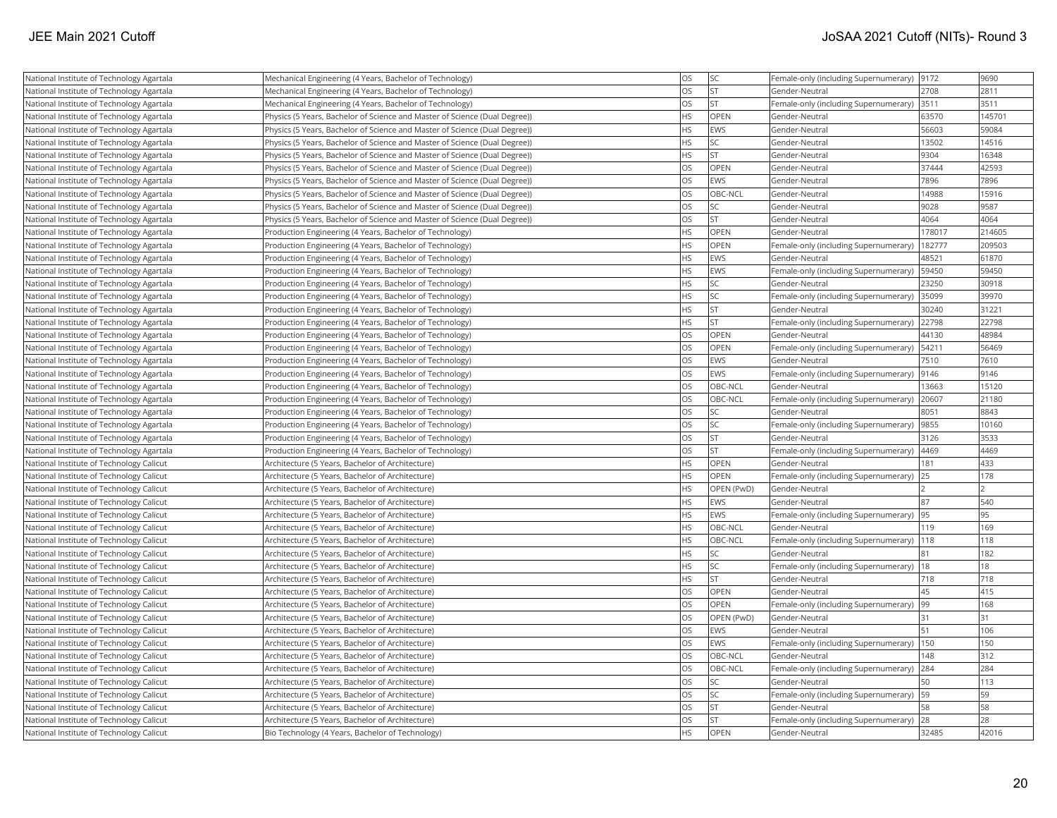| National Institute of Technology Agartala | Mechanical Engineering (4 Years, Bachelor of Technology)                   | <b>OS</b>  | SC              | Female-only (including Supernumerary)  9172  |        | 9690   |
|-------------------------------------------|----------------------------------------------------------------------------|------------|-----------------|----------------------------------------------|--------|--------|
| National Institute of Technology Agartala | Mechanical Engineering (4 Years, Bachelor of Technology)                   | los        | İst             | Gender-Neutral                               | 2708   | 2811   |
| National Institute of Technology Agartala | Mechanical Engineering (4 Years, Bachelor of Technology)                   | los        | lst             | Female-only (including Supernumerary)        | 3511   | 3511   |
| National Institute of Technology Agartala | Physics (5 Years, Bachelor of Science and Master of Science (Dual Degree)) | <b>HS</b>  | <b>OPEN</b>     | Gender-Neutral                               | 63570  | 145701 |
| National Institute of Technology Agartala | Physics (5 Years, Bachelor of Science and Master of Science (Dual Degree)) | <b>HS</b>  | EWS             | Gender-Neutral                               | 56603  | 59084  |
| National Institute of Technology Agartala | Physics (5 Years, Bachelor of Science and Master of Science (Dual Degree)) | <b>HS</b>  | SC              | Gender-Neutral                               | 13502  | 14516  |
| National Institute of Technology Agartala | Physics (5 Years, Bachelor of Science and Master of Science (Dual Degree)) | <b>HS</b>  | İst             | Gender-Neutral                               | 9304   | 16348  |
| National Institute of Technology Agartala | Physics (5 Years, Bachelor of Science and Master of Science (Dual Degree)) | <b>OS</b>  | OPEN            | Gender-Neutral                               | 37444  | 42593  |
| National Institute of Technology Agartala | Physics (5 Years, Bachelor of Science and Master of Science (Dual Degree)) | los        | <b>EWS</b>      | Gender-Neutral                               | 7896   | 7896   |
| National Institute of Technology Agartala | Physics (5 Years, Bachelor of Science and Master of Science (Dual Degree)) | <b>OS</b>  | OBC-NCL         | Gender-Neutral                               | 14988  | 15916  |
| National Institute of Technology Agartala | Physics (5 Years, Bachelor of Science and Master of Science (Dual Degree)) | los        | SC.             | Gender-Neutral                               | 9028   | 9587   |
| National Institute of Technology Agartala | Physics (5 Years, Bachelor of Science and Master of Science (Dual Degree)) | <b>OS</b>  | lst             | Gender-Neutral                               | 4064   | 4064   |
| National Institute of Technology Agartala | Production Engineering (4 Years, Bachelor of Technology)                   | <b>HS</b>  | OPEN            | Gender-Neutral                               | 178017 | 214605 |
| National Institute of Technology Agartala | Production Engineering (4 Years, Bachelor of Technology)                   | <b>HS</b>  | <b>OPEN</b>     | Female-only (including Supernumerary)        | 182777 | 209503 |
| National Institute of Technology Agartala | Production Engineering (4 Years, Bachelor of Technology)                   | <b>HS</b>  | <b>EWS</b>      | Gender-Neutral                               | 48521  | 61870  |
| National Institute of Technology Agartala | Production Engineering (4 Years, Bachelor of Technology)                   | <b>HS</b>  | EWS             | Female-only (including Supernumerary)        | 59450  | 59450  |
| National Institute of Technology Agartala | Production Engineering (4 Years, Bachelor of Technology)                   | <b>HS</b>  | SC              | Gender-Neutral                               | 23250  | 30918  |
| National Institute of Technology Agartala | Production Engineering (4 Years, Bachelor of Technology)                   | <b>HS</b>  | SC <sub>1</sub> | Female-only (including Supernumerary)        | 35099  | 39970  |
| National Institute of Technology Agartala | Production Engineering (4 Years, Bachelor of Technology)                   | <b>HS</b>  | lst.            | Gender-Neutral                               | 30240  | 31221  |
| National Institute of Technology Agartala | Production Engineering (4 Years, Bachelor of Technology)                   | <b>HS</b>  | Ist             | Female-only (including Supernumerary)        | 22798  | 22798  |
| National Institute of Technology Agartala | Production Engineering (4 Years, Bachelor of Technology)                   | <b>OS</b>  | <b>OPEN</b>     | Gender-Neutral                               | 44130  | 48984  |
| National Institute of Technology Agartala | Production Engineering (4 Years, Bachelor of Technology)                   | <b>OS</b>  | OPEN            | Female-only (including Supernumerary)        | 54211  | 56469  |
| National Institute of Technology Agartala | Production Engineering (4 Years, Bachelor of Technology)                   | <b>OS</b>  | <b>EWS</b>      | Gender-Neutral                               | 7510   | 7610   |
| National Institute of Technology Agartala | Production Engineering (4 Years, Bachelor of Technology)                   | los        | EWS             | Female-only (including Supernumerary)        | 9146   | 9146   |
| National Institute of Technology Agartala | Production Engineering (4 Years, Bachelor of Technology)                   | <b>OS</b>  | OBC-NCL         | Gender-Neutral                               | 13663  | 15120  |
| National Institute of Technology Agartala | Production Engineering (4 Years, Bachelor of Technology)                   | <b>OS</b>  | OBC-NCL         | Female-only (including Supernumerary)        | 20607  | 21180  |
| National Institute of Technology Agartala | Production Engineering (4 Years, Bachelor of Technology)                   | <b>OS</b>  | SC              | Gender-Neutral                               | 8051   | 8843   |
| National Institute of Technology Agartala | Production Engineering (4 Years, Bachelor of Technology)                   | los        | <b>SC</b>       | Female-only (including Supernumerary)        | 9855   | 10160  |
| National Institute of Technology Agartala | Production Engineering (4 Years, Bachelor of Technology)                   | los        | <b>ST</b>       | Gender-Neutral                               | 3126   | 3533   |
| National Institute of Technology Agartala | Production Engineering (4 Years, Bachelor of Technology)                   | <b>OS</b>  | <b>ST</b>       | Female-only (including Supernumerary)   4469 |        | 4469   |
| National Institute of Technology Calicut  | Architecture (5 Years, Bachelor of Architecture)                           | <b>HS</b>  | OPEN            | Gender-Neutral                               | 181    | 433    |
| National Institute of Technology Calicut  | Architecture (5 Years, Bachelor of Architecture)                           | <b>HS</b>  | OPEN            | Female-only (including Supernumerary)        | 25     | 178    |
| National Institute of Technology Calicut  | Architecture (5 Years, Bachelor of Architecture)                           | <b>HS</b>  | OPEN (PwD)      | Gender-Neutral                               |        |        |
| National Institute of Technology Calicut  | Architecture (5 Years, Bachelor of Architecture)                           | <b>HS</b>  | <b>EWS</b>      | Gender-Neutral                               | 87     | 540    |
| National Institute of Technology Calicut  | Architecture (5 Years, Bachelor of Architecture)                           | <b>HS</b>  | EWS             | Female-only (including Supernumerary) 95     |        | 95     |
| National Institute of Technology Calicut  | Architecture (5 Years, Bachelor of Architecture)                           | <b>HS</b>  | OBC-NCL         | Gender-Neutral                               | 119    | 169    |
| National Institute of Technology Calicut  | Architecture (5 Years, Bachelor of Architecture)                           | <b>HS</b>  | OBC-NCL         | Female-only (including Supernumerary)        | 118    | 118    |
| National Institute of Technology Calicut  | Architecture (5 Years, Bachelor of Architecture)                           | <b>HS</b>  | SC.             | Gender-Neutral                               | 81     | 182    |
| National Institute of Technology Calicut  | Architecture (5 Years, Bachelor of Architecture)                           | <b>HS</b>  | SC              | Female-only (including Supernumerary)   18   |        | 18     |
| National Institute of Technology Calicut  | Architecture (5 Years, Bachelor of Architecture)                           | <b>HS</b>  | <b>ST</b>       | Gender-Neutral                               | 718    | 718    |
| National Institute of Technology Calicut  | Architecture (5 Years, Bachelor of Architecture)                           | los        | OPEN            | Gender-Neutral                               | 45     | 415    |
| National Institute of Technology Calicut  | Architecture (5 Years, Bachelor of Architecture)                           | <b>OS</b>  | OPEN            | Female-only (including Supernumerary)        | 99     | 168    |
| National Institute of Technology Calicut  | Architecture (5 Years, Bachelor of Architecture)                           | <b>OS</b>  | OPEN (PwD)      | Gender-Neutral                               | 31     | 31     |
| National Institute of Technology Calicut  | Architecture (5 Years, Bachelor of Architecture)                           | los        | <b>EWS</b>      | Gender-Neutral                               | 51     | 106    |
| National Institute of Technology Calicut  | Architecture (5 Years, Bachelor of Architecture)                           | <b>OS</b>  | <b>EWS</b>      | Female-only (including Supernumerary)        | 150    | 150    |
| National Institute of Technology Calicut  | Architecture (5 Years, Bachelor of Architecture)                           | los        | OBC-NCL         | Gender-Neutral                               | 148    | 312    |
| National Institute of Technology Calicut  | Architecture (5 Years, Bachelor of Architecture)                           | <b>OS</b>  | OBC-NCL         | Female-only (including Supernumerary) 284    |        | 284    |
| National Institute of Technology Calicut  | Architecture (5 Years, Bachelor of Architecture)                           | <b>OS</b>  | SC              | Gender-Neutral                               | 50     | 113    |
| National Institute of Technology Calicut  | Architecture (5 Years, Bachelor of Architecture)                           | los        | SC.             | Female-only (including Supernumerary)   59   |        | 59     |
| National Institute of Technology Calicut  | Architecture (5 Years, Bachelor of Architecture)                           | los        | <b>ST</b>       | Gender-Neutral                               | 58     | 58     |
| National Institute of Technology Calicut  | Architecture (5 Years, Bachelor of Architecture)                           | los        | <b>ST</b>       | Female-only (including Supernumerary) 28     |        | 28     |
| National Institute of Technology Calicut  | Bio Technology (4 Years, Bachelor of Technology)                           | <b>IHS</b> | OPEN            | Gender-Neutral                               | 32485  | 42016  |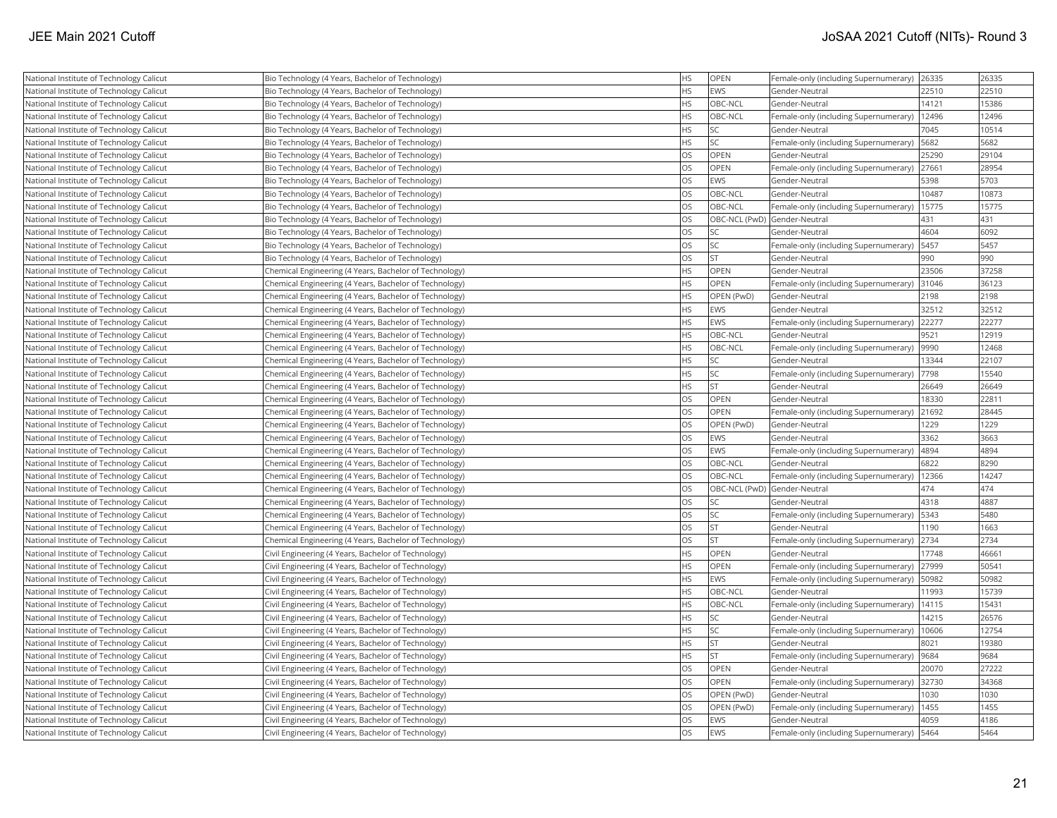| National Institute of Technology Calicut | Bio Technology (4 Years, Bachelor of Technology)       | <b>HS</b> | OPEN                         | Female-only (including Supernumerary) | 26335 | 26335 |
|------------------------------------------|--------------------------------------------------------|-----------|------------------------------|---------------------------------------|-------|-------|
| National Institute of Technology Calicut | Bio Technology (4 Years, Bachelor of Technology)       | <b>HS</b> | EWS                          | Gender-Neutral                        | 22510 | 22510 |
| National Institute of Technology Calicut | Bio Technology (4 Years, Bachelor of Technology)       | <b>HS</b> | OBC-NCL                      | Gender-Neutral                        | 14121 | 15386 |
| National Institute of Technology Calicut | Bio Technology (4 Years, Bachelor of Technology)       | <b>HS</b> | <b>OBC-NCL</b>               | Female-only (including Supernumerary) | 12496 | 12496 |
| National Institute of Technology Calicut | Bio Technology (4 Years, Bachelor of Technology)       | <b>HS</b> | <b>SC</b>                    | Gender-Neutral                        | 7045  | 10514 |
| National Institute of Technology Calicut | Bio Technology (4 Years, Bachelor of Technology)       | <b>HS</b> | <b>SC</b>                    | Female-only (including Supernumerary) | 5682  | 5682  |
| National Institute of Technology Calicut | Bio Technology (4 Years, Bachelor of Technology)       | <b>OS</b> | <b>OPEN</b>                  | Gender-Neutral                        | 25290 | 29104 |
| National Institute of Technology Calicut | Bio Technology (4 Years, Bachelor of Technology)       | <b>OS</b> | <b>OPEN</b>                  | Female-only (including Supernumerary) | 27661 | 28954 |
| National Institute of Technology Calicut | Bio Technology (4 Years, Bachelor of Technology)       | <b>OS</b> | EWS                          | Gender-Neutral                        | 5398  | 5703  |
| National Institute of Technology Calicut | Bio Technology (4 Years, Bachelor of Technology)       | <b>OS</b> | OBC-NCL                      | Gender-Neutral                        | 10487 | 10873 |
| National Institute of Technology Calicut | Bio Technology (4 Years, Bachelor of Technology)       | <b>OS</b> | OBC-NCL                      | Female-only (including Supernumerary) | 15775 | 15775 |
| National Institute of Technology Calicut | Bio Technology (4 Years, Bachelor of Technology)       | <b>OS</b> |                              | OBC-NCL (PwD) Gender-Neutral          | 431   | 431   |
| National Institute of Technology Calicut | Bio Technology (4 Years, Bachelor of Technology)       | <b>OS</b> | <b>SC</b>                    | Gender-Neutral                        | 4604  | 6092  |
| National Institute of Technology Calicut | Bio Technology (4 Years, Bachelor of Technology)       | <b>OS</b> | <b>SC</b>                    | Female-only (including Supernumerary) | 5457  | 5457  |
| National Institute of Technology Calicut | Bio Technology (4 Years, Bachelor of Technology)       | <b>OS</b> | <b>ST</b>                    | Gender-Neutral                        | 990   | 990   |
| National Institute of Technology Calicut | Chemical Engineering (4 Years, Bachelor of Technology) | HS        | <b>OPEN</b>                  | Gender-Neutral                        | 23506 | 37258 |
| National Institute of Technology Calicut | Chemical Engineering (4 Years, Bachelor of Technology) | <b>HS</b> | <b>OPEN</b>                  | Female-only (including Supernumerary) | 31046 | 36123 |
| National Institute of Technology Calicut | Chemical Engineering (4 Years, Bachelor of Technology) | <b>HS</b> | OPEN (PwD)                   | Gender-Neutral                        | 2198  | 2198  |
| National Institute of Technology Calicut | Chemical Engineering (4 Years, Bachelor of Technology) | <b>HS</b> | EWS                          | Gender-Neutral                        | 32512 | 32512 |
| National Institute of Technology Calicut | Chemical Engineering (4 Years, Bachelor of Technology) | <b>HS</b> | EWS                          | Female-only (including Supernumerary) | 22277 | 22277 |
| National Institute of Technology Calicut | Chemical Engineering (4 Years, Bachelor of Technology) | <b>HS</b> | OBC-NCL                      | Gender-Neutral                        | 9521  | 12919 |
| National Institute of Technology Calicut | Chemical Engineering (4 Years, Bachelor of Technology) | <b>HS</b> | OBC-NCL                      | Female-only (including Supernumerary) | 9990  | 12468 |
| National Institute of Technology Calicut | Chemical Engineering (4 Years, Bachelor of Technology) | <b>HS</b> | <b>SC</b>                    | Gender-Neutral                        | 13344 | 22107 |
| National Institute of Technology Calicut | Chemical Engineering (4 Years, Bachelor of Technology) | <b>HS</b> | SC                           | Female-only (including Supernumerary) | 7798  | 15540 |
| National Institute of Technology Calicut | Chemical Engineering (4 Years, Bachelor of Technology) | <b>HS</b> | lst                          | Gender-Neutral                        | 26649 | 26649 |
| National Institute of Technology Calicut | Chemical Engineering (4 Years, Bachelor of Technology) | <b>OS</b> | OPEN                         | Gender-Neutral                        | 18330 | 22811 |
| National Institute of Technology Calicut | Chemical Engineering (4 Years, Bachelor of Technology) | <b>OS</b> | OPEN                         | Female-only (including Supernumerary) | 21692 | 28445 |
| National Institute of Technology Calicut | Chemical Engineering (4 Years, Bachelor of Technology) | <b>OS</b> | OPEN (PwD)                   | Gender-Neutral                        | 1229  | 1229  |
| National Institute of Technology Calicut | Chemical Engineering (4 Years, Bachelor of Technology) | <b>OS</b> | <b>EWS</b>                   | Gender-Neutral                        | 3362  | 3663  |
| National Institute of Technology Calicut | Chemical Engineering (4 Years, Bachelor of Technology) | <b>OS</b> | EWS                          | Female-only (including Supernumerary) | 4894  | 4894  |
| National Institute of Technology Calicut | Chemical Engineering (4 Years, Bachelor of Technology) | <b>OS</b> | OBC-NCL                      | Gender-Neutral                        | 6822  | 8290  |
| National Institute of Technology Calicut | Chemical Engineering (4 Years, Bachelor of Technology) | <b>OS</b> | OBC-NCL                      | Female-only (including Supernumerary) | 12366 | 14247 |
| National Institute of Technology Calicut | Chemical Engineering (4 Years, Bachelor of Technology) | <b>OS</b> | OBC-NCL (PwD) Gender-Neutral |                                       | 474   | 474   |
| National Institute of Technology Calicut | Chemical Engineering (4 Years, Bachelor of Technology) | <b>OS</b> | <b>SC</b>                    | Gender-Neutral                        | 4318  | 4887  |
| National Institute of Technology Calicut | Chemical Engineering (4 Years, Bachelor of Technology) | <b>OS</b> | <b>SC</b>                    | Female-only (including Supernumerary) | 5343  | 5480  |
| National Institute of Technology Calicut | Chemical Engineering (4 Years, Bachelor of Technology) | <b>OS</b> | <b>ST</b>                    | Gender-Neutral                        | 1190  | 1663  |
| National Institute of Technology Calicut | Chemical Engineering (4 Years, Bachelor of Technology) | <b>OS</b> | <b>ST</b>                    | Female-only (including Supernumerary) | 2734  | 2734  |
| National Institute of Technology Calicut | Civil Engineering (4 Years, Bachelor of Technology)    | <b>HS</b> | <b>OPEN</b>                  | Gender-Neutral                        | 17748 | 46661 |
| National Institute of Technology Calicut | Civil Engineering (4 Years, Bachelor of Technology)    | <b>HS</b> | OPEN                         | Female-only (including Supernumerary) | 27999 | 50541 |
| National Institute of Technology Calicut | Civil Engineering (4 Years, Bachelor of Technology)    | <b>HS</b> | EWS                          | Female-only (including Supernumerary) | 50982 | 50982 |
| National Institute of Technology Calicut | Civil Engineering (4 Years, Bachelor of Technology)    | <b>HS</b> | OBC-NCL                      | Gender-Neutral                        | 11993 | 15739 |
| National Institute of Technology Calicut | Civil Engineering (4 Years, Bachelor of Technology)    | <b>HS</b> | OBC-NCL                      | Female-only (including Supernumerary) | 14115 | 15431 |
| National Institute of Technology Calicut | Civil Engineering (4 Years, Bachelor of Technology)    | <b>HS</b> | <b>SC</b>                    | Gender-Neutral                        | 14215 | 26576 |
| National Institute of Technology Calicut | Civil Engineering (4 Years, Bachelor of Technology)    | HS        | <b>SC</b>                    | Female-only (including Supernumerary) | 10606 | 12754 |
| National Institute of Technology Calicut | Civil Engineering (4 Years, Bachelor of Technology)    | <b>HS</b> | <b>ST</b>                    | Gender-Neutral                        | 8021  | 19380 |
| National Institute of Technology Calicut | Civil Engineering (4 Years, Bachelor of Technology)    | <b>HS</b> | lst                          | Female-only (including Supernumerary) | 9684  | 9684  |
| National Institute of Technology Calicut | Civil Engineering (4 Years, Bachelor of Technology)    | <b>OS</b> | <b>OPEN</b>                  | Gender-Neutral                        | 20070 | 27222 |
| National Institute of Technology Calicut | Civil Engineering (4 Years, Bachelor of Technology)    | <b>OS</b> | <b>OPEN</b>                  | Female-only (including Supernumerary) | 32730 | 34368 |
| National Institute of Technology Calicut | Civil Engineering (4 Years, Bachelor of Technology)    | <b>OS</b> | OPEN (PwD)                   | Gender-Neutral                        | 1030  | 1030  |
| National Institute of Technology Calicut | Civil Engineering (4 Years, Bachelor of Technology)    | <b>OS</b> | OPEN (PwD)                   | Female-only (including Supernumerary) | 1455  | 1455  |
| National Institute of Technology Calicut | Civil Engineering (4 Years, Bachelor of Technology)    | <b>OS</b> | EWS                          | Gender-Neutral                        | 4059  | 4186  |
| National Institute of Technology Calicut | Civil Engineering (4 Years, Bachelor of Technology)    | <b>OS</b> | EWS                          | Female-only (including Supernumerary) | 5464  | 5464  |
|                                          |                                                        |           |                              |                                       |       |       |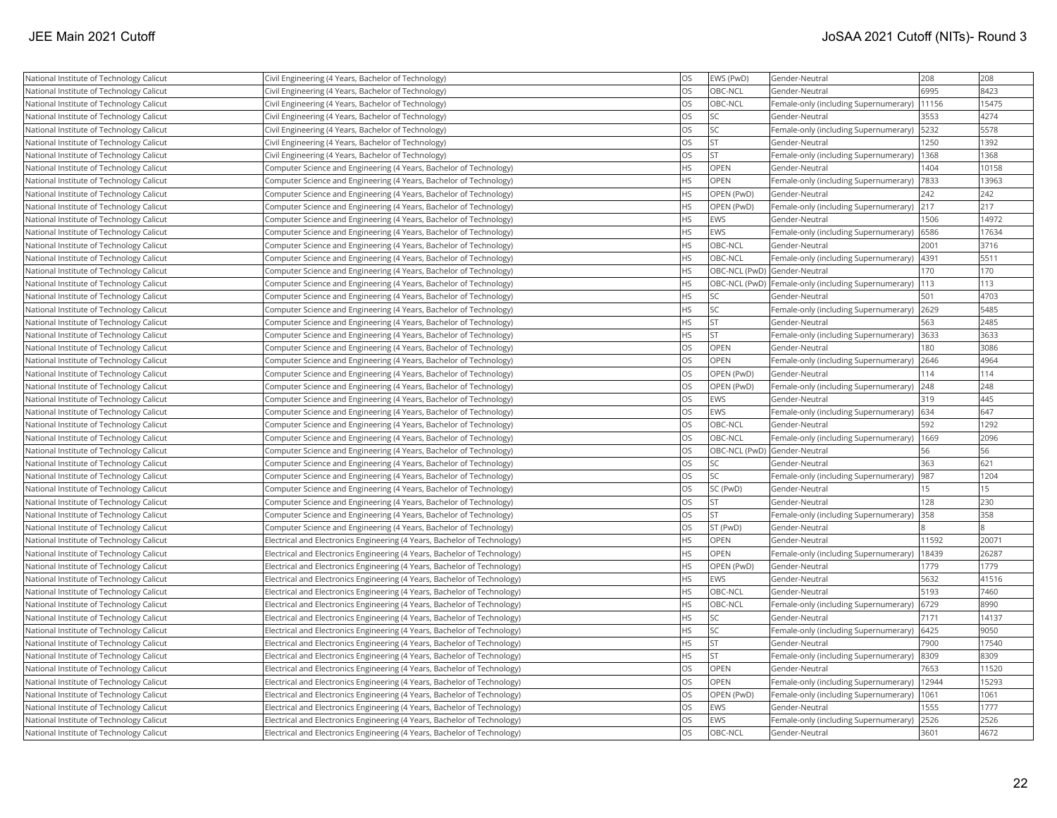| National Institute of Technology Calicut | Civil Engineering (4 Years, Bachelor of Technology)                      | <b>OS</b> | EWS (PwD)                    | Gender-Neutral                                      | 208   | 208   |
|------------------------------------------|--------------------------------------------------------------------------|-----------|------------------------------|-----------------------------------------------------|-------|-------|
| National Institute of Technology Calicut | Civil Engineering (4 Years, Bachelor of Technology)                      | <b>OS</b> | OBC-NCL                      | Gender-Neutral                                      | 6995  | 8423  |
| National Institute of Technology Calicut | Civil Engineering (4 Years, Bachelor of Technology)                      | <b>OS</b> | OBC-NCL                      | Female-only (including Supernumerary)               | 11156 | 15475 |
| National Institute of Technology Calicut | Civil Engineering (4 Years, Bachelor of Technology)                      | <b>OS</b> | <b>SC</b>                    | Gender-Neutral                                      | 3553  | 4274  |
| National Institute of Technology Calicut | Civil Engineering (4 Years, Bachelor of Technology)                      | <b>OS</b> | <b>SC</b>                    | Female-only (including Supernumerary)               | 5232  | 5578  |
| National Institute of Technology Calicut | Civil Engineering (4 Years, Bachelor of Technology)                      | <b>OS</b> | <b>ST</b>                    | Gender-Neutral                                      | 1250  | 1392  |
| National Institute of Technology Calicut | Civil Engineering (4 Years, Bachelor of Technology)                      | <b>OS</b> | lst                          | Female-only (including Supernumerary)               | 1368  | 1368  |
| National Institute of Technology Calicut | Computer Science and Engineering (4 Years, Bachelor of Technology)       | <b>HS</b> | <b>OPEN</b>                  | Gender-Neutral                                      | 1404  | 10158 |
| National Institute of Technology Calicut | Computer Science and Engineering (4 Years, Bachelor of Technology)       | <b>HS</b> | OPEN                         | Female-only (including Supernumerary)               | 7833  | 13963 |
| National Institute of Technology Calicut | Computer Science and Engineering (4 Years, Bachelor of Technology)       | <b>HS</b> | OPEN (PwD)                   | Gender-Neutral                                      | 242   | 242   |
| National Institute of Technology Calicut | Computer Science and Engineering (4 Years, Bachelor of Technology)       | <b>HS</b> | OPEN (PwD)                   | Female-only (including Supernumerary)               | 217   | 217   |
| National Institute of Technology Calicut | Computer Science and Engineering (4 Years, Bachelor of Technology)       | <b>HS</b> | <b>EWS</b>                   | Gender-Neutral                                      | 1506  | 14972 |
| National Institute of Technology Calicut | Computer Science and Engineering (4 Years, Bachelor of Technology)       | <b>HS</b> | EWS                          | Female-only (including Supernumerary)               | 6586  | 17634 |
| National Institute of Technology Calicut | Computer Science and Engineering (4 Years, Bachelor of Technology)       | <b>HS</b> | OBC-NCL                      | Gender-Neutral                                      | 2001  | 3716  |
| National Institute of Technology Calicut | Computer Science and Engineering (4 Years, Bachelor of Technology)       | <b>HS</b> | OBC-NCL                      | Female-only (including Supernumerary)               | 4391  | 5511  |
| National Institute of Technology Calicut | Computer Science and Engineering (4 Years, Bachelor of Technology)       | <b>HS</b> | OBC-NCL (PwD) Gender-Neutral |                                                     | 170   | 170   |
| National Institute of Technology Calicut | Computer Science and Engineering (4 Years, Bachelor of Technology)       | <b>HS</b> |                              | OBC-NCL (PwD) Female-only (including Supernumerary) | 113   | 113   |
| National Institute of Technology Calicut | Computer Science and Engineering (4 Years, Bachelor of Technology)       | <b>HS</b> | <b>SC</b>                    | Gender-Neutral                                      | 501   | 4703  |
| National Institute of Technology Calicut | Computer Science and Engineering (4 Years, Bachelor of Technology)       | <b>HS</b> | <b>SC</b>                    | Female-only (including Supernumerary)               | 2629  | 5485  |
| National Institute of Technology Calicut | Computer Science and Engineering (4 Years, Bachelor of Technology)       | <b>HS</b> | İst                          | Gender-Neutral                                      | 563   | 2485  |
| National Institute of Technology Calicut | Computer Science and Engineering (4 Years, Bachelor of Technology)       | <b>HS</b> | <b>ST</b>                    | Female-only (including Supernumerary)               | 3633  | 3633  |
| National Institute of Technology Calicut | Computer Science and Engineering (4 Years, Bachelor of Technology)       | <b>OS</b> | OPEN                         | Gender-Neutral                                      | 180   | 3086  |
| National Institute of Technology Calicut | Computer Science and Engineering (4 Years, Bachelor of Technology)       | <b>OS</b> | OPEN                         | Female-only (including Supernumerary)               | 2646  | 4964  |
| National Institute of Technology Calicut | Computer Science and Engineering (4 Years, Bachelor of Technology)       | <b>OS</b> | OPEN (PwD)                   | Gender-Neutral                                      | 114   | 114   |
| National Institute of Technology Calicut | Computer Science and Engineering (4 Years, Bachelor of Technology)       | <b>OS</b> | OPEN (PwD)                   | Female-only (including Supernumerary)               | 248   | 248   |
| National Institute of Technology Calicut | Computer Science and Engineering (4 Years, Bachelor of Technology)       | <b>OS</b> | EWS                          | Gender-Neutral                                      | 319   | 445   |
| National Institute of Technology Calicut | Computer Science and Engineering (4 Years, Bachelor of Technology)       | <b>OS</b> | EWS                          | Female-only (including Supernumerary)               | 634   | 647   |
| National Institute of Technology Calicut | Computer Science and Engineering (4 Years, Bachelor of Technology)       | <b>OS</b> | OBC-NCL                      | Gender-Neutral                                      | 592   | 1292  |
| National Institute of Technology Calicut | Computer Science and Engineering (4 Years, Bachelor of Technology)       | <b>OS</b> | <b>OBC-NCL</b>               | Female-only (including Supernumerary)               | 1669  | 2096  |
| National Institute of Technology Calicut | Computer Science and Engineering (4 Years, Bachelor of Technology)       | <b>OS</b> | OBC-NCL (PwD) Gender-Neutral |                                                     | 56    | 56    |
| National Institute of Technology Calicut | Computer Science and Engineering (4 Years, Bachelor of Technology)       | <b>OS</b> | <b>SC</b>                    | Gender-Neutral                                      | 363   | 621   |
| National Institute of Technology Calicut | Computer Science and Engineering (4 Years, Bachelor of Technology)       | <b>OS</b> | <b>SC</b>                    | Female-only (including Supernumerary)               | 987   | 1204  |
| National Institute of Technology Calicut | Computer Science and Engineering (4 Years, Bachelor of Technology)       | <b>OS</b> | SC (PwD)                     | Gender-Neutral                                      | 15    | 15    |
| National Institute of Technology Calicut | Computer Science and Engineering (4 Years, Bachelor of Technology)       | <b>OS</b> | <b>ST</b>                    | Gender-Neutral                                      | 128   | 230   |
| National Institute of Technology Calicut | Computer Science and Engineering (4 Years, Bachelor of Technology)       | <b>OS</b> | <b>ST</b>                    | Female-only (including Supernumerary)               | 358   | 358   |
| National Institute of Technology Calicut | Computer Science and Engineering (4 Years, Bachelor of Technology)       | <b>OS</b> | ST (PwD)                     | Gender-Neutral                                      |       |       |
| National Institute of Technology Calicut | Electrical and Electronics Engineering (4 Years, Bachelor of Technology) | <b>HS</b> | <b>OPEN</b>                  | Gender-Neutral                                      | 11592 | 20071 |
| National Institute of Technology Calicut | Electrical and Electronics Engineering (4 Years, Bachelor of Technology) | <b>HS</b> | OPEN                         | Female-only (including Supernumerary)               | 18439 | 26287 |
| National Institute of Technology Calicut | Electrical and Electronics Engineering (4 Years, Bachelor of Technology) | <b>HS</b> | OPEN (PwD)                   | Gender-Neutral                                      | 1779  | 1779  |
| National Institute of Technology Calicut | Electrical and Electronics Engineering (4 Years, Bachelor of Technology) | <b>HS</b> | EWS                          | Gender-Neutral                                      | 5632  | 41516 |
| National Institute of Technology Calicut | Electrical and Electronics Engineering (4 Years, Bachelor of Technology) | <b>HS</b> | OBC-NCL                      | Gender-Neutral                                      | 5193  | 7460  |
| National Institute of Technology Calicut | Electrical and Electronics Engineering (4 Years, Bachelor of Technology) | <b>HS</b> | OBC-NCL                      | Female-only (including Supernumerary)               | 6729  | 8990  |
| National Institute of Technology Calicut | Electrical and Electronics Engineering (4 Years, Bachelor of Technology) | <b>HS</b> | <b>SC</b>                    | Gender-Neutral                                      | 7171  | 14137 |
| National Institute of Technology Calicut | Electrical and Electronics Engineering (4 Years, Bachelor of Technology) | <b>HS</b> | <b>SC</b>                    | Female-only (including Supernumerary)               | 6425  | 9050  |
| National Institute of Technology Calicut | Electrical and Electronics Engineering (4 Years, Bachelor of Technology) | <b>HS</b> | <b>ST</b>                    | Gender-Neutral                                      | 7900  | 17540 |
| National Institute of Technology Calicut | Electrical and Electronics Engineering (4 Years, Bachelor of Technology) | <b>HS</b> | <b>ST</b>                    | Female-only (including Supernumerary)               | 8309  | 8309  |
| National Institute of Technology Calicut | Electrical and Electronics Engineering (4 Years, Bachelor of Technology) | <b>OS</b> | OPEN                         | Gender-Neutral                                      | 7653  | 11520 |
| National Institute of Technology Calicut | Electrical and Electronics Engineering (4 Years, Bachelor of Technology) | <b>OS</b> | OPEN                         | Female-only (including Supernumerary)               | 12944 | 15293 |
| National Institute of Technology Calicut | Electrical and Electronics Engineering (4 Years, Bachelor of Technology) | <b>OS</b> | OPEN (PwD)                   | Female-only (including Supernumerary)               | 1061  | 1061  |
| National Institute of Technology Calicut | Electrical and Electronics Engineering (4 Years, Bachelor of Technology) | <b>OS</b> | EWS                          | Gender-Neutral                                      | 1555  | 1777  |
| National Institute of Technology Calicut | Electrical and Electronics Engineering (4 Years, Bachelor of Technology) | <b>OS</b> | EWS                          | Female-only (including Supernumerary)               | 2526  | 2526  |
| National Institute of Technology Calicut | Electrical and Electronics Engineering (4 Years, Bachelor of Technology) | <b>OS</b> | OBC-NCL                      | Gender-Neutral                                      | 3601  | 4672  |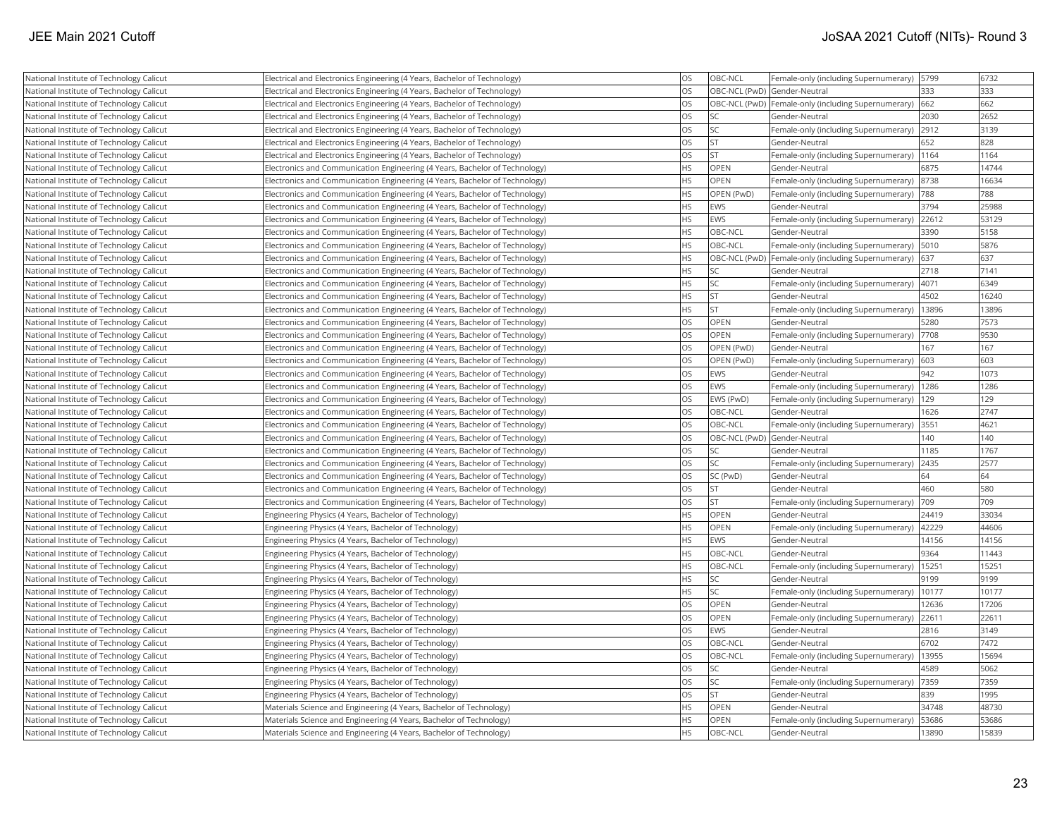| National Institute of Technology Calicut | Electrical and Electronics Engineering (4 Years, Bachelor of Technology)    | <b>OS</b> | OBC-NCL                      | Female-only (including Supernumerary)               | 5799  | 6732  |
|------------------------------------------|-----------------------------------------------------------------------------|-----------|------------------------------|-----------------------------------------------------|-------|-------|
| National Institute of Technology Calicut | Electrical and Electronics Engineering (4 Years, Bachelor of Technology)    | <b>OS</b> | OBC-NCL (PwD) Gender-Neutral |                                                     | 333   | 333   |
| National Institute of Technology Calicut | Electrical and Electronics Engineering (4 Years, Bachelor of Technology)    | <b>OS</b> |                              | OBC-NCL (PwD) Female-only (including Supernumerary) | 662   | 662   |
| National Institute of Technology Calicut | Electrical and Electronics Engineering (4 Years, Bachelor of Technology)    | <b>OS</b> | <b>SC</b>                    | Gender-Neutral                                      | 2030  | 2652  |
| National Institute of Technology Calicut | Electrical and Electronics Engineering (4 Years, Bachelor of Technology)    | <b>OS</b> | <b>SC</b>                    | Female-only (including Supernumerary)               | 2912  | 3139  |
| National Institute of Technology Calicut | Electrical and Electronics Engineering (4 Years, Bachelor of Technology)    | <b>OS</b> | <b>ST</b>                    | Gender-Neutral                                      | 652   | 828   |
| National Institute of Technology Calicut | Electrical and Electronics Engineering (4 Years, Bachelor of Technology)    | <b>OS</b> | <b>ST</b>                    | Female-only (including Supernumerary)               | 1164  | 1164  |
| National Institute of Technology Calicut | Electronics and Communication Engineering (4 Years, Bachelor of Technology) | <b>HS</b> | <b>OPEN</b>                  | Gender-Neutral                                      | 6875  | 14744 |
| National Institute of Technology Calicut | Electronics and Communication Engineering (4 Years, Bachelor of Technology) | <b>HS</b> | OPEN                         | Female-only (including Supernumerary)               | 8738  | 16634 |
| National Institute of Technology Calicut | Electronics and Communication Engineering (4 Years, Bachelor of Technology) | <b>HS</b> | OPEN (PwD)                   | Female-only (including Supernumerary)               | 788   | 788   |
| National Institute of Technology Calicut | Electronics and Communication Engineering (4 Years, Bachelor of Technology) | <b>HS</b> | EWS                          | Gender-Neutral                                      | 3794  | 25988 |
| National Institute of Technology Calicut | Electronics and Communication Engineering (4 Years, Bachelor of Technology) | <b>HS</b> | EWS                          | Female-only (including Supernumerary)               | 22612 | 53129 |
| National Institute of Technology Calicut | Electronics and Communication Engineering (4 Years, Bachelor of Technology) | <b>HS</b> | OBC-NCL                      | Gender-Neutral                                      | 3390  | 5158  |
| National Institute of Technology Calicut | Electronics and Communication Engineering (4 Years, Bachelor of Technology) | <b>HS</b> | <b>OBC-NCL</b>               | Female-only (including Supernumerary)               | 5010  | 5876  |
| National Institute of Technology Calicut | Electronics and Communication Engineering (4 Years, Bachelor of Technology) | <b>HS</b> |                              | OBC-NCL (PwD) Female-only (including Supernumerary) | 637   | 637   |
| National Institute of Technology Calicut | Electronics and Communication Engineering (4 Years, Bachelor of Technology) | <b>HS</b> | <b>SC</b>                    | Gender-Neutral                                      | 2718  | 7141  |
| National Institute of Technology Calicut | Electronics and Communication Engineering (4 Years, Bachelor of Technology) | HS        | <b>SC</b>                    | Female-only (including Supernumerary)               | 4071  | 6349  |
| National Institute of Technology Calicut | Electronics and Communication Engineering (4 Years, Bachelor of Technology) | <b>HS</b> | <b>ST</b>                    | Gender-Neutral                                      | 4502  | 16240 |
| National Institute of Technology Calicut | Electronics and Communication Engineering (4 Years, Bachelor of Technology) | <b>HS</b> | <b>ST</b>                    | Female-only (including Supernumerary)               | 13896 | 13896 |
| National Institute of Technology Calicut | Electronics and Communication Engineering (4 Years, Bachelor of Technology) | <b>OS</b> | <b>OPEN</b>                  | Gender-Neutral                                      | 5280  | 7573  |
| National Institute of Technology Calicut | Electronics and Communication Engineering (4 Years, Bachelor of Technology) | <b>OS</b> | OPEN                         | Female-only (including Supernumerary)               | 7708  | 9530  |
| National Institute of Technology Calicut | Electronics and Communication Engineering (4 Years, Bachelor of Technology) | <b>OS</b> | OPEN (PwD)                   | Gender-Neutral                                      | 167   | 167   |
| National Institute of Technology Calicut | Electronics and Communication Engineering (4 Years, Bachelor of Technology) | <b>OS</b> | OPEN (PwD)                   | Female-only (including Supernumerary)               | 603   | 603   |
| National Institute of Technology Calicut | Electronics and Communication Engineering (4 Years, Bachelor of Technology) | <b>OS</b> | EWS                          | Gender-Neutral                                      | 942   | 1073  |
| National Institute of Technology Calicut | Electronics and Communication Engineering (4 Years, Bachelor of Technology) | <b>OS</b> | EWS                          | Female-only (including Supernumerary)               | 1286  | 1286  |
| National Institute of Technology Calicut | Electronics and Communication Engineering (4 Years, Bachelor of Technology) | <b>OS</b> | EWS (PwD)                    | Female-only (including Supernumerary)               | 129   | 129   |
| National Institute of Technology Calicut | Electronics and Communication Engineering (4 Years, Bachelor of Technology) | <b>OS</b> | OBC-NCL                      | Gender-Neutral                                      | 1626  | 2747  |
| National Institute of Technology Calicut | Electronics and Communication Engineering (4 Years, Bachelor of Technology) | <b>OS</b> | OBC-NCL                      | Female-only (including Supernumerary)               | 3551  | 4621  |
| National Institute of Technology Calicut | Electronics and Communication Engineering (4 Years, Bachelor of Technology) | <b>OS</b> | OBC-NCL (PwD) Gender-Neutral |                                                     | 140   | 140   |
| National Institute of Technology Calicut | Electronics and Communication Engineering (4 Years, Bachelor of Technology) | <b>OS</b> | <b>SC</b>                    | Gender-Neutral                                      | 1185  | 1767  |
| National Institute of Technology Calicut | Electronics and Communication Engineering (4 Years, Bachelor of Technology) | <b>OS</b> | <b>SC</b>                    | Female-only (including Supernumerary)               | 2435  | 2577  |
| National Institute of Technology Calicut | Electronics and Communication Engineering (4 Years, Bachelor of Technology) | <b>OS</b> | SC (PwD)                     | Gender-Neutral                                      | 64    | 64    |
| National Institute of Technology Calicut | Electronics and Communication Engineering (4 Years, Bachelor of Technology) | <b>OS</b> | İst                          | Gender-Neutral                                      | 460   | 580   |
| National Institute of Technology Calicut | Electronics and Communication Engineering (4 Years, Bachelor of Technology) | <b>OS</b> | <b>ST</b>                    | Female-only (including Supernumerary)               | 709   | 709   |
| National Institute of Technology Calicut | Engineering Physics (4 Years, Bachelor of Technology)                       | <b>HS</b> | OPEN                         | Gender-Neutral                                      | 24419 | 33034 |
| National Institute of Technology Calicut | Engineering Physics (4 Years, Bachelor of Technology)                       | <b>HS</b> | OPEN                         | Female-only (including Supernumerary)               | 42229 | 44606 |
| National Institute of Technology Calicut | Engineering Physics (4 Years, Bachelor of Technology)                       | <b>HS</b> | EWS                          | Gender-Neutral                                      | 14156 | 14156 |
| National Institute of Technology Calicut | Engineering Physics (4 Years, Bachelor of Technology)                       | <b>HS</b> | OBC-NCL                      | Gender-Neutral                                      | 9364  | 11443 |
| National Institute of Technology Calicut | Engineering Physics (4 Years, Bachelor of Technology)                       | <b>HS</b> | OBC-NCL                      | Female-only (including Supernumerary)               | 15251 | 15251 |
| National Institute of Technology Calicut | Engineering Physics (4 Years, Bachelor of Technology)                       | HS        | <b>SC</b>                    | Gender-Neutral                                      | 9199  | 9199  |
| National Institute of Technology Calicut | Engineering Physics (4 Years, Bachelor of Technology)                       | <b>HS</b> | lsc                          | Female-only (including Supernumerary)               | 10177 | 10177 |
| National Institute of Technology Calicut | Engineering Physics (4 Years, Bachelor of Technology)                       | <b>OS</b> | OPEN                         | Gender-Neutral                                      | 12636 | 17206 |
| National Institute of Technology Calicut | Engineering Physics (4 Years, Bachelor of Technology)                       | <b>OS</b> | OPEN                         | Female-only (including Supernumerary)               | 22611 | 22611 |
| National Institute of Technology Calicut | Engineering Physics (4 Years, Bachelor of Technology)                       | <b>OS</b> | EWS                          | Gender-Neutral                                      | 2816  | 3149  |
| National Institute of Technology Calicut | Engineering Physics (4 Years, Bachelor of Technology)                       | <b>OS</b> | OBC-NCL                      | Gender-Neutral                                      | 6702  | 7472  |
| National Institute of Technology Calicut | Engineering Physics (4 Years, Bachelor of Technology)                       | <b>OS</b> | OBC-NCL                      | Female-only (including Supernumerary)               | 13955 | 15694 |
| National Institute of Technology Calicut | Engineering Physics (4 Years, Bachelor of Technology)                       | <b>OS</b> | <b>SC</b>                    | Gender-Neutral                                      | 4589  | 5062  |
| National Institute of Technology Calicut | Engineering Physics (4 Years, Bachelor of Technology)                       | <b>OS</b> | SC                           | Female-only (including Supernumerary)               | 7359  | 7359  |
| National Institute of Technology Calicut | Engineering Physics (4 Years, Bachelor of Technology)                       | <b>OS</b> | <b>ST</b>                    | Gender-Neutral                                      | 839   | 1995  |
| National Institute of Technology Calicut | Materials Science and Engineering (4 Years, Bachelor of Technology)         | <b>HS</b> | OPEN                         | Gender-Neutral                                      | 34748 | 48730 |
| National Institute of Technology Calicut | Materials Science and Engineering (4 Years, Bachelor of Technology)         | <b>HS</b> | <b>OPEN</b>                  | Female-only (including Supernumerary)               | 53686 | 53686 |
| National Institute of Technology Calicut | Materials Science and Engineering (4 Years, Bachelor of Technology)         | <b>HS</b> | <b>OBC-NCL</b>               | Gender-Neutral                                      | 13890 | 15839 |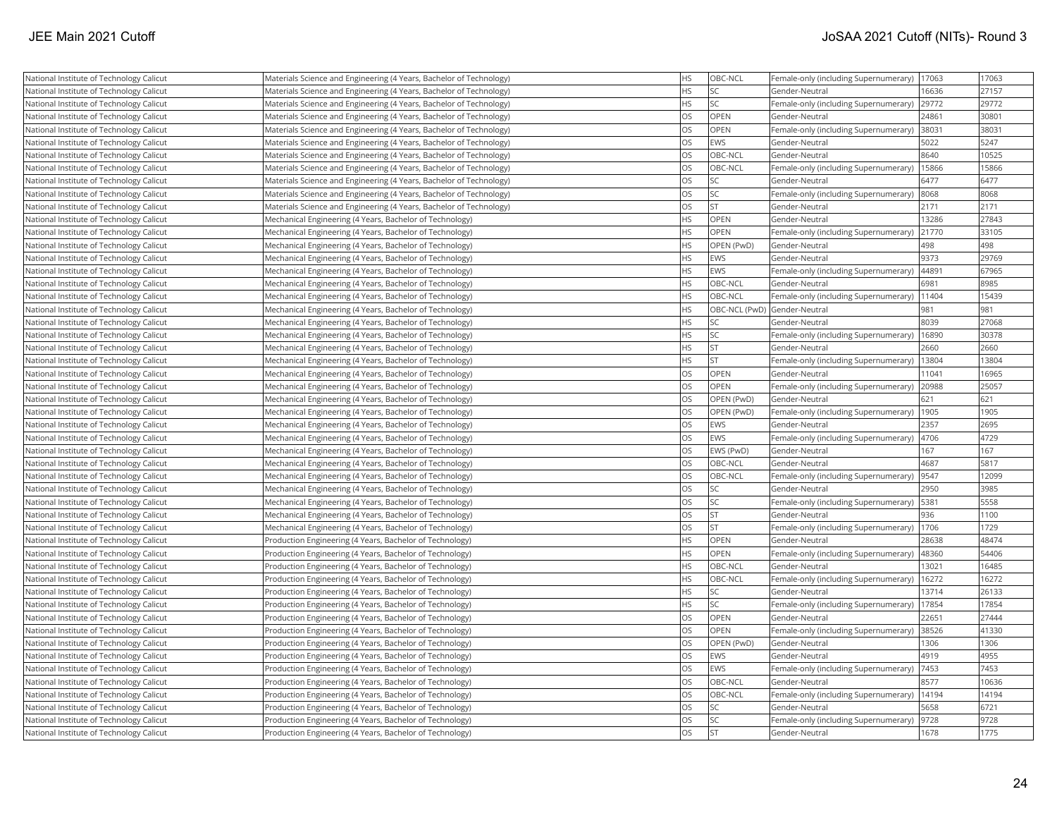| National Institute of Technology Calicut | Materials Science and Engineering (4 Years, Bachelor of Technology) | HS        | OBC-NCL                      | Female-only (including Supernumerary) | 17063 | 17063 |
|------------------------------------------|---------------------------------------------------------------------|-----------|------------------------------|---------------------------------------|-------|-------|
| National Institute of Technology Calicut | Materials Science and Engineering (4 Years, Bachelor of Technology) | <b>HS</b> | <b>SC</b>                    | Gender-Neutral                        | 16636 | 27157 |
| National Institute of Technology Calicut | Materials Science and Engineering (4 Years, Bachelor of Technology) | <b>HS</b> | <b>SC</b>                    | Female-only (including Supernumerary) | 29772 | 29772 |
| National Institute of Technology Calicut | Materials Science and Engineering (4 Years, Bachelor of Technology) | <b>OS</b> | OPEN                         | Gender-Neutral                        | 24861 | 30801 |
| National Institute of Technology Calicut | Materials Science and Engineering (4 Years, Bachelor of Technology) | <b>OS</b> | <b>OPEN</b>                  | Female-only (including Supernumerary) | 38031 | 38031 |
| National Institute of Technology Calicut | Materials Science and Engineering (4 Years, Bachelor of Technology) | <b>OS</b> | EWS                          | Gender-Neutral                        | 5022  | 5247  |
| National Institute of Technology Calicut | Materials Science and Engineering (4 Years, Bachelor of Technology) | <b>OS</b> | OBC-NCL                      | Gender-Neutral                        | 8640  | 10525 |
| National Institute of Technology Calicut | Materials Science and Engineering (4 Years, Bachelor of Technology) | <b>OS</b> | OBC-NCL                      | Female-only (including Supernumerary) | 15866 | 15866 |
| National Institute of Technology Calicut | Materials Science and Engineering (4 Years, Bachelor of Technology) | <b>OS</b> | <b>SC</b>                    | Gender-Neutral                        | 6477  | 6477  |
| National Institute of Technology Calicut | Materials Science and Engineering (4 Years, Bachelor of Technology) | <b>OS</b> | <b>SC</b>                    | Female-only (including Supernumerary) | 8068  | 8068  |
| National Institute of Technology Calicut | Materials Science and Engineering (4 Years, Bachelor of Technology) | <b>OS</b> | <b>ST</b>                    | Gender-Neutral                        | 2171  | 2171  |
| National Institute of Technology Calicut | Mechanical Engineering (4 Years, Bachelor of Technology)            | <b>HS</b> | <b>OPEN</b>                  | Gender-Neutral                        | 13286 | 27843 |
| National Institute of Technology Calicut | Mechanical Engineering (4 Years, Bachelor of Technology)            | <b>HS</b> | OPEN                         | Female-only (including Supernumerary) | 21770 | 33105 |
| National Institute of Technology Calicut | Mechanical Engineering (4 Years, Bachelor of Technology)            | <b>HS</b> | OPEN (PwD)                   | Gender-Neutral                        | 498   | 498   |
| National Institute of Technology Calicut | Mechanical Engineering (4 Years, Bachelor of Technology)            | <b>HS</b> | <b>EWS</b>                   | Gender-Neutral                        | 9373  | 29769 |
| National Institute of Technology Calicut | Mechanical Engineering (4 Years, Bachelor of Technology)            | <b>HS</b> | <b>EWS</b>                   | Female-only (including Supernumerary) | 44891 | 67965 |
| National Institute of Technology Calicut | Mechanical Engineering (4 Years, Bachelor of Technology)            | <b>HS</b> | OBC-NCL                      | Gender-Neutral                        | 6981  | 8985  |
| National Institute of Technology Calicut | Mechanical Engineering (4 Years, Bachelor of Technology)            | <b>HS</b> | OBC-NCL                      | Female-only (including Supernumerary) | 11404 | 15439 |
| National Institute of Technology Calicut | Mechanical Engineering (4 Years, Bachelor of Technology)            | <b>HS</b> | OBC-NCL (PwD) Gender-Neutral |                                       | 981   | 981   |
| National Institute of Technology Calicut | Mechanical Engineering (4 Years, Bachelor of Technology)            | <b>HS</b> | <b>SC</b>                    | Gender-Neutral                        | 8039  | 27068 |
| National Institute of Technology Calicut | Mechanical Engineering (4 Years, Bachelor of Technology)            | <b>HS</b> | <b>SC</b>                    | Female-only (including Supernumerary) | 16890 | 30378 |
| National Institute of Technology Calicut | Mechanical Engineering (4 Years, Bachelor of Technology)            | <b>HS</b> | <b>ST</b>                    | Gender-Neutral                        | 2660  | 2660  |
| National Institute of Technology Calicut | Mechanical Engineering (4 Years, Bachelor of Technology)            | <b>HS</b> | <b>ST</b>                    | Female-only (including Supernumerary) | 13804 | 13804 |
| National Institute of Technology Calicut | Mechanical Engineering (4 Years, Bachelor of Technology)            | <b>OS</b> | <b>OPEN</b>                  | Gender-Neutral                        | 11041 | 16965 |
| National Institute of Technology Calicut | Mechanical Engineering (4 Years, Bachelor of Technology)            | <b>OS</b> | <b>OPEN</b>                  | Female-only (including Supernumerary) | 20988 | 25057 |
| National Institute of Technology Calicut | Mechanical Engineering (4 Years, Bachelor of Technology)            | <b>OS</b> | OPEN (PwD)                   | Gender-Neutral                        | 621   | 621   |
| National Institute of Technology Calicut | Mechanical Engineering (4 Years, Bachelor of Technology)            | <b>OS</b> | OPEN (PwD)                   | Female-only (including Supernumerary) | 1905  | 1905  |
| National Institute of Technology Calicut | Mechanical Engineering (4 Years, Bachelor of Technology)            | <b>OS</b> | <b>EWS</b>                   | Gender-Neutral                        | 2357  | 2695  |
| National Institute of Technology Calicut | Mechanical Engineering (4 Years, Bachelor of Technology)            | <b>OS</b> | EWS                          | Female-only (including Supernumerary) | 4706  | 4729  |
| National Institute of Technology Calicut | Mechanical Engineering (4 Years, Bachelor of Technology)            | <b>OS</b> | EWS (PwD)                    | Gender-Neutral                        | 167   | 167   |
| National Institute of Technology Calicut | Mechanical Engineering (4 Years, Bachelor of Technology)            | <b>OS</b> | OBC-NCL                      | Gender-Neutral                        | 4687  | 5817  |
| National Institute of Technology Calicut | Mechanical Engineering (4 Years, Bachelor of Technology)            | <b>OS</b> | OBC-NCL                      | Female-only (including Supernumerary) | 9547  | 12099 |
| National Institute of Technology Calicut | Mechanical Engineering (4 Years, Bachelor of Technology)            | <b>OS</b> | <b>SC</b>                    | Gender-Neutral                        | 2950  | 3985  |
| National Institute of Technology Calicut | Mechanical Engineering (4 Years, Bachelor of Technology)            | <b>OS</b> | <b>SC</b>                    | Female-only (including Supernumerary) | 5381  | 5558  |
| National Institute of Technology Calicut | Mechanical Engineering (4 Years, Bachelor of Technology)            | <b>OS</b> | <b>ST</b>                    | Gender-Neutral                        | 936   | 1100  |
| National Institute of Technology Calicut | Mechanical Engineering (4 Years, Bachelor of Technology)            | <b>OS</b> | <b>ST</b>                    | Female-only (including Supernumerary) | 1706  | 1729  |
| National Institute of Technology Calicut | Production Engineering (4 Years, Bachelor of Technology)            | <b>HS</b> | OPEN                         | Gender-Neutral                        | 28638 | 48474 |
| National Institute of Technology Calicut | Production Engineering (4 Years, Bachelor of Technology)            | <b>HS</b> | <b>OPEN</b>                  | Female-only (including Supernumerary) | 48360 | 54406 |
| National Institute of Technology Calicut | Production Engineering (4 Years, Bachelor of Technology)            | <b>HS</b> | OBC-NCL                      | Gender-Neutral                        | 13021 | 16485 |
| National Institute of Technology Calicut | Production Engineering (4 Years, Bachelor of Technology)            | <b>HS</b> | OBC-NCL                      | Female-only (including Supernumerary) | 16272 | 16272 |
| National Institute of Technology Calicut | Production Engineering (4 Years, Bachelor of Technology)            | <b>HS</b> | <b>SC</b>                    | Gender-Neutral                        | 13714 | 26133 |
| National Institute of Technology Calicut | Production Engineering (4 Years, Bachelor of Technology)            | <b>HS</b> | <b>SC</b>                    | Female-only (including Supernumerary) | 17854 | 17854 |
| National Institute of Technology Calicut | Production Engineering (4 Years, Bachelor of Technology)            | <b>OS</b> | OPEN                         | Gender-Neutral                        | 22651 | 27444 |
| National Institute of Technology Calicut | Production Engineering (4 Years, Bachelor of Technology)            | <b>OS</b> | OPEN                         | Female-only (including Supernumerary) | 38526 | 41330 |
| National Institute of Technology Calicut | Production Engineering (4 Years, Bachelor of Technology)            | <b>OS</b> | OPEN (PwD)                   | Gender-Neutral                        | 1306  | 1306  |
| National Institute of Technology Calicut | Production Engineering (4 Years, Bachelor of Technology)            | <b>OS</b> | EWS                          | Gender-Neutral                        | 4919  | 4955  |
| National Institute of Technology Calicut | Production Engineering (4 Years, Bachelor of Technology)            | <b>OS</b> | EWS                          | Female-only (including Supernumerary) | 7453  | 7453  |
| National Institute of Technology Calicut | Production Engineering (4 Years, Bachelor of Technology)            | <b>OS</b> | OBC-NCL                      | Gender-Neutral                        | 8577  | 10636 |
| National Institute of Technology Calicut | Production Engineering (4 Years, Bachelor of Technology)            | <b>OS</b> | OBC-NCL                      | Female-only (including Supernumerary) | 14194 | 14194 |
| National Institute of Technology Calicut | Production Engineering (4 Years, Bachelor of Technology)            | <b>OS</b> | <b>SC</b>                    | Gender-Neutral                        | 5658  | 6721  |
| National Institute of Technology Calicut | Production Engineering (4 Years, Bachelor of Technology)            | <b>OS</b> | <b>SC</b>                    | Female-only (including Supernumerary) | 9728  | 9728  |
| National Institute of Technology Calicut | Production Engineering (4 Years, Bachelor of Technology)            | <b>OS</b> | <b>ST</b>                    | Gender-Neutral                        | 1678  | 1775  |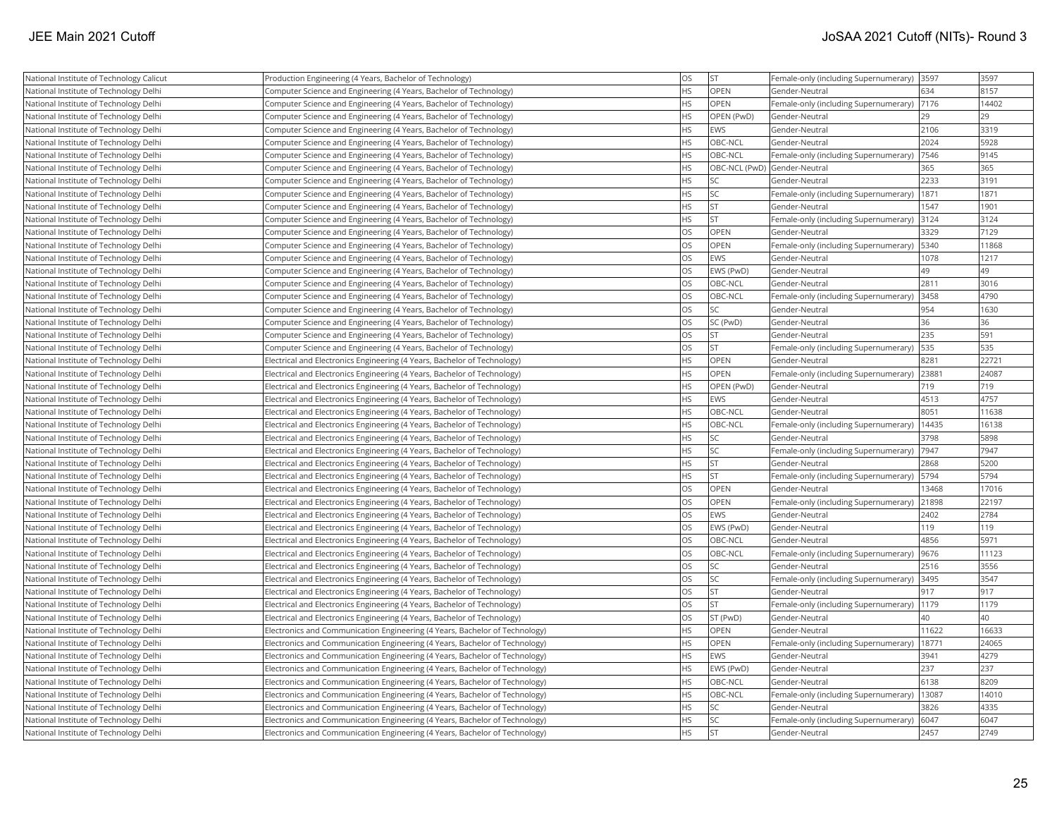| National Institute of Technology Calicut | Production Engineering (4 Years, Bachelor of Technology)                    | <b>OS</b> | <b>ST</b>  | Female-only (including Supernumerary) 3597   |       | 3597  |
|------------------------------------------|-----------------------------------------------------------------------------|-----------|------------|----------------------------------------------|-------|-------|
| National Institute of Technology Delhi   | Computer Science and Engineering (4 Years, Bachelor of Technology)          | <b>HS</b> | OPEN       | Gender-Neutral                               | 634   | 8157  |
| National Institute of Technology Delhi   | Computer Science and Engineering (4 Years, Bachelor of Technology)          | <b>HS</b> | OPEN       | Female-only (including Supernumerary)        | 7176  | 14402 |
| National Institute of Technology Delhi   | Computer Science and Engineering (4 Years, Bachelor of Technology)          | <b>HS</b> | OPEN (PwD) | Gender-Neutral                               | 29    | 29    |
| National Institute of Technology Delhi   | Computer Science and Engineering (4 Years, Bachelor of Technology)          | <b>HS</b> | EWS        | Gender-Neutral                               | 2106  | 3319  |
| National Institute of Technology Delhi   | Computer Science and Engineering (4 Years, Bachelor of Technology)          | <b>HS</b> | OBC-NCL    | Gender-Neutral                               | 2024  | 5928  |
| National Institute of Technology Delhi   | Computer Science and Engineering (4 Years, Bachelor of Technology)          | <b>HS</b> | OBC-NCL    | Female-only (including Supernumerary)        | 7546  | 9145  |
| National Institute of Technology Delhi   | Computer Science and Engineering (4 Years, Bachelor of Technology)          | <b>HS</b> |            | OBC-NCL (PwD) Gender-Neutral                 | 365   | 365   |
| National Institute of Technology Delhi   | Computer Science and Engineering (4 Years, Bachelor of Technology)          | <b>HS</b> | SC         | Gender-Neutral                               | 2233  | 3191  |
| National Institute of Technology Delhi   | Computer Science and Engineering (4 Years, Bachelor of Technology)          | <b>HS</b> | SC         | Female-only (including Supernumerary)        | 1871  | 1871  |
| National Institute of Technology Delhi   | Computer Science and Engineering (4 Years, Bachelor of Technology)          | <b>HS</b> | <b>ST</b>  | Gender-Neutral                               | 1547  | 1901  |
| National Institute of Technology Delhi   | Computer Science and Engineering (4 Years, Bachelor of Technology)          | <b>HS</b> | lst        | Female-only (including Supernumerary)        | 3124  | 3124  |
| National Institute of Technology Delhi   | Computer Science and Engineering (4 Years, Bachelor of Technology)          | <b>OS</b> | OPEN       | Gender-Neutral                               | 3329  | 7129  |
| National Institute of Technology Delhi   | Computer Science and Engineering (4 Years, Bachelor of Technology)          | los       | OPEN       | Female-only (including Supernumerary)        | 5340  | 11868 |
| National Institute of Technology Delhi   | Computer Science and Engineering (4 Years, Bachelor of Technology)          | <b>OS</b> | EWS        | Gender-Neutral                               | 1078  | 1217  |
| National Institute of Technology Delhi   | Computer Science and Engineering (4 Years, Bachelor of Technology)          | <b>OS</b> | EWS (PwD)  | Gender-Neutral                               | 49    | 49    |
| National Institute of Technology Delhi   | Computer Science and Engineering (4 Years, Bachelor of Technology)          | <b>OS</b> | OBC-NCL    | Gender-Neutral                               | 2811  | 3016  |
| National Institute of Technology Delhi   | Computer Science and Engineering (4 Years, Bachelor of Technology)          | <b>OS</b> | OBC-NCL    | Female-only (including Supernumerary)        | 3458  | 4790  |
| National Institute of Technology Delhi   | Computer Science and Engineering (4 Years, Bachelor of Technology)          | <b>OS</b> | SC         | Gender-Neutral                               | 954   | 1630  |
| National Institute of Technology Delhi   | Computer Science and Engineering (4 Years, Bachelor of Technology)          | <b>OS</b> | SC (PwD)   | Gender-Neutral                               | 36    | 36    |
| National Institute of Technology Delhi   | Computer Science and Engineering (4 Years, Bachelor of Technology)          | <b>OS</b> | lst.       | Gender-Neutral                               | 235   | 591   |
| National Institute of Technology Delhi   | Computer Science and Engineering (4 Years, Bachelor of Technology)          | <b>OS</b> | <b>ST</b>  | Female-only (including Supernumerary)        | 535   | 535   |
| National Institute of Technology Delhi   | Electrical and Electronics Engineering (4 Years, Bachelor of Technology)    | <b>HS</b> | OPEN       | Gender-Neutral                               | 8281  | 22721 |
| National Institute of Technology Delhi   | Electrical and Electronics Engineering (4 Years, Bachelor of Technology)    | <b>HS</b> | OPEN       | Female-only (including Supernumerary)        | 2388  | 24087 |
| National Institute of Technology Delhi   | Electrical and Electronics Engineering (4 Years, Bachelor of Technology)    | <b>HS</b> | OPEN (PwD) | Gender-Neutral                               | 719   | 719   |
| National Institute of Technology Delhi   | Electrical and Electronics Engineering (4 Years, Bachelor of Technology)    | <b>HS</b> | EWS        | Gender-Neutral                               | 4513  | 4757  |
| National Institute of Technology Delhi   | Electrical and Electronics Engineering (4 Years, Bachelor of Technology)    | HS        | OBC-NCL    | Gender-Neutral                               | 8051  | 11638 |
| National Institute of Technology Delhi   | Electrical and Electronics Engineering (4 Years, Bachelor of Technology)    | <b>HS</b> | OBC-NCL    | Female-only (including Supernumerary)        | 14435 | 16138 |
| National Institute of Technology Delhi   | Electrical and Electronics Engineering (4 Years, Bachelor of Technology)    | <b>HS</b> | SC         | Gender-Neutral                               | 3798  | 5898  |
| National Institute of Technology Delhi   | Electrical and Electronics Engineering (4 Years, Bachelor of Technology)    | <b>HS</b> | SC         | Female-only (including Supernumerary)        | 7947  | 7947  |
| National Institute of Technology Delhi   | Electrical and Electronics Engineering (4 Years, Bachelor of Technology)    | <b>HS</b> | <b>ST</b>  | Gender-Neutral                               | 2868  | 5200  |
| National Institute of Technology Delhi   | Electrical and Electronics Engineering (4 Years, Bachelor of Technology)    | <b>HS</b> | <b>ST</b>  | Female-only (including Supernumerary)   5794 |       | 5794  |
| National Institute of Technology Delhi   | Electrical and Electronics Engineering (4 Years, Bachelor of Technology)    | OS        | OPEN       | Gender-Neutral                               | 13468 | 17016 |
| National Institute of Technology Delhi   | Electrical and Electronics Engineering (4 Years, Bachelor of Technology)    | <b>OS</b> | OPEN       | Female-only (including Supernumerary)        | 21898 | 22197 |
| National Institute of Technology Delhi   | Electrical and Electronics Engineering (4 Years, Bachelor of Technology)    | <b>OS</b> | EWS        | Gender-Neutral                               | 2402  | 2784  |
| National Institute of Technology Delhi   | Electrical and Electronics Engineering (4 Years, Bachelor of Technology)    | <b>OS</b> | EWS (PwD)  | Gender-Neutral                               | 119   | 119   |
| National Institute of Technology Delhi   | Electrical and Electronics Engineering (4 Years, Bachelor of Technology)    | <b>OS</b> | OBC-NCL    | Gender-Neutral                               | 4856  | 5971  |
| National Institute of Technology Delhi   | Electrical and Electronics Engineering (4 Years, Bachelor of Technology)    | <b>OS</b> | OBC-NCL    | Female-only (including Supernumerary)        | 9676  | 11123 |
| National Institute of Technology Delhi   | Electrical and Electronics Engineering (4 Years, Bachelor of Technology)    | <b>OS</b> | SC         | Gender-Neutral                               | 2516  | 3556  |
| National Institute of Technology Delhi   | Electrical and Electronics Engineering (4 Years, Bachelor of Technology)    | <b>OS</b> | SC         | Female-only (including Supernumerary)        | 3495  | 3547  |
| National Institute of Technology Delhi   | Electrical and Electronics Engineering (4 Years, Bachelor of Technology)    | <b>OS</b> | <b>ST</b>  | Gender-Neutral                               | 917   | 917   |
| National Institute of Technology Delhi   | Electrical and Electronics Engineering (4 Years, Bachelor of Technology)    | <b>OS</b> | <b>ST</b>  | Female-only (including Supernumerary)        | 1179  | 1179  |
| National Institute of Technology Delhi   | Electrical and Electronics Engineering (4 Years, Bachelor of Technology)    | <b>OS</b> | ST (PwD)   | Gender-Neutral                               | 40    | 40    |
| National Institute of Technology Delhi   | Electronics and Communication Engineering (4 Years, Bachelor of Technology) | <b>HS</b> | OPEN       | Gender-Neutral                               | 11622 | 16633 |
| National Institute of Technology Delhi   | Electronics and Communication Engineering (4 Years, Bachelor of Technology) | <b>HS</b> | OPEN       | Female-only (including Supernumerary)        | 18771 | 24065 |
| National Institute of Technology Delhi   | Electronics and Communication Engineering (4 Years, Bachelor of Technology) | <b>HS</b> | EWS        | Gender-Neutral                               | 3941  | 4279  |
| National Institute of Technology Delhi   | Electronics and Communication Engineering (4 Years, Bachelor of Technology) | <b>HS</b> | EWS (PwD)  | Gender-Neutral                               | 237   | 237   |
| National Institute of Technology Delhi   | Electronics and Communication Engineering (4 Years, Bachelor of Technology) | <b>HS</b> | OBC-NCL    | Gender-Neutral                               | 6138  | 8209  |
| National Institute of Technology Delhi   | Electronics and Communication Engineering (4 Years, Bachelor of Technology) | <b>HS</b> | OBC-NCL    | Female-only (including Supernumerary)        | 13087 | 14010 |
| National Institute of Technology Delhi   | Electronics and Communication Engineering (4 Years, Bachelor of Technology) | <b>HS</b> | SC         | Gender-Neutral                               | 3826  | 4335  |
| National Institute of Technology Delhi   | Electronics and Communication Engineering (4 Years, Bachelor of Technology) | <b>HS</b> | SC         | Female-only (including Supernumerary)        | 6047  | 6047  |
| National Institute of Technology Delhi   | Electronics and Communication Engineering (4 Years, Bachelor of Technology) | <b>HS</b> | lst        | Gender-Neutral                               | 2457  | 2749  |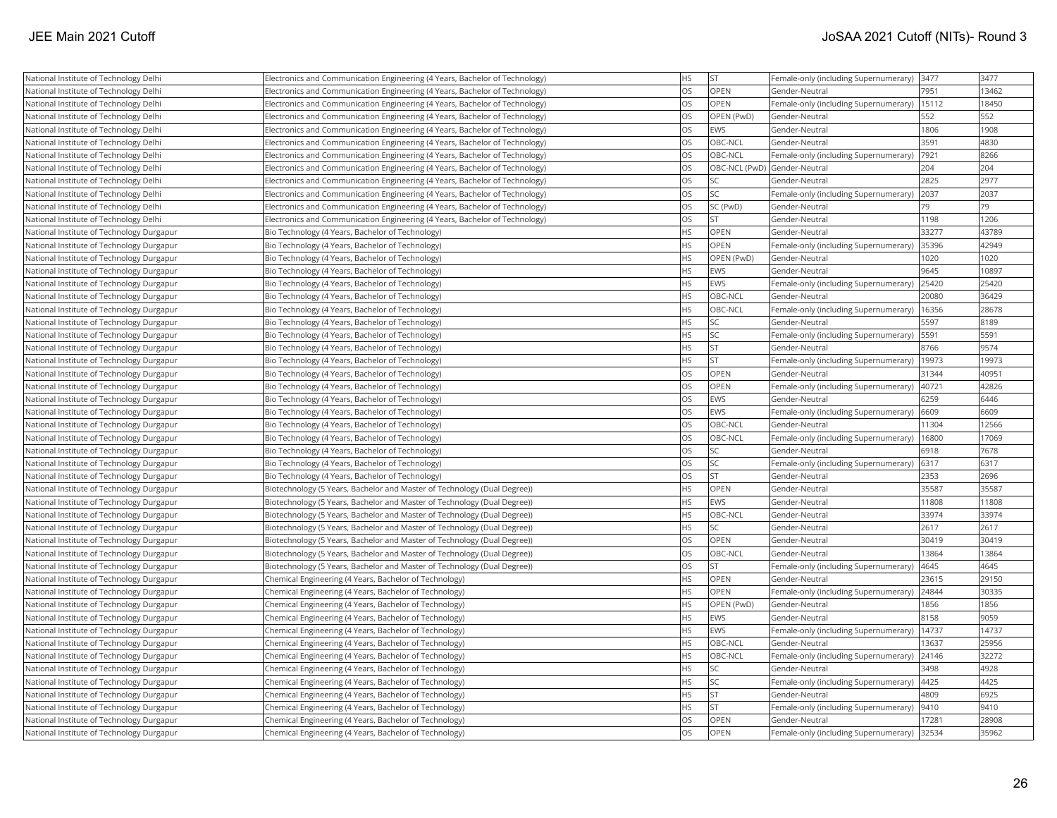| National Institute of Technology Delhi    | Electronics and Communication Engineering (4 Years, Bachelor of Technology) | <b>HS</b> | <b>ST</b>                    | Female-only (including Supernumerary) | 3477  | 3477  |
|-------------------------------------------|-----------------------------------------------------------------------------|-----------|------------------------------|---------------------------------------|-------|-------|
| National Institute of Technology Delhi    | Electronics and Communication Engineering (4 Years, Bachelor of Technology) | <b>OS</b> | OPEN                         | Gender-Neutral                        | 7951  | 13462 |
| National Institute of Technology Delhi    | Electronics and Communication Engineering (4 Years, Bachelor of Technology) | <b>OS</b> | OPEN                         | Female-only (including Supernumerary) | 15112 | 18450 |
| National Institute of Technology Delhi    | Electronics and Communication Engineering (4 Years, Bachelor of Technology) | <b>OS</b> | OPEN (PwD)                   | Gender-Neutral                        | 552   | 552   |
| National Institute of Technology Delhi    | Electronics and Communication Engineering (4 Years, Bachelor of Technology) | <b>OS</b> | EWS                          | Gender-Neutral                        | 1806  | 1908  |
| National Institute of Technology Delhi    | Electronics and Communication Engineering (4 Years, Bachelor of Technology) | <b>OS</b> | OBC-NCL                      | Gender-Neutral                        | 3591  | 4830  |
| National Institute of Technology Delhi    | Electronics and Communication Engineering (4 Years, Bachelor of Technology) | <b>OS</b> | OBC-NCL                      | Female-only (including Supernumerary) | 7921  | 8266  |
| National Institute of Technology Delhi    | Electronics and Communication Engineering (4 Years, Bachelor of Technology) | <b>OS</b> | OBC-NCL (PwD) Gender-Neutral |                                       | 204   | 204   |
| National Institute of Technology Delhi    | Electronics and Communication Engineering (4 Years, Bachelor of Technology) | <b>OS</b> | <b>SC</b>                    | Gender-Neutral                        | 2825  | 2977  |
| National Institute of Technology Delhi    | Electronics and Communication Engineering (4 Years, Bachelor of Technology) | <b>OS</b> | <b>SC</b>                    | Female-only (including Supernumerary) | 2037  | 2037  |
| National Institute of Technology Delhi    | Electronics and Communication Engineering (4 Years, Bachelor of Technology) | <b>OS</b> | SC (PwD)                     | Gender-Neutral                        | 79    | 79    |
| National Institute of Technology Delhi    | Electronics and Communication Engineering (4 Years, Bachelor of Technology) | <b>OS</b> | lst                          | Gender-Neutral                        | 1198  | 1206  |
| National Institute of Technology Durgapur | Bio Technology (4 Years, Bachelor of Technology)                            | <b>HS</b> | <b>OPEN</b>                  | Gender-Neutral                        | 33277 | 43789 |
| National Institute of Technology Durgapur | Bio Technology (4 Years, Bachelor of Technology)                            | <b>HS</b> | <b>OPEN</b>                  | Female-only (including Supernumerary) | 35396 | 42949 |
| National Institute of Technology Durgapur | Bio Technology (4 Years, Bachelor of Technology)                            | <b>HS</b> | OPEN (PwD)                   | Gender-Neutral                        | 1020  | 1020  |
| National Institute of Technology Durgapur | Bio Technology (4 Years, Bachelor of Technology)                            | <b>HS</b> | <b>EWS</b>                   | Gender-Neutral                        | 9645  | 10897 |
| National Institute of Technology Durgapur | Bio Technology (4 Years, Bachelor of Technology)                            | <b>HS</b> | EWS                          | Female-only (including Supernumerary) | 25420 | 25420 |
| National Institute of Technology Durgapur | Bio Technology (4 Years, Bachelor of Technology)                            | <b>HS</b> | OBC-NCL                      | Gender-Neutral                        | 20080 | 36429 |
| National Institute of Technology Durgapur | Bio Technology (4 Years, Bachelor of Technology)                            | <b>HS</b> | OBC-NCL                      | Female-only (including Supernumerary) | 16356 | 28678 |
| National Institute of Technology Durgapur | Bio Technology (4 Years, Bachelor of Technology)                            | <b>HS</b> | <b>SC</b>                    | Gender-Neutral                        | 5597  | 8189  |
| National Institute of Technology Durgapur | Bio Technology (4 Years, Bachelor of Technology)                            | <b>HS</b> | lsc                          | Female-only (including Supernumerary) | 5591  | 5591  |
| National Institute of Technology Durgapur | Bio Technology (4 Years, Bachelor of Technology)                            | <b>HS</b> | <b>ST</b>                    | Gender-Neutral                        | 8766  | 9574  |
| National Institute of Technology Durgapur | Bio Technology (4 Years, Bachelor of Technology)                            | <b>HS</b> | <b>ST</b>                    | Female-only (including Supernumerary) | 19973 | 19973 |
| National Institute of Technology Durgapur | Bio Technology (4 Years, Bachelor of Technology)                            | <b>OS</b> | <b>OPEN</b>                  | Gender-Neutral                        | 31344 | 40951 |
| National Institute of Technology Durgapur | Bio Technology (4 Years, Bachelor of Technology)                            | <b>OS</b> | OPEN                         | Female-only (including Supernumerary) | 40721 | 42826 |
| National Institute of Technology Durgapur | Bio Technology (4 Years, Bachelor of Technology)                            | <b>OS</b> | EWS                          | Gender-Neutral                        | 6259  | 6446  |
| National Institute of Technology Durgapur | Bio Technology (4 Years, Bachelor of Technology)                            | <b>OS</b> | EWS                          | Female-only (including Supernumerary) | 6609  | 6609  |
| National Institute of Technology Durgapur | Bio Technology (4 Years, Bachelor of Technology)                            | <b>OS</b> | OBC-NCL                      | Gender-Neutral                        | 11304 | 12566 |
| National Institute of Technology Durgapur | Bio Technology (4 Years, Bachelor of Technology)                            | <b>OS</b> | OBC-NCL                      | Female-only (including Supernumerary) | 16800 | 17069 |
| National Institute of Technology Durgapur | Bio Technology (4 Years, Bachelor of Technology)                            | <b>OS</b> | <b>SC</b>                    | Gender-Neutral                        | 6918  | 7678  |
| National Institute of Technology Durgapur | Bio Technology (4 Years, Bachelor of Technology)                            | <b>OS</b> | <b>SC</b>                    | Female-only (including Supernumerary) | 6317  | 6317  |
| National Institute of Technology Durgapur | Bio Technology (4 Years, Bachelor of Technology)                            | <b>OS</b> | <b>ST</b>                    | Gender-Neutral                        | 2353  | 2696  |
| National Institute of Technology Durgapur | Biotechnology (5 Years, Bachelor and Master of Technology (Dual Degree))    | <b>HS</b> | OPEN                         | Gender-Neutral                        | 35587 | 35587 |
| National Institute of Technology Durgapur | Biotechnology (5 Years, Bachelor and Master of Technology (Dual Degree))    | <b>HS</b> | EWS                          | Gender-Neutral                        | 11808 | 11808 |
| National Institute of Technology Durgapur | Biotechnology (5 Years, Bachelor and Master of Technology (Dual Degree))    | <b>HS</b> | OBC-NCL                      | Gender-Neutral                        | 33974 | 33974 |
| National Institute of Technology Durgapur | Biotechnology (5 Years, Bachelor and Master of Technology (Dual Degree))    | <b>HS</b> | <b>SC</b>                    | Gender-Neutral                        | 2617  | 2617  |
| National Institute of Technology Durgapur | Biotechnology (5 Years, Bachelor and Master of Technology (Dual Degree))    | <b>OS</b> | OPEN                         | Gender-Neutral                        | 30419 | 30419 |
| National Institute of Technology Durgapur | Biotechnology (5 Years, Bachelor and Master of Technology (Dual Degree))    | <b>OS</b> | OBC-NCL                      | Gender-Neutral                        | 13864 | 13864 |
| National Institute of Technology Durgapur | Biotechnology (5 Years, Bachelor and Master of Technology (Dual Degree))    | <b>OS</b> | <b>ST</b>                    | Female-only (including Supernumerary) | 4645  | 4645  |
| National Institute of Technology Durgapur | Chemical Engineering (4 Years, Bachelor of Technology)                      | <b>HS</b> | OPEN                         | Gender-Neutral                        | 23615 | 29150 |
| National Institute of Technology Durgapur | Chemical Engineering (4 Years, Bachelor of Technology)                      | <b>HS</b> | OPEN                         | Female-only (including Supernumerary) | 24844 | 30335 |
| National Institute of Technology Durgapur | Chemical Engineering (4 Years, Bachelor of Technology)                      | <b>HS</b> | OPEN (PwD)                   | lGender-Neutral                       | 1856  | 1856  |
| National Institute of Technology Durgapur | Chemical Engineering (4 Years, Bachelor of Technology)                      | <b>HS</b> | EWS                          | Gender-Neutral                        | 8158  | 9059  |
| National Institute of Technology Durgapur | Chemical Engineering (4 Years, Bachelor of Technology)                      | <b>HS</b> | EWS                          | Female-only (including Supernumerary) | 14737 | 14737 |
| National Institute of Technology Durgapur | Chemical Engineering (4 Years, Bachelor of Technology)                      | <b>HS</b> | OBC-NCL                      | Gender-Neutral                        | 13637 | 25956 |
| National Institute of Technology Durgapur | Chemical Engineering (4 Years, Bachelor of Technology)                      | <b>HS</b> | OBC-NCL                      | Female-only (including Supernumerary) | 24146 | 32272 |
| National Institute of Technology Durgapur | Chemical Engineering (4 Years, Bachelor of Technology)                      | <b>HS</b> | lsc                          | Gender-Neutral                        | 3498  | 4928  |
| National Institute of Technology Durgapur | Chemical Engineering (4 Years, Bachelor of Technology)                      | <b>HS</b> | <b>SC</b>                    | Female-only (including Supernumerary) | 4425  | 4425  |
| National Institute of Technology Durgapur | Chemical Engineering (4 Years, Bachelor of Technology)                      | <b>HS</b> | <b>ST</b>                    | Gender-Neutral                        | 4809  | 6925  |
| National Institute of Technology Durgapur | Chemical Engineering (4 Years, Bachelor of Technology)                      | HS        | <b>ST</b>                    | Female-only (including Supernumerary) | 9410  | 9410  |
| National Institute of Technology Durgapur | Chemical Engineering (4 Years, Bachelor of Technology)                      | <b>OS</b> | OPEN                         | Gender-Neutral                        | 17281 | 28908 |
| National Institute of Technology Durgapur | Chemical Engineering (4 Years, Bachelor of Technology)                      | <b>OS</b> | OPEN                         | Female-only (including Supernumerary) | 32534 | 35962 |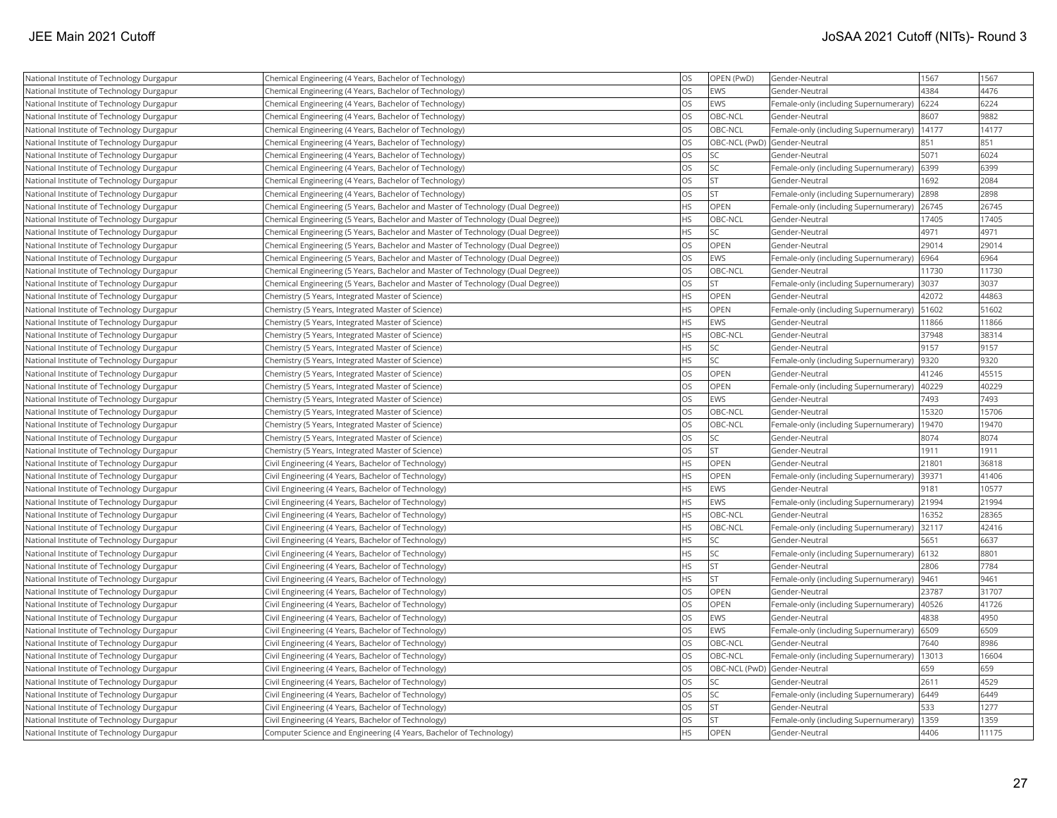| National Institute of Technology Durgapur | Chemical Engineering (4 Years, Bachelor of Technology)                           | <b>OS</b> | OPEN (PwD) | Gender-Neutral                        | 1567  | 1567  |
|-------------------------------------------|----------------------------------------------------------------------------------|-----------|------------|---------------------------------------|-------|-------|
| National Institute of Technology Durgapur | Chemical Engineering (4 Years, Bachelor of Technology)                           | <b>OS</b> | <b>EWS</b> | Gender-Neutral                        | 4384  | 4476  |
| National Institute of Technology Durgapur | Chemical Engineering (4 Years, Bachelor of Technology)                           | <b>OS</b> | <b>EWS</b> | Female-only (including Supernumerary) | 6224  | 6224  |
| National Institute of Technology Durgapur | Chemical Engineering (4 Years, Bachelor of Technology)                           | <b>OS</b> | OBC-NCL    | Gender-Neutral                        | 8607  | 9882  |
| National Institute of Technology Durgapur | Chemical Engineering (4 Years, Bachelor of Technology)                           | <b>OS</b> | OBC-NCL    | Female-only (including Supernumerary) | 14177 | 14177 |
| National Institute of Technology Durgapur | Chemical Engineering (4 Years, Bachelor of Technology)                           | OS        |            | OBC-NCL (PwD) Gender-Neutral          | 851   | 851   |
| National Institute of Technology Durgapur | Chemical Engineering (4 Years, Bachelor of Technology)                           | <b>OS</b> | SC         | Gender-Neutral                        | 5071  | 6024  |
| National Institute of Technology Durgapur | Chemical Engineering (4 Years, Bachelor of Technology)                           | OS        | SC         | Female-only (including Supernumerary) | 6399  | 6399  |
| National Institute of Technology Durgapur | Chemical Engineering (4 Years, Bachelor of Technology)                           | <b>OS</b> | lst        | Gender-Neutral                        | 1692  | 2084  |
| National Institute of Technology Durgapur | Chemical Engineering (4 Years, Bachelor of Technology)                           | <b>OS</b> | <b>ST</b>  | Female-only (including Supernumerary) | 2898  | 2898  |
| National Institute of Technology Durgapur | (Chemical Engineering (5 Years, Bachelor and Master of Technology (Dual Degree)) | <b>HS</b> | OPEN       | Female-only (including Supernumerary) | 26745 | 26745 |
| National Institute of Technology Durgapur | (Chemical Engineering (5 Years, Bachelor and Master of Technology (Dual Degree)) | <b>HS</b> | OBC-NCL    | Gender-Neutral                        | 17405 | 17405 |
| National Institute of Technology Durgapur | (Chemical Engineering (5 Years, Bachelor and Master of Technology (Dual Degree)) | <b>HS</b> | SC.        | Gender-Neutral                        | 4971  | 4971  |
| National Institute of Technology Durgapur | Chemical Engineering (5 Years, Bachelor and Master of Technology (Dual Degree))  | <b>OS</b> | OPEN       | Gender-Neutral                        | 29014 | 29014 |
| National Institute of Technology Durgapur | Chemical Engineering (5 Years, Bachelor and Master of Technology (Dual Degree))  | OS        | EWS        | Female-only (including Supernumerary) | 6964  | 6964  |
| National Institute of Technology Durgapur | Chemical Engineering (5 Years, Bachelor and Master of Technology (Dual Degree))  | <b>OS</b> | OBC-NCL    | Gender-Neutral                        | 11730 | 11730 |
| National Institute of Technology Durgapur | Chemical Engineering (5 Years, Bachelor and Master of Technology (Dual Degree))  | <b>OS</b> | <b>ST</b>  | Female-only (including Supernumerary) | 3037  | 3037  |
| National Institute of Technology Durgapur | Chemistry (5 Years, Integrated Master of Science)                                | <b>HS</b> | OPEN       | Gender-Neutral                        | 42072 | 44863 |
| National Institute of Technology Durgapur | Chemistry (5 Years, Integrated Master of Science)                                | <b>HS</b> | OPEN       | Female-only (including Supernumerary) | 51602 | 51602 |
| National Institute of Technology Durgapur | Chemistry (5 Years, Integrated Master of Science)                                | <b>HS</b> | <b>EWS</b> | Gender-Neutral                        | 11866 | 11866 |
| National Institute of Technology Durgapur | Chemistry (5 Years, Integrated Master of Science)                                | <b>HS</b> | OBC-NCL    | Gender-Neutral                        | 37948 | 38314 |
| National Institute of Technology Durgapur | Chemistry (5 Years, Integrated Master of Science)                                | <b>HS</b> | lsc        | Gender-Neutral                        | 9157  | 9157  |
| National Institute of Technology Durgapur | Chemistry (5 Years, Integrated Master of Science)                                | <b>HS</b> | SC         | Female-only (including Supernumerary) | 9320  | 9320  |
| National Institute of Technology Durgapur | Chemistry (5 Years, Integrated Master of Science)                                | OS        | OPEN       | Gender-Neutral                        | 41246 | 45515 |
| National Institute of Technology Durgapur | Chemistry (5 Years, Integrated Master of Science)                                | <b>OS</b> | OPEN       | Female-only (including Supernumerary) | 40229 | 40229 |
| National Institute of Technology Durgapur | Chemistry (5 Years, Integrated Master of Science)                                | <b>OS</b> | EWS        | Gender-Neutral                        | 7493  | 7493  |
| National Institute of Technology Durgapur | Chemistry (5 Years, Integrated Master of Science)                                | OS        | OBC-NCL    | Gender-Neutral                        | 15320 | 15706 |
| National Institute of Technology Durgapur | Chemistry (5 Years, Integrated Master of Science)                                | <b>OS</b> | OBC-NCL    | Female-only (including Supernumerary) | 19470 | 19470 |
| National Institute of Technology Durgapur | Chemistry (5 Years, Integrated Master of Science)                                | <b>OS</b> | SC.        | Gender-Neutral                        | 8074  | 8074  |
| National Institute of Technology Durgapur | Chemistry (5 Years, Integrated Master of Science)                                | <b>OS</b> | lst        | Gender-Neutral                        | 1911  | 1911  |
| National Institute of Technology Durgapur | Civil Engineering (4 Years, Bachelor of Technology)                              | <b>HS</b> | OPEN       | Gender-Neutral                        | 21801 | 36818 |
| National Institute of Technology Durgapur | Civil Engineering (4 Years, Bachelor of Technology)                              | <b>HS</b> | OPEN       | Female-only (including Supernumerary) | 39371 | 41406 |
| National Institute of Technology Durgapur | Civil Engineering (4 Years, Bachelor of Technology)                              | <b>HS</b> | <b>EWS</b> | Gender-Neutral                        | 9181  | 10577 |
| National Institute of Technology Durgapur | Civil Engineering (4 Years, Bachelor of Technology)                              | <b>HS</b> | EWS        | Female-only (including Supernumerary) | 21994 | 21994 |
| National Institute of Technology Durgapur | Civil Engineering (4 Years, Bachelor of Technology)                              | <b>HS</b> | OBC-NCL    | Gender-Neutral                        | 16352 | 28365 |
| National Institute of Technology Durgapur | Civil Engineering (4 Years, Bachelor of Technology)                              | <b>HS</b> | OBC-NCL    | Female-only (including Supernumerary) | 32117 | 42416 |
| National Institute of Technology Durgapur | Civil Engineering (4 Years, Bachelor of Technology)                              | <b>HS</b> | SC.        | Gender-Neutral                        | 5651  | 6637  |
| National Institute of Technology Durgapur | Civil Engineering (4 Years, Bachelor of Technology)                              | <b>HS</b> | <b>SC</b>  | Female-only (including Supernumerary) | 6132  | 8801  |
| National Institute of Technology Durgapur | Civil Engineering (4 Years, Bachelor of Technology)                              | <b>HS</b> | ST.        | Gender-Neutral                        | 2806  | 7784  |
| National Institute of Technology Durgapur | Civil Engineering (4 Years, Bachelor of Technology)                              | <b>HS</b> | <b>ST</b>  | Female-only (including Supernumerary) | 9461  | 9461  |
| National Institute of Technology Durgapur | Civil Engineering (4 Years, Bachelor of Technology)                              | <b>OS</b> | OPEN       | Gender-Neutral                        | 23787 | 31707 |
| National Institute of Technology Durgapur | Civil Engineering (4 Years, Bachelor of Technology)                              | <b>OS</b> | OPEN       | Female-only (including Supernumerary) | 40526 | 41726 |
| National Institute of Technology Durgapur | Civil Engineering (4 Years, Bachelor of Technology)                              | <b>OS</b> | EWS        | Gender-Neutral                        | 4838  | 4950  |
| National Institute of Technology Durgapur | Civil Engineering (4 Years, Bachelor of Technology)                              | <b>OS</b> | EWS        | Female-only (including Supernumerary) | 6509  | 6509  |
| National Institute of Technology Durgapur | Civil Engineering (4 Years, Bachelor of Technology)                              | OS        | OBC-NCL    | Gender-Neutral                        | 7640  | 8986  |
| National Institute of Technology Durgapur | Civil Engineering (4 Years, Bachelor of Technology)                              | <b>OS</b> | OBC-NCL    | Female-only (including Supernumerary) | 13013 | 16604 |
| National Institute of Technology Durgapur | Civil Engineering (4 Years, Bachelor of Technology)                              | OS        |            | OBC-NCL (PwD) Gender-Neutral          | 659   | 659   |
| National Institute of Technology Durgapur | Civil Engineering (4 Years, Bachelor of Technology)                              | OS        | SC         | Gender-Neutral                        | 2611  | 4529  |
| National Institute of Technology Durgapur | Civil Engineering (4 Years, Bachelor of Technology)                              | <b>OS</b> | lsc        | Female-only (including Supernumerary) | 6449  | 6449  |
| National Institute of Technology Durgapur | Civil Engineering (4 Years, Bachelor of Technology)                              | <b>OS</b> | <b>ST</b>  | Gender-Neutral                        | 533   | 1277  |
| National Institute of Technology Durgapur | Civil Engineering (4 Years, Bachelor of Technology)                              | <b>OS</b> | lst        | Female-only (including Supernumerary) | 1359  | 1359  |
| National Institute of Technology Durgapur | Computer Science and Engineering (4 Years, Bachelor of Technology)               | <b>HS</b> | OPEN       | Gender-Neutral                        | 4406  | 11175 |
|                                           |                                                                                  |           |            |                                       |       |       |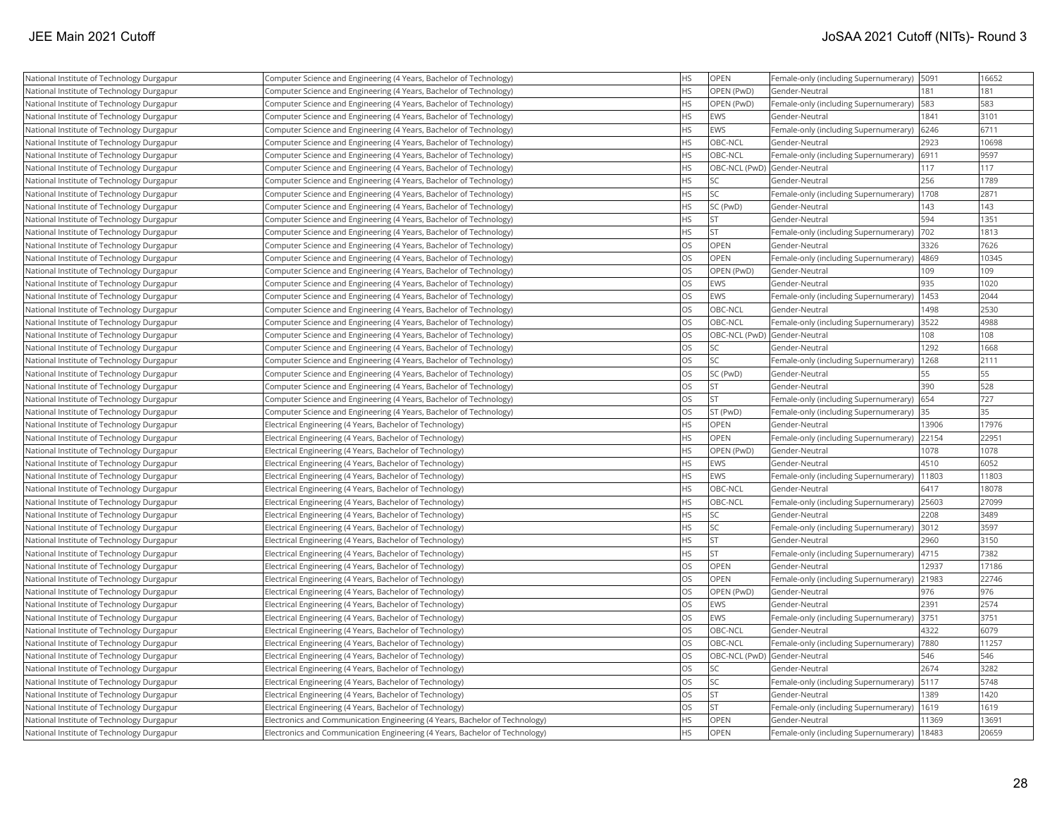| National Institute of Technology Durgapur | Computer Science and Engineering (4 Years, Bachelor of Technology)          | <b>HS</b> | OPEN                         | Female-only (including Supernumerary)        | 5091  | 16652 |
|-------------------------------------------|-----------------------------------------------------------------------------|-----------|------------------------------|----------------------------------------------|-------|-------|
| National Institute of Technology Durgapur | Computer Science and Engineering (4 Years, Bachelor of Technology)          | <b>HS</b> | OPEN (PwD)                   | Gender-Neutral                               | 181   | 181   |
| National Institute of Technology Durgapur | Computer Science and Engineering (4 Years, Bachelor of Technology)          | <b>HS</b> | OPEN (PwD)                   | Female-only (including Supernumerary)        | 583   | 583   |
| National Institute of Technology Durgapur | Computer Science and Engineering (4 Years, Bachelor of Technology)          | <b>HS</b> | <b>EWS</b>                   | Gender-Neutral                               | 1841  | 3101  |
| National Institute of Technology Durgapur | Computer Science and Engineering (4 Years, Bachelor of Technology)          | <b>HS</b> | EWS                          | Female-only (including Supernumerary)        | 6246  | 6711  |
| National Institute of Technology Durgapur | Computer Science and Engineering (4 Years, Bachelor of Technology)          | <b>HS</b> | OBC-NCL                      | Gender-Neutral                               | 2923  | 10698 |
| National Institute of Technology Durgapur | Computer Science and Engineering (4 Years, Bachelor of Technology)          | <b>HS</b> | <b>OBC-NCL</b>               | Female-only (including Supernumerary)        | 6911  | 9597  |
| National Institute of Technology Durgapur | Computer Science and Engineering (4 Years, Bachelor of Technology)          | HS        | OBC-NCL (PwD) Gender-Neutral |                                              | 117   | 117   |
| National Institute of Technology Durgapur | Computer Science and Engineering (4 Years, Bachelor of Technology)          | <b>HS</b> | <b>SC</b>                    | Gender-Neutral                               | 256   | 1789  |
| National Institute of Technology Durgapur | Computer Science and Engineering (4 Years, Bachelor of Technology)          | <b>HS</b> | <b>SC</b>                    | Female-only (including Supernumerary)        | 1708  | 2871  |
| National Institute of Technology Durgapur | Computer Science and Engineering (4 Years, Bachelor of Technology)          | <b>HS</b> | SC (PwD)                     | Gender-Neutral                               | 143   | 143   |
| National Institute of Technology Durgapur | Computer Science and Engineering (4 Years, Bachelor of Technology)          | <b>HS</b> | lst.                         | Gender-Neutral                               | 594   | 1351  |
| National Institute of Technology Durgapur | Computer Science and Engineering (4 Years, Bachelor of Technology)          | <b>HS</b> | İst                          | Female-only (including Supernumerary)        | 702   | 1813  |
| National Institute of Technology Durgapur | Computer Science and Engineering (4 Years, Bachelor of Technology)          | OS        | OPEN                         | Gender-Neutral                               | 3326  | 7626  |
| National Institute of Technology Durgapur | Computer Science and Engineering (4 Years, Bachelor of Technology)          | OS        | OPEN                         | Female-only (including Supernumerary)        | 4869  | 10345 |
| National Institute of Technology Durgapur | Computer Science and Engineering (4 Years, Bachelor of Technology)          | <b>OS</b> | OPEN (PwD)                   | Gender-Neutral                               | 109   | 109   |
| National Institute of Technology Durgapur | Computer Science and Engineering (4 Years, Bachelor of Technology)          | <b>OS</b> | EWS                          | Gender-Neutral                               | 935   | 1020  |
| National Institute of Technology Durgapur | Computer Science and Engineering (4 Years, Bachelor of Technology)          | OS        | EWS                          | Female-only (including Supernumerary)        | 1453  | 2044  |
| National Institute of Technology Durgapur | Computer Science and Engineering (4 Years, Bachelor of Technology)          | OS        | OBC-NCL                      | Gender-Neutral                               | 1498  | 2530  |
| National Institute of Technology Durgapur | Computer Science and Engineering (4 Years, Bachelor of Technology)          | OS        | <b>OBC-NCL</b>               | Female-only (including Supernumerary)        | 3522  | 4988  |
| National Institute of Technology Durgapur | Computer Science and Engineering (4 Years, Bachelor of Technology)          | OS        | OBC-NCL (PwD) Gender-Neutral |                                              | 108   | 108   |
| National Institute of Technology Durgapur | Computer Science and Engineering (4 Years, Bachelor of Technology)          | <b>OS</b> | <b>SC</b>                    | Gender-Neutral                               | 1292  | 1668  |
| National Institute of Technology Durgapur | Computer Science and Engineering (4 Years, Bachelor of Technology)          | OS        | <b>SC</b>                    | Female-only (including Supernumerary)   1268 |       | 2111  |
| National Institute of Technology Durgapur | Computer Science and Engineering (4 Years, Bachelor of Technology)          | <b>OS</b> | SC (PwD)                     | Gender-Neutral                               | 55    | 55    |
| National Institute of Technology Durgapur | Computer Science and Engineering (4 Years, Bachelor of Technology)          | OS        | <b>ST</b>                    | Gender-Neutral                               | 390   | 528   |
| National Institute of Technology Durgapur | Computer Science and Engineering (4 Years, Bachelor of Technology)          | OS        | <b>ST</b>                    | Female-only (including Supernumerary)        | 654   | 727   |
| National Institute of Technology Durgapur | Computer Science and Engineering (4 Years, Bachelor of Technology)          | <b>OS</b> | ST (PwD)                     | Female-only (including Supernumerary)        | 35    | 35    |
| National Institute of Technology Durgapur | Electrical Engineering (4 Years, Bachelor of Technology)                    | <b>HS</b> | OPEN                         | Gender-Neutral                               | 13906 | 17976 |
| National Institute of Technology Durgapur | Electrical Engineering (4 Years, Bachelor of Technology)                    | <b>HS</b> | <b>OPEN</b>                  | Female-only (including Supernumerary)        | 22154 | 22951 |
| National Institute of Technology Durgapur | Electrical Engineering (4 Years, Bachelor of Technology)                    | HS        | OPEN (PwD)                   | Gender-Neutral                               | 1078  | 1078  |
| National Institute of Technology Durgapur | Electrical Engineering (4 Years, Bachelor of Technology)                    | <b>HS</b> | EWS                          | Gender-Neutral                               | 4510  | 6052  |
| National Institute of Technology Durgapur | Electrical Engineering (4 Years, Bachelor of Technology)                    | HS        | EWS                          | Female-only (including Supernumerary)        | 11803 | 11803 |
| National Institute of Technology Durgapur | Electrical Engineering (4 Years, Bachelor of Technology)                    | <b>HS</b> | OBC-NCL                      | Gender-Neutral                               | 6417  | 18078 |
| National Institute of Technology Durgapur | Electrical Engineering (4 Years, Bachelor of Technology)                    | <b>HS</b> | OBC-NCL                      | Female-only (including Supernumerary)        | 25603 | 27099 |
| National Institute of Technology Durgapur | Electrical Engineering (4 Years, Bachelor of Technology)                    | <b>HS</b> | <b>SC</b>                    | Gender-Neutral                               | 2208  | 3489  |
| National Institute of Technology Durgapur | Electrical Engineering (4 Years, Bachelor of Technology)                    | <b>HS</b> | <b>SC</b>                    | Female-only (including Supernumerary)        | 3012  | 3597  |
| National Institute of Technology Durgapur | Electrical Engineering (4 Years, Bachelor of Technology)                    | <b>HS</b> | <b>ST</b>                    | Gender-Neutral                               | 2960  | 3150  |
| National Institute of Technology Durgapur | Electrical Engineering (4 Years, Bachelor of Technology)                    | <b>HS</b> | lst                          | Female-only (including Supernumerary)        | 4715  | 7382  |
| National Institute of Technology Durgapur | Electrical Engineering (4 Years, Bachelor of Technology)                    | <b>OS</b> | OPEN                         | Gender-Neutral                               | 12937 | 17186 |
| National Institute of Technology Durgapur | Electrical Engineering (4 Years, Bachelor of Technology)                    | OS        | OPEN                         | Female-only (including Supernumerary)        | 21983 | 22746 |
| National Institute of Technology Durgapur | Electrical Engineering (4 Years, Bachelor of Technology)                    | <b>OS</b> | OPEN (PwD)                   | Gender-Neutral                               | 976   | 976   |
| National Institute of Technology Durgapur | Electrical Engineering (4 Years, Bachelor of Technology)                    | <b>OS</b> | EWS                          | Gender-Neutral                               | 2391  | 2574  |
| National Institute of Technology Durgapur | Electrical Engineering (4 Years, Bachelor of Technology)                    | <b>OS</b> | <b>EWS</b>                   | Female-only (including Supernumerary)        | 3751  | 3751  |
| National Institute of Technology Durgapur | Electrical Engineering (4 Years, Bachelor of Technology)                    | OS        | OBC-NCL                      | Gender-Neutral                               | 4322  | 6079  |
| National Institute of Technology Durgapur | Electrical Engineering (4 Years, Bachelor of Technology)                    | OS        | OBC-NCL                      | Female-only (including Supernumerary)        | 7880  | 11257 |
| National Institute of Technology Durgapur | Electrical Engineering (4 Years, Bachelor of Technology)                    | <b>OS</b> | OBC-NCL (PwD) Gender-Neutral |                                              | 546   | 546   |
| National Institute of Technology Durgapur | Electrical Engineering (4 Years, Bachelor of Technology)                    | <b>OS</b> | lsc                          | Gender-Neutral                               | 2674  | 3282  |
| National Institute of Technology Durgapur | Electrical Engineering (4 Years, Bachelor of Technology)                    | OS        | <b>SC</b>                    | Female-only (including Supernumerary)        | 5117  | 5748  |
| National Institute of Technology Durgapur | Electrical Engineering (4 Years, Bachelor of Technology)                    | OS        | <b>ST</b>                    | Gender-Neutral                               | 1389  | 1420  |
| National Institute of Technology Durgapur | Electrical Engineering (4 Years, Bachelor of Technology)                    | OS        | <b>ST</b>                    | Female-only (including Supernumerary)        | 1619  | 1619  |
| National Institute of Technology Durgapur | Electronics and Communication Engineering (4 Years, Bachelor of Technology) | <b>HS</b> | OPEN                         | Gender-Neutral                               | 11369 | 13691 |
| National Institute of Technology Durgapur | Electronics and Communication Engineering (4 Years, Bachelor of Technology) | <b>HS</b> | OPEN                         | Female-only (including Supernumerary)        | 18483 | 20659 |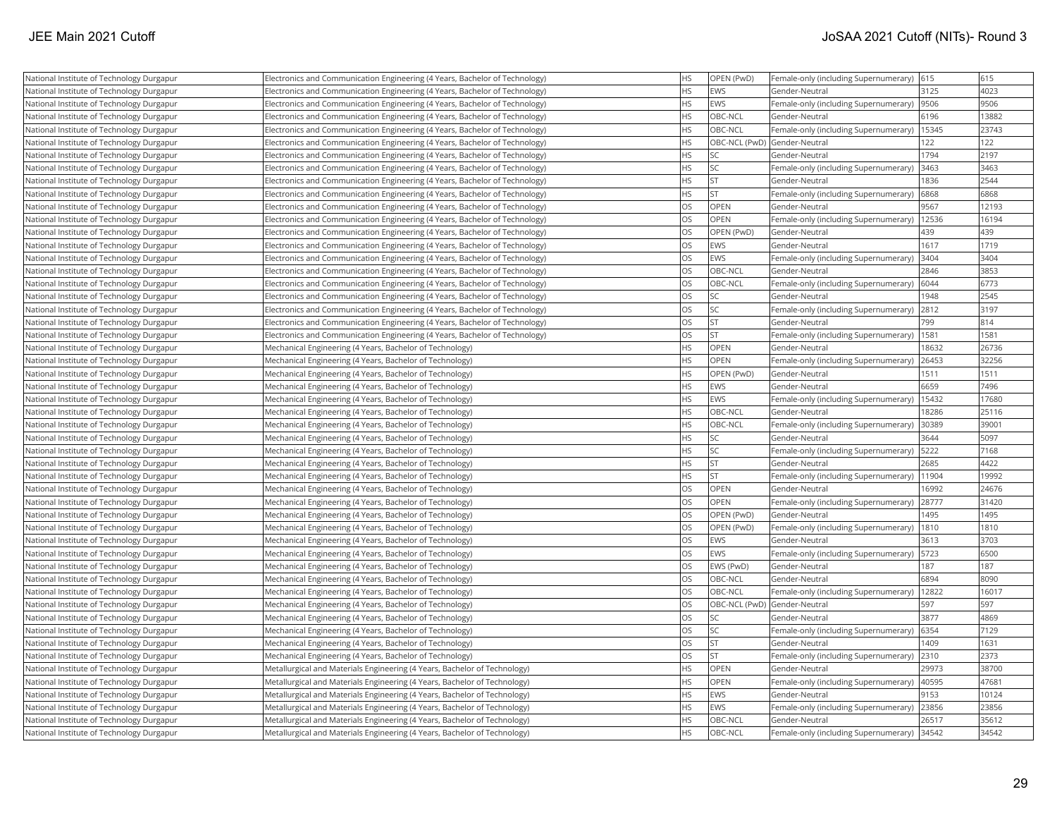| National Institute of Technology Durgapur | Electronics and Communication Engineering (4 Years, Bachelor of Technology) | <b>HS</b> | OPEN (PwD)     | Female-only (including Supernumerary) 615     |       | 615   |
|-------------------------------------------|-----------------------------------------------------------------------------|-----------|----------------|-----------------------------------------------|-------|-------|
| National Institute of Technology Durgapur | Electronics and Communication Engineering (4 Years, Bachelor of Technology) | <b>HS</b> | <b>EWS</b>     | Gender-Neutral                                | 3125  | 4023  |
| National Institute of Technology Durgapur | Electronics and Communication Engineering (4 Years, Bachelor of Technology) | <b>HS</b> | EWS            | Female-only (including Supernumerary)  9506   |       | 9506  |
| National Institute of Technology Durgapur | Electronics and Communication Engineering (4 Years, Bachelor of Technology) | <b>HS</b> | OBC-NCL        | Gender-Neutral                                | 6196  | 13882 |
| National Institute of Technology Durgapur | Electronics and Communication Engineering (4 Years, Bachelor of Technology) | HS        | OBC-NCL        | Female-only (including Supernumerary)   15345 |       | 23743 |
| National Institute of Technology Durgapur | Electronics and Communication Engineering (4 Years, Bachelor of Technology) | <b>HS</b> |                | OBC-NCL (PwD) Gender-Neutral                  | 122   | 122   |
| National Institute of Technology Durgapur | Electronics and Communication Engineering (4 Years, Bachelor of Technology) | <b>HS</b> | SC             | Gender-Neutral                                | 1794  | 2197  |
| National Institute of Technology Durgapur | Electronics and Communication Engineering (4 Years, Bachelor of Technology) | HS        | <b>SC</b>      | Female-only (including Supernumerary)         | 3463  | 3463  |
| National Institute of Technology Durgapur | Electronics and Communication Engineering (4 Years, Bachelor of Technology) | <b>HS</b> | <b>ST</b>      | Gender-Neutral                                | 1836  | 2544  |
| National Institute of Technology Durgapur | Electronics and Communication Engineering (4 Years, Bachelor of Technology) | <b>HS</b> | İst            | Female-only (including Supernumerary)         | 6868  | 6868  |
| National Institute of Technology Durgapur | Electronics and Communication Engineering (4 Years, Bachelor of Technology) | <b>OS</b> | <b>OPEN</b>    | Gender-Neutral                                | 9567  | 12193 |
| National Institute of Technology Durgapur | Electronics and Communication Engineering (4 Years, Bachelor of Technology) | <b>OS</b> | OPEN           | Female-only (including Supernumerary)   12536 |       | 16194 |
| National Institute of Technology Durgapur | Electronics and Communication Engineering (4 Years, Bachelor of Technology) | <b>OS</b> | OPEN (PwD)     | Gender-Neutral                                | 439   | 439   |
| National Institute of Technology Durgapur | Electronics and Communication Engineering (4 Years, Bachelor of Technology) | OS        | <b>EWS</b>     | Gender-Neutral                                | 1617  | 1719  |
| National Institute of Technology Durgapur | Electronics and Communication Engineering (4 Years, Bachelor of Technology) | OS        | EWS            | Female-only (including Supernumerary)         | 3404  | 3404  |
| National Institute of Technology Durgapur | Electronics and Communication Engineering (4 Years, Bachelor of Technology) | <b>OS</b> | OBC-NCL        | Gender-Neutral                                | 2846  | 3853  |
| National Institute of Technology Durgapur | Electronics and Communication Engineering (4 Years, Bachelor of Technology) | <b>OS</b> | OBC-NCL        | Female-only (including Supernumerary)         | 6044  | 6773  |
| National Institute of Technology Durgapur | Electronics and Communication Engineering (4 Years, Bachelor of Technology) | <b>OS</b> | SC.            | Gender-Neutral                                | 1948  | 2545  |
| National Institute of Technology Durgapur | Electronics and Communication Engineering (4 Years, Bachelor of Technology) | OS        | lsc            | Female-only (including Supernumerary) 2812    |       | 3197  |
| National Institute of Technology Durgapur | Electronics and Communication Engineering (4 Years, Bachelor of Technology) | <b>OS</b> | <b>ST</b>      | Gender-Neutral                                | 799   | 814   |
| National Institute of Technology Durgapur | Electronics and Communication Engineering (4 Years, Bachelor of Technology) | OS        | ST             | Female-only (including Supernumerary)   1581  |       | 1581  |
| National Institute of Technology Durgapur | Mechanical Engineering (4 Years, Bachelor of Technology)                    | HS        | <b>OPEN</b>    | Gender-Neutral                                | 18632 | 26736 |
| National Institute of Technology Durgapur | Mechanical Engineering (4 Years, Bachelor of Technology)                    | HS        | OPEN           | Female-only (including Supernumerary)         | 26453 | 32256 |
| National Institute of Technology Durgapur | Mechanical Engineering (4 Years, Bachelor of Technology)                    | <b>HS</b> | OPEN (PwD)     | Gender-Neutral                                | 1511  | 1511  |
| National Institute of Technology Durgapur | Mechanical Engineering (4 Years, Bachelor of Technology)                    | <b>HS</b> | <b>EWS</b>     | Gender-Neutral                                | 6659  | 7496  |
| National Institute of Technology Durgapur | Mechanical Engineering (4 Years, Bachelor of Technology)                    | <b>HS</b> | <b>EWS</b>     | Female-only (including Supernumerary)         | 15432 | 17680 |
| National Institute of Technology Durgapur | Mechanical Engineering (4 Years, Bachelor of Technology)                    | <b>HS</b> | OBC-NCL        | Gender-Neutral                                | 18286 | 25116 |
| National Institute of Technology Durgapur | Mechanical Engineering (4 Years, Bachelor of Technology)                    | HS        | OBC-NCL        | Female-only (including Supernumerary) 30389   |       | 39001 |
| National Institute of Technology Durgapur | Mechanical Engineering (4 Years, Bachelor of Technology)                    | <b>HS</b> | SC.            | Gender-Neutral                                | 3644  | 5097  |
| National Institute of Technology Durgapur | Mechanical Engineering (4 Years, Bachelor of Technology)                    | HS        | SC.            | Female-only (including Supernumerary)   5222  |       | 7168  |
| National Institute of Technology Durgapur | Mechanical Engineering (4 Years, Bachelor of Technology)                    | <b>HS</b> | İst            | Gender-Neutral                                | 2685  | 4422  |
| National Institute of Technology Durgapur | Mechanical Engineering (4 Years, Bachelor of Technology)                    | <b>HS</b> | İst            | Female-only (including Supernumerary)         | 11904 | 19992 |
| National Institute of Technology Durgapur | Mechanical Engineering (4 Years, Bachelor of Technology)                    | <b>OS</b> | OPEN           | Gender-Neutral                                | 16992 | 24676 |
| National Institute of Technology Durgapur | Mechanical Engineering (4 Years, Bachelor of Technology)                    | <b>OS</b> | <b>OPEN</b>    | Female-only (including Supernumerary)         | 28777 | 31420 |
| National Institute of Technology Durgapur | Mechanical Engineering (4 Years, Bachelor of Technology)                    | <b>OS</b> | OPEN (PwD)     | Gender-Neutral                                | 1495  | 1495  |
| National Institute of Technology Durgapur | Mechanical Engineering (4 Years, Bachelor of Technology)                    | OS        | OPEN (PwD)     | Female-only (including Supernumerary)         | 1810  | 1810  |
| National Institute of Technology Durgapur | Mechanical Engineering (4 Years, Bachelor of Technology)                    | <b>OS</b> | <b>EWS</b>     | Gender-Neutral                                | 3613  | 3703  |
| National Institute of Technology Durgapur | Mechanical Engineering (4 Years, Bachelor of Technology)                    | <b>OS</b> | <b>EWS</b>     | Female-only (including Supernumerary)   5723  |       | 6500  |
| National Institute of Technology Durgapur | Mechanical Engineering (4 Years, Bachelor of Technology)                    | OS        | EWS (PwD)      | Gender-Neutral                                | 187   | 187   |
| National Institute of Technology Durgapur | Mechanical Engineering (4 Years, Bachelor of Technology)                    | OS        | OBC-NCL        | Gender-Neutral                                | 6894  | 8090  |
| National Institute of Technology Durgapur | Mechanical Engineering (4 Years, Bachelor of Technology)                    | OS        | OBC-NCL        | Female-only (including Supernumerary)         | 12822 | 16017 |
| National Institute of Technology Durgapur | Mechanical Engineering (4 Years, Bachelor of Technology)                    | OS        | OBC-NCL (PwD)  | Gender-Neutral                                | 597   | 597   |
| National Institute of Technology Durgapur | Mechanical Engineering (4 Years, Bachelor of Technology)                    | <b>OS</b> | SC.            | Gender-Neutral                                | 3877  | 4869  |
| National Institute of Technology Durgapur | Mechanical Engineering (4 Years, Bachelor of Technology)                    | <b>OS</b> | SC.            | Female-only (including Supernumerary)         | 6354  | 7129  |
| National Institute of Technology Durgapur | Mechanical Engineering (4 Years, Bachelor of Technology)                    | <b>OS</b> | <b>ST</b>      | Gender-Neutral                                | 1409  | 1631  |
| National Institute of Technology Durgapur | Mechanical Engineering (4 Years, Bachelor of Technology)                    | <b>OS</b> | <b>ST</b>      | Female-only (including Supernumerary) 2310    |       | 2373  |
| National Institute of Technology Durgapur | Metallurgical and Materials Engineering (4 Years, Bachelor of Technology)   | HS        | <b>OPEN</b>    | Gender-Neutral                                | 29973 | 38700 |
| National Institute of Technology Durgapur | Metallurgical and Materials Engineering (4 Years, Bachelor of Technology)   | <b>HS</b> | <b>OPEN</b>    | Female-only (including Supernumerary)   40595 |       | 47681 |
| National Institute of Technology Durgapur | Metallurgical and Materials Engineering (4 Years, Bachelor of Technology)   | <b>HS</b> | <b>EWS</b>     | Gender-Neutral                                | 9153  | 10124 |
| National Institute of Technology Durgapur | Metallurgical and Materials Engineering (4 Years, Bachelor of Technology)   | HS        | <b>EWS</b>     | Female-only (including Supernumerary)         | 23856 | 23856 |
| National Institute of Technology Durgapur | Metallurgical and Materials Engineering (4 Years, Bachelor of Technology)   | <b>HS</b> | OBC-NCL        | Gender-Neutral                                | 26517 | 35612 |
| National Institute of Technology Durgapur | Metallurgical and Materials Engineering (4 Years, Bachelor of Technology)   | <b>HS</b> | <b>OBC-NCL</b> | Female-only (including Supernumerary) 34542   |       | 34542 |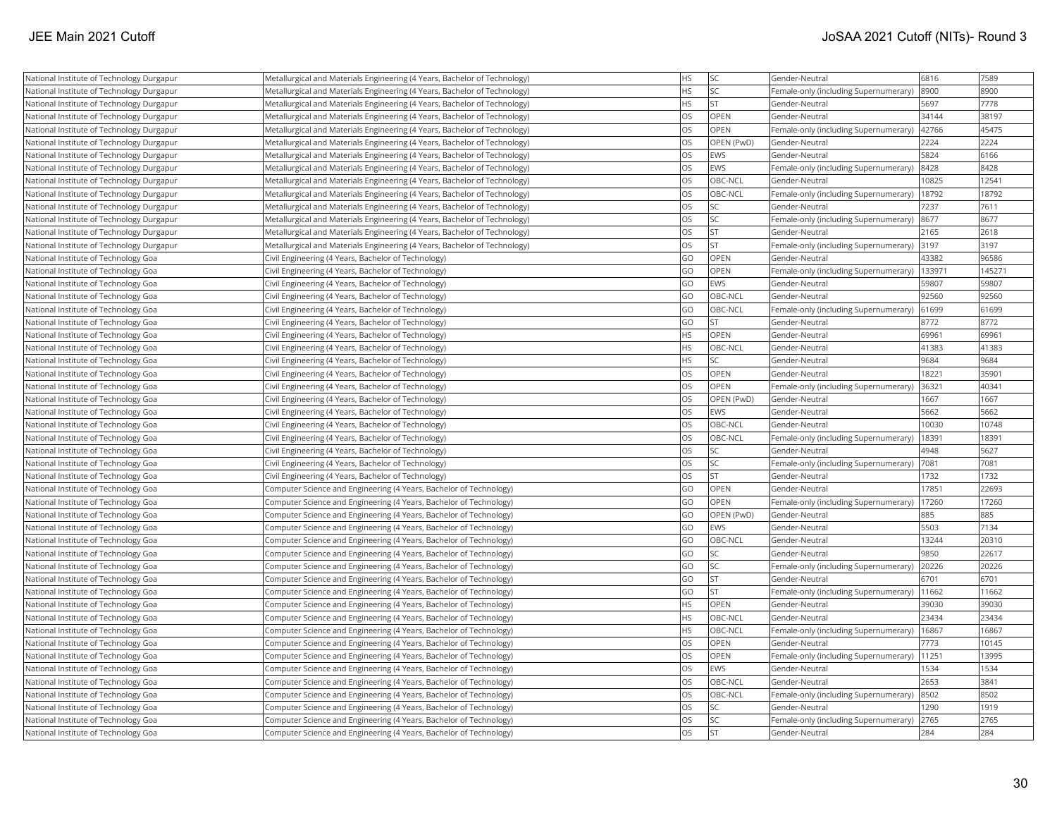| National Institute of Technology Durgapur | Metallurgical and Materials Engineering (4 Years, Bachelor of Technology) | <b>HS</b> | <b>SC</b>   | Gender-Neutral                        | 6816   | 7589   |
|-------------------------------------------|---------------------------------------------------------------------------|-----------|-------------|---------------------------------------|--------|--------|
| National Institute of Technology Durgapur | Metallurgical and Materials Engineering (4 Years, Bachelor of Technology) | <b>HS</b> | <b>SC</b>   | Female-only (including Supernumerary) | 8900   | 8900   |
| National Institute of Technology Durgapur | Metallurgical and Materials Engineering (4 Years, Bachelor of Technology) | <b>HS</b> | lst         | Gender-Neutral                        | 5697   | 7778   |
| National Institute of Technology Durgapur | Metallurgical and Materials Engineering (4 Years, Bachelor of Technology) | OS        | OPEN        | Gender-Neutral                        | 34144  | 38197  |
| National Institute of Technology Durgapur | Metallurgical and Materials Engineering (4 Years, Bachelor of Technology) | <b>OS</b> | <b>OPEN</b> | Female-only (including Supernumerary) | 42766  | 45475  |
| National Institute of Technology Durgapur | Metallurgical and Materials Engineering (4 Years, Bachelor of Technology) | <b>OS</b> | OPEN (PwD)  | Gender-Neutral                        | 2224   | 2224   |
| National Institute of Technology Durgapur | Metallurgical and Materials Engineering (4 Years, Bachelor of Technology) | <b>OS</b> | EWS         | Gender-Neutral                        | 5824   | 6166   |
| National Institute of Technology Durgapur | Metallurgical and Materials Engineering (4 Years, Bachelor of Technology) | <b>OS</b> | EWS         | Female-only (including Supernumerary) | 8428   | 8428   |
| National Institute of Technology Durgapur | Metallurgical and Materials Engineering (4 Years, Bachelor of Technology) | <b>OS</b> | OBC-NCL     | Gender-Neutral                        | 10825  | 12541  |
| National Institute of Technology Durgapur | Metallurgical and Materials Engineering (4 Years, Bachelor of Technology) | OS        | OBC-NCL     | Female-only (including Supernumerary) | 18792  | 18792  |
| National Institute of Technology Durgapur | Metallurgical and Materials Engineering (4 Years, Bachelor of Technology) | <b>OS</b> | <b>SC</b>   | Gender-Neutral                        | 7237   | 7611   |
| National Institute of Technology Durgapur | Metallurgical and Materials Engineering (4 Years, Bachelor of Technology) | OS        | <b>SC</b>   | Female-only (including Supernumerary) | 8677   | 8677   |
| National Institute of Technology Durgapur | Metallurgical and Materials Engineering (4 Years, Bachelor of Technology) | OS        | <b>ST</b>   | Gender-Neutral                        | 2165   | 2618   |
| National Institute of Technology Durgapur | Metallurgical and Materials Engineering (4 Years, Bachelor of Technology) | OS        | <b>ST</b>   | Female-only (including Supernumerary) | 3197   | 3197   |
| National Institute of Technology Goa      | Civil Engineering (4 Years, Bachelor of Technology)                       | GO        | OPEN        | Gender-Neutral                        | 43382  | 96586  |
| National Institute of Technology Goa      | Civil Engineering (4 Years, Bachelor of Technology)                       | GO        | OPEN        | Female-only (including Supernumerary) | 133971 | 145271 |
| National Institute of Technology Goa      | Civil Engineering (4 Years, Bachelor of Technology)                       | GO        | <b>EWS</b>  | Gender-Neutral                        | 59807  | 59807  |
| National Institute of Technology Goa      | Civil Engineering (4 Years, Bachelor of Technology)                       | GO        | OBC-NCL     | Gender-Neutral                        | 92560  | 92560  |
| National Institute of Technology Goa      | Civil Engineering (4 Years, Bachelor of Technology)                       | GO        | OBC-NCL     | Female-only (including Supernumerary) | 61699  | 61699  |
| National Institute of Technology Goa      | Civil Engineering (4 Years, Bachelor of Technology)                       | GO        | <b>IST</b>  | Gender-Neutral                        | 8772   | 8772   |
| National Institute of Technology Goa      | Civil Engineering (4 Years, Bachelor of Technology)                       | <b>HS</b> | OPEN        | Gender-Neutral                        | 69961  | 69961  |
| National Institute of Technology Goa      | Civil Engineering (4 Years, Bachelor of Technology)                       | <b>HS</b> | OBC-NCL     | Gender-Neutral                        | 41383  | 41383  |
| National Institute of Technology Goa      | Civil Engineering (4 Years, Bachelor of Technology)                       | <b>HS</b> | <b>SC</b>   | Gender-Neutral                        | 9684   | 9684   |
| National Institute of Technology Goa      | Civil Engineering (4 Years, Bachelor of Technology)                       | OS        | OPEN        | Gender-Neutral                        | 18221  | 35901  |
| National Institute of Technology Goa      | Civil Engineering (4 Years, Bachelor of Technology)                       | <b>OS</b> | OPEN        | Female-only (including Supernumerary) | 36321  | 40341  |
| National Institute of Technology Goa      | Civil Engineering (4 Years, Bachelor of Technology)                       | OS        | OPEN (PwD)  | Gender-Neutral                        | 1667   | 1667   |
| National Institute of Technology Goa      | Civil Engineering (4 Years, Bachelor of Technology)                       | OS        | EWS         | Gender-Neutral                        | 5662   | 5662   |
| National Institute of Technology Goa      | Civil Engineering (4 Years, Bachelor of Technology)                       | OS        | OBC-NCL     | Gender-Neutral                        | 10030  | 10748  |
| National Institute of Technology Goa      | Civil Engineering (4 Years, Bachelor of Technology)                       | <b>OS</b> | OBC-NCL     | Female-only (including Supernumerary) | 18391  | 18391  |
| National Institute of Technology Goa      | Civil Engineering (4 Years, Bachelor of Technology)                       | OS        | <b>SC</b>   | Gender-Neutral                        | 4948   | 5627   |
| National Institute of Technology Goa      | Civil Engineering (4 Years, Bachelor of Technology)                       | <b>OS</b> | <b>SC</b>   | Female-only (including Supernumerary) | 7081   | 7081   |
| National Institute of Technology Goa      | Civil Engineering (4 Years, Bachelor of Technology)                       | <b>OS</b> | lst         | Gender-Neutral                        | 1732   | 1732   |
| National Institute of Technology Goa      | Computer Science and Engineering (4 Years, Bachelor of Technology)        | GO        | <b>OPEN</b> | Gender-Neutral                        | 17851  | 22693  |
| National Institute of Technology Goa      | Computer Science and Engineering (4 Years, Bachelor of Technology)        | GO        | OPEN        | Female-only (including Supernumerary) | 17260  | 17260  |
| National Institute of Technology Goa      | Computer Science and Engineering (4 Years, Bachelor of Technology)        | GO        | OPEN (PwD)  | Gender-Neutral                        | 885    | 885    |
| National Institute of Technology Goa      | Computer Science and Engineering (4 Years, Bachelor of Technology)        | GO        | EWS         | Gender-Neutral                        | 5503   | 7134   |
| National Institute of Technology Goa      | Computer Science and Engineering (4 Years, Bachelor of Technology)        | GO        | OBC-NCL     | Gender-Neutral                        | 13244  | 20310  |
| National Institute of Technology Goa      | Computer Science and Engineering (4 Years, Bachelor of Technology)        | GO        | <b>SC</b>   | Gender-Neutral                        | 9850   | 22617  |
| National Institute of Technology Goa      | Computer Science and Engineering (4 Years, Bachelor of Technology)        | GO        | <b>SC</b>   | Female-only (including Supernumerary) | 20226  | 20226  |
| National Institute of Technology Goa      | Computer Science and Engineering (4 Years, Bachelor of Technology)        | GO        | <b>ST</b>   | Gender-Neutral                        | 6701   | 6701   |
| National Institute of Technology Goa      | Computer Science and Engineering (4 Years, Bachelor of Technology)        | GO        | İst         | Female-only (including Supernumerary) | 11662  | 11662  |
| National Institute of Technology Goa      | Computer Science and Engineering (4 Years, Bachelor of Technology)        | <b>HS</b> | <b>OPEN</b> | Gender-Neutral                        | 39030  | 39030  |
| National Institute of Technology Goa      | Computer Science and Engineering (4 Years, Bachelor of Technology)        | <b>HS</b> | OBC-NCL     | Gender-Neutral                        | 23434  | 23434  |
| National Institute of Technology Goa      | Computer Science and Engineering (4 Years, Bachelor of Technology)        | <b>HS</b> | OBC-NCL     | Female-only (including Supernumerary) | 16867  | 16867  |
| National Institute of Technology Goa      | Computer Science and Engineering (4 Years, Bachelor of Technology)        | OS        | OPEN        | Gender-Neutral                        | 7773   | 10145  |
| National Institute of Technology Goa      | Computer Science and Engineering (4 Years, Bachelor of Technology)        | <b>OS</b> | OPEN        | Female-only (including Supernumerary) | 11251  | 13995  |
| National Institute of Technology Goa      | Computer Science and Engineering (4 Years, Bachelor of Technology)        | <b>OS</b> | EWS         | Gender-Neutral                        | 1534   | 1534   |
| National Institute of Technology Goa      | Computer Science and Engineering (4 Years, Bachelor of Technology)        | <b>OS</b> | OBC-NCL     | Gender-Neutral                        | 2653   | 3841   |
| National Institute of Technology Goa      | Computer Science and Engineering (4 Years, Bachelor of Technology)        | <b>OS</b> | OBC-NCL     | Female-only (including Supernumerary) | 8502   | 8502   |
| National Institute of Technology Goa      | Computer Science and Engineering (4 Years, Bachelor of Technology)        | <b>OS</b> | <b>SC</b>   | Gender-Neutral                        | 1290   | 1919   |
| National Institute of Technology Goa      | Computer Science and Engineering (4 Years, Bachelor of Technology)        | OS        | <b>SC</b>   | Female-only (including Supernumerary) | 2765   | 2765   |
| National Institute of Technology Goa      | Computer Science and Engineering (4 Years, Bachelor of Technology)        | <b>OS</b> | <b>ST</b>   | Gender-Neutral                        | 284    | 284    |
|                                           |                                                                           |           |             |                                       |        |        |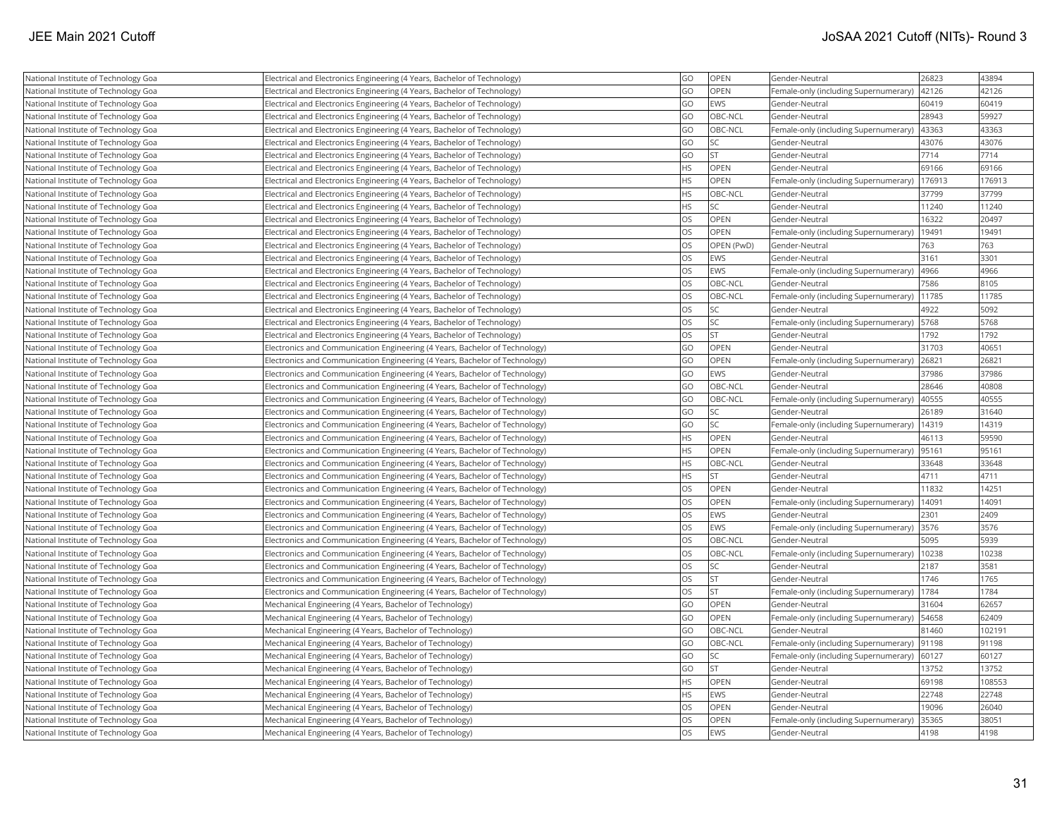| National Institute of Technology Goa | Electrical and Electronics Engineering (4 Years, Bachelor of Technology)    | GO        | OPEN              | Gender-Neutral                        | 26823  | 43894  |
|--------------------------------------|-----------------------------------------------------------------------------|-----------|-------------------|---------------------------------------|--------|--------|
| National Institute of Technology Goa | Electrical and Electronics Engineering (4 Years, Bachelor of Technology)    | GO        | OPEN              | Female-only (including Supernumerary) | 42126  | 42126  |
| National Institute of Technology Goa | Electrical and Electronics Engineering (4 Years, Bachelor of Technology)    | GO        | EWS               | Gender-Neutral                        | 60419  | 60419  |
| National Institute of Technology Goa | Electrical and Electronics Engineering (4 Years, Bachelor of Technology)    | GO        | OBC-NCL           | Gender-Neutral                        | 28943  | 59927  |
| National Institute of Technology Goa | Electrical and Electronics Engineering (4 Years, Bachelor of Technology)    | GO        | <b>OBC-NCL</b>    | Female-only (including Supernumerary) | 43363  | 43363  |
| National Institute of Technology Goa | Electrical and Electronics Engineering (4 Years, Bachelor of Technology)    | GO        | <b>SC</b>         | Gender-Neutral                        | 43076  | 43076  |
| National Institute of Technology Goa | Electrical and Electronics Engineering (4 Years, Bachelor of Technology)    | GO        | <b>ST</b>         | Gender-Neutral                        | 7714   | 7714   |
| National Institute of Technology Goa | Electrical and Electronics Engineering (4 Years, Bachelor of Technology)    | <b>HS</b> | <b>OPEN</b>       | Gender-Neutral                        | 69166  | 69166  |
| National Institute of Technology Goa | Electrical and Electronics Engineering (4 Years, Bachelor of Technology)    | <b>HS</b> | OPEN              | Female-only (including Supernumerary) | 176913 | 176913 |
| National Institute of Technology Goa | Electrical and Electronics Engineering (4 Years, Bachelor of Technology)    | <b>HS</b> | OBC-NCL           | Gender-Neutral                        | 37799  | 37799  |
| National Institute of Technology Goa | Electrical and Electronics Engineering (4 Years, Bachelor of Technology)    | HS        | lsc               | Gender-Neutral                        | 11240  | 11240  |
| National Institute of Technology Goa | Electrical and Electronics Engineering (4 Years, Bachelor of Technology)    | OS        | OPEN              | Gender-Neutral                        | 16322  | 20497  |
| National Institute of Technology Goa | Electrical and Electronics Engineering (4 Years, Bachelor of Technology)    | <b>OS</b> | <b>OPEN</b>       | Female-only (including Supernumerary) | 19491  | 19491  |
| National Institute of Technology Goa | Electrical and Electronics Engineering (4 Years, Bachelor of Technology)    | OS        | <b>OPEN (PwD)</b> | Gender-Neutral                        | 763    | 763    |
| National Institute of Technology Goa | Electrical and Electronics Engineering (4 Years, Bachelor of Technology)    | <b>OS</b> | EWS               | Gender-Neutral                        | 3161   | 3301   |
| National Institute of Technology Goa | Electrical and Electronics Engineering (4 Years, Bachelor of Technology)    | OS        | <b>EWS</b>        | Female-only (including Supernumerary) | 4966   | 4966   |
| National Institute of Technology Goa | Electrical and Electronics Engineering (4 Years, Bachelor of Technology)    | <b>OS</b> | OBC-NCL           | Gender-Neutral                        | 7586   | 8105   |
| National Institute of Technology Goa | Electrical and Electronics Engineering (4 Years, Bachelor of Technology)    | OS        | OBC-NCL           | Female-only (including Supernumerary) | 11785  | 11785  |
| National Institute of Technology Goa | Electrical and Electronics Engineering (4 Years, Bachelor of Technology)    | OS        | <b>SC</b>         | Gender-Neutral                        | 4922   | 5092   |
| National Institute of Technology Goa | Electrical and Electronics Engineering (4 Years, Bachelor of Technology)    | OS        | <b>SC</b>         | Female-only (including Supernumerary) | 5768   | 5768   |
| National Institute of Technology Goa | Electrical and Electronics Engineering (4 Years, Bachelor of Technology)    | OS        | lst               | Gender-Neutral                        | 1792   | 1792   |
| National Institute of Technology Goa | Electronics and Communication Engineering (4 Years, Bachelor of Technology) | GO        | OPEN              | Gender-Neutral                        | 31703  | 40651  |
| National Institute of Technology Goa | Electronics and Communication Engineering (4 Years, Bachelor of Technology) | GO        | <b>OPEN</b>       | Female-only (including Supernumerary) | 26821  | 26821  |
| National Institute of Technology Goa | Electronics and Communication Engineering (4 Years, Bachelor of Technology) | GO        | <b>EWS</b>        | Gender-Neutral                        | 37986  | 37986  |
| National Institute of Technology Goa | Electronics and Communication Engineering (4 Years, Bachelor of Technology) | GO        | OBC-NCL           | Gender-Neutral                        | 28646  | 40808  |
| National Institute of Technology Goa | Electronics and Communication Engineering (4 Years, Bachelor of Technology) | GO        | OBC-NCL           | Female-only (including Supernumerary) | 40555  | 40555  |
| National Institute of Technology Goa | Electronics and Communication Engineering (4 Years, Bachelor of Technology) | GO        | <b>SC</b>         | Gender-Neutral                        | 26189  | 31640  |
| National Institute of Technology Goa | Electronics and Communication Engineering (4 Years, Bachelor of Technology) | GO        | lsc               | Female-only (including Supernumerary) | 14319  | 14319  |
| National Institute of Technology Goa | Electronics and Communication Engineering (4 Years, Bachelor of Technology) | <b>HS</b> | <b>OPEN</b>       | Gender-Neutral                        | 46113  | 59590  |
| National Institute of Technology Goa | Electronics and Communication Engineering (4 Years, Bachelor of Technology) | <b>HS</b> | <b>OPEN</b>       | Female-only (including Supernumerary) | 95161  | 95161  |
| National Institute of Technology Goa | Electronics and Communication Engineering (4 Years, Bachelor of Technology) | <b>HS</b> | OBC-NCL           | Gender-Neutral                        | 33648  | 33648  |
| National Institute of Technology Goa | Electronics and Communication Engineering (4 Years, Bachelor of Technology) | <b>HS</b> | <b>ST</b>         | Gender-Neutral                        | 4711   | 4711   |
| National Institute of Technology Goa | Electronics and Communication Engineering (4 Years, Bachelor of Technology) | OS        | <b>OPEN</b>       | Gender-Neutral                        | 11832  | 14251  |
| National Institute of Technology Goa | Electronics and Communication Engineering (4 Years, Bachelor of Technology) | OS        | OPEN              | Female-only (including Supernumerary) | 14091  | 14091  |
| National Institute of Technology Goa | Electronics and Communication Engineering (4 Years, Bachelor of Technology) | OS        | EWS               | Gender-Neutral                        | 2301   | 2409   |
| National Institute of Technology Goa | Electronics and Communication Engineering (4 Years, Bachelor of Technology) | OS        | EWS               | Female-only (including Supernumerary) | 3576   | 3576   |
| National Institute of Technology Goa | Electronics and Communication Engineering (4 Years, Bachelor of Technology) | <b>OS</b> | OBC-NCL           | Gender-Neutral                        | 5095   | 5939   |
| National Institute of Technology Goa | Electronics and Communication Engineering (4 Years, Bachelor of Technology) | OS        | OBC-NCL           | Female-only (including Supernumerary) | 10238  | 10238  |
| National Institute of Technology Goa | Electronics and Communication Engineering (4 Years, Bachelor of Technology) | OS        | <b>SC</b>         | Gender-Neutral                        | 2187   | 3581   |
| National Institute of Technology Goa | Electronics and Communication Engineering (4 Years, Bachelor of Technology) | OS        | <b>ST</b>         | Gender-Neutral                        | 1746   | 1765   |
| National Institute of Technology Goa | Electronics and Communication Engineering (4 Years, Bachelor of Technology) | OS        | İst               | Female-only (including Supernumerary) | 1784   | 1784   |
| National Institute of Technology Goa | Mechanical Engineering (4 Years, Bachelor of Technology)                    | GO        | OPEN              | Gender-Neutral                        | 31604  | 62657  |
| National Institute of Technology Goa | Mechanical Engineering (4 Years, Bachelor of Technology)                    | GO        | OPEN              | Female-only (including Supernumerary) | 54658  | 62409  |
| National Institute of Technology Goa | Mechanical Engineering (4 Years, Bachelor of Technology)                    | GO        | OBC-NCL           | Gender-Neutral                        | 81460  | 102191 |
| National Institute of Technology Goa | Mechanical Engineering (4 Years, Bachelor of Technology)                    | GO        | OBC-NCL           | Female-only (including Supernumerary) | 91198  | 91198  |
| National Institute of Technology Goa | Mechanical Engineering (4 Years, Bachelor of Technology)                    | GO        | lsc               | Female-only (including Supernumerary) | 60127  | 60127  |
| National Institute of Technology Goa | Mechanical Engineering (4 Years, Bachelor of Technology)                    | GO        | <b>ST</b>         | Gender-Neutral                        | 13752  | 13752  |
| National Institute of Technology Goa | Mechanical Engineering (4 Years, Bachelor of Technology)                    | <b>HS</b> | <b>OPEN</b>       | Gender-Neutral                        | 69198  | 108553 |
| National Institute of Technology Goa | Mechanical Engineering (4 Years, Bachelor of Technology)                    | <b>HS</b> | EWS               | Gender-Neutral                        | 22748  | 22748  |
| National Institute of Technology Goa | Mechanical Engineering (4 Years, Bachelor of Technology)                    | OS        | <b>OPEN</b>       | Gender-Neutral                        | 19096  | 26040  |
| National Institute of Technology Goa | Mechanical Engineering (4 Years, Bachelor of Technology)                    | OS        | OPEN              | Female-only (including Supernumerary) | 35365  | 38051  |
| National Institute of Technology Goa | Mechanical Engineering (4 Years, Bachelor of Technology)                    | <b>OS</b> | EWS               | Gender-Neutral                        | 4198   | 4198   |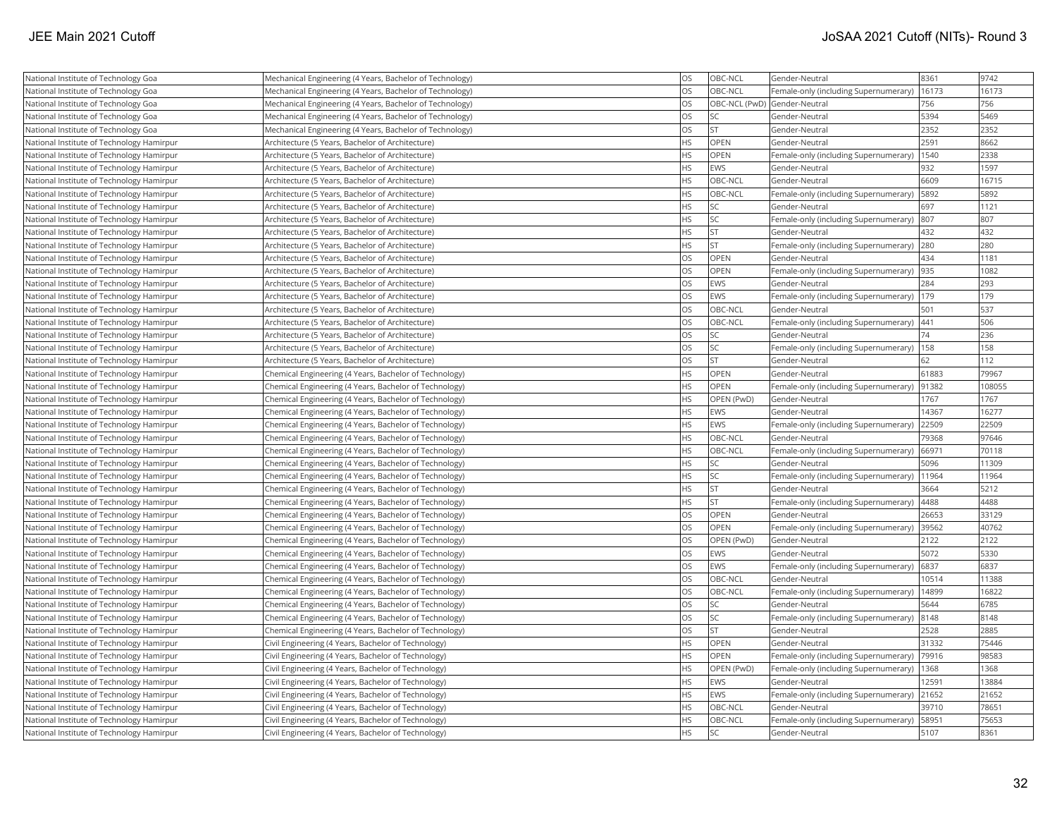| National Institute of Technology Goa      | Mechanical Engineering (4 Years, Bachelor of Technology) | OS        | OBC-NCL                      | Gender-Neutral                             | 8361  | 9742   |
|-------------------------------------------|----------------------------------------------------------|-----------|------------------------------|--------------------------------------------|-------|--------|
| National Institute of Technology Goa      | Mechanical Engineering (4 Years, Bachelor of Technology) | OS        | OBC-NCL                      | Female-only (including Supernumerary)      | 16173 | 16173  |
| National Institute of Technology Goa      | Mechanical Engineering (4 Years, Bachelor of Technology) | <b>OS</b> | OBC-NCL (PwD) Gender-Neutral |                                            | 756   | 756    |
| National Institute of Technology Goa      | Mechanical Engineering (4 Years, Bachelor of Technology) | <b>OS</b> | lsc                          | Gender-Neutral                             | 5394  | 5469   |
| National Institute of Technology Goa      | Mechanical Engineering (4 Years, Bachelor of Technology) | <b>OS</b> | <b>ST</b>                    | Gender-Neutral                             | 2352  | 2352   |
| National Institute of Technology Hamirpur | Architecture (5 Years, Bachelor of Architecture)         | <b>HS</b> | OPEN                         | Gender-Neutral                             | 2591  | 8662   |
| National Institute of Technology Hamirpur | Architecture (5 Years, Bachelor of Architecture)         | <b>HS</b> | OPEN                         | Female-only (including Supernumerary)      | 1540  | 2338   |
| National Institute of Technology Hamirpur | Architecture (5 Years, Bachelor of Architecture)         | HS        | EWS                          | Gender-Neutral                             | 932   | 1597   |
| National Institute of Technology Hamirpur | Architecture (5 Years, Bachelor of Architecture)         | <b>HS</b> | OBC-NCL                      | Gender-Neutral                             | 6609  | 16715  |
| National Institute of Technology Hamirpur | Architecture (5 Years, Bachelor of Architecture)         | HS        | OBC-NCL                      | Female-only (including Supernumerary)      | 5892  | 5892   |
| National Institute of Technology Hamirpur | Architecture (5 Years, Bachelor of Architecture)         | <b>HS</b> | SC.                          | Gender-Neutral                             | 697   | 1121   |
| National Institute of Technology Hamirpur | Architecture (5 Years, Bachelor of Architecture)         | <b>HS</b> | <b>SC</b>                    | Female-only (including Supernumerary)      | 807   | 807    |
| National Institute of Technology Hamirpur | Architecture (5 Years, Bachelor of Architecture)         | <b>HS</b> | <b>ST</b>                    | Gender-Neutral                             | 432   | 432    |
| National Institute of Technology Hamirpur | Architecture (5 Years, Bachelor of Architecture)         | <b>HS</b> | lst                          | Female-only (including Supernumerary)      | 280   | 280    |
| National Institute of Technology Hamirpur | Architecture (5 Years, Bachelor of Architecture)         | <b>OS</b> | OPEN                         | Gender-Neutral                             | 434   | 1181   |
| National Institute of Technology Hamirpur | Architecture (5 Years, Bachelor of Architecture)         | <b>OS</b> | <b>OPEN</b>                  | Female-only (including Supernumerary)  935 |       | 1082   |
| National Institute of Technology Hamirpur | Architecture (5 Years, Bachelor of Architecture)         | <b>OS</b> | <b>EWS</b>                   | Gender-Neutral                             | 284   | 293    |
| National Institute of Technology Hamirpur | Architecture (5 Years, Bachelor of Architecture)         | <b>OS</b> | EWS                          | Female-only (including Supernumerary)      | 179   | 179    |
| National Institute of Technology Hamirpur | Architecture (5 Years, Bachelor of Architecture)         | <b>OS</b> | OBC-NCL                      | Gender-Neutral                             | 501   | 537    |
| National Institute of Technology Hamirpur | Architecture (5 Years, Bachelor of Architecture)         | <b>OS</b> | OBC-NCL                      | Female-only (including Supernumerary)      | 441   | 506    |
| National Institute of Technology Hamirpur | Architecture (5 Years, Bachelor of Architecture)         | <b>OS</b> | <b>SC</b>                    | Gender-Neutral                             | 74    | 236    |
| National Institute of Technology Hamirpur | Architecture (5 Years, Bachelor of Architecture)         | <b>OS</b> | <b>SC</b>                    | Female-only (including Supernumerary)      | 158   | 158    |
| National Institute of Technology Hamirpur | Architecture (5 Years, Bachelor of Architecture)         | <b>OS</b> | <b>ST</b>                    | Gender-Neutral                             | 62    | 112    |
| National Institute of Technology Hamirpur | Chemical Engineering (4 Years, Bachelor of Technology)   | HS        | <b>OPEN</b>                  | Gender-Neutral                             | 61883 | 79967  |
| National Institute of Technology Hamirpur | Chemical Engineering (4 Years, Bachelor of Technology)   | <b>HS</b> | <b>OPEN</b>                  | Female-only (including Supernumerary)      | 91382 | 108055 |
| National Institute of Technology Hamirpur | Chemical Engineering (4 Years, Bachelor of Technology)   | HS        | OPEN (PwD)                   | Gender-Neutral                             | 1767  | 1767   |
| National Institute of Technology Hamirpur | Chemical Engineering (4 Years, Bachelor of Technology)   | <b>HS</b> | EWS                          | Gender-Neutral                             | 14367 | 16277  |
| National Institute of Technology Hamirpur | Chemical Engineering (4 Years, Bachelor of Technology)   | <b>HS</b> | <b>EWS</b>                   | Female-only (including Supernumerary)      | 22509 | 22509  |
| National Institute of Technology Hamirpur | Chemical Engineering (4 Years, Bachelor of Technology)   | <b>HS</b> | OBC-NCL                      | Gender-Neutral                             | 79368 | 97646  |
| National Institute of Technology Hamirpur | Chemical Engineering (4 Years, Bachelor of Technology)   | <b>HS</b> | OBC-NCL                      | Female-only (including Supernumerary)      | 66971 | 70118  |
| National Institute of Technology Hamirpur | Chemical Engineering (4 Years, Bachelor of Technology)   | <b>HS</b> | <b>SC</b>                    | Gender-Neutral                             | 5096  | 11309  |
| National Institute of Technology Hamirpur | Chemical Engineering (4 Years, Bachelor of Technology)   | HS        | <b>SC</b>                    | Female-only (including Supernumerary)      | 11964 | 11964  |
| National Institute of Technology Hamirpur | Chemical Engineering (4 Years, Bachelor of Technology)   | HS.       | İST                          | Gender-Neutral                             | 3664  | 5212   |
| National Institute of Technology Hamirpur | Chemical Engineering (4 Years, Bachelor of Technology)   | HS        | <b>ST</b>                    | Female-only (including Supernumerary)      | 4488  | 4488   |
| National Institute of Technology Hamirpur | Chemical Engineering (4 Years, Bachelor of Technology)   | <b>OS</b> | OPEN                         | Gender-Neutral                             | 26653 | 33129  |
| National Institute of Technology Hamirpur | Chemical Engineering (4 Years, Bachelor of Technology)   | <b>OS</b> | OPEN                         | Female-only (including Supernumerary)      | 39562 | 40762  |
| National Institute of Technology Hamirpur | Chemical Engineering (4 Years, Bachelor of Technology)   | <b>OS</b> | OPEN (PwD)                   | Gender-Neutral                             | 2122  | 2122   |
| National Institute of Technology Hamirpur | Chemical Engineering (4 Years, Bachelor of Technology)   | <b>OS</b> | EWS                          | Gender-Neutral                             | 5072  | 5330   |
| National Institute of Technology Hamirpur | Chemical Engineering (4 Years, Bachelor of Technology)   | <b>OS</b> | EWS                          | Female-only (including Supernumerary)      | 6837  | 6837   |
| National Institute of Technology Hamirpur | Chemical Engineering (4 Years, Bachelor of Technology)   | OS        | OBC-NCL                      | Gender-Neutral                             | 10514 | 11388  |
| National Institute of Technology Hamirpur | Chemical Engineering (4 Years, Bachelor of Technology)   | <b>OS</b> | OBC-NCL                      | Female-only (including Supernumerary)      | 14899 | 16822  |
| National Institute of Technology Hamirpur | Chemical Engineering (4 Years, Bachelor of Technology)   | OS        | SC.                          | Gender-Neutral                             | 5644  | 6785   |
| National Institute of Technology Hamirpur | Chemical Engineering (4 Years, Bachelor of Technology)   | OS        | <b>SC</b>                    | Female-only (including Supernumerary)      | 8148  | 8148   |
| National Institute of Technology Hamirpur | Chemical Engineering (4 Years, Bachelor of Technology)   | <b>OS</b> | lst.                         | Gender-Neutral                             | 2528  | 2885   |
| National Institute of Technology Hamirpur | Civil Engineering (4 Years, Bachelor of Technology)      | <b>HS</b> | <b>OPEN</b>                  | Gender-Neutral                             | 31332 | 75446  |
| National Institute of Technology Hamirpur | Civil Engineering (4 Years, Bachelor of Technology)      | <b>HS</b> | <b>OPEN</b>                  | Female-only (including Supernumerary)      | 79916 | 98583  |
| National Institute of Technology Hamirpur | Civil Engineering (4 Years, Bachelor of Technology)      | <b>HS</b> | OPEN (PwD)                   | Female-only (including Supernumerary)      | 1368  | 1368   |
| National Institute of Technology Hamirpur | Civil Engineering (4 Years, Bachelor of Technology)      | HS        | <b>EWS</b>                   | Gender-Neutral                             | 12591 | 13884  |
| National Institute of Technology Hamirpur | Civil Engineering (4 Years, Bachelor of Technology)      | HS.       | EWS                          | Female-only (including Supernumerary)      | 21652 | 21652  |
| National Institute of Technology Hamirpur | Civil Engineering (4 Years, Bachelor of Technology)      | <b>HS</b> | OBC-NCL                      | Gender-Neutral                             | 39710 | 78651  |
| National Institute of Technology Hamirpur | Civil Engineering (4 Years, Bachelor of Technology)      | <b>HS</b> | OBC-NCL                      | Female-only (including Supernumerary)      | 58951 | 75653  |
| National Institute of Technology Hamirpur | Civil Engineering (4 Years, Bachelor of Technology)      | <b>HS</b> | <b>SC</b>                    | Gender-Neutral                             | 5107  | 8361   |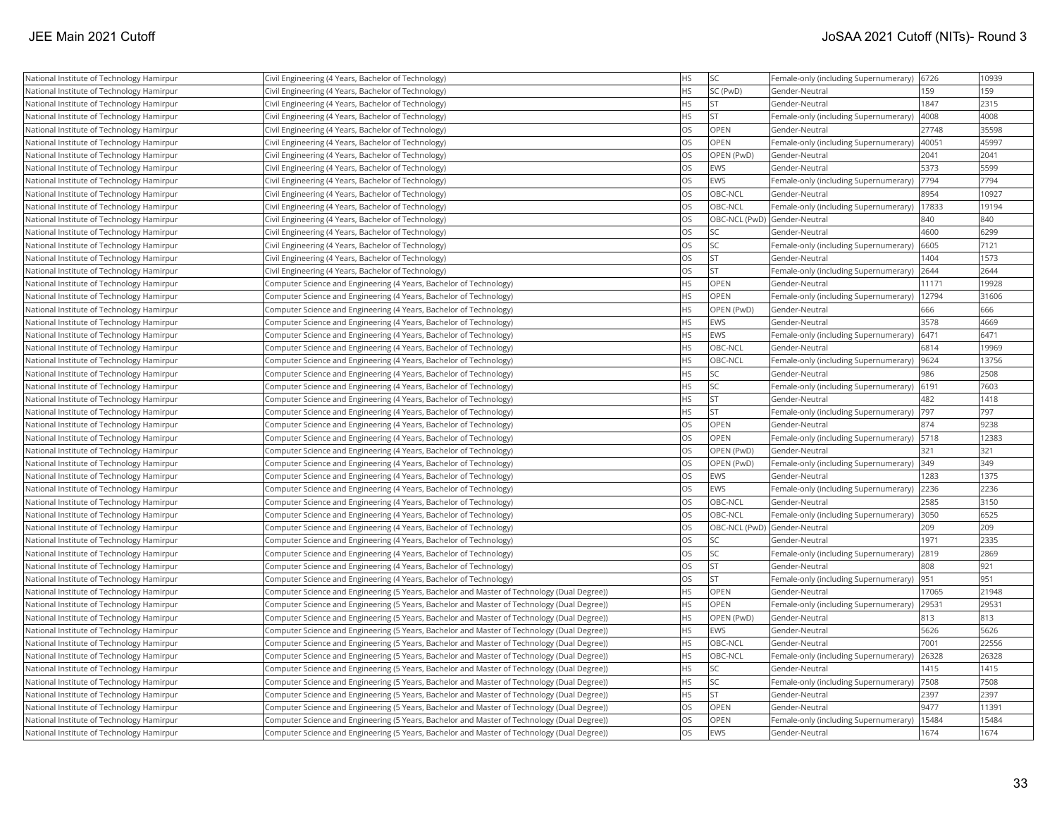| National Institute of Technology Hamirpur                                              | Civil Engineering (4 Years, Bachelor of Technology)                                         | <b>HS</b> | <b>SC</b>                    | Female-only (including Supernumerary) | 6726  | 10939 |
|----------------------------------------------------------------------------------------|---------------------------------------------------------------------------------------------|-----------|------------------------------|---------------------------------------|-------|-------|
| National Institute of Technology Hamirpur                                              | Civil Engineering (4 Years, Bachelor of Technology)                                         | <b>HS</b> | SC (PwD)                     | Gender-Neutral                        | 159   | 159   |
| National Institute of Technology Hamirpur                                              | Civil Engineering (4 Years, Bachelor of Technology)                                         | <b>HS</b> | <b>ST</b>                    | Gender-Neutral                        | 1847  | 2315  |
| National Institute of Technology Hamirpur                                              | Civil Engineering (4 Years, Bachelor of Technology)                                         | <b>HS</b> | lst                          | Female-only (including Supernumerary) | 4008  | 4008  |
| National Institute of Technology Hamirpur                                              | Civil Engineering (4 Years, Bachelor of Technology)                                         | <b>OS</b> | OPEN                         | Gender-Neutral                        | 27748 | 35598 |
| National Institute of Technology Hamirpur                                              | Civil Engineering (4 Years, Bachelor of Technology)                                         | <b>OS</b> | <b>OPEN</b>                  | Female-only (including Supernumerary) | 40051 | 45997 |
| National Institute of Technology Hamirpur                                              | Civil Engineering (4 Years, Bachelor of Technology)                                         | <b>OS</b> | OPEN (PwD)                   | Gender-Neutral                        | 2041  | 2041  |
| National Institute of Technology Hamirpur                                              | Civil Engineering (4 Years, Bachelor of Technology)                                         | <b>OS</b> | EWS                          | Gender-Neutral                        | 5373  | 5599  |
| National Institute of Technology Hamirpur                                              | Civil Engineering (4 Years, Bachelor of Technology)                                         | <b>OS</b> | EWS                          | Female-only (including Supernumerary) | 7794  | 7794  |
| National Institute of Technology Hamirpur                                              | Civil Engineering (4 Years, Bachelor of Technology)                                         | <b>OS</b> | OBC-NCL                      | Gender-Neutral                        | 8954  | 10927 |
| National Institute of Technology Hamirpur                                              | Civil Engineering (4 Years, Bachelor of Technology)                                         | <b>OS</b> | OBC-NCL                      | Female-only (including Supernumerary) | 17833 | 19194 |
| National Institute of Technology Hamirpur                                              | Civil Engineering (4 Years, Bachelor of Technology)                                         | <b>OS</b> |                              | OBC-NCL (PwD) Gender-Neutral          | 840   | 840   |
| National Institute of Technology Hamirpur                                              | Civil Engineering (4 Years, Bachelor of Technology)                                         | <b>OS</b> | <b>SC</b>                    | Gender-Neutral                        | 4600  | 6299  |
| National Institute of Technology Hamirpur                                              | Civil Engineering (4 Years, Bachelor of Technology)                                         | <b>OS</b> | <b>SC</b>                    | Female-only (including Supernumerary) | 6605  | 7121  |
| National Institute of Technology Hamirpur                                              | Civil Engineering (4 Years, Bachelor of Technology)                                         | <b>OS</b> | <b>ST</b>                    | Gender-Neutral                        | 1404  | 1573  |
| National Institute of Technology Hamirpur                                              | Civil Engineering (4 Years, Bachelor of Technology)                                         | <b>OS</b> | lst                          | Female-only (including Supernumerary) | 2644  | 2644  |
| National Institute of Technology Hamirpur                                              | Computer Science and Engineering (4 Years, Bachelor of Technology)                          | HS        | OPEN                         | Gender-Neutral                        | 11171 | 19928 |
| National Institute of Technology Hamirpur                                              | Computer Science and Engineering (4 Years, Bachelor of Technology)                          | <b>HS</b> | OPEN                         | Female-only (including Supernumerary) | 12794 | 31606 |
| National Institute of Technology Hamirpur                                              | Computer Science and Engineering (4 Years, Bachelor of Technology)                          | HS        | OPEN (PwD)                   | Gender-Neutral                        | 666   | 666   |
| National Institute of Technology Hamirpur                                              | Computer Science and Engineering (4 Years, Bachelor of Technology)                          | <b>HS</b> | EWS                          | Gender-Neutral                        | 3578  | 4669  |
| National Institute of Technology Hamirpur                                              | Computer Science and Engineering (4 Years, Bachelor of Technology)                          | <b>HS</b> | EWS                          | Female-only (including Supernumerary) | 6471  | 6471  |
| National Institute of Technology Hamirpur                                              | Computer Science and Engineering (4 Years, Bachelor of Technology)                          | <b>HS</b> | OBC-NCL                      | Gender-Neutral                        | 6814  | 19969 |
| National Institute of Technology Hamirpur                                              | Computer Science and Engineering (4 Years, Bachelor of Technology)                          | <b>HS</b> | OBC-NCL                      | Female-only (including Supernumerary) | 9624  | 13756 |
| National Institute of Technology Hamirpur                                              | Computer Science and Engineering (4 Years, Bachelor of Technology)                          | <b>HS</b> | <b>SC</b>                    | Gender-Neutral                        | 986   | 2508  |
| National Institute of Technology Hamirpur                                              | Computer Science and Engineering (4 Years, Bachelor of Technology)                          | <b>HS</b> | <b>SC</b>                    | Female-only (including Supernumerary) | 6191  | 7603  |
| National Institute of Technology Hamirpur                                              | Computer Science and Engineering (4 Years, Bachelor of Technology)                          | <b>HS</b> | <b>ST</b>                    | Gender-Neutral                        | 482   | 1418  |
|                                                                                        |                                                                                             | <b>HS</b> | <b>ST</b>                    |                                       | 797   | 797   |
| National Institute of Technology Hamirpur                                              | Computer Science and Engineering (4 Years, Bachelor of Technology)                          | <b>OS</b> | OPEN                         | Female-only (including Supernumerary) | 874   | 9238  |
| National Institute of Technology Hamirpur<br>National Institute of Technology Hamirpur | Computer Science and Engineering (4 Years, Bachelor of Technology)                          | <b>OS</b> | <b>OPEN</b>                  | Gender-Neutral                        | 5718  | 12383 |
|                                                                                        | Computer Science and Engineering (4 Years, Bachelor of Technology)                          | <b>OS</b> |                              | Female-only (including Supernumerary) |       | 321   |
| National Institute of Technology Hamirpur                                              | Computer Science and Engineering (4 Years, Bachelor of Technology)                          |           | OPEN (PwD)                   | Gender-Neutral                        | 321   | 349   |
| National Institute of Technology Hamirpur                                              | Computer Science and Engineering (4 Years, Bachelor of Technology)                          | <b>OS</b> | OPEN (PwD)                   | Female-only (including Supernumerary) | 349   |       |
| National Institute of Technology Hamirpur                                              | Computer Science and Engineering (4 Years, Bachelor of Technology)                          | <b>OS</b> | <b>EWS</b>                   | Gender-Neutral                        | 1283  | 1375  |
| National Institute of Technology Hamirpur                                              | Computer Science and Engineering (4 Years, Bachelor of Technology)                          | <b>OS</b> | EWS                          | Female-only (including Supernumerary) | 2236  | 2236  |
| National Institute of Technology Hamirpur                                              | Computer Science and Engineering (4 Years, Bachelor of Technology)                          | <b>OS</b> | OBC-NCL                      | Gender-Neutral                        | 2585  | 3150  |
| National Institute of Technology Hamirpur                                              | Computer Science and Engineering (4 Years, Bachelor of Technology)                          | <b>OS</b> | OBC-NCL                      | Female-only (including Supernumerary) | 3050  | 6525  |
| National Institute of Technology Hamirpur                                              | Computer Science and Engineering (4 Years, Bachelor of Technology)                          | <b>OS</b> | OBC-NCL (PwD) Gender-Neutral |                                       | 209   | 209   |
| National Institute of Technology Hamirpur                                              | Computer Science and Engineering (4 Years, Bachelor of Technology)                          | <b>OS</b> | <b>SC</b>                    | Gender-Neutral                        | 1971  | 2335  |
| National Institute of Technology Hamirpur                                              | Computer Science and Engineering (4 Years, Bachelor of Technology)                          | <b>OS</b> | lsc                          | Female-only (including Supernumerary) | 2819  | 2869  |
| National Institute of Technology Hamirpur                                              | Computer Science and Engineering (4 Years, Bachelor of Technology)                          | <b>OS</b> | <b>ST</b>                    | Gender-Neutral                        | 808   | 921   |
| National Institute of Technology Hamirpur                                              | Computer Science and Engineering (4 Years, Bachelor of Technology)                          | <b>OS</b> | <b>ST</b>                    | Female-only (including Supernumerary) | 951   | 951   |
| National Institute of Technology Hamirpur                                              | Computer Science and Engineering (5 Years, Bachelor and Master of Technology (Dual Degree)) | <b>HS</b> | <b>OPEN</b>                  | Gender-Neutral                        | 17065 | 21948 |
| National Institute of Technology Hamirpur                                              | Computer Science and Engineering (5 Years, Bachelor and Master of Technology (Dual Degree)) | <b>HS</b> | <b>OPEN</b>                  | Female-only (including Supernumerary) | 29531 | 29531 |
| National Institute of Technology Hamirpur                                              | Computer Science and Engineering (5 Years, Bachelor and Master of Technology (Dual Degree)) | <b>HS</b> | OPEN (PwD)                   | Gender-Neutral                        | 813   | 813   |
| National Institute of Technology Hamirpur                                              | Computer Science and Engineering (5 Years, Bachelor and Master of Technology (Dual Degree)) | <b>HS</b> | EWS                          | Gender-Neutral                        | 5626  | 5626  |
| National Institute of Technology Hamirpur                                              | Computer Science and Engineering (5 Years, Bachelor and Master of Technology (Dual Degree)) | <b>HS</b> | OBC-NCL                      | Gender-Neutral                        | 7001  | 22556 |
| National Institute of Technology Hamirpur                                              | Computer Science and Engineering (5 Years, Bachelor and Master of Technology (Dual Degree)) | <b>HS</b> | OBC-NCL                      | Female-only (including Supernumerary) | 26328 | 26328 |
| National Institute of Technology Hamirpur                                              | Computer Science and Engineering (5 Years, Bachelor and Master of Technology (Dual Degree)) | <b>HS</b> | lsc                          | Gender-Neutral                        | 1415  | 1415  |
| National Institute of Technology Hamirpur                                              | Computer Science and Engineering (5 Years, Bachelor and Master of Technology (Dual Degree)) | <b>HS</b> | <b>SC</b>                    | Female-only (including Supernumerary) | 7508  | 7508  |
| National Institute of Technology Hamirpur                                              | Computer Science and Engineering (5 Years, Bachelor and Master of Technology (Dual Degree)) | <b>HS</b> | <b>ST</b>                    | Gender-Neutral                        | 2397  | 2397  |
| National Institute of Technology Hamirpur                                              | Computer Science and Engineering (5 Years, Bachelor and Master of Technology (Dual Degree)) | <b>OS</b> | <b>OPEN</b>                  | Gender-Neutral                        | 9477  | 11391 |
| National Institute of Technology Hamirpur                                              | Computer Science and Engineering (5 Years, Bachelor and Master of Technology (Dual Degree)) | <b>OS</b> | OPEN                         | Female-only (including Supernumerary) | 15484 | 15484 |
| National Institute of Technology Hamirpur                                              | Computer Science and Engineering (5 Years, Bachelor and Master of Technology (Dual Degree)) | <b>OS</b> | EWS                          | Gender-Neutral                        | 1674  | 1674  |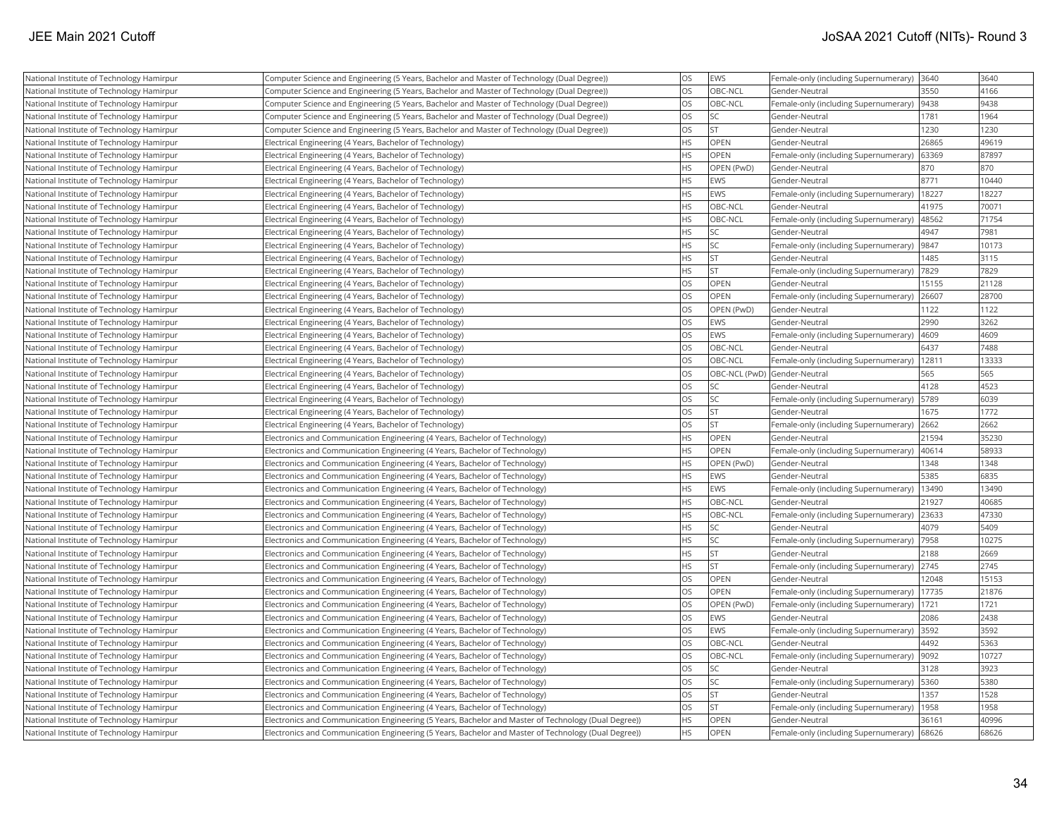| National Institute of Technology Hamirpur | Computer Science and Engineering (5 Years, Bachelor and Master of Technology (Dual Degree))          | <b>OS</b> | EWS                          | Female-only (including Supernumerary) | 3640  | 3640  |
|-------------------------------------------|------------------------------------------------------------------------------------------------------|-----------|------------------------------|---------------------------------------|-------|-------|
| National Institute of Technology Hamirpur | (Computer Science and Engineering (5 Years, Bachelor and Master of Technology (Dual Degree))         | <b>OS</b> | OBC-NCL                      | Gender-Neutral                        | 3550  | 4166  |
| National Institute of Technology Hamirpur | Computer Science and Engineering (5 Years, Bachelor and Master of Technology (Dual Degree))          | <b>OS</b> | OBC-NCL                      | Female-only (including Supernumerary) | 9438  | 9438  |
| National Institute of Technology Hamirpur | Computer Science and Engineering (5 Years, Bachelor and Master of Technology (Dual Degree))          | <b>OS</b> | <b>SC</b>                    | Gender-Neutral                        | 1781  | 1964  |
| National Institute of Technology Hamirpur | Computer Science and Engineering (5 Years, Bachelor and Master of Technology (Dual Degree))          | <b>OS</b> | <b>ST</b>                    | Gender-Neutral                        | 1230  | 1230  |
| National Institute of Technology Hamirpur | Electrical Engineering (4 Years, Bachelor of Technology)                                             | <b>HS</b> | <b>OPEN</b>                  | Gender-Neutral                        | 26865 | 49619 |
| National Institute of Technology Hamirpur | Electrical Engineering (4 Years, Bachelor of Technology)                                             | <b>HS</b> | <b>OPEN</b>                  | Female-only (including Supernumerary) | 63369 | 87897 |
| National Institute of Technology Hamirpur | Electrical Engineering (4 Years, Bachelor of Technology)                                             | <b>HS</b> | <b>OPEN (PwD)</b>            | Gender-Neutral                        | 870   | 870   |
| National Institute of Technology Hamirpur | Electrical Engineering (4 Years, Bachelor of Technology)                                             | <b>HS</b> | EWS                          | Gender-Neutral                        | 8771  | 10440 |
| National Institute of Technology Hamirpur | Electrical Engineering (4 Years, Bachelor of Technology)                                             | <b>HS</b> | EWS                          | Female-only (including Supernumerary) | 18227 | 18227 |
| National Institute of Technology Hamirpur | Electrical Engineering (4 Years, Bachelor of Technology)                                             | <b>HS</b> | OBC-NCL                      | Gender-Neutral                        | 41975 | 70071 |
| National Institute of Technology Hamirpur | Electrical Engineering (4 Years, Bachelor of Technology)                                             | <b>HS</b> | OBC-NCL                      | Female-only (including Supernumerary) | 48562 | 71754 |
| National Institute of Technology Hamirpur | Electrical Engineering (4 Years, Bachelor of Technology)                                             | <b>HS</b> | <b>SC</b>                    | Gender-Neutral                        | 4947  | 7981  |
| National Institute of Technology Hamirpur | Electrical Engineering (4 Years, Bachelor of Technology)                                             | <b>HS</b> | <b>SC</b>                    | Female-only (including Supernumerary) | 9847  | 10173 |
| National Institute of Technology Hamirpur | Electrical Engineering (4 Years, Bachelor of Technology)                                             | <b>HS</b> | <b>ST</b>                    | Gender-Neutral                        | 1485  | 3115  |
| National Institute of Technology Hamirpur | Electrical Engineering (4 Years, Bachelor of Technology)                                             | <b>HS</b> | <b>ST</b>                    | Female-only (including Supernumerary) | 7829  | 7829  |
| National Institute of Technology Hamirpur | Electrical Engineering (4 Years, Bachelor of Technology)                                             | <b>OS</b> | OPEN                         | Gender-Neutral                        | 15155 | 21128 |
| National Institute of Technology Hamirpur | Electrical Engineering (4 Years, Bachelor of Technology)                                             | <b>OS</b> | OPEN                         | Female-only (including Supernumerary) | 26607 | 28700 |
| National Institute of Technology Hamirpur | Electrical Engineering (4 Years, Bachelor of Technology)                                             | <b>OS</b> | OPEN (PwD)                   | Gender-Neutral                        | 1122  | 1122  |
| National Institute of Technology Hamirpur | Electrical Engineering (4 Years, Bachelor of Technology)                                             | <b>OS</b> | EWS                          | Gender-Neutral                        | 2990  | 3262  |
| National Institute of Technology Hamirpur | Electrical Engineering (4 Years, Bachelor of Technology)                                             | <b>OS</b> | EWS                          | Female-only (including Supernumerary) | 4609  | 4609  |
| National Institute of Technology Hamirpur | Electrical Engineering (4 Years, Bachelor of Technology)                                             | <b>OS</b> | OBC-NCL                      | Gender-Neutral                        | 6437  | 7488  |
| National Institute of Technology Hamirpur | Electrical Engineering (4 Years, Bachelor of Technology)                                             | <b>OS</b> | OBC-NCL                      | Female-only (including Supernumerary) | 12811 | 13333 |
| National Institute of Technology Hamirpur | Electrical Engineering (4 Years, Bachelor of Technology)                                             | <b>OS</b> | OBC-NCL (PwD) Gender-Neutral |                                       | 565   | 565   |
| National Institute of Technology Hamirpur | Electrical Engineering (4 Years, Bachelor of Technology)                                             | <b>OS</b> | lsc                          | Gender-Neutral                        | 4128  | 4523  |
| National Institute of Technology Hamirpur | Electrical Engineering (4 Years, Bachelor of Technology)                                             | <b>OS</b> | <b>SC</b>                    | Female-only (including Supernumerary) | 5789  | 6039  |
| National Institute of Technology Hamirpur | Electrical Engineering (4 Years, Bachelor of Technology)                                             | <b>OS</b> | <b>ST</b>                    | Gender-Neutral                        | 1675  | 1772  |
| National Institute of Technology Hamirpur | Electrical Engineering (4 Years, Bachelor of Technology)                                             | <b>OS</b> | lst                          | Female-only (including Supernumerary) | 2662  | 2662  |
| National Institute of Technology Hamirpur | Electronics and Communication Engineering (4 Years, Bachelor of Technology)                          | <b>HS</b> | <b>OPEN</b>                  | Gender-Neutral                        | 21594 | 35230 |
| National Institute of Technology Hamirpur | Electronics and Communication Engineering (4 Years, Bachelor of Technology)                          | <b>HS</b> | <b>OPEN</b>                  | Female-only (including Supernumerary) | 40614 | 58933 |
| National Institute of Technology Hamirpur | Electronics and Communication Engineering (4 Years, Bachelor of Technology)                          | <b>HS</b> | OPEN (PwD)                   | Gender-Neutral                        | 1348  | 1348  |
| National Institute of Technology Hamirpur | Electronics and Communication Engineering (4 Years, Bachelor of Technology)                          | HS        | EWS                          | Gender-Neutral                        | 5385  | 6835  |
| National Institute of Technology Hamirpur | Electronics and Communication Engineering (4 Years, Bachelor of Technology)                          | <b>HS</b> | EWS                          | Female-only (including Supernumerary) | 13490 | 13490 |
| National Institute of Technology Hamirpur | Electronics and Communication Engineering (4 Years, Bachelor of Technology)                          | <b>HS</b> | OBC-NCL                      | Gender-Neutral                        | 21927 | 40685 |
| National Institute of Technology Hamirpur | Electronics and Communication Engineering (4 Years, Bachelor of Technology)                          | <b>HS</b> | OBC-NCL                      | Female-only (including Supernumerary) | 23633 | 47330 |
| National Institute of Technology Hamirpur | Electronics and Communication Engineering (4 Years, Bachelor of Technology)                          | <b>HS</b> | lsc                          | Gender-Neutral                        | 4079  | 5409  |
| National Institute of Technology Hamirpur | Electronics and Communication Engineering (4 Years, Bachelor of Technology)                          | <b>HS</b> | <b>SC</b>                    | Female-only (including Supernumerary) | 7958  | 10275 |
| National Institute of Technology Hamirpur | Electronics and Communication Engineering (4 Years, Bachelor of Technology)                          | <b>HS</b> | <b>ST</b>                    | Gender-Neutral                        | 2188  | 2669  |
| National Institute of Technology Hamirpur | Electronics and Communication Engineering (4 Years, Bachelor of Technology)                          | <b>HS</b> | <b>ST</b>                    | Female-only (including Supernumerary) | 2745  | 2745  |
| National Institute of Technology Hamirpur | Electronics and Communication Engineering (4 Years, Bachelor of Technology)                          | <b>OS</b> | <b>OPEN</b>                  | Gender-Neutral                        | 12048 | 15153 |
| National Institute of Technology Hamirpur | Electronics and Communication Engineering (4 Years, Bachelor of Technology)                          | <b>OS</b> | OPEN                         | Female-only (including Supernumerary) | 17735 | 21876 |
| National Institute of Technology Hamirpur | Electronics and Communication Engineering (4 Years, Bachelor of Technology)                          | <b>OS</b> | OPEN (PwD)                   | Female-only (including Supernumerary) | 1721  | 1721  |
| National Institute of Technology Hamirpur | Electronics and Communication Engineering (4 Years, Bachelor of Technology)                          | <b>OS</b> | EWS                          | Gender-Neutral                        | 2086  | 2438  |
| National Institute of Technology Hamirpur | Electronics and Communication Engineering (4 Years, Bachelor of Technology)                          | <b>OS</b> | EWS                          | Female-only (including Supernumerary) | 3592  | 3592  |
| National Institute of Technology Hamirpur | Electronics and Communication Engineering (4 Years, Bachelor of Technology)                          | <b>OS</b> | OBC-NCL                      | Gender-Neutral                        | 4492  | 5363  |
| National Institute of Technology Hamirpur | Electronics and Communication Engineering (4 Years, Bachelor of Technology)                          | <b>OS</b> | OBC-NCL                      | Female-only (including Supernumerary) | 9092  | 10727 |
| National Institute of Technology Hamirpur | Electronics and Communication Engineering (4 Years, Bachelor of Technology)                          | <b>OS</b> | <b>SC</b>                    | Gender-Neutral                        | 3128  | 3923  |
| National Institute of Technology Hamirpur | Electronics and Communication Engineering (4 Years, Bachelor of Technology)                          | <b>OS</b> | lsc                          | Female-only (including Supernumerary) | 5360  | 5380  |
| National Institute of Technology Hamirpur | Electronics and Communication Engineering (4 Years, Bachelor of Technology)                          | <b>OS</b> | <b>ST</b>                    | Gender-Neutral                        | 1357  | 1528  |
| National Institute of Technology Hamirpur | Electronics and Communication Engineering (4 Years, Bachelor of Technology)                          | <b>OS</b> | <b>ST</b>                    | Female-only (including Supernumerary) | 1958  | 1958  |
| National Institute of Technology Hamirpur | Electronics and Communication Engineering (5 Years, Bachelor and Master of Technology (Dual Degree)) | <b>HS</b> | OPEN                         | Gender-Neutral                        | 36161 | 40996 |
| National Institute of Technology Hamirpur | Electronics and Communication Engineering (5 Years, Bachelor and Master of Technology (Dual Degree)) | <b>HS</b> | <b>OPEN</b>                  | Female-only (including Supernumerary) | 68626 | 68626 |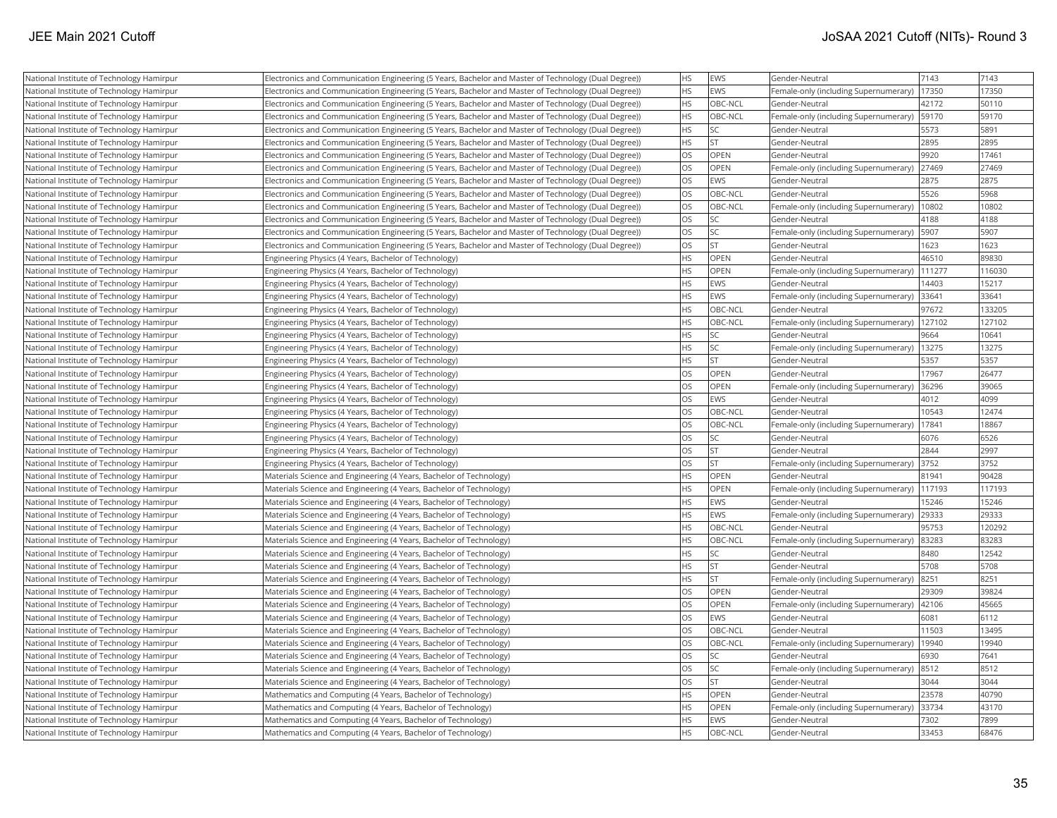| National Institute of Technology Hamirpur | Electronics and Communication Engineering (5 Years, Bachelor and Master of Technology (Dual Degree)) | <b>HS</b> | EWS       | Gender-Neutral                        | 7143   | 7143   |
|-------------------------------------------|------------------------------------------------------------------------------------------------------|-----------|-----------|---------------------------------------|--------|--------|
| National Institute of Technology Hamirpur | Electronics and Communication Engineering (5 Years, Bachelor and Master of Technology (Dual Degree)) | <b>HS</b> | EWS       | Female-only (including Supernumerary) | 17350  | 17350  |
| National Institute of Technology Hamirpur | Electronics and Communication Engineering (5 Years, Bachelor and Master of Technology (Dual Degree)) | <b>HS</b> | OBC-NCL   | Gender-Neutral                        | 42172  | 50110  |
| National Institute of Technology Hamirpur | Electronics and Communication Engineering (5 Years, Bachelor and Master of Technology (Dual Degree)) | <b>HS</b> | OBC-NCL   | Female-only (including Supernumerary) | 59170  | 59170  |
| National Institute of Technology Hamirpur | Electronics and Communication Engineering (5 Years, Bachelor and Master of Technology (Dual Degree)) | <b>HS</b> | SC        | Gender-Neutral                        | 5573   | 5891   |
| National Institute of Technology Hamirpur | Electronics and Communication Engineering (5 Years, Bachelor and Master of Technology (Dual Degree)) | HS        | <b>ST</b> | Gender-Neutral                        | 2895   | 2895   |
| National Institute of Technology Hamirpur | Electronics and Communication Engineering (5 Years, Bachelor and Master of Technology (Dual Degree)) | <b>OS</b> | OPEN      | Gender-Neutral                        | 9920   | 17461  |
| National Institute of Technology Hamirpur | Electronics and Communication Engineering (5 Years, Bachelor and Master of Technology (Dual Degree)) | OS        | OPEN      | Female-only (including Supernumerary) | 27469  | 27469  |
| National Institute of Technology Hamirpur | Electronics and Communication Engineering (5 Years, Bachelor and Master of Technology (Dual Degree)) | <b>OS</b> | EWS       | Gender-Neutral                        | 2875   | 2875   |
| National Institute of Technology Hamirpur | Electronics and Communication Engineering (5 Years, Bachelor and Master of Technology (Dual Degree)) | <b>OS</b> | OBC-NCL   | Gender-Neutral                        | 5526   | 5968   |
| National Institute of Technology Hamirpur | Electronics and Communication Engineering (5 Years, Bachelor and Master of Technology (Dual Degree)) | <b>OS</b> | OBC-NCL   | Female-only (including Supernumerary) | 10802  | 10802  |
| National Institute of Technology Hamirpur | Electronics and Communication Engineering (5 Years, Bachelor and Master of Technology (Dual Degree)) | <b>OS</b> | SC        | Gender-Neutral                        | 4188   | 4188   |
| National Institute of Technology Hamirpur | Electronics and Communication Engineering (5 Years, Bachelor and Master of Technology (Dual Degree)) | <b>OS</b> | SC        | Female-only (including Supernumerary) | 5907   | 5907   |
| National Institute of Technology Hamirpur | Electronics and Communication Engineering (5 Years, Bachelor and Master of Technology (Dual Degree)) | <b>OS</b> | <b>ST</b> | Gender-Neutral                        | 1623   | 1623   |
| National Institute of Technology Hamirpur | Engineering Physics (4 Years, Bachelor of Technology)                                                | <b>HS</b> | OPEN      | Gender-Neutral                        | 46510  | 89830  |
| National Institute of Technology Hamirpur | Engineering Physics (4 Years, Bachelor of Technology)                                                | <b>HS</b> | OPEN      | Female-only (including Supernumerary) | 111277 | 116030 |
| National Institute of Technology Hamirpur | Engineering Physics (4 Years, Bachelor of Technology)                                                | HS        | EWS       | Gender-Neutral                        | 14403  | 15217  |
| National Institute of Technology Hamirpur | Engineering Physics (4 Years, Bachelor of Technology)                                                | <b>HS</b> | EWS       | Female-only (including Supernumerary) | 33641  | 33641  |
| National Institute of Technology Hamirpur | Engineering Physics (4 Years, Bachelor of Technology)                                                | <b>HS</b> | OBC-NCL   | Gender-Neutral                        | 97672  | 133205 |
| National Institute of Technology Hamirpur | Engineering Physics (4 Years, Bachelor of Technology)                                                | <b>HS</b> | OBC-NCL   | Female-only (including Supernumerary) | 127102 | 127102 |
| National Institute of Technology Hamirpur | Engineering Physics (4 Years, Bachelor of Technology)                                                | <b>HS</b> | <b>SC</b> | Gender-Neutral                        | 9664   | 10641  |
| National Institute of Technology Hamirpur | Engineering Physics (4 Years, Bachelor of Technology)                                                | <b>HS</b> | SC        | Female-only (including Supernumerary) | 13275  | 13275  |
| National Institute of Technology Hamirpur | Engineering Physics (4 Years, Bachelor of Technology)                                                | <b>HS</b> | <b>ST</b> | Gender-Neutral                        | 5357   | 5357   |
| National Institute of Technology Hamirpur | Engineering Physics (4 Years, Bachelor of Technology)                                                | <b>OS</b> | OPEN      | Gender-Neutral                        | 17967  | 26477  |
| National Institute of Technology Hamirpur | Engineering Physics (4 Years, Bachelor of Technology)                                                | los       | OPEN      | Female-only (including Supernumerary) | 36296  | 39065  |
| National Institute of Technology Hamirpur | Engineering Physics (4 Years, Bachelor of Technology)                                                | <b>OS</b> | EWS       | Gender-Neutral                        | 4012   | 4099   |
| National Institute of Technology Hamirpur | Engineering Physics (4 Years, Bachelor of Technology)                                                | <b>OS</b> | OBC-NCL   | Gender-Neutral                        | 10543  | 12474  |
| National Institute of Technology Hamirpur | Engineering Physics (4 Years, Bachelor of Technology)                                                | <b>OS</b> | OBC-NCL   | Female-only (including Supernumerary) | 17841  | 18867  |
| National Institute of Technology Hamirpur | Engineering Physics (4 Years, Bachelor of Technology)                                                | <b>OS</b> | SC        | Gender-Neutral                        | 6076   | 6526   |
| National Institute of Technology Hamirpur | Engineering Physics (4 Years, Bachelor of Technology)                                                | <b>OS</b> | <b>ST</b> | Gender-Neutral                        | 2844   | 2997   |
| National Institute of Technology Hamirpur | Engineering Physics (4 Years, Bachelor of Technology)                                                | <b>OS</b> | <b>ST</b> | Female-only (including Supernumerary) | 3752   | 3752   |
| National Institute of Technology Hamirpur | Materials Science and Engineering (4 Years, Bachelor of Technology)                                  | HS        | OPEN      | Gender-Neutral                        | 81941  | 90428  |
| National Institute of Technology Hamirpur | Materials Science and Engineering (4 Years, Bachelor of Technology)                                  | <b>HS</b> | OPEN      | Female-only (including Supernumerary) | 117193 | 117193 |
| National Institute of Technology Hamirpur | Materials Science and Engineering (4 Years, Bachelor of Technology)                                  | HS        | EWS       | Gender-Neutral                        | 15246  | 15246  |
| National Institute of Technology Hamirpur | Materials Science and Engineering (4 Years, Bachelor of Technology)                                  | <b>HS</b> | EWS       | Female-only (including Supernumerary) | 29333  | 29333  |
| National Institute of Technology Hamirpur | Materials Science and Engineering (4 Years, Bachelor of Technology)                                  | <b>HS</b> | OBC-NCL   | Gender-Neutral                        | 95753  | 120292 |
| National Institute of Technology Hamirpur | Materials Science and Engineering (4 Years, Bachelor of Technology)                                  | HS        | OBC-NCL   | Female-only (including Supernumerary) | 83283  | 83283  |
| National Institute of Technology Hamirpur | Materials Science and Engineering (4 Years, Bachelor of Technology)                                  | <b>HS</b> | SC        | Gender-Neutral                        | 8480   | 12542  |
| National Institute of Technology Hamirpur | Materials Science and Engineering (4 Years, Bachelor of Technology)                                  | HS        | <b>ST</b> | Gender-Neutral                        | 5708   | 5708   |
| National Institute of Technology Hamirpur | Materials Science and Engineering (4 Years, Bachelor of Technology)                                  | HS        | ST        | Female-only (including Supernumerary) | 8251   | 8251   |
| National Institute of Technology Hamirpur | Materials Science and Engineering (4 Years, Bachelor of Technology)                                  | los       | OPEN      | Gender-Neutral                        | 29309  | 39824  |
| National Institute of Technology Hamirpur | Materials Science and Engineering (4 Years, Bachelor of Technology)                                  | los       | OPEN      | Female-only (including Supernumerary) | 42106  | 45665  |
| National Institute of Technology Hamirpur | Materials Science and Engineering (4 Years, Bachelor of Technology)                                  | <b>OS</b> | EWS       | Gender-Neutral                        | 6081   | 6112   |
| National Institute of Technology Hamirpur | Materials Science and Engineering (4 Years, Bachelor of Technology)                                  | <b>OS</b> | OBC-NCL   | Gender-Neutral                        | 11503  | 13495  |
| National Institute of Technology Hamirpur | Materials Science and Engineering (4 Years, Bachelor of Technology)                                  | <b>OS</b> | OBC-NCL   | Female-only (including Supernumerary) | 19940  | 19940  |
| National Institute of Technology Hamirpur | Materials Science and Engineering (4 Years, Bachelor of Technology)                                  | <b>OS</b> | <b>SC</b> | Gender-Neutral                        | 6930   | 7641   |
| National Institute of Technology Hamirpur | Materials Science and Engineering (4 Years, Bachelor of Technology)                                  | <b>OS</b> | SC        | Female-only (including Supernumerary) | 8512   | 8512   |
| National Institute of Technology Hamirpur | Materials Science and Engineering (4 Years, Bachelor of Technology)                                  | los       | <b>ST</b> | Gender-Neutral                        | 3044   | 3044   |
| National Institute of Technology Hamirpur | Mathematics and Computing (4 Years, Bachelor of Technology)                                          | <b>HS</b> | OPEN      | Gender-Neutral                        | 23578  | 40790  |
| National Institute of Technology Hamirpur | Mathematics and Computing (4 Years, Bachelor of Technology)                                          | HS        | OPEN      | Female-only (including Supernumerary) | 33734  | 43170  |
| National Institute of Technology Hamirpur | Mathematics and Computing (4 Years, Bachelor of Technology)                                          | <b>HS</b> | EWS       | Gender-Neutral                        | 7302   | 7899   |
| National Institute of Technology Hamirpur | Mathematics and Computing (4 Years, Bachelor of Technology)                                          | <b>HS</b> | OBC-NCL   | Gender-Neutral                        | 33453  | 68476  |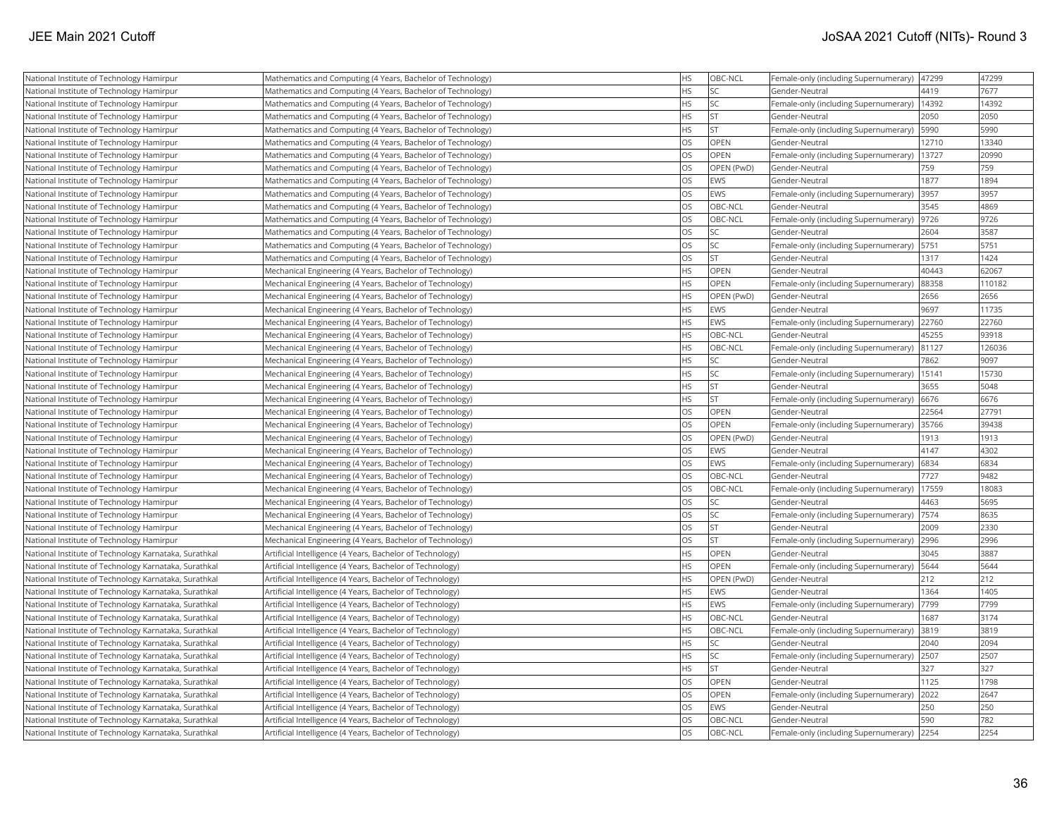| National Institute of Technology Hamirpur             | Mathematics and Computing (4 Years, Bachelor of Technology) | <b>HS</b> | OBC-NCL    | Female-only (including Supernumerary)      | 47299 | 47299  |
|-------------------------------------------------------|-------------------------------------------------------------|-----------|------------|--------------------------------------------|-------|--------|
| National Institute of Technology Hamirpur             | Mathematics and Computing (4 Years, Bachelor of Technology) | <b>HS</b> | <b>SC</b>  | Gender-Neutral                             | 4419  | 7677   |
| National Institute of Technology Hamirpur             | Mathematics and Computing (4 Years, Bachelor of Technology) | <b>HS</b> | SC         | Female-only (including Supernumerary)      | 14392 | 14392  |
| National Institute of Technology Hamirpur             | Mathematics and Computing (4 Years, Bachelor of Technology) | <b>HS</b> | İst        | Gender-Neutral                             | 2050  | 2050   |
| National Institute of Technology Hamirpur             | Mathematics and Computing (4 Years, Bachelor of Technology) | <b>HS</b> | lst        | Female-only (including Supernumerary)      | 5990  | 5990   |
| National Institute of Technology Hamirpur             | Mathematics and Computing (4 Years, Bachelor of Technology) | <b>OS</b> | OPEN       | Gender-Neutral                             | 12710 | 13340  |
| National Institute of Technology Hamirpur             | Mathematics and Computing (4 Years, Bachelor of Technology) | OS        | OPEN       | Female-only (including Supernumerary)      | 13727 | 20990  |
| National Institute of Technology Hamirpur             | Mathematics and Computing (4 Years, Bachelor of Technology) | <b>OS</b> | OPEN (PwD) | Gender-Neutral                             | 759   | 759    |
| National Institute of Technology Hamirpur             | Mathematics and Computing (4 Years, Bachelor of Technology) | <b>OS</b> | <b>EWS</b> | Gender-Neutral                             | 1877  | 1894   |
| National Institute of Technology Hamirpur             | Mathematics and Computing (4 Years, Bachelor of Technology) | <b>OS</b> | <b>EWS</b> | Female-only (including Supernumerary)      | 3957  | 3957   |
| National Institute of Technology Hamirpur             | Mathematics and Computing (4 Years, Bachelor of Technology) | <b>OS</b> | OBC-NCL    | Gender-Neutral                             | 3545  | 4869   |
| National Institute of Technology Hamirpur             | Mathematics and Computing (4 Years, Bachelor of Technology) | <b>OS</b> | OBC-NCL    | Female-only (including Supernumerary)      | 9726  | 9726   |
| National Institute of Technology Hamirpur             | Mathematics and Computing (4 Years, Bachelor of Technology) | <b>OS</b> | lsc        | Gender-Neutral                             | 2604  | 3587   |
| National Institute of Technology Hamirpur             | Mathematics and Computing (4 Years, Bachelor of Technology) | <b>OS</b> | SC.        | Female-only (including Supernumerary)      | 5751  | 5751   |
| National Institute of Technology Hamirpur             | Mathematics and Computing (4 Years, Bachelor of Technology) | <b>OS</b> | ST.        | Gender-Neutral                             | 1317  | 1424   |
| National Institute of Technology Hamirpur             | Mechanical Engineering (4 Years, Bachelor of Technology)    | <b>HS</b> | OPEN       | Gender-Neutral                             | 40443 | 62067  |
| National Institute of Technology Hamirpur             | Mechanical Engineering (4 Years, Bachelor of Technology)    | <b>HS</b> | OPEN       | Female-only (including Supernumerary)      | 88358 | 110182 |
| National Institute of Technology Hamirpur             | Mechanical Engineering (4 Years, Bachelor of Technology)    | <b>HS</b> | OPEN (PwD) | Gender-Neutral                             | 2656  | 2656   |
| National Institute of Technology Hamirpur             | Mechanical Engineering (4 Years, Bachelor of Technology)    | <b>HS</b> | EWS        | Gender-Neutral                             | 9697  | 11735  |
| National Institute of Technology Hamirpur             | Mechanical Engineering (4 Years, Bachelor of Technology)    | <b>HS</b> | <b>EWS</b> | Female-only (including Supernumerary)      | 22760 | 22760  |
| National Institute of Technology Hamirpur             | Mechanical Engineering (4 Years, Bachelor of Technology)    | <b>HS</b> | OBC-NCL    | Gender-Neutral                             | 45255 | 93918  |
| National Institute of Technology Hamirpur             | Mechanical Engineering (4 Years, Bachelor of Technology)    | <b>HS</b> | OBC-NCL    | Female-only (including Supernumerary)      | 81127 | 126036 |
| National Institute of Technology Hamirpur             | Mechanical Engineering (4 Years, Bachelor of Technology)    | <b>HS</b> | SC.        | Gender-Neutral                             | 7862  | 9097   |
| National Institute of Technology Hamirpur             | Mechanical Engineering (4 Years, Bachelor of Technology)    | <b>HS</b> | SC         | Female-only (including Supernumerary)      | 15141 | 15730  |
| National Institute of Technology Hamirpur             | Mechanical Engineering (4 Years, Bachelor of Technology)    | <b>HS</b> | <b>ST</b>  | Gender-Neutral                             | 3655  | 5048   |
| National Institute of Technology Hamirpur             | Mechanical Engineering (4 Years, Bachelor of Technology)    | <b>HS</b> | <b>ST</b>  | Female-only (including Supernumerary)      | 6676  | 6676   |
| National Institute of Technology Hamirpur             | Mechanical Engineering (4 Years, Bachelor of Technology)    | <b>OS</b> | OPEN       | Gender-Neutral                             | 22564 | 27791  |
| National Institute of Technology Hamirpur             | Mechanical Engineering (4 Years, Bachelor of Technology)    | <b>OS</b> | OPEN       | Female-only (including Supernumerary)      | 35766 | 39438  |
| National Institute of Technology Hamirpur             | Mechanical Engineering (4 Years, Bachelor of Technology)    | <b>OS</b> | OPEN (PwD) | Gender-Neutral                             | 1913  | 1913   |
| National Institute of Technology Hamirpur             | Mechanical Engineering (4 Years, Bachelor of Technology)    | <b>OS</b> | <b>EWS</b> | Gender-Neutral                             | 4147  | 4302   |
| National Institute of Technology Hamirpur             | Mechanical Engineering (4 Years, Bachelor of Technology)    | OS        | EWS        | Female-only (including Supernumerary)      | 6834  | 6834   |
| National Institute of Technology Hamirpur             | Mechanical Engineering (4 Years, Bachelor of Technology)    | <b>OS</b> | OBC-NCL    | Gender-Neutral                             | 7727  | 9482   |
| National Institute of Technology Hamirpur             | Mechanical Engineering (4 Years, Bachelor of Technology)    | <b>OS</b> | OBC-NCL    | Female-only (including Supernumerary)      | 17559 | 18083  |
| National Institute of Technology Hamirpur             | Mechanical Engineering (4 Years, Bachelor of Technology)    | <b>OS</b> | SC         | Gender-Neutral                             | 4463  | 5695   |
| National Institute of Technology Hamirpur             | Mechanical Engineering (4 Years, Bachelor of Technology)    | <b>OS</b> | <b>SC</b>  | Female-only (including Supernumerary)      | 7574  | 8635   |
| National Institute of Technology Hamirpur             | Mechanical Engineering (4 Years, Bachelor of Technology)    | <b>OS</b> | lst        | Gender-Neutral                             | 2009  | 2330   |
| National Institute of Technology Hamirpur             | Mechanical Engineering (4 Years, Bachelor of Technology)    | <b>OS</b> | lst.       | Female-only (including Supernumerary)      | 2996  | 2996   |
| National Institute of Technology Karnataka, Surathkal | Artificial Intelligence (4 Years, Bachelor of Technology)   | <b>HS</b> | OPEN       | Gender-Neutral                             | 3045  | 3887   |
| National Institute of Technology Karnataka, Surathkal | Artificial Intelligence (4 Years, Bachelor of Technology)   | <b>HS</b> | OPEN       | Female-only (including Supernumerary)      | 5644  | 5644   |
| National Institute of Technology Karnataka, Surathkal | Artificial Intelligence (4 Years, Bachelor of Technology)   | <b>HS</b> | OPEN (PwD) | Gender-Neutral                             | 212   | 212    |
| National Institute of Technology Karnataka, Surathkal | Artificial Intelligence (4 Years, Bachelor of Technology)   | <b>HS</b> | EWS        | Gender-Neutral                             | 1364  | 1405   |
| National Institute of Technology Karnataka, Surathkal | Artificial Intelligence (4 Years, Bachelor of Technology)   | <b>HS</b> | EWS        | Female-only (including Supernumerary)      | 7799  | 7799   |
| National Institute of Technology Karnataka, Surathkal | Artificial Intelligence (4 Years, Bachelor of Technology)   | <b>HS</b> | OBC-NCL    | Gender-Neutral                             | 1687  | 3174   |
| National Institute of Technology Karnataka, Surathkal | Artificial Intelligence (4 Years, Bachelor of Technology)   | <b>HS</b> | OBC-NCL    | Female-only (including Supernumerary)      | 3819  | 3819   |
| National Institute of Technology Karnataka, Surathkal | Artificial Intelligence (4 Years, Bachelor of Technology)   | <b>HS</b> | <b>SC</b>  | Gender-Neutral                             | 2040  | 2094   |
| National Institute of Technology Karnataka, Surathkal | Artificial Intelligence (4 Years, Bachelor of Technology)   | <b>HS</b> | SC.        | Female-only (including Supernumerary)      | 2507  | 2507   |
| National Institute of Technology Karnataka, Surathkal | Artificial Intelligence (4 Years, Bachelor of Technology)   | <b>HS</b> | lst        | Gender-Neutral                             | 327   | 327    |
| National Institute of Technology Karnataka, Surathkal | Artificial Intelligence (4 Years, Bachelor of Technology)   | <b>OS</b> | OPEN       | Gender-Neutral                             | 1125  | 1798   |
| National Institute of Technology Karnataka, Surathkal | Artificial Intelligence (4 Years, Bachelor of Technology)   | OS        | OPEN       | Female-only (including Supernumerary)      | 2022  | 2647   |
| National Institute of Technology Karnataka, Surathkal | Artificial Intelligence (4 Years, Bachelor of Technology)   | <b>OS</b> | EWS        | Gender-Neutral                             | 250   | 250    |
| National Institute of Technology Karnataka, Surathkal | Artificial Intelligence (4 Years, Bachelor of Technology)   | <b>OS</b> | OBC-NCL    | Gender-Neutral                             | 590   | 782    |
| National Institute of Technology Karnataka, Surathkal | Artificial Intelligence (4 Years, Bachelor of Technology)   | <b>OS</b> | OBC-NCL    | Female-only (including Supernumerary) 2254 |       | 2254   |
|                                                       |                                                             |           |            |                                            |       |        |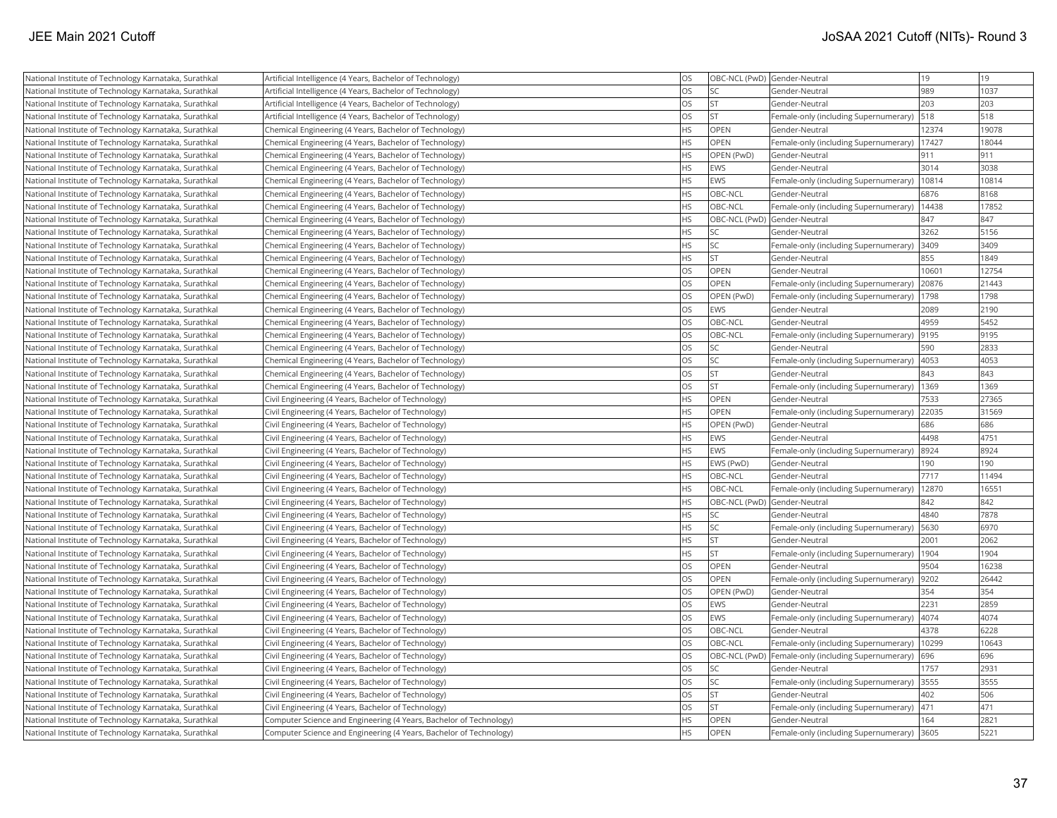| National Institute of Technology Karnataka, Surathkal | Artificial Intelligence (4 Years, Bachelor of Technology)          | <b>OS</b> | OBC-NCL (PwD) Gender-Neutral |                                                     | 19    | 19    |
|-------------------------------------------------------|--------------------------------------------------------------------|-----------|------------------------------|-----------------------------------------------------|-------|-------|
| National Institute of Technology Karnataka, Surathkal | Artificial Intelligence (4 Years, Bachelor of Technology)          | <b>OS</b> | <b>SC</b>                    | Gender-Neutral                                      | 989   | 1037  |
| National Institute of Technology Karnataka, Surathkal | Artificial Intelligence (4 Years, Bachelor of Technology)          | <b>OS</b> | lst                          | Gender-Neutral                                      | 203   | 203   |
| National Institute of Technology Karnataka, Surathkal | Artificial Intelligence (4 Years, Bachelor of Technology)          | <b>OS</b> | <b>ST</b>                    | Female-only (including Supernumerary)               | 518   | 518   |
| National Institute of Technology Karnataka, Surathkal | Chemical Engineering (4 Years, Bachelor of Technology)             | <b>HS</b> | OPEN                         | Gender-Neutral                                      | 12374 | 19078 |
| National Institute of Technology Karnataka, Surathkal | Chemical Engineering (4 Years, Bachelor of Technology)             | <b>HS</b> | OPEN                         | Female-only (including Supernumerary)               | 17427 | 18044 |
| National Institute of Technology Karnataka, Surathkal | Chemical Engineering (4 Years, Bachelor of Technology)             | HS        | OPEN (PwD)                   | Gender-Neutral                                      | 911   | 911   |
| National Institute of Technology Karnataka, Surathkal | Chemical Engineering (4 Years, Bachelor of Technology)             | <b>HS</b> | EWS                          | Gender-Neutral                                      | 3014  | 3038  |
| National Institute of Technology Karnataka, Surathkal | Chemical Engineering (4 Years, Bachelor of Technology)             | <b>HS</b> | EWS                          | Female-only (including Supernumerary)               | 10814 | 10814 |
| National Institute of Technology Karnataka, Surathkal | Chemical Engineering (4 Years, Bachelor of Technology)             | <b>HS</b> | OBC-NCL                      | Gender-Neutral                                      | 6876  | 8168  |
| National Institute of Technology Karnataka, Surathkal | Chemical Engineering (4 Years, Bachelor of Technology)             | <b>HS</b> | OBC-NCL                      | Female-only (including Supernumerary)               | 14438 | 17852 |
| National Institute of Technology Karnataka, Surathkal | Chemical Engineering (4 Years, Bachelor of Technology)             | <b>HS</b> | OBC-NCL (PwD) Gender-Neutral |                                                     | 847   | 847   |
| National Institute of Technology Karnataka, Surathkal | Chemical Engineering (4 Years, Bachelor of Technology)             | <b>HS</b> | lsc                          | Gender-Neutral                                      | 3262  | 5156  |
| National Institute of Technology Karnataka, Surathkal | Chemical Engineering (4 Years, Bachelor of Technology)             | <b>HS</b> | <b>SC</b>                    | Female-only (including Supernumerary)               | 3409  | 3409  |
| National Institute of Technology Karnataka, Surathkal | Chemical Engineering (4 Years, Bachelor of Technology)             | <b>HS</b> | <b>ST</b>                    | Gender-Neutral                                      | 855   | 1849  |
| National Institute of Technology Karnataka, Surathkal | Chemical Engineering (4 Years, Bachelor of Technology)             | <b>OS</b> | <b>OPEN</b>                  | Gender-Neutral                                      | 10601 | 12754 |
| National Institute of Technology Karnataka, Surathkal | Chemical Engineering (4 Years, Bachelor of Technology)             | OS        | OPEN                         | Female-only (including Supernumerary)               | 20876 | 21443 |
| National Institute of Technology Karnataka, Surathkal | Chemical Engineering (4 Years, Bachelor of Technology)             | <b>OS</b> | OPEN (PwD)                   | Female-only (including Supernumerary)               | 1798  | 1798  |
| National Institute of Technology Karnataka, Surathkal | Chemical Engineering (4 Years, Bachelor of Technology)             | <b>OS</b> | EWS                          | Gender-Neutral                                      | 2089  | 2190  |
| National Institute of Technology Karnataka, Surathkal | Chemical Engineering (4 Years, Bachelor of Technology)             | <b>OS</b> | OBC-NCL                      | Gender-Neutral                                      | 4959  | 5452  |
| National Institute of Technology Karnataka, Surathkal | Chemical Engineering (4 Years, Bachelor of Technology)             | <b>OS</b> | OBC-NCL                      | Female-only (including Supernumerary)               | 9195  | 9195  |
| National Institute of Technology Karnataka, Surathkal | Chemical Engineering (4 Years, Bachelor of Technology)             | <b>OS</b> | <b>SC</b>                    | Gender-Neutral                                      | 590   | 2833  |
| National Institute of Technology Karnataka, Surathkal | Chemical Engineering (4 Years, Bachelor of Technology)             | OS        | <b>SC</b>                    | Female-only (including Supernumerary)               | 4053  | 4053  |
| National Institute of Technology Karnataka, Surathkal | Chemical Engineering (4 Years, Bachelor of Technology)             | OS        | <b>ST</b>                    | Gender-Neutral                                      | 843   | 843   |
| National Institute of Technology Karnataka, Surathkal | Chemical Engineering (4 Years, Bachelor of Technology)             | OS        | <b>ST</b>                    | Female-only (including Supernumerary)               | 1369  | 1369  |
| National Institute of Technology Karnataka, Surathkal | Civil Engineering (4 Years, Bachelor of Technology)                | <b>HS</b> | OPEN                         | Gender-Neutral                                      | 7533  | 27365 |
| National Institute of Technology Karnataka, Surathkal | Civil Engineering (4 Years, Bachelor of Technology)                | <b>HS</b> | OPEN                         | Female-only (including Supernumerary)               | 22035 | 31569 |
| National Institute of Technology Karnataka, Surathkal | Civil Engineering (4 Years, Bachelor of Technology)                | <b>HS</b> | OPEN (PwD)                   | Gender-Neutral                                      | 686   | 686   |
| National Institute of Technology Karnataka, Surathkal | Civil Engineering (4 Years, Bachelor of Technology)                | <b>HS</b> | EWS                          | Gender-Neutral                                      | 4498  | 4751  |
| National Institute of Technology Karnataka, Surathkal | Civil Engineering (4 Years, Bachelor of Technology)                | <b>HS</b> | EWS                          | Female-only (including Supernumerary)               | 8924  | 8924  |
| National Institute of Technology Karnataka, Surathkal | Civil Engineering (4 Years, Bachelor of Technology)                | <b>HS</b> | EWS (PwD)                    | Gender-Neutral                                      | 190   | 190   |
| National Institute of Technology Karnataka, Surathkal | Civil Engineering (4 Years, Bachelor of Technology)                | <b>HS</b> | OBC-NCL                      | Gender-Neutral                                      | 7717  | 11494 |
| National Institute of Technology Karnataka, Surathkal | Civil Engineering (4 Years, Bachelor of Technology)                | <b>HS</b> | OBC-NCL                      | Female-only (including Supernumerary)               | 12870 | 16551 |
| National Institute of Technology Karnataka, Surathkal | Civil Engineering (4 Years, Bachelor of Technology)                | <b>HS</b> | OBC-NCL (PwD) Gender-Neutral |                                                     | 842   | 842   |
| National Institute of Technology Karnataka, Surathkal | Civil Engineering (4 Years, Bachelor of Technology)                | <b>HS</b> | <b>SC</b>                    | Gender-Neutral                                      | 4840  | 7878  |
| National Institute of Technology Karnataka, Surathkal | Civil Engineering (4 Years, Bachelor of Technology)                | <b>HS</b> | <b>SC</b>                    | Female-only (including Supernumerary)               | 5630  | 6970  |
| National Institute of Technology Karnataka, Surathkal | Civil Engineering (4 Years, Bachelor of Technology)                | <b>HS</b> | <b>ST</b>                    | Gender-Neutral                                      | 2001  | 2062  |
| National Institute of Technology Karnataka, Surathkal | Civil Engineering (4 Years, Bachelor of Technology)                | <b>HS</b> | İst                          | Female-only (including Supernumerary)               | 1904  | 1904  |
| National Institute of Technology Karnataka, Surathkal | Civil Engineering (4 Years, Bachelor of Technology)                | OS        | OPEN                         | Gender-Neutral                                      | 9504  | 16238 |
| National Institute of Technology Karnataka, Surathkal | Civil Engineering (4 Years, Bachelor of Technology)                | OS        | OPEN                         | Female-only (including Supernumerary)               | 9202  | 26442 |
| National Institute of Technology Karnataka, Surathkal | Civil Engineering (4 Years, Bachelor of Technology)                | OS        | OPEN (PwD)                   | Gender-Neutral                                      | 354   | 354   |
| National Institute of Technology Karnataka, Surathkal | Civil Engineering (4 Years, Bachelor of Technology)                | <b>OS</b> | EWS                          | Gender-Neutral                                      | 2231  | 2859  |
| National Institute of Technology Karnataka, Surathkal | Civil Engineering (4 Years, Bachelor of Technology)                | OS        | EWS                          | Female-only (including Supernumerary)               | 4074  | 4074  |
| National Institute of Technology Karnataka, Surathkal | Civil Engineering (4 Years, Bachelor of Technology)                | OS        | OBC-NCL                      | Gender-Neutral                                      | 4378  | 6228  |
| National Institute of Technology Karnataka, Surathkal | Civil Engineering (4 Years, Bachelor of Technology)                | <b>OS</b> | OBC-NCL                      | Female-only (including Supernumerary)               | 10299 | 10643 |
| National Institute of Technology Karnataka, Surathkal | Civil Engineering (4 Years, Bachelor of Technology)                | OS        |                              | OBC-NCL (PwD) Female-only (including Supernumerary) | 696   | 696   |
| National Institute of Technology Karnataka, Surathkal | Civil Engineering (4 Years, Bachelor of Technology)                | <b>OS</b> | <b>SC</b>                    | Gender-Neutral                                      | 1757  | 2931  |
| National Institute of Technology Karnataka, Surathkal | Civil Engineering (4 Years, Bachelor of Technology)                | OS        | <b>SC</b>                    | Female-only (including Supernumerary)               | 3555  | 3555  |
| National Institute of Technology Karnataka, Surathkal | Civil Engineering (4 Years, Bachelor of Technology)                | <b>OS</b> | <b>ST</b>                    | Gender-Neutral                                      | 402   | 506   |
| National Institute of Technology Karnataka, Surathkal | Civil Engineering (4 Years, Bachelor of Technology)                | <b>OS</b> | <b>ST</b>                    | Female-only (including Supernumerary)               | 471   | 471   |
| National Institute of Technology Karnataka, Surathkal | Computer Science and Engineering (4 Years, Bachelor of Technology) | <b>HS</b> | OPEN                         | Gender-Neutral                                      | 164   | 2821  |
| National Institute of Technology Karnataka, Surathkal | Computer Science and Engineering (4 Years, Bachelor of Technology) | <b>HS</b> | OPEN                         | Female-only (including Supernumerary) 3605          |       | 5221  |
|                                                       |                                                                    |           |                              |                                                     |       |       |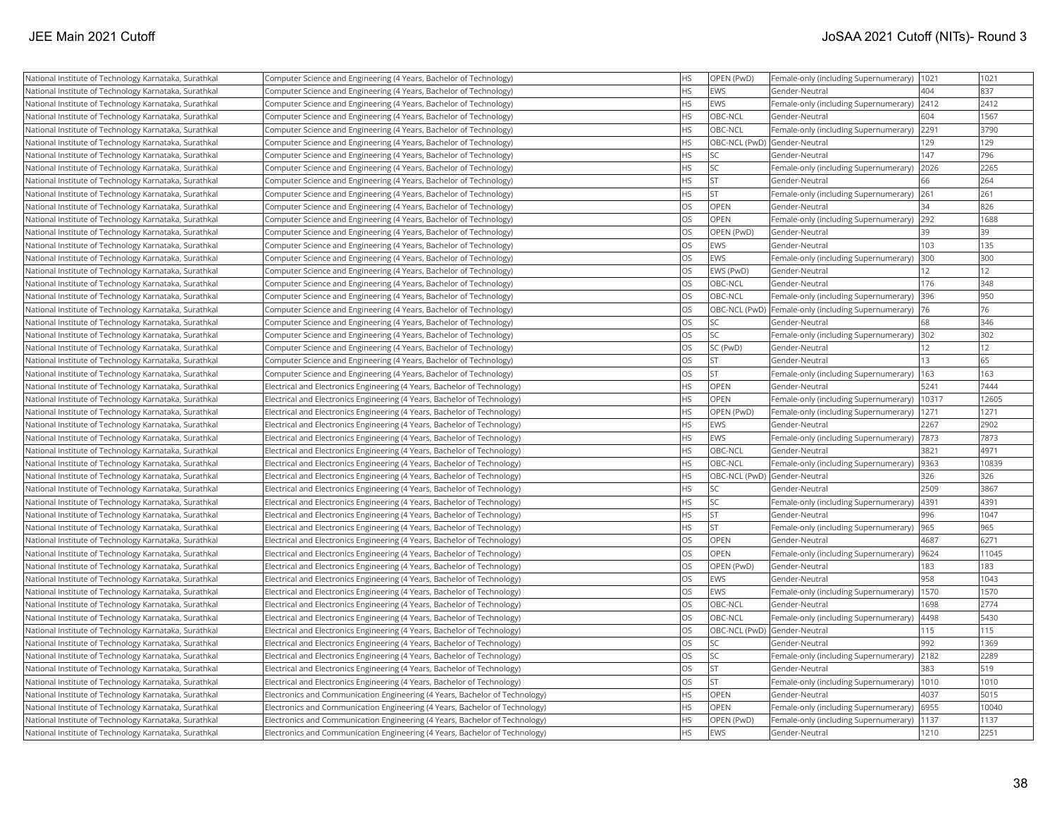|                                                                                                                |                                                                                                                                          | HS        | OPEN (PwD)                                |                                                               |                 | 1021      |
|----------------------------------------------------------------------------------------------------------------|------------------------------------------------------------------------------------------------------------------------------------------|-----------|-------------------------------------------|---------------------------------------------------------------|-----------------|-----------|
| National Institute of Technology Karnataka, Surathkal<br>National Institute of Technology Karnataka, Surathkal | Computer Science and Engineering (4 Years, Bachelor of Technology)<br>Computer Science and Engineering (4 Years, Bachelor of Technology) | <b>HS</b> | <b>EWS</b>                                | Female-only (including Supernumerary)  1021<br>Gender-Neutral | 404             | 837       |
| National Institute of Technology Karnataka, Surathkal                                                          | Computer Science and Engineering (4 Years, Bachelor of Technology)                                                                       | <b>HS</b> | <b>EWS</b>                                | Female-only (including Supernumerary)                         | 2412            | 2412      |
| National Institute of Technology Karnataka, Surathkal                                                          | Computer Science and Engineering (4 Years, Bachelor of Technology)                                                                       | <b>HS</b> | OBC-NCL                                   | Gender-Neutral                                                | 604             | 1567      |
|                                                                                                                |                                                                                                                                          | <b>HS</b> | OBC-NCL                                   | Female-only (including Supernumerary) 2291                    |                 | 3790      |
| National Institute of Technology Karnataka, Surathkal                                                          | Computer Science and Engineering (4 Years, Bachelor of Technology)                                                                       | <b>HS</b> |                                           |                                                               | 129             | 129       |
| National Institute of Technology Karnataka, Surathkal                                                          | Computer Science and Engineering (4 Years, Bachelor of Technology)                                                                       | <b>HS</b> | OBC-NCL (PwD) Gender-Neutral<br><b>SC</b> | Gender-Neutral                                                | 147             | 796       |
| National Institute of Technology Karnataka, Surathkal                                                          | Computer Science and Engineering (4 Years, Bachelor of Technology)                                                                       | <b>HS</b> | lsc                                       |                                                               |                 | 2265      |
| National Institute of Technology Karnataka, Surathkal                                                          | Computer Science and Engineering (4 Years, Bachelor of Technology)                                                                       | <b>HS</b> | <b>ST</b>                                 | Female-only (including Supernumerary)                         | 2026<br>66      | 264       |
| National Institute of Technology Karnataka, Surathkal                                                          | Computer Science and Engineering (4 Years, Bachelor of Technology)                                                                       | <b>HS</b> | <b>ST</b>                                 | Gender-Neutral                                                | 261             | 261       |
| National Institute of Technology Karnataka, Surathkal                                                          | Computer Science and Engineering (4 Years, Bachelor of Technology)                                                                       | <b>OS</b> |                                           | Female-only (including Supernumerary)                         | 34              | 826       |
| National Institute of Technology Karnataka, Surathkal                                                          | Computer Science and Engineering (4 Years, Bachelor of Technology)                                                                       | <b>OS</b> | OPEN<br>OPEN                              | Gender-Neutral                                                | 292             | 1688      |
| National Institute of Technology Karnataka, Surathkal                                                          | Computer Science and Engineering (4 Years, Bachelor of Technology)                                                                       |           |                                           | Female-only (including Supernumerary)                         |                 |           |
| National Institute of Technology Karnataka, Surathkal                                                          | Computer Science and Engineering (4 Years, Bachelor of Technology)                                                                       | <b>OS</b> | OPEN (PwD)                                | Gender-Neutral                                                | 39              | 39        |
| National Institute of Technology Karnataka, Surathkal                                                          | Computer Science and Engineering (4 Years, Bachelor of Technology)                                                                       | <b>OS</b> | EWS                                       | Gender-Neutral                                                | 103             | 135       |
| National Institute of Technology Karnataka, Surathkal                                                          | Computer Science and Engineering (4 Years, Bachelor of Technology)                                                                       | OS        | EWS                                       | Female-only (including Supernumerary)                         | 300             | 300<br>12 |
| National Institute of Technology Karnataka, Surathkal                                                          | Computer Science and Engineering (4 Years, Bachelor of Technology)                                                                       | OS        | EWS (PwD)                                 | Gender-Neutral                                                | 12 <sup>2</sup> |           |
| National Institute of Technology Karnataka, Surathkal                                                          | Computer Science and Engineering (4 Years, Bachelor of Technology)                                                                       | <b>OS</b> | OBC-NCL                                   | Gender-Neutral                                                | 176             | 348       |
| National Institute of Technology Karnataka, Surathkal                                                          | Computer Science and Engineering (4 Years, Bachelor of Technology)                                                                       | <b>OS</b> | OBC-NCL                                   | Female-only (including Supernumerary)                         | 396             | 950       |
| National Institute of Technology Karnataka, Surathkal                                                          | Computer Science and Engineering (4 Years, Bachelor of Technology)                                                                       | <b>OS</b> |                                           | OBC-NCL (PwD) Female-only (including Supernumerary)           | 76              | 76        |
| National Institute of Technology Karnataka, Surathkal                                                          | Computer Science and Engineering (4 Years, Bachelor of Technology)                                                                       | <b>OS</b> | <b>SC</b>                                 | Gender-Neutral                                                | 68              | 346       |
| National Institute of Technology Karnataka, Surathkal                                                          | Computer Science and Engineering (4 Years, Bachelor of Technology)                                                                       | <b>OS</b> | lsc                                       | Female-only (including Supernumerary)   302                   |                 | 302       |
| National Institute of Technology Karnataka, Surathkal                                                          | Computer Science and Engineering (4 Years, Bachelor of Technology)                                                                       | <b>OS</b> | SC (PwD)                                  | Gender-Neutral                                                | 12              | 12        |
| National Institute of Technology Karnataka, Surathkal                                                          | Computer Science and Engineering (4 Years, Bachelor of Technology)                                                                       | OS        | <b>ST</b>                                 | Gender-Neutral                                                | 13              | 65        |
| National Institute of Technology Karnataka, Surathkal                                                          | Computer Science and Engineering (4 Years, Bachelor of Technology)                                                                       | <b>OS</b> | <b>ST</b>                                 | Female-only (including Supernumerary)                         | 163             | 163       |
| National Institute of Technology Karnataka, Surathkal                                                          | Electrical and Electronics Engineering (4 Years, Bachelor of Technology)                                                                 | <b>HS</b> | <b>OPEN</b>                               | Gender-Neutral                                                | 5241            | 7444      |
| National Institute of Technology Karnataka, Surathkal                                                          | Electrical and Electronics Engineering (4 Years, Bachelor of Technology)                                                                 | <b>HS</b> | OPEN                                      | Female-only (including Supernumerary)                         | 10317           | 12605     |
| National Institute of Technology Karnataka, Surathkal                                                          | Electrical and Electronics Engineering (4 Years, Bachelor of Technology)                                                                 | <b>HS</b> | OPEN (PwD)                                | Female-only (including Supernumerary)                         | 1271            | 1271      |
| National Institute of Technology Karnataka, Surathkal                                                          | Electrical and Electronics Engineering (4 Years, Bachelor of Technology)                                                                 | <b>HS</b> | EWS                                       | Gender-Neutral                                                | 2267            | 2902      |
| National Institute of Technology Karnataka, Surathkal                                                          | Electrical and Electronics Engineering (4 Years, Bachelor of Technology)                                                                 | <b>HS</b> | EWS                                       | Female-only (including Supernumerary)                         | 7873            | 7873      |
| National Institute of Technology Karnataka, Surathkal                                                          | Electrical and Electronics Engineering (4 Years, Bachelor of Technology)                                                                 | <b>HS</b> | OBC-NCL                                   | Gender-Neutral                                                | 3821            | 4971      |
| National Institute of Technology Karnataka, Surathkal                                                          | Electrical and Electronics Engineering (4 Years, Bachelor of Technology)                                                                 | <b>HS</b> | <b>OBC-NCL</b>                            | Female-only (including Supernumerary)                         | 9363            | 10839     |
| National Institute of Technology Karnataka, Surathkal                                                          | Electrical and Electronics Engineering (4 Years, Bachelor of Technology)                                                                 | <b>HS</b> | OBC-NCL (PwD) Gender-Neutral              |                                                               | 326             | 326       |
| National Institute of Technology Karnataka, Surathkal                                                          | Electrical and Electronics Engineering (4 Years, Bachelor of Technology)                                                                 | <b>HS</b> | SC                                        | Gender-Neutral                                                | 2509            | 3867      |
| National Institute of Technology Karnataka, Surathkal                                                          | Electrical and Electronics Engineering (4 Years, Bachelor of Technology)                                                                 | <b>HS</b> | <b>SC</b>                                 | Female-only (including Supernumerary)                         | 4391            | 4391      |
| National Institute of Technology Karnataka, Surathkal                                                          | Electrical and Electronics Engineering (4 Years, Bachelor of Technology)                                                                 | <b>HS</b> | İst                                       | Gender-Neutral                                                | 996             | 1047      |
| National Institute of Technology Karnataka, Surathkal                                                          | Electrical and Electronics Engineering (4 Years, Bachelor of Technology)                                                                 | <b>HS</b> | İst                                       | Female-only (including Supernumerary)                         | 965             | 965       |
| National Institute of Technology Karnataka, Surathkal                                                          | Electrical and Electronics Engineering (4 Years, Bachelor of Technology)                                                                 | <b>OS</b> | <b>OPEN</b>                               | Gender-Neutral                                                | 4687            | 6271      |
| National Institute of Technology Karnataka, Surathkal                                                          | Electrical and Electronics Engineering (4 Years, Bachelor of Technology)                                                                 | <b>OS</b> | OPEN                                      | Female-only (including Supernumerary)                         | 9624            | 11045     |
| National Institute of Technology Karnataka, Surathkal                                                          | Electrical and Electronics Engineering (4 Years, Bachelor of Technology)                                                                 | <b>OS</b> | OPEN (PwD)                                | Gender-Neutral                                                | 183             | 183       |
| National Institute of Technology Karnataka, Surathkal                                                          | Electrical and Electronics Engineering (4 Years, Bachelor of Technology)                                                                 | <b>OS</b> | EWS                                       | Gender-Neutral                                                | 958             | 1043      |
| National Institute of Technology Karnataka, Surathkal                                                          | Electrical and Electronics Engineering (4 Years, Bachelor of Technology)                                                                 | <b>OS</b> | <b>EWS</b>                                | Female-only (including Supernumerary)                         | 1570            | 1570      |
| National Institute of Technology Karnataka, Surathkal                                                          | Electrical and Electronics Engineering (4 Years, Bachelor of Technology)                                                                 | <b>OS</b> | OBC-NCL                                   | Gender-Neutral                                                | 1698            | 2774      |
| National Institute of Technology Karnataka, Surathkal                                                          | Electrical and Electronics Engineering (4 Years, Bachelor of Technology)                                                                 | <b>OS</b> | OBC-NCL                                   | Female-only (including Supernumerary)                         | 4498            | 5430      |
| National Institute of Technology Karnataka, Surathkal                                                          | Electrical and Electronics Engineering (4 Years, Bachelor of Technology)                                                                 | <b>OS</b> | OBC-NCL (PwD) Gender-Neutral              |                                                               | 115             | 115       |
| National Institute of Technology Karnataka, Surathkal                                                          | Electrical and Electronics Engineering (4 Years, Bachelor of Technology)                                                                 | <b>OS</b> | lsc                                       | Gender-Neutral                                                | 992             | 1369      |
| National Institute of Technology Karnataka, Surathkal                                                          | Electrical and Electronics Engineering (4 Years, Bachelor of Technology)                                                                 | OS        | <b>SC</b>                                 | Female-only (including Supernumerary) 2182                    |                 | 2289      |
| National Institute of Technology Karnataka, Surathkal                                                          | Electrical and Electronics Engineering (4 Years, Bachelor of Technology)                                                                 | OS        | <b>ST</b>                                 | Gender-Neutral                                                | 383             | 519       |
| National Institute of Technology Karnataka, Surathkal                                                          | Electrical and Electronics Engineering (4 Years, Bachelor of Technology)                                                                 | OS        | <b>ST</b>                                 | Female-only (including Supernumerary)                         | 1010            | 1010      |
| National Institute of Technology Karnataka, Surathkal                                                          | Electronics and Communication Engineering (4 Years, Bachelor of Technology)                                                              | <b>HS</b> | <b>OPEN</b>                               | Gender-Neutral                                                | 4037            | 5015      |
| National Institute of Technology Karnataka, Surathkal                                                          | Electronics and Communication Engineering (4 Years, Bachelor of Technology)                                                              | <b>HS</b> | <b>OPEN</b>                               | Female-only (including Supernumerary)                         | 6955            | 10040     |
| National Institute of Technology Karnataka, Surathkal                                                          | Electronics and Communication Engineering (4 Years, Bachelor of Technology)                                                              | <b>HS</b> | OPEN (PwD)                                | Female-only (including Supernumerary)                         | 1137            | 1137      |
| National Institute of Technology Karnataka, Surathkal                                                          | Electronics and Communication Engineering (4 Years, Bachelor of Technology)                                                              | <b>HS</b> | EWS                                       | lGender-Neutral                                               | 1210            | 2251      |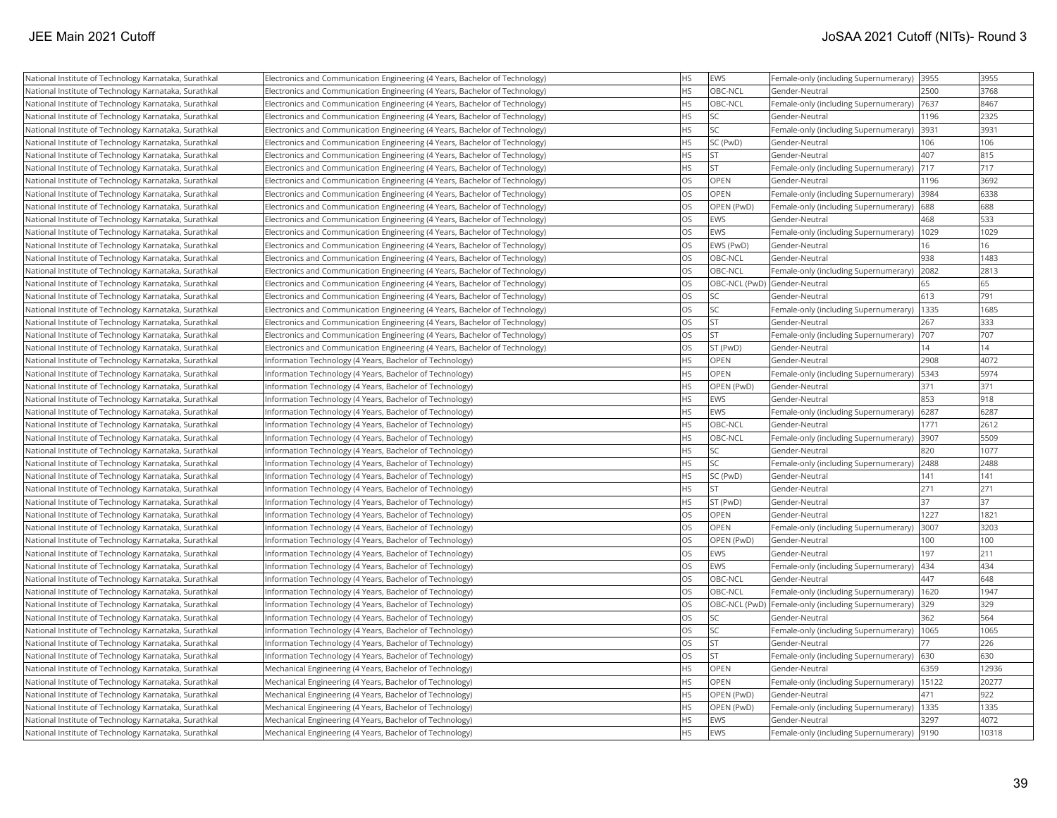| National Institute of Technology Karnataka, Surathkal | Electronics and Communication Engineering (4 Years, Bachelor of Technology) | НS        | <b>EWS</b>  | Female-only (including Supernumerary) 3955          |      | 3955  |
|-------------------------------------------------------|-----------------------------------------------------------------------------|-----------|-------------|-----------------------------------------------------|------|-------|
| National Institute of Technology Karnataka, Surathkal | Electronics and Communication Engineering (4 Years, Bachelor of Technology) | <b>HS</b> | OBC-NCL     | Gender-Neutral                                      | 2500 | 3768  |
| National Institute of Technology Karnataka, Surathkal | Electronics and Communication Engineering (4 Years, Bachelor of Technology) | <b>HS</b> | OBC-NCL     | Female-only (including Supernumerary)               | 7637 | 8467  |
| National Institute of Technology Karnataka, Surathkal | Electronics and Communication Engineering (4 Years, Bachelor of Technology) | <b>HS</b> | SC          | Gender-Neutral                                      | 1196 | 2325  |
| National Institute of Technology Karnataka, Surathkal | Electronics and Communication Engineering (4 Years, Bachelor of Technology) | <b>HS</b> | <b>SC</b>   | Female-only (including Supernumerary) 3931          |      | 3931  |
| National Institute of Technology Karnataka, Surathkal | Electronics and Communication Engineering (4 Years, Bachelor of Technology) | <b>HS</b> | SC (PwD)    | Gender-Neutral                                      | 106  | 106   |
| National Institute of Technology Karnataka, Surathkal | Electronics and Communication Engineering (4 Years, Bachelor of Technology) | <b>HS</b> | <b>ST</b>   | Gender-Neutral                                      | 407  | 815   |
| National Institute of Technology Karnataka, Surathkal | Electronics and Communication Engineering (4 Years, Bachelor of Technology) | НS        | <b>ST</b>   | Female-only (including Supernumerary)  717          |      | 717   |
| National Institute of Technology Karnataka, Surathkal | Electronics and Communication Engineering (4 Years, Bachelor of Technology) | OS        | OPEN        | Gender-Neutral                                      | 1196 | 3692  |
| National Institute of Technology Karnataka, Surathkal | Electronics and Communication Engineering (4 Years, Bachelor of Technology) | OS        | OPEN        | Female-only (including Supernumerary) 3984          |      | 6338  |
| National Institute of Technology Karnataka, Surathkal | Electronics and Communication Engineering (4 Years, Bachelor of Technology) | OS        | OPEN (PwD)  | Female-only (including Supernumerary)               | 688  | 688   |
| National Institute of Technology Karnataka, Surathkal | Electronics and Communication Engineering (4 Years, Bachelor of Technology) | OS        | <b>EWS</b>  | Gender-Neutral                                      | 468  | 533   |
| National Institute of Technology Karnataka, Surathkal | Electronics and Communication Engineering (4 Years, Bachelor of Technology) | OS        | <b>EWS</b>  | Female-only (including Supernumerary)               | 1029 | 1029  |
| National Institute of Technology Karnataka, Surathkal | Electronics and Communication Engineering (4 Years, Bachelor of Technology) | OS        | EWS (PwD)   | Gender-Neutral                                      | 16   | 16    |
| National Institute of Technology Karnataka, Surathkal | Electronics and Communication Engineering (4 Years, Bachelor of Technology) | OS        | OBC-NCL     | Gender-Neutral                                      | 938  | 1483  |
| National Institute of Technology Karnataka, Surathkal | Electronics and Communication Engineering (4 Years, Bachelor of Technology) | OS        | OBC-NCL     | Female-only (including Supernumerary) 2082          |      | 2813  |
| National Institute of Technology Karnataka, Surathkal | Electronics and Communication Engineering (4 Years, Bachelor of Technology) | OS        |             | OBC-NCL (PwD) Gender-Neutral                        | 65   | 65    |
| National Institute of Technology Karnataka, Surathkal | Electronics and Communication Engineering (4 Years, Bachelor of Technology) | OS        | SC          | Gender-Neutral                                      | 613  | 791   |
| National Institute of Technology Karnataka, Surathkal | Electronics and Communication Engineering (4 Years, Bachelor of Technology) | OS        | SC          | Female-only (including Supernumerary)   1335        |      | 1685  |
| National Institute of Technology Karnataka, Surathkal | Electronics and Communication Engineering (4 Years, Bachelor of Technology) | OS        | <b>ST</b>   | lGender-Neutral                                     | 267  | 333   |
| National Institute of Technology Karnataka, Surathkal | Electronics and Communication Engineering (4 Years, Bachelor of Technology) | OS        | <b>ST</b>   | Female-only (including Supernumerary)               | 707  | 707   |
| National Institute of Technology Karnataka, Surathkal | Electronics and Communication Engineering (4 Years, Bachelor of Technology) | OS        | ST (PwD)    | Gender-Neutral                                      | 14   | 14    |
| National Institute of Technology Karnataka, Surathkal | Information Technology (4 Years, Bachelor of Technology)                    | <b>HS</b> | OPEN        | Gender-Neutral                                      | 2908 | 4072  |
| National Institute of Technology Karnataka, Surathkal | Information Technology (4 Years, Bachelor of Technology)                    | HS        | OPEN        | Female-only (including Supernumerary)   5343        |      | 5974  |
| National Institute of Technology Karnataka, Surathkal | Information Technology (4 Years, Bachelor of Technology)                    | <b>HS</b> | OPEN (PwD)  | Gender-Neutral                                      | 371  | 371   |
| National Institute of Technology Karnataka, Surathkal | Information Technology (4 Years, Bachelor of Technology)                    | <b>HS</b> | <b>EWS</b>  | Gender-Neutral                                      | 853  | 918   |
| National Institute of Technology Karnataka, Surathkal | Information Technology (4 Years, Bachelor of Technology)                    | <b>HS</b> | EWS         | Female-only (including Supernumerary)               | 6287 | 6287  |
| National Institute of Technology Karnataka, Surathkal | Information Technology (4 Years, Bachelor of Technology)                    | <b>HS</b> | OBC-NCL     | Gender-Neutral                                      | 1771 | 2612  |
| National Institute of Technology Karnataka, Surathkal | Information Technology (4 Years, Bachelor of Technology)                    | <b>HS</b> | OBC-NCL     | Female-only (including Supernumerary)               | 3907 | 5509  |
| National Institute of Technology Karnataka, Surathkal | Information Technology (4 Years, Bachelor of Technology)                    | HS        | <b>SC</b>   | Gender-Neutral                                      | 820  | 1077  |
| National Institute of Technology Karnataka, Surathkal | Information Technology (4 Years, Bachelor of Technology)                    | <b>HS</b> | SC          | Female-only (including Supernumerary) 2488          |      | 2488  |
| National Institute of Technology Karnataka, Surathkal | Information Technology (4 Years, Bachelor of Technology)                    | HS        | SC (PwD)    | Gender-Neutral                                      | 141  | 141   |
| National Institute of Technology Karnataka, Surathkal | Information Technology (4 Years, Bachelor of Technology)                    | HS.       | <b>ST</b>   | lGender-Neutral                                     | 271  | 271   |
| National Institute of Technology Karnataka, Surathkal | Information Technology (4 Years, Bachelor of Technology)                    | <b>HS</b> | ST (PwD)    | Gender-Neutral                                      | 37   | 37    |
| National Institute of Technology Karnataka, Surathkal | Information Technology (4 Years, Bachelor of Technology)                    | OS        | OPEN        | Gender-Neutral                                      | 1227 | 1821  |
| National Institute of Technology Karnataka, Surathkal | Information Technology (4 Years, Bachelor of Technology)                    | OS        | <b>OPEN</b> | Female-only (including Supernumerary)               | 3007 | 3203  |
| National Institute of Technology Karnataka, Surathkal | Information Technology (4 Years, Bachelor of Technology)                    | OS        | OPEN (PwD)  | Gender-Neutral                                      | 100  | 100   |
| National Institute of Technology Karnataka, Surathkal | Information Technology (4 Years, Bachelor of Technology)                    | OS        | EWS         | Gender-Neutral                                      | 197  | 211   |
| National Institute of Technology Karnataka, Surathkal | Information Technology (4 Years, Bachelor of Technology)                    | OS        | <b>EWS</b>  | Female-only (including Supernumerary)  434          |      | 434   |
| National Institute of Technology Karnataka, Surathkal | Information Technology (4 Years, Bachelor of Technology)                    | OS        | OBC-NCL     | Gender-Neutral                                      | 447  | 648   |
| National Institute of Technology Karnataka, Surathkal | Information Technology (4 Years, Bachelor of Technology)                    | OS        | OBC-NCL     | Female-only (including Supernumerary)   1620        |      | 1947  |
| National Institute of Technology Karnataka, Surathkal | Information Technology (4 Years, Bachelor of Technology)                    | OS        |             | OBC-NCL (PwD) Female-only (including Supernumerary) | 329  | 329   |
| National Institute of Technology Karnataka, Surathkal | Information Technology (4 Years, Bachelor of Technology)                    | OS        | SC          | Gender-Neutral                                      | 362  | 564   |
| National Institute of Technology Karnataka, Surathkal | Information Technology (4 Years, Bachelor of Technology)                    | OS        | <b>SC</b>   | Female-only (including Supernumerary)   1065        |      | 1065  |
| National Institute of Technology Karnataka, Surathkal | Information Technology (4 Years, Bachelor of Technology)                    | OS        | <b>ST</b>   | Gender-Neutral                                      | 77   | 226   |
| National Institute of Technology Karnataka, Surathkal | Information Technology (4 Years, Bachelor of Technology)                    | <b>OS</b> | <b>ST</b>   | Female-only (including Supernumerary)   630         |      | 630   |
| National Institute of Technology Karnataka, Surathkal | Mechanical Engineering (4 Years, Bachelor of Technology)                    | <b>HS</b> | OPEN        | Gender-Neutral                                      | 6359 | 12936 |
| National Institute of Technology Karnataka, Surathkal | Mechanical Engineering (4 Years, Bachelor of Technology)                    | <b>HS</b> | OPEN        | Female-only (including Supernumerary)   15122       |      | 20277 |
| National Institute of Technology Karnataka, Surathkal | Mechanical Engineering (4 Years, Bachelor of Technology)                    | НS        | OPEN (PwD)  | lGender-Neutral                                     | 471  | 922   |
| National Institute of Technology Karnataka, Surathkal | Mechanical Engineering (4 Years, Bachelor of Technology)                    | <b>HS</b> | OPEN (PwD)  | Female-only (including Supernumerary)   1335        |      | 1335  |
| National Institute of Technology Karnataka, Surathkal | Mechanical Engineering (4 Years, Bachelor of Technology)                    | <b>HS</b> | <b>EWS</b>  | Gender-Neutral                                      | 3297 | 4072  |
| National Institute of Technology Karnataka, Surathkal | Mechanical Engineering (4 Years, Bachelor of Technology)                    | <b>HS</b> | EWS         | Female-only (including Supernumerary)  9190         |      | 10318 |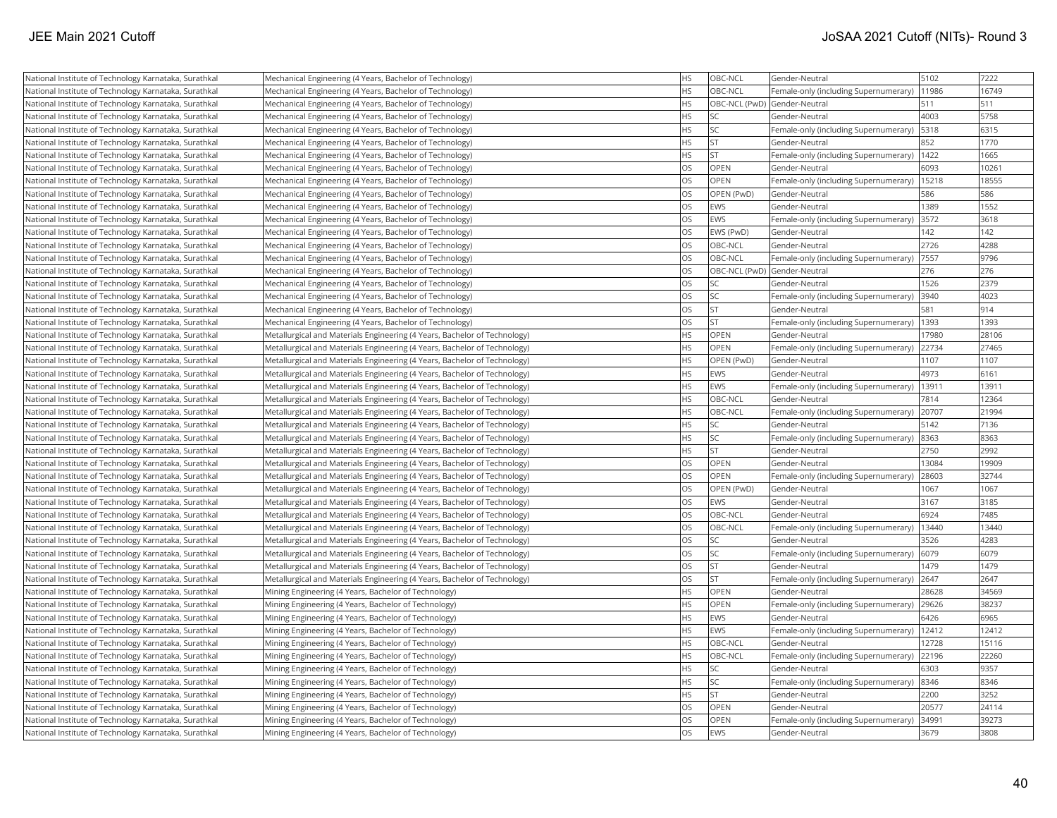| National Institute of Technology Karnataka, Surathkal | Mechanical Engineering (4 Years, Bachelor of Technology)                  | <b>HS</b> | OBC-NCL    | Gender-Neutral                        | 5102  | 7222  |
|-------------------------------------------------------|---------------------------------------------------------------------------|-----------|------------|---------------------------------------|-------|-------|
| National Institute of Technology Karnataka, Surathkal | Mechanical Engineering (4 Years, Bachelor of Technology)                  | <b>HS</b> | OBC-NCL    | Female-only (including Supernumerary) | 11986 | 16749 |
| National Institute of Technology Karnataka, Surathkal | Mechanical Engineering (4 Years, Bachelor of Technology)                  | <b>HS</b> |            | OBC-NCL (PwD) Gender-Neutral          | 511   | 511   |
| National Institute of Technology Karnataka, Surathkal | Mechanical Engineering (4 Years, Bachelor of Technology)                  | <b>HS</b> | SC         | Gender-Neutral                        | 4003  | 5758  |
| National Institute of Technology Karnataka, Surathkal | Mechanical Engineering (4 Years, Bachelor of Technology)                  | <b>HS</b> | SC         | Female-only (including Supernumerary) | 5318  | 6315  |
| National Institute of Technology Karnataka, Surathkal | Mechanical Engineering (4 Years, Bachelor of Technology)                  | <b>HS</b> | lst        | Gender-Neutral                        | 852   | 1770  |
| National Institute of Technology Karnataka, Surathkal | Mechanical Engineering (4 Years, Bachelor of Technology)                  | <b>HS</b> | <b>ST</b>  | Female-only (including Supernumerary) | 1422  | 1665  |
| National Institute of Technology Karnataka, Surathkal | Mechanical Engineering (4 Years, Bachelor of Technology)                  | <b>OS</b> | OPEN       | Gender-Neutral                        | 6093  | 10261 |
| National Institute of Technology Karnataka, Surathkal | Mechanical Engineering (4 Years, Bachelor of Technology)                  | <b>OS</b> | OPEN       | Female-only (including Supernumerary) | 15218 | 18555 |
| National Institute of Technology Karnataka, Surathkal | Mechanical Engineering (4 Years, Bachelor of Technology)                  | <b>OS</b> | OPEN (PwD) | Gender-Neutral                        | 586   | 586   |
| National Institute of Technology Karnataka, Surathkal | Mechanical Engineering (4 Years, Bachelor of Technology)                  | <b>OS</b> | EWS        | Gender-Neutral                        | 1389  | 1552  |
| National Institute of Technology Karnataka, Surathkal | Mechanical Engineering (4 Years, Bachelor of Technology)                  | <b>OS</b> | EWS        | Female-only (including Supernumerary) | 3572  | 3618  |
| National Institute of Technology Karnataka, Surathkal | Mechanical Engineering (4 Years, Bachelor of Technology)                  | <b>OS</b> | EWS (PwD)  | Gender-Neutral                        | 142   | 142   |
| National Institute of Technology Karnataka, Surathkal | Mechanical Engineering (4 Years, Bachelor of Technology)                  | <b>OS</b> | OBC-NCL    | Gender-Neutral                        | 2726  | 4288  |
| National Institute of Technology Karnataka, Surathkal | Mechanical Engineering (4 Years, Bachelor of Technology)                  | <b>OS</b> | OBC-NCL    | Female-only (including Supernumerary) | 7557  | 9796  |
| National Institute of Technology Karnataka, Surathkal | Mechanical Engineering (4 Years, Bachelor of Technology)                  | <b>OS</b> |            | OBC-NCL (PwD) Gender-Neutral          | 276   | 276   |
| National Institute of Technology Karnataka, Surathkal | Mechanical Engineering (4 Years, Bachelor of Technology)                  | <b>OS</b> | SC         | Gender-Neutral                        | 1526  | 2379  |
| National Institute of Technology Karnataka, Surathkal | Mechanical Engineering (4 Years, Bachelor of Technology)                  | <b>OS</b> | SC         | Female-only (including Supernumerary) | 3940  | 4023  |
| National Institute of Technology Karnataka, Surathkal | Mechanical Engineering (4 Years, Bachelor of Technology)                  | <b>OS</b> | <b>ST</b>  | Gender-Neutral                        | 581   | 914   |
| National Institute of Technology Karnataka, Surathkal | Mechanical Engineering (4 Years, Bachelor of Technology)                  | <b>OS</b> | lst.       | Female-only (including Supernumerary) | 1393  | 1393  |
| National Institute of Technology Karnataka, Surathkal | Metallurgical and Materials Engineering (4 Years, Bachelor of Technology) | <b>HS</b> | OPEN       | Gender-Neutral                        | 17980 | 28106 |
| National Institute of Technology Karnataka, Surathkal | Metallurgical and Materials Engineering (4 Years, Bachelor of Technology) | <b>HS</b> | OPEN       | Female-only (including Supernumerary) | 22734 | 27465 |
| National Institute of Technology Karnataka, Surathkal | Metallurgical and Materials Engineering (4 Years, Bachelor of Technology) | <b>HS</b> | OPEN (PwD) | Gender-Neutral                        | 1107  | 1107  |
| National Institute of Technology Karnataka, Surathkal | Metallurgical and Materials Engineering (4 Years, Bachelor of Technology) | <b>HS</b> | <b>EWS</b> | Gender-Neutral                        | 4973  | 6161  |
| National Institute of Technology Karnataka, Surathkal | Metallurgical and Materials Engineering (4 Years, Bachelor of Technology) | HS        | EWS        | Female-only (including Supernumerary) | 13911 | 13911 |
| National Institute of Technology Karnataka, Surathkal | Metallurgical and Materials Engineering (4 Years, Bachelor of Technology) | <b>HS</b> | OBC-NCL    | Gender-Neutral                        | 7814  | 12364 |
| National Institute of Technology Karnataka, Surathkal | Metallurgical and Materials Engineering (4 Years, Bachelor of Technology) | <b>HS</b> | OBC-NCL    | Female-only (including Supernumerary) | 20707 | 21994 |
| National Institute of Technology Karnataka, Surathkal | Metallurgical and Materials Engineering (4 Years, Bachelor of Technology) | <b>HS</b> | SC         | Gender-Neutral                        | 5142  | 7136  |
| National Institute of Technology Karnataka, Surathkal | Metallurgical and Materials Engineering (4 Years, Bachelor of Technology) | <b>HS</b> | SC         | Female-only (including Supernumerary) | 8363  | 8363  |
| National Institute of Technology Karnataka, Surathkal | Metallurgical and Materials Engineering (4 Years, Bachelor of Technology) | <b>HS</b> | <b>ST</b>  | Gender-Neutral                        | 2750  | 2992  |
| National Institute of Technology Karnataka, Surathkal | Metallurgical and Materials Engineering (4 Years, Bachelor of Technology) | <b>OS</b> | OPEN       | Gender-Neutral                        | 13084 | 19909 |
| National Institute of Technology Karnataka, Surathkal | Metallurgical and Materials Engineering (4 Years, Bachelor of Technology) | <b>OS</b> | OPEN       | Female-only (including Supernumerary) | 28603 | 32744 |
| National Institute of Technology Karnataka, Surathkal | Metallurgical and Materials Engineering (4 Years, Bachelor of Technology) | <b>OS</b> | OPEN (PwD) | Gender-Neutral                        | 1067  | 1067  |
| National Institute of Technology Karnataka, Surathkal | Metallurgical and Materials Engineering (4 Years, Bachelor of Technology) | <b>OS</b> | EWS        | Gender-Neutral                        | 3167  | 3185  |
| National Institute of Technology Karnataka, Surathkal | Metallurgical and Materials Engineering (4 Years, Bachelor of Technology) | <b>OS</b> | OBC-NCL    | Gender-Neutral                        | 6924  | 7485  |
| National Institute of Technology Karnataka, Surathkal | Metallurgical and Materials Engineering (4 Years, Bachelor of Technology) | <b>OS</b> | OBC-NCL    | Female-only (including Supernumerary) | 13440 | 13440 |
| National Institute of Technology Karnataka, Surathkal | Metallurgical and Materials Engineering (4 Years, Bachelor of Technology) | <b>OS</b> | SC         | Gender-Neutral                        | 3526  | 4283  |
| National Institute of Technology Karnataka, Surathkal | Metallurgical and Materials Engineering (4 Years, Bachelor of Technology) | <b>OS</b> | SC         | Female-only (including Supernumerary) | 6079  | 6079  |
| National Institute of Technology Karnataka, Surathkal | Metallurgical and Materials Engineering (4 Years, Bachelor of Technology) | <b>OS</b> | <b>ST</b>  | Gender-Neutral                        | 1479  | 1479  |
| National Institute of Technology Karnataka, Surathkal | Metallurgical and Materials Engineering (4 Years, Bachelor of Technology) | <b>OS</b> | <b>ST</b>  | Female-only (including Supernumerary) | 2647  | 2647  |
| National Institute of Technology Karnataka, Surathkal | Mining Engineering (4 Years, Bachelor of Technology)                      | <b>HS</b> | OPEN       | Gender-Neutral                        | 28628 | 34569 |
| National Institute of Technology Karnataka, Surathkal | Mining Engineering (4 Years, Bachelor of Technology)                      | <b>HS</b> | OPEN       | Female-only (including Supernumerary) | 29626 | 38237 |
| National Institute of Technology Karnataka, Surathkal | Mining Engineering (4 Years, Bachelor of Technology)                      | <b>HS</b> | EWS        | Gender-Neutral                        | 6426  | 6965  |
| National Institute of Technology Karnataka, Surathkal | Mining Engineering (4 Years, Bachelor of Technology)                      | <b>HS</b> | EWS        | Female-only (including Supernumerary) | 12412 | 12412 |
| National Institute of Technology Karnataka, Surathkal | Mining Engineering (4 Years, Bachelor of Technology)                      | <b>HS</b> | OBC-NCL    | Gender-Neutral                        | 12728 | 15116 |
| National Institute of Technology Karnataka, Surathkal | Mining Engineering (4 Years, Bachelor of Technology)                      | <b>HS</b> | OBC-NCL    | Female-only (including Supernumerary) | 22196 | 22260 |
| National Institute of Technology Karnataka, Surathkal | Mining Engineering (4 Years, Bachelor of Technology)                      | <b>HS</b> | SC         | Gender-Neutral                        | 6303  | 9357  |
| National Institute of Technology Karnataka, Surathkal | Mining Engineering (4 Years, Bachelor of Technology)                      | <b>HS</b> | SC         | Female-only (including Supernumerary) | 8346  | 8346  |
| National Institute of Technology Karnataka, Surathkal | Mining Engineering (4 Years, Bachelor of Technology)                      | <b>HS</b> | <b>ST</b>  | Gender-Neutral                        | 2200  | 3252  |
| National Institute of Technology Karnataka, Surathkal | Mining Engineering (4 Years, Bachelor of Technology)                      | <b>OS</b> | OPEN       | Gender-Neutral                        | 20577 | 24114 |
| National Institute of Technology Karnataka, Surathkal | Mining Engineering (4 Years, Bachelor of Technology)                      | OS        | OPEN       | Female-only (including Supernumerary) | 34991 | 39273 |
| National Institute of Technology Karnataka, Surathkal | Mining Engineering (4 Years, Bachelor of Technology)                      | <b>OS</b> | EWS        | Gender-Neutral                        | 3679  | 3808  |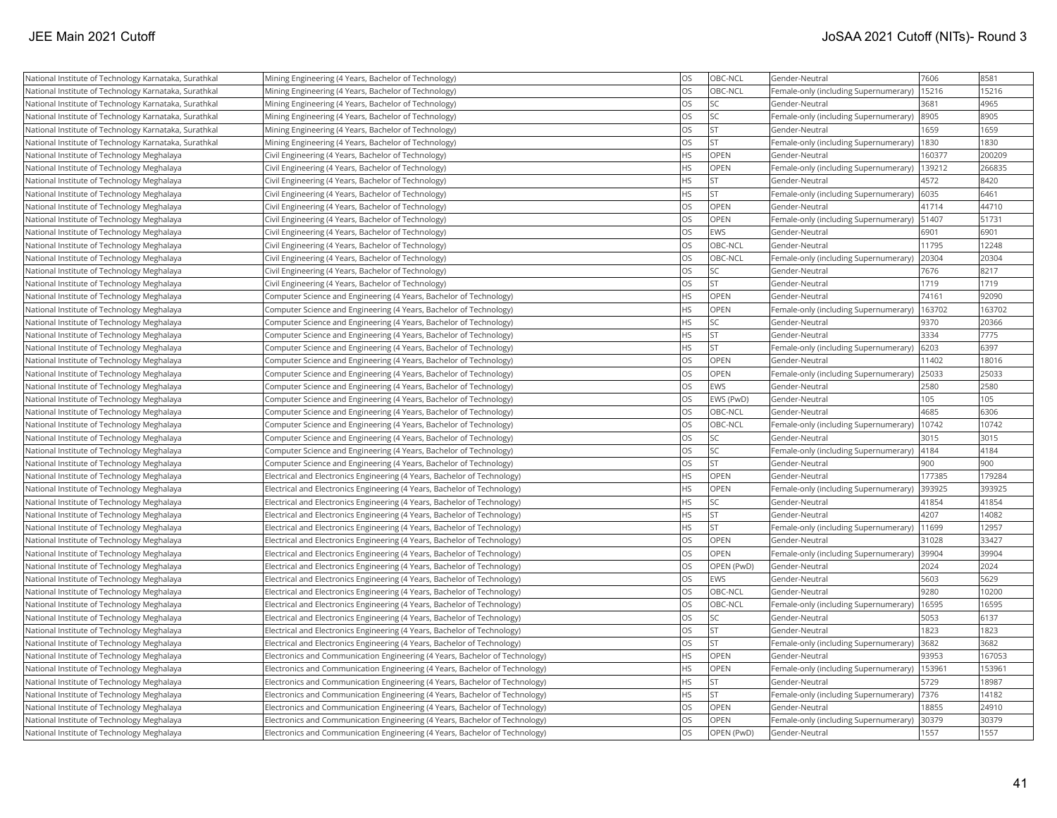| National Institute of Technology Karnataka, Surathkal | Mining Engineering (4 Years, Bachelor of Technology)                        | <b>OS</b> | OBC-NCL     | Gender-Neutral                        | 7606   | 8581   |
|-------------------------------------------------------|-----------------------------------------------------------------------------|-----------|-------------|---------------------------------------|--------|--------|
| National Institute of Technology Karnataka, Surathkal | Mining Engineering (4 Years, Bachelor of Technology)                        | OS        | OBC-NCL     | Female-only (including Supernumerary) | 15216  | 15216  |
| National Institute of Technology Karnataka, Surathkal | Mining Engineering (4 Years, Bachelor of Technology)                        | OS        | lsc         | Gender-Neutral                        | 3681   | 4965   |
| National Institute of Technology Karnataka, Surathkal | Mining Engineering (4 Years, Bachelor of Technology)                        | <b>OS</b> | <b>SC</b>   | Female-only (including Supernumerary) | 8905   | 8905   |
| National Institute of Technology Karnataka, Surathkal | Mining Engineering (4 Years, Bachelor of Technology)                        | <b>OS</b> | İst         | Gender-Neutral                        | 1659   | 1659   |
| National Institute of Technology Karnataka, Surathkal | Mining Engineering (4 Years, Bachelor of Technology)                        | <b>OS</b> | <b>ST</b>   | Female-only (including Supernumerary) | 1830   | 1830   |
| National Institute of Technology Meghalaya            | Civil Engineering (4 Years, Bachelor of Technology)                         | <b>HS</b> | <b>OPEN</b> | Gender-Neutral                        | 160377 | 200209 |
| National Institute of Technology Meghalaya            | Civil Engineering (4 Years, Bachelor of Technology)                         | <b>HS</b> | <b>OPEN</b> | Female-only (including Supernumerary) | 139212 | 266835 |
| National Institute of Technology Meghalaya            | Civil Engineering (4 Years, Bachelor of Technology)                         | <b>HS</b> | <b>ST</b>   | Gender-Neutral                        | 4572   | 8420   |
| National Institute of Technology Meghalaya            | Civil Engineering (4 Years, Bachelor of Technology)                         | <b>HS</b> | İst         | Female-only (including Supernumerary) | 6035   | 6461   |
| National Institute of Technology Meghalaya            | Civil Engineering (4 Years, Bachelor of Technology)                         | <b>OS</b> | OPEN        | Gender-Neutral                        | 41714  | 44710  |
| National Institute of Technology Meghalaya            | Civil Engineering (4 Years, Bachelor of Technology)                         | <b>OS</b> | OPEN        | Female-only (including Supernumerary) | 51407  | 51731  |
| National Institute of Technology Meghalaya            | Civil Engineering (4 Years, Bachelor of Technology)                         | <b>OS</b> | <b>EWS</b>  | Gender-Neutral                        | 6901   | 6901   |
| National Institute of Technology Meghalaya            | Civil Engineering (4 Years, Bachelor of Technology)                         | <b>OS</b> | OBC-NCL     | Gender-Neutral                        | 11795  | 12248  |
| National Institute of Technology Meghalaya            | Civil Engineering (4 Years, Bachelor of Technology)                         | <b>OS</b> | OBC-NCL     | Female-only (including Supernumerary) | 20304  | 20304  |
| National Institute of Technology Meghalaya            | Civil Engineering (4 Years, Bachelor of Technology)                         | <b>OS</b> | lsc         | Gender-Neutral                        | 7676   | 8217   |
| National Institute of Technology Meghalaya            | Civil Engineering (4 Years, Bachelor of Technology)                         | <b>OS</b> | <b>ST</b>   | Gender-Neutral                        | 1719   | 1719   |
| National Institute of Technology Meghalaya            | Computer Science and Engineering (4 Years, Bachelor of Technology)          | <b>HS</b> | OPEN        | Gender-Neutral                        | 74161  | 92090  |
| National Institute of Technology Meghalaya            | Computer Science and Engineering (4 Years, Bachelor of Technology)          | <b>HS</b> | OPEN        | Female-only (including Supernumerary) | 163702 | 163702 |
| National Institute of Technology Meghalaya            | Computer Science and Engineering (4 Years, Bachelor of Technology)          | <b>HS</b> | lsc         | Gender-Neutral                        | 9370   | 20366  |
| National Institute of Technology Meghalaya            | Computer Science and Engineering (4 Years, Bachelor of Technology)          | <b>HS</b> | <b>ST</b>   | Gender-Neutral                        | 3334   | 7775   |
| National Institute of Technology Meghalaya            | Computer Science and Engineering (4 Years, Bachelor of Technology)          | <b>HS</b> | <b>ST</b>   | Female-only (including Supernumerary) | 6203   | 6397   |
| National Institute of Technology Meghalaya            | Computer Science and Engineering (4 Years, Bachelor of Technology)          | <b>OS</b> | OPEN        | Gender-Neutral                        | 11402  | 18016  |
| National Institute of Technology Meghalaya            | Computer Science and Engineering (4 Years, Bachelor of Technology)          | <b>OS</b> | OPEN        | Female-only (including Supernumerary) | 25033  | 25033  |
| National Institute of Technology Meghalaya            | Computer Science and Engineering (4 Years, Bachelor of Technology)          | <b>OS</b> | <b>EWS</b>  | Gender-Neutral                        | 2580   | 2580   |
| National Institute of Technology Meghalaya            | Computer Science and Engineering (4 Years, Bachelor of Technology)          | <b>OS</b> | EWS (PwD)   | Gender-Neutral                        | 105    | 105    |
| National Institute of Technology Meghalaya            | Computer Science and Engineering (4 Years, Bachelor of Technology)          | <b>OS</b> | OBC-NCL     | Gender-Neutral                        | 4685   | 6306   |
| National Institute of Technology Meghalaya            | Computer Science and Engineering (4 Years, Bachelor of Technology)          | <b>OS</b> | OBC-NCL     | Female-only (including Supernumerary) | 10742  | 10742  |
| National Institute of Technology Meghalaya            | Computer Science and Engineering (4 Years, Bachelor of Technology)          | <b>OS</b> | lsc         | Gender-Neutral                        | 3015   | 3015   |
| National Institute of Technology Meghalaya            | Computer Science and Engineering (4 Years, Bachelor of Technology)          | <b>OS</b> | SC          | Female-only (including Supernumerary) | 4184   | 4184   |
| National Institute of Technology Meghalaya            | Computer Science and Engineering (4 Years, Bachelor of Technology)          | <b>OS</b> | <b>ST</b>   | Gender-Neutral                        | 900    | 900    |
| National Institute of Technology Meghalaya            | Electrical and Electronics Engineering (4 Years, Bachelor of Technology)    | <b>HS</b> | OPEN        | Gender-Neutral                        | 177385 | 179284 |
| National Institute of Technology Meghalaya            | Electrical and Electronics Engineering (4 Years, Bachelor of Technology)    | <b>HS</b> | <b>OPEN</b> | Female-only (including Supernumerary) | 393925 | 393925 |
| National Institute of Technology Meghalaya            | Electrical and Electronics Engineering (4 Years, Bachelor of Technology)    | <b>HS</b> | <b>SC</b>   | Gender-Neutral                        | 41854  | 41854  |
| National Institute of Technology Meghalaya            | Electrical and Electronics Engineering (4 Years, Bachelor of Technology)    | <b>HS</b> | <b>ST</b>   | Gender-Neutral                        | 4207   | 14082  |
| National Institute of Technology Meghalaya            | Electrical and Electronics Engineering (4 Years, Bachelor of Technology)    | <b>HS</b> | İst         | Female-only (including Supernumerary) | 11699  | 12957  |
| National Institute of Technology Meghalaya            | Electrical and Electronics Engineering (4 Years, Bachelor of Technology)    | <b>OS</b> | OPEN        | Gender-Neutral                        | 31028  | 33427  |
| National Institute of Technology Meghalaya            | Electrical and Electronics Engineering (4 Years, Bachelor of Technology)    | <b>OS</b> | OPEN        | Female-only (including Supernumerary) | 39904  | 39904  |
| National Institute of Technology Meghalaya            | Electrical and Electronics Engineering (4 Years, Bachelor of Technology)    | <b>OS</b> | OPEN (PwD)  | Gender-Neutral                        | 2024   | 2024   |
| National Institute of Technology Meghalaya            | Electrical and Electronics Engineering (4 Years, Bachelor of Technology)    | <b>OS</b> | <b>EWS</b>  | Gender-Neutral                        | 5603   | 5629   |
| National Institute of Technology Meghalaya            | Electrical and Electronics Engineering (4 Years, Bachelor of Technology)    | <b>OS</b> | OBC-NCL     | Gender-Neutral                        | 9280   | 10200  |
| National Institute of Technology Meghalaya            | Electrical and Electronics Engineering (4 Years, Bachelor of Technology)    | <b>OS</b> | OBC-NCL     | Female-only (including Supernumerary) | 16595  | 16595  |
| National Institute of Technology Meghalaya            | Electrical and Electronics Engineering (4 Years, Bachelor of Technology)    | <b>OS</b> | lsc         | Gender-Neutral                        | 5053   | 6137   |
| National Institute of Technology Meghalaya            | Electrical and Electronics Engineering (4 Years, Bachelor of Technology)    | <b>OS</b> | <b>ST</b>   | Gender-Neutral                        | 1823   | 1823   |
| National Institute of Technology Meghalaya            | Electrical and Electronics Engineering (4 Years, Bachelor of Technology)    | <b>OS</b> | <b>ST</b>   | Female-only (including Supernumerary) | 3682   | 3682   |
| National Institute of Technology Meghalaya            | Electronics and Communication Engineering (4 Years, Bachelor of Technology) | <b>HS</b> | OPEN        | Gender-Neutral                        | 93953  | 167053 |
| National Institute of Technology Meghalaya            | Electronics and Communication Engineering (4 Years, Bachelor of Technology) | <b>HS</b> | OPEN        | Female-only (including Supernumerary) | 153961 | 153961 |
| National Institute of Technology Meghalaya            | Electronics and Communication Engineering (4 Years, Bachelor of Technology) | <b>HS</b> | <b>ST</b>   | Gender-Neutral                        | 5729   | 18987  |
| National Institute of Technology Meghalaya            | Electronics and Communication Engineering (4 Years, Bachelor of Technology) | <b>HS</b> | lst         | Female-only (including Supernumerary) | 7376   | 14182  |
| National Institute of Technology Meghalaya            | Electronics and Communication Engineering (4 Years, Bachelor of Technology) | <b>OS</b> | OPEN        | Gender-Neutral                        | 8855   | 24910  |
| National Institute of Technology Meghalaya            | Electronics and Communication Engineering (4 Years, Bachelor of Technology) | <b>OS</b> | <b>OPEN</b> | Female-only (including Supernumerary) | 30379  | 30379  |
| National Institute of Technology Meghalaya            | Electronics and Communication Engineering (4 Years, Bachelor of Technology) | <b>OS</b> | OPEN (PwD)  | Gender-Neutral                        | 1557   | 1557   |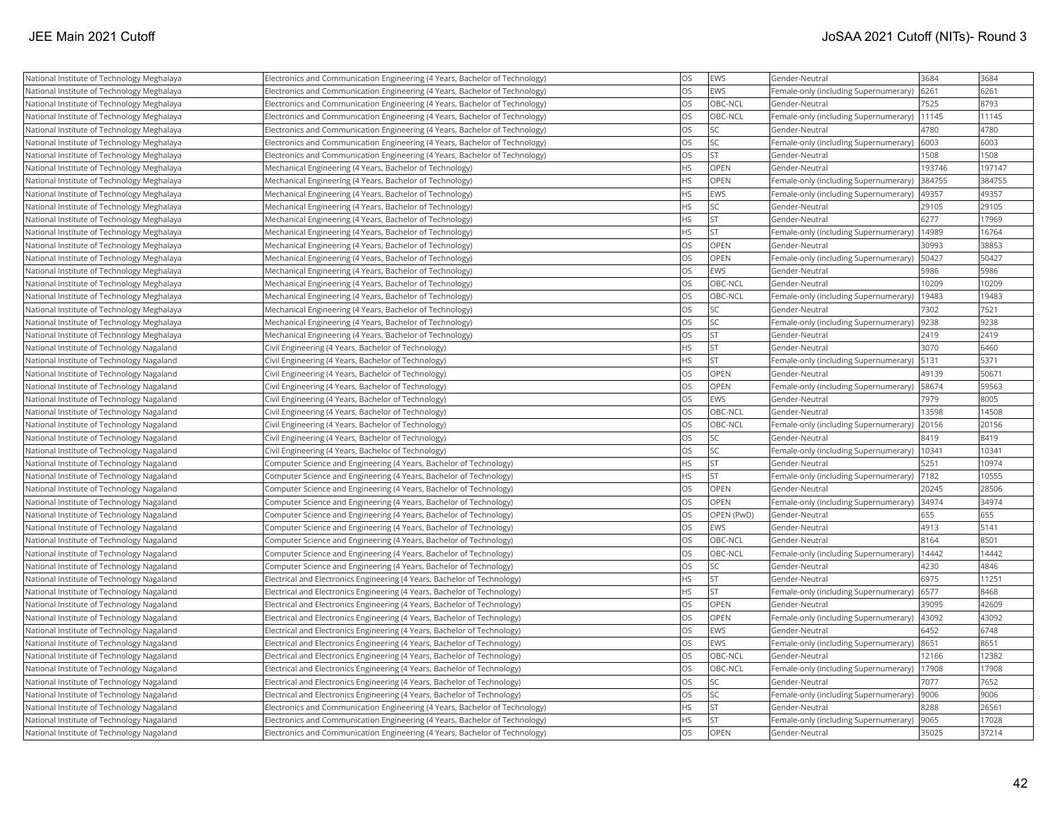| National Institute of Technology Meghalaya | Electronics and Communication Engineering (4 Years, Bachelor of Technology) | <b>OS</b> | EWS             | Gender-Neutral                        | 3684   | 3684   |
|--------------------------------------------|-----------------------------------------------------------------------------|-----------|-----------------|---------------------------------------|--------|--------|
| National Institute of Technology Meghalaya | Electronics and Communication Engineering (4 Years, Bachelor of Technology) | <b>OS</b> | EWS             | Female-only (including Supernumerary) | 6261   | 6261   |
| National Institute of Technology Meghalaya | Electronics and Communication Engineering (4 Years, Bachelor of Technology) | <b>OS</b> | OBC-NCL         | Gender-Neutral                        | 7525   | 8793   |
| National Institute of Technology Meghalaya | Electronics and Communication Engineering (4 Years, Bachelor of Technology) | <b>OS</b> | <b>OBC-NCL</b>  | Female-only (including Supernumerary) | 11145  | 11145  |
| National Institute of Technology Meghalaya | Electronics and Communication Engineering (4 Years, Bachelor of Technology) | <b>OS</b> | <b>SC</b>       | Gender-Neutral                        | 4780   | 4780   |
| National Institute of Technology Meghalaya | Electronics and Communication Engineering (4 Years, Bachelor of Technology) | <b>OS</b> | <b>SC</b>       | Female-only (including Supernumerary) | 6003   | 6003   |
| National Institute of Technology Meghalaya | Electronics and Communication Engineering (4 Years, Bachelor of Technology) | <b>OS</b> | İst             | Gender-Neutral                        | 1508   | 1508   |
| National Institute of Technology Meghalaya | Mechanical Engineering (4 Years, Bachelor of Technology)                    | <b>HS</b> | OPEN            | Gender-Neutral                        | 193746 | 197147 |
| National Institute of Technology Meghalaya | Mechanical Engineering (4 Years, Bachelor of Technology)                    | <b>HS</b> | OPEN            | Female-only (including Supernumerary) | 384755 | 384755 |
| National Institute of Technology Meghalaya | Mechanical Engineering (4 Years, Bachelor of Technology)                    | <b>HS</b> | EWS             | Female-only (including Supernumerary) | 49357  | 49357  |
| National Institute of Technology Meghalaya | Mechanical Engineering (4 Years, Bachelor of Technology)                    | <b>HS</b> | <b>SC</b>       | Gender-Neutral                        | 29105  | 29105  |
| National Institute of Technology Meghalaya | Mechanical Engineering (4 Years, Bachelor of Technology)                    | <b>HS</b> | İst             | Gender-Neutral                        | 6277   | 17969  |
| National Institute of Technology Meghalaya | Mechanical Engineering (4 Years, Bachelor of Technology)                    | <b>HS</b> | <b>ST</b>       | Female-only (including Supernumerary) | 14989  | 16764  |
| National Institute of Technology Meghalaya | Mechanical Engineering (4 Years, Bachelor of Technology)                    | <b>OS</b> | OPEN            | Gender-Neutral                        | 30993  | 38853  |
| National Institute of Technology Meghalaya | Mechanical Engineering (4 Years, Bachelor of Technology)                    | <b>OS</b> | <b>OPEN</b>     | Female-only (including Supernumerary) | 50427  | 50427  |
| National Institute of Technology Meghalaya | Mechanical Engineering (4 Years, Bachelor of Technology)                    | <b>OS</b> | EWS             | Gender-Neutral                        | 5986   | 5986   |
| National Institute of Technology Meghalaya | Mechanical Engineering (4 Years, Bachelor of Technology)                    | <b>OS</b> | OBC-NCL         | Gender-Neutral                        | 10209  | 10209  |
| National Institute of Technology Meghalaya | Mechanical Engineering (4 Years, Bachelor of Technology)                    | <b>OS</b> | OBC-NCL         | Female-only (including Supernumerary) | 19483  | 19483  |
| National Institute of Technology Meghalaya | Mechanical Engineering (4 Years, Bachelor of Technology)                    | <b>OS</b> | <b>SC</b>       | Gender-Neutral                        | 7302   | 7521   |
| National Institute of Technology Meghalaya | Mechanical Engineering (4 Years, Bachelor of Technology)                    | <b>OS</b> | <b>SC</b>       | Female-only (including Supernumerary) | 9238   | 9238   |
| National Institute of Technology Meghalaya | Mechanical Engineering (4 Years, Bachelor of Technology)                    | <b>OS</b> | <b>ST</b>       | Gender-Neutral                        | 2419   | 2419   |
| National Institute of Technology Nagaland  | Civil Engineering (4 Years, Bachelor of Technology)                         | <b>HS</b> | <b>ST</b>       | Gender-Neutral                        | 3070   | 6460   |
| National Institute of Technology Nagaland  | Civil Engineering (4 Years, Bachelor of Technology)                         | <b>HS</b> | İst             | Female-only (including Supernumerary) | 5131   | 5371   |
| National Institute of Technology Nagaland  | Civil Engineering (4 Years, Bachelor of Technology)                         | <b>OS</b> | OPEN            | Gender-Neutral                        | 49139  | 50671  |
| National Institute of Technology Nagaland  | Civil Engineering (4 Years, Bachelor of Technology)                         | <b>OS</b> | OPEN            | Female-only (including Supernumerary) | 58674  | 59563  |
| National Institute of Technology Nagaland  | Civil Engineering (4 Years, Bachelor of Technology)                         | <b>OS</b> | EWS             | Gender-Neutral                        | 7979   | 8005   |
| National Institute of Technology Nagaland  | Civil Engineering (4 Years, Bachelor of Technology)                         | <b>OS</b> | OBC-NCL         | Gender-Neutral                        | 13598  | 14508  |
| National Institute of Technology Nagaland  | Civil Engineering (4 Years, Bachelor of Technology)                         | <b>OS</b> | OBC-NCL         | Female-only (including Supernumerary) | 20156  | 20156  |
| National Institute of Technology Nagaland  | Civil Engineering (4 Years, Bachelor of Technology)                         | <b>OS</b> | <b>SC</b>       | Gender-Neutral                        | 8419   | 8419   |
| National Institute of Technology Nagaland  | Civil Engineering (4 Years, Bachelor of Technology)                         | <b>OS</b> | SC <sub>1</sub> | Female-only (including Supernumerary) | 10341  | 10341  |
| National Institute of Technology Nagaland  | Computer Science and Engineering (4 Years, Bachelor of Technology)          | <b>HS</b> | <b>ST</b>       | Gender-Neutral                        | 5251   | 10974  |
| National Institute of Technology Nagaland  | Computer Science and Engineering (4 Years, Bachelor of Technology)          | <b>HS</b> | <b>ST</b>       | Female-only (including Supernumerary) | 7182   | 10555  |
| National Institute of Technology Nagaland  | Computer Science and Engineering (4 Years, Bachelor of Technology)          | <b>OS</b> | <b>OPEN</b>     | Gender-Neutral                        | 20245  | 28506  |
| National Institute of Technology Nagaland  | Computer Science and Engineering (4 Years, Bachelor of Technology)          | <b>OS</b> | OPEN            | Female-only (including Supernumerary) | 34974  | 34974  |
| National Institute of Technology Nagaland  | Computer Science and Engineering (4 Years, Bachelor of Technology)          | <b>OS</b> | OPEN (PwD)      | Gender-Neutral                        | 655    | 655    |
| National Institute of Technology Nagaland  | Computer Science and Engineering (4 Years, Bachelor of Technology)          | <b>OS</b> | EWS             | Gender-Neutral                        | 4913   | 5141   |
| National Institute of Technology Nagaland  | Computer Science and Engineering (4 Years, Bachelor of Technology)          | <b>OS</b> | OBC-NCL         | Gender-Neutral                        | 8164   | 8501   |
| National Institute of Technology Nagaland  | Computer Science and Engineering (4 Years, Bachelor of Technology)          | <b>OS</b> | OBC-NCL         | Female-only (including Supernumerary) | 14442  | 14442  |
| National Institute of Technology Nagaland  | Computer Science and Engineering (4 Years, Bachelor of Technology)          | <b>OS</b> | <b>SC</b>       | Gender-Neutral                        | 4230   | 4846   |
| National Institute of Technology Nagaland  | Electrical and Electronics Engineering (4 Years, Bachelor of Technology)    | HS        | <b>ST</b>       | Gender-Neutral                        | 6975   | 11251  |
| National Institute of Technology Nagaland  | Electrical and Electronics Engineering (4 Years, Bachelor of Technology)    | <b>HS</b> | İst             | Female-only (including Supernumerary) | 6577   | 8468   |
| National Institute of Technology Nagaland  | Electrical and Electronics Engineering (4 Years, Bachelor of Technology)    | <b>OS</b> | OPEN            | Gender-Neutral                        | 39095  | 42609  |
| National Institute of Technology Nagaland  | Electrical and Electronics Engineering (4 Years, Bachelor of Technology)    | <b>OS</b> | OPEN            | Female-only (including Supernumerary) | 43092  | 43092  |
| National Institute of Technology Nagaland  | Electrical and Electronics Engineering (4 Years, Bachelor of Technology)    | <b>OS</b> | EWS             | Gender-Neutral                        | 6452   | 6748   |
| National Institute of Technology Nagaland  | Electrical and Electronics Engineering (4 Years, Bachelor of Technology)    | <b>OS</b> | EWS             | Female-only (including Supernumerary) | 8651   | 8651   |
| National Institute of Technology Nagaland  | Electrical and Electronics Engineering (4 Years, Bachelor of Technology)    | <b>OS</b> | OBC-NCL         | Gender-Neutral                        | 12166  | 12382  |
| National Institute of Technology Nagaland  | Electrical and Electronics Engineering (4 Years, Bachelor of Technology)    | <b>OS</b> | OBC-NCL         | Female-only (including Supernumerary) | 17908  | 17908  |
| National Institute of Technology Nagaland  | Electrical and Electronics Engineering (4 Years, Bachelor of Technology)    | <b>OS</b> | lsc             | Gender-Neutral                        | 7077   | 7652   |
| National Institute of Technology Nagaland  | Electrical and Electronics Engineering (4 Years, Bachelor of Technology)    | <b>OS</b> | <b>SC</b>       | Female-only (including Supernumerary) | 9006   | 9006   |
| National Institute of Technology Nagaland  | Electronics and Communication Engineering (4 Years, Bachelor of Technology) | <b>HS</b> | <b>ST</b>       | Gender-Neutral                        | 8288   | 26561  |
| National Institute of Technology Nagaland  | Electronics and Communication Engineering (4 Years, Bachelor of Technology) | <b>HS</b> | lst             | Female-only (including Supernumerary) | 9065   | 17028  |
| National Institute of Technology Nagaland  | Electronics and Communication Engineering (4 Years, Bachelor of Technology) | <b>OS</b> | <b>OPEN</b>     | lGender-Neutral                       | 35025  | 37214  |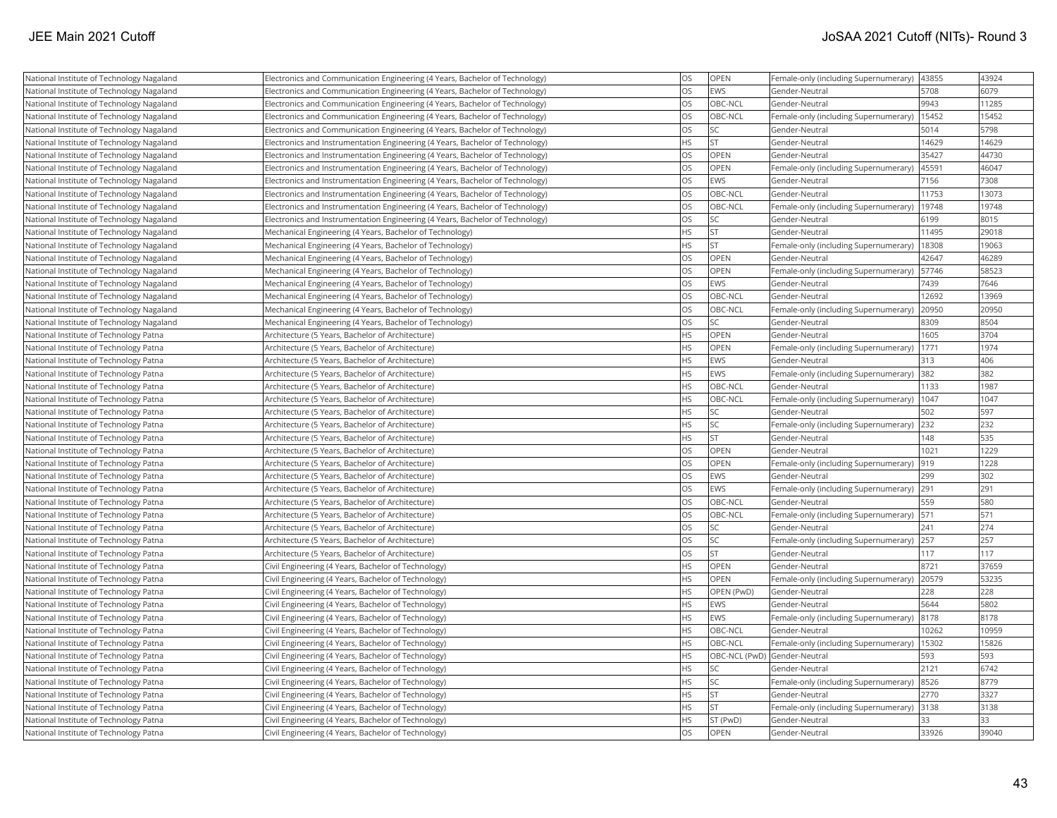| National Institute of Technology Nagaland | Electronics and Communication Engineering (4 Years, Bachelor of Technology)   | <b>OS</b> | <b>OPEN</b> | Female-only (including Supernumerary)  43855  |       | 43924 |
|-------------------------------------------|-------------------------------------------------------------------------------|-----------|-------------|-----------------------------------------------|-------|-------|
| National Institute of Technology Nagaland | Electronics and Communication Engineering (4 Years, Bachelor of Technology)   | <b>OS</b> | <b>EWS</b>  | Gender-Neutral                                | 5708  | 6079  |
| National Institute of Technology Nagaland | Electronics and Communication Engineering (4 Years, Bachelor of Technology)   | <b>OS</b> | OBC-NCL     | Gender-Neutral                                | 9943  | 11285 |
| National Institute of Technology Nagaland | Electronics and Communication Engineering (4 Years, Bachelor of Technology)   | <b>OS</b> | OBC-NCL     | Female-only (including Supernumerary)         | 15452 | 15452 |
| National Institute of Technology Nagaland | Electronics and Communication Engineering (4 Years, Bachelor of Technology)   | <b>OS</b> | SC          | Gender-Neutral                                | 5014  | 5798  |
| National Institute of Technology Nagaland | Electronics and Instrumentation Engineering (4 Years, Bachelor of Technology) | HS        | ST          | Gender-Neutral                                | 14629 | 14629 |
| National Institute of Technology Nagaland | Electronics and Instrumentation Engineering (4 Years, Bachelor of Technology) | OS        | <b>OPEN</b> | Gender-Neutral                                | 35427 | 44730 |
| National Institute of Technology Nagaland | Electronics and Instrumentation Engineering (4 Years, Bachelor of Technology) | OS        | OPEN        | Female-only (including Supernumerary)         | 4559  | 46047 |
| National Institute of Technology Nagaland | Electronics and Instrumentation Engineering (4 Years, Bachelor of Technology) | <b>OS</b> | <b>EWS</b>  | Gender-Neutral                                | 7156  | 7308  |
| National Institute of Technology Nagaland | Electronics and Instrumentation Engineering (4 Years, Bachelor of Technology) | <b>OS</b> | OBC-NCL     | Gender-Neutral                                | 11753 | 13073 |
| National Institute of Technology Nagaland | Electronics and Instrumentation Engineering (4 Years, Bachelor of Technology) | <b>OS</b> | OBC-NCL     | Female-only (including Supernumerary)         | 19748 | 19748 |
| National Institute of Technology Nagaland | Electronics and Instrumentation Engineering (4 Years, Bachelor of Technology) | <b>OS</b> | SC          | Gender-Neutral                                | 6199  | 8015  |
| National Institute of Technology Nagaland | Mechanical Engineering (4 Years, Bachelor of Technology)                      | <b>HS</b> | <b>ST</b>   | Gender-Neutral                                | 11495 | 29018 |
| National Institute of Technology Nagaland | Mechanical Engineering (4 Years, Bachelor of Technology)                      | HS        | <b>ST</b>   | Female-only (including Supernumerary)   18308 |       | 19063 |
| National Institute of Technology Nagaland | Mechanical Engineering (4 Years, Bachelor of Technology)                      | OS        | <b>OPEN</b> | Gender-Neutral                                | 42647 | 46289 |
| National Institute of Technology Nagaland | Mechanical Engineering (4 Years, Bachelor of Technology)                      | <b>OS</b> | <b>OPEN</b> | Female-only (including Supernumerary)         | 57746 | 58523 |
| National Institute of Technology Nagaland | Mechanical Engineering (4 Years, Bachelor of Technology)                      | <b>OS</b> | <b>EWS</b>  | Gender-Neutral                                | 7439  | 7646  |
| National Institute of Technology Nagaland | Mechanical Engineering (4 Years, Bachelor of Technology)                      | <b>OS</b> | OBC-NCL     | Gender-Neutral                                | 12692 | 13969 |
| National Institute of Technology Nagaland | Mechanical Engineering (4 Years, Bachelor of Technology)                      | OS        | OBC-NCL     | Female-only (including Supernumerary)         | 20950 | 20950 |
| National Institute of Technology Nagaland | Mechanical Engineering (4 Years, Bachelor of Technology)                      | <b>OS</b> | lsc         | Gender-Neutral                                | 8309  | 8504  |
| National Institute of Technology Patna    | Architecture (5 Years, Bachelor of Architecture)                              | <b>HS</b> | OPEN        | Gender-Neutral                                | 1605  | 3704  |
| National Institute of Technology Patna    | Architecture (5 Years, Bachelor of Architecture)                              | HS        | <b>OPEN</b> | Female-only (including Supernumerary)         | 1771  | 1974  |
| National Institute of Technology Patna    | Architecture (5 Years, Bachelor of Architecture)                              | <b>HS</b> | <b>EWS</b>  | Gender-Neutral                                | 313   | 406   |
| National Institute of Technology Patna    | Architecture (5 Years, Bachelor of Architecture)                              | HS        | <b>EWS</b>  | Female-only (including Supernumerary) 382     |       | 382   |
| National Institute of Technology Patna    | Architecture (5 Years, Bachelor of Architecture)                              | <b>HS</b> | OBC-NCL     | Gender-Neutral                                | 1133  | 1987  |
| National Institute of Technology Patna    | Architecture (5 Years, Bachelor of Architecture)                              | <b>HS</b> | OBC-NCL     | Female-only (including Supernumerary)   1047  |       | 1047  |
| National Institute of Technology Patna    | Architecture (5 Years, Bachelor of Architecture)                              | <b>HS</b> | SC.         | Gender-Neutral                                | 502   | 597   |
| National Institute of Technology Patna    | Architecture (5 Years, Bachelor of Architecture)                              | <b>HS</b> | lsc         | Female-only (including Supernumerary)         | 232   | 232   |
| National Institute of Technology Patna    | Architecture (5 Years, Bachelor of Architecture)                              | <b>HS</b> | <b>ST</b>   | Gender-Neutral                                | 148   | 535   |
| National Institute of Technology Patna    | Architecture (5 Years, Bachelor of Architecture)                              | <b>OS</b> | <b>OPEN</b> | Gender-Neutral                                | 1021  | 1229  |
| National Institute of Technology Patna    | Architecture (5 Years, Bachelor of Architecture)                              | OS        | <b>OPEN</b> | Female-only (including Supernumerary)  919    |       | 1228  |
| National Institute of Technology Patna    | Architecture (5 Years, Bachelor of Architecture)                              | OS        | <b>EWS</b>  | Gender-Neutral                                | 299   | 302   |
| National Institute of Technology Patna    | Architecture (5 Years, Bachelor of Architecture)                              | OS        | <b>EWS</b>  | Female-only (including Supernumerary) 291     |       | 291   |
| National Institute of Technology Patna    | Architecture (5 Years, Bachelor of Architecture)                              | <b>OS</b> | OBC-NCL     | Gender-Neutral                                | 559   | 580   |
| National Institute of Technology Patna    | Architecture (5 Years, Bachelor of Architecture)                              | <b>OS</b> | OBC-NCL     | Female-only (including Supernumerary)   571   |       | 571   |
| National Institute of Technology Patna    | Architecture (5 Years, Bachelor of Architecture)                              | <b>OS</b> | lsc         | Gender-Neutral                                | 241   | 274   |
| National Institute of Technology Patna    | Architecture (5 Years, Bachelor of Architecture)                              | <b>OS</b> | SC          | Female-only (including Supernumerary) 257     |       | 257   |
| National Institute of Technology Patna    | Architecture (5 Years, Bachelor of Architecture)                              | OS        | <b>ST</b>   | Gender-Neutral                                | 117   | 117   |
| National Institute of Technology Patna    | Civil Engineering (4 Years, Bachelor of Technology)                           | HS        | <b>OPEN</b> | Gender-Neutral                                | 8721  | 37659 |
| National Institute of Technology Patna    | Civil Engineering (4 Years, Bachelor of Technology)                           | HS        | OPEN        | Female-only (including Supernumerary)         | 20579 | 53235 |
| National Institute of Technology Patna    | Civil Engineering (4 Years, Bachelor of Technology)                           | <b>HS</b> | OPEN (PwD)  | Gender-Neutral                                | 228   | 228   |
| National Institute of Technology Patna    | Civil Engineering (4 Years, Bachelor of Technology)                           | HS        | <b>EWS</b>  | Gender-Neutral                                | 5644  | 5802  |
| National Institute of Technology Patna    | Civil Engineering (4 Years, Bachelor of Technology)                           | <b>HS</b> | <b>EWS</b>  | Female-only (including Supernumerary)         | 8178  | 8178  |
| National Institute of Technology Patna    | Civil Engineering (4 Years, Bachelor of Technology)                           | <b>HS</b> | OBC-NCL     | Gender-Neutral                                | 10262 | 10959 |
| National Institute of Technology Patna    | Civil Engineering (4 Years, Bachelor of Technology)                           | HS        | OBC-NCL     | Female-only (including Supernumerary)         | 15302 | 15826 |
| National Institute of Technology Patna    | Civil Engineering (4 Years, Bachelor of Technology)                           | HS        |             | OBC-NCL (PwD) Gender-Neutral                  | 593   | 593   |
| National Institute of Technology Patna    | Civil Engineering (4 Years, Bachelor of Technology)                           | HS        | SC.         | Gender-Neutral                                | 2121  | 6742  |
| National Institute of Technology Patna    | Civil Engineering (4 Years, Bachelor of Technology)                           | <b>HS</b> | lsc         | Female-only (including Supernumerary)         | 8526  | 8779  |
| National Institute of Technology Patna    | Civil Engineering (4 Years, Bachelor of Technology)                           | <b>HS</b> | ST          | Gender-Neutral                                | 2770  | 3327  |
| National Institute of Technology Patna    | Civil Engineering (4 Years, Bachelor of Technology)                           | HS        | <b>ST</b>   | Female-only (including Supernumerary) 3138    |       | 3138  |
| National Institute of Technology Patna    | Civil Engineering (4 Years, Bachelor of Technology)                           | <b>HS</b> | ST (PwD)    | Gender-Neutral                                | 33    | 33    |
| National Institute of Technology Patna    | Civil Engineering (4 Years, Bachelor of Technology)                           | <b>OS</b> | <b>OPEN</b> | lGender-Neutral                               | 33926 | 39040 |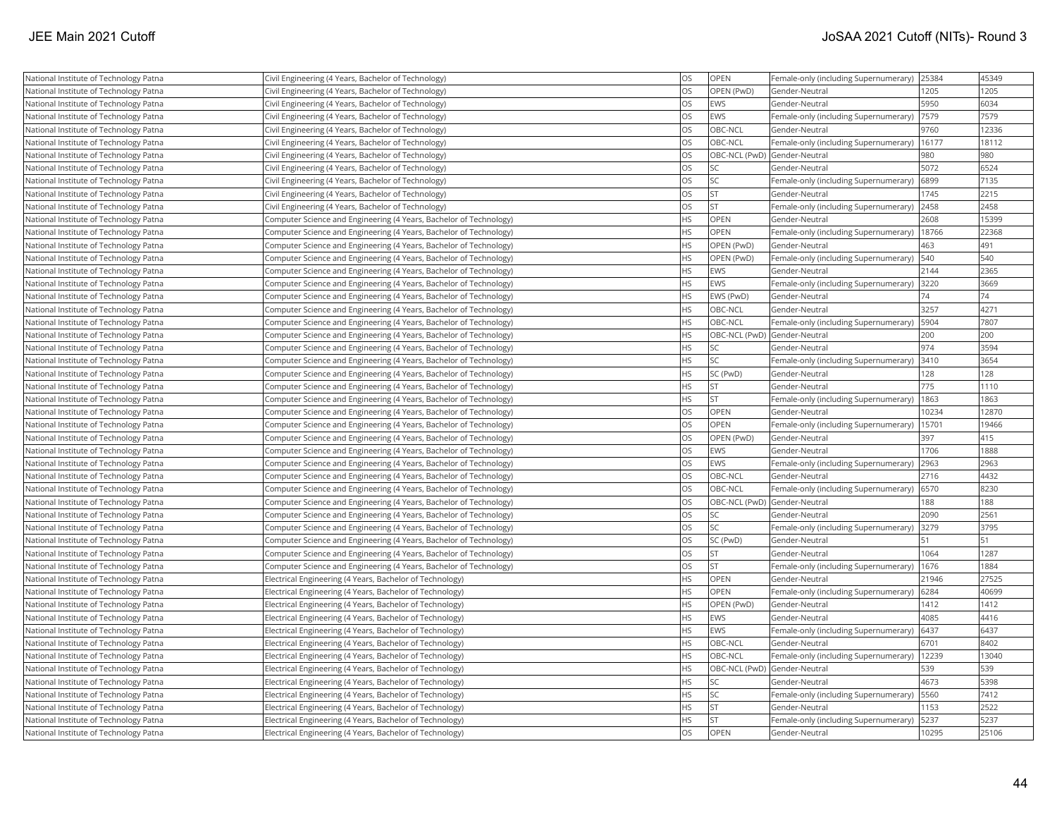| National Institute of Technology Patna | Civil Engineering (4 Years, Bachelor of Technology)                | OS        | OPEN                         | Female-only (including Supernumerary) | 25384 | 45349 |
|----------------------------------------|--------------------------------------------------------------------|-----------|------------------------------|---------------------------------------|-------|-------|
| National Institute of Technology Patna | Civil Engineering (4 Years, Bachelor of Technology)                | <b>OS</b> | OPEN (PwD)                   | Gender-Neutral                        | 1205  | 1205  |
| National Institute of Technology Patna | Civil Engineering (4 Years, Bachelor of Technology)                | <b>OS</b> | EWS                          | Gender-Neutral                        | 5950  | 6034  |
| National Institute of Technology Patna | Civil Engineering (4 Years, Bachelor of Technology)                | OS        | EWS                          | Female-only (including Supernumerary) | 7579  | 7579  |
| National Institute of Technology Patna | Civil Engineering (4 Years, Bachelor of Technology)                | <b>OS</b> | OBC-NCL                      | Gender-Neutral                        | 9760  | 12336 |
| National Institute of Technology Patna | Civil Engineering (4 Years, Bachelor of Technology)                | OS        | OBC-NCL                      | Female-only (including Supernumerary) | 16177 | 18112 |
| National Institute of Technology Patna | Civil Engineering (4 Years, Bachelor of Technology)                | OS        | OBC-NCL (PwD) Gender-Neutral |                                       | 980   | 980   |
| National Institute of Technology Patna | Civil Engineering (4 Years, Bachelor of Technology)                | OS        | <b>SC</b>                    | Gender-Neutral                        | 5072  | 6524  |
| National Institute of Technology Patna | Civil Engineering (4 Years, Bachelor of Technology)                | OS        | <b>SC</b>                    | Female-only (including Supernumerary) | 6899  | 7135  |
| National Institute of Technology Patna | Civil Engineering (4 Years, Bachelor of Technology)                | OS        | <b>ST</b>                    | Gender-Neutral                        | 1745  | 2215  |
| National Institute of Technology Patna | Civil Engineering (4 Years, Bachelor of Technology)                | OS        | <b>ST</b>                    | Female-only (including Supernumerary) | 2458  | 2458  |
| National Institute of Technology Patna | Computer Science and Engineering (4 Years, Bachelor of Technology) | <b>HS</b> | <b>OPEN</b>                  | Gender-Neutral                        | 2608  | 15399 |
| National Institute of Technology Patna | Computer Science and Engineering (4 Years, Bachelor of Technology) | HS        | OPEN                         | Female-only (including Supernumerary) | 18766 | 22368 |
| National Institute of Technology Patna | Computer Science and Engineering (4 Years, Bachelor of Technology) | <b>HS</b> | OPEN (PwD)                   | Gender-Neutral                        | 463   | 491   |
| National Institute of Technology Patna | Computer Science and Engineering (4 Years, Bachelor of Technology) | HS        | OPEN (PwD)                   | Female-only (including Supernumerary) | 540   | 540   |
| National Institute of Technology Patna | Computer Science and Engineering (4 Years, Bachelor of Technology) | <b>HS</b> | <b>EWS</b>                   | Gender-Neutral                        | 2144  | 2365  |
| National Institute of Technology Patna | Computer Science and Engineering (4 Years, Bachelor of Technology) | <b>HS</b> | EWS                          | Female-only (including Supernumerary) | 3220  | 3669  |
| National Institute of Technology Patna | Computer Science and Engineering (4 Years, Bachelor of Technology) | HS        | EWS (PwD)                    | Gender-Neutral                        | 74    | 74    |
| National Institute of Technology Patna | Computer Science and Engineering (4 Years, Bachelor of Technology) | <b>HS</b> | OBC-NCL                      | Gender-Neutral                        | 3257  | 4271  |
| National Institute of Technology Patna | Computer Science and Engineering (4 Years, Bachelor of Technology) | <b>HS</b> | OBC-NCL                      | Female-only (including Supernumerary) | 5904  | 7807  |
| National Institute of Technology Patna | Computer Science and Engineering (4 Years, Bachelor of Technology) | <b>HS</b> | OBC-NCL (PwD) Gender-Neutral |                                       | 200   | 200   |
| National Institute of Technology Patna | Computer Science and Engineering (4 Years, Bachelor of Technology) | <b>HS</b> | <b>SC</b>                    | Gender-Neutral                        | 974   | 3594  |
| National Institute of Technology Patna | Computer Science and Engineering (4 Years, Bachelor of Technology) | HS        | <b>SC</b>                    | Female-only (including Supernumerary) | 3410  | 3654  |
| National Institute of Technology Patna | Computer Science and Engineering (4 Years, Bachelor of Technology) | <b>HS</b> | SC (PwD)                     | Gender-Neutral                        | 128   | 128   |
| National Institute of Technology Patna | Computer Science and Engineering (4 Years, Bachelor of Technology) | HS        | <b>ST</b>                    | Gender-Neutral                        | 775   | 1110  |
| National Institute of Technology Patna | Computer Science and Engineering (4 Years, Bachelor of Technology) | <b>HS</b> | İst                          | Female-only (including Supernumerary) | 1863  | 1863  |
| National Institute of Technology Patna | Computer Science and Engineering (4 Years, Bachelor of Technology) | OS        | OPEN                         | Gender-Neutral                        | 10234 | 12870 |
| National Institute of Technology Patna | Computer Science and Engineering (4 Years, Bachelor of Technology) | OS        | OPEN                         | Female-only (including Supernumerary) | 15701 | 19466 |
| National Institute of Technology Patna | Computer Science and Engineering (4 Years, Bachelor of Technology) | OS        | OPEN (PwD)                   | Gender-Neutral                        | 397   | 415   |
| National Institute of Technology Patna | Computer Science and Engineering (4 Years, Bachelor of Technology) | OS        | <b>EWS</b>                   | Gender-Neutral                        | 1706  | 1888  |
| National Institute of Technology Patna | Computer Science and Engineering (4 Years, Bachelor of Technology) | <b>OS</b> | EWS                          | Female-only (including Supernumerary) | 2963  | 2963  |
| National Institute of Technology Patna | Computer Science and Engineering (4 Years, Bachelor of Technology) | OS        | OBC-NCL                      | Gender-Neutral                        | 2716  | 4432  |
| National Institute of Technology Patna | Computer Science and Engineering (4 Years, Bachelor of Technology) | OS        | OBC-NCL                      | Female-only (including Supernumerary) | 6570  | 8230  |
| National Institute of Technology Patna | Computer Science and Engineering (4 Years, Bachelor of Technology) | OS        | OBC-NCL (PwD) Gender-Neutral |                                       | 188   | 188   |
| National Institute of Technology Patna | Computer Science and Engineering (4 Years, Bachelor of Technology) | <b>OS</b> | <b>SC</b>                    | Gender-Neutral                        | 2090  | 2561  |
| National Institute of Technology Patna | Computer Science and Engineering (4 Years, Bachelor of Technology) | OS        | <b>SC</b>                    | Female-only (including Supernumerary) | 3279  | 3795  |
| National Institute of Technology Patna | Computer Science and Engineering (4 Years, Bachelor of Technology) | OS        | SC (PwD)                     | Gender-Neutral                        | 51    | 51    |
| National Institute of Technology Patna | Computer Science and Engineering (4 Years, Bachelor of Technology) | <b>OS</b> | lst                          | Gender-Neutral                        | 1064  | 1287  |
| National Institute of Technology Patna | Computer Science and Engineering (4 Years, Bachelor of Technology) | <b>OS</b> | <b>ST</b>                    | Female-only (including Supernumerary) | 1676  | 1884  |
| National Institute of Technology Patna | Electrical Engineering (4 Years, Bachelor of Technology)           | <b>HS</b> | OPEN                         | Gender-Neutral                        | 21946 | 27525 |
| National Institute of Technology Patna | Electrical Engineering (4 Years, Bachelor of Technology)           | HS        | OPEN                         | Female-only (including Supernumerary) | 6284  | 40699 |
| National Institute of Technology Patna | Electrical Engineering (4 Years, Bachelor of Technology)           | <b>HS</b> | OPEN (PwD)                   | lGender-Neutral                       | 1412  | 1412  |
| National Institute of Technology Patna | Electrical Engineering (4 Years, Bachelor of Technology)           | <b>HS</b> | EWS                          | Gender-Neutral                        | 4085  | 4416  |
| National Institute of Technology Patna | Electrical Engineering (4 Years, Bachelor of Technology)           | HS        | EWS                          | Female-only (including Supernumerary) | 6437  | 6437  |
| National Institute of Technology Patna | Electrical Engineering (4 Years, Bachelor of Technology)           | <b>HS</b> | OBC-NCL                      | Gender-Neutral                        | 6701  | 8402  |
| National Institute of Technology Patna | Electrical Engineering (4 Years, Bachelor of Technology)           | <b>HS</b> | OBC-NCL                      | Female-only (including Supernumerary) | 12239 | 13040 |
| National Institute of Technology Patna | Electrical Engineering (4 Years, Bachelor of Technology)           | <b>HS</b> | OBC-NCL (PwD) Gender-Neutral |                                       | 539   | 539   |
| National Institute of Technology Patna | Electrical Engineering (4 Years, Bachelor of Technology)           | <b>HS</b> | SC                           | Gender-Neutral                        | 4673  | 5398  |
| National Institute of Technology Patna | Electrical Engineering (4 Years, Bachelor of Technology)           | <b>HS</b> | <b>SC</b>                    | Female-only (including Supernumerary) | 5560  | 7412  |
| National Institute of Technology Patna | Electrical Engineering (4 Years, Bachelor of Technology)           | <b>HS</b> | <b>ST</b>                    | Gender-Neutral                        | 1153  | 2522  |
| National Institute of Technology Patna | Electrical Engineering (4 Years, Bachelor of Technology)           | <b>HS</b> | <b>ST</b>                    | Female-only (including Supernumerary) | 5237  | 5237  |
| National Institute of Technology Patna | Electrical Engineering (4 Years, Bachelor of Technology)           | <b>OS</b> | OPEN                         | Gender-Neutral                        | 10295 | 25106 |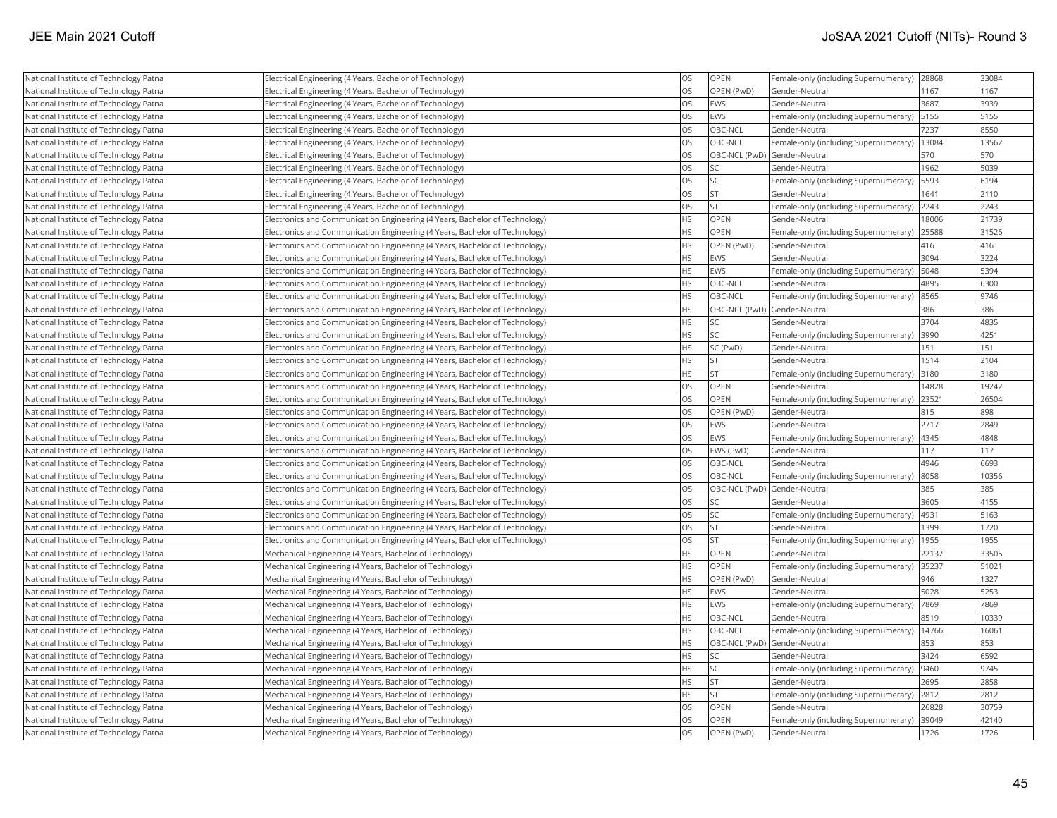| National Institute of Technology Patna | Electrical Engineering (4 Years, Bachelor of Technology)                    | <b>OS</b> | OPEN                         | Female-only (including Supernumerary) | 28868 | 33084 |
|----------------------------------------|-----------------------------------------------------------------------------|-----------|------------------------------|---------------------------------------|-------|-------|
| National Institute of Technology Patna | Electrical Engineering (4 Years, Bachelor of Technology)                    | <b>OS</b> | OPEN (PwD)                   | Gender-Neutral                        | 1167  | 1167  |
| National Institute of Technology Patna | Electrical Engineering (4 Years, Bachelor of Technology)                    | <b>OS</b> | EWS                          | Gender-Neutral                        | 3687  | 3939  |
| National Institute of Technology Patna | Electrical Engineering (4 Years, Bachelor of Technology)                    | <b>OS</b> | EWS                          | Female-only (including Supernumerary) | 5155  | 5155  |
| National Institute of Technology Patna | Electrical Engineering (4 Years, Bachelor of Technology)                    | <b>OS</b> | OBC-NCL                      | Gender-Neutral                        | 7237  | 8550  |
| National Institute of Technology Patna | Electrical Engineering (4 Years, Bachelor of Technology)                    | <b>OS</b> | OBC-NCL                      | Female-only (including Supernumerary) | 13084 | 13562 |
| National Institute of Technology Patna | Electrical Engineering (4 Years, Bachelor of Technology)                    | <b>OS</b> | OBC-NCL (PwD) Gender-Neutral |                                       | 570   | 570   |
| National Institute of Technology Patna | Electrical Engineering (4 Years, Bachelor of Technology)                    | <b>OS</b> | <b>SC</b>                    | Gender-Neutral                        | 1962  | 5039  |
| National Institute of Technology Patna | Electrical Engineering (4 Years, Bachelor of Technology)                    | <b>OS</b> | <b>SC</b>                    | Female-only (including Supernumerary) | 5593  | 6194  |
| National Institute of Technology Patna | Electrical Engineering (4 Years, Bachelor of Technology)                    | <b>OS</b> | İst                          | Gender-Neutral                        | 1641  | 2110  |
| National Institute of Technology Patna | Electrical Engineering (4 Years, Bachelor of Technology)                    | <b>OS</b> | <b>ST</b>                    | Female-only (including Supernumerary) | 2243  | 2243  |
| National Institute of Technology Patna | Electronics and Communication Engineering (4 Years, Bachelor of Technology) | <b>HS</b> | <b>OPEN</b>                  | Gender-Neutral                        | 18006 | 21739 |
| National Institute of Technology Patna | Electronics and Communication Engineering (4 Years, Bachelor of Technology) | <b>HS</b> | OPEN                         | Female-only (including Supernumerary) | 25588 | 31526 |
| National Institute of Technology Patna | Electronics and Communication Engineering (4 Years, Bachelor of Technology) | <b>HS</b> | OPEN (PwD)                   | Gender-Neutral                        | 416   | 416   |
| National Institute of Technology Patna | Electronics and Communication Engineering (4 Years, Bachelor of Technology) | <b>HS</b> | EWS                          | Gender-Neutral                        | 3094  | 3224  |
| National Institute of Technology Patna | Electronics and Communication Engineering (4 Years, Bachelor of Technology) | <b>HS</b> | EWS                          | Female-only (including Supernumerary) | 5048  | 5394  |
| National Institute of Technology Patna | Electronics and Communication Engineering (4 Years, Bachelor of Technology) | <b>HS</b> | <b>OBC-NCL</b>               | Gender-Neutral                        | 4895  | 6300  |
| National Institute of Technology Patna | Electronics and Communication Engineering (4 Years, Bachelor of Technology) | <b>HS</b> | OBC-NCL                      | Female-only (including Supernumerary) | 8565  | 9746  |
| National Institute of Technology Patna | Electronics and Communication Engineering (4 Years, Bachelor of Technology) | <b>HS</b> | OBC-NCL (PwD) Gender-Neutral |                                       | 386   | 386   |
| National Institute of Technology Patna | Electronics and Communication Engineering (4 Years, Bachelor of Technology) | <b>HS</b> | <b>SC</b>                    | Gender-Neutral                        | 3704  | 4835  |
| National Institute of Technology Patna | Electronics and Communication Engineering (4 Years, Bachelor of Technology) | <b>HS</b> | lsc                          | Female-only (including Supernumerary) | 3990  | 4251  |
| National Institute of Technology Patna | Electronics and Communication Engineering (4 Years, Bachelor of Technology) | <b>HS</b> | SC (PwD)                     | Gender-Neutral                        | 151   | 151   |
| National Institute of Technology Patna | Electronics and Communication Engineering (4 Years, Bachelor of Technology) | <b>HS</b> | <b>ST</b>                    | Gender-Neutral                        | 1514  | 2104  |
| National Institute of Technology Patna | Electronics and Communication Engineering (4 Years, Bachelor of Technology) | <b>HS</b> | <b>ST</b>                    | Female-only (including Supernumerary) | 3180  | 3180  |
| National Institute of Technology Patna | Electronics and Communication Engineering (4 Years, Bachelor of Technology) | <b>OS</b> | OPEN                         | Gender-Neutral                        | 14828 | 19242 |
| National Institute of Technology Patna | Electronics and Communication Engineering (4 Years, Bachelor of Technology) | <b>OS</b> | OPEN                         | Female-only (including Supernumerary) | 23521 | 26504 |
| National Institute of Technology Patna | Electronics and Communication Engineering (4 Years, Bachelor of Technology) | <b>OS</b> | OPEN (PwD)                   | Gender-Neutral                        | 815   | 898   |
| National Institute of Technology Patna | Electronics and Communication Engineering (4 Years, Bachelor of Technology) | <b>OS</b> | EWS                          | Gender-Neutral                        | 2717  | 2849  |
| National Institute of Technology Patna | Electronics and Communication Engineering (4 Years, Bachelor of Technology) | <b>OS</b> | <b>EWS</b>                   | Female-only (including Supernumerary) | 4345  | 4848  |
| National Institute of Technology Patna | Electronics and Communication Engineering (4 Years, Bachelor of Technology) | <b>OS</b> | EWS (PwD)                    | Gender-Neutral                        | 117   | 117   |
| National Institute of Technology Patna | Electronics and Communication Engineering (4 Years, Bachelor of Technology) | <b>OS</b> | OBC-NCL                      | Gender-Neutral                        | 4946  | 6693  |
| National Institute of Technology Patna | Electronics and Communication Engineering (4 Years, Bachelor of Technology) | <b>OS</b> | OBC-NCL                      | Female-only (including Supernumerary) | 8058  | 10356 |
| National Institute of Technology Patna | Electronics and Communication Engineering (4 Years, Bachelor of Technology) | <b>OS</b> | OBC-NCL (PwD) Gender-Neutral |                                       | 385   | 385   |
| National Institute of Technology Patna | Electronics and Communication Engineering (4 Years, Bachelor of Technology) | <b>OS</b> | lsc                          | Gender-Neutral                        | 3605  | 4155  |
| National Institute of Technology Patna | Electronics and Communication Engineering (4 Years, Bachelor of Technology) | <b>OS</b> | <b>SC</b>                    | Female-only (including Supernumerary) | 4931  | 5163  |
| National Institute of Technology Patna | Electronics and Communication Engineering (4 Years, Bachelor of Technology) | <b>OS</b> | <b>ST</b>                    | Gender-Neutral                        | 1399  | 1720  |
| National Institute of Technology Patna | Electronics and Communication Engineering (4 Years, Bachelor of Technology) | <b>OS</b> | lst                          | Female-only (including Supernumerary) | 1955  | 1955  |
| National Institute of Technology Patna | Mechanical Engineering (4 Years, Bachelor of Technology)                    | <b>HS</b> | OPEN                         | Gender-Neutral                        | 22137 | 33505 |
| National Institute of Technology Patna | Mechanical Engineering (4 Years, Bachelor of Technology)                    | <b>HS</b> | OPEN                         | Female-only (including Supernumerary) | 35237 | 51021 |
| National Institute of Technology Patna | Mechanical Engineering (4 Years, Bachelor of Technology)                    | <b>HS</b> | OPEN (PwD)                   | Gender-Neutral                        | 946   | 1327  |
| National Institute of Technology Patna | Mechanical Engineering (4 Years, Bachelor of Technology)                    | <b>HS</b> | <b>EWS</b>                   | Gender-Neutral                        | 5028  | 5253  |
| National Institute of Technology Patna | Mechanical Engineering (4 Years, Bachelor of Technology)                    | <b>HS</b> | EWS                          | Female-only (including Supernumerary) | 7869  | 7869  |
| National Institute of Technology Patna | Mechanical Engineering (4 Years, Bachelor of Technology)                    | <b>HS</b> | OBC-NCL                      | Gender-Neutral                        | 8519  | 10339 |
| National Institute of Technology Patna | Mechanical Engineering (4 Years, Bachelor of Technology)                    | <b>HS</b> | <b>OBC-NCL</b>               | Female-only (including Supernumerary) | 14766 | 16061 |
| National Institute of Technology Patna | Mechanical Engineering (4 Years, Bachelor of Technology)                    | <b>HS</b> | OBC-NCL (PwD) Gender-Neutral |                                       | 853   | 853   |
| National Institute of Technology Patna | Mechanical Engineering (4 Years, Bachelor of Technology)                    | <b>HS</b> | <b>SC</b>                    | Gender-Neutral                        | 3424  | 6592  |
| National Institute of Technology Patna | Mechanical Engineering (4 Years, Bachelor of Technology)                    | <b>HS</b> | lsc                          | Female-only (including Supernumerary) | 9460  | 9745  |
| National Institute of Technology Patna | Mechanical Engineering (4 Years, Bachelor of Technology)                    | <b>HS</b> | <b>ST</b>                    | Gender-Neutral                        | 2695  | 2858  |
| National Institute of Technology Patna | Mechanical Engineering (4 Years, Bachelor of Technology)                    | <b>HS</b> | <b>ST</b>                    | Female-only (including Supernumerary) | 2812  | 2812  |
| National Institute of Technology Patna | Mechanical Engineering (4 Years, Bachelor of Technology)                    | <b>OS</b> | OPEN                         | Gender-Neutral                        | 26828 | 30759 |
| National Institute of Technology Patna | Mechanical Engineering (4 Years, Bachelor of Technology)                    | <b>OS</b> | OPEN                         | Female-only (including Supernumerary) | 39049 | 42140 |
| National Institute of Technology Patna | Mechanical Engineering (4 Years, Bachelor of Technology)                    | <b>OS</b> | OPEN (PwD)                   | Gender-Neutral                        | 1726  | 1726  |
|                                        |                                                                             |           |                              |                                       |       |       |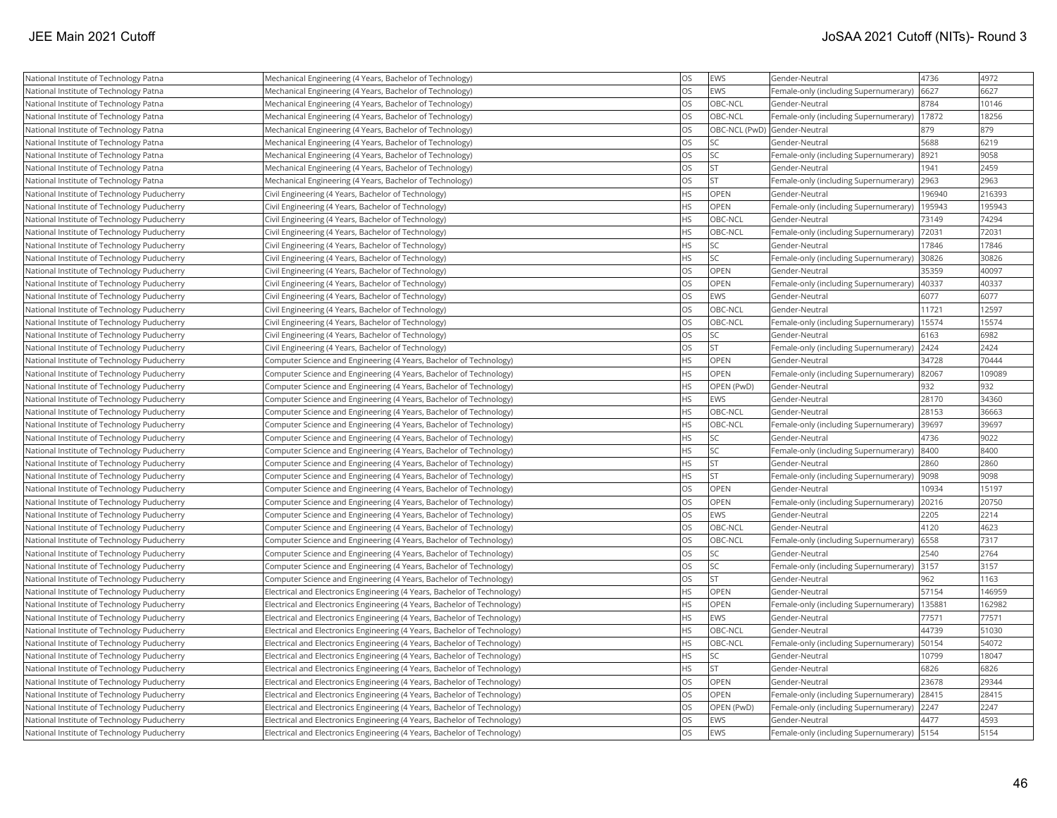| National Institute of Technology Patna      | Mechanical Engineering (4 Years, Bachelor of Technology)                 | <b>OS</b>  | EWS        | Gender-Neutral                        | 4736   | 4972   |
|---------------------------------------------|--------------------------------------------------------------------------|------------|------------|---------------------------------------|--------|--------|
| National Institute of Technology Patna      | Mechanical Engineering (4 Years, Bachelor of Technology)                 | <b>OS</b>  | EWS        | Female-only (including Supernumerary) | 6627   | 6627   |
| National Institute of Technology Patna      | Mechanical Engineering (4 Years, Bachelor of Technology)                 | <b>OS</b>  | OBC-NCL    | Gender-Neutral                        | 8784   | 10146  |
| National Institute of Technology Patna      | Mechanical Engineering (4 Years, Bachelor of Technology)                 | <b>OS</b>  | OBC-NCL    | Female-only (including Supernumerary) | 17872  | 18256  |
| National Institute of Technology Patna      | Mechanical Engineering (4 Years, Bachelor of Technology)                 | los        |            | OBC-NCL (PwD) Gender-Neutral          | 879    | 879    |
| National Institute of Technology Patna      | Mechanical Engineering (4 Years, Bachelor of Technology)                 | <b>OS</b>  | SC         | Gender-Neutral                        | 5688   | 6219   |
| National Institute of Technology Patna      | Mechanical Engineering (4 Years, Bachelor of Technology)                 | <b>OS</b>  | SC         | Female-only (including Supernumerary) | 8921   | 9058   |
| National Institute of Technology Patna      | Mechanical Engineering (4 Years, Bachelor of Technology)                 | <b>OS</b>  | <b>ST</b>  | Gender-Neutral                        | 1941   | 2459   |
| National Institute of Technology Patna      | Mechanical Engineering (4 Years, Bachelor of Technology)                 | <b>OS</b>  | <b>ST</b>  | Female-only (including Supernumerary) | 2963   | 2963   |
| National Institute of Technology Puducherry | Civil Engineering (4 Years, Bachelor of Technology)                      | <b>HS</b>  | OPEN       | Gender-Neutral                        | 196940 | 216393 |
| National Institute of Technology Puducherry | Civil Engineering (4 Years, Bachelor of Technology)                      | <b>HS</b>  | OPEN       | Female-only (including Supernumerary) | 195943 | 195943 |
| National Institute of Technology Puducherry | Civil Engineering (4 Years, Bachelor of Technology)                      | <b>HS</b>  | OBC-NCL    | Gender-Neutral                        | 73149  | 74294  |
| National Institute of Technology Puducherry | Civil Engineering (4 Years, Bachelor of Technology)                      | <b>IHS</b> | OBC-NCL    | Female-only (including Supernumerary) | 72031  | 72031  |
| National Institute of Technology Puducherry | Civil Engineering (4 Years, Bachelor of Technology)                      | <b>HS</b>  | SC         | Gender-Neutral                        | 17846  | 17846  |
| National Institute of Technology Puducherry | Civil Engineering (4 Years, Bachelor of Technology)                      | <b>HS</b>  | SC         | Female-only (including Supernumerary) | 30826  | 30826  |
| National Institute of Technology Puducherry | Civil Engineering (4 Years, Bachelor of Technology)                      | <b>OS</b>  | OPEN       | Gender-Neutral                        | 35359  | 40097  |
| National Institute of Technology Puducherry | Civil Engineering (4 Years, Bachelor of Technology)                      | los        | OPEN       | Female-only (including Supernumerary) | 40337  | 40337  |
| National Institute of Technology Puducherry | Civil Engineering (4 Years, Bachelor of Technology)                      | los        | EWS        | Gender-Neutral                        | 6077   | 6077   |
| National Institute of Technology Puducherry | Civil Engineering (4 Years, Bachelor of Technology)                      | <b>OS</b>  | OBC-NCL    | Gender-Neutral                        | 11721  | 12597  |
| National Institute of Technology Puducherry | Civil Engineering (4 Years, Bachelor of Technology)                      | <b>OS</b>  | OBC-NCL    | Female-only (including Supernumerary) | 15574  | 15574  |
| National Institute of Technology Puducherry | Civil Engineering (4 Years, Bachelor of Technology)                      | los        | SC         | Gender-Neutral                        | 6163   | 6982   |
| National Institute of Technology Puducherry | Civil Engineering (4 Years, Bachelor of Technology)                      | los        | <b>ST</b>  | Female-only (including Supernumerary) | 2424   | 2424   |
| National Institute of Technology Puducherry | Computer Science and Engineering (4 Years, Bachelor of Technology)       | <b>HS</b>  | OPEN       | Gender-Neutral                        | 34728  | 70444  |
| National Institute of Technology Puducherry | Computer Science and Engineering (4 Years, Bachelor of Technology)       | <b>HS</b>  | OPEN       | Female-only (including Supernumerary) | 82067  | 109089 |
| National Institute of Technology Puducherry | Computer Science and Engineering (4 Years, Bachelor of Technology)       | <b>HS</b>  | OPEN (PwD) | Gender-Neutral                        | 932    | 932    |
| National Institute of Technology Puducherry | Computer Science and Engineering (4 Years, Bachelor of Technology)       | <b>HS</b>  | <b>EWS</b> | Gender-Neutral                        | 28170  | 34360  |
| National Institute of Technology Puducherry | Computer Science and Engineering (4 Years, Bachelor of Technology)       | <b>HS</b>  | OBC-NCL    | Gender-Neutral                        | 28153  | 36663  |
| National Institute of Technology Puducherry | Computer Science and Engineering (4 Years, Bachelor of Technology)       | <b>HS</b>  | OBC-NCL    | Female-only (including Supernumerary) | 39697  | 39697  |
| National Institute of Technology Puducherry | Computer Science and Engineering (4 Years, Bachelor of Technology)       | <b>HS</b>  | SC         | Gender-Neutral                        | 4736   | 9022   |
| National Institute of Technology Puducherry | Computer Science and Engineering (4 Years, Bachelor of Technology)       | <b>HS</b>  | SC         | Female-only (including Supernumerary) | 8400   | 8400   |
| National Institute of Technology Puducherry | Computer Science and Engineering (4 Years, Bachelor of Technology)       | <b>HS</b>  | <b>ST</b>  | Gender-Neutral                        | 2860   | 2860   |
| National Institute of Technology Puducherry | Computer Science and Engineering (4 Years, Bachelor of Technology)       | <b>HS</b>  | <b>ST</b>  | Female-only (including Supernumerary) | 9098   | 9098   |
| National Institute of Technology Puducherry | Computer Science and Engineering (4 Years, Bachelor of Technology)       | <b>OS</b>  | OPEN       | Gender-Neutral                        | 10934  | 15197  |
| National Institute of Technology Puducherry | Computer Science and Engineering (4 Years, Bachelor of Technology)       | los        | OPEN       | Female-only (including Supernumerary) | 20216  | 20750  |
| National Institute of Technology Puducherry | Computer Science and Engineering (4 Years, Bachelor of Technology)       | los        | EWS        | Gender-Neutral                        | 2205   | 2214   |
| National Institute of Technology Puducherry | Computer Science and Engineering (4 Years, Bachelor of Technology)       | <b>OS</b>  | OBC-NCL    | Gender-Neutral                        | 4120   | 4623   |
| National Institute of Technology Puducherry | Computer Science and Engineering (4 Years, Bachelor of Technology)       | los        | OBC-NCL    | Female-only (including Supernumerary) | 6558   | 7317   |
| National Institute of Technology Puducherry | Computer Science and Engineering (4 Years, Bachelor of Technology)       | los        | SC         | Gender-Neutral                        | 2540   | 2764   |
| National Institute of Technology Puducherry | Computer Science and Engineering (4 Years, Bachelor of Technology)       | <b>OS</b>  | SC         | Female-only (including Supernumerary) | 3157   | 3157   |
| National Institute of Technology Puducherry | Computer Science and Engineering (4 Years, Bachelor of Technology)       | <b>OS</b>  | <b>ST</b>  | Gender-Neutral                        | 962    | 1163   |
| National Institute of Technology Puducherry | Electrical and Electronics Engineering (4 Years, Bachelor of Technology) | <b>HS</b>  | OPEN       | Gender-Neutral                        | 57154  | 146959 |
| National Institute of Technology Puducherry | Electrical and Electronics Engineering (4 Years, Bachelor of Technology) | <b>HS</b>  | OPEN       | Female-only (including Supernumerary) | 135881 | 162982 |
| National Institute of Technology Puducherry | Electrical and Electronics Engineering (4 Years, Bachelor of Technology) | <b>HS</b>  | <b>EWS</b> | Gender-Neutral                        | 77571  | 77571  |
| National Institute of Technology Puducherry | Electrical and Electronics Engineering (4 Years, Bachelor of Technology) | <b>HS</b>  | OBC-NCL    | Gender-Neutral                        | 44739  | 51030  |
| National Institute of Technology Puducherry | Electrical and Electronics Engineering (4 Years, Bachelor of Technology) | <b>HS</b>  | OBC-NCL    | Female-only (including Supernumerary) | 50154  | 54072  |
| National Institute of Technology Puducherry | Electrical and Electronics Engineering (4 Years, Bachelor of Technology) | <b>HS</b>  | SC         | Gender-Neutral                        | 10799  | 18047  |
| National Institute of Technology Puducherry | Electrical and Electronics Engineering (4 Years, Bachelor of Technology) | <b>IHS</b> | <b>ST</b>  | Gender-Neutral                        | 6826   | 6826   |
| National Institute of Technology Puducherry | Electrical and Electronics Engineering (4 Years, Bachelor of Technology) | <b>OS</b>  | OPEN       | Gender-Neutral                        | 23678  | 29344  |
| National Institute of Technology Puducherry | Electrical and Electronics Engineering (4 Years, Bachelor of Technology) | <b>OS</b>  | OPEN       | Female-only (including Supernumerary) | 28415  | 28415  |
| National Institute of Technology Puducherry | Electrical and Electronics Engineering (4 Years, Bachelor of Technology) | <b>OS</b>  | OPEN (PwD) | Female-only (including Supernumerary) | 2247   | 2247   |
| National Institute of Technology Puducherry | Electrical and Electronics Engineering (4 Years, Bachelor of Technology) | <b>OS</b>  | EWS        | Gender-Neutral                        | 4477   | 4593   |
| National Institute of Technology Puducherry | Electrical and Electronics Engineering (4 Years, Bachelor of Technology) | los        | <b>EWS</b> | Female-only (including Supernumerary) | 5154   | 5154   |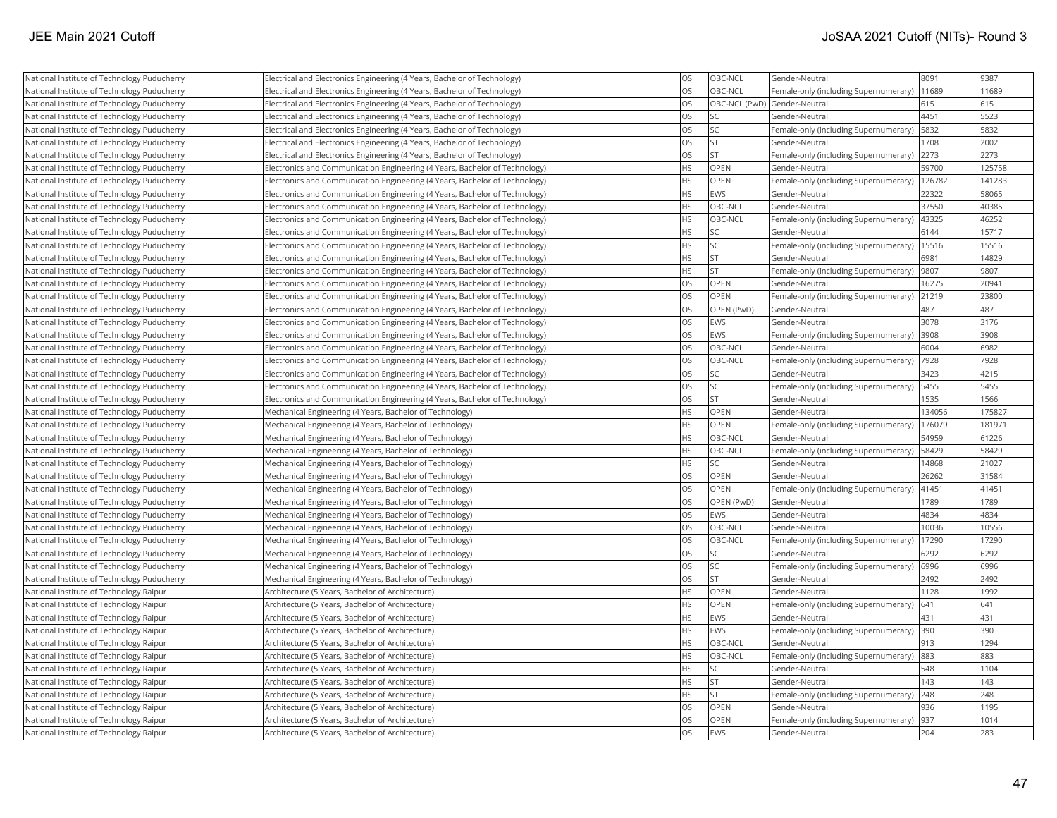| National Institute of Technology Puducherry | Electrical and Electronics Engineering (4 Years, Bachelor of Technology)    | <b>OS</b> | OBC-NCL                      | Gender-Neutral                        | 8091   | 9387   |
|---------------------------------------------|-----------------------------------------------------------------------------|-----------|------------------------------|---------------------------------------|--------|--------|
| National Institute of Technology Puducherry | Electrical and Electronics Engineering (4 Years, Bachelor of Technology)    | <b>OS</b> | OBC-NCL                      | Female-only (including Supernumerary) | 11689  | 11689  |
| National Institute of Technology Puducherry | Electrical and Electronics Engineering (4 Years, Bachelor of Technology)    | <b>OS</b> | OBC-NCL (PwD) Gender-Neutral |                                       | 615    | 615    |
| National Institute of Technology Puducherry | Electrical and Electronics Engineering (4 Years, Bachelor of Technology)    | <b>OS</b> | <b>SC</b>                    | Gender-Neutral                        | 4451   | 5523   |
| National Institute of Technology Puducherry | Electrical and Electronics Engineering (4 Years, Bachelor of Technology)    | <b>OS</b> | <b>SC</b>                    | Female-only (including Supernumerary) | 5832   | 5832   |
| National Institute of Technology Puducherry | Electrical and Electronics Engineering (4 Years, Bachelor of Technology)    | <b>OS</b> | <b>ST</b>                    | Gender-Neutral                        | 1708   | 2002   |
| National Institute of Technology Puducherry | Electrical and Electronics Engineering (4 Years, Bachelor of Technology)    | <b>OS</b> | <b>ST</b>                    | Female-only (including Supernumerary) | 2273   | 2273   |
| National Institute of Technology Puducherry | Electronics and Communication Engineering (4 Years, Bachelor of Technology) | <b>HS</b> | <b>OPEN</b>                  | Gender-Neutral                        | 59700  | 125758 |
| National Institute of Technology Puducherry | Electronics and Communication Engineering (4 Years, Bachelor of Technology) | <b>HS</b> | OPEN                         | Female-only (including Supernumerary) | 126782 | 141283 |
| National Institute of Technology Puducherry | Electronics and Communication Engineering (4 Years, Bachelor of Technology) | <b>HS</b> | EWS                          | Gender-Neutral                        | 22322  | 58065  |
| National Institute of Technology Puducherry | Electronics and Communication Engineering (4 Years, Bachelor of Technology) | <b>HS</b> | OBC-NCL                      | Gender-Neutral                        | 37550  | 40385  |
| National Institute of Technology Puducherry | Electronics and Communication Engineering (4 Years, Bachelor of Technology) | <b>HS</b> | OBC-NCL                      | Female-only (including Supernumerary) | 43325  | 46252  |
| National Institute of Technology Puducherry | Electronics and Communication Engineering (4 Years, Bachelor of Technology) | <b>HS</b> | <b>SC</b>                    | Gender-Neutral                        | 6144   | 15717  |
| National Institute of Technology Puducherry | Electronics and Communication Engineering (4 Years, Bachelor of Technology) | <b>HS</b> | <b>SC</b>                    | Female-only (including Supernumerary) | 15516  | 15516  |
| National Institute of Technology Puducherry | Electronics and Communication Engineering (4 Years, Bachelor of Technology) | <b>HS</b> | <b>ST</b>                    | Gender-Neutral                        | 6981   | 14829  |
| National Institute of Technology Puducherry | Electronics and Communication Engineering (4 Years, Bachelor of Technology) | <b>HS</b> | İst                          | Female-only (including Supernumerary) | 9807   | 9807   |
| National Institute of Technology Puducherry | Electronics and Communication Engineering (4 Years, Bachelor of Technology) | <b>OS</b> | OPEN                         | Gender-Neutral                        | 16275  | 20941  |
| National Institute of Technology Puducherry | Electronics and Communication Engineering (4 Years, Bachelor of Technology) | <b>OS</b> | OPEN                         | Female-only (including Supernumerary) | 21219  | 23800  |
| National Institute of Technology Puducherry | Electronics and Communication Engineering (4 Years, Bachelor of Technology) | <b>OS</b> | OPEN (PwD)                   | Gender-Neutral                        | 487    | 487    |
| National Institute of Technology Puducherry | Electronics and Communication Engineering (4 Years, Bachelor of Technology) | <b>OS</b> | EWS                          | Gender-Neutral                        | 3078   | 3176   |
| National Institute of Technology Puducherry | Electronics and Communication Engineering (4 Years, Bachelor of Technology) | <b>OS</b> | EWS                          | Female-only (including Supernumerary) | 3908   | 3908   |
| National Institute of Technology Puducherry | Electronics and Communication Engineering (4 Years, Bachelor of Technology) | <b>OS</b> | OBC-NCL                      | Gender-Neutral                        | 6004   | 6982   |
| National Institute of Technology Puducherry | Electronics and Communication Engineering (4 Years, Bachelor of Technology) | <b>OS</b> | OBC-NCL                      | Female-only (including Supernumerary) | 7928   | 7928   |
| National Institute of Technology Puducherry | Electronics and Communication Engineering (4 Years, Bachelor of Technology) | <b>OS</b> | lsc                          | Gender-Neutral                        | 3423   | 4215   |
| National Institute of Technology Puducherry | Electronics and Communication Engineering (4 Years, Bachelor of Technology) | <b>OS</b> | <b>SC</b>                    | Female-only (including Supernumerary) | 5455   | 5455   |
| National Institute of Technology Puducherry | Electronics and Communication Engineering (4 Years, Bachelor of Technology) | <b>OS</b> | <b>ST</b>                    | Gender-Neutral                        | 1535   | 1566   |
| National Institute of Technology Puducherry | Mechanical Engineering (4 Years, Bachelor of Technology)                    | <b>HS</b> | <b>OPEN</b>                  | Gender-Neutral                        | 134056 | 175827 |
| National Institute of Technology Puducherry | Mechanical Engineering (4 Years, Bachelor of Technology)                    | <b>HS</b> | <b>OPEN</b>                  | Female-only (including Supernumerary) | 176079 | 181971 |
| National Institute of Technology Puducherry | Mechanical Engineering (4 Years, Bachelor of Technology)                    | <b>HS</b> | OBC-NCL                      | Gender-Neutral                        | 54959  | 61226  |
| National Institute of Technology Puducherry | Mechanical Engineering (4 Years, Bachelor of Technology)                    | <b>HS</b> | OBC-NCL                      | Female-only (including Supernumerary) | 58429  | 58429  |
| National Institute of Technology Puducherry | Mechanical Engineering (4 Years, Bachelor of Technology)                    | <b>HS</b> | <b>SC</b>                    | Gender-Neutral                        | 14868  | 21027  |
| National Institute of Technology Puducherry | Mechanical Engineering (4 Years, Bachelor of Technology)                    | <b>OS</b> | <b>OPEN</b>                  | Gender-Neutral                        | 26262  | 31584  |
| National Institute of Technology Puducherry | Mechanical Engineering (4 Years, Bachelor of Technology)                    | <b>OS</b> | OPEN                         | Female-only (including Supernumerary) | 41451  | 41451  |
| National Institute of Technology Puducherry | Mechanical Engineering (4 Years, Bachelor of Technology)                    | <b>OS</b> | OPEN (PwD)                   | Gender-Neutral                        | 1789   | 1789   |
| National Institute of Technology Puducherry | Mechanical Engineering (4 Years, Bachelor of Technology)                    | <b>OS</b> | <b>EWS</b>                   | Gender-Neutral                        | 4834   | 4834   |
| National Institute of Technology Puducherry | Mechanical Engineering (4 Years, Bachelor of Technology)                    | <b>OS</b> | OBC-NCL                      | Gender-Neutral                        | 10036  | 10556  |
| National Institute of Technology Puducherry | Mechanical Engineering (4 Years, Bachelor of Technology)                    | <b>OS</b> | OBC-NCL                      | Female-only (including Supernumerary) | 17290  | 17290  |
| National Institute of Technology Puducherry | Mechanical Engineering (4 Years, Bachelor of Technology)                    | <b>OS</b> | <b>SC</b>                    | Gender-Neutral                        | 6292   | 6292   |
| National Institute of Technology Puducherry | Mechanical Engineering (4 Years, Bachelor of Technology)                    | <b>OS</b> | <b>SC</b>                    | Female-only (including Supernumerary) | 6996   | 6996   |
| National Institute of Technology Puducherry | Mechanical Engineering (4 Years, Bachelor of Technology)                    | <b>OS</b> | İst                          | Gender-Neutral                        | 2492   | 2492   |
| National Institute of Technology Raipur     | Architecture (5 Years, Bachelor of Architecture)                            | <b>HS</b> | OPEN                         | Gender-Neutral                        | 1128   | 1992   |
| National Institute of Technology Raipur     | Architecture (5 Years, Bachelor of Architecture)                            | <b>HS</b> | OPEN                         | Female-only (including Supernumerary) | 641    | 641    |
| National Institute of Technology Raipur     | Architecture (5 Years, Bachelor of Architecture)                            | <b>HS</b> | EWS                          | Gender-Neutral                        | 431    | 431    |
| National Institute of Technology Raipur     | Architecture (5 Years, Bachelor of Architecture)                            | <b>HS</b> | EWS                          | Female-only (including Supernumerary) | 390    | 390    |
| National Institute of Technology Raipur     | Architecture (5 Years, Bachelor of Architecture)                            | <b>HS</b> | OBC-NCL                      | Gender-Neutral                        | 913    | 1294   |
| National Institute of Technology Raipur     | Architecture (5 Years, Bachelor of Architecture)                            | <b>HS</b> | OBC-NCL                      | Female-only (including Supernumerary) | 883    | 883    |
| National Institute of Technology Raipur     | Architecture (5 Years, Bachelor of Architecture)                            | <b>HS</b> | <b>SC</b>                    | Gender-Neutral                        | 548    | 1104   |
| National Institute of Technology Raipur     | Architecture (5 Years, Bachelor of Architecture)                            | <b>HS</b> | İst                          | Gender-Neutral                        | 143    | 143    |
| National Institute of Technology Raipur     | Architecture (5 Years, Bachelor of Architecture)                            | <b>HS</b> | <b>ST</b>                    | Female-only (including Supernumerary) | 248    | 248    |
| National Institute of Technology Raipur     | Architecture (5 Years, Bachelor of Architecture)                            | <b>OS</b> | OPEN                         | Gender-Neutral                        | 936    | 1195   |
| National Institute of Technology Raipur     | Architecture (5 Years, Bachelor of Architecture)                            | <b>OS</b> | OPEN                         | Female-only (including Supernumerary) | 937    | 1014   |
| National Institute of Technology Raipur     | Architecture (5 Years, Bachelor of Architecture)                            | <b>OS</b> | EWS                          | lGender-Neutral                       | 204    | 283    |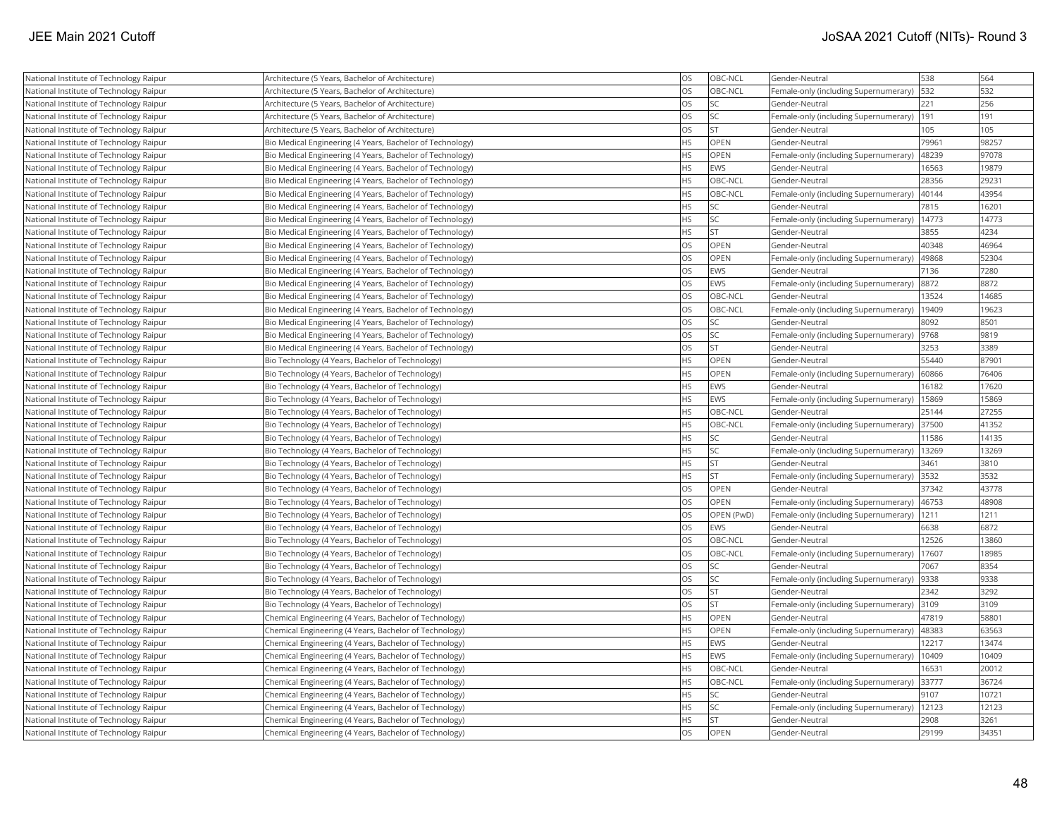| National Institute of Technology Raipur | Architecture (5 Years, Bachelor of Architecture)          | <b>OS</b> | OBC-NCL          | Gender-Neutral                        | 538   | 564   |
|-----------------------------------------|-----------------------------------------------------------|-----------|------------------|---------------------------------------|-------|-------|
| National Institute of Technology Raipur | Architecture (5 Years, Bachelor of Architecture)          | <b>OS</b> | OBC-NCL          | Female-only (including Supernumerary) | 532   | 532   |
| National Institute of Technology Raipur | Architecture (5 Years, Bachelor of Architecture)          | <b>OS</b> | <b>SC</b>        | Gender-Neutral                        | 221   | 256   |
| National Institute of Technology Raipur | Architecture (5 Years, Bachelor of Architecture)          | <b>OS</b> | <b>SC</b>        | Female-only (including Supernumerary) | 191   | 191   |
| National Institute of Technology Raipur | Architecture (5 Years, Bachelor of Architecture)          | <b>OS</b> | İst              | Gender-Neutral                        | 105   | 105   |
| National Institute of Technology Raipur | Bio Medical Engineering (4 Years, Bachelor of Technology) | <b>HS</b> | <b>OPEN</b>      | Gender-Neutral                        | 79961 | 98257 |
| National Institute of Technology Raipur | Bio Medical Engineering (4 Years, Bachelor of Technology) | <b>HS</b> | OPEN             | Female-only (including Supernumerary) | 48239 | 97078 |
| National Institute of Technology Raipur | Bio Medical Engineering (4 Years, Bachelor of Technology) | <b>HS</b> | <b>EWS</b>       | Gender-Neutral                        | 16563 | 19879 |
| National Institute of Technology Raipur | Bio Medical Engineering (4 Years, Bachelor of Technology) | <b>HS</b> | OBC-NCL          | Gender-Neutral                        | 28356 | 29231 |
| National Institute of Technology Raipur | Bio Medical Engineering (4 Years, Bachelor of Technology) | <b>HS</b> | OBC-NCL          | Female-only (including Supernumerary) | 40144 | 43954 |
| National Institute of Technology Raipur | Bio Medical Engineering (4 Years, Bachelor of Technology) | <b>HS</b> | <b>SC</b>        | Gender-Neutral                        | 7815  | 16201 |
| National Institute of Technology Raipur | Bio Medical Engineering (4 Years, Bachelor of Technology) | <b>HS</b> | <b>SC</b>        | Female-only (including Supernumerary) | 14773 | 14773 |
| National Institute of Technology Raipur | Bio Medical Engineering (4 Years, Bachelor of Technology) | <b>HS</b> | İst              | Gender-Neutral                        | 3855  | 4234  |
| National Institute of Technology Raipur | Bio Medical Engineering (4 Years, Bachelor of Technology) | <b>OS</b> | OPEN             | Gender-Neutral                        | 40348 | 46964 |
| National Institute of Technology Raipur | Bio Medical Engineering (4 Years, Bachelor of Technology) | <b>OS</b> | OPEN             | Female-only (including Supernumerary) | 49868 | 52304 |
| National Institute of Technology Raipur | Bio Medical Engineering (4 Years, Bachelor of Technology) | <b>OS</b> | <b>EWS</b>       | Gender-Neutral                        | 7136  | 7280  |
| National Institute of Technology Raipur | Bio Medical Engineering (4 Years, Bachelor of Technology) | <b>OS</b> | <b>EWS</b>       | Female-only (including Supernumerary) | 8872  | 8872  |
| National Institute of Technology Raipur | Bio Medical Engineering (4 Years, Bachelor of Technology) | <b>OS</b> | OBC-NCL          | Gender-Neutral                        | 13524 | 14685 |
| National Institute of Technology Raipur | Bio Medical Engineering (4 Years, Bachelor of Technology) | <b>OS</b> | OBC-NCL          | Female-only (including Supernumerary) | 19409 | 19623 |
| National Institute of Technology Raipur | Bio Medical Engineering (4 Years, Bachelor of Technology) | <b>OS</b> | lsc              | Gender-Neutral                        | 8092  | 8501  |
| National Institute of Technology Raipur | Bio Medical Engineering (4 Years, Bachelor of Technology) | <b>OS</b> | <b>SC</b>        | Female-only (including Supernumerary) | 9768  | 9819  |
| National Institute of Technology Raipur | Bio Medical Engineering (4 Years, Bachelor of Technology) | <b>OS</b> | <b>ST</b>        | Gender-Neutral                        | 3253  | 3389  |
| National Institute of Technology Raipur | Bio Technology (4 Years, Bachelor of Technology)          | <b>HS</b> | OPEN             | Gender-Neutral                        | 55440 | 87901 |
| National Institute of Technology Raipur | Bio Technology (4 Years, Bachelor of Technology)          | <b>HS</b> | OPEN             | Female-only (including Supernumerary) | 60866 | 76406 |
| National Institute of Technology Raipur | Bio Technology (4 Years, Bachelor of Technology)          | <b>HS</b> | <b>EWS</b>       | Gender-Neutral                        | 16182 | 17620 |
| National Institute of Technology Raipur | Bio Technology (4 Years, Bachelor of Technology)          | <b>HS</b> | EWS              | Female-only (including Supernumerary) | 15869 | 15869 |
| National Institute of Technology Raipur | Bio Technology (4 Years, Bachelor of Technology)          | <b>HS</b> | OBC-NCL          | Gender-Neutral                        | 25144 | 27255 |
| National Institute of Technology Raipur | Bio Technology (4 Years, Bachelor of Technology)          | <b>HS</b> | <b>OBC-NCL</b>   | Female-only (including Supernumerary) | 37500 | 41352 |
| National Institute of Technology Raipur | Bio Technology (4 Years, Bachelor of Technology)          | <b>HS</b> | <b>SC</b>        | Gender-Neutral                        | 11586 | 14135 |
| National Institute of Technology Raipur | Bio Technology (4 Years, Bachelor of Technology)          | <b>HS</b> | SC <sub>1</sub>  | Female-only (including Supernumerary) | 13269 | 13269 |
| National Institute of Technology Raipur | Bio Technology (4 Years, Bachelor of Technology)          | <b>HS</b> | <b>ST</b>        | Gender-Neutral                        | 3461  | 3810  |
| National Institute of Technology Raipur | Bio Technology (4 Years, Bachelor of Technology)          | <b>HS</b> | lst              | Female-only (including Supernumerary) | 3532  | 3532  |
| National Institute of Technology Raipur | Bio Technology (4 Years, Bachelor of Technology)          | <b>OS</b> | <b>OPEN</b>      | Gender-Neutral                        | 37342 | 43778 |
| National Institute of Technology Raipur | Bio Technology (4 Years, Bachelor of Technology)          | <b>OS</b> | OPEN             | Female-only (including Supernumerary) | 46753 | 48908 |
| National Institute of Technology Raipur | Bio Technology (4 Years, Bachelor of Technology)          | <b>OS</b> | OPEN (PwD)       | Female-only (including Supernumerary) | 1211  | 1211  |
| National Institute of Technology Raipur | Bio Technology (4 Years, Bachelor of Technology)          | <b>OS</b> | <b>IEWS</b>      | Gender-Neutral                        | 6638  | 6872  |
| National Institute of Technology Raipur | Bio Technology (4 Years, Bachelor of Technology)          | <b>OS</b> | OBC-NCL          | Gender-Neutral                        | 12526 | 13860 |
| National Institute of Technology Raipur | Bio Technology (4 Years, Bachelor of Technology)          | <b>OS</b> | OBC-NCL          | Female-only (including Supernumerary) | 17607 | 18985 |
| National Institute of Technology Raipur | Bio Technology (4 Years, Bachelor of Technology)          | <b>OS</b> | <b>SC</b>        | Gender-Neutral                        | 7067  | 8354  |
| National Institute of Technology Raipur | Bio Technology (4 Years, Bachelor of Technology)          | <b>OS</b> | SC <sub>15</sub> | Female-only (including Supernumerary) | 9338  | 9338  |
| National Institute of Technology Raipur | Bio Technology (4 Years, Bachelor of Technology)          | <b>OS</b> | İst              | Gender-Neutral                        | 2342  | 3292  |
| National Institute of Technology Raipur | Bio Technology (4 Years, Bachelor of Technology)          | <b>OS</b> | <b>ST</b>        | Female-only (including Supernumerary) | 3109  | 3109  |
| National Institute of Technology Raipur | Chemical Engineering (4 Years, Bachelor of Technology)    | <b>HS</b> | OPEN             | Gender-Neutral                        | 47819 | 58801 |
| National Institute of Technology Raipur | Chemical Engineering (4 Years, Bachelor of Technology)    | <b>HS</b> | OPEN             | Female-only (including Supernumerary) | 48383 | 63563 |
| National Institute of Technology Raipur | Chemical Engineering (4 Years, Bachelor of Technology)    | <b>HS</b> | EWS              | Gender-Neutral                        | 12217 | 13474 |
| National Institute of Technology Raipur | Chemical Engineering (4 Years, Bachelor of Technology)    | <b>HS</b> | <b>EWS</b>       | Female-only (including Supernumerary) | 10409 | 10409 |
| National Institute of Technology Raipur | Chemical Engineering (4 Years, Bachelor of Technology)    | <b>HS</b> | OBC-NCL          | Gender-Neutral                        | 16531 | 20012 |
| National Institute of Technology Raipur | Chemical Engineering (4 Years, Bachelor of Technology)    | <b>HS</b> | OBC-NCL          | Female-only (including Supernumerary) | 33777 | 36724 |
| National Institute of Technology Raipur | Chemical Engineering (4 Years, Bachelor of Technology)    | <b>HS</b> | lsc              | Gender-Neutral                        | 9107  | 10721 |
| National Institute of Technology Raipur | Chemical Engineering (4 Years, Bachelor of Technology)    | <b>HS</b> | sc               | Female-only (including Supernumerary) | 12123 | 12123 |
| National Institute of Technology Raipur | Chemical Engineering (4 Years, Bachelor of Technology)    | <b>HS</b> | İst              | Gender-Neutral                        | 2908  | 3261  |
| National Institute of Technology Raipur | Chemical Engineering (4 Years, Bachelor of Technology)    | <b>OS</b> | OPEN             | Gender-Neutral                        | 29199 | 34351 |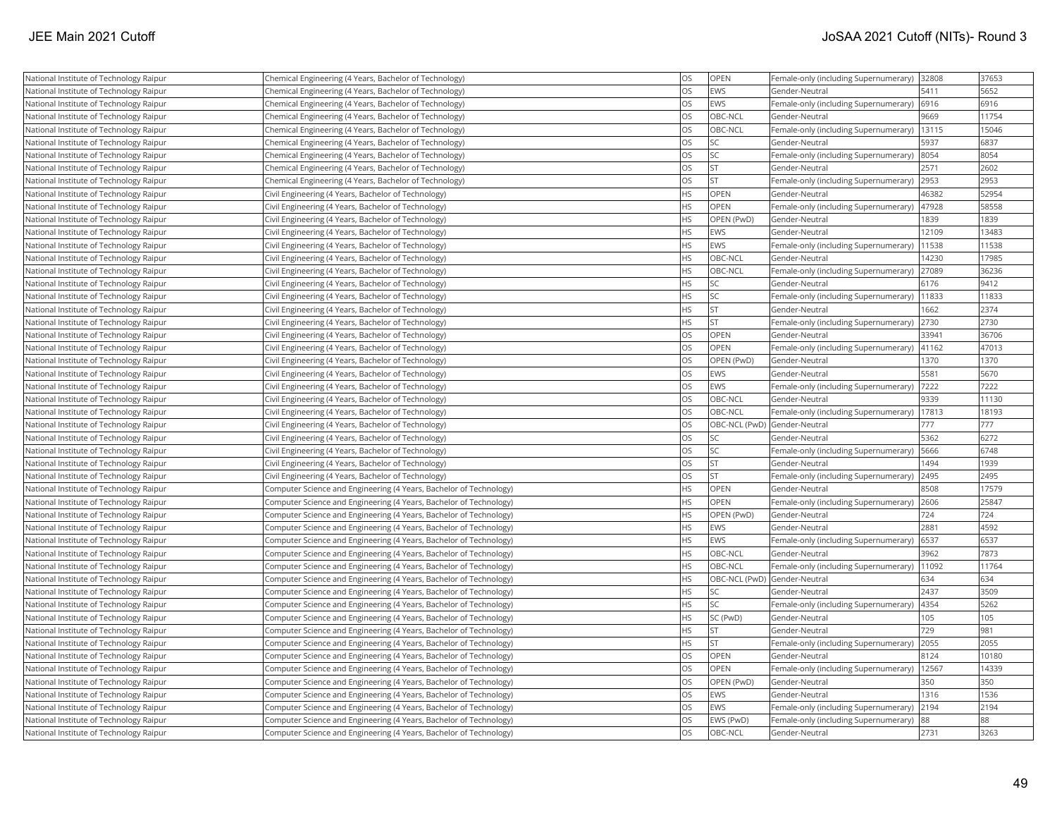|                                         |                                                                    | <b>OS</b> | OPEN           |                                               |       | 37653 |
|-----------------------------------------|--------------------------------------------------------------------|-----------|----------------|-----------------------------------------------|-------|-------|
| National Institute of Technology Raipur | Chemical Engineering (4 Years, Bachelor of Technology)             | <b>OS</b> |                | Female-only (including Supernumerary)  32808  | 5411  | 5652  |
| National Institute of Technology Raipur | Chemical Engineering (4 Years, Bachelor of Technology)             |           | <b>EWS</b>     | Gender-Neutral                                |       |       |
| National Institute of Technology Raipur | Chemical Engineering (4 Years, Bachelor of Technology)             | <b>OS</b> | <b>EWS</b>     | Female-only (including Supernumerary) 6916    |       | 6916  |
| National Institute of Technology Raipur | Chemical Engineering (4 Years, Bachelor of Technology)             | <b>OS</b> | OBC-NCL        | Gender-Neutral                                | 9669  | 11754 |
| National Institute of Technology Raipur | Chemical Engineering (4 Years, Bachelor of Technology)             | <b>OS</b> | OBC-NCL        | Female-only (including Supernumerary)         | 13115 | 15046 |
| National Institute of Technology Raipur | Chemical Engineering (4 Years, Bachelor of Technology)             | <b>OS</b> | SC.            | Gender-Neutral                                | 5937  | 6837  |
| National Institute of Technology Raipur | Chemical Engineering (4 Years, Bachelor of Technology)             | <b>OS</b> | SC.            | Female-only (including Supernumerary) 8054    |       | 8054  |
| National Institute of Technology Raipur | Chemical Engineering (4 Years, Bachelor of Technology)             | OS        | ST.            | Gender-Neutral                                | 2571  | 2602  |
| National Institute of Technology Raipur | Chemical Engineering (4 Years, Bachelor of Technology)             | OS        | İst            | Female-only (including Supernumerary)         | 2953  | 2953  |
| National Institute of Technology Raipur | Civil Engineering (4 Years, Bachelor of Technology)                | HS        | OPEN           | Gender-Neutral                                | 46382 | 52954 |
| National Institute of Technology Raipur | Civil Engineering (4 Years, Bachelor of Technology)                | <b>HS</b> | OPEN           | Female-only (including Supernumerary)         | 47928 | 58558 |
| National Institute of Technology Raipur | Civil Engineering (4 Years, Bachelor of Technology)                | <b>HS</b> | OPEN (PwD)     | Gender-Neutral                                | 1839  | 1839  |
| National Institute of Technology Raipur | Civil Engineering (4 Years, Bachelor of Technology)                | <b>HS</b> | <b>EWS</b>     | Gender-Neutral                                | 12109 | 13483 |
| National Institute of Technology Raipur | Civil Engineering (4 Years, Bachelor of Technology)                | <b>HS</b> | <b>EWS</b>     | Female-only (including Supernumerary)   11538 |       | 11538 |
| National Institute of Technology Raipur | Civil Engineering (4 Years, Bachelor of Technology)                | HS        | OBC-NCL        | Gender-Neutral                                | 14230 | 17985 |
| National Institute of Technology Raipur | Civil Engineering (4 Years, Bachelor of Technology)                | HS        | OBC-NCL        | Female-only (including Supernumerary) 27089   |       | 36236 |
| National Institute of Technology Raipur | Civil Engineering (4 Years, Bachelor of Technology)                | <b>HS</b> | lsc            | Gender-Neutral                                | 6176  | 9412  |
| National Institute of Technology Raipur | Civil Engineering (4 Years, Bachelor of Technology)                | HS        | SC             | Female-only (including Supernumerary)         | 11833 | 11833 |
| National Institute of Technology Raipur | Civil Engineering (4 Years, Bachelor of Technology)                | HS        | <b>ST</b>      | Gender-Neutral                                | 1662  | 2374  |
| National Institute of Technology Raipur | Civil Engineering (4 Years, Bachelor of Technology)                | <b>HS</b> | İst            | Female-only (including Supernumerary)         | 2730  | 2730  |
| National Institute of Technology Raipur | Civil Engineering (4 Years, Bachelor of Technology)                | <b>OS</b> | OPEN           | Gender-Neutral                                | 33941 | 36706 |
| National Institute of Technology Raipur | Civil Engineering (4 Years, Bachelor of Technology)                | <b>OS</b> | OPEN           | Female-only (including Supernumerary)   41162 |       | 47013 |
| National Institute of Technology Raipur | Civil Engineering (4 Years, Bachelor of Technology)                | <b>OS</b> | OPEN (PwD)     | Gender-Neutral                                | 1370  | 1370  |
| National Institute of Technology Raipur | Civil Engineering (4 Years, Bachelor of Technology)                | OS        | <b>EWS</b>     | Gender-Neutral                                | 5581  | 5670  |
| National Institute of Technology Raipur | Civil Engineering (4 Years, Bachelor of Technology)                | OS        | <b>EWS</b>     | Female-only (including Supernumerary)         | 7222  | 7222  |
| National Institute of Technology Raipur | Civil Engineering (4 Years, Bachelor of Technology)                | <b>OS</b> | OBC-NCL        | Gender-Neutral                                | 9339  | 11130 |
| National Institute of Technology Raipur | Civil Engineering (4 Years, Bachelor of Technology)                | <b>OS</b> | OBC-NCL        | Female-only (including Supernumerary)         | 17813 | 18193 |
| National Institute of Technology Raipur | Civil Engineering (4 Years, Bachelor of Technology)                | <b>OS</b> | OBC-NCL (PwD)  | Gender-Neutral                                | 777   | 777   |
| National Institute of Technology Raipur | Civil Engineering (4 Years, Bachelor of Technology)                | <b>OS</b> | SC)            | Gender-Neutral                                | 5362  | 6272  |
| National Institute of Technology Raipur | Civil Engineering (4 Years, Bachelor of Technology)                | <b>OS</b> | SC             | Female-only (including Supernumerary)   5666  |       | 6748  |
| National Institute of Technology Raipur | Civil Engineering (4 Years, Bachelor of Technology)                | <b>OS</b> | <b>ST</b>      | Gender-Neutral                                | 1494  | 1939  |
| National Institute of Technology Raipur | Civil Engineering (4 Years, Bachelor of Technology)                | OS        | İst            | Female-only (including Supernumerary) 2495    |       | 2495  |
| National Institute of Technology Raipur | Computer Science and Engineering (4 Years, Bachelor of Technology) | HS        | OPEN           | Gender-Neutral                                | 8508  | 17579 |
| National Institute of Technology Raipur | Computer Science and Engineering (4 Years, Bachelor of Technology) | <b>HS</b> | <b>OPEN</b>    | Female-only (including Supernumerary)  2606   |       | 25847 |
| National Institute of Technology Raipur | Computer Science and Engineering (4 Years, Bachelor of Technology) | <b>HS</b> | OPEN (PwD)     | Gender-Neutral                                | 724   | 724   |
| National Institute of Technology Raipur | Computer Science and Engineering (4 Years, Bachelor of Technology) | <b>HS</b> | <b>EWS</b>     | Gender-Neutral                                | 2881  | 4592  |
| National Institute of Technology Raipur | Computer Science and Engineering (4 Years, Bachelor of Technology) | <b>HS</b> | <b>EWS</b>     | Female-only (including Supernumerary)         | 6537  | 6537  |
| National Institute of Technology Raipur | Computer Science and Engineering (4 Years, Bachelor of Technology) | <b>HS</b> | OBC-NCL        | Gender-Neutral                                | 3962  | 7873  |
| National Institute of Technology Raipur | Computer Science and Engineering (4 Years, Bachelor of Technology) | HS        | OBC-NCL        | Female-only (including Supernumerary)   11092 |       | 11764 |
| National Institute of Technology Raipur | Computer Science and Engineering (4 Years, Bachelor of Technology) | <b>HS</b> |                | OBC-NCL (PwD) Gender-Neutral                  | 634   | 634   |
| National Institute of Technology Raipur | Computer Science and Engineering (4 Years, Bachelor of Technology) | HS        | SC.            | Gender-Neutral                                | 2437  | 3509  |
| National Institute of Technology Raipur | Computer Science and Engineering (4 Years, Bachelor of Technology) | <b>HS</b> | lsc            | Female-only (including Supernumerary)         | 4354  | 5262  |
| National Institute of Technology Raipur | Computer Science and Engineering (4 Years, Bachelor of Technology) | <b>HS</b> | SC (PwD)       | Gender-Neutral                                | 105   | 105   |
| National Institute of Technology Raipur | Computer Science and Engineering (4 Years, Bachelor of Technology) | HS        | <b>ST</b>      | Gender-Neutral                                | 729   | 981   |
| National Institute of Technology Raipur | Computer Science and Engineering (4 Years, Bachelor of Technology) | <b>HS</b> | İst            | Female-only (including Supernumerary)         | 2055  | 2055  |
| National Institute of Technology Raipur | Computer Science and Engineering (4 Years, Bachelor of Technology) | <b>OS</b> | OPEN           | Gender-Neutral                                | 8124  | 10180 |
| National Institute of Technology Raipur | Computer Science and Engineering (4 Years, Bachelor of Technology) | <b>OS</b> | <b>OPEN</b>    | Female-only (including Supernumerary)   12567 |       | 14339 |
| National Institute of Technology Raipur | Computer Science and Engineering (4 Years, Bachelor of Technology) | OS        | OPEN (PwD)     | Gender-Neutral                                | 350   | 350   |
| National Institute of Technology Raipur | Computer Science and Engineering (4 Years, Bachelor of Technology) | OS        | <b>EWS</b>     | Gender-Neutral                                | 1316  | 1536  |
| National Institute of Technology Raipur | Computer Science and Engineering (4 Years, Bachelor of Technology) | <b>OS</b> | <b>EWS</b>     | Female-only (including Supernumerary)         | 2194  | 2194  |
| National Institute of Technology Raipur | Computer Science and Engineering (4 Years, Bachelor of Technology) | <b>OS</b> | EWS (PwD)      | Female-only (including Supernumerary)         | 88    | 88    |
| National Institute of Technology Raipur | Computer Science and Engineering (4 Years, Bachelor of Technology) | <b>OS</b> | <b>OBC-NCL</b> | Gender-Neutral                                | 2731  | 3263  |
|                                         |                                                                    |           |                |                                               |       |       |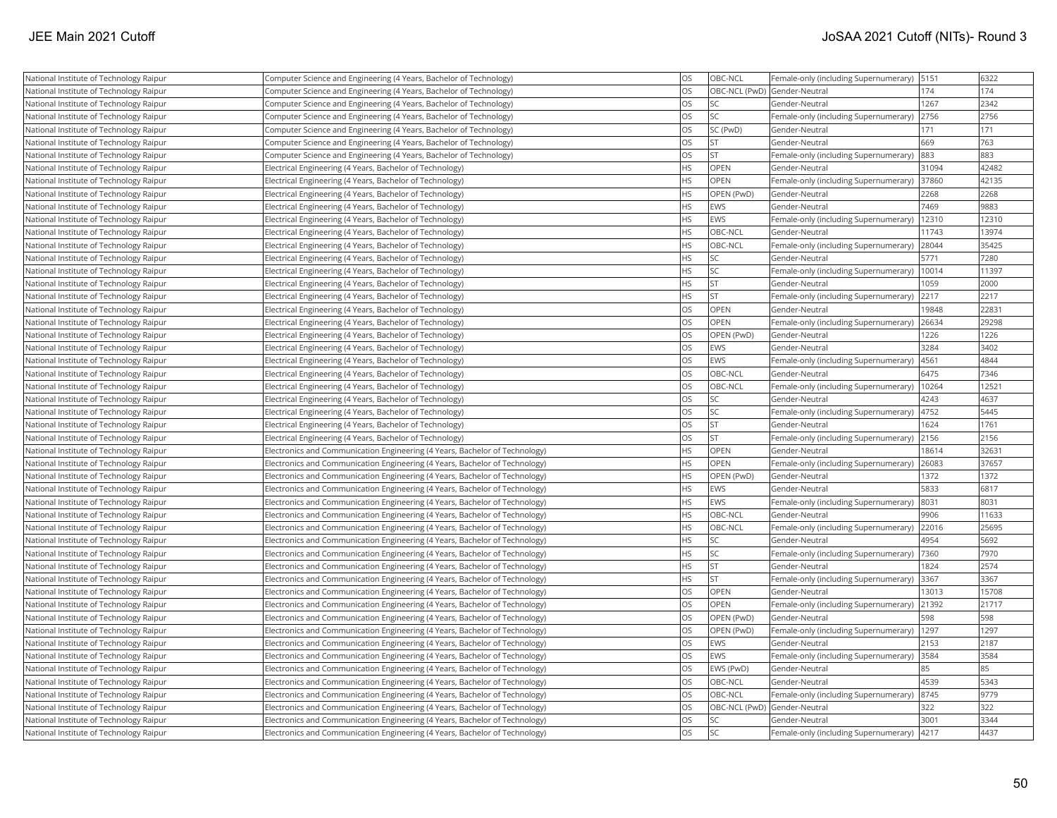| National Institute of Technology Raipur | Computer Science and Engineering (4 Years, Bachelor of Technology)          | <b>OS</b> | OBC-NCL                      | Female-only (including Supernumerary) | 5151  | 6322  |
|-----------------------------------------|-----------------------------------------------------------------------------|-----------|------------------------------|---------------------------------------|-------|-------|
| National Institute of Technology Raipur | Computer Science and Engineering (4 Years, Bachelor of Technology)          | <b>OS</b> | OBC-NCL (PwD) Gender-Neutral |                                       | 174   | 174   |
| National Institute of Technology Raipur | Computer Science and Engineering (4 Years, Bachelor of Technology)          | <b>OS</b> | <b>SC</b>                    | Gender-Neutral                        | 1267  | 2342  |
| National Institute of Technology Raipur | Computer Science and Engineering (4 Years, Bachelor of Technology)          | <b>OS</b> | lsc                          | Female-only (including Supernumerary) | 2756  | 2756  |
| National Institute of Technology Raipur | Computer Science and Engineering (4 Years, Bachelor of Technology)          | <b>OS</b> | SC (PwD)                     | Gender-Neutral                        | 171   | 171   |
| National Institute of Technology Raipur | Computer Science and Engineering (4 Years, Bachelor of Technology)          | <b>OS</b> | <b>ST</b>                    | Gender-Neutral                        | 669   | 763   |
| National Institute of Technology Raipur | Computer Science and Engineering (4 Years, Bachelor of Technology)          | <b>OS</b> | <b>ST</b>                    | Female-only (including Supernumerary) | 883   | 883   |
| National Institute of Technology Raipur | Electrical Engineering (4 Years, Bachelor of Technology)                    | <b>HS</b> | OPEN                         | Gender-Neutral                        | 31094 | 42482 |
| National Institute of Technology Raipur | Electrical Engineering (4 Years, Bachelor of Technology)                    | <b>HS</b> | OPEN                         | Female-only (including Supernumerary) | 37860 | 42135 |
| National Institute of Technology Raipur | Electrical Engineering (4 Years, Bachelor of Technology)                    | <b>HS</b> | OPEN (PwD)                   | Gender-Neutral                        | 2268  | 2268  |
| National Institute of Technology Raipur | Electrical Engineering (4 Years, Bachelor of Technology)                    | <b>HS</b> | <b>EWS</b>                   | Gender-Neutral                        | 7469  | 9883  |
| National Institute of Technology Raipur | Electrical Engineering (4 Years, Bachelor of Technology)                    | <b>HS</b> | EWS                          | Female-only (including Supernumerary) | 12310 | 12310 |
| National Institute of Technology Raipur | Electrical Engineering (4 Years, Bachelor of Technology)                    | <b>HS</b> | OBC-NCL                      | Gender-Neutral                        | 11743 | 13974 |
| National Institute of Technology Raipur | Electrical Engineering (4 Years, Bachelor of Technology)                    | <b>HS</b> | OBC-NCL                      | Female-only (including Supernumerary) | 28044 | 35425 |
| National Institute of Technology Raipur | Electrical Engineering (4 Years, Bachelor of Technology)                    | <b>HS</b> | <b>SC</b>                    | Gender-Neutral                        | 5771  | 7280  |
| National Institute of Technology Raipur | Electrical Engineering (4 Years, Bachelor of Technology)                    | <b>HS</b> | <b>SC</b>                    | Female-only (including Supernumerary) | 10014 | 11397 |
| National Institute of Technology Raipur | Electrical Engineering (4 Years, Bachelor of Technology)                    | <b>HS</b> | <b>ST</b>                    | Gender-Neutral                        | 1059  | 2000  |
| National Institute of Technology Raipur | Electrical Engineering (4 Years, Bachelor of Technology)                    | <b>HS</b> | İst                          | Female-only (including Supernumerary) | 2217  | 2217  |
| National Institute of Technology Raipur | Electrical Engineering (4 Years, Bachelor of Technology)                    | <b>OS</b> | OPEN                         | Gender-Neutral                        | 19848 | 22831 |
| National Institute of Technology Raipur | Electrical Engineering (4 Years, Bachelor of Technology)                    | <b>OS</b> | OPEN                         | Female-only (including Supernumerary) | 26634 | 29298 |
| National Institute of Technology Raipur | Electrical Engineering (4 Years, Bachelor of Technology)                    | <b>OS</b> | OPEN (PwD)                   | Gender-Neutral                        | 1226  | 1226  |
| National Institute of Technology Raipur | Electrical Engineering (4 Years, Bachelor of Technology)                    | <b>OS</b> | <b>EWS</b>                   | Gender-Neutral                        | 3284  | 3402  |
| National Institute of Technology Raipur | Electrical Engineering (4 Years, Bachelor of Technology)                    | <b>OS</b> | EWS                          | Female-only (including Supernumerary) | 4561  | 4844  |
| National Institute of Technology Raipur | Electrical Engineering (4 Years, Bachelor of Technology)                    | <b>OS</b> | OBC-NCL                      | Gender-Neutral                        | 6475  | 7346  |
| National Institute of Technology Raipur | Electrical Engineering (4 Years, Bachelor of Technology)                    | <b>OS</b> | OBC-NCL                      | Female-only (including Supernumerary) | 10264 | 12521 |
| National Institute of Technology Raipur | Electrical Engineering (4 Years, Bachelor of Technology)                    | <b>OS</b> | <b>SC</b>                    | Gender-Neutral                        | 4243  | 4637  |
| National Institute of Technology Raipur | Electrical Engineering (4 Years, Bachelor of Technology)                    | <b>OS</b> | <b>SC</b>                    | Female-only (including Supernumerary) | 4752  | 5445  |
| National Institute of Technology Raipur | Electrical Engineering (4 Years, Bachelor of Technology)                    | <b>OS</b> | <b>ST</b>                    | Gender-Neutral                        | 1624  | 1761  |
| National Institute of Technology Raipur | Electrical Engineering (4 Years, Bachelor of Technology)                    | <b>OS</b> | <b>ST</b>                    | Female-only (including Supernumerary) | 2156  | 2156  |
| National Institute of Technology Raipur | Electronics and Communication Engineering (4 Years, Bachelor of Technology) | <b>HS</b> | <b>OPEN</b>                  | Gender-Neutral                        | 18614 | 32631 |
| National Institute of Technology Raipur | Electronics and Communication Engineering (4 Years, Bachelor of Technology) | <b>HS</b> | OPEN                         | Female-only (including Supernumerary) | 26083 | 37657 |
| National Institute of Technology Raipur | Electronics and Communication Engineering (4 Years, Bachelor of Technology) | <b>HS</b> | OPEN (PwD)                   | Gender-Neutral                        | 1372  | 1372  |
| National Institute of Technology Raipur | Electronics and Communication Engineering (4 Years, Bachelor of Technology) | <b>HS</b> | <b>EWS</b>                   | Gender-Neutral                        | 5833  | 6817  |
| National Institute of Technology Raipur | Electronics and Communication Engineering (4 Years, Bachelor of Technology) | <b>HS</b> | <b>EWS</b>                   | Female-only (including Supernumerary) | 8031  | 8031  |
| National Institute of Technology Raipur | Electronics and Communication Engineering (4 Years, Bachelor of Technology) | <b>HS</b> | OBC-NCL                      | Gender-Neutral                        | 9906  | 11633 |
| National Institute of Technology Raipur | Electronics and Communication Engineering (4 Years, Bachelor of Technology) | <b>HS</b> | OBC-NCL                      | Female-only (including Supernumerary) | 22016 | 25695 |
| National Institute of Technology Raipur | Electronics and Communication Engineering (4 Years, Bachelor of Technology) | <b>HS</b> | <b>SC</b>                    | Gender-Neutral                        | 4954  | 5692  |
| National Institute of Technology Raipur | Electronics and Communication Engineering (4 Years, Bachelor of Technology) | <b>HS</b> | <b>SC</b>                    | Female-only (including Supernumerary) | 7360  | 7970  |
| National Institute of Technology Raipur | Electronics and Communication Engineering (4 Years, Bachelor of Technology) | <b>HS</b> | <b>ST</b>                    | Gender-Neutral                        | 1824  | 2574  |
| National Institute of Technology Raipur | Electronics and Communication Engineering (4 Years, Bachelor of Technology) | <b>HS</b> | <b>ST</b>                    | Female-only (including Supernumerary) | 3367  | 3367  |
| National Institute of Technology Raipur | Electronics and Communication Engineering (4 Years, Bachelor of Technology) | <b>OS</b> | <b>OPEN</b>                  | Gender-Neutral                        | 13013 | 15708 |
| National Institute of Technology Raipur | Electronics and Communication Engineering (4 Years, Bachelor of Technology) | <b>OS</b> | <b>OPEN</b>                  | Female-only (including Supernumerary) | 21392 | 21717 |
| National Institute of Technology Raipur | Electronics and Communication Engineering (4 Years, Bachelor of Technology) | <b>OS</b> | OPEN (PwD)                   | Gender-Neutral                        | 598   | 598   |
| National Institute of Technology Raipur | Electronics and Communication Engineering (4 Years, Bachelor of Technology) | <b>OS</b> | OPEN (PwD)                   | Female-only (including Supernumerary) | 1297  | 1297  |
| National Institute of Technology Raipur | Electronics and Communication Engineering (4 Years, Bachelor of Technology) | <b>OS</b> | EWS                          | Gender-Neutral                        | 2153  | 2187  |
| National Institute of Technology Raipur | Electronics and Communication Engineering (4 Years, Bachelor of Technology) | <b>OS</b> | EWS                          | Female-only (including Supernumerary) | 3584  | 3584  |
| National Institute of Technology Raipur | Electronics and Communication Engineering (4 Years, Bachelor of Technology) | <b>OS</b> | EWS (PwD)                    | Gender-Neutral                        | 85    | 85    |
| National Institute of Technology Raipur | Electronics and Communication Engineering (4 Years, Bachelor of Technology) | <b>OS</b> | OBC-NCL                      | Gender-Neutral                        | 4539  | 5343  |
| National Institute of Technology Raipur | Electronics and Communication Engineering (4 Years, Bachelor of Technology) | <b>OS</b> | OBC-NCL                      | Female-only (including Supernumerary) | 8745  | 9779  |
| National Institute of Technology Raipur | Electronics and Communication Engineering (4 Years, Bachelor of Technology) | <b>OS</b> | OBC-NCL (PwD) Gender-Neutral |                                       | 322   | 322   |
| National Institute of Technology Raipur | Electronics and Communication Engineering (4 Years, Bachelor of Technology) | <b>OS</b> | <b>SC</b>                    | Gender-Neutral                        | 3001  | 3344  |
| National Institute of Technology Raipur | Electronics and Communication Engineering (4 Years, Bachelor of Technology) | <b>OS</b> | lsc                          | Female-only (including Supernumerary) | 4217  | 4437  |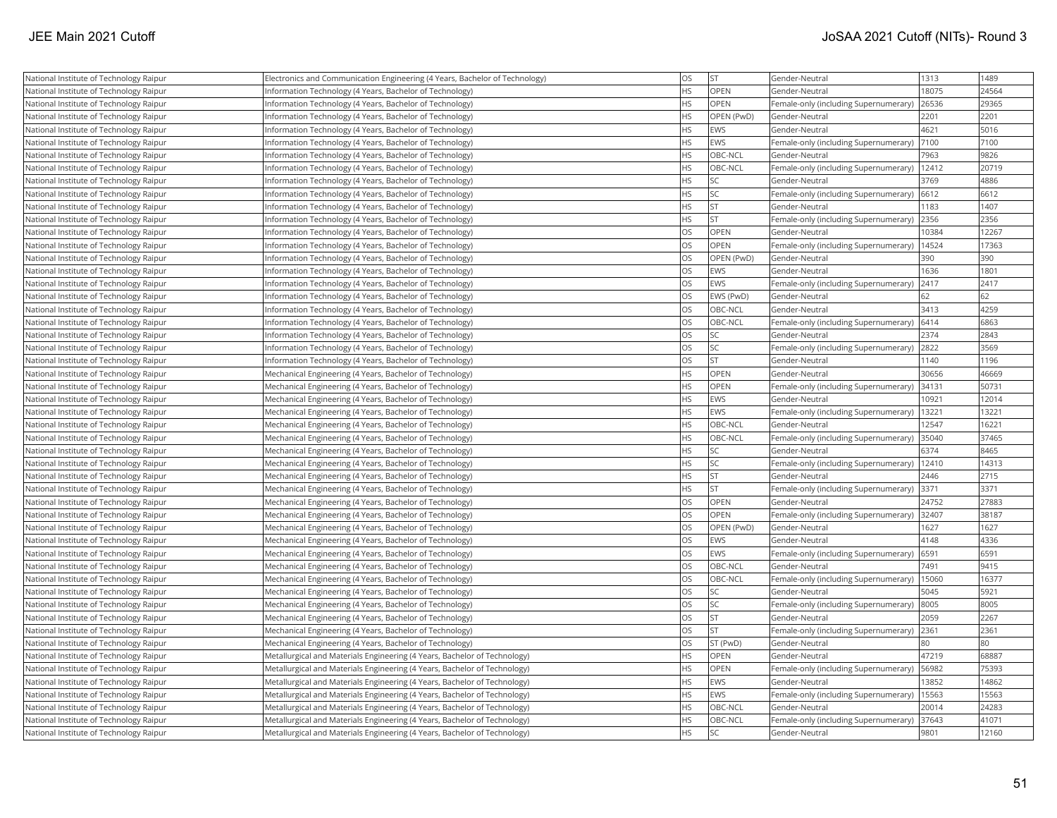| National Institute of Technology Raipur | Electronics and Communication Engineering (4 Years, Bachelor of Technology) | <b>OS</b> | <b>ST</b>   | Gender-Neutral                        | 1313  | 1489  |
|-----------------------------------------|-----------------------------------------------------------------------------|-----------|-------------|---------------------------------------|-------|-------|
| National Institute of Technology Raipur | Information Technology (4 Years, Bachelor of Technology)                    | <b>HS</b> | OPEN        | Gender-Neutral                        | 18075 | 24564 |
| National Institute of Technology Raipur | Information Technology (4 Years, Bachelor of Technology)                    | <b>HS</b> | OPEN        | Female-only (including Supernumerary) | 26536 | 29365 |
| National Institute of Technology Raipur | Information Technology (4 Years, Bachelor of Technology)                    | <b>HS</b> | OPEN (PwD)  | Gender-Neutral                        | 2201  | 2201  |
| National Institute of Technology Raipur | Information Technology (4 Years, Bachelor of Technology)                    | <b>HS</b> | <b>EWS</b>  | Gender-Neutral                        | 4621  | 5016  |
| National Institute of Technology Raipur | Information Technology (4 Years, Bachelor of Technology)                    | <b>HS</b> | <b>EWS</b>  | Female-only (including Supernumerary) | 7100  | 7100  |
| National Institute of Technology Raipur | Information Technology (4 Years, Bachelor of Technology)                    | <b>HS</b> | OBC-NCL     | Gender-Neutral                        | 7963  | 9826  |
| National Institute of Technology Raipur | Information Technology (4 Years, Bachelor of Technology)                    | <b>HS</b> | OBC-NCL     | Female-only (including Supernumerary) | 12412 | 20719 |
| National Institute of Technology Raipur | Information Technology (4 Years, Bachelor of Technology)                    | <b>HS</b> | SC          | Gender-Neutral                        | 3769  | 4886  |
| National Institute of Technology Raipur | Information Technology (4 Years, Bachelor of Technology)                    | <b>HS</b> | SC.         | Female-only (including Supernumerary) | 6612  | 6612  |
| National Institute of Technology Raipur | Information Technology (4 Years, Bachelor of Technology)                    | <b>HS</b> | <b>ST</b>   | Gender-Neutral                        | 1183  | 1407  |
| National Institute of Technology Raipur | Information Technology (4 Years, Bachelor of Technology)                    | <b>HS</b> | lst.        | Female-only (including Supernumerary) | 2356  | 2356  |
| National Institute of Technology Raipur | Information Technology (4 Years, Bachelor of Technology)                    | <b>OS</b> | OPEN        | Gender-Neutral                        | 10384 | 12267 |
| National Institute of Technology Raipur | Information Technology (4 Years, Bachelor of Technology)                    | <b>OS</b> | OPEN        | Female-only (including Supernumerary) | 14524 | 17363 |
| National Institute of Technology Raipur | Information Technology (4 Years, Bachelor of Technology)                    | <b>OS</b> | OPEN (PwD)  | Gender-Neutral                        | 390   | 390   |
| National Institute of Technology Raipur | Information Technology (4 Years, Bachelor of Technology)                    | los       | EWS         | Gender-Neutral                        | 1636  | 1801  |
| National Institute of Technology Raipur | nformation Technology (4 Years, Bachelor of Technology)                     | <b>OS</b> | EWS         | Female-only (including Supernumerary) | 2417  | 2417  |
| National Institute of Technology Raipur | Information Technology (4 Years, Bachelor of Technology)                    | <b>OS</b> | EWS (PwD)   | Gender-Neutral                        | 62    | 62    |
| National Institute of Technology Raipur | Information Technology (4 Years, Bachelor of Technology)                    | <b>OS</b> | OBC-NCL     | Gender-Neutral                        | 3413  | 4259  |
| National Institute of Technology Raipur | Information Technology (4 Years, Bachelor of Technology)                    | los       | OBC-NCL     | Female-only (including Supernumerary) | 6414  | 6863  |
| National Institute of Technology Raipur | Information Technology (4 Years, Bachelor of Technology)                    | <b>OS</b> | SC.         | Gender-Neutral                        | 2374  | 2843  |
| National Institute of Technology Raipur | Information Technology (4 Years, Bachelor of Technology)                    | <b>OS</b> | SC          | Female-only (including Supernumerary) | 2822  | 3569  |
| National Institute of Technology Raipur | Information Technology (4 Years, Bachelor of Technology)                    | <b>OS</b> | <b>ST</b>   | Gender-Neutral                        | 1140  | 1196  |
| National Institute of Technology Raipur | Mechanical Engineering (4 Years, Bachelor of Technology)                    | <b>HS</b> | OPEN        | Gender-Neutral                        | 30656 | 46669 |
| National Institute of Technology Raipur | Mechanical Engineering (4 Years, Bachelor of Technology)                    | <b>HS</b> | OPEN        | Female-only (including Supernumerary) | 34131 | 50731 |
| National Institute of Technology Raipur | Mechanical Engineering (4 Years, Bachelor of Technology)                    | <b>HS</b> | <b>EWS</b>  | Gender-Neutral                        | 10921 | 12014 |
| National Institute of Technology Raipur | Mechanical Engineering (4 Years, Bachelor of Technology)                    | <b>HS</b> | EWS         | Female-only (including Supernumerary) | 13221 | 13221 |
| National Institute of Technology Raipur | Mechanical Engineering (4 Years, Bachelor of Technology)                    | <b>HS</b> | OBC-NCL     | Gender-Neutral                        | 12547 | 16221 |
| National Institute of Technology Raipur | Mechanical Engineering (4 Years, Bachelor of Technology)                    | <b>HS</b> | OBC-NCL     | Female-only (including Supernumerary) | 35040 | 37465 |
| National Institute of Technology Raipur | Mechanical Engineering (4 Years, Bachelor of Technology)                    | <b>HS</b> | SC          | Gender-Neutral                        | 6374  | 8465  |
| National Institute of Technology Raipur | Mechanical Engineering (4 Years, Bachelor of Technology)                    | <b>HS</b> | SC          | Female-only (including Supernumerary) | 12410 | 14313 |
| National Institute of Technology Raipur | Mechanical Engineering (4 Years, Bachelor of Technology)                    | <b>HS</b> | <b>ST</b>   | Gender-Neutral                        | 2446  | 2715  |
| National Institute of Technology Raipur | Mechanical Engineering (4 Years, Bachelor of Technology)                    | <b>HS</b> | <b>ST</b>   | Female-only (including Supernumerary) | 3371  | 3371  |
| National Institute of Technology Raipur | Mechanical Engineering (4 Years, Bachelor of Technology)                    | <b>OS</b> | OPEN        | Gender-Neutral                        | 24752 | 27883 |
| National Institute of Technology Raipur | Mechanical Engineering (4 Years, Bachelor of Technology)                    | <b>OS</b> | OPEN        | Female-only (including Supernumerary) | 32407 | 38187 |
| National Institute of Technology Raipur | Mechanical Engineering (4 Years, Bachelor of Technology)                    | los       | OPEN (PwD)  | Gender-Neutral                        | 1627  | 1627  |
| National Institute of Technology Raipur | Mechanical Engineering (4 Years, Bachelor of Technology)                    | <b>OS</b> | <b>EWS</b>  | Gender-Neutral                        | 4148  | 4336  |
| National Institute of Technology Raipur | Mechanical Engineering (4 Years, Bachelor of Technology)                    | los       | <b>EWS</b>  | Female-only (including Supernumerary) | 6591  | 6591  |
| National Institute of Technology Raipur | Mechanical Engineering (4 Years, Bachelor of Technology)                    | <b>OS</b> | OBC-NCL     | Gender-Neutral                        | 7491  | 9415  |
| National Institute of Technology Raipur | Mechanical Engineering (4 Years, Bachelor of Technology)                    | <b>OS</b> | OBC-NCL     | Female-only (including Supernumerary) | 15060 | 16377 |
| National Institute of Technology Raipur | Mechanical Engineering (4 Years, Bachelor of Technology)                    | los       | SC          | Gender-Neutral                        | 5045  | 5921  |
| National Institute of Technology Raipur | Mechanical Engineering (4 Years, Bachelor of Technology)                    | <b>OS</b> | SC          | Female-only (including Supernumerary) | 8005  | 8005  |
| National Institute of Technology Raipur | Mechanical Engineering (4 Years, Bachelor of Technology)                    | <b>OS</b> | <b>ST</b>   | Gender-Neutral                        | 2059  | 2267  |
| National Institute of Technology Raipur | Mechanical Engineering (4 Years, Bachelor of Technology)                    | los       | lst         | Female-only (including Supernumerary) | 2361  | 2361  |
| National Institute of Technology Raipur | Mechanical Engineering (4 Years, Bachelor of Technology)                    | <b>OS</b> | ST (PwD)    | Gender-Neutral                        | 80    | 80    |
| National Institute of Technology Raipur | Metallurgical and Materials Engineering (4 Years, Bachelor of Technology)   | <b>HS</b> | OPEN        | Gender-Neutral                        | 47219 | 68887 |
| National Institute of Technology Raipur | Metallurgical and Materials Engineering (4 Years, Bachelor of Technology)   | <b>HS</b> | <b>OPEN</b> | Female-only (including Supernumerary) | 56982 | 75393 |
| National Institute of Technology Raipur | Metallurgical and Materials Engineering (4 Years, Bachelor of Technology)   | <b>HS</b> | <b>EWS</b>  | Gender-Neutral                        | 13852 | 14862 |
| National Institute of Technology Raipur | Metallurgical and Materials Engineering (4 Years, Bachelor of Technology)   | <b>HS</b> | EWS         | Female-only (including Supernumerary) | 15563 | 15563 |
| National Institute of Technology Raipur | Metallurgical and Materials Engineering (4 Years, Bachelor of Technology)   | <b>HS</b> | OBC-NCL     | Gender-Neutral                        | 20014 | 24283 |
| National Institute of Technology Raipur | Metallurgical and Materials Engineering (4 Years, Bachelor of Technology)   | <b>HS</b> | OBC-NCL     | Female-only (including Supernumerary) | 37643 | 41071 |
| National Institute of Technology Raipur | Metallurgical and Materials Engineering (4 Years, Bachelor of Technology)   | <b>HS</b> | <b>SC</b>   | Gender-Neutral                        | 9801  | 12160 |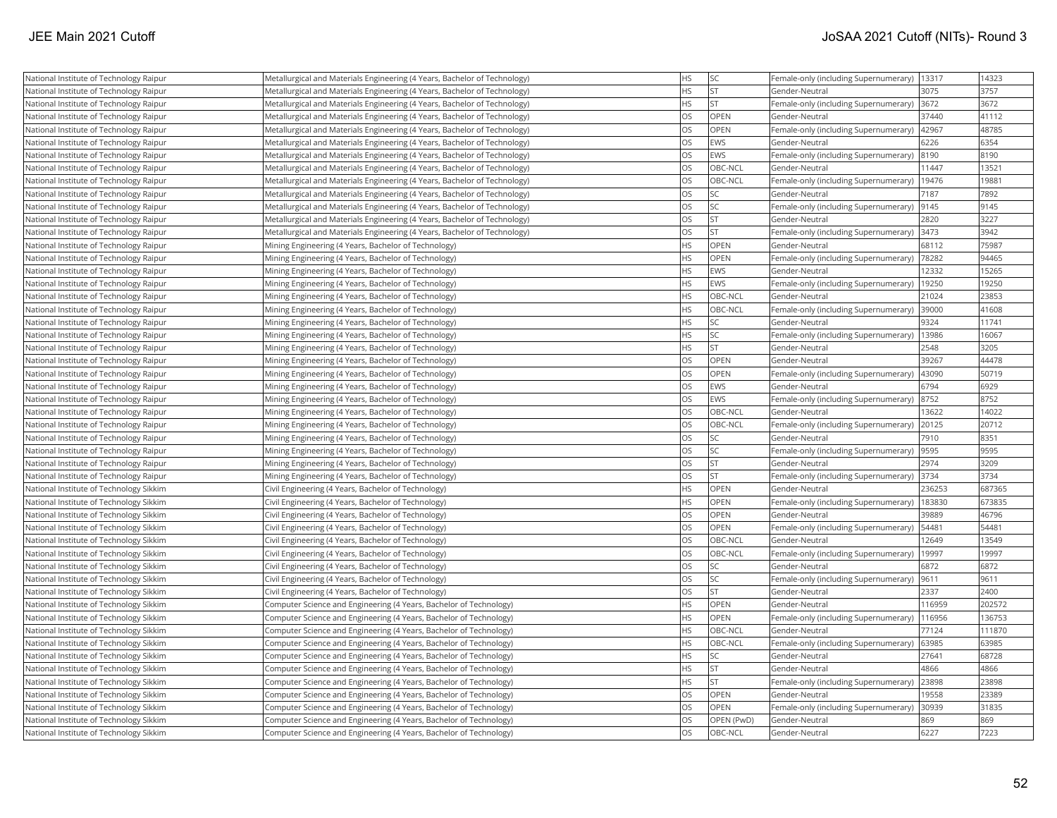| National Institute of Technology Raipur | Metallurgical and Materials Engineering (4 Years, Bachelor of Technology) | <b>HS</b> | <b>SC</b>   | Female-only (including Supernumerary)  | 13317  | 14323  |
|-----------------------------------------|---------------------------------------------------------------------------|-----------|-------------|----------------------------------------|--------|--------|
| National Institute of Technology Raipur | Metallurgical and Materials Engineering (4 Years, Bachelor of Technology) | <b>HS</b> | <b>ST</b>   | Gender-Neutral                         | 3075   | 3757   |
| National Institute of Technology Raipur | Metallurgical and Materials Engineering (4 Years, Bachelor of Technology) | <b>HS</b> | <b>ST</b>   | Female-only (including Supernumerary)  | 3672   | 3672   |
| National Institute of Technology Raipur | Metallurgical and Materials Engineering (4 Years, Bachelor of Technology) | <b>OS</b> | OPEN        | Gender-Neutral                         | 37440  | 41112  |
| National Institute of Technology Raipur | Metallurgical and Materials Engineering (4 Years, Bachelor of Technology) | <b>OS</b> | OPEN        | Female-only (including Supernumerary)  | 42967  | 48785  |
| National Institute of Technology Raipur | Metallurgical and Materials Engineering (4 Years, Bachelor of Technology) | <b>OS</b> | EWS         | Gender-Neutral                         | 6226   | 6354   |
| National Institute of Technology Raipur | Metallurgical and Materials Engineering (4 Years, Bachelor of Technology) | <b>OS</b> | EWS         | Female-only (including Supernumerary)  | 8190   | 8190   |
| National Institute of Technology Raipur | Metallurgical and Materials Engineering (4 Years, Bachelor of Technology) | <b>OS</b> | OBC-NCL     | Gender-Neutral                         | 11447  | 13521  |
| National Institute of Technology Raipur | Metallurgical and Materials Engineering (4 Years, Bachelor of Technology) | <b>OS</b> | OBC-NCL     | Female-only (including Supernumerary)  | 19476  | 19881  |
| National Institute of Technology Raipur | Metallurgical and Materials Engineering (4 Years, Bachelor of Technology) | <b>OS</b> | <b>SC</b>   | Gender-Neutral                         | 7187   | 7892   |
| National Institute of Technology Raipur | Metallurgical and Materials Engineering (4 Years, Bachelor of Technology) | <b>OS</b> | <b>SC</b>   | Female-only (including Supernumerary)  | 9145   | 9145   |
| National Institute of Technology Raipur | Metallurgical and Materials Engineering (4 Years, Bachelor of Technology) | <b>OS</b> | lst         | Gender-Neutral                         | 2820   | 3227   |
| National Institute of Technology Raipur | Metallurgical and Materials Engineering (4 Years, Bachelor of Technology) | <b>OS</b> | <b>ST</b>   | Female-only (including Supernumerary)  | 3473   | 3942   |
| National Institute of Technology Raipur | Mining Engineering (4 Years, Bachelor of Technology)                      | <b>HS</b> | OPEN        | Gender-Neutral                         | 68112  | 75987  |
| National Institute of Technology Raipur | Mining Engineering (4 Years, Bachelor of Technology)                      | <b>HS</b> | OPEN        | Female-only (including Supernumerary)  | 78282  | 94465  |
| National Institute of Technology Raipur | Mining Engineering (4 Years, Bachelor of Technology)                      | <b>HS</b> | EWS         | Gender-Neutral                         | 12332  | 15265  |
| National Institute of Technology Raipur | Mining Engineering (4 Years, Bachelor of Technology)                      | <b>HS</b> | EWS         | Female-only (including Supernumerary)  | 19250  | 19250  |
| National Institute of Technology Raipur | Mining Engineering (4 Years, Bachelor of Technology)                      | <b>HS</b> | OBC-NCL     | Gender-Neutral                         | 21024  | 23853  |
| National Institute of Technology Raipur | Mining Engineering (4 Years, Bachelor of Technology)                      | <b>HS</b> | OBC-NCL     | Female-only (including Supernumerary)  | 39000  | 41608  |
| National Institute of Technology Raipur | Mining Engineering (4 Years, Bachelor of Technology)                      | <b>HS</b> | <b>SC</b>   | Gender-Neutral                         | 9324   | 11741  |
| National Institute of Technology Raipur | Mining Engineering (4 Years, Bachelor of Technology)                      | <b>HS</b> | lsc         | Female-only (including Supernumerary)  | 13986  | 16067  |
| National Institute of Technology Raipur | Mining Engineering (4 Years, Bachelor of Technology)                      | <b>HS</b> | <b>ST</b>   | Gender-Neutral                         | 2548   | 3205   |
| National Institute of Technology Raipur | Mining Engineering (4 Years, Bachelor of Technology)                      | <b>OS</b> | <b>OPEN</b> | Gender-Neutral                         | 39267  | 44478  |
| National Institute of Technology Raipur | Mining Engineering (4 Years, Bachelor of Technology)                      | <b>OS</b> | OPEN        | Female-only (including Supernumerary)  | 43090  | 50719  |
| National Institute of Technology Raipur | Mining Engineering (4 Years, Bachelor of Technology)                      | <b>OS</b> | EWS         | Gender-Neutral                         | 6794   | 6929   |
| National Institute of Technology Raipur | Mining Engineering (4 Years, Bachelor of Technology)                      | <b>OS</b> | EWS         | Female-only (including Supernumerary)  | 8752   | 8752   |
| National Institute of Technology Raipur | Mining Engineering (4 Years, Bachelor of Technology)                      | <b>OS</b> | OBC-NCL     | Gender-Neutral                         | 13622  | 14022  |
| National Institute of Technology Raipur | Mining Engineering (4 Years, Bachelor of Technology)                      | <b>OS</b> | OBC-NCL     | Female-only (including Supernumerary)  | 20125  | 20712  |
| National Institute of Technology Raipur | Mining Engineering (4 Years, Bachelor of Technology)                      | <b>OS</b> | lsc         | Gender-Neutral                         | 7910   | 8351   |
| National Institute of Technology Raipur | Mining Engineering (4 Years, Bachelor of Technology)                      | <b>OS</b> | <b>SC</b>   | Female-only (including Supernumerary)  | 9595   | 9595   |
| National Institute of Technology Raipur | Mining Engineering (4 Years, Bachelor of Technology)                      | <b>OS</b> | <b>ST</b>   | Gender-Neutral                         | 2974   | 3209   |
| National Institute of Technology Raipur | Mining Engineering (4 Years, Bachelor of Technology)                      | <b>OS</b> | <b>ST</b>   | Female-only (including Supernumerary)  | 3734   | 3734   |
| National Institute of Technology Sikkim | Civil Engineering (4 Years, Bachelor of Technology)                       | <b>HS</b> | OPEN        | Gender-Neutral                         | 236253 | 687365 |
| National Institute of Technology Sikkim | Civil Engineering (4 Years, Bachelor of Technology)                       | HS        | OPEN        | Female-only (including Supernumerary)  | 183830 | 673835 |
| National Institute of Technology Sikkim | Civil Engineering (4 Years, Bachelor of Technology)                       | <b>OS</b> | <b>OPEN</b> | Gender-Neutral                         | 39889  | 46796  |
| National Institute of Technology Sikkim | Civil Engineering (4 Years, Bachelor of Technology)                       | <b>OS</b> | OPEN        | Female-only (including Supernumerary)  | 54481  | 54481  |
| National Institute of Technology Sikkim | Civil Engineering (4 Years, Bachelor of Technology)                       | <b>OS</b> | OBC-NCL     | Gender-Neutral                         | 12649  | 13549  |
| National Institute of Technology Sikkim | Civil Engineering (4 Years, Bachelor of Technology)                       | <b>OS</b> | OBC-NCL     | Female-only (including Supernumerary)  | 19997  | 19997  |
| National Institute of Technology Sikkim | Civil Engineering (4 Years, Bachelor of Technology)                       | <b>OS</b> | <b>SC</b>   | Gender-Neutral                         | 6872   | 6872   |
| National Institute of Technology Sikkim | Civil Engineering (4 Years, Bachelor of Technology)                       | <b>OS</b> | <b>SC</b>   | Female-only (including Supernumerary)  | 9611   | 9611   |
| National Institute of Technology Sikkim | Civil Engineering (4 Years, Bachelor of Technology)                       | <b>OS</b> | <b>ST</b>   | Gender-Neutral                         | 2337   | 2400   |
| National Institute of Technology Sikkim | Computer Science and Engineering (4 Years, Bachelor of Technology)        | <b>HS</b> | <b>OPEN</b> | Gender-Neutral                         | 116959 | 202572 |
| National Institute of Technology Sikkim | Computer Science and Engineering (4 Years, Bachelor of Technology)        | <b>HS</b> | <b>OPEN</b> | Female-only (including Supernumerary)  | 116956 | 136753 |
| National Institute of Technology Sikkim | Computer Science and Engineering (4 Years, Bachelor of Technology)        | <b>HS</b> | OBC-NCL     | Gender-Neutral                         | 77124  | 111870 |
| National Institute of Technology Sikkim | Computer Science and Engineering (4 Years, Bachelor of Technology)        | <b>HS</b> | OBC-NCL     | Female-only (including Supernumerary)  | 63985  | 63985  |
| National Institute of Technology Sikkim | Computer Science and Engineering (4 Years, Bachelor of Technology)        | <b>HS</b> | <b>SC</b>   | Gender-Neutral                         | 27641  | 68728  |
| National Institute of Technology Sikkim | Computer Science and Engineering (4 Years, Bachelor of Technology)        | <b>HS</b> | İst         | Gender-Neutral                         | 4866   | 4866   |
| National Institute of Technology Sikkim | Computer Science and Engineering (4 Years, Bachelor of Technology)        | <b>HS</b> | <b>ST</b>   | [Female-only (including Supernumerary) | 23898  | 23898  |
| National Institute of Technology Sikkim | Computer Science and Engineering (4 Years, Bachelor of Technology)        | <b>OS</b> | <b>OPEN</b> | Gender-Neutral                         | 19558  | 23389  |
| National Institute of Technology Sikkim | Computer Science and Engineering (4 Years, Bachelor of Technology)        | <b>OS</b> | <b>OPEN</b> | Female-only (including Supernumerary)  | 30939  | 31835  |
| National Institute of Technology Sikkim | Computer Science and Engineering (4 Years, Bachelor of Technology)        | <b>OS</b> | OPEN (PwD)  | Gender-Neutral                         | 869    | 869    |
| National Institute of Technology Sikkim | Computer Science and Engineering (4 Years, Bachelor of Technology)        | <b>OS</b> | OBC-NCL     | Gender-Neutral                         | 6227   | 7223   |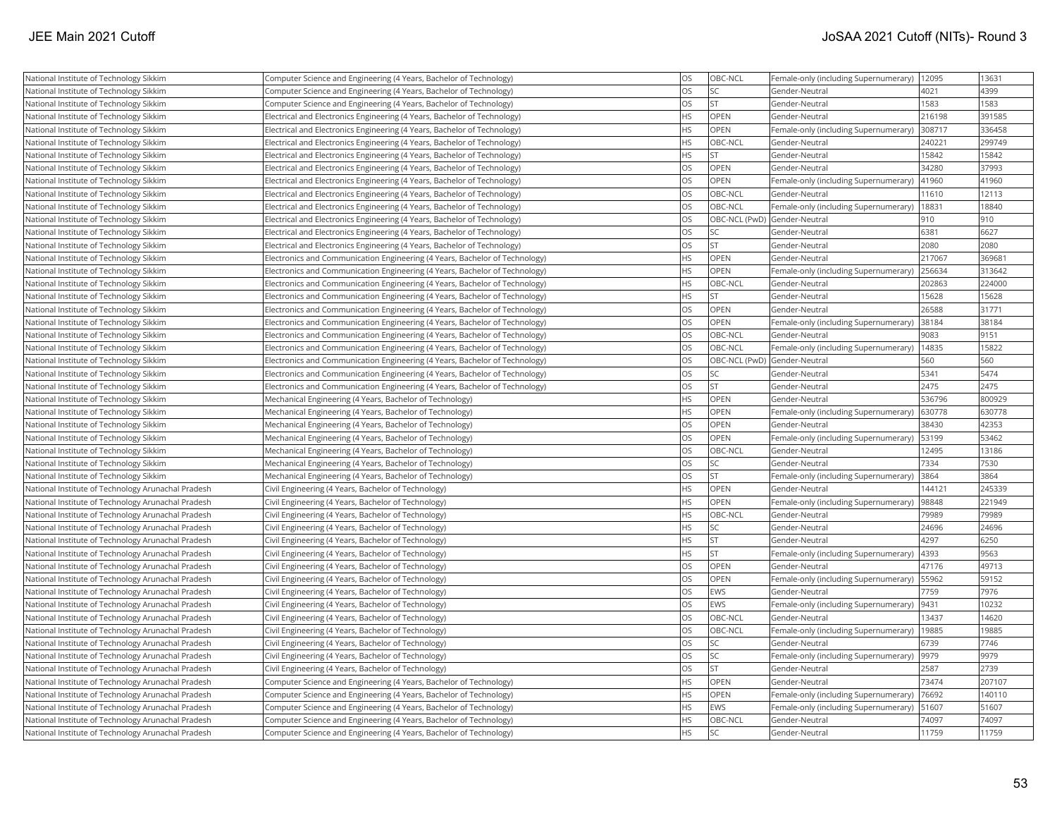| National Institute of Technology Sikkim            | Computer Science and Engineering (4 Years, Bachelor of Technology)          | <b>OS</b> | OBC-NCL                      | Female-only (including Supernumerary) | 12095  | 13631  |
|----------------------------------------------------|-----------------------------------------------------------------------------|-----------|------------------------------|---------------------------------------|--------|--------|
| National Institute of Technology Sikkim            | Computer Science and Engineering (4 Years, Bachelor of Technology)          | <b>OS</b> | <b>SC</b>                    | Gender-Neutral                        | 4021   | 4399   |
| National Institute of Technology Sikkim            | Computer Science and Engineering (4 Years, Bachelor of Technology)          | <b>OS</b> | <b>ST</b>                    | Gender-Neutral                        | 1583   | 1583   |
| National Institute of Technology Sikkim            | Electrical and Electronics Engineering (4 Years, Bachelor of Technology)    | <b>HS</b> | OPEN                         | Gender-Neutral                        | 216198 | 391585 |
| National Institute of Technology Sikkim            | Electrical and Electronics Engineering (4 Years, Bachelor of Technology)    | <b>HS</b> | OPEN                         | Female-only (including Supernumerary) | 308717 | 336458 |
| National Institute of Technology Sikkim            | Electrical and Electronics Engineering (4 Years, Bachelor of Technology)    | <b>HS</b> | OBC-NCL                      | Gender-Neutral                        | 240221 | 299749 |
| National Institute of Technology Sikkim            | Electrical and Electronics Engineering (4 Years, Bachelor of Technology)    | <b>HS</b> | <b>ST</b>                    | Gender-Neutral                        | 15842  | 15842  |
| National Institute of Technology Sikkim            | Electrical and Electronics Engineering (4 Years, Bachelor of Technology)    | <b>OS</b> | OPEN                         | Gender-Neutral                        | 34280  | 37993  |
| National Institute of Technology Sikkim            | Electrical and Electronics Engineering (4 Years, Bachelor of Technology)    | <b>OS</b> | <b>OPEN</b>                  | Female-only (including Supernumerary) | 41960  | 41960  |
| National Institute of Technology Sikkim            | Electrical and Electronics Engineering (4 Years, Bachelor of Technology)    | <b>OS</b> | OBC-NCL                      | Gender-Neutral                        | 11610  | 12113  |
| National Institute of Technology Sikkim            | Electrical and Electronics Engineering (4 Years, Bachelor of Technology)    | <b>OS</b> | OBC-NCL                      | Female-only (including Supernumerary) | 18831  | 18840  |
| National Institute of Technology Sikkim            | Electrical and Electronics Engineering (4 Years, Bachelor of Technology)    | <b>OS</b> | OBC-NCL (PwD) Gender-Neutral |                                       | 910    | 910    |
| National Institute of Technology Sikkim            | Electrical and Electronics Engineering (4 Years, Bachelor of Technology)    | <b>OS</b> | <b>SC</b>                    | Gender-Neutral                        | 6381   | 6627   |
| National Institute of Technology Sikkim            | Electrical and Electronics Engineering (4 Years, Bachelor of Technology)    | <b>OS</b> | lst                          | Gender-Neutral                        | 2080   | 2080   |
| National Institute of Technology Sikkim            | Electronics and Communication Engineering (4 Years, Bachelor of Technology) | <b>HS</b> | <b>OPEN</b>                  | Gender-Neutral                        | 217067 | 369681 |
| National Institute of Technology Sikkim            | Electronics and Communication Engineering (4 Years, Bachelor of Technology) | <b>HS</b> | OPEN                         | Female-only (including Supernumerary) | 256634 | 313642 |
| National Institute of Technology Sikkim            | Electronics and Communication Engineering (4 Years, Bachelor of Technology) | <b>HS</b> | OBC-NCL                      | Gender-Neutral                        | 202863 | 224000 |
| National Institute of Technology Sikkim            | Electronics and Communication Engineering (4 Years, Bachelor of Technology) | <b>HS</b> | <b>ST</b>                    | Gender-Neutral                        | 15628  | 15628  |
| National Institute of Technology Sikkim            | Electronics and Communication Engineering (4 Years, Bachelor of Technology) | <b>OS</b> | <b>OPEN</b>                  | Gender-Neutral                        | 26588  | 31771  |
| National Institute of Technology Sikkim            | Electronics and Communication Engineering (4 Years, Bachelor of Technology) | <b>OS</b> | <b>OPEN</b>                  | Female-only (including Supernumerary) | 38184  | 38184  |
| National Institute of Technology Sikkim            | Electronics and Communication Engineering (4 Years, Bachelor of Technology) | <b>OS</b> | OBC-NCL                      | Gender-Neutral                        | 9083   | 9151   |
| National Institute of Technology Sikkim            | Electronics and Communication Engineering (4 Years, Bachelor of Technology) | <b>OS</b> | OBC-NCL                      | Female-only (including Supernumerary) | 14835  | 15822  |
| National Institute of Technology Sikkim            | Electronics and Communication Engineering (4 Years, Bachelor of Technology) | <b>OS</b> | OBC-NCL (PwD) Gender-Neutral |                                       | 560    | 560    |
| National Institute of Technology Sikkim            | Electronics and Communication Engineering (4 Years, Bachelor of Technology) | <b>OS</b> | <b>SC</b>                    | Gender-Neutral                        | 5341   | 5474   |
| National Institute of Technology Sikkim            | Electronics and Communication Engineering (4 Years, Bachelor of Technology) | <b>OS</b> | <b>ST</b>                    | Gender-Neutral                        | 2475   | 2475   |
| National Institute of Technology Sikkim            | Mechanical Engineering (4 Years, Bachelor of Technology)                    | <b>HS</b> | OPEN                         | Gender-Neutral                        | 536796 | 800929 |
| National Institute of Technology Sikkim            | Mechanical Engineering (4 Years, Bachelor of Technology)                    | <b>HS</b> | OPEN                         | Female-only (including Supernumerary) | 630778 | 630778 |
| National Institute of Technology Sikkim            | Mechanical Engineering (4 Years, Bachelor of Technology)                    | <b>OS</b> | <b>OPEN</b>                  | Gender-Neutral                        | 38430  | 42353  |
| National Institute of Technology Sikkim            | Mechanical Engineering (4 Years, Bachelor of Technology)                    | <b>OS</b> | <b>OPEN</b>                  | Female-only (including Supernumerary) | 53199  | 53462  |
| National Institute of Technology Sikkim            | Mechanical Engineering (4 Years, Bachelor of Technology)                    | <b>OS</b> | OBC-NCL                      | Gender-Neutral                        | 12495  | 13186  |
| National Institute of Technology Sikkim            | Mechanical Engineering (4 Years, Bachelor of Technology)                    | <b>OS</b> | <b>SC</b>                    | Gender-Neutral                        | 7334   | 7530   |
| National Institute of Technology Sikkim            | Mechanical Engineering (4 Years, Bachelor of Technology)                    | <b>OS</b> | <b>ST</b>                    | Female-only (including Supernumerary) | 3864   | 3864   |
| National Institute of Technology Arunachal Pradesh | Civil Engineering (4 Years, Bachelor of Technology)                         | HS        | OPEN                         | Gender-Neutral                        | 144121 | 245339 |
| National Institute of Technology Arunachal Pradesh | Civil Engineering (4 Years, Bachelor of Technology)                         | <b>HS</b> | OPEN                         | Female-only (including Supernumerary) | 98848  | 221949 |
| National Institute of Technology Arunachal Pradesh | Civil Engineering (4 Years, Bachelor of Technology)                         | <b>HS</b> | OBC-NCL                      | Gender-Neutral                        | 79989  | 79989  |
| National Institute of Technology Arunachal Pradesh | Civil Engineering (4 Years, Bachelor of Technology)                         | <b>HS</b> | <b>SC</b>                    | Gender-Neutral                        | 24696  | 24696  |
| National Institute of Technology Arunachal Pradesh | Civil Engineering (4 Years, Bachelor of Technology)                         | <b>HS</b> | <b>ST</b>                    | Gender-Neutral                        | 4297   | 6250   |
| National Institute of Technology Arunachal Pradesh | Civil Engineering (4 Years, Bachelor of Technology)                         | <b>HS</b> | <b>ST</b>                    | Female-only (including Supernumerary) | 4393   | 9563   |
| National Institute of Technology Arunachal Pradesh | Civil Engineering (4 Years, Bachelor of Technology)                         | <b>OS</b> | <b>OPEN</b>                  | Gender-Neutral                        | 47176  | 49713  |
| National Institute of Technology Arunachal Pradesh | Civil Engineering (4 Years, Bachelor of Technology)                         | <b>OS</b> | <b>OPEN</b>                  | Female-only (including Supernumerary) | 55962  | 59152  |
| National Institute of Technology Arunachal Pradesh | Civil Engineering (4 Years, Bachelor of Technology)                         | <b>OS</b> | EWS                          | Gender-Neutral                        | 7759   | 7976   |
| National Institute of Technology Arunachal Pradesh | Civil Engineering (4 Years, Bachelor of Technology)                         | <b>OS</b> | EWS                          | Female-only (including Supernumerary) | 9431   | 10232  |
| National Institute of Technology Arunachal Pradesh | Civil Engineering (4 Years, Bachelor of Technology)                         | <b>OS</b> | OBC-NCL                      | Gender-Neutral                        | 13437  | 14620  |
| National Institute of Technology Arunachal Pradesh | Civil Engineering (4 Years, Bachelor of Technology)                         | <b>OS</b> | OBC-NCL                      | Female-only (including Supernumerary) | 19885  | 19885  |
| National Institute of Technology Arunachal Pradesh | Civil Engineering (4 Years, Bachelor of Technology)                         | <b>OS</b> | <b>SC</b>                    | Gender-Neutral                        | 6739   | 7746   |
| National Institute of Technology Arunachal Pradesh | Civil Engineering (4 Years, Bachelor of Technology)                         | <b>OS</b> | <b>SC</b>                    | Female-only (including Supernumerary) | 9979   | 9979   |
| National Institute of Technology Arunachal Pradesh | Civil Engineering (4 Years, Bachelor of Technology)                         | <b>OS</b> | <b>ST</b>                    | Gender-Neutral                        | 2587   | 2739   |
| National Institute of Technology Arunachal Pradesh | Computer Science and Engineering (4 Years, Bachelor of Technology)          | <b>HS</b> | <b>OPEN</b>                  | Gender-Neutral                        | 73474  | 207107 |
| National Institute of Technology Arunachal Pradesh | Computer Science and Engineering (4 Years, Bachelor of Technology)          | HS        | OPEN                         | Female-only (including Supernumerary) | 76692  | 140110 |
| National Institute of Technology Arunachal Pradesh | Computer Science and Engineering (4 Years, Bachelor of Technology)          | <b>HS</b> | EWS                          | Female-only (including Supernumerary) | 51607  | 51607  |
| National Institute of Technology Arunachal Pradesh | Computer Science and Engineering (4 Years, Bachelor of Technology)          | <b>HS</b> | OBC-NCL                      | Gender-Neutral                        | 74097  | 74097  |
| National Institute of Technology Arunachal Pradesh | Computer Science and Engineering (4 Years, Bachelor of Technology)          | <b>HS</b> | lsc                          | lGender-Neutral                       | 11759  | 11759  |
|                                                    |                                                                             |           |                              |                                       |        |        |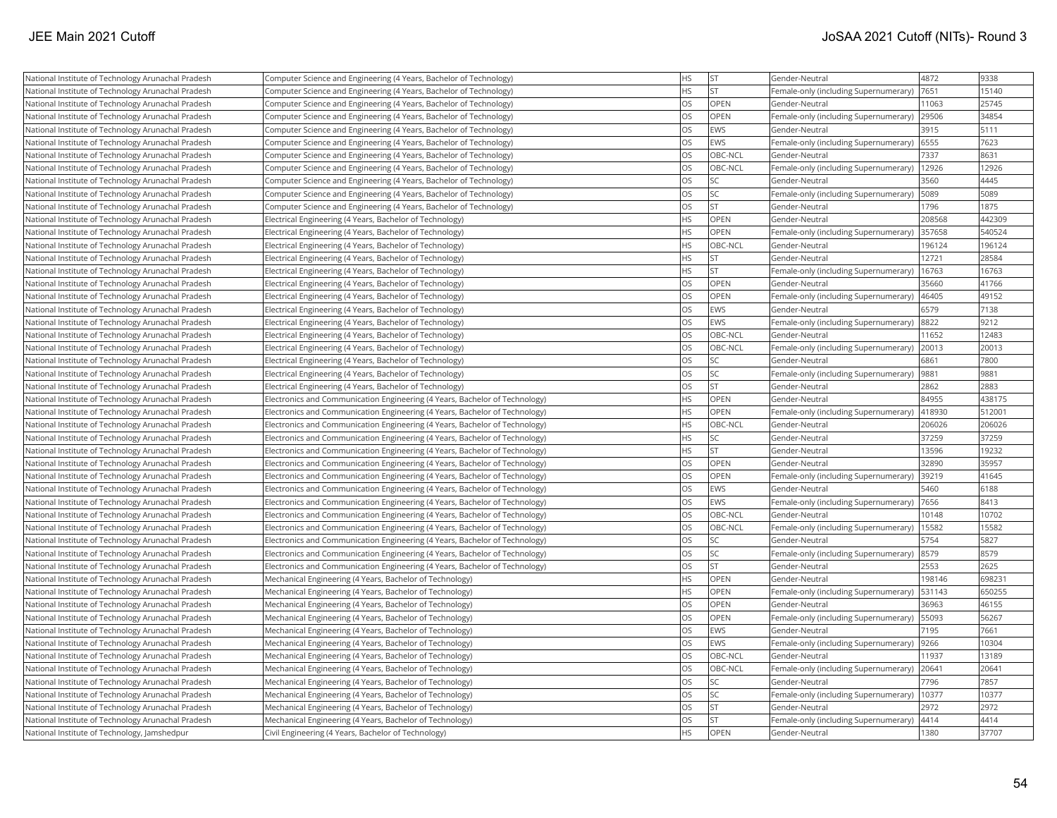| National Institute of Technology Arunachal Pradesh | Computer Science and Engineering (4 Years, Bachelor of Technology)          | <b>HS</b> | <b>ST</b>   | Gender-Neutral                        | 4872   | 9338   |
|----------------------------------------------------|-----------------------------------------------------------------------------|-----------|-------------|---------------------------------------|--------|--------|
| National Institute of Technology Arunachal Pradesh | Computer Science and Engineering (4 Years, Bachelor of Technology)          | <b>HS</b> | lst         | Female-only (including Supernumerary) | 7651   | 15140  |
| National Institute of Technology Arunachal Pradesh | Computer Science and Engineering (4 Years, Bachelor of Technology)          | <b>OS</b> | OPEN        | Gender-Neutral                        | 11063  | 25745  |
| National Institute of Technology Arunachal Pradesh | Computer Science and Engineering (4 Years, Bachelor of Technology)          | OS        | OPEN        | Female-only (including Supernumerary) | 29506  | 34854  |
| National Institute of Technology Arunachal Pradesh | Computer Science and Engineering (4 Years, Bachelor of Technology)          | OS        | <b>EWS</b>  | Gender-Neutral                        | 3915   | 5111   |
| National Institute of Technology Arunachal Pradesh | Computer Science and Engineering (4 Years, Bachelor of Technology)          | OS        | EWS         | Female-only (including Supernumerary) | 6555   | 7623   |
| National Institute of Technology Arunachal Pradesh | Computer Science and Engineering (4 Years, Bachelor of Technology)          | OS        | OBC-NCL     | Gender-Neutral                        | 7337   | 8631   |
| National Institute of Technology Arunachal Pradesh | Computer Science and Engineering (4 Years, Bachelor of Technology)          | <b>OS</b> | OBC-NCL     | Female-only (including Supernumerary) | 12926  | 12926  |
| National Institute of Technology Arunachal Pradesh | Computer Science and Engineering (4 Years, Bachelor of Technology)          | OS        | <b>SC</b>   | Gender-Neutral                        | 3560   | 4445   |
| National Institute of Technology Arunachal Pradesh | Computer Science and Engineering (4 Years, Bachelor of Technology)          | OS        | lsc         | Female-only (including Supernumerary) | 5089   | 5089   |
| National Institute of Technology Arunachal Pradesh | Computer Science and Engineering (4 Years, Bachelor of Technology)          | OS        | lst         | Gender-Neutral                        | 1796   | 1875   |
| National Institute of Technology Arunachal Pradesh | Electrical Engineering (4 Years, Bachelor of Technology)                    | <b>HS</b> | <b>OPEN</b> | Gender-Neutral                        | 208568 | 442309 |
| National Institute of Technology Arunachal Pradesh | Electrical Engineering (4 Years, Bachelor of Technology)                    | <b>HS</b> | <b>OPEN</b> | Female-only (including Supernumerary) | 357658 | 540524 |
| National Institute of Technology Arunachal Pradesh | Electrical Engineering (4 Years, Bachelor of Technology)                    | HS        | OBC-NCL     | Gender-Neutral                        | 196124 | 196124 |
| National Institute of Technology Arunachal Pradesh | Electrical Engineering (4 Years, Bachelor of Technology)                    | <b>HS</b> | <b>ST</b>   | Gender-Neutral                        | 12721  | 28584  |
| National Institute of Technology Arunachal Pradesh | Electrical Engineering (4 Years, Bachelor of Technology)                    | HS        | lst         | Female-only (including Supernumerary) | 16763  | 16763  |
| National Institute of Technology Arunachal Pradesh | Electrical Engineering (4 Years, Bachelor of Technology)                    | OS        | OPEN        | Gender-Neutral                        | 35660  | 41766  |
| National Institute of Technology Arunachal Pradesh | Electrical Engineering (4 Years, Bachelor of Technology)                    | OS        | OPEN        | Female-only (including Supernumerary) | 46405  | 49152  |
| National Institute of Technology Arunachal Pradesh | Electrical Engineering (4 Years, Bachelor of Technology)                    | <b>OS</b> | EWS         | Gender-Neutral                        | 6579   | 7138   |
| National Institute of Technology Arunachal Pradesh | Electrical Engineering (4 Years, Bachelor of Technology)                    | OS        | EWS         | Female-only (including Supernumerary) | 8822   | 9212   |
| National Institute of Technology Arunachal Pradesh | Electrical Engineering (4 Years, Bachelor of Technology)                    | <b>OS</b> | OBC-NCL     | Gender-Neutral                        | 11652  | 12483  |
| National Institute of Technology Arunachal Pradesh | Electrical Engineering (4 Years, Bachelor of Technology)                    | OS        | OBC-NCL     | Female-only (including Supernumerary) | 20013  | 20013  |
| National Institute of Technology Arunachal Pradesh | Electrical Engineering (4 Years, Bachelor of Technology)                    | <b>OS</b> | <b>SC</b>   | Gender-Neutral                        | 6861   | 7800   |
| National Institute of Technology Arunachal Pradesh | Electrical Engineering (4 Years, Bachelor of Technology)                    | OS        | <b>SC</b>   | Female-only (including Supernumerary) | 9881   | 9881   |
| National Institute of Technology Arunachal Pradesh | Electrical Engineering (4 Years, Bachelor of Technology)                    | OS        | İst         | Gender-Neutral                        | 2862   | 2883   |
| National Institute of Technology Arunachal Pradesh | Electronics and Communication Engineering (4 Years, Bachelor of Technology) | <b>HS</b> | OPEN        | Gender-Neutral                        | 84955  | 438175 |
| National Institute of Technology Arunachal Pradesh | Electronics and Communication Engineering (4 Years, Bachelor of Technology) | <b>HS</b> | OPEN        | Female-only (including Supernumerary) | 418930 | 512001 |
| National Institute of Technology Arunachal Pradesh | Electronics and Communication Engineering (4 Years, Bachelor of Technology) | <b>HS</b> | OBC-NCL     | Gender-Neutral                        | 206026 | 206026 |
| National Institute of Technology Arunachal Pradesh | Electronics and Communication Engineering (4 Years, Bachelor of Technology) | <b>HS</b> | <b>SC</b>   | Gender-Neutral                        | 37259  | 37259  |
| National Institute of Technology Arunachal Pradesh | Electronics and Communication Engineering (4 Years, Bachelor of Technology) | HS        | lst         | Gender-Neutral                        | 13596  | 19232  |
| National Institute of Technology Arunachal Pradesh | Electronics and Communication Engineering (4 Years, Bachelor of Technology) | <b>OS</b> | OPEN        | Gender-Neutral                        | 32890  | 35957  |
| National Institute of Technology Arunachal Pradesh | Electronics and Communication Engineering (4 Years, Bachelor of Technology) | <b>OS</b> | OPEN        | Female-only (including Supernumerary) | 39219  | 41645  |
| National Institute of Technology Arunachal Pradesh | Electronics and Communication Engineering (4 Years, Bachelor of Technology) | OS        | EWS         | Gender-Neutral                        | 5460   | 6188   |
| National Institute of Technology Arunachal Pradesh | Electronics and Communication Engineering (4 Years, Bachelor of Technology) | <b>OS</b> | EWS         | Female-only (including Supernumerary) | 7656   | 8413   |
| National Institute of Technology Arunachal Pradesh | Electronics and Communication Engineering (4 Years, Bachelor of Technology) | <b>OS</b> | OBC-NCL     | Gender-Neutral                        | 10148  | 10702  |
| National Institute of Technology Arunachal Pradesh | Electronics and Communication Engineering (4 Years, Bachelor of Technology) | <b>OS</b> | OBC-NCL     | Female-only (including Supernumerary) | 15582  | 15582  |
| National Institute of Technology Arunachal Pradesh | Electronics and Communication Engineering (4 Years, Bachelor of Technology) | <b>OS</b> | <b>SC</b>   | Gender-Neutral                        | 5754   | 5827   |
| National Institute of Technology Arunachal Pradesh | Electronics and Communication Engineering (4 Years, Bachelor of Technology) | OS        | <b>SC</b>   | Female-only (including Supernumerary) | 8579   | 8579   |
| National Institute of Technology Arunachal Pradesh | Electronics and Communication Engineering (4 Years, Bachelor of Technology) | <b>OS</b> | <b>ST</b>   | Gender-Neutral                        | 2553   | 2625   |
| National Institute of Technology Arunachal Pradesh | Mechanical Engineering (4 Years, Bachelor of Technology)                    | <b>HS</b> | OPEN        | Gender-Neutral                        | 198146 | 698231 |
| National Institute of Technology Arunachal Pradesh | Mechanical Engineering (4 Years, Bachelor of Technology)                    | <b>HS</b> | <b>OPEN</b> | Female-only (including Supernumerary) | 531143 | 650255 |
| National Institute of Technology Arunachal Pradesh | Mechanical Engineering (4 Years, Bachelor of Technology)                    | OS        | OPEN        | Gender-Neutral                        | 36963  | 46155  |
| National Institute of Technology Arunachal Pradesh | Mechanical Engineering (4 Years, Bachelor of Technology)                    | OS        | OPEN        | Female-only (including Supernumerary) | 55093  | 56267  |
| National Institute of Technology Arunachal Pradesh | Mechanical Engineering (4 Years, Bachelor of Technology)                    | <b>OS</b> | EWS         | Gender-Neutral                        | 7195   | 7661   |
| National Institute of Technology Arunachal Pradesh | Mechanical Engineering (4 Years, Bachelor of Technology)                    | OS        | EWS         | Female-only (including Supernumerary) | 9266   | 10304  |
| National Institute of Technology Arunachal Pradesh | Mechanical Engineering (4 Years, Bachelor of Technology)                    | OS        | OBC-NCL     | Gender-Neutral                        | 11937  | 13189  |
| National Institute of Technology Arunachal Pradesh | Mechanical Engineering (4 Years, Bachelor of Technology)                    | OS        | OBC-NCL     | Female-only (including Supernumerary) | 20641  | 20641  |
| National Institute of Technology Arunachal Pradesh | Mechanical Engineering (4 Years, Bachelor of Technology)                    | OS        | <b>SC</b>   | Gender-Neutral                        | 7796   | 7857   |
| National Institute of Technology Arunachal Pradesh | Mechanical Engineering (4 Years, Bachelor of Technology)                    | <b>OS</b> | <b>SC</b>   | Female-only (including Supernumerary) | 10377  | 10377  |
| National Institute of Technology Arunachal Pradesh | Mechanical Engineering (4 Years, Bachelor of Technology)                    | OS        | <b>ST</b>   | Gender-Neutral                        | 2972   | 2972   |
| National Institute of Technology Arunachal Pradesh | Mechanical Engineering (4 Years, Bachelor of Technology)                    | OS        | lst         | Female-only (including Supernumerary) | 4414   | 4414   |
| National Institute of Technology, Jamshedpur       | Civil Engineering (4 Years, Bachelor of Technology)                         | <b>HS</b> | OPEN        | lGender-Neutral                       | 1380   | 37707  |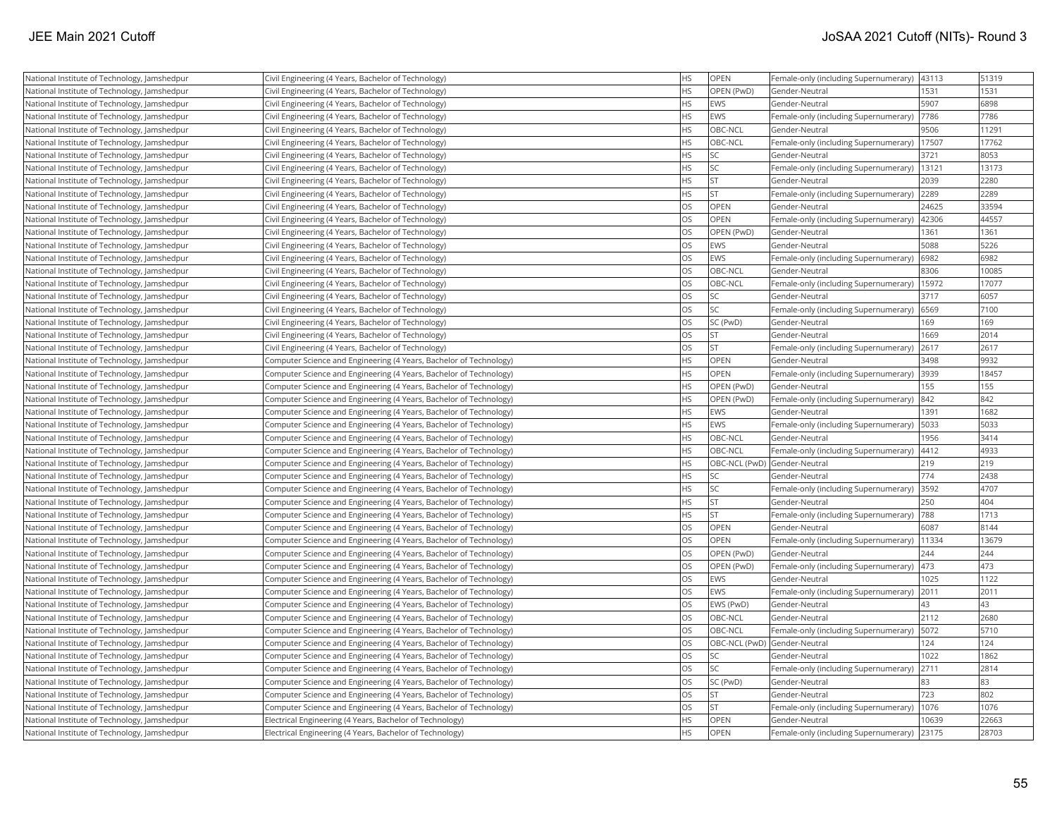| National Institute of Technology, Jamshedpur | Civil Engineering (4 Years, Bachelor of Technology)                | <b>HS</b> | <b>OPEN</b> | Female-only (including Supernumerary)       | 43113 | 51319 |
|----------------------------------------------|--------------------------------------------------------------------|-----------|-------------|---------------------------------------------|-------|-------|
| National Institute of Technology, Jamshedpur | Civil Engineering (4 Years, Bachelor of Technology)                | <b>HS</b> | OPEN (PwD)  | Gender-Neutral                              | 1531  | 1531  |
| National Institute of Technology, Jamshedpur | Civil Engineering (4 Years, Bachelor of Technology)                | <b>HS</b> | <b>EWS</b>  | Gender-Neutral                              | 5907  | 6898  |
| National Institute of Technology, Jamshedpur | Civil Engineering (4 Years, Bachelor of Technology)                | <b>HS</b> | <b>EWS</b>  | Female-only (including Supernumerary)       | 7786  | 7786  |
| National Institute of Technology, Jamshedpur | Civil Engineering (4 Years, Bachelor of Technology)                | <b>HS</b> | OBC-NCL     | Gender-Neutral                              | 9506  | 11291 |
| National Institute of Technology, Jamshedpur | Civil Engineering (4 Years, Bachelor of Technology)                | <b>HS</b> | OBC-NCL     | Female-only (including Supernumerary)       | 17507 | 17762 |
| National Institute of Technology, Jamshedpur | Civil Engineering (4 Years, Bachelor of Technology)                | <b>HS</b> | SC)         | Gender-Neutral                              | 3721  | 8053  |
| National Institute of Technology, Jamshedpur | Civil Engineering (4 Years, Bachelor of Technology)                | <b>HS</b> | SC          | Female-only (including Supernumerary)       | 13121 | 13173 |
| National Institute of Technology, Jamshedpur | Civil Engineering (4 Years, Bachelor of Technology)                | <b>HS</b> | ST.         | Gender-Neutral                              | 2039  | 2280  |
| National Institute of Technology, Jamshedpur | Civil Engineering (4 Years, Bachelor of Technology)                | <b>HS</b> | lst.        | Female-only (including Supernumerary)       | 2289  | 2289  |
| National Institute of Technology, Jamshedpur | Civil Engineering (4 Years, Bachelor of Technology)                | <b>OS</b> | OPEN        | Gender-Neutral                              | 24625 | 33594 |
| National Institute of Technology, Jamshedpur | Civil Engineering (4 Years, Bachelor of Technology)                | <b>OS</b> | <b>OPEN</b> | Female-only (including Supernumerary)       | 42306 | 44557 |
| National Institute of Technology, Jamshedpur | Civil Engineering (4 Years, Bachelor of Technology)                | <b>OS</b> | OPEN (PwD)  | Gender-Neutral                              | 1361  | 1361  |
| National Institute of Technology, Jamshedpur | Civil Engineering (4 Years, Bachelor of Technology)                | <b>OS</b> | <b>EWS</b>  | Gender-Neutral                              | 5088  | 5226  |
| National Institute of Technology, Jamshedpur | Civil Engineering (4 Years, Bachelor of Technology)                | OS        | <b>EWS</b>  | Female-only (including Supernumerary)       | 6982  | 6982  |
| National Institute of Technology, Jamshedpur | Civil Engineering (4 Years, Bachelor of Technology)                | OS        | OBC-NCL     | Gender-Neutral                              | 8306  | 10085 |
| National Institute of Technology, Jamshedpur | Civil Engineering (4 Years, Bachelor of Technology)                | <b>OS</b> | OBC-NCL     | Female-only (including Supernumerary)       | 15972 | 17077 |
| National Institute of Technology, Jamshedpur | Civil Engineering (4 Years, Bachelor of Technology)                | <b>OS</b> | SC)         | Gender-Neutral                              | 3717  | 6057  |
| National Institute of Technology, Jamshedpur | Civil Engineering (4 Years, Bachelor of Technology)                | <b>OS</b> | lsc         | Female-only (including Supernumerary)       | 6569  | 7100  |
| National Institute of Technology, Jamshedpur | Civil Engineering (4 Years, Bachelor of Technology)                | <b>OS</b> | SC (PwD)    | Gender-Neutral                              | 169   | 169   |
| National Institute of Technology, Jamshedpur | Civil Engineering (4 Years, Bachelor of Technology)                | <b>OS</b> | lst         | Gender-Neutral                              | 1669  | 2014  |
| National Institute of Technology, Jamshedpur | Civil Engineering (4 Years, Bachelor of Technology)                | <b>OS</b> | <b>ST</b>   | Female-only (including Supernumerary)       | 2617  | 2617  |
| National Institute of Technology, Jamshedpur | Computer Science and Engineering (4 Years, Bachelor of Technology) | <b>HS</b> | OPEN        | Gender-Neutral                              | 3498  | 9932  |
| National Institute of Technology, Jamshedpur | Computer Science and Engineering (4 Years, Bachelor of Technology) | <b>HS</b> | <b>OPEN</b> | Female-only (including Supernumerary)       | 3939  | 18457 |
| National Institute of Technology, Jamshedpur | Computer Science and Engineering (4 Years, Bachelor of Technology) | <b>HS</b> | OPEN (PwD)  | Gender-Neutral                              | 155   | 155   |
| National Institute of Technology, Jamshedpur | Computer Science and Engineering (4 Years, Bachelor of Technology) | <b>HS</b> | OPEN (PwD)  | Female-only (including Supernumerary)       | 842   | 842   |
| National Institute of Technology, Jamshedpur | Computer Science and Engineering (4 Years, Bachelor of Technology) | <b>HS</b> | <b>EWS</b>  | Gender-Neutral                              | 1391  | 1682  |
| National Institute of Technology, Jamshedpur | Computer Science and Engineering (4 Years, Bachelor of Technology) | <b>HS</b> | <b>EWS</b>  | Female-only (including Supernumerary)       | 5033  | 5033  |
| National Institute of Technology, Jamshedpur | Computer Science and Engineering (4 Years, Bachelor of Technology) | <b>HS</b> | OBC-NCL     | Gender-Neutral                              | 1956  | 3414  |
| National Institute of Technology, Jamshedpur | Computer Science and Engineering (4 Years, Bachelor of Technology) | <b>HS</b> | OBC-NCL     | Female-only (including Supernumerary)       | 4412  | 4933  |
| National Institute of Technology, Jamshedpur | Computer Science and Engineering (4 Years, Bachelor of Technology) | <b>HS</b> |             | OBC-NCL (PwD) Gender-Neutral                | 219   | 219   |
| National Institute of Technology, Jamshedpur | Computer Science and Engineering (4 Years, Bachelor of Technology) | <b>HS</b> | SC]         | Gender-Neutral                              | 774   | 2438  |
| National Institute of Technology, Jamshedpur | Computer Science and Engineering (4 Years, Bachelor of Technology) | <b>HS</b> | SC.         | Female-only (including Supernumerary)       | 3592  | 4707  |
| National Institute of Technology, Jamshedpur | Computer Science and Engineering (4 Years, Bachelor of Technology) | <b>HS</b> | ST.         | Gender-Neutral                              | 250   | 404   |
| National Institute of Technology, Jamshedpur | Computer Science and Engineering (4 Years, Bachelor of Technology) | <b>HS</b> | lst         | Female-only (including Supernumerary)       | 788   | 1713  |
| National Institute of Technology, Jamshedpur | Computer Science and Engineering (4 Years, Bachelor of Technology) | <b>OS</b> | <b>OPEN</b> | Gender-Neutral                              | 6087  | 8144  |
| National Institute of Technology, Jamshedpur | Computer Science and Engineering (4 Years, Bachelor of Technology) | <b>OS</b> | <b>OPEN</b> | Female-only (including Supernumerary)       | 11334 | 13679 |
| National Institute of Technology, Jamshedpur | Computer Science and Engineering (4 Years, Bachelor of Technology) | <b>OS</b> | OPEN (PwD)  | Gender-Neutral                              | 244   | 244   |
| National Institute of Technology, Jamshedpur | Computer Science and Engineering (4 Years, Bachelor of Technology) | <b>OS</b> | OPEN (PwD)  | Female-only (including Supernumerary)       | 473   | 473   |
| National Institute of Technology, Jamshedpur | Computer Science and Engineering (4 Years, Bachelor of Technology) | OS        | <b>EWS</b>  | Gender-Neutral                              | 1025  | 1122  |
| National Institute of Technology, Jamshedpur | Computer Science and Engineering (4 Years, Bachelor of Technology) | OS        | <b>EWS</b>  | Female-only (including Supernumerary)       | 2011  | 2011  |
| National Institute of Technology, Jamshedpur | Computer Science and Engineering (4 Years, Bachelor of Technology) | OS        | EWS (PwD)   | Gender-Neutral                              | 43    | 43    |
| National Institute of Technology, Jamshedpur | Computer Science and Engineering (4 Years, Bachelor of Technology) | <b>OS</b> | OBC-NCL     | Gender-Neutral                              | 2112  | 2680  |
| National Institute of Technology, Jamshedpur | Computer Science and Engineering (4 Years, Bachelor of Technology) | <b>OS</b> | OBC-NCL     | Female-only (including Supernumerary)       | 5072  | 5710  |
| National Institute of Technology, Jamshedpur | Computer Science and Engineering (4 Years, Bachelor of Technology) | <b>OS</b> |             | OBC-NCL (PwD) Gender-Neutral                | 124   | 124   |
| National Institute of Technology, Jamshedpur | Computer Science and Engineering (4 Years, Bachelor of Technology) | <b>OS</b> | SC.         | Gender-Neutral                              | 1022  | 1862  |
| National Institute of Technology, Jamshedpur | Computer Science and Engineering (4 Years, Bachelor of Technology) | OS        | lsc         | Female-only (including Supernumerary)       | 2711  | 2814  |
| National Institute of Technology, Jamshedpur | Computer Science and Engineering (4 Years, Bachelor of Technology) | <b>OS</b> | SC (PwD)    | Gender-Neutral                              | 83    | 83    |
| National Institute of Technology, Jamshedpur | Computer Science and Engineering (4 Years, Bachelor of Technology) | OS        | <b>ST</b>   | Gender-Neutral                              | 723   | 802   |
| National Institute of Technology, Jamshedpur | Computer Science and Engineering (4 Years, Bachelor of Technology) | <b>OS</b> | ST          | Female-only (including Supernumerary)       | 1076  | 1076  |
| National Institute of Technology, Jamshedpur | Electrical Engineering (4 Years, Bachelor of Technology)           | <b>HS</b> | OPEN        | Gender-Neutral                              | 10639 | 22663 |
| National Institute of Technology, Jamshedpur | Electrical Engineering (4 Years, Bachelor of Technology)           | <b>HS</b> | OPEN        | Female-only (including Supernumerary) 23175 |       | 28703 |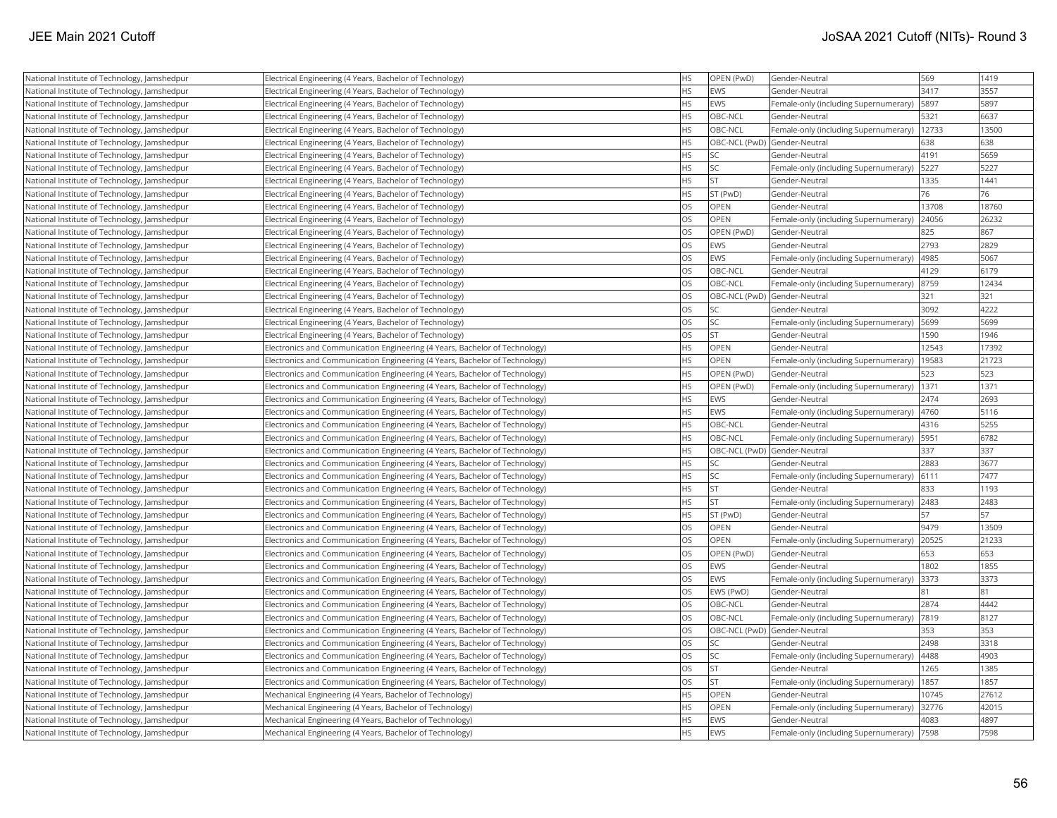| National Institute of Technology, Jamshedpur | Electrical Engineering (4 Years, Bachelor of Technology)                    | <b>HS</b> | OPEN (PwD)                   | Gender-Neutral                        | 569   | 1419  |
|----------------------------------------------|-----------------------------------------------------------------------------|-----------|------------------------------|---------------------------------------|-------|-------|
| National Institute of Technology, Jamshedpur | Electrical Engineering (4 Years, Bachelor of Technology)                    | <b>HS</b> | <b>EWS</b>                   | Gender-Neutral                        | 3417  | 3557  |
| National Institute of Technology, Jamshedpur | Electrical Engineering (4 Years, Bachelor of Technology)                    | <b>HS</b> | EWS                          | Female-only (including Supernumerary) | 5897  | 5897  |
| National Institute of Technology, Jamshedpur | Electrical Engineering (4 Years, Bachelor of Technology)                    | HS        | OBC-NCL                      | Gender-Neutral                        | 5321  | 6637  |
| National Institute of Technology, Jamshedpur | Electrical Engineering (4 Years, Bachelor of Technology)                    | <b>HS</b> | OBC-NCL                      | Female-only (including Supernumerary) | 12733 | 13500 |
|                                              |                                                                             | <b>HS</b> |                              |                                       | 638   | 638   |
| National Institute of Technology, Jamshedpur | Electrical Engineering (4 Years, Bachelor of Technology)                    | HS        | OBC-NCL (PwD) Gender-Neutral |                                       | 4191  | 5659  |
| National Institute of Technology, Jamshedpur | Electrical Engineering (4 Years, Bachelor of Technology)                    | <b>HS</b> | <b>SC</b><br><b>SC</b>       | Gender-Neutral                        |       | 5227  |
| National Institute of Technology, Jamshedpur | Electrical Engineering (4 Years, Bachelor of Technology)                    | HS        | <b>ST</b>                    | Female-only (including Supernumerary) | 5227  | 1441  |
| National Institute of Technology, Jamshedpur | Electrical Engineering (4 Years, Bachelor of Technology)                    |           |                              | Gender-Neutral                        | 1335  |       |
| National Institute of Technology, Jamshedpur | Electrical Engineering (4 Years, Bachelor of Technology)                    | <b>HS</b> | ST (PwD)                     | Gender-Neutral                        | 76    | 76    |
| National Institute of Technology, Jamshedpur | Electrical Engineering (4 Years, Bachelor of Technology)                    | OS        | OPEN                         | Gender-Neutral                        | 13708 | 18760 |
| National Institute of Technology, Jamshedpur | Electrical Engineering (4 Years, Bachelor of Technology)                    | OS        | OPEN                         | Female-only (including Supernumerary) | 24056 | 26232 |
| National Institute of Technology, Jamshedpur | Electrical Engineering (4 Years, Bachelor of Technology)                    | OS        | OPEN (PwD)                   | Gender-Neutral                        | 825   | 867   |
| National Institute of Technology, Jamshedpur | Electrical Engineering (4 Years, Bachelor of Technology)                    | <b>OS</b> | <b>EWS</b>                   | Gender-Neutral                        | 2793  | 2829  |
| National Institute of Technology, Jamshedpur | Electrical Engineering (4 Years, Bachelor of Technology)                    | OS        | EWS                          | Female-only (including Supernumerary) | 4985  | 5067  |
| National Institute of Technology, Jamshedpur | Electrical Engineering (4 Years, Bachelor of Technology)                    | <b>OS</b> | OBC-NCL                      | Gender-Neutral                        | 4129  | 6179  |
| National Institute of Technology, Jamshedpur | Electrical Engineering (4 Years, Bachelor of Technology)                    | OS        | OBC-NCL                      | Female-only (including Supernumerary) | 8759  | 12434 |
| National Institute of Technology, Jamshedpur | Electrical Engineering (4 Years, Bachelor of Technology)                    | OS        | OBC-NCL (PwD) Gender-Neutral |                                       | 321   | 321   |
| National Institute of Technology, Jamshedpur | Electrical Engineering (4 Years, Bachelor of Technology)                    | OS        | <b>SC</b>                    | Gender-Neutral                        | 3092  | 4222  |
| National Institute of Technology, Jamshedpur | Electrical Engineering (4 Years, Bachelor of Technology)                    | OS        | lsc                          | Female-only (including Supernumerary) | 5699  | 5699  |
| National Institute of Technology, Jamshedpur | Electrical Engineering (4 Years, Bachelor of Technology)                    | <b>OS</b> | lst                          | Gender-Neutral                        | 1590  | 1946  |
| National Institute of Technology, Jamshedpur | Electronics and Communication Engineering (4 Years, Bachelor of Technology) | <b>HS</b> | <b>OPEN</b>                  | Gender-Neutral                        | 12543 | 17392 |
| National Institute of Technology, Jamshedpur | Electronics and Communication Engineering (4 Years, Bachelor of Technology) | <b>HS</b> | OPEN                         | Female-only (including Supernumerary) | 19583 | 21723 |
| National Institute of Technology, Jamshedpur | Electronics and Communication Engineering (4 Years, Bachelor of Technology) | <b>HS</b> | <b>OPEN (PwD)</b>            | Gender-Neutral                        | 523   | 523   |
| National Institute of Technology, Jamshedpur | Electronics and Communication Engineering (4 Years, Bachelor of Technology) | HS        | OPEN (PwD)                   | Female-only (including Supernumerary) | 1371  | 1371  |
| National Institute of Technology, Jamshedpur | Electronics and Communication Engineering (4 Years, Bachelor of Technology) | <b>HS</b> | EWS                          | Gender-Neutral                        | 2474  | 2693  |
| National Institute of Technology, Jamshedpur | Electronics and Communication Engineering (4 Years, Bachelor of Technology) | <b>HS</b> | EWS                          | Female-only (including Supernumerary) | 4760  | 5116  |
| National Institute of Technology, Jamshedpur | Electronics and Communication Engineering (4 Years, Bachelor of Technology) | <b>HS</b> | OBC-NCL                      | Gender-Neutral                        | 4316  | 5255  |
| National Institute of Technology, Jamshedpur | Electronics and Communication Engineering (4 Years, Bachelor of Technology) | <b>HS</b> | OBC-NCL                      | Female-only (including Supernumerary) | 5951  | 6782  |
| National Institute of Technology, Jamshedpur | Electronics and Communication Engineering (4 Years, Bachelor of Technology) | HS        | OBC-NCL (PwD) Gender-Neutral |                                       | 337   | 337   |
| National Institute of Technology, Jamshedpur | Electronics and Communication Engineering (4 Years, Bachelor of Technology) | <b>HS</b> | <b>SC</b>                    | Gender-Neutral                        | 2883  | 3677  |
| National Institute of Technology, Jamshedpur | Electronics and Communication Engineering (4 Years, Bachelor of Technology) | <b>HS</b> | <b>SC</b>                    | Female-only (including Supernumerary) | 6111  | 7477  |
| National Institute of Technology, Jamshedpur | Electronics and Communication Engineering (4 Years, Bachelor of Technology) | <b>HS</b> | İst                          | Gender-Neutral                        | 833   | 1193  |
| National Institute of Technology, Jamshedpur | Electronics and Communication Engineering (4 Years, Bachelor of Technology) | <b>HS</b> | <b>ST</b>                    | Female-only (including Supernumerary) | 2483  | 2483  |
| National Institute of Technology, Jamshedpur | Electronics and Communication Engineering (4 Years, Bachelor of Technology) | HS        | ST (PwD)                     | Gender-Neutral                        | 57    | 57    |
| National Institute of Technology, Jamshedpur | Electronics and Communication Engineering (4 Years, Bachelor of Technology) | OS        | OPEN                         | Gender-Neutral                        | 9479  | 13509 |
| National Institute of Technology, Jamshedpur | Electronics and Communication Engineering (4 Years, Bachelor of Technology) | <b>OS</b> | <b>OPEN</b>                  | Female-only (including Supernumerary) | 20525 | 21233 |
| National Institute of Technology, Jamshedpur | Electronics and Communication Engineering (4 Years, Bachelor of Technology) | <b>OS</b> | OPEN (PwD)                   | Gender-Neutral                        | 653   | 653   |
| National Institute of Technology, Jamshedpur | Electronics and Communication Engineering (4 Years, Bachelor of Technology) | OS        | EWS                          | Gender-Neutral                        | 1802  | 1855  |
| National Institute of Technology, Jamshedpur | Electronics and Communication Engineering (4 Years, Bachelor of Technology) | OS        | EWS                          | Female-only (including Supernumerary) | 3373  | 3373  |
| National Institute of Technology, Jamshedpur | Electronics and Communication Engineering (4 Years, Bachelor of Technology) | OS        | EWS (PwD)                    | Gender-Neutral                        |       | 81    |
| National Institute of Technology, Jamshedpur | Electronics and Communication Engineering (4 Years, Bachelor of Technology) | OS        | OBC-NCL                      | Gender-Neutral                        | 2874  | 4442  |
| National Institute of Technology, Jamshedpur | Electronics and Communication Engineering (4 Years, Bachelor of Technology) | <b>OS</b> | OBC-NCL                      | Female-only (including Supernumerary) | 7819  | 8127  |
| National Institute of Technology, Jamshedpur | Electronics and Communication Engineering (4 Years, Bachelor of Technology) | OS        | OBC-NCL (PwD) Gender-Neutral |                                       | 353   | 353   |
| National Institute of Technology, Jamshedpur | Electronics and Communication Engineering (4 Years, Bachelor of Technology) | <b>OS</b> | <b>SC</b>                    | Gender-Neutral                        | 2498  | 3318  |
| National Institute of Technology, Jamshedpur | Electronics and Communication Engineering (4 Years, Bachelor of Technology) | <b>OS</b> | <b>SC</b>                    | Female-only (including Supernumerary) | 4488  | 4903  |
| National Institute of Technology, Jamshedpur | Electronics and Communication Engineering (4 Years, Bachelor of Technology) | <b>OS</b> | <b>ST</b>                    | Gender-Neutral                        | 1265  | 1385  |
| National Institute of Technology, Jamshedpur | Electronics and Communication Engineering (4 Years, Bachelor of Technology) | OS        | <b>ST</b>                    | Female-only (including Supernumerary) | 1857  | 1857  |
| National Institute of Technology, Jamshedpur | Mechanical Engineering (4 Years, Bachelor of Technology)                    | <b>HS</b> | <b>OPEN</b>                  | Gender-Neutral                        | 10745 | 27612 |
| National Institute of Technology, Jamshedpur | Mechanical Engineering (4 Years, Bachelor of Technology)                    | <b>HS</b> | OPEN                         | Female-only (including Supernumerary) | 32776 | 42015 |
| National Institute of Technology, Jamshedpur | Mechanical Engineering (4 Years, Bachelor of Technology)                    | <b>HS</b> | EWS                          | Gender-Neutral                        | 4083  | 4897  |
| National Institute of Technology, Jamshedpur | Mechanical Engineering (4 Years, Bachelor of Technology)                    | <b>HS</b> | EWS                          | Female-only (including Supernumerary) | 7598  | 7598  |
|                                              |                                                                             |           |                              |                                       |       |       |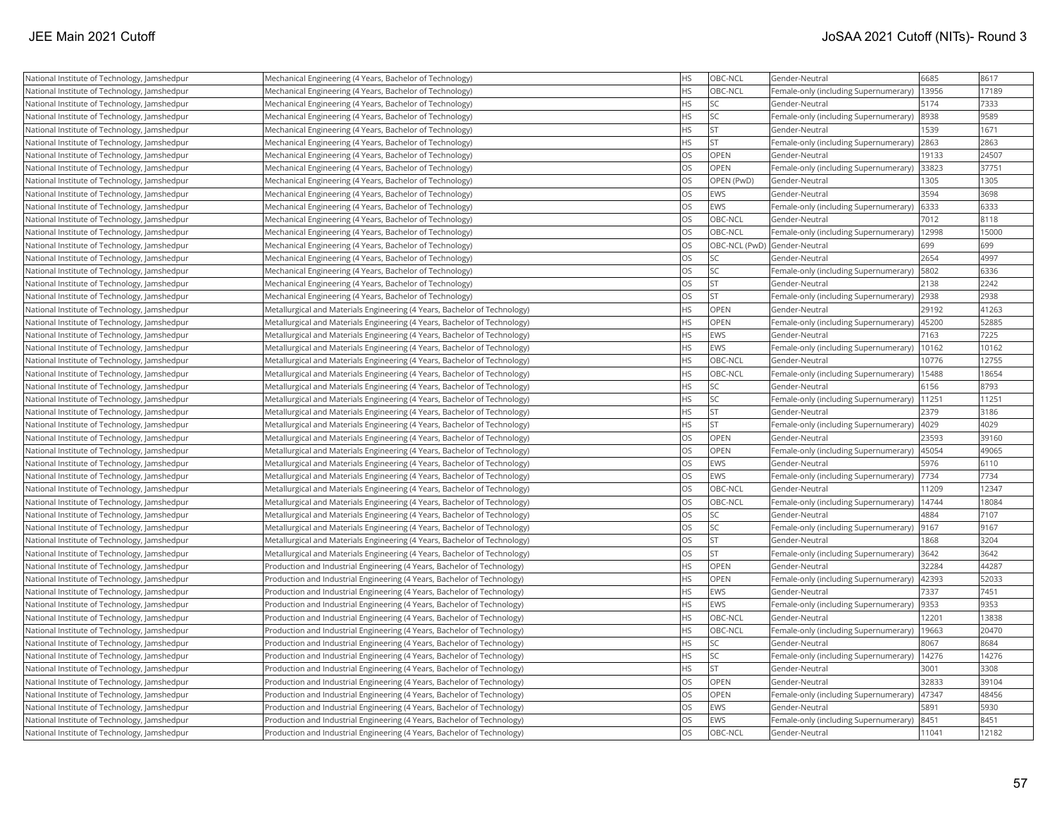| National Institute of Technology, Jamshedpur | Mechanical Engineering (4 Years, Bachelor of Technology)                  | <b>HS</b> | OBC-NCL                      | Gender-Neutral                        | 6685  | 8617  |
|----------------------------------------------|---------------------------------------------------------------------------|-----------|------------------------------|---------------------------------------|-------|-------|
| National Institute of Technology, Jamshedpur | Mechanical Engineering (4 Years, Bachelor of Technology)                  | <b>HS</b> | OBC-NCL                      | Female-only (including Supernumerary) | 13956 | 17189 |
| National Institute of Technology, Jamshedpur | Mechanical Engineering (4 Years, Bachelor of Technology)                  | <b>HS</b> | <b>SC</b>                    | Gender-Neutral                        | 5174  | 7333  |
| National Institute of Technology, Jamshedpur | Mechanical Engineering (4 Years, Bachelor of Technology)                  | <b>HS</b> | <b>SC</b>                    | Female-only (including Supernumerary) | 8938  | 9589  |
| National Institute of Technology, Jamshedpur | Mechanical Engineering (4 Years, Bachelor of Technology)                  | <b>HS</b> | <b>ST</b>                    | Gender-Neutral                        | 1539  | 1671  |
| National Institute of Technology, Jamshedpur | Mechanical Engineering (4 Years, Bachelor of Technology)                  | <b>HS</b> | lst                          | Female-only (including Supernumerary) | 2863  | 2863  |
| National Institute of Technology, Jamshedpur | Mechanical Engineering (4 Years, Bachelor of Technology)                  | OS        | OPEN                         | Gender-Neutral                        | 19133 | 24507 |
| National Institute of Technology, Jamshedpur | Mechanical Engineering (4 Years, Bachelor of Technology)                  | OS        | <b>OPEN</b>                  | Female-only (including Supernumerary) | 33823 | 37751 |
| National Institute of Technology, Jamshedpur | Mechanical Engineering (4 Years, Bachelor of Technology)                  | <b>OS</b> | OPEN (PwD)                   | Gender-Neutral                        | 1305  | 1305  |
| National Institute of Technology, Jamshedpur | Mechanical Engineering (4 Years, Bachelor of Technology)                  | OS        | <b>EWS</b>                   | Gender-Neutral                        | 3594  | 3698  |
| National Institute of Technology, Jamshedpur | Mechanical Engineering (4 Years, Bachelor of Technology)                  | <b>OS</b> | EWS                          | Female-only (including Supernumerary) | 6333  | 6333  |
| National Institute of Technology, Jamshedpur | Mechanical Engineering (4 Years, Bachelor of Technology)                  | <b>OS</b> | OBC-NCL                      | Gender-Neutral                        | 7012  | 8118  |
| National Institute of Technology, Jamshedpur | Mechanical Engineering (4 Years, Bachelor of Technology)                  | OS        | OBC-NCL                      | Female-only (including Supernumerary) | 12998 | 15000 |
| National Institute of Technology, Jamshedpur | Mechanical Engineering (4 Years, Bachelor of Technology)                  | <b>OS</b> | OBC-NCL (PwD) Gender-Neutral |                                       | 699   | 699   |
| National Institute of Technology, Jamshedpur | Mechanical Engineering (4 Years, Bachelor of Technology)                  | <b>OS</b> | <b>SC</b>                    | Gender-Neutral                        | 2654  | 4997  |
| National Institute of Technology, Jamshedpur | Mechanical Engineering (4 Years, Bachelor of Technology)                  | OS        | SC                           | Female-only (including Supernumerary) | 5802  | 6336  |
| National Institute of Technology, Jamshedpur | Mechanical Engineering (4 Years, Bachelor of Technology)                  | <b>OS</b> | İst                          | Gender-Neutral                        | 2138  | 2242  |
| National Institute of Technology, Jamshedpur | Mechanical Engineering (4 Years, Bachelor of Technology)                  | <b>OS</b> | <b>ST</b>                    | Female-only (including Supernumerary) | 2938  | 2938  |
| National Institute of Technology, Jamshedpur | Metallurgical and Materials Engineering (4 Years, Bachelor of Technology) | <b>HS</b> | OPEN                         | Gender-Neutral                        | 29192 | 41263 |
| National Institute of Technology, Jamshedpur | Metallurgical and Materials Engineering (4 Years, Bachelor of Technology) | <b>HS</b> | OPEN                         | Female-only (including Supernumerary) | 45200 | 52885 |
| National Institute of Technology, Jamshedpur | Metallurgical and Materials Engineering (4 Years, Bachelor of Technology) | <b>HS</b> | EWS                          | Gender-Neutral                        | 7163  | 7225  |
| National Institute of Technology, Jamshedpur | Metallurgical and Materials Engineering (4 Years, Bachelor of Technology) | <b>HS</b> | EWS                          | Female-only (including Supernumerary) | 10162 | 10162 |
| National Institute of Technology, Jamshedpur | Metallurgical and Materials Engineering (4 Years, Bachelor of Technology) | <b>HS</b> | OBC-NCL                      | Gender-Neutral                        | 10776 | 12755 |
| National Institute of Technology, Jamshedpur | Metallurgical and Materials Engineering (4 Years, Bachelor of Technology) | HS        | OBC-NCL                      | Female-only (including Supernumerary) | 15488 | 18654 |
| National Institute of Technology, Jamshedpur | Metallurgical and Materials Engineering (4 Years, Bachelor of Technology) | <b>HS</b> | lsc                          | Gender-Neutral                        | 6156  | 8793  |
| National Institute of Technology, Jamshedpur | Metallurgical and Materials Engineering (4 Years, Bachelor of Technology) | <b>HS</b> | SC.                          | Female-only (including Supernumerary) | 11251 | 11251 |
| National Institute of Technology, Jamshedpur | Metallurgical and Materials Engineering (4 Years, Bachelor of Technology) | <b>HS</b> | <b>ST</b>                    | Gender-Neutral                        | 2379  | 3186  |
| National Institute of Technology, Jamshedpur | Metallurgical and Materials Engineering (4 Years, Bachelor of Technology) | <b>HS</b> | lst.                         | Female-only (including Supernumerary) | 4029  | 4029  |
| National Institute of Technology, Jamshedpur | Metallurgical and Materials Engineering (4 Years, Bachelor of Technology) | OS        | <b>OPEN</b>                  | Gender-Neutral                        | 23593 | 39160 |
| National Institute of Technology, Jamshedpur | Metallurgical and Materials Engineering (4 Years, Bachelor of Technology) | OS        | OPEN                         | Female-only (including Supernumerary) | 45054 | 49065 |
| National Institute of Technology, Jamshedpur | Metallurgical and Materials Engineering (4 Years, Bachelor of Technology) | <b>OS</b> | EWS                          | Gender-Neutral                        | 5976  | 6110  |
| National Institute of Technology, Jamshedpur | Metallurgical and Materials Engineering (4 Years, Bachelor of Technology) | OS        | EWS                          | Female-only (including Supernumerary) | 7734  | 7734  |
| National Institute of Technology, Jamshedpur | Metallurgical and Materials Engineering (4 Years, Bachelor of Technology) | OS.       | OBC-NCL                      | Gender-Neutral                        | 11209 | 12347 |
| National Institute of Technology, Jamshedpur | Metallurgical and Materials Engineering (4 Years, Bachelor of Technology) | OS        | OBC-NCL                      | Female-only (including Supernumerary) | 14744 | 18084 |
| National Institute of Technology, Jamshedpur | Metallurgical and Materials Engineering (4 Years, Bachelor of Technology) | <b>OS</b> | <b>SC</b>                    | Gender-Neutral                        | 4884  | 7107  |
| National Institute of Technology, Jamshedpur | Metallurgical and Materials Engineering (4 Years, Bachelor of Technology) | OS        | <b>SC</b>                    | Female-only (including Supernumerary) | 9167  | 9167  |
| National Institute of Technology, Jamshedpur | Metallurgical and Materials Engineering (4 Years, Bachelor of Technology) | <b>OS</b> | <b>ST</b>                    | Gender-Neutral                        | 1868  | 3204  |
| National Institute of Technology, Jamshedpur | Metallurgical and Materials Engineering (4 Years, Bachelor of Technology) | <b>OS</b> | lst                          | Female-only (including Supernumerary) | 3642  | 3642  |
| National Institute of Technology, Jamshedpur | Production and Industrial Engineering (4 Years, Bachelor of Technology)   | <b>HS</b> | OPEN                         | Gender-Neutral                        | 32284 | 44287 |
| National Institute of Technology, Jamshedpur | Production and Industrial Engineering (4 Years, Bachelor of Technology)   | HS        | <b>OPEN</b>                  | Female-only (including Supernumerary) | 42393 | 52033 |
| National Institute of Technology, Jamshedpur | Production and Industrial Engineering (4 Years, Bachelor of Technology)   | <b>HS</b> | <b>EWS</b>                   | Gender-Neutral                        | 7337  | 7451  |
| National Institute of Technology, Jamshedpur | Production and Industrial Engineering (4 Years, Bachelor of Technology)   | <b>HS</b> | <b>EWS</b>                   | Female-only (including Supernumerary) | 9353  | 9353  |
| National Institute of Technology, Jamshedpur | Production and Industrial Engineering (4 Years, Bachelor of Technology)   | <b>HS</b> | OBC-NCL                      | Gender-Neutral                        | 12201 | 13838 |
| National Institute of Technology, Jamshedpur | Production and Industrial Engineering (4 Years, Bachelor of Technology)   | <b>HS</b> | OBC-NCL                      | Female-only (including Supernumerary) | 19663 | 20470 |
| National Institute of Technology, Jamshedpur | Production and Industrial Engineering (4 Years, Bachelor of Technology)   | <b>HS</b> | <b>SC</b>                    | Gender-Neutral                        | 8067  | 8684  |
| National Institute of Technology, Jamshedpur | Production and Industrial Engineering (4 Years, Bachelor of Technology)   | <b>HS</b> | <b>SC</b>                    | Female-only (including Supernumerary) | 14276 | 14276 |
| National Institute of Technology, Jamshedpur | Production and Industrial Engineering (4 Years, Bachelor of Technology)   | <b>HS</b> | <b>ST</b>                    | Gender-Neutral                        | 3001  | 3308  |
| National Institute of Technology, Jamshedpur | Production and Industrial Engineering (4 Years, Bachelor of Technology)   | OS        | <b>OPEN</b>                  | Gender-Neutral                        | 32833 | 39104 |
| National Institute of Technology, Jamshedpur | Production and Industrial Engineering (4 Years, Bachelor of Technology)   | OS.       | <b>OPEN</b>                  | Female-only (including Supernumerary) | 47347 | 48456 |
| National Institute of Technology, Jamshedpur | Production and Industrial Engineering (4 Years, Bachelor of Technology)   | <b>OS</b> | <b>EWS</b>                   | Gender-Neutral                        | 5891  | 5930  |
| National Institute of Technology, Jamshedpur | Production and Industrial Engineering (4 Years, Bachelor of Technology)   | <b>OS</b> | <b>EWS</b>                   | Female-only (including Supernumerary) | 8451  | 8451  |
| National Institute of Technology, Jamshedpur | Production and Industrial Engineering (4 Years, Bachelor of Technology)   | <b>OS</b> | OBC-NCL                      | Gender-Neutral                        | 11041 | 12182 |
|                                              |                                                                           |           |                              |                                       |       |       |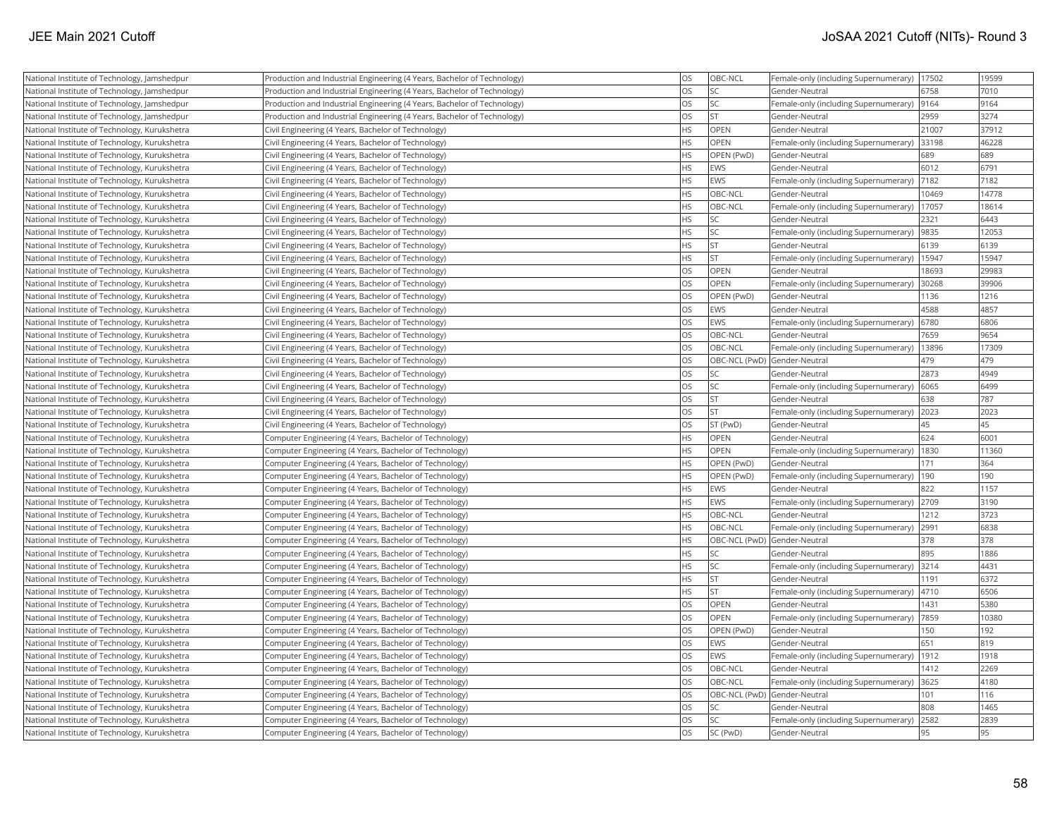| National Institute of Technology, Jamshedpur  | Production and Industrial Engineering (4 Years, Bachelor of Technology) | OS        | OBC-NCL                      | Female-only (including Supernumerary)   17502 |       | 19599 |
|-----------------------------------------------|-------------------------------------------------------------------------|-----------|------------------------------|-----------------------------------------------|-------|-------|
| National Institute of Technology, Jamshedpur  | Production and Industrial Engineering (4 Years, Bachelor of Technology) | OS        | SC                           | Gender-Neutral                                | 6758  | 7010  |
| National Institute of Technology, Jamshedpur  | Production and Industrial Engineering (4 Years, Bachelor of Technology) | OS        | SC.                          | Female-only (including Supernumerary)         | 9164  | 9164  |
| National Institute of Technology, Jamshedpur  | Production and Industrial Engineering (4 Years, Bachelor of Technology) | OS        | <b>ST</b>                    | Gender-Neutral                                | 2959  | 3274  |
| National Institute of Technology, Kurukshetra | Civil Engineering (4 Years, Bachelor of Technology)                     | <b>HS</b> | <b>OPEN</b>                  | Gender-Neutral                                | 21007 | 37912 |
| National Institute of Technology, Kurukshetra | Civil Engineering (4 Years, Bachelor of Technology)                     | <b>HS</b> | <b>OPEN</b>                  | Female-only (including Supernumerary) 33198   |       | 46228 |
| National Institute of Technology, Kurukshetra | Civil Engineering (4 Years, Bachelor of Technology)                     | <b>HS</b> | OPEN (PwD)                   | Gender-Neutral                                | 689   | 689   |
| National Institute of Technology, Kurukshetra | Civil Engineering (4 Years, Bachelor of Technology)                     | HS        | EWS                          | Gender-Neutral                                | 6012  | 6791  |
| National Institute of Technology, Kurukshetra | Civil Engineering (4 Years, Bachelor of Technology)                     | HS        | <b>EWS</b>                   | Female-only (including Supernumerary)         | 7182  | 7182  |
| National Institute of Technology, Kurukshetra | Civil Engineering (4 Years, Bachelor of Technology)                     | <b>HS</b> | OBC-NCL                      | Gender-Neutral                                | 10469 | 14778 |
| National Institute of Technology, Kurukshetra | Civil Engineering (4 Years, Bachelor of Technology)                     | HS        | OBC-NCL                      | Female-only (including Supernumerary)         | 17057 | 18614 |
| National Institute of Technology, Kurukshetra | Civil Engineering (4 Years, Bachelor of Technology)                     | HS        | SC.                          | Gender-Neutral                                | 2321  | 6443  |
| National Institute of Technology, Kurukshetra | Civil Engineering (4 Years, Bachelor of Technology)                     | <b>HS</b> | SC                           | Female-only (including Supernumerary)         | 9835  | 12053 |
| National Institute of Technology, Kurukshetra | Civil Engineering (4 Years, Bachelor of Technology)                     | <b>HS</b> | <b>ST</b>                    | Gender-Neutral                                | 6139  | 6139  |
| National Institute of Technology, Kurukshetra | Civil Engineering (4 Years, Bachelor of Technology)                     | <b>HS</b> | <b>ST</b>                    | Female-only (including Supernumerary)         | 15947 | 15947 |
| National Institute of Technology, Kurukshetra | Civil Engineering (4 Years, Bachelor of Technology)                     | OS        | OPEN                         | Gender-Neutral                                | 18693 | 29983 |
| National Institute of Technology, Kurukshetra | Civil Engineering (4 Years, Bachelor of Technology)                     | OS        | OPEN                         | Female-only (including Supernumerary)         | 30268 | 39906 |
| National Institute of Technology, Kurukshetra | Civil Engineering (4 Years, Bachelor of Technology)                     | OS        | OPEN (PwD)                   | Gender-Neutral                                | 1136  | 1216  |
| National Institute of Technology, Kurukshetra | Civil Engineering (4 Years, Bachelor of Technology)                     | OS        | <b>EWS</b>                   | Gender-Neutral                                | 4588  | 4857  |
| National Institute of Technology, Kurukshetra | Civil Engineering (4 Years, Bachelor of Technology)                     | OS        | EWS                          | Female-only (including Supernumerary)         | 6780  | 6806  |
| National Institute of Technology, Kurukshetra | Civil Engineering (4 Years, Bachelor of Technology)                     | <b>OS</b> | OBC-NCL                      | Gender-Neutral                                | 7659  | 9654  |
| National Institute of Technology, Kurukshetra | Civil Engineering (4 Years, Bachelor of Technology)                     | OS        | OBC-NCL                      | Female-only (including Supernumerary)         | 13896 | 17309 |
| National Institute of Technology, Kurukshetra | Civil Engineering (4 Years, Bachelor of Technology)                     | OS        | OBC-NCL (PwD) Gender-Neutral |                                               | 479   | 479   |
| National Institute of Technology, Kurukshetra | Civil Engineering (4 Years, Bachelor of Technology)                     | OS        | SC                           | Gender-Neutral                                | 2873  | 4949  |
| National Institute of Technology, Kurukshetra | Civil Engineering (4 Years, Bachelor of Technology)                     | OS        | SC                           | Female-only (including Supernumerary)         | 6065  | 6499  |
| National Institute of Technology, Kurukshetra | Civil Engineering (4 Years, Bachelor of Technology)                     | OS        | <b>ST</b>                    | Gender-Neutral                                | 638   | 787   |
| National Institute of Technology, Kurukshetra | Civil Engineering (4 Years, Bachelor of Technology)                     | OS        | ST.                          | Female-only (including Supernumerary)         | 2023  | 2023  |
| National Institute of Technology, Kurukshetra | Civil Engineering (4 Years, Bachelor of Technology)                     | OS        | ST (PwD)                     | Gender-Neutral                                | 45    | 45    |
| National Institute of Technology, Kurukshetra | Computer Engineering (4 Years, Bachelor of Technology)                  | HS        | OPEN                         | Gender-Neutral                                | 624   | 6001  |
| National Institute of Technology, Kurukshetra | Computer Engineering (4 Years, Bachelor of Technology)                  | <b>HS</b> | <b>OPEN</b>                  | Female-only (including Supernumerary)   1830  |       | 11360 |
| National Institute of Technology, Kurukshetra | Computer Engineering (4 Years, Bachelor of Technology)                  | HS        | OPEN (PwD)                   | Gender-Neutral                                | 171   | 364   |
| National Institute of Technology, Kurukshetra | Computer Engineering (4 Years, Bachelor of Technology)                  | <b>HS</b> | OPEN (PwD)                   | Female-only (including Supernumerary)         | 190   | 190   |
| National Institute of Technology, Kurukshetra | Computer Engineering (4 Years, Bachelor of Technology)                  | <b>HS</b> | EWS                          | Gender-Neutral                                | 822   | 1157  |
| National Institute of Technology, Kurukshetra | Computer Engineering (4 Years, Bachelor of Technology)                  | HS        | EWS                          | Female-only (including Supernumerary)         | 2709  | 3190  |
| National Institute of Technology, Kurukshetra | Computer Engineering (4 Years, Bachelor of Technology)                  | HS        | OBC-NCL                      | Gender-Neutral                                | 1212  | 3723  |
| National Institute of Technology, Kurukshetra | Computer Engineering (4 Years, Bachelor of Technology)                  | HS        | OBC-NCL                      | Female-only (including Supernumerary)         | 2991  | 6838  |
| National Institute of Technology, Kurukshetra | Computer Engineering (4 Years, Bachelor of Technology)                  | HS        | OBC-NCL (PwD) Gender-Neutral |                                               | 378   | 378   |
| National Institute of Technology, Kurukshetra | Computer Engineering (4 Years, Bachelor of Technology)                  | <b>HS</b> | SC                           | Gender-Neutral                                | 895   | 1886  |
| National Institute of Technology, Kurukshetra | Computer Engineering (4 Years, Bachelor of Technology)                  | <b>HS</b> | SC.                          | Female-only (including Supernumerary) 3214    |       | 4431  |
| National Institute of Technology, Kurukshetra | Computer Engineering (4 Years, Bachelor of Technology)                  | ΗS        | ST                           | Gender-Neutral                                | 1191  | 6372  |
| National Institute of Technology, Kurukshetra | Computer Engineering (4 Years, Bachelor of Technology)                  | <b>HS</b> | <b>ST</b>                    | Female-only (including Supernumerary)         | 4710  | 6506  |
| National Institute of Technology, Kurukshetra | Computer Engineering (4 Years, Bachelor of Technology)                  | OS        | OPEN                         | Gender-Neutral                                | 1431  | 5380  |
| National Institute of Technology, Kurukshetra | Computer Engineering (4 Years, Bachelor of Technology)                  | OS        | OPEN                         | Female-only (including Supernumerary)         | 7859  | 10380 |
| National Institute of Technology, Kurukshetra | Computer Engineering (4 Years, Bachelor of Technology)                  | OS        | OPEN (PwD)                   | Gender-Neutral                                | 150   | 192   |
| National Institute of Technology, Kurukshetra | Computer Engineering (4 Years, Bachelor of Technology)                  | OS        | EWS                          | Gender-Neutral                                | 651   | 819   |
| National Institute of Technology, Kurukshetra | Computer Engineering (4 Years, Bachelor of Technology)                  | <b>OS</b> | EWS                          | Female-only (including Supernumerary)         | 1912  | 1918  |
| National Institute of Technology, Kurukshetra | Computer Engineering (4 Years, Bachelor of Technology)                  | <b>OS</b> | OBC-NCL                      | Gender-Neutral                                | 1412  | 2269  |
| National Institute of Technology, Kurukshetra | Computer Engineering (4 Years, Bachelor of Technology)                  | OS        | OBC-NCL                      | Female-only (including Supernumerary) 3625    |       | 4180  |
| National Institute of Technology, Kurukshetra | Computer Engineering (4 Years, Bachelor of Technology)                  | OS        | OBC-NCL (PwD) Gender-Neutral |                                               | 101   | 116   |
| National Institute of Technology, Kurukshetra | Computer Engineering (4 Years, Bachelor of Technology)                  | OS        | SC                           | Gender-Neutral                                | 808   | 1465  |
| National Institute of Technology, Kurukshetra | Computer Engineering (4 Years, Bachelor of Technology)                  | OS        | SC.                          | Female-only (including Supernumerary)         | 2582  | 2839  |
| National Institute of Technology, Kurukshetra | Computer Engineering (4 Years, Bachelor of Technology)                  | OS        | SC (PwD)                     | Gender-Neutral                                | 95    | 95    |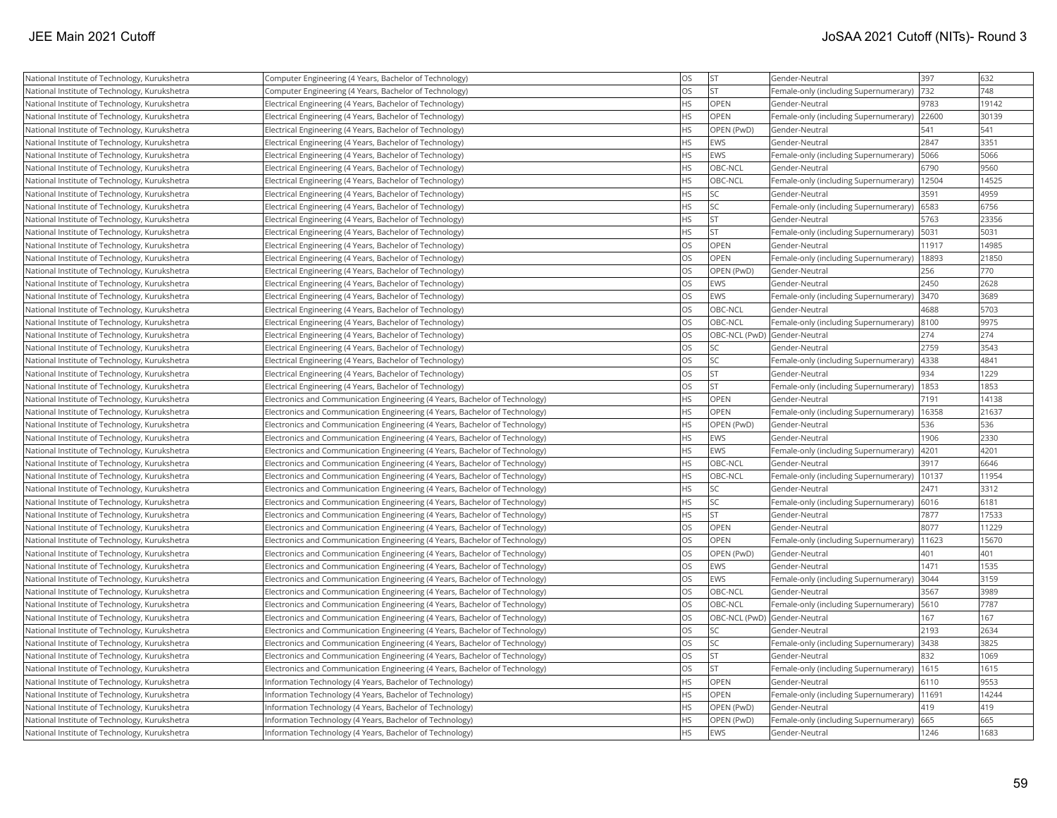| National Institute of Technology, Kurukshetra | Computer Engineering (4 Years, Bachelor of Technology)                      | OS        | <b>ST</b>                    | Gender-Neutral                        | 397   | 632   |
|-----------------------------------------------|-----------------------------------------------------------------------------|-----------|------------------------------|---------------------------------------|-------|-------|
| National Institute of Technology, Kurukshetra | Computer Engineering (4 Years, Bachelor of Technology)                      | OS        | <b>ST</b>                    | Female-only (including Supernumerary) | 732   | 748   |
| National Institute of Technology, Kurukshetra | Electrical Engineering (4 Years, Bachelor of Technology)                    | <b>HS</b> | OPEN                         | Gender-Neutral                        | 9783  | 19142 |
| National Institute of Technology, Kurukshetra | Electrical Engineering (4 Years, Bachelor of Technology)                    | <b>HS</b> | OPEN                         | Female-only (including Supernumerary) | 22600 | 30139 |
| National Institute of Technology, Kurukshetra | Electrical Engineering (4 Years, Bachelor of Technology)                    | <b>HS</b> | OPEN (PwD)                   | Gender-Neutral                        | 541   | 541   |
| National Institute of Technology, Kurukshetra | Electrical Engineering (4 Years, Bachelor of Technology)                    | <b>HS</b> | EWS                          | Gender-Neutral                        | 2847  | 3351  |
| National Institute of Technology, Kurukshetra | Electrical Engineering (4 Years, Bachelor of Technology)                    | <b>HS</b> | EWS                          | Female-only (including Supernumerary) | 5066  | 5066  |
| National Institute of Technology, Kurukshetra | Electrical Engineering (4 Years, Bachelor of Technology)                    | HS.       | OBC-NCL                      | Gender-Neutral                        | 6790  | 9560  |
| National Institute of Technology, Kurukshetra | Electrical Engineering (4 Years, Bachelor of Technology)                    | <b>HS</b> | OBC-NCL                      | Female-only (including Supernumerary) | 12504 | 14525 |
| National Institute of Technology, Kurukshetra | Electrical Engineering (4 Years, Bachelor of Technology)                    | <b>HS</b> | <b>SC</b>                    | Gender-Neutral                        | 3591  | 4959  |
| National Institute of Technology, Kurukshetra | Electrical Engineering (4 Years, Bachelor of Technology)                    | HS        | <b>SC</b>                    | Female-only (including Supernumerary) | 6583  | 6756  |
| National Institute of Technology, Kurukshetra | Electrical Engineering (4 Years, Bachelor of Technology)                    | <b>HS</b> | <b>ST</b>                    | Gender-Neutral                        | 5763  | 23356 |
| National Institute of Technology, Kurukshetra | Electrical Engineering (4 Years, Bachelor of Technology)                    | <b>HS</b> | lst                          | Female-only (including Supernumerary) | 5031  | 5031  |
| National Institute of Technology, Kurukshetra | Electrical Engineering (4 Years, Bachelor of Technology)                    | OS        | OPEN                         | Gender-Neutral                        | 11917 | 14985 |
| National Institute of Technology, Kurukshetra | Electrical Engineering (4 Years, Bachelor of Technology)                    | OS        | OPEN                         | Female-only (including Supernumerary) | 18893 | 21850 |
| National Institute of Technology, Kurukshetra | Electrical Engineering (4 Years, Bachelor of Technology)                    | <b>OS</b> | OPEN (PwD)                   | Gender-Neutral                        | 256   | 770   |
| National Institute of Technology, Kurukshetra | Electrical Engineering (4 Years, Bachelor of Technology)                    | <b>OS</b> | <b>EWS</b>                   | Gender-Neutral                        | 2450  | 2628  |
| National Institute of Technology, Kurukshetra | Electrical Engineering (4 Years, Bachelor of Technology)                    | OS        | EWS                          | Female-only (including Supernumerary) | 3470  | 3689  |
| National Institute of Technology, Kurukshetra | Electrical Engineering (4 Years, Bachelor of Technology)                    | <b>OS</b> | OBC-NCL                      | Gender-Neutral                        | 4688  | 5703  |
| National Institute of Technology, Kurukshetra | Electrical Engineering (4 Years, Bachelor of Technology)                    | <b>OS</b> | OBC-NCL                      | Female-only (including Supernumerary) | 8100  | 9975  |
| National Institute of Technology, Kurukshetra | Electrical Engineering (4 Years, Bachelor of Technology)                    | OS        | OBC-NCL (PwD) Gender-Neutral |                                       | 274   | 274   |
| National Institute of Technology, Kurukshetra | Electrical Engineering (4 Years, Bachelor of Technology)                    | OS        | <b>SC</b>                    | Gender-Neutral                        | 2759  | 3543  |
| National Institute of Technology, Kurukshetra | Electrical Engineering (4 Years, Bachelor of Technology)                    | OS        | <b>SC</b>                    | Female-only (including Supernumerary) | 4338  | 4841  |
| National Institute of Technology, Kurukshetra | Electrical Engineering (4 Years, Bachelor of Technology)                    | <b>OS</b> | lst                          | Gender-Neutral                        | 934   | 1229  |
| National Institute of Technology, Kurukshetra | Electrical Engineering (4 Years, Bachelor of Technology)                    | <b>OS</b> | İst                          | Female-only (including Supernumerary) | 1853  | 1853  |
| National Institute of Technology, Kurukshetra | Electronics and Communication Engineering (4 Years, Bachelor of Technology) | <b>HS</b> | OPEN                         | Gender-Neutral                        | 7191  | 14138 |
| National Institute of Technology, Kurukshetra | Electronics and Communication Engineering (4 Years, Bachelor of Technology) | <b>HS</b> | OPEN                         | Female-only (including Supernumerary) | 16358 | 21637 |
| National Institute of Technology, Kurukshetra | Electronics and Communication Engineering (4 Years, Bachelor of Technology) | <b>HS</b> | OPEN (PwD)                   | Gender-Neutral                        | 536   | 536   |
| National Institute of Technology, Kurukshetra | Electronics and Communication Engineering (4 Years, Bachelor of Technology) | <b>HS</b> | EWS                          | Gender-Neutral                        | 1906  | 2330  |
| National Institute of Technology, Kurukshetra | Electronics and Communication Engineering (4 Years, Bachelor of Technology) | <b>HS</b> | EWS                          | Female-only (including Supernumerary) | 4201  | 4201  |
| National Institute of Technology, Kurukshetra | Electronics and Communication Engineering (4 Years, Bachelor of Technology) | <b>HS</b> | OBC-NCL                      | Gender-Neutral                        | 3917  | 6646  |
| National Institute of Technology, Kurukshetra | Electronics and Communication Engineering (4 Years, Bachelor of Technology) | <b>HS</b> | OBC-NCL                      | Female-only (including Supernumerary) | 10137 | 11954 |
| National Institute of Technology, Kurukshetra | Electronics and Communication Engineering (4 Years, Bachelor of Technology) | HS        | SC                           | Gender-Neutral                        | 2471  | 3312  |
| National Institute of Technology, Kurukshetra | Electronics and Communication Engineering (4 Years, Bachelor of Technology) | <b>HS</b> | <b>SC</b>                    | Female-only (including Supernumerary) | 6016  | 6181  |
| National Institute of Technology, Kurukshetra | Electronics and Communication Engineering (4 Years, Bachelor of Technology) | <b>HS</b> | lst.                         | Gender-Neutral                        | 7877  | 17533 |
| National Institute of Technology, Kurukshetra | Electronics and Communication Engineering (4 Years, Bachelor of Technology) | <b>OS</b> | OPEN                         | Gender-Neutral                        | 8077  | 11229 |
| National Institute of Technology, Kurukshetra | Electronics and Communication Engineering (4 Years, Bachelor of Technology) | OS        | <b>OPEN</b>                  | Female-only (including Supernumerary) | 11623 | 15670 |
| National Institute of Technology, Kurukshetra | Electronics and Communication Engineering (4 Years, Bachelor of Technology) | OS        | OPEN (PwD)                   | Gender-Neutral                        | 401   | 401   |
| National Institute of Technology, Kurukshetra | Electronics and Communication Engineering (4 Years, Bachelor of Technology) | OS        | EWS                          | Gender-Neutral                        | 1471  | 1535  |
| National Institute of Technology, Kurukshetra | Electronics and Communication Engineering (4 Years, Bachelor of Technology) | <b>OS</b> | <b>EWS</b>                   | Female-only (including Supernumerary) | 3044  | 3159  |
| National Institute of Technology, Kurukshetra | Electronics and Communication Engineering (4 Years, Bachelor of Technology) | <b>OS</b> | OBC-NCL                      | Gender-Neutral                        | 3567  | 3989  |
| National Institute of Technology, Kurukshetra | Electronics and Communication Engineering (4 Years, Bachelor of Technology) | OS        | OBC-NCL                      | Female-only (including Supernumerary) | 5610  | 7787  |
| National Institute of Technology, Kurukshetra | Electronics and Communication Engineering (4 Years, Bachelor of Technology) | <b>OS</b> | OBC-NCL (PwD) Gender-Neutral |                                       | 167   | 167   |
| National Institute of Technology, Kurukshetra | Electronics and Communication Engineering (4 Years, Bachelor of Technology) | <b>OS</b> | <b>SC</b>                    | Gender-Neutral                        | 2193  | 2634  |
| National Institute of Technology, Kurukshetra | Electronics and Communication Engineering (4 Years, Bachelor of Technology) | <b>OS</b> | <b>SC</b>                    | Female-only (including Supernumerary) | 3438  | 3825  |
| National Institute of Technology, Kurukshetra | Electronics and Communication Engineering (4 Years, Bachelor of Technology) | OS        | <b>ST</b>                    | Gender-Neutral                        | 832   | 1069  |
| National Institute of Technology, Kurukshetra | Electronics and Communication Engineering (4 Years, Bachelor of Technology) | OS        | <b>ST</b>                    | Female-only (including Supernumerary) | 1615  | 1615  |
| National Institute of Technology, Kurukshetra | Information Technology (4 Years, Bachelor of Technology)                    | <b>HS</b> | <b>OPEN</b>                  | Gender-Neutral                        | 6110  | 9553  |
| National Institute of Technology, Kurukshetra | Information Technology (4 Years, Bachelor of Technology)                    | HS.       | OPEN                         | Female-only (including Supernumerary) | 11691 | 14244 |
| National Institute of Technology, Kurukshetra | Information Technology (4 Years, Bachelor of Technology)                    | <b>HS</b> | OPEN (PwD)                   | Gender-Neutral                        | 419   | 419   |
| National Institute of Technology, Kurukshetra | Information Technology (4 Years, Bachelor of Technology)                    | HS.       | OPEN (PwD)                   | Female-only (including Supernumerary) | 665   | 665   |
| National Institute of Technology, Kurukshetra | Information Technology (4 Years, Bachelor of Technology)                    | <b>HS</b> | <b>EWS</b>                   | Gender-Neutral                        | 1246  | 1683  |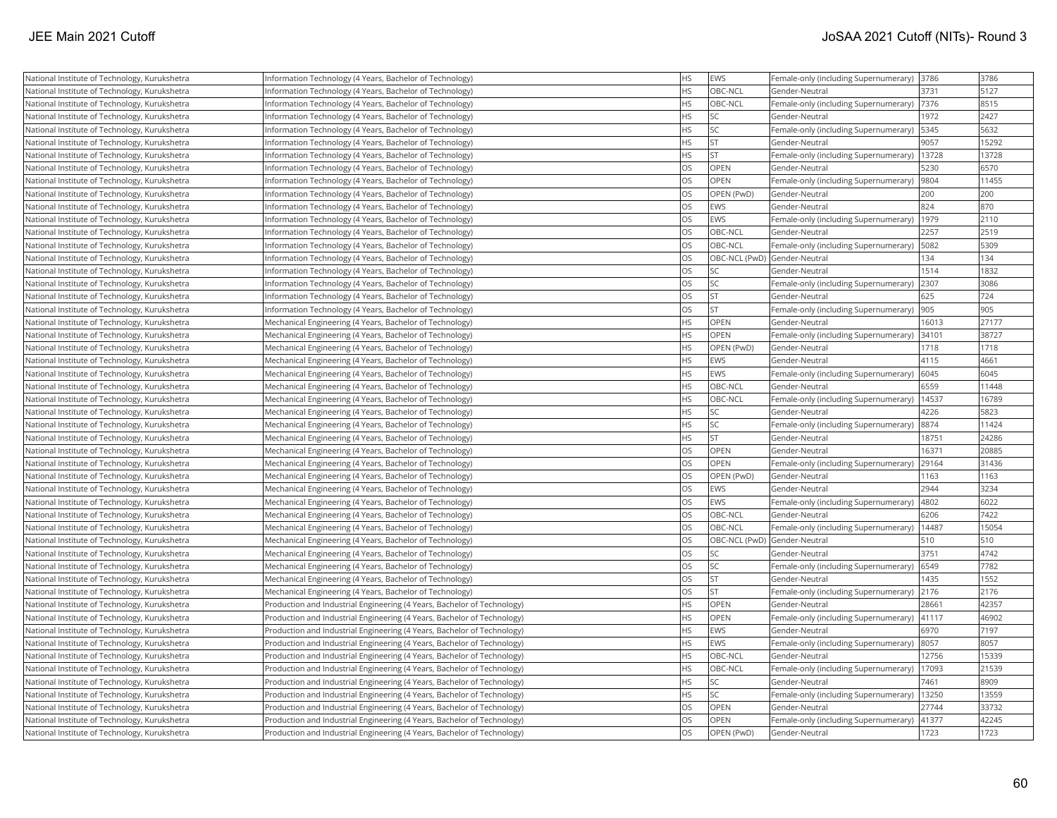| National Institute of Technology, Kurukshetra | Information Technology (4 Years, Bachelor of Technology)                | HS        | EWS                          | Female-only (including Supernumerary) 3786 |       | 3786  |
|-----------------------------------------------|-------------------------------------------------------------------------|-----------|------------------------------|--------------------------------------------|-------|-------|
| National Institute of Technology, Kurukshetra | Information Technology (4 Years, Bachelor of Technology)                | <b>HS</b> | OBC-NCL                      | Gender-Neutral                             | 3731  | 5127  |
| National Institute of Technology, Kurukshetra | Information Technology (4 Years, Bachelor of Technology)                | <b>HS</b> | OBC-NCL                      | Female-only (including Supernumerary)      | 7376  | 8515  |
| National Institute of Technology, Kurukshetra | Information Technology (4 Years, Bachelor of Technology)                | <b>HS</b> | <b>SC</b>                    | Gender-Neutral                             | 1972  | 2427  |
| National Institute of Technology, Kurukshetra | Information Technology (4 Years, Bachelor of Technology)                | <b>HS</b> | <b>SC</b>                    | Female-only (including Supernumerary)      | 5345  | 5632  |
| National Institute of Technology, Kurukshetra | Information Technology (4 Years, Bachelor of Technology)                | <b>HS</b> | <b>ST</b>                    | Gender-Neutral                             | 9057  | 15292 |
| National Institute of Technology, Kurukshetra | Information Technology (4 Years, Bachelor of Technology)                | <b>HS</b> | İst                          | Female-only (including Supernumerary)      | 13728 | 13728 |
| National Institute of Technology, Kurukshetra | Information Technology (4 Years, Bachelor of Technology)                | <b>OS</b> | <b>OPEN</b>                  | Gender-Neutral                             | 5230  | 6570  |
| National Institute of Technology, Kurukshetra | Information Technology (4 Years, Bachelor of Technology)                | <b>OS</b> | OPEN                         | [Female-only (including Supernumerary)     | 9804  | 11455 |
| National Institute of Technology, Kurukshetra | Information Technology (4 Years, Bachelor of Technology)                | <b>OS</b> | OPEN (PwD)                   | Gender-Neutral                             | 200   | 200   |
| National Institute of Technology, Kurukshetra | Information Technology (4 Years, Bachelor of Technology)                | OS        | EWS                          | Gender-Neutral                             | 824   | 870   |
| National Institute of Technology, Kurukshetra | Information Technology (4 Years, Bachelor of Technology)                | <b>OS</b> | EWS                          | Female-only (including Supernumerary)      | 1979  | 2110  |
| National Institute of Technology, Kurukshetra | Information Technology (4 Years, Bachelor of Technology)                | OS        | OBC-NCL                      | Gender-Neutral                             | 2257  | 2519  |
| National Institute of Technology, Kurukshetra | Information Technology (4 Years, Bachelor of Technology)                | <b>OS</b> | OBC-NCL                      | Female-only (including Supernumerary)      | 5082  | 5309  |
| National Institute of Technology, Kurukshetra | Information Technology (4 Years, Bachelor of Technology)                | OS        | OBC-NCL (PwD) Gender-Neutral |                                            | 134   | 134   |
| National Institute of Technology, Kurukshetra | Information Technology (4 Years, Bachelor of Technology)                | OS        | <b>SC</b>                    | Gender-Neutral                             | 1514  | 1832  |
| National Institute of Technology, Kurukshetra | Information Technology (4 Years, Bachelor of Technology)                | OS        | <b>SC</b>                    | Female-only (including Supernumerary)      | 2307  | 3086  |
| National Institute of Technology, Kurukshetra | Information Technology (4 Years, Bachelor of Technology)                | <b>OS</b> | <b>ST</b>                    | Gender-Neutral                             | 625   | 724   |
| National Institute of Technology, Kurukshetra | Information Technology (4 Years, Bachelor of Technology)                | OS        | <b>ST</b>                    | Female-only (including Supernumerary)      | 905   | 905   |
| National Institute of Technology, Kurukshetra | Mechanical Engineering (4 Years, Bachelor of Technology)                | <b>HS</b> | <b>OPEN</b>                  | Gender-Neutral                             | 16013 | 27177 |
| National Institute of Technology, Kurukshetra | Mechanical Engineering (4 Years, Bachelor of Technology)                | <b>HS</b> | <b>OPEN</b>                  | Female-only (including Supernumerary)      | 34101 | 38727 |
| National Institute of Technology, Kurukshetra | Mechanical Engineering (4 Years, Bachelor of Technology)                | <b>HS</b> | OPEN (PwD)                   | Gender-Neutral                             | 1718  | 1718  |
| National Institute of Technology, Kurukshetra | Mechanical Engineering (4 Years, Bachelor of Technology)                | <b>HS</b> | <b>EWS</b>                   | Gender-Neutral                             | 4115  | 4661  |
| National Institute of Technology, Kurukshetra | Mechanical Engineering (4 Years, Bachelor of Technology)                | <b>HS</b> | EWS                          | Female-only (including Supernumerary)      | 6045  | 6045  |
| National Institute of Technology, Kurukshetra | Mechanical Engineering (4 Years, Bachelor of Technology)                | <b>HS</b> | OBC-NCL                      | Gender-Neutral                             | 6559  | 11448 |
| National Institute of Technology, Kurukshetra | Mechanical Engineering (4 Years, Bachelor of Technology)                | HS        | OBC-NCL                      | Female-only (including Supernumerary)      | 14537 | 16789 |
| National Institute of Technology, Kurukshetra | Mechanical Engineering (4 Years, Bachelor of Technology)                | HS        | <b>SC</b>                    | Gender-Neutral                             | 4226  | 5823  |
| National Institute of Technology, Kurukshetra | Mechanical Engineering (4 Years, Bachelor of Technology)                | <b>HS</b> | <b>SC</b>                    | Female-only (including Supernumerary)      | 8874  | 11424 |
| National Institute of Technology, Kurukshetra | Mechanical Engineering (4 Years, Bachelor of Technology)                | <b>HS</b> | lst                          | Gender-Neutral                             | 18751 | 24286 |
| National Institute of Technology, Kurukshetra | Mechanical Engineering (4 Years, Bachelor of Technology)                | OS        | <b>OPEN</b>                  | Gender-Neutral                             | 16371 | 20885 |
| National Institute of Technology, Kurukshetra | Mechanical Engineering (4 Years, Bachelor of Technology)                | OS        | <b>OPEN</b>                  | Female-only (including Supernumerary)      | 29164 | 31436 |
| National Institute of Technology, Kurukshetra | Mechanical Engineering (4 Years, Bachelor of Technology)                | OS        | OPEN (PwD)                   | Gender-Neutral                             | 1163  | 1163  |
| National Institute of Technology, Kurukshetra | Mechanical Engineering (4 Years, Bachelor of Technology)                | <b>OS</b> | EWS                          | Gender-Neutral                             | 2944  | 3234  |
| National Institute of Technology, Kurukshetra | Mechanical Engineering (4 Years, Bachelor of Technology)                | OS        | EWS                          | Female-only (including Supernumerary)      | 4802  | 6022  |
| National Institute of Technology, Kurukshetra | Mechanical Engineering (4 Years, Bachelor of Technology)                | OS        | OBC-NCL                      | Gender-Neutral                             | 6206  | 7422  |
| National Institute of Technology, Kurukshetra | Mechanical Engineering (4 Years, Bachelor of Technology)                | OS        | OBC-NCL                      | Female-only (including Supernumerary)      | 14487 | 15054 |
| National Institute of Technology, Kurukshetra | Mechanical Engineering (4 Years, Bachelor of Technology)                | OS        | OBC-NCL (PwD) Gender-Neutral |                                            | 510   | 510   |
| National Institute of Technology, Kurukshetra | Mechanical Engineering (4 Years, Bachelor of Technology)                | OS        | <b>SC</b>                    | Gender-Neutral                             | 3751  | 4742  |
| National Institute of Technology, Kurukshetra | Mechanical Engineering (4 Years, Bachelor of Technology)                | <b>OS</b> | <b>SC</b>                    | Female-only (including Supernumerary)      | 6549  | 7782  |
| National Institute of Technology, Kurukshetra | Mechanical Engineering (4 Years, Bachelor of Technology)                | OS        | <b>ST</b>                    | Gender-Neutral                             | 1435  | 1552  |
| National Institute of Technology, Kurukshetra | Mechanical Engineering (4 Years, Bachelor of Technology)                | OS        | <b>ST</b>                    | Female-only (including Supernumerary)      | 2176  | 2176  |
| National Institute of Technology, Kurukshetra | Production and Industrial Engineering (4 Years, Bachelor of Technology) | <b>HS</b> | OPEN                         | Gender-Neutral                             | 28661 | 42357 |
| National Institute of Technology, Kurukshetra | Production and Industrial Engineering (4 Years, Bachelor of Technology) | HS        | OPEN                         | Female-only (including Supernumerary)      | 41117 | 46902 |
| National Institute of Technology, Kurukshetra | Production and Industrial Engineering (4 Years, Bachelor of Technology) | <b>HS</b> | EWS                          | Gender-Neutral                             | 6970  | 7197  |
| National Institute of Technology, Kurukshetra | Production and Industrial Engineering (4 Years, Bachelor of Technology) | <b>HS</b> | EWS                          | Female-only (including Supernumerary)      | 8057  | 8057  |
| National Institute of Technology, Kurukshetra | Production and Industrial Engineering (4 Years, Bachelor of Technology) | HS        | OBC-NCL                      | Gender-Neutral                             | 12756 | 15339 |
| National Institute of Technology, Kurukshetra | Production and Industrial Engineering (4 Years, Bachelor of Technology) | HS        | OBC-NCL                      | Female-only (including Supernumerary)      | 17093 | 21539 |
| National Institute of Technology, Kurukshetra | Production and Industrial Engineering (4 Years, Bachelor of Technology) | <b>HS</b> | <b>SC</b>                    | Gender-Neutral                             | 7461  | 8909  |
| National Institute of Technology, Kurukshetra | Production and Industrial Engineering (4 Years, Bachelor of Technology) | <b>HS</b> | SC                           | Female-only (including Supernumerary)      | 13250 | 13559 |
| National Institute of Technology, Kurukshetra | Production and Industrial Engineering (4 Years, Bachelor of Technology) | <b>OS</b> | <b>OPEN</b>                  | Gender-Neutral                             | 27744 | 33732 |
| National Institute of Technology, Kurukshetra | Production and Industrial Engineering (4 Years, Bachelor of Technology) | OS        | <b>OPEN</b>                  | Female-only (including Supernumerary)      | 41377 | 42245 |
| National Institute of Technology, Kurukshetra | Production and Industrial Engineering (4 Years, Bachelor of Technology) | <b>OS</b> | OPEN (PwD)                   | Gender-Neutral                             | 1723  | 1723  |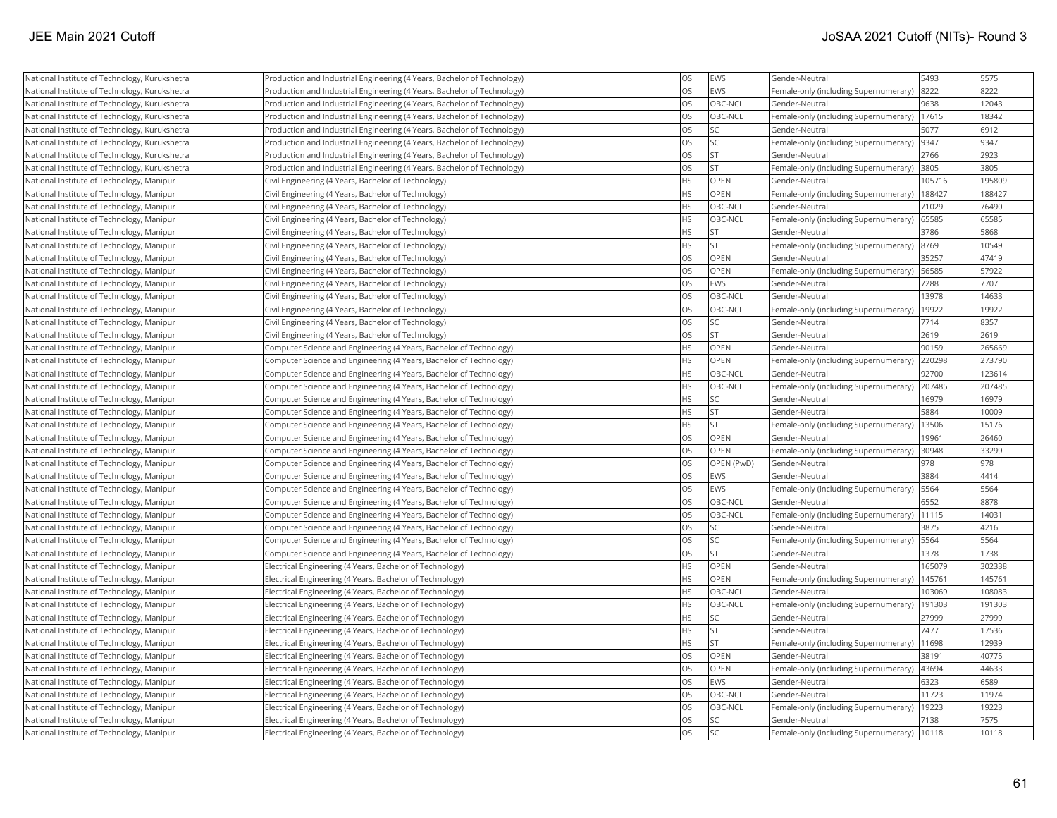| National Institute of Technology, Kurukshetra                                                  | Production and Industrial Engineering (4 Years, Bachelor of Technology)                                                                            | OS<br>OS  | EWS<br><b>EWS</b> | Gender-Neutral<br>Female-only (including Supernumerary) | 5493<br>8222 | 5575<br>8222   |
|------------------------------------------------------------------------------------------------|----------------------------------------------------------------------------------------------------------------------------------------------------|-----------|-------------------|---------------------------------------------------------|--------------|----------------|
| National Institute of Technology, Kurukshetra                                                  | Production and Industrial Engineering (4 Years, Bachelor of Technology)<br>Production and Industrial Engineering (4 Years, Bachelor of Technology) | OS        | OBC-NCL           | Gender-Neutral                                          | 9638         | 12043          |
| National Institute of Technology, Kurukshetra<br>National Institute of Technology, Kurukshetra | Production and Industrial Engineering (4 Years, Bachelor of Technology)                                                                            | OS        | OBC-NCL           | Female-only (including Supernumerary)                   | 17615        | 18342          |
|                                                                                                |                                                                                                                                                    | OS        | SC.               | Gender-Neutral                                          | 5077         | 6912           |
| National Institute of Technology, Kurukshetra                                                  | Production and Industrial Engineering (4 Years, Bachelor of Technology)                                                                            |           | SC                |                                                         |              |                |
| National Institute of Technology, Kurukshetra                                                  | Production and Industrial Engineering (4 Years, Bachelor of Technology)                                                                            | OS<br>OS  |                   | Female-only (including Supernumerary)  9347             |              | 9347<br>2923   |
| National Institute of Technology, Kurukshetra                                                  | Production and Industrial Engineering (4 Years, Bachelor of Technology)                                                                            |           | ST.<br>İst        | Gender-Neutral                                          | 2766         |                |
| National Institute of Technology, Kurukshetra                                                  | Production and Industrial Engineering (4 Years, Bachelor of Technology)                                                                            | OS<br>HS  | OPEN              | Female-only (including Supernumerary) 3805              | 105716       | 3805<br>195809 |
| National Institute of Technology, Manipur                                                      | Civil Engineering (4 Years, Bachelor of Technology)                                                                                                | <b>HS</b> |                   | Gender-Neutral                                          |              |                |
| National Institute of Technology, Manipur                                                      | Civil Engineering (4 Years, Bachelor of Technology)                                                                                                |           | OPEN              | Female-only (including Supernumerary)                   | 188427       | 188427         |
| National Institute of Technology, Manipur                                                      | Civil Engineering (4 Years, Bachelor of Technology)                                                                                                | <b>HS</b> | OBC-NCL           | Gender-Neutral                                          | 71029        | 76490          |
| National Institute of Technology, Manipur                                                      | Civil Engineering (4 Years, Bachelor of Technology)                                                                                                | <b>HS</b> | OBC-NCL           | Female-only (including Supernumerary)                   | 65585        | 65585          |
| National Institute of Technology, Manipur                                                      | Civil Engineering (4 Years, Bachelor of Technology)                                                                                                | <b>HS</b> | <b>ST</b>         | Gender-Neutral                                          | 3786         | 5868           |
| National Institute of Technology, Manipur                                                      | Civil Engineering (4 Years, Bachelor of Technology)                                                                                                | HS        | <b>ST</b>         | Female-only (including Supernumerary)  8769             |              | 10549          |
| National Institute of Technology, Manipur                                                      | Civil Engineering (4 Years, Bachelor of Technology)                                                                                                | OS        | <b>OPEN</b>       | Gender-Neutral                                          | 35257        | 47419          |
| National Institute of Technology, Manipur                                                      | Civil Engineering (4 Years, Bachelor of Technology)                                                                                                | OS        | <b>OPEN</b>       | Female-only (including Supernumerary) 56585             |              | 57922          |
| National Institute of Technology, Manipur                                                      | Civil Engineering (4 Years, Bachelor of Technology)                                                                                                | OS        | <b>EWS</b>        | Gender-Neutral                                          | 7288         | 7707           |
| National Institute of Technology, Manipur                                                      | Civil Engineering (4 Years, Bachelor of Technology)                                                                                                | OS        | OBC-NCL           | Gender-Neutral                                          | 13978        | 14633          |
| National Institute of Technology, Manipur                                                      | Civil Engineering (4 Years, Bachelor of Technology)                                                                                                | OS        | OBC-NCL           | Female-only (including Supernumerary)                   | 19922        | 19922          |
| National Institute of Technology, Manipur                                                      | Civil Engineering (4 Years, Bachelor of Technology)                                                                                                | OS        | lsc               | Gender-Neutral                                          | 7714         | 8357           |
| National Institute of Technology, Manipur                                                      | Civil Engineering (4 Years, Bachelor of Technology)                                                                                                | OS        | <b>ST</b>         | Gender-Neutral                                          | 2619         | 2619           |
| National Institute of Technology, Manipur                                                      | Computer Science and Engineering (4 Years, Bachelor of Technology)                                                                                 | <b>HS</b> | <b>OPEN</b>       | Gender-Neutral                                          | 90159        | 265669         |
| National Institute of Technology, Manipur                                                      | Computer Science and Engineering (4 Years, Bachelor of Technology)                                                                                 | <b>HS</b> | OPEN              | Female-only (including Supernumerary)                   | 220298       | 273790         |
| National Institute of Technology, Manipur                                                      | Computer Science and Engineering (4 Years, Bachelor of Technology)                                                                                 | <b>HS</b> | OBC-NCL           | Gender-Neutral                                          | 92700        | 123614         |
| National Institute of Technology, Manipur                                                      | Computer Science and Engineering (4 Years, Bachelor of Technology)                                                                                 | <b>HS</b> | OBC-NCL           | Female-only (including Supernumerary)                   | 207485       | 207485         |
| National Institute of Technology, Manipur                                                      | Computer Science and Engineering (4 Years, Bachelor of Technology)                                                                                 | <b>HS</b> | SC.               | Gender-Neutral                                          | 16979        | 16979          |
| National Institute of Technology, Manipur                                                      | Computer Science and Engineering (4 Years, Bachelor of Technology)                                                                                 | <b>HS</b> | ST                | Gender-Neutral                                          | 5884         | 10009          |
| National Institute of Technology, Manipur                                                      | Computer Science and Engineering (4 Years, Bachelor of Technology)                                                                                 | <b>HS</b> | İst               | Female-only (including Supernumerary)                   | 13506        | 15176          |
| National Institute of Technology, Manipur                                                      | Computer Science and Engineering (4 Years, Bachelor of Technology)                                                                                 | OS        | <b>OPEN</b>       | Gender-Neutral                                          | 19961        | 26460          |
| National Institute of Technology, Manipur                                                      | Computer Science and Engineering (4 Years, Bachelor of Technology)                                                                                 | OS        | <b>OPEN</b>       | Female-only (including Supernumerary) 30948             |              | 33299          |
| National Institute of Technology, Manipur                                                      | Computer Science and Engineering (4 Years, Bachelor of Technology)                                                                                 | OS        | OPEN (PwD)        | Gender-Neutral                                          | 978          | 978            |
| National Institute of Technology, Manipur                                                      | Computer Science and Engineering (4 Years, Bachelor of Technology)                                                                                 | OS        | <b>EWS</b>        | Gender-Neutral                                          | 3884         | 4414           |
| National Institute of Technology, Manipur                                                      | Computer Science and Engineering (4 Years, Bachelor of Technology)                                                                                 | OS        | EWS               | Female-only (including Supernumerary)                   | 5564         | 5564           |
| National Institute of Technology, Manipur                                                      | Computer Science and Engineering (4 Years, Bachelor of Technology)                                                                                 | OS        | OBC-NCL           | Gender-Neutral                                          | 6552         | 8878           |
| National Institute of Technology, Manipur                                                      | Computer Science and Engineering (4 Years, Bachelor of Technology)                                                                                 | OS        | OBC-NCL           | Female-only (including Supernumerary)   11115           |              | 14031          |
| National Institute of Technology, Manipur                                                      | Computer Science and Engineering (4 Years, Bachelor of Technology)                                                                                 | OS        | SC.               | Gender-Neutral                                          | 3875         | 4216           |
| National Institute of Technology, Manipur                                                      | Computer Science and Engineering (4 Years, Bachelor of Technology)                                                                                 | OS        | SC.               | Female-only (including Supernumerary)                   | 5564         | 5564           |
| National Institute of Technology, Manipur                                                      | Computer Science and Engineering (4 Years, Bachelor of Technology)                                                                                 | OS        | İst               | Gender-Neutral                                          | 1378         | 1738           |
| National Institute of Technology, Manipur                                                      | Electrical Engineering (4 Years, Bachelor of Technology)                                                                                           | <b>HS</b> | OPEN              | Gender-Neutral                                          | 165079       | 302338         |
| National Institute of Technology, Manipur                                                      | Electrical Engineering (4 Years, Bachelor of Technology)                                                                                           | <b>HS</b> | OPEN              | Female-only (including Supernumerary)                   | 145761       | 145761         |
| National Institute of Technology, Manipur                                                      | Electrical Engineering (4 Years, Bachelor of Technology)                                                                                           | <b>HS</b> | OBC-NCL           | Gender-Neutral                                          | 103069       | 108083         |
| National Institute of Technology, Manipur                                                      | Electrical Engineering (4 Years, Bachelor of Technology)                                                                                           | HS        | OBC-NCL           | Female-only (including Supernumerary)                   | 191303       | 191303         |
| National Institute of Technology, Manipur                                                      | Electrical Engineering (4 Years, Bachelor of Technology)                                                                                           | <b>HS</b> | SC                | Gender-Neutral                                          | 27999        | 27999          |
| National Institute of Technology, Manipur                                                      | Electrical Engineering (4 Years, Bachelor of Technology)                                                                                           | <b>HS</b> | <b>ST</b>         | Gender-Neutral                                          | 7477         | 17536          |
| National Institute of Technology, Manipur                                                      | Electrical Engineering (4 Years, Bachelor of Technology)                                                                                           | <b>HS</b> | <b>ST</b>         | Female-only (including Supernumerary)                   | 11698        | 12939          |
| National Institute of Technology, Manipur                                                      | Electrical Engineering (4 Years, Bachelor of Technology)                                                                                           | OS        | <b>OPEN</b>       | Gender-Neutral                                          | 38191        | 40775          |
| National Institute of Technology, Manipur                                                      | Electrical Engineering (4 Years, Bachelor of Technology)                                                                                           | <b>OS</b> | OPEN              | Female-only (including Supernumerary)                   | 43694        | 44633          |
| National Institute of Technology, Manipur                                                      | Electrical Engineering (4 Years, Bachelor of Technology)                                                                                           | OS        | <b>EWS</b>        | Gender-Neutral                                          | 6323         | 6589           |
| National Institute of Technology, Manipur                                                      | Electrical Engineering (4 Years, Bachelor of Technology)                                                                                           | OS        | OBC-NCL           | lGender-Neutral                                         | 11723        | 11974          |
| National Institute of Technology, Manipur                                                      | Electrical Engineering (4 Years, Bachelor of Technology)                                                                                           | OS        | OBC-NCL           | Female-only (including Supernumerary)                   | 19223        | 19223          |
| National Institute of Technology, Manipur                                                      | Electrical Engineering (4 Years, Bachelor of Technology)                                                                                           | OS        | SC.               | Gender-Neutral                                          | 7138         | 7575           |
| National Institute of Technology, Manipur                                                      | Electrical Engineering (4 Years, Bachelor of Technology)                                                                                           | OS        | <b>SC</b>         | Female-only (including Supernumerary)   10118           |              | 10118          |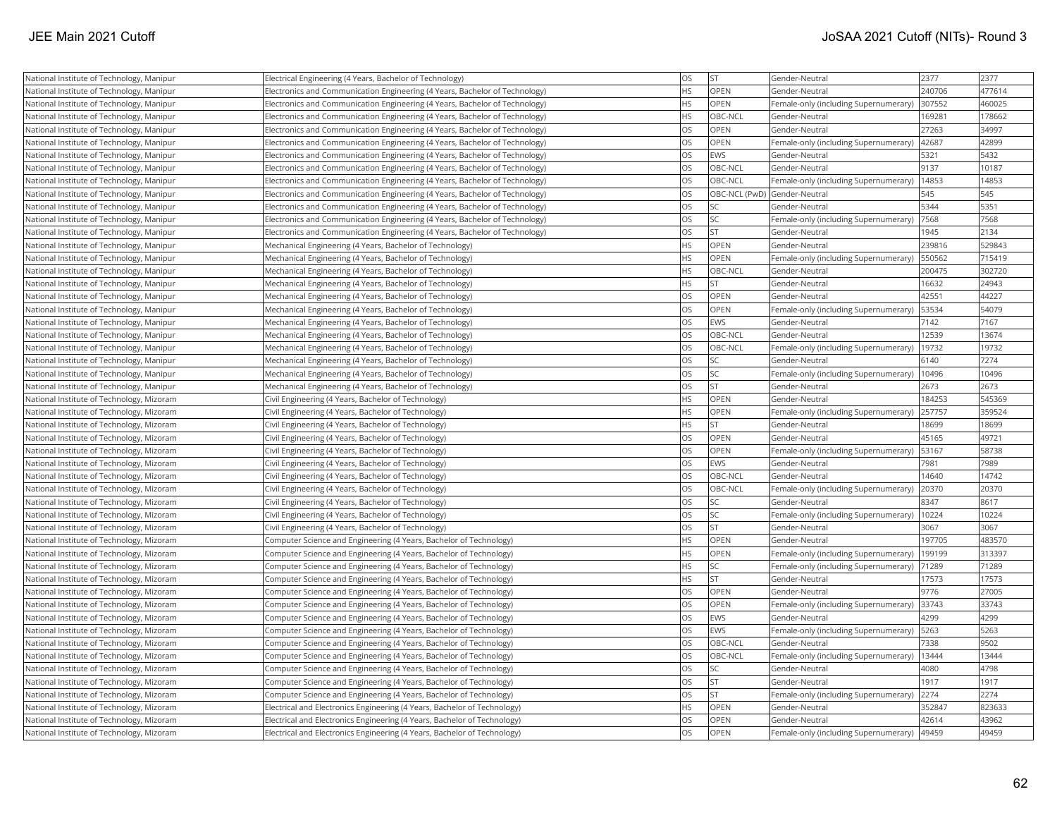| National Institute of Technology, Manipur | Electrical Engineering (4 Years, Bachelor of Technology)                    | <b>OS</b> | <b>ST</b>                    | Gender-Neutral                        | 2377   | 2377   |
|-------------------------------------------|-----------------------------------------------------------------------------|-----------|------------------------------|---------------------------------------|--------|--------|
| National Institute of Technology, Manipur | Electronics and Communication Engineering (4 Years, Bachelor of Technology) | <b>HS</b> | OPEN                         | Gender-Neutral                        | 240706 | 477614 |
| National Institute of Technology, Manipur | Electronics and Communication Engineering (4 Years, Bachelor of Technology) | <b>HS</b> | OPEN                         | Female-only (including Supernumerary) | 307552 | 460025 |
| National Institute of Technology, Manipur | Electronics and Communication Engineering (4 Years, Bachelor of Technology) | <b>HS</b> | OBC-NCL                      | Gender-Neutral                        | 169281 | 178662 |
| National Institute of Technology, Manipur | Electronics and Communication Engineering (4 Years, Bachelor of Technology) | <b>OS</b> | OPEN                         | Gender-Neutral                        | 27263  | 34997  |
| National Institute of Technology, Manipur | Electronics and Communication Engineering (4 Years, Bachelor of Technology) | <b>OS</b> | <b>OPEN</b>                  | Female-only (including Supernumerary) | 42687  | 42899  |
| National Institute of Technology, Manipur | Electronics and Communication Engineering (4 Years, Bachelor of Technology) | <b>OS</b> | EWS                          | Gender-Neutral                        | 5321   | 5432   |
| National Institute of Technology, Manipur | Electronics and Communication Engineering (4 Years, Bachelor of Technology) | <b>OS</b> | OBC-NCL                      | Gender-Neutral                        | 9137   | 10187  |
| National Institute of Technology, Manipur | Electronics and Communication Engineering (4 Years, Bachelor of Technology) | <b>OS</b> | OBC-NCL                      | Female-only (including Supernumerary) | 14853  | 14853  |
| National Institute of Technology, Manipur | Electronics and Communication Engineering (4 Years, Bachelor of Technology) | <b>OS</b> | OBC-NCL (PwD) Gender-Neutral |                                       | 545    | 545    |
| National Institute of Technology, Manipur | Electronics and Communication Engineering (4 Years, Bachelor of Technology) | <b>OS</b> | <b>SC</b>                    | Gender-Neutral                        | 5344   | 5351   |
| National Institute of Technology, Manipur | Electronics and Communication Engineering (4 Years, Bachelor of Technology) | <b>OS</b> | lsc                          | Female-only (including Supernumerary) | 7568   | 7568   |
| National Institute of Technology, Manipur | Electronics and Communication Engineering (4 Years, Bachelor of Technology) | <b>OS</b> | <b>ST</b>                    | Gender-Neutral                        | 1945   | 2134   |
| National Institute of Technology, Manipur | Mechanical Engineering (4 Years, Bachelor of Technology)                    | <b>HS</b> | OPEN                         | Gender-Neutral                        | 239816 | 529843 |
| National Institute of Technology, Manipur | Mechanical Engineering (4 Years, Bachelor of Technology)                    | <b>HS</b> | <b>OPEN</b>                  | Female-only (including Supernumerary) | 550562 | 715419 |
| National Institute of Technology, Manipur | Mechanical Engineering (4 Years, Bachelor of Technology)                    | <b>HS</b> | OBC-NCL                      | Gender-Neutral                        | 200475 | 302720 |
| National Institute of Technology, Manipur | Mechanical Engineering (4 Years, Bachelor of Technology)                    | <b>HS</b> | İst                          | Gender-Neutral                        | 16632  | 24943  |
| National Institute of Technology, Manipur | Mechanical Engineering (4 Years, Bachelor of Technology)                    | <b>OS</b> | OPEN                         | Gender-Neutral                        | 42551  | 44227  |
| National Institute of Technology, Manipur | Mechanical Engineering (4 Years, Bachelor of Technology)                    | <b>OS</b> | OPEN                         | Female-only (including Supernumerary) | 53534  | 54079  |
| National Institute of Technology, Manipur | Mechanical Engineering (4 Years, Bachelor of Technology)                    | <b>OS</b> | EWS                          | Gender-Neutral                        | 7142   | 7167   |
| National Institute of Technology, Manipur | Mechanical Engineering (4 Years, Bachelor of Technology)                    | <b>OS</b> | OBC-NCL                      | Gender-Neutral                        | 12539  | 13674  |
| National Institute of Technology, Manipur | Mechanical Engineering (4 Years, Bachelor of Technology)                    | <b>OS</b> | OBC-NCL                      | Female-only (including Supernumerary) | 19732  | 19732  |
| National Institute of Technology, Manipur | Mechanical Engineering (4 Years, Bachelor of Technology)                    | <b>OS</b> | <b>SC</b>                    | Gender-Neutral                        | 6140   | 7274   |
| National Institute of Technology, Manipur | Mechanical Engineering (4 Years, Bachelor of Technology)                    | <b>OS</b> | SC                           | Female-only (including Supernumerary) | 10496  | 10496  |
| National Institute of Technology, Manipur | Mechanical Engineering (4 Years, Bachelor of Technology)                    | <b>OS</b> | İst                          | Gender-Neutral                        | 2673   | 2673   |
| National Institute of Technology, Mizoram | Civil Engineering (4 Years, Bachelor of Technology)                         | <b>HS</b> | OPEN                         | Gender-Neutral                        | 184253 | 545369 |
| National Institute of Technology, Mizoram | Civil Engineering (4 Years, Bachelor of Technology)                         | <b>HS</b> | OPEN                         | Female-only (including Supernumerary) | 257757 | 359524 |
| National Institute of Technology, Mizoram | Civil Engineering (4 Years, Bachelor of Technology)                         | HS        | <b>ST</b>                    | Gender-Neutral                        | 18699  | 18699  |
| National Institute of Technology, Mizoram | Civil Engineering (4 Years, Bachelor of Technology)                         | <b>OS</b> | <b>OPEN</b>                  | Gender-Neutral                        | 45165  | 49721  |
| National Institute of Technology, Mizoram | Civil Engineering (4 Years, Bachelor of Technology)                         | <b>OS</b> | OPEN                         | Female-only (including Supernumerary) | 53167  | 58738  |
| National Institute of Technology, Mizoram | Civil Engineering (4 Years, Bachelor of Technology)                         | <b>OS</b> | EWS                          | Gender-Neutral                        | 7981   | 7989   |
| National Institute of Technology, Mizoram | Civil Engineering (4 Years, Bachelor of Technology)                         | <b>OS</b> | OBC-NCL                      | Gender-Neutral                        | 14640  | 14742  |
| National Institute of Technology, Mizoram | Civil Engineering (4 Years, Bachelor of Technology)                         | <b>OS</b> | <b>OBC-NCL</b>               | Female-only (including Supernumerary) | 20370  | 20370  |
| National Institute of Technology, Mizoram | Civil Engineering (4 Years, Bachelor of Technology)                         | <b>OS</b> | <b>SC</b>                    | Gender-Neutral                        | 8347   | 8617   |
| National Institute of Technology, Mizoram | Civil Engineering (4 Years, Bachelor of Technology)                         | <b>OS</b> | <b>SC</b>                    | Female-only (including Supernumerary) | 10224  | 10224  |
| National Institute of Technology, Mizoram | Civil Engineering (4 Years, Bachelor of Technology)                         | <b>OS</b> | <b>ST</b>                    | Gender-Neutral                        | 3067   | 3067   |
| National Institute of Technology, Mizoram | Computer Science and Engineering (4 Years, Bachelor of Technology)          | <b>HS</b> | <b>OPEN</b>                  | Gender-Neutral                        | 197705 | 483570 |
| National Institute of Technology, Mizoram | Computer Science and Engineering (4 Years, Bachelor of Technology)          | <b>HS</b> | OPEN                         | Female-only (including Supernumerary) | 199199 | 313397 |
| National Institute of Technology, Mizoram | Computer Science and Engineering (4 Years, Bachelor of Technology)          | <b>HS</b> | <b>SC</b>                    | Female-only (including Supernumerary) | 71289  | 71289  |
| National Institute of Technology, Mizoram | Computer Science and Engineering (4 Years, Bachelor of Technology)          | <b>HS</b> | <b>ST</b>                    | Gender-Neutral                        | 17573  | 17573  |
| National Institute of Technology, Mizoram | Computer Science and Engineering (4 Years, Bachelor of Technology)          | <b>OS</b> | OPEN                         | Gender-Neutral                        | 9776   | 27005  |
| National Institute of Technology, Mizoram | Computer Science and Engineering (4 Years, Bachelor of Technology)          | <b>OS</b> | OPEN                         | Female-only (including Supernumerary) | 33743  | 33743  |
| National Institute of Technology, Mizoram | Computer Science and Engineering (4 Years, Bachelor of Technology)          | <b>OS</b> | EWS                          | Gender-Neutral                        | 4299   | 4299   |
| National Institute of Technology, Mizoram | Computer Science and Engineering (4 Years, Bachelor of Technology)          | <b>OS</b> | EWS                          | Female-only (including Supernumerary) | 5263   | 5263   |
| National Institute of Technology, Mizoram | Computer Science and Engineering (4 Years, Bachelor of Technology)          | <b>OS</b> | OBC-NCL                      | Gender-Neutral                        | 7338   | 9502   |
| National Institute of Technology, Mizoram | Computer Science and Engineering (4 Years, Bachelor of Technology)          | <b>OS</b> | OBC-NCL                      | Female-only (including Supernumerary) | 13444  | 13444  |
| National Institute of Technology, Mizoram | Computer Science and Engineering (4 Years, Bachelor of Technology)          | <b>OS</b> | <b>SC</b>                    | Gender-Neutral                        | 4080   | 4798   |
| National Institute of Technology, Mizoram | Computer Science and Engineering (4 Years, Bachelor of Technology)          | <b>OS</b> | <b>ST</b>                    | Gender-Neutral                        | 1917   | 1917   |
| National Institute of Technology, Mizoram | Computer Science and Engineering (4 Years, Bachelor of Technology)          | <b>OS</b> | <b>ST</b>                    | Female-only (including Supernumerary) | 2274   | 2274   |
| National Institute of Technology, Mizoram | Electrical and Electronics Engineering (4 Years, Bachelor of Technology)    | <b>HS</b> | <b>OPEN</b>                  | Gender-Neutral                        | 352847 | 823633 |
| National Institute of Technology, Mizoram | Electrical and Electronics Engineering (4 Years, Bachelor of Technology)    | <b>OS</b> | OPEN                         | Gender-Neutral                        | 42614  | 43962  |
| National Institute of Technology, Mizoram | Electrical and Electronics Engineering (4 Years, Bachelor of Technology)    | <b>OS</b> | OPEN                         | Female-only (including Supernumerary) | 49459  | 49459  |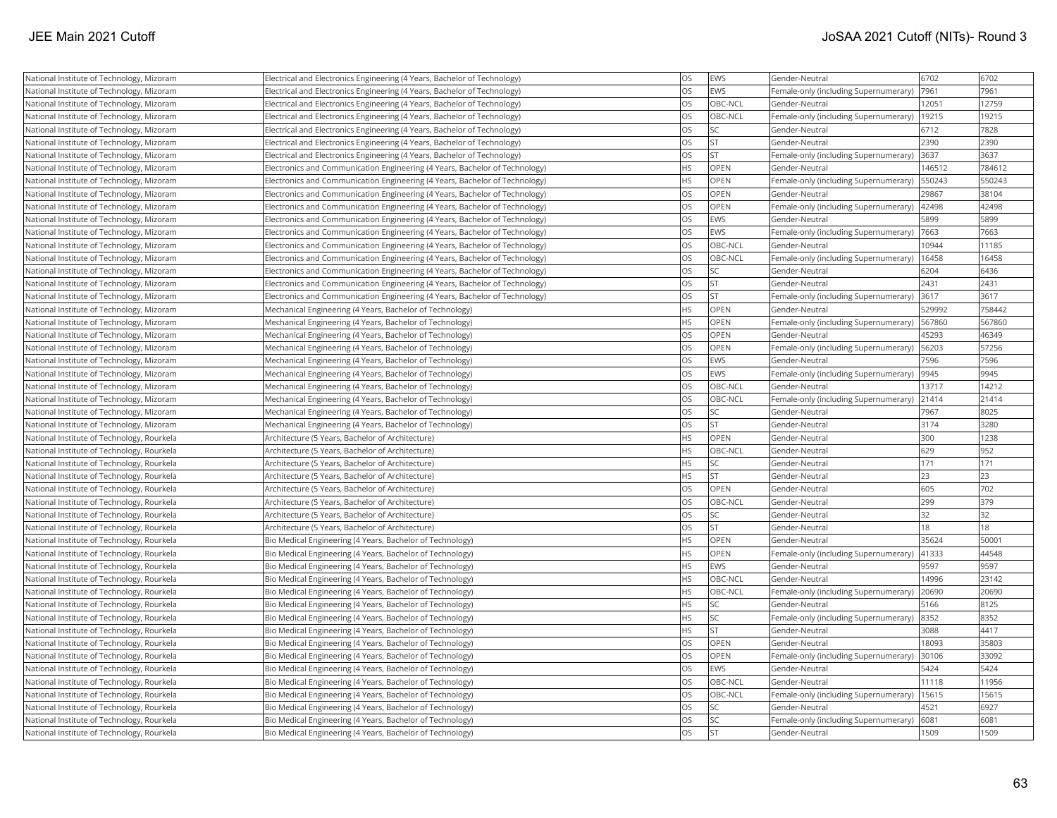| National Institute of Technology, Mizoram  | Electrical and Electronics Engineering (4 Years, Bachelor of Technology)    | <b>OS</b> | EWS         | Gender-Neutral                        | 6702   | 6702   |
|--------------------------------------------|-----------------------------------------------------------------------------|-----------|-------------|---------------------------------------|--------|--------|
| National Institute of Technology, Mizoram  | Electrical and Electronics Engineering (4 Years, Bachelor of Technology)    | <b>OS</b> | EWS         | Female-only (including Supernumerary) | 7961   | 7961   |
| National Institute of Technology, Mizoram  | Electrical and Electronics Engineering (4 Years, Bachelor of Technology)    | <b>OS</b> | OBC-NCL     | Gender-Neutral                        | 12051  | 12759  |
| National Institute of Technology, Mizoram  | Electrical and Electronics Engineering (4 Years, Bachelor of Technology)    | <b>OS</b> | OBC-NCL     | Female-only (including Supernumerary) | 19215  | 19215  |
| National Institute of Technology, Mizoram  | Electrical and Electronics Engineering (4 Years, Bachelor of Technology)    | <b>OS</b> | <b>SC</b>   | Gender-Neutral                        | 6712   | 7828   |
| National Institute of Technology, Mizoram  | Electrical and Electronics Engineering (4 Years, Bachelor of Technology)    | <b>OS</b> | <b>ST</b>   | Gender-Neutral                        | 2390   | 2390   |
| National Institute of Technology, Mizoram  | Electrical and Electronics Engineering (4 Years, Bachelor of Technology)    | <b>OS</b> | İst         | Female-only (including Supernumerary) | 3637   | 3637   |
| National Institute of Technology, Mizoram  | Electronics and Communication Engineering (4 Years, Bachelor of Technology) | HS        | OPEN        | Gender-Neutral                        | 146512 | 784612 |
| National Institute of Technology, Mizoram  | Electronics and Communication Engineering (4 Years, Bachelor of Technology) | <b>HS</b> | OPEN        | Female-only (including Supernumerary) | 550243 | 550243 |
| National Institute of Technology, Mizoram  | Electronics and Communication Engineering (4 Years, Bachelor of Technology) | <b>OS</b> | <b>OPEN</b> | Gender-Neutral                        | 29867  | 38104  |
| National Institute of Technology, Mizoram  | Electronics and Communication Engineering (4 Years, Bachelor of Technology) | <b>OS</b> | OPEN        | Female-only (including Supernumerary) | 42498  | 42498  |
| National Institute of Technology, Mizoram  | Electronics and Communication Engineering (4 Years, Bachelor of Technology) | <b>OS</b> | EWS         | Gender-Neutral                        | 5899   | 5899   |
| National Institute of Technology, Mizoram  | Electronics and Communication Engineering (4 Years, Bachelor of Technology) | <b>OS</b> | EWS         | Female-only (including Supernumerary) | 7663   | 7663   |
| National Institute of Technology, Mizoram  | Electronics and Communication Engineering (4 Years, Bachelor of Technology) | <b>OS</b> | OBC-NCL     | Gender-Neutral                        | 10944  | 11185  |
| National Institute of Technology, Mizoram  | Electronics and Communication Engineering (4 Years, Bachelor of Technology) | <b>OS</b> | OBC-NCL     | Female-only (including Supernumerary) | 16458  | 16458  |
| National Institute of Technology, Mizoram  | Electronics and Communication Engineering (4 Years, Bachelor of Technology) | <b>OS</b> | <b>SC</b>   | Gender-Neutral                        | 6204   | 6436   |
| National Institute of Technology, Mizoram  | Electronics and Communication Engineering (4 Years, Bachelor of Technology) | <b>OS</b> | <b>ST</b>   | Gender-Neutral                        | 2431   | 2431   |
| National Institute of Technology, Mizoram  | Electronics and Communication Engineering (4 Years, Bachelor of Technology) | <b>OS</b> | <b>ST</b>   | Female-only (including Supernumerary) | 3617   | 3617   |
| National Institute of Technology, Mizoram  | Mechanical Engineering (4 Years, Bachelor of Technology)                    | <b>HS</b> | <b>OPEN</b> | Gender-Neutral                        | 529992 | 758442 |
| National Institute of Technology, Mizoram  | Mechanical Engineering (4 Years, Bachelor of Technology)                    | <b>HS</b> | OPEN        | Female-only (including Supernumerary) | 567860 | 567860 |
| National Institute of Technology, Mizoram  | Mechanical Engineering (4 Years, Bachelor of Technology)                    | <b>OS</b> | OPEN        | Gender-Neutral                        | 45293  | 46349  |
| National Institute of Technology, Mizoram  | Mechanical Engineering (4 Years, Bachelor of Technology)                    | <b>OS</b> | OPEN        | Female-only (including Supernumerary) | 56203  | 57256  |
| National Institute of Technology, Mizoram  | Mechanical Engineering (4 Years, Bachelor of Technology)                    | <b>OS</b> | EWS         | Gender-Neutral                        | 7596   | 7596   |
| National Institute of Technology, Mizoram  | Mechanical Engineering (4 Years, Bachelor of Technology)                    | <b>OS</b> | <b>EWS</b>  | Female-only (including Supernumerary) | 9945   | 9945   |
| National Institute of Technology, Mizoram  | Mechanical Engineering (4 Years, Bachelor of Technology)                    | <b>OS</b> | OBC-NCL     | Gender-Neutral                        | 13717  | 14212  |
| National Institute of Technology, Mizoram  | Mechanical Engineering (4 Years, Bachelor of Technology)                    | <b>OS</b> | OBC-NCL     | Female-only (including Supernumerary) | 21414  | 21414  |
| National Institute of Technology, Mizoram  | Mechanical Engineering (4 Years, Bachelor of Technology)                    | <b>OS</b> | <b>SC</b>   | Gender-Neutral                        | 7967   | 8025   |
| National Institute of Technology, Mizoram  | Mechanical Engineering (4 Years, Bachelor of Technology)                    | <b>OS</b> | lst         | Gender-Neutral                        | 3174   | 3280   |
| National Institute of Technology, Rourkela | Architecture (5 Years, Bachelor of Architecture)                            | <b>HS</b> | <b>OPEN</b> | Gender-Neutral                        | 300    | 1238   |
| National Institute of Technology, Rourkela | Architecture (5 Years, Bachelor of Architecture)                            | <b>HS</b> | OBC-NCL     | Gender-Neutral                        | 629    | 952    |
| National Institute of Technology, Rourkela | Architecture (5 Years, Bachelor of Architecture)                            | <b>HS</b> | <b>SC</b>   | Gender-Neutral                        | 171    | 171    |
| National Institute of Technology, Rourkela | Architecture (5 Years, Bachelor of Architecture)                            | <b>HS</b> | lst         | Gender-Neutral                        | 23     | 23     |
| National Institute of Technology, Rourkela | Architecture (5 Years, Bachelor of Architecture)                            | <b>OS</b> | OPEN        | Gender-Neutral                        | 605    | 702    |
| National Institute of Technology, Rourkela | Architecture (5 Years, Bachelor of Architecture)                            | <b>OS</b> | OBC-NCL     | Gender-Neutral                        | 299    | 379    |
| National Institute of Technology, Rourkela | Architecture (5 Years, Bachelor of Architecture)                            | <b>OS</b> | <b>SC</b>   | Gender-Neutral                        | 32     | 32     |
| National Institute of Technology, Rourkela | Architecture (5 Years, Bachelor of Architecture)                            | <b>OS</b> | lst.        | Gender-Neutral                        | 18     | 18     |
| National Institute of Technology, Rourkela | Bio Medical Engineering (4 Years, Bachelor of Technology)                   | <b>HS</b> | <b>OPEN</b> | Gender-Neutral                        | 35624  | 50001  |
| National Institute of Technology, Rourkela | Bio Medical Engineering (4 Years, Bachelor of Technology)                   | <b>HS</b> | OPEN        | Female-only (including Supernumerary) | 41333  | 44548  |
| National Institute of Technology, Rourkela | Bio Medical Engineering (4 Years, Bachelor of Technology)                   | <b>HS</b> | EWS         | Gender-Neutral                        | 9597   | 9597   |
| National Institute of Technology, Rourkela | Bio Medical Engineering (4 Years, Bachelor of Technology)                   | HS        | OBC-NCL     | Gender-Neutral                        | 14996  | 23142  |
| National Institute of Technology, Rourkela | Bio Medical Engineering (4 Years, Bachelor of Technology)                   | <b>HS</b> | OBC-NCL     | Female-only (including Supernumerary) | 20690  | 20690  |
| National Institute of Technology, Rourkela | Bio Medical Engineering (4 Years, Bachelor of Technology)                   | <b>HS</b> | <b>SC</b>   | Gender-Neutral                        | 5166   | 8125   |
| National Institute of Technology, Rourkela | Bio Medical Engineering (4 Years, Bachelor of Technology)                   | <b>HS</b> | <b>SC</b>   | Female-only (including Supernumerary) | 8352   | 8352   |
| National Institute of Technology, Rourkela | Bio Medical Engineering (4 Years, Bachelor of Technology)                   | <b>HS</b> | lst         | Gender-Neutral                        | 3088   | 4417   |
| National Institute of Technology, Rourkela | Bio Medical Engineering (4 Years, Bachelor of Technology)                   | <b>OS</b> | OPEN        | Gender-Neutral                        | 18093  | 35803  |
| National Institute of Technology, Rourkela | Bio Medical Engineering (4 Years, Bachelor of Technology)                   | <b>OS</b> | <b>OPEN</b> | Female-only (including Supernumerary) | 30106  | 33092  |
| National Institute of Technology, Rourkela | Bio Medical Engineering (4 Years, Bachelor of Technology)                   | <b>OS</b> | EWS         | Gender-Neutral                        | 5424   | 5424   |
| National Institute of Technology, Rourkela | Bio Medical Engineering (4 Years, Bachelor of Technology)                   | <b>OS</b> | OBC-NCL     | Gender-Neutral                        | 11118  | 11956  |
| National Institute of Technology, Rourkela | Bio Medical Engineering (4 Years, Bachelor of Technology)                   | <b>OS</b> | OBC-NCL     | Female-only (including Supernumerary) | 15615  | 15615  |
| National Institute of Technology, Rourkela | Bio Medical Engineering (4 Years, Bachelor of Technology)                   | <b>OS</b> | <b>SC</b>   | Gender-Neutral                        | 4521   | 6927   |
| National Institute of Technology, Rourkela | Bio Medical Engineering (4 Years, Bachelor of Technology)                   | <b>OS</b> | <b>SC</b>   | Female-only (including Supernumerary) | 6081   | 6081   |
| National Institute of Technology, Rourkela | Bio Medical Engineering (4 Years, Bachelor of Technology)                   | <b>OS</b> | <b>ST</b>   | Gender-Neutral                        | 1509   | 1509   |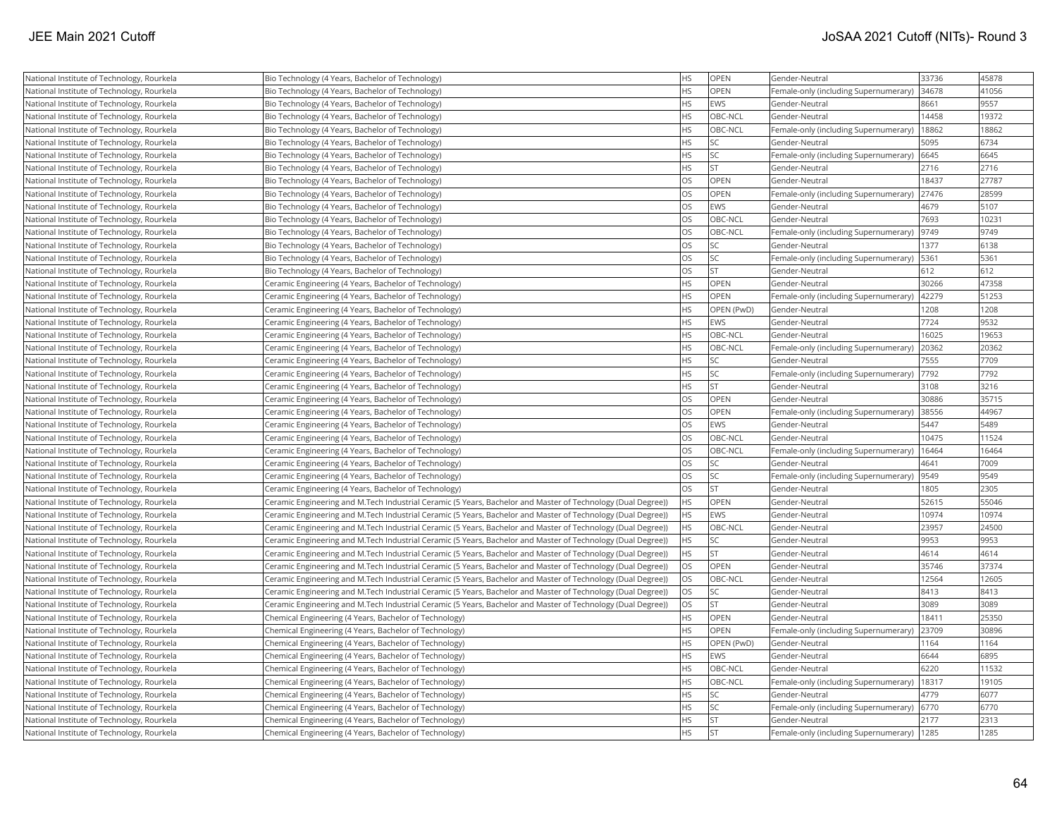| National Institute of Technology, Rourkela | Bio Technology (4 Years, Bachelor of Technology)                                                             | <b>HS</b> | OPEN            | Gender-Neutral                        | 33736 | 45878 |
|--------------------------------------------|--------------------------------------------------------------------------------------------------------------|-----------|-----------------|---------------------------------------|-------|-------|
| National Institute of Technology, Rourkela | Bio Technology (4 Years, Bachelor of Technology)                                                             | <b>HS</b> | OPEN            | Female-only (including Supernumerary) | 34678 | 41056 |
| National Institute of Technology, Rourkela | Bio Technology (4 Years, Bachelor of Technology)                                                             | <b>HS</b> | EWS             | Gender-Neutral                        | 8661  | 9557  |
| National Institute of Technology, Rourkela | Bio Technology (4 Years, Bachelor of Technology)                                                             | <b>HS</b> | OBC-NCL         | Gender-Neutral                        | 14458 | 19372 |
| National Institute of Technology, Rourkela | Bio Technology (4 Years, Bachelor of Technology)                                                             | <b>HS</b> | OBC-NCL         | Female-only (including Supernumerary) | 18862 | 18862 |
| National Institute of Technology, Rourkela | Bio Technology (4 Years, Bachelor of Technology)                                                             | <b>HS</b> | <b>SC</b>       | Gender-Neutral                        | 5095  | 6734  |
| National Institute of Technology, Rourkela | Bio Technology (4 Years, Bachelor of Technology)                                                             | <b>HS</b> | SC              | Female-only (including Supernumerary) | 6645  | 6645  |
| National Institute of Technology, Rourkela | Bio Technology (4 Years, Bachelor of Technology)                                                             | <b>HS</b> | İst             | Gender-Neutral                        | 2716  | 2716  |
| National Institute of Technology, Rourkela | Bio Technology (4 Years, Bachelor of Technology)                                                             | <b>OS</b> | OPEN            | Gender-Neutral                        | 18437 | 27787 |
| National Institute of Technology, Rourkela | Bio Technology (4 Years, Bachelor of Technology)                                                             | <b>OS</b> | OPEN            | Female-only (including Supernumerary) | 27476 | 28599 |
| National Institute of Technology, Rourkela | Bio Technology (4 Years, Bachelor of Technology)                                                             | <b>OS</b> | EWS             | Gender-Neutral                        | 4679  | 5107  |
| National Institute of Technology, Rourkela | Bio Technology (4 Years, Bachelor of Technology)                                                             | <b>OS</b> | OBC-NCL         | Gender-Neutral                        | 7693  | 10231 |
| National Institute of Technology, Rourkela | Bio Technology (4 Years, Bachelor of Technology)                                                             | <b>OS</b> | OBC-NCL         | Female-only (including Supernumerary) | 9749  | 9749  |
| National Institute of Technology, Rourkela | Bio Technology (4 Years, Bachelor of Technology)                                                             | <b>OS</b> | <b>SC</b>       | Gender-Neutral                        | 1377  | 6138  |
| National Institute of Technology, Rourkela | Bio Technology (4 Years, Bachelor of Technology)                                                             | <b>OS</b> | SC <sub>1</sub> | Female-only (including Supernumerary) | 5361  | 5361  |
| National Institute of Technology, Rourkela | Bio Technology (4 Years, Bachelor of Technology)                                                             | <b>OS</b> | İst             | Gender-Neutral                        | 612   | 612   |
| National Institute of Technology, Rourkela | Ceramic Engineering (4 Years, Bachelor of Technology)                                                        | HS        | OPEN            | Gender-Neutral                        | 30266 | 47358 |
| National Institute of Technology, Rourkela | Ceramic Engineering (4 Years, Bachelor of Technology)                                                        | <b>HS</b> | OPEN            | Female-only (including Supernumerary) | 42279 | 51253 |
| National Institute of Technology, Rourkela | Ceramic Engineering (4 Years, Bachelor of Technology)                                                        | HS        | OPEN (PwD)      | Gender-Neutral                        | 1208  | 1208  |
| National Institute of Technology, Rourkela | Ceramic Engineering (4 Years, Bachelor of Technology)                                                        | <b>HS</b> | EWS             | Gender-Neutral                        | 7724  | 9532  |
| National Institute of Technology, Rourkela | Ceramic Engineering (4 Years, Bachelor of Technology)                                                        | <b>HS</b> | OBC-NCL         | Gender-Neutral                        | 16025 | 19653 |
| National Institute of Technology, Rourkela | Ceramic Engineering (4 Years, Bachelor of Technology)                                                        | <b>HS</b> | OBC-NCL         | Female-only (including Supernumerary) | 20362 | 20362 |
| National Institute of Technology, Rourkela | Ceramic Engineering (4 Years, Bachelor of Technology)                                                        | <b>HS</b> | <b>SC</b>       | Gender-Neutral                        | 7555  | 7709  |
| National Institute of Technology, Rourkela | Ceramic Engineering (4 Years, Bachelor of Technology)                                                        | <b>HS</b> | <b>SC</b>       | Female-only (including Supernumerary) | 7792  | 7792  |
| National Institute of Technology, Rourkela | Ceramic Engineering (4 Years, Bachelor of Technology)                                                        | <b>HS</b> | <b>ST</b>       | Gender-Neutral                        | 3108  | 3216  |
| National Institute of Technology, Rourkela | Ceramic Engineering (4 Years, Bachelor of Technology)                                                        | <b>OS</b> | OPEN            | Gender-Neutral                        | 30886 | 35715 |
| National Institute of Technology, Rourkela | Ceramic Engineering (4 Years, Bachelor of Technology)                                                        | <b>OS</b> | OPEN            | Female-only (including Supernumerary) | 38556 | 44967 |
| National Institute of Technology, Rourkela | Ceramic Engineering (4 Years, Bachelor of Technology)                                                        | <b>OS</b> | EWS             | Gender-Neutral                        | 5447  | 5489  |
| National Institute of Technology, Rourkela | Ceramic Engineering (4 Years, Bachelor of Technology)                                                        | <b>OS</b> | OBC-NCL         | Gender-Neutral                        | 10475 | 11524 |
| National Institute of Technology, Rourkela | Ceramic Engineering (4 Years, Bachelor of Technology)                                                        | <b>OS</b> | OBC-NCL         | Female-only (including Supernumerary) | 16464 | 16464 |
| National Institute of Technology, Rourkela | Ceramic Engineering (4 Years, Bachelor of Technology)                                                        | <b>OS</b> | <b>SC</b>       | Gender-Neutral                        | 4641  | 7009  |
| National Institute of Technology, Rourkela | Ceramic Engineering (4 Years, Bachelor of Technology)                                                        | <b>OS</b> | <b>SC</b>       | Female-only (including Supernumerary) | 9549  | 9549  |
| National Institute of Technology, Rourkela | Ceramic Engineering (4 Years, Bachelor of Technology)                                                        | <b>OS</b> | İst             | Gender-Neutral                        | 1805  | 2305  |
| National Institute of Technology, Rourkela | Ceramic Engineering and M.Tech Industrial Ceramic (5 Years, Bachelor and Master of Technology (Dual Degree)) | <b>HS</b> | OPEN            | Gender-Neutral                        | 52615 | 55046 |
| National Institute of Technology, Rourkela | Ceramic Engineering and M.Tech Industrial Ceramic (5 Years, Bachelor and Master of Technology (Dual Degree)) | <b>HS</b> | EWS             | Gender-Neutral                        | 10974 | 10974 |
| National Institute of Technology, Rourkela | Ceramic Engineering and M.Tech Industrial Ceramic (5 Years, Bachelor and Master of Technology (Dual Degree)) | <b>HS</b> | OBC-NCL         | Gender-Neutral                        | 23957 | 24500 |
| National Institute of Technology, Rourkela | Ceramic Engineering and M.Tech Industrial Ceramic (5 Years, Bachelor and Master of Technology (Dual Degree)) | <b>HS</b> | <b>SC</b>       | Gender-Neutral                        | 9953  | 9953  |
| National Institute of Technology, Rourkela | Ceramic Engineering and M.Tech Industrial Ceramic (5 Years, Bachelor and Master of Technology (Dual Degree)) | <b>HS</b> | lst             | Gender-Neutral                        | 4614  | 4614  |
| National Institute of Technology, Rourkela | Ceramic Engineering and M.Tech Industrial Ceramic (5 Years, Bachelor and Master of Technology (Dual Degree)) | OS        | OPEN            | Gender-Neutral                        | 35746 | 37374 |
| National Institute of Technology, Rourkela | Ceramic Engineering and M.Tech Industrial Ceramic (5 Years, Bachelor and Master of Technology (Dual Degree)) | <b>OS</b> | OBC-NCL         | Gender-Neutral                        | 12564 | 12605 |
| National Institute of Technology, Rourkela | Ceramic Engineering and M.Tech Industrial Ceramic (5 Years, Bachelor and Master of Technology (Dual Degree)) | <b>OS</b> | lsc             | Gender-Neutral                        | 8413  | 8413  |
| National Institute of Technology, Rourkela | Ceramic Engineering and M.Tech Industrial Ceramic (5 Years, Bachelor and Master of Technology (Dual Degree)) | <b>OS</b> | <b>ST</b>       | Gender-Neutral                        | 3089  | 3089  |
| National Institute of Technology, Rourkela | Chemical Engineering (4 Years, Bachelor of Technology)                                                       | <b>HS</b> | OPEN            | Gender-Neutral                        | 18411 | 25350 |
| National Institute of Technology, Rourkela | Chemical Engineering (4 Years, Bachelor of Technology)                                                       | <b>HS</b> | <b>OPEN</b>     | Female-only (including Supernumerary) | 23709 | 30896 |
| National Institute of Technology, Rourkela | Chemical Engineering (4 Years, Bachelor of Technology)                                                       | <b>HS</b> | OPEN (PwD)      | Gender-Neutral                        | 1164  | 1164  |
| National Institute of Technology, Rourkela | Chemical Engineering (4 Years, Bachelor of Technology)                                                       | <b>HS</b> | EWS             | Gender-Neutral                        | 6644  | 6895  |
| National Institute of Technology, Rourkela | Chemical Engineering (4 Years, Bachelor of Technology)                                                       | <b>HS</b> | OBC-NCL         | Gender-Neutral                        | 6220  | 11532 |
| National Institute of Technology, Rourkela | Chemical Engineering (4 Years, Bachelor of Technology)                                                       | HS        | OBC-NCL         | Female-only (including Supernumerary) | 18317 | 19105 |
| National Institute of Technology, Rourkela | Chemical Engineering (4 Years, Bachelor of Technology)                                                       | <b>HS</b> | <b>SC</b>       | Gender-Neutral                        | 4779  | 6077  |
| National Institute of Technology, Rourkela | Chemical Engineering (4 Years, Bachelor of Technology)                                                       | <b>HS</b> | <b>SC</b>       | Female-only (including Supernumerary) | 6770  | 6770  |
| National Institute of Technology, Rourkela | Chemical Engineering (4 Years, Bachelor of Technology)                                                       | <b>HS</b> | <b>ST</b>       | Gender-Neutral                        | 2177  | 2313  |
| National Institute of Technology, Rourkela | Chemical Engineering (4 Years, Bachelor of Technology)                                                       | <b>HS</b> | <b>ST</b>       | Female-only (including Supernumerary) | 1285  | 1285  |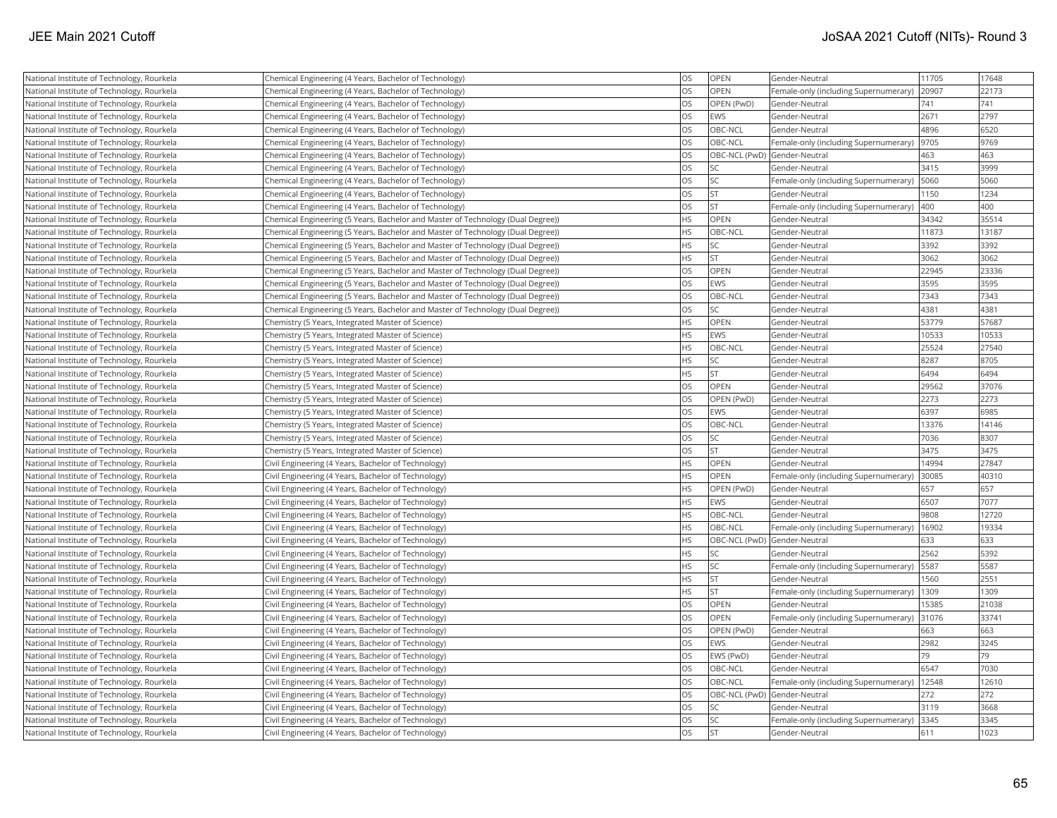| National Institute of Technology, Rourkela | Chemical Engineering (4 Years, Bachelor of Technology)                          | <b>OS</b>  | OPEN        | Gender-Neutral                        | 11705 | 17648 |
|--------------------------------------------|---------------------------------------------------------------------------------|------------|-------------|---------------------------------------|-------|-------|
| National Institute of Technology, Rourkela | Chemical Engineering (4 Years, Bachelor of Technology)                          | <b>OS</b>  | OPEN        | Female-only (including Supernumerary) | 20907 | 22173 |
| National Institute of Technology, Rourkela | Chemical Engineering (4 Years, Bachelor of Technology)                          | los        | OPEN (PwD)  | Gender-Neutral                        | 741   | 741   |
| National Institute of Technology, Rourkela | Chemical Engineering (4 Years, Bachelor of Technology)                          | los        | EWS         | Gender-Neutral                        | 2671  | 2797  |
| National Institute of Technology, Rourkela | Chemical Engineering (4 Years, Bachelor of Technology)                          | <b>OS</b>  | OBC-NCL     | Gender-Neutral                        | 4896  | 6520  |
| National Institute of Technology, Rourkela | Chemical Engineering (4 Years, Bachelor of Technology)                          | los        | OBC-NCL     | Female-only (including Supernumerary) | 9705  | 9769  |
| National Institute of Technology, Rourkela | Chemical Engineering (4 Years, Bachelor of Technology)                          | <b>OS</b>  |             | OBC-NCL (PwD) Gender-Neutral          | 463   | 463   |
| National Institute of Technology, Rourkela | Chemical Engineering (4 Years, Bachelor of Technology)                          | <b>OS</b>  | SC          | Gender-Neutral                        | 3415  | 3999  |
| National Institute of Technology, Rourkela | Chemical Engineering (4 Years, Bachelor of Technology)                          | los        | SC          | Female-only (including Supernumerary) | 5060  | 5060  |
| National Institute of Technology, Rourkela | Chemical Engineering (4 Years, Bachelor of Technology)                          | <b>OS</b>  | <b>ST</b>   | Gender-Neutral                        | 1150  | 1234  |
| National Institute of Technology, Rourkela | Chemical Engineering (4 Years, Bachelor of Technology)                          | <b>OS</b>  | İst         | Female-only (including Supernumerary) | 400   | 400   |
| National Institute of Technology, Rourkela | Chemical Engineering (5 Years, Bachelor and Master of Technology (Dual Degree)) | <b>HS</b>  | OPEN        | Gender-Neutral                        | 34342 | 35514 |
| National Institute of Technology, Rourkela | Chemical Engineering (5 Years, Bachelor and Master of Technology (Dual Degree)) | <b>HS</b>  | OBC-NCL     | Gender-Neutral                        | 11873 | 13187 |
| National Institute of Technology, Rourkela | Chemical Engineering (5 Years, Bachelor and Master of Technology (Dual Degree)) | <b>HS</b>  | SC          | Gender-Neutral                        | 3392  | 3392  |
| National Institute of Technology, Rourkela | Chemical Engineering (5 Years, Bachelor and Master of Technology (Dual Degree)) | <b>HS</b>  | <b>ST</b>   | Gender-Neutral                        | 3062  | 3062  |
| National Institute of Technology, Rourkela | Chemical Engineering (5 Years, Bachelor and Master of Technology (Dual Degree)) | <b>OS</b>  | OPEN        | Gender-Neutral                        | 22945 | 23336 |
| National Institute of Technology, Rourkela | Chemical Engineering (5 Years, Bachelor and Master of Technology (Dual Degree)) | <b>OS</b>  | <b>EWS</b>  | Gender-Neutral                        | 3595  | 3595  |
| National Institute of Technology, Rourkela | Chemical Engineering (5 Years, Bachelor and Master of Technology (Dual Degree)) | <b>OS</b>  | OBC-NCL     | Gender-Neutral                        | 7343  | 7343  |
| National Institute of Technology, Rourkela | Chemical Engineering (5 Years, Bachelor and Master of Technology (Dual Degree)) | <b>OS</b>  | SC.         | Gender-Neutral                        | 4381  | 4381  |
| National Institute of Technology, Rourkela | Chemistry (5 Years, Integrated Master of Science)                               | <b>IHS</b> | OPEN        | Gender-Neutral                        | 53779 | 57687 |
| National Institute of Technology, Rourkela | Chemistry (5 Years, Integrated Master of Science)                               | <b>HS</b>  | <b>EWS</b>  | Gender-Neutral                        | 10533 | 10533 |
| National Institute of Technology, Rourkela | Chemistry (5 Years, Integrated Master of Science)                               | <b>HS</b>  | OBC-NCL     | Gender-Neutral                        | 25524 | 27540 |
| National Institute of Technology, Rourkela | Chemistry (5 Years, Integrated Master of Science)                               | <b>HS</b>  | SC          | Gender-Neutral                        | 8287  | 8705  |
| National Institute of Technology, Rourkela | Chemistry (5 Years, Integrated Master of Science)                               | <b>HS</b>  | <b>ST</b>   | Gender-Neutral                        | 6494  | 6494  |
| National Institute of Technology, Rourkela | Chemistry (5 Years, Integrated Master of Science)                               | <b>OS</b>  | OPEN        | Gender-Neutral                        | 29562 | 37076 |
| National Institute of Technology, Rourkela | Chemistry (5 Years, Integrated Master of Science)                               | <b>OS</b>  | OPEN (PwD)  | Gender-Neutral                        | 2273  | 2273  |
| National Institute of Technology, Rourkela | Chemistry (5 Years, Integrated Master of Science)                               | <b>OS</b>  | EWS         | Gender-Neutral                        | 6397  | 6985  |
| National Institute of Technology, Rourkela | Chemistry (5 Years, Integrated Master of Science)                               | los        | OBC-NCL     | Gender-Neutral                        | 13376 | 14146 |
| National Institute of Technology, Rourkela | Chemistry (5 Years, Integrated Master of Science)                               | <b>OS</b>  | lsc         | Gender-Neutral                        | 7036  | 8307  |
| National Institute of Technology, Rourkela | Chemistry (5 Years, Integrated Master of Science)                               | <b>OS</b>  | <b>ST</b>   | Gender-Neutral                        | 3475  | 3475  |
| National Institute of Technology, Rourkela | Civil Engineering (4 Years, Bachelor of Technology)                             | <b>HS</b>  | OPEN        | Gender-Neutral                        | 14994 | 27847 |
| National Institute of Technology, Rourkela | Civil Engineering (4 Years, Bachelor of Technology)                             | <b>HS</b>  | <b>OPEN</b> | Female-only (including Supernumerary) | 30085 | 40310 |
| National Institute of Technology, Rourkela | Civil Engineering (4 Years, Bachelor of Technology)                             | <b>HS</b>  | OPEN (PwD)  | Gender-Neutral                        | 657   | 657   |
| National Institute of Technology, Rourkela | Civil Engineering (4 Years, Bachelor of Technology)                             | <b>HS</b>  | EWS         | Gender-Neutral                        | 6507  | 7077  |
| National Institute of Technology, Rourkela | Civil Engineering (4 Years, Bachelor of Technology)                             | <b>HS</b>  | OBC-NCL     | Gender-Neutral                        | 9808  | 12720 |
| National Institute of Technology, Rourkela | Civil Engineering (4 Years, Bachelor of Technology)                             | <b>HS</b>  | OBC-NCL     | Female-only (including Supernumerary) | 16902 | 19334 |
| National Institute of Technology, Rourkela | Civil Engineering (4 Years, Bachelor of Technology)                             | <b>HS</b>  |             | OBC-NCL (PwD) Gender-Neutral          | 633   | 633   |
| National Institute of Technology, Rourkela | Civil Engineering (4 Years, Bachelor of Technology)                             | <b>HS</b>  | lsc         | Gender-Neutral                        | 2562  | 5392  |
| National Institute of Technology, Rourkela | Civil Engineering (4 Years, Bachelor of Technology)                             | <b>HS</b>  | SC          | Female-only (including Supernumerary) | 5587  | 5587  |
| National Institute of Technology, Rourkela | Civil Engineering (4 Years, Bachelor of Technology)                             | <b>HS</b>  | lst         | Gender-Neutral                        | 1560  | 2551  |
| National Institute of Technology, Rourkela | Civil Engineering (4 Years, Bachelor of Technology)                             | <b>HS</b>  | <b>ST</b>   | Female-only (including Supernumerary) | 1309  | 1309  |
| National Institute of Technology, Rourkela | Civil Engineering (4 Years, Bachelor of Technology)                             | los        | OPEN        | Gender-Neutral                        | 15385 | 21038 |
| National Institute of Technology, Rourkela | Civil Engineering (4 Years, Bachelor of Technology)                             | <b>OS</b>  | OPEN        | Female-only (including Supernumerary) | 31076 | 33741 |
| National Institute of Technology, Rourkela | Civil Engineering (4 Years, Bachelor of Technology)                             | los        | OPEN (PwD)  | Gender-Neutral                        | 663   | 663   |
| National Institute of Technology, Rourkela | Civil Engineering (4 Years, Bachelor of Technology)                             | <b>OS</b>  | EWS         | Gender-Neutral                        | 2982  | 3245  |
| National Institute of Technology, Rourkela | Civil Engineering (4 Years, Bachelor of Technology)                             | <b>OS</b>  | EWS (PwD)   | Gender-Neutral                        | 79    | 79    |
| National Institute of Technology, Rourkela | Civil Engineering (4 Years, Bachelor of Technology)                             | <b>OS</b>  | OBC-NCL     | Gender-Neutral                        | 6547  | 7030  |
| National Institute of Technology, Rourkela | Civil Engineering (4 Years, Bachelor of Technology)                             | los        | OBC-NCL     | Female-only (including Supernumerary) | 12548 | 12610 |
| National Institute of Technology, Rourkela | Civil Engineering (4 Years, Bachelor of Technology)                             | <b>OS</b>  |             | OBC-NCL (PwD) Gender-Neutral          | 272   | 272   |
| National Institute of Technology, Rourkela | Civil Engineering (4 Years, Bachelor of Technology)                             | <b>OS</b>  | SC          | Gender-Neutral                        | 3119  | 3668  |
| National Institute of Technology, Rourkela | Civil Engineering (4 Years, Bachelor of Technology)                             | los        | SC          | Female-only (including Supernumerary) | 3345  | 3345  |
| National Institute of Technology, Rourkela | Civil Engineering (4 Years, Bachelor of Technology)                             | los        | İst         | Gender-Neutral                        | 611   | 1023  |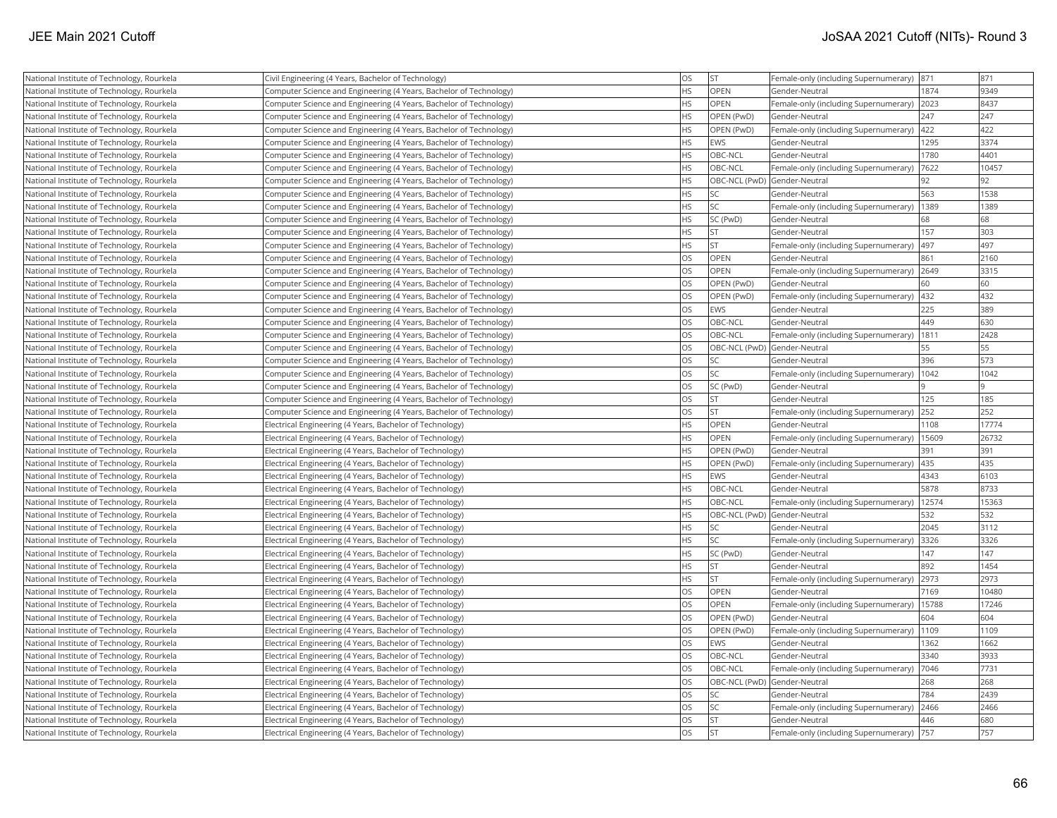| National Institute of Technology, Rourkela | Civil Engineering (4 Years, Bachelor of Technology)                | <b>OS</b> | <b>ST</b>                    | Female-only (including Supernumerary) | 871   | 871   |
|--------------------------------------------|--------------------------------------------------------------------|-----------|------------------------------|---------------------------------------|-------|-------|
| National Institute of Technology, Rourkela | Computer Science and Engineering (4 Years, Bachelor of Technology) | <b>HS</b> | <b>OPEN</b>                  | Gender-Neutral                        | 1874  | 9349  |
| National Institute of Technology, Rourkela | Computer Science and Engineering (4 Years, Bachelor of Technology) | <b>HS</b> | <b>OPEN</b>                  | Female-only (including Supernumerary) | 2023  | 8437  |
| National Institute of Technology, Rourkela | Computer Science and Engineering (4 Years, Bachelor of Technology) | <b>HS</b> | OPEN (PwD)                   | Gender-Neutral                        | 247   | 247   |
| National Institute of Technology, Rourkela | Computer Science and Engineering (4 Years, Bachelor of Technology) | <b>HS</b> | OPEN (PwD)                   | Female-only (including Supernumerary) | 422   | 422   |
| National Institute of Technology, Rourkela | Computer Science and Engineering (4 Years, Bachelor of Technology) | <b>HS</b> | EWS                          | Gender-Neutral                        | 1295  | 3374  |
| National Institute of Technology, Rourkela | Computer Science and Engineering (4 Years, Bachelor of Technology) | <b>HS</b> | OBC-NCL                      | Gender-Neutral                        | 1780  | 4401  |
| National Institute of Technology, Rourkela | Computer Science and Engineering (4 Years, Bachelor of Technology) | <b>HS</b> | OBC-NCL                      | Female-only (including Supernumerary) | 7622  | 10457 |
| National Institute of Technology, Rourkela | Computer Science and Engineering (4 Years, Bachelor of Technology) | <b>HS</b> | OBC-NCL (PwD) Gender-Neutral |                                       | 92    | 92    |
| National Institute of Technology, Rourkela | Computer Science and Engineering (4 Years, Bachelor of Technology) | <b>HS</b> | <b>SC</b>                    | Gender-Neutral                        | 563   | 1538  |
| National Institute of Technology, Rourkela | Computer Science and Engineering (4 Years, Bachelor of Technology) | <b>HS</b> | <b>SC</b>                    | Female-only (including Supernumerary) | 1389  | 1389  |
| National Institute of Technology, Rourkela | Computer Science and Engineering (4 Years, Bachelor of Technology) | <b>HS</b> | SC (PwD)                     | Gender-Neutral                        | 68    | 68    |
| National Institute of Technology, Rourkela | Computer Science and Engineering (4 Years, Bachelor of Technology) | <b>HS</b> | <b>ST</b>                    | Gender-Neutral                        | 157   | 303   |
| National Institute of Technology, Rourkela | Computer Science and Engineering (4 Years, Bachelor of Technology) | <b>HS</b> | lst                          | Female-only (including Supernumerary) | 497   | 497   |
| National Institute of Technology, Rourkela | Computer Science and Engineering (4 Years, Bachelor of Technology) | <b>OS</b> | <b>OPEN</b>                  | Gender-Neutral                        | 861   | 2160  |
| National Institute of Technology, Rourkela | Computer Science and Engineering (4 Years, Bachelor of Technology) | <b>OS</b> | <b>OPEN</b>                  | Female-only (including Supernumerary) | 2649  | 3315  |
| National Institute of Technology, Rourkela | Computer Science and Engineering (4 Years, Bachelor of Technology) | <b>OS</b> | OPEN (PwD)                   | Gender-Neutral                        | 60    | 60    |
| National Institute of Technology, Rourkela | Computer Science and Engineering (4 Years, Bachelor of Technology) | <b>OS</b> | OPEN (PwD)                   | Female-only (including Supernumerary) | 432   | 432   |
| National Institute of Technology, Rourkela | Computer Science and Engineering (4 Years, Bachelor of Technology) | <b>OS</b> | <b>EWS</b>                   | Gender-Neutral                        | 225   | 389   |
| National Institute of Technology, Rourkela | Computer Science and Engineering (4 Years, Bachelor of Technology) | OS        | OBC-NCL                      | Gender-Neutral                        | 449   | 630   |
| National Institute of Technology, Rourkela | Computer Science and Engineering (4 Years, Bachelor of Technology) | <b>OS</b> | OBC-NCL                      | Female-only (including Supernumerary) | 1811  | 2428  |
| National Institute of Technology, Rourkela | Computer Science and Engineering (4 Years, Bachelor of Technology) | <b>OS</b> | OBC-NCL (PwD) Gender-Neutral |                                       | 55    | 55    |
| National Institute of Technology, Rourkela | Computer Science and Engineering (4 Years, Bachelor of Technology) | <b>OS</b> | SC                           | Gender-Neutral                        | 396   | 573   |
| National Institute of Technology, Rourkela | Computer Science and Engineering (4 Years, Bachelor of Technology) | <b>OS</b> | SC                           | Female-only (including Supernumerary) | 1042  | 1042  |
| National Institute of Technology, Rourkela | Computer Science and Engineering (4 Years, Bachelor of Technology) | <b>OS</b> | SC (PwD)                     | Gender-Neutral                        |       |       |
| National Institute of Technology, Rourkela | Computer Science and Engineering (4 Years, Bachelor of Technology) | <b>OS</b> | <b>ST</b>                    | Gender-Neutral                        | 125   | 185   |
| National Institute of Technology, Rourkela | Computer Science and Engineering (4 Years, Bachelor of Technology) | <b>OS</b> | <b>ST</b>                    | Female-only (including Supernumerary) | 252   | 252   |
| National Institute of Technology, Rourkela | Electrical Engineering (4 Years, Bachelor of Technology)           | <b>HS</b> | <b>OPEN</b>                  | Gender-Neutral                        | 1108  | 17774 |
| National Institute of Technology, Rourkela | Electrical Engineering (4 Years, Bachelor of Technology)           | <b>HS</b> | <b>OPEN</b>                  | Female-only (including Supernumerary) | 15609 | 26732 |
| National Institute of Technology, Rourkela | Electrical Engineering (4 Years, Bachelor of Technology)           | <b>HS</b> | OPEN (PwD)                   | Gender-Neutral                        | 391   | 391   |
| National Institute of Technology, Rourkela | Electrical Engineering (4 Years, Bachelor of Technology)           | <b>HS</b> | OPEN (PwD)                   | Female-only (including Supernumerary) | 435   | 435   |
| National Institute of Technology, Rourkela | Electrical Engineering (4 Years, Bachelor of Technology)           | <b>HS</b> | EWS                          | Gender-Neutral                        | 4343  | 6103  |
| National Institute of Technology, Rourkela | Electrical Engineering (4 Years, Bachelor of Technology)           | <b>HS</b> | OBC-NCL                      | Gender-Neutral                        | 5878  | 8733  |
| National Institute of Technology, Rourkela | Electrical Engineering (4 Years, Bachelor of Technology)           | <b>HS</b> | OBC-NCL                      | Female-only (including Supernumerary) | 12574 | 15363 |
| National Institute of Technology, Rourkela | Electrical Engineering (4 Years, Bachelor of Technology)           | <b>HS</b> | OBC-NCL (PwD) Gender-Neutral |                                       | 532   | 532   |
| National Institute of Technology, Rourkela | Electrical Engineering (4 Years, Bachelor of Technology)           | <b>HS</b> | SC.                          | Gender-Neutral                        | 2045  | 3112  |
| National Institute of Technology, Rourkela | Electrical Engineering (4 Years, Bachelor of Technology)           | <b>HS</b> | <b>SC</b>                    | Female-only (including Supernumerary) | 3326  | 3326  |
| National Institute of Technology, Rourkela | Electrical Engineering (4 Years, Bachelor of Technology)           | <b>HS</b> | SC (PwD)                     | Gender-Neutral                        | 147   | 147   |
| National Institute of Technology, Rourkela | Electrical Engineering (4 Years, Bachelor of Technology)           | <b>HS</b> | <b>ST</b>                    | Gender-Neutral                        | 892   | 1454  |
| National Institute of Technology, Rourkela | Electrical Engineering (4 Years, Bachelor of Technology)           | <b>HS</b> | <b>ST</b>                    | Female-only (including Supernumerary) | 2973  | 2973  |
| National Institute of Technology, Rourkela | Electrical Engineering (4 Years, Bachelor of Technology)           | <b>OS</b> | OPEN                         | Gender-Neutral                        | 7169  | 10480 |
| National Institute of Technology, Rourkela | Electrical Engineering (4 Years, Bachelor of Technology)           | <b>OS</b> | <b>OPEN</b>                  | Female-only (including Supernumerary) | 15788 | 17246 |
| National Institute of Technology, Rourkela | Electrical Engineering (4 Years, Bachelor of Technology)           | <b>OS</b> | OPEN (PwD)                   | Gender-Neutral                        | 604   | 604   |
| National Institute of Technology, Rourkela | Electrical Engineering (4 Years, Bachelor of Technology)           | <b>OS</b> | OPEN (PwD)                   | Female-only (including Supernumerary) | 1109  | 1109  |
| National Institute of Technology, Rourkela | Electrical Engineering (4 Years, Bachelor of Technology)           | <b>OS</b> | <b>EWS</b>                   | Gender-Neutral                        | 1362  | 1662  |
| National Institute of Technology, Rourkela | Electrical Engineering (4 Years, Bachelor of Technology)           | <b>OS</b> | OBC-NCL                      | Gender-Neutral                        | 3340  | 3933  |
| National Institute of Technology, Rourkela | Electrical Engineering (4 Years, Bachelor of Technology)           | <b>OS</b> | OBC-NCL                      | Female-only (including Supernumerary) | 7046  | 7731  |
| National Institute of Technology, Rourkela | Electrical Engineering (4 Years, Bachelor of Technology)           | <b>OS</b> | OBC-NCL (PwD) Gender-Neutral |                                       | 268   | 268   |
| National Institute of Technology, Rourkela | Electrical Engineering (4 Years, Bachelor of Technology)           | <b>OS</b> | SC <sub>1</sub>              | Gender-Neutral                        | 784   | 2439  |
| National Institute of Technology, Rourkela | Electrical Engineering (4 Years, Bachelor of Technology)           | <b>OS</b> | <b>SC</b>                    | Female-only (including Supernumerary) | 2466  | 2466  |
| National Institute of Technology, Rourkela | Electrical Engineering (4 Years, Bachelor of Technology)           | <b>OS</b> | <b>ST</b>                    | Gender-Neutral                        | 446   | 680   |
| National Institute of Technology, Rourkela | Electrical Engineering (4 Years, Bachelor of Technology)           | <b>OS</b> | İst                          | Female-only (including Supernumerary) | 757   | 757   |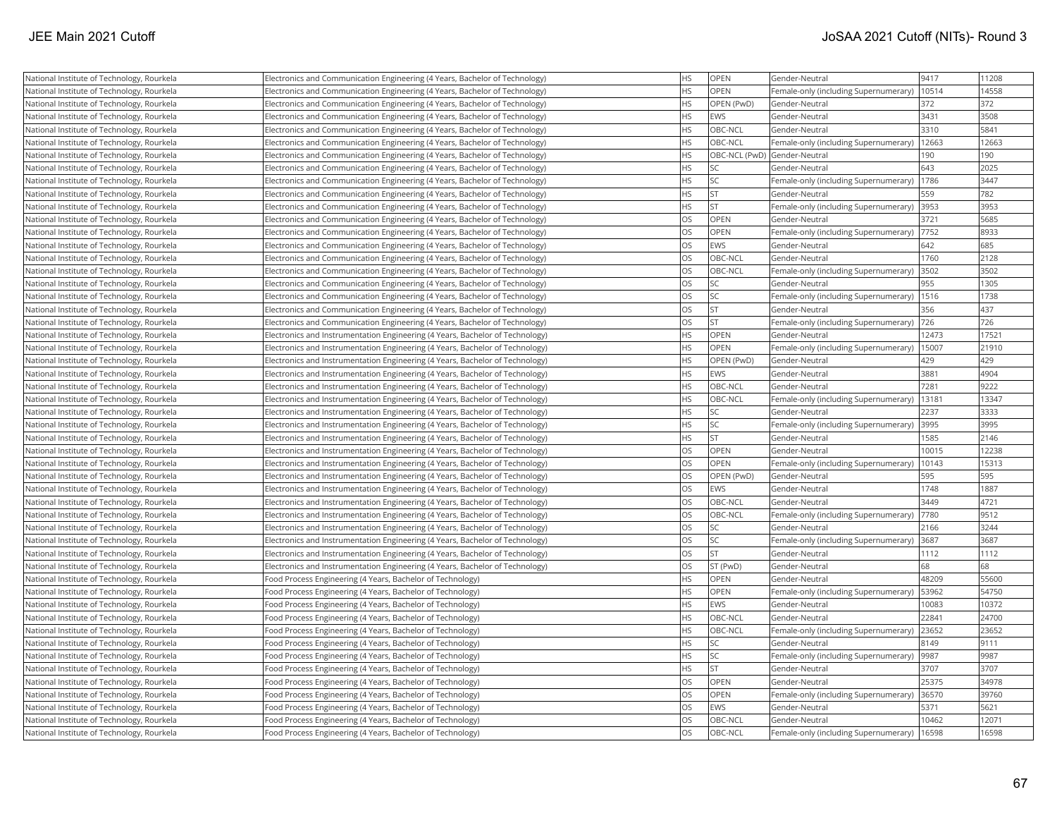| National Institute of Technology, Rourkela | Electronics and Communication Engineering (4 Years, Bachelor of Technology)   | <b>HS</b> | <b>OPEN</b> | Gender-Neutral                                | 9417  | 11208 |
|--------------------------------------------|-------------------------------------------------------------------------------|-----------|-------------|-----------------------------------------------|-------|-------|
| National Institute of Technology, Rourkela | Electronics and Communication Engineering (4 Years, Bachelor of Technology)   | <b>HS</b> | <b>OPEN</b> | Female-only (including Supernumerary)         | 10514 | 14558 |
| National Institute of Technology, Rourkela | Electronics and Communication Engineering (4 Years, Bachelor of Technology)   | <b>HS</b> | OPEN (PwD)  | Gender-Neutral                                | 372   | 372   |
| National Institute of Technology, Rourkela | Electronics and Communication Engineering (4 Years, Bachelor of Technology)   | <b>HS</b> | <b>EWS</b>  | Gender-Neutral                                | 3431  | 3508  |
| National Institute of Technology, Rourkela | Electronics and Communication Engineering (4 Years, Bachelor of Technology)   | <b>HS</b> | OBC-NCL     | Gender-Neutral                                | 3310  | 5841  |
| National Institute of Technology, Rourkela | Electronics and Communication Engineering (4 Years, Bachelor of Technology)   | <b>HS</b> | OBC-NCL     | Female-only (including Supernumerary)         | 12663 | 12663 |
| National Institute of Technology, Rourkela | Electronics and Communication Engineering (4 Years, Bachelor of Technology)   | <b>HS</b> |             | OBC-NCL (PwD) Gender-Neutral                  | 190   | 190   |
| National Institute of Technology, Rourkela | Electronics and Communication Engineering (4 Years, Bachelor of Technology)   | <b>HS</b> |             | Gender-Neutral                                | 643   | 2025  |
| National Institute of Technology, Rourkela | Electronics and Communication Engineering (4 Years, Bachelor of Technology)   | <b>HS</b> | lsc         | Female-only (including Supernumerary)         | 1786  | 3447  |
| National Institute of Technology, Rourkela | Electronics and Communication Engineering (4 Years, Bachelor of Technology)   | <b>HS</b> | lst         | Gender-Neutral                                | 559   | 782   |
| National Institute of Technology, Rourkela | Electronics and Communication Engineering (4 Years, Bachelor of Technology)   | <b>HS</b> | İst         | Female-only (including Supernumerary)         | 3953  | 3953  |
| National Institute of Technology, Rourkela | Electronics and Communication Engineering (4 Years, Bachelor of Technology)   | <b>OS</b> | <b>OPEN</b> | Gender-Neutral                                | 3721  | 5685  |
| National Institute of Technology, Rourkela | Electronics and Communication Engineering (4 Years, Bachelor of Technology)   | <b>OS</b> | OPEN        | Female-only (including Supernumerary)   7752  |       | 8933  |
| National Institute of Technology, Rourkela | Electronics and Communication Engineering (4 Years, Bachelor of Technology)   | <b>OS</b> | <b>EWS</b>  | Gender-Neutral                                | 642   | 685   |
| National Institute of Technology, Rourkela | Electronics and Communication Engineering (4 Years, Bachelor of Technology)   | OS        | OBC-NCL     | Gender-Neutral                                | 1760  | 2128  |
| National Institute of Technology, Rourkela | Electronics and Communication Engineering (4 Years, Bachelor of Technology)   | <b>OS</b> | OBC-NCL     | Female-only (including Supernumerary)         | 3502  | 3502  |
| National Institute of Technology, Rourkela | Electronics and Communication Engineering (4 Years, Bachelor of Technology)   | OS        | <b>SC</b>   | Gender-Neutral                                | 955   | 1305  |
| National Institute of Technology, Rourkela | Electronics and Communication Engineering (4 Years, Bachelor of Technology)   | <b>OS</b> | SC          | Female-only (including Supernumerary)         | 1516  | 1738  |
| National Institute of Technology, Rourkela | Electronics and Communication Engineering (4 Years, Bachelor of Technology)   | <b>OS</b> | İst         | Gender-Neutral                                | 356   | 437   |
| National Institute of Technology, Rourkela | Electronics and Communication Engineering (4 Years, Bachelor of Technology)   | <b>OS</b> | Ist         | Female-only (including Supernumerary)         | 726   | 726   |
| National Institute of Technology, Rourkela | Electronics and Instrumentation Engineering (4 Years, Bachelor of Technology) | <b>HS</b> | OPEN        | Gender-Neutral                                | 12473 | 17521 |
| National Institute of Technology, Rourkela | Electronics and Instrumentation Engineering (4 Years, Bachelor of Technology) | <b>HS</b> | <b>OPEN</b> | Female-only (including Supernumerary)   15007 |       | 21910 |
| National Institute of Technology, Rourkela | Electronics and Instrumentation Engineering (4 Years, Bachelor of Technology) | <b>HS</b> | OPEN (PwD)  | Gender-Neutral                                | 429   | 429   |
| National Institute of Technology, Rourkela | Electronics and Instrumentation Engineering (4 Years, Bachelor of Technology) | <b>HS</b> | EWS         | Gender-Neutral                                | 3881  | 4904  |
| National Institute of Technology, Rourkela | Electronics and Instrumentation Engineering (4 Years, Bachelor of Technology) | <b>HS</b> | OBC-NCL     | Gender-Neutral                                | 7281  | 9222  |
| National Institute of Technology, Rourkela | Electronics and Instrumentation Engineering (4 Years, Bachelor of Technology) | <b>HS</b> | OBC-NCL     | Female-only (including Supernumerary)         | 13181 | 13347 |
| National Institute of Technology, Rourkela | Electronics and Instrumentation Engineering (4 Years, Bachelor of Technology) | <b>HS</b> | <b>SC</b>   | Gender-Neutral                                | 2237  | 3333  |
| National Institute of Technology, Rourkela | Electronics and Instrumentation Engineering (4 Years, Bachelor of Technology) | <b>HS</b> | SC.         | Female-only (including Supernumerary)         | 3995  | 3995  |
| National Institute of Technology, Rourkela | Electronics and Instrumentation Engineering (4 Years, Bachelor of Technology) | <b>HS</b> | lst         | Gender-Neutral                                | 1585  | 2146  |
| National Institute of Technology, Rourkela | Electronics and Instrumentation Engineering (4 Years, Bachelor of Technology) | <b>OS</b> | OPEN        | Gender-Neutral                                | 10015 | 12238 |
| National Institute of Technology, Rourkela | Electronics and Instrumentation Engineering (4 Years, Bachelor of Technology) | OS        | <b>OPEN</b> | Female-only (including Supernumerary)         | 10143 | 15313 |
| National Institute of Technology, Rourkela | Electronics and Instrumentation Engineering (4 Years, Bachelor of Technology) | <b>OS</b> | OPEN (PwD)  | Gender-Neutral                                | 595   | 595   |
| National Institute of Technology, Rourkela | Electronics and Instrumentation Engineering (4 Years, Bachelor of Technology) | OS        | EWS         | Gender-Neutral                                | 1748  | 1887  |
| National Institute of Technology, Rourkela | Electronics and Instrumentation Engineering (4 Years, Bachelor of Technology) | <b>OS</b> | OBC-NCL     | Gender-Neutral                                | 3449  | 4721  |
| National Institute of Technology, Rourkela | Electronics and Instrumentation Engineering (4 Years, Bachelor of Technology) | <b>OS</b> | OBC-NCL     | Female-only (including Supernumerary)         | 7780  | 9512  |
| National Institute of Technology, Rourkela | Electronics and Instrumentation Engineering (4 Years, Bachelor of Technology) | <b>OS</b> | SC)         | Gender-Neutral                                | 2166  | 3244  |
| National Institute of Technology, Rourkela | Electronics and Instrumentation Engineering (4 Years, Bachelor of Technology) | <b>OS</b> | SC)         | Female-only (including Supernumerary)         | 3687  | 3687  |
| National Institute of Technology, Rourkela | Electronics and Instrumentation Engineering (4 Years, Bachelor of Technology) | <b>OS</b> | ST.         | Gender-Neutral                                | 1112  | 1112  |
| National Institute of Technology, Rourkela | Electronics and Instrumentation Engineering (4 Years, Bachelor of Technology) | <b>OS</b> | ST (PwD)    | Gender-Neutral                                | 68    | 68    |
| National Institute of Technology, Rourkela | Food Process Engineering (4 Years, Bachelor of Technology)                    | <b>HS</b> | OPEN        | Gender-Neutral                                | 48209 | 55600 |
| National Institute of Technology, Rourkela | Food Process Engineering (4 Years, Bachelor of Technology)                    | <b>HS</b> | <b>OPEN</b> | Female-only (including Supernumerary)         | 53962 | 54750 |
| National Institute of Technology, Rourkela | Food Process Engineering (4 Years, Bachelor of Technology)                    | <b>HS</b> | EWS         | Gender-Neutral                                | 10083 | 10372 |
| National Institute of Technology, Rourkela | Food Process Engineering (4 Years, Bachelor of Technology)                    | <b>HS</b> | OBC-NCL     | Gender-Neutral                                | 22841 | 24700 |
| National Institute of Technology, Rourkela | Food Process Engineering (4 Years, Bachelor of Technology)                    | <b>HS</b> | OBC-NCL     | Female-only (including Supernumerary)         | 23652 | 23652 |
| National Institute of Technology, Rourkela | Food Process Engineering (4 Years, Bachelor of Technology)                    | <b>HS</b> | lsc         | Gender-Neutral                                | 8149  | 9111  |
| National Institute of Technology, Rourkela | Food Process Engineering (4 Years, Bachelor of Technology)                    | <b>HS</b> | SC          | Female-only (including Supernumerary)         | 9987  | 9987  |
| National Institute of Technology, Rourkela | Food Process Engineering (4 Years, Bachelor of Technology)                    | <b>HS</b> | <b>ST</b>   | Gender-Neutral                                | 3707  | 3707  |
| National Institute of Technology, Rourkela | Food Process Engineering (4 Years, Bachelor of Technology)                    | OS        | <b>OPEN</b> | Gender-Neutral                                | 25375 | 34978 |
| National Institute of Technology, Rourkela | Food Process Engineering (4 Years, Bachelor of Technology)                    | <b>OS</b> | <b>OPEN</b> | Female-only (including Supernumerary)         | 36570 | 39760 |
| National Institute of Technology, Rourkela | Food Process Engineering (4 Years, Bachelor of Technology)                    | OS        | <b>EWS</b>  | Gender-Neutral                                | 5371  | 5621  |
| National Institute of Technology, Rourkela | Food Process Engineering (4 Years, Bachelor of Technology)                    | <b>OS</b> | OBC-NCL     | Gender-Neutral                                | 10462 | 12071 |
| National Institute of Technology, Rourkela | Food Process Engineering (4 Years, Bachelor of Technology)                    | <b>OS</b> | OBC-NCL     | Female-only (including Supernumerary)         | 16598 | 16598 |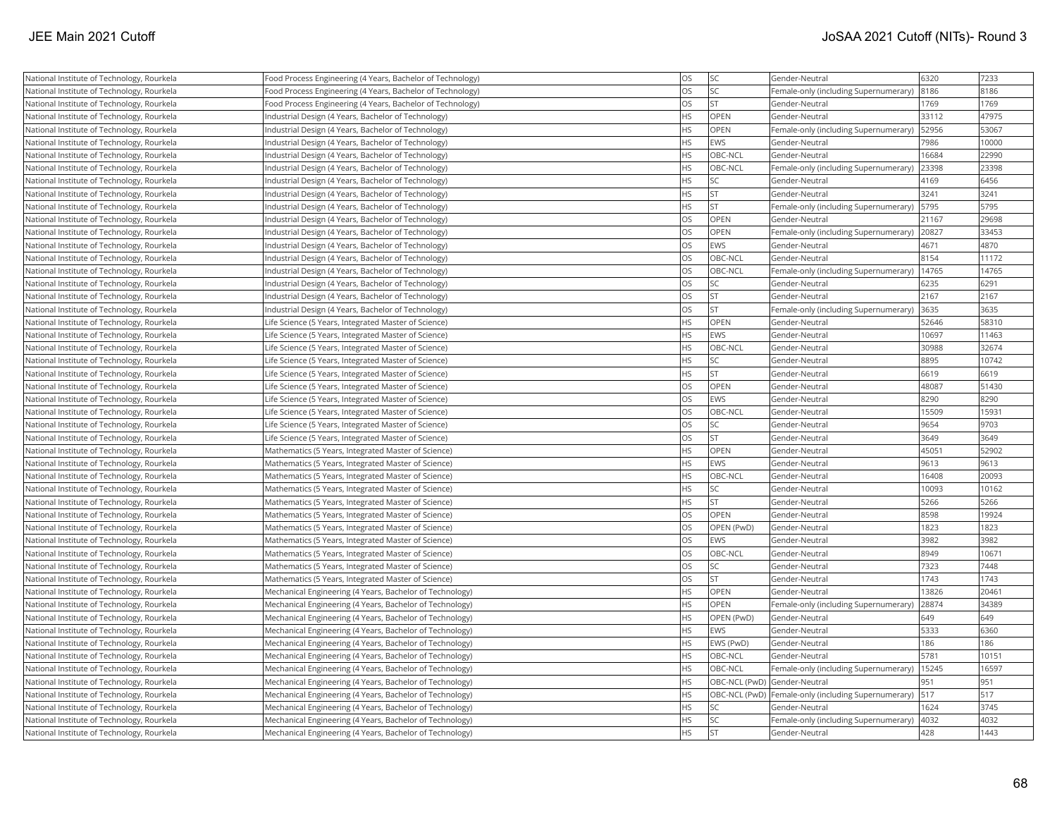| National Institute of Technology, Rourkela | Food Process Engineering (4 Years, Bachelor of Technology) | <b>OS</b> | <b>SC</b>   | Gender-Neutral                                      | 6320  | 7233  |
|--------------------------------------------|------------------------------------------------------------|-----------|-------------|-----------------------------------------------------|-------|-------|
| National Institute of Technology, Rourkela | Food Process Engineering (4 Years, Bachelor of Technology) | <b>OS</b> | <b>SC</b>   | Female-only (including Supernumerary)               | 8186  | 8186  |
| National Institute of Technology, Rourkela | Food Process Engineering (4 Years, Bachelor of Technology) | <b>OS</b> | lst         | Gender-Neutral                                      | 1769  | 1769  |
| National Institute of Technology, Rourkela | Industrial Design (4 Years, Bachelor of Technology)        | <b>HS</b> | OPEN        | Gender-Neutral                                      | 33112 | 47975 |
| National Institute of Technology, Rourkela | Industrial Design (4 Years, Bachelor of Technology)        | <b>HS</b> | OPEN        | Female-only (including Supernumerary)               | 52956 | 53067 |
| National Institute of Technology, Rourkela | Industrial Design (4 Years, Bachelor of Technology)        | <b>HS</b> | EWS         | Gender-Neutral                                      | 7986  | 10000 |
| National Institute of Technology, Rourkela | Industrial Design (4 Years, Bachelor of Technology)        | <b>HS</b> | OBC-NCL     | Gender-Neutral                                      | 16684 | 22990 |
| National Institute of Technology, Rourkela | Industrial Design (4 Years, Bachelor of Technology)        | <b>HS</b> | OBC-NCL     | Female-only (including Supernumerary)               | 23398 | 23398 |
| National Institute of Technology, Rourkela | Industrial Design (4 Years, Bachelor of Technology)        | <b>HS</b> | <b>SC</b>   | Gender-Neutral                                      | 4169  | 6456  |
| National Institute of Technology, Rourkela | Industrial Design (4 Years, Bachelor of Technology)        | <b>HS</b> | <b>ST</b>   | Gender-Neutral                                      | 3241  | 3241  |
| National Institute of Technology, Rourkela | Industrial Design (4 Years, Bachelor of Technology)        | <b>HS</b> | lst         | Female-only (including Supernumerary)               | 5795  | 5795  |
| National Institute of Technology, Rourkela | Industrial Design (4 Years, Bachelor of Technology)        | <b>OS</b> | OPEN        | Gender-Neutral                                      | 21167 | 29698 |
| National Institute of Technology, Rourkela | Industrial Design (4 Years, Bachelor of Technology)        | <b>OS</b> | <b>OPEN</b> | Female-only (including Supernumerary)               | 20827 | 33453 |
| National Institute of Technology, Rourkela | Industrial Design (4 Years, Bachelor of Technology)        | <b>OS</b> | EWS         | Gender-Neutral                                      | 4671  | 4870  |
| National Institute of Technology, Rourkela | Industrial Design (4 Years, Bachelor of Technology)        | <b>OS</b> | OBC-NCL     | Gender-Neutral                                      | 8154  | 11172 |
| National Institute of Technology, Rourkela | Industrial Design (4 Years, Bachelor of Technology)        | <b>OS</b> | OBC-NCL     | Female-only (including Supernumerary)               | 14765 | 14765 |
| National Institute of Technology, Rourkela | Industrial Design (4 Years, Bachelor of Technology)        | <b>OS</b> | <b>SC</b>   | Gender-Neutral                                      | 6235  | 6291  |
| National Institute of Technology, Rourkela | Industrial Design (4 Years, Bachelor of Technology)        | <b>OS</b> | <b>ST</b>   | Gender-Neutral                                      | 2167  | 2167  |
| National Institute of Technology, Rourkela | Industrial Design (4 Years, Bachelor of Technology)        | <b>OS</b> | <b>ST</b>   | Female-only (including Supernumerary)               | 3635  | 3635  |
| National Institute of Technology, Rourkela | Life Science (5 Years, Integrated Master of Science)       | <b>HS</b> | <b>OPEN</b> | Gender-Neutral                                      | 52646 | 58310 |
| National Institute of Technology, Rourkela | Life Science (5 Years, Integrated Master of Science)       | <b>HS</b> | EWS         | Gender-Neutral                                      | 10697 | 11463 |
| National Institute of Technology, Rourkela | Life Science (5 Years, Integrated Master of Science)       | <b>HS</b> | OBC-NCL     | Gender-Neutral                                      | 30988 | 32674 |
| National Institute of Technology, Rourkela | Life Science (5 Years, Integrated Master of Science)       | <b>HS</b> | <b>SC</b>   | Gender-Neutral                                      | 8895  | 10742 |
| National Institute of Technology, Rourkela | Life Science (5 Years, Integrated Master of Science)       | <b>HS</b> | <b>ST</b>   | Gender-Neutral                                      | 6619  | 6619  |
| National Institute of Technology, Rourkela | Life Science (5 Years, Integrated Master of Science)       | <b>OS</b> | <b>OPEN</b> | Gender-Neutral                                      | 48087 | 51430 |
| National Institute of Technology, Rourkela | Life Science (5 Years, Integrated Master of Science)       | <b>OS</b> | EWS         | Gender-Neutral                                      | 8290  | 8290  |
| National Institute of Technology, Rourkela | Life Science (5 Years, Integrated Master of Science)       | <b>OS</b> | OBC-NCL     | Gender-Neutral                                      | 15509 | 15931 |
| National Institute of Technology, Rourkela | Life Science (5 Years, Integrated Master of Science)       | <b>OS</b> | <b>SC</b>   | Gender-Neutral                                      | 9654  | 9703  |
| National Institute of Technology, Rourkela | Life Science (5 Years, Integrated Master of Science)       | <b>OS</b> | lst         | Gender-Neutral                                      | 3649  | 3649  |
| National Institute of Technology, Rourkela | Mathematics (5 Years, Integrated Master of Science)        | <b>HS</b> | <b>OPEN</b> | Gender-Neutral                                      | 45051 | 52902 |
| National Institute of Technology, Rourkela | Mathematics (5 Years, Integrated Master of Science)        | <b>HS</b> | EWS         | Gender-Neutral                                      | 9613  | 9613  |
| National Institute of Technology, Rourkela | Mathematics (5 Years, Integrated Master of Science)        | <b>HS</b> | OBC-NCL     | Gender-Neutral                                      | 16408 | 20093 |
| National Institute of Technology, Rourkela | Mathematics (5 Years, Integrated Master of Science)        | <b>HS</b> | <b>SC</b>   | Gender-Neutral                                      | 10093 | 10162 |
| National Institute of Technology, Rourkela | Mathematics (5 Years, Integrated Master of Science)        | <b>HS</b> | <b>ST</b>   | Gender-Neutral                                      | 5266  | 5266  |
| National Institute of Technology, Rourkela | Mathematics (5 Years, Integrated Master of Science)        | <b>OS</b> | OPEN        | Gender-Neutral                                      | 8598  | 19924 |
| National Institute of Technology, Rourkela | Mathematics (5 Years, Integrated Master of Science)        | <b>OS</b> | OPEN (PwD)  | Gender-Neutral                                      | 1823  | 1823  |
| National Institute of Technology, Rourkela | Mathematics (5 Years, Integrated Master of Science)        | <b>OS</b> | EWS         | Gender-Neutral                                      | 3982  | 3982  |
| National Institute of Technology, Rourkela | Mathematics (5 Years, Integrated Master of Science)        | <b>OS</b> | OBC-NCL     | Gender-Neutral                                      | 8949  | 10671 |
| National Institute of Technology, Rourkela | Mathematics (5 Years, Integrated Master of Science)        | <b>OS</b> | <b>SC</b>   | Gender-Neutral                                      | 7323  | 7448  |
| National Institute of Technology, Rourkela | Mathematics (5 Years, Integrated Master of Science)        | <b>OS</b> | <b>ST</b>   | Gender-Neutral                                      | 1743  | 1743  |
| National Institute of Technology, Rourkela | Mechanical Engineering (4 Years, Bachelor of Technology)   | <b>HS</b> | <b>OPEN</b> | Gender-Neutral                                      | 13826 | 20461 |
| National Institute of Technology, Rourkela | Mechanical Engineering (4 Years, Bachelor of Technology)   | <b>HS</b> | OPEN        | Female-only (including Supernumerary)               | 28874 | 34389 |
| National Institute of Technology, Rourkela | Mechanical Engineering (4 Years, Bachelor of Technology)   | <b>HS</b> | OPEN (PwD)  | Gender-Neutral                                      | 649   | 649   |
| National Institute of Technology, Rourkela | Mechanical Engineering (4 Years, Bachelor of Technology)   | <b>HS</b> | EWS         | Gender-Neutral                                      | 5333  | 6360  |
| National Institute of Technology, Rourkela | Mechanical Engineering (4 Years, Bachelor of Technology)   | <b>HS</b> | EWS (PwD)   | Gender-Neutral                                      | 186   | 186   |
| National Institute of Technology, Rourkela | Mechanical Engineering (4 Years, Bachelor of Technology)   | <b>HS</b> | OBC-NCL     | Gender-Neutral                                      | 5781  | 10151 |
| National Institute of Technology, Rourkela | Mechanical Engineering (4 Years, Bachelor of Technology)   | <b>HS</b> | OBC-NCL     | Female-only (including Supernumerary)               | 15245 | 16597 |
| National Institute of Technology, Rourkela | Mechanical Engineering (4 Years, Bachelor of Technology)   | <b>HS</b> |             | OBC-NCL (PwD) Gender-Neutral                        | 951   | 951   |
| National Institute of Technology, Rourkela | Mechanical Engineering (4 Years, Bachelor of Technology)   | <b>HS</b> |             | OBC-NCL (PwD) Female-only (including Supernumerary) | 517   | 517   |
| National Institute of Technology, Rourkela | Mechanical Engineering (4 Years, Bachelor of Technology)   | <b>HS</b> | SC          | Gender-Neutral                                      | 1624  | 3745  |
| National Institute of Technology, Rourkela | Mechanical Engineering (4 Years, Bachelor of Technology)   | HS        | <b>SC</b>   | Female-only (including Supernumerary)               | 4032  | 4032  |
| National Institute of Technology, Rourkela | Mechanical Engineering (4 Years, Bachelor of Technology)   | <b>HS</b> | İst         | Gender-Neutral                                      | 428   | 1443  |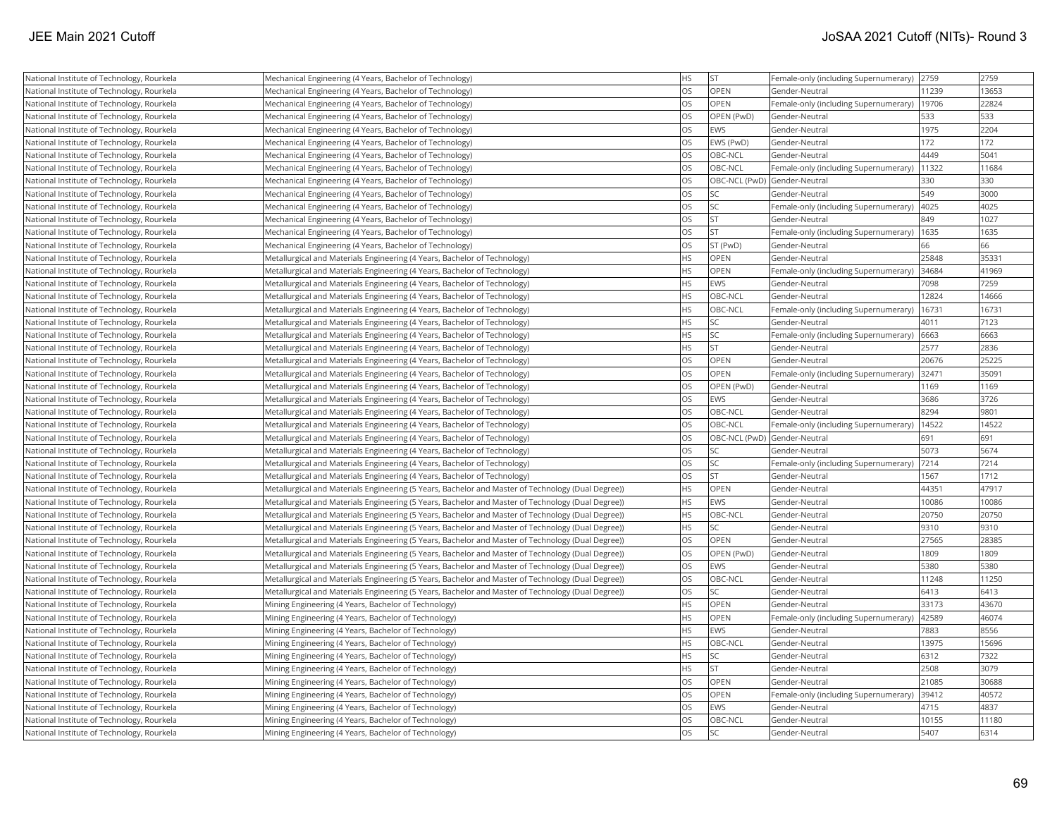| National Institute of Technology, Rourkela | Mechanical Engineering (4 Years, Bachelor of Technology)                                           | <b>HS</b> | <b>ST</b>  | Female-only (including Supernumerary) | 2759  | 2759  |
|--------------------------------------------|----------------------------------------------------------------------------------------------------|-----------|------------|---------------------------------------|-------|-------|
| National Institute of Technology, Rourkela | Mechanical Engineering (4 Years, Bachelor of Technology)                                           | <b>OS</b> | OPEN       | Gender-Neutral                        | 11239 | 13653 |
| National Institute of Technology, Rourkela | Mechanical Engineering (4 Years, Bachelor of Technology)                                           | <b>OS</b> | OPEN       | Female-only (including Supernumerary) | 19706 | 22824 |
| National Institute of Technology, Rourkela | Mechanical Engineering (4 Years, Bachelor of Technology)                                           | <b>OS</b> | OPEN (PwD) | Gender-Neutral                        | 533   | 533   |
| National Institute of Technology, Rourkela | Mechanical Engineering (4 Years, Bachelor of Technology)                                           | <b>OS</b> | <b>EWS</b> | Gender-Neutral                        | 1975  | 2204  |
| National Institute of Technology, Rourkela | Mechanical Engineering (4 Years, Bachelor of Technology)                                           | <b>OS</b> | EWS (PwD)  | Gender-Neutral                        | 172   | 172   |
| National Institute of Technology, Rourkela | Mechanical Engineering (4 Years, Bachelor of Technology)                                           | <b>OS</b> | OBC-NCL    | Gender-Neutral                        | 4449  | 5041  |
| National Institute of Technology, Rourkela | Mechanical Engineering (4 Years, Bachelor of Technology)                                           | <b>OS</b> | OBC-NCL    | Female-only (including Supernumerary) | 11322 | 11684 |
| National Institute of Technology, Rourkela | Mechanical Engineering (4 Years, Bachelor of Technology)                                           | <b>OS</b> |            | OBC-NCL (PwD) Gender-Neutral          | 330   | 330   |
| National Institute of Technology, Rourkela | Mechanical Engineering (4 Years, Bachelor of Technology)                                           | <b>OS</b> | SC         | Gender-Neutral                        | 549   | 3000  |
| National Institute of Technology, Rourkela | Mechanical Engineering (4 Years, Bachelor of Technology)                                           | <b>OS</b> | SC         | Female-only (including Supernumerary) | 4025  | 4025  |
| National Institute of Technology, Rourkela | Mechanical Engineering (4 Years, Bachelor of Technology)                                           | <b>OS</b> | <b>ST</b>  | Gender-Neutral                        | 849   | 1027  |
| National Institute of Technology, Rourkela | Mechanical Engineering (4 Years, Bachelor of Technology)                                           | <b>OS</b> | <b>ST</b>  | Female-only (including Supernumerary) | 1635  | 1635  |
| National Institute of Technology, Rourkela | Mechanical Engineering (4 Years, Bachelor of Technology)                                           | <b>OS</b> | ST (PwD)   | Gender-Neutral                        | 66    | 66    |
| National Institute of Technology, Rourkela | Metallurgical and Materials Engineering (4 Years, Bachelor of Technology)                          | <b>HS</b> | OPEN       | Gender-Neutral                        | 25848 | 35331 |
| National Institute of Technology, Rourkela | Metallurgical and Materials Engineering (4 Years, Bachelor of Technology)                          | <b>HS</b> | OPEN       | Female-only (including Supernumerary) | 34684 | 41969 |
| National Institute of Technology, Rourkela | Metallurgical and Materials Engineering (4 Years, Bachelor of Technology)                          | <b>HS</b> | EWS        | Gender-Neutral                        | 7098  | 7259  |
| National Institute of Technology, Rourkela | Metallurgical and Materials Engineering (4 Years, Bachelor of Technology)                          | <b>HS</b> | OBC-NCL    | Gender-Neutral                        | 12824 | 14666 |
| National Institute of Technology, Rourkela | Metallurgical and Materials Engineering (4 Years, Bachelor of Technology)                          | <b>HS</b> | OBC-NCL    | Female-only (including Supernumerary) | 16731 | 16731 |
| National Institute of Technology, Rourkela | Metallurgical and Materials Engineering (4 Years, Bachelor of Technology)                          | <b>HS</b> | <b>SC</b>  | Gender-Neutral                        | 4011  | 7123  |
| National Institute of Technology, Rourkela | Metallurgical and Materials Engineering (4 Years, Bachelor of Technology)                          | <b>HS</b> | SC         | Female-only (including Supernumerary) | 6663  | 6663  |
| National Institute of Technology, Rourkela | Metallurgical and Materials Engineering (4 Years, Bachelor of Technology)                          | <b>HS</b> | <b>ST</b>  | Gender-Neutral                        | 2577  | 2836  |
| National Institute of Technology, Rourkela | Metallurgical and Materials Engineering (4 Years, Bachelor of Technology)                          | <b>OS</b> | OPEN       | Gender-Neutral                        | 20676 | 25225 |
| National Institute of Technology, Rourkela | Metallurgical and Materials Engineering (4 Years, Bachelor of Technology)                          | <b>OS</b> | OPEN       | Female-only (including Supernumerary) | 32471 | 35091 |
| National Institute of Technology, Rourkela | Metallurgical and Materials Engineering (4 Years, Bachelor of Technology)                          | <b>OS</b> | OPEN (PwD) | Gender-Neutral                        | 1169  | 1169  |
| National Institute of Technology, Rourkela | Metallurgical and Materials Engineering (4 Years, Bachelor of Technology)                          | <b>OS</b> | EWS        | Gender-Neutral                        | 3686  | 3726  |
| National Institute of Technology, Rourkela | Metallurgical and Materials Engineering (4 Years, Bachelor of Technology)                          | <b>OS</b> | OBC-NCL    | Gender-Neutral                        | 8294  | 9801  |
| National Institute of Technology, Rourkela | Metallurgical and Materials Engineering (4 Years, Bachelor of Technology)                          | <b>OS</b> | OBC-NCL    | Female-only (including Supernumerary) | 14522 | 14522 |
| National Institute of Technology, Rourkela | Metallurgical and Materials Engineering (4 Years, Bachelor of Technology)                          | <b>OS</b> |            | OBC-NCL (PwD) Gender-Neutral          | 691   | 691   |
| National Institute of Technology, Rourkela | Metallurgical and Materials Engineering (4 Years, Bachelor of Technology)                          | <b>OS</b> | <b>SC</b>  | Gender-Neutral                        | 5073  | 5674  |
| National Institute of Technology, Rourkela | Metallurgical and Materials Engineering (4 Years, Bachelor of Technology)                          | <b>OS</b> | <b>SC</b>  | Female-only (including Supernumerary) | 7214  | 7214  |
| National Institute of Technology, Rourkela | Metallurgical and Materials Engineering (4 Years, Bachelor of Technology)                          | <b>OS</b> | <b>ST</b>  | Gender-Neutral                        | 1567  | 1712  |
| National Institute of Technology, Rourkela | Metallurgical and Materials Engineering (5 Years, Bachelor and Master of Technology (Dual Degree)) | <b>HS</b> | OPEN       | Gender-Neutral                        | 44351 | 47917 |
| National Institute of Technology, Rourkela | Metallurgical and Materials Engineering (5 Years, Bachelor and Master of Technology (Dual Degree)) | <b>HS</b> | EWS        | Gender-Neutral                        | 10086 | 10086 |
| National Institute of Technology, Rourkela | Metallurgical and Materials Engineering (5 Years, Bachelor and Master of Technology (Dual Degree)) | <b>HS</b> | OBC-NCL    | Gender-Neutral                        | 20750 | 20750 |
| National Institute of Technology, Rourkela | Metallurgical and Materials Engineering (5 Years, Bachelor and Master of Technology (Dual Degree)) | <b>HS</b> | SC.        | Gender-Neutral                        | 9310  | 9310  |
| National Institute of Technology, Rourkela | Metallurgical and Materials Engineering (5 Years, Bachelor and Master of Technology (Dual Degree)) | <b>OS</b> | OPEN       | Gender-Neutral                        | 27565 | 28385 |
| National Institute of Technology, Rourkela | Metallurgical and Materials Engineering (5 Years, Bachelor and Master of Technology (Dual Degree)) | <b>OS</b> | OPEN (PwD) | Gender-Neutral                        | 1809  | 1809  |
| National Institute of Technology, Rourkela | Metallurgical and Materials Engineering (5 Years, Bachelor and Master of Technology (Dual Degree)) | <b>OS</b> | EWS        | Gender-Neutral                        | 5380  | 5380  |
| National Institute of Technology, Rourkela | Metallurgical and Materials Engineering (5 Years, Bachelor and Master of Technology (Dual Degree)) | <b>OS</b> | OBC-NCL    | Gender-Neutral                        | 11248 | 11250 |
| National Institute of Technology, Rourkela | Metallurgical and Materials Engineering (5 Years, Bachelor and Master of Technology (Dual Degree)) | <b>OS</b> | <b>SC</b>  | Gender-Neutral                        | 6413  | 6413  |
| National Institute of Technology, Rourkela | Mining Engineering (4 Years, Bachelor of Technology)                                               | HS        | OPEN       | Gender-Neutral                        | 33173 | 43670 |
| National Institute of Technology, Rourkela | Mining Engineering (4 Years, Bachelor of Technology)                                               | <b>HS</b> | OPEN       | Female-only (including Supernumerary) | 42589 | 46074 |
| National Institute of Technology, Rourkela | Mining Engineering (4 Years, Bachelor of Technology)                                               | <b>HS</b> | EWS        | Gender-Neutral                        | 7883  | 8556  |
| National Institute of Technology, Rourkela | Mining Engineering (4 Years, Bachelor of Technology)                                               | <b>HS</b> | OBC-NCL    | Gender-Neutral                        | 13975 | 15696 |
| National Institute of Technology, Rourkela | Mining Engineering (4 Years, Bachelor of Technology)                                               | <b>HS</b> | SC         | Gender-Neutral                        | 6312  | 7322  |
| National Institute of Technology, Rourkela | Mining Engineering (4 Years, Bachelor of Technology)                                               | <b>HS</b> | <b>ST</b>  | Gender-Neutral                        | 2508  | 3079  |
| National Institute of Technology, Rourkela |                                                                                                    |           |            |                                       | 21085 | 30688 |
|                                            | Mining Engineering (4 Years, Bachelor of Technology)                                               | <b>OS</b> | OPEN       | Gender-Neutral                        |       |       |
| National Institute of Technology, Rourkela | Mining Engineering (4 Years, Bachelor of Technology)                                               | <b>OS</b> | OPEN       | Female-only (including Supernumerary) | 39412 | 40572 |
| National Institute of Technology, Rourkela | Mining Engineering (4 Years, Bachelor of Technology)                                               | <b>OS</b> | EWS        | Gender-Neutral                        | 4715  | 4837  |
| National Institute of Technology, Rourkela | Mining Engineering (4 Years, Bachelor of Technology)                                               | <b>OS</b> | OBC-NCL    | Gender-Neutral                        | 10155 | 11180 |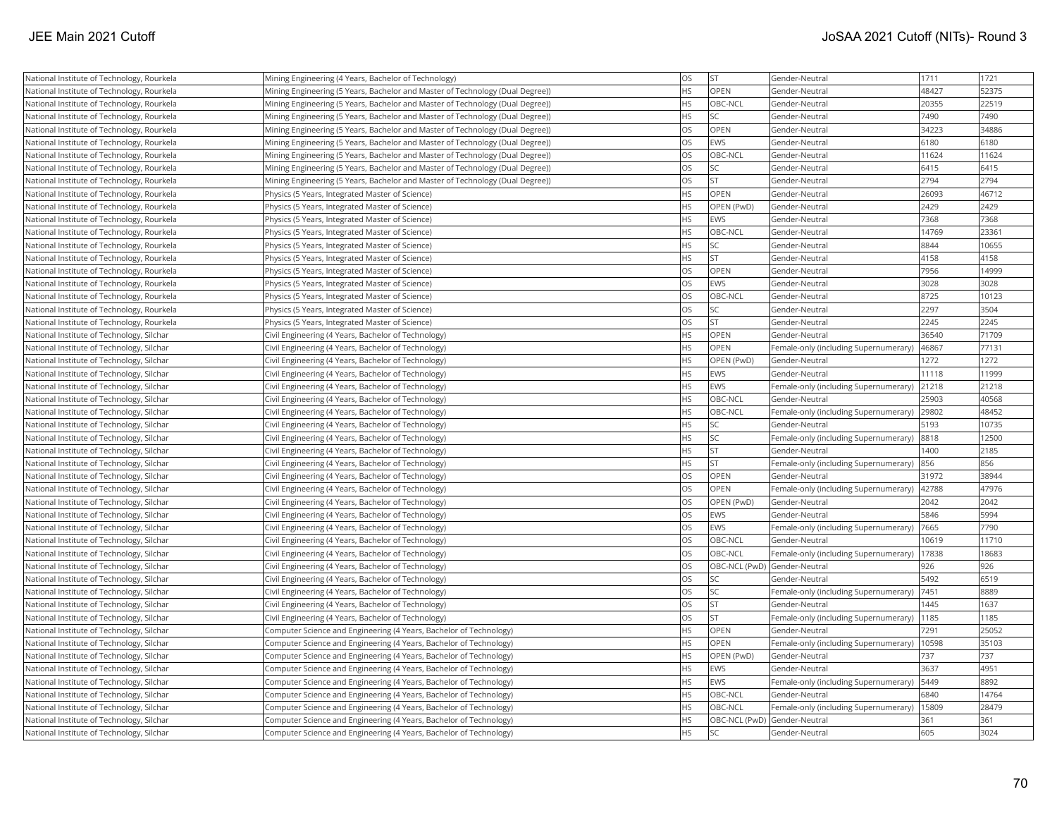| National Institute of Technology, Rourkela | Mining Engineering (4 Years, Bachelor of Technology)                          | <b>OS</b> | <b>ST</b>                    | Gender-Neutral                        | 1711  | 1721  |
|--------------------------------------------|-------------------------------------------------------------------------------|-----------|------------------------------|---------------------------------------|-------|-------|
| National Institute of Technology, Rourkela | Mining Engineering (5 Years, Bachelor and Master of Technology (Dual Degree)) | <b>HS</b> | OPEN                         | Gender-Neutral                        | 48427 | 52375 |
| National Institute of Technology, Rourkela | Mining Engineering (5 Years, Bachelor and Master of Technology (Dual Degree)) | <b>HS</b> | OBC-NCL                      | Gender-Neutral                        | 20355 | 22519 |
| National Institute of Technology, Rourkela | Mining Engineering (5 Years, Bachelor and Master of Technology (Dual Degree)) | <b>HS</b> | <b>SC</b>                    | Gender-Neutral                        | 7490  | 7490  |
| National Institute of Technology, Rourkela | Mining Engineering (5 Years, Bachelor and Master of Technology (Dual Degree)) | <b>OS</b> | OPEN                         | Gender-Neutral                        | 34223 | 34886 |
| National Institute of Technology, Rourkela | Mining Engineering (5 Years, Bachelor and Master of Technology (Dual Degree)) | <b>OS</b> | EWS                          | Gender-Neutral                        | 6180  | 6180  |
| National Institute of Technology, Rourkela | Mining Engineering (5 Years, Bachelor and Master of Technology (Dual Degree)) | <b>OS</b> | OBC-NCL                      | Gender-Neutral                        | 11624 | 11624 |
| National Institute of Technology, Rourkela | Mining Engineering (5 Years, Bachelor and Master of Technology (Dual Degree)) | <b>OS</b> | <b>SC</b>                    | Gender-Neutral                        | 6415  | 6415  |
| National Institute of Technology, Rourkela | Mining Engineering (5 Years, Bachelor and Master of Technology (Dual Degree)) | <b>OS</b> | <b>ST</b>                    | Gender-Neutral                        | 2794  | 2794  |
| National Institute of Technology, Rourkela | Physics (5 Years, Integrated Master of Science)                               | <b>HS</b> | OPEN                         | Gender-Neutral                        | 26093 | 46712 |
| National Institute of Technology, Rourkela | Physics (5 Years, Integrated Master of Science)                               | <b>HS</b> | OPEN (PwD)                   | Gender-Neutral                        | 2429  | 2429  |
| National Institute of Technology, Rourkela | Physics (5 Years, Integrated Master of Science)                               | <b>HS</b> | EWS                          | Gender-Neutral                        | 7368  | 7368  |
| National Institute of Technology, Rourkela | Physics (5 Years, Integrated Master of Science)                               | <b>HS</b> | OBC-NCL                      | Gender-Neutral                        | 14769 | 23361 |
| National Institute of Technology, Rourkela | Physics (5 Years, Integrated Master of Science)                               | <b>HS</b> | <b>SC</b>                    | Gender-Neutral                        | 8844  | 10655 |
| National Institute of Technology, Rourkela | Physics (5 Years, Integrated Master of Science)                               | <b>HS</b> | <b>ST</b>                    | Gender-Neutral                        | 4158  | 4158  |
|                                            |                                                                               | <b>OS</b> | <b>OPEN</b>                  |                                       | 7956  | 14999 |
| National Institute of Technology, Rourkela | Physics (5 Years, Integrated Master of Science)                               | <b>OS</b> |                              | Gender-Neutral                        |       |       |
| National Institute of Technology, Rourkela | Physics (5 Years, Integrated Master of Science)                               |           | EWS                          | Gender-Neutral                        | 3028  | 3028  |
| National Institute of Technology, Rourkela | Physics (5 Years, Integrated Master of Science)                               | <b>OS</b> | <b>OBC-NCL</b>               | Gender-Neutral                        | 8725  | 10123 |
| National Institute of Technology, Rourkela | Physics (5 Years, Integrated Master of Science)                               | <b>OS</b> | <b>SC</b>                    | Gender-Neutral                        | 2297  | 3504  |
| National Institute of Technology, Rourkela | Physics (5 Years, Integrated Master of Science)                               | <b>OS</b> | lst                          | Gender-Neutral                        | 2245  | 2245  |
| National Institute of Technology, Silchar  | Civil Engineering (4 Years, Bachelor of Technology)                           | <b>HS</b> | OPEN                         | Gender-Neutral                        | 36540 | 71709 |
| National Institute of Technology, Silchar  | Civil Engineering (4 Years, Bachelor of Technology)                           | <b>HS</b> | OPEN                         | Female-only (including Supernumerary) | 46867 | 77131 |
| National Institute of Technology, Silchar  | Civil Engineering (4 Years, Bachelor of Technology)                           | <b>HS</b> | OPEN (PwD)                   | Gender-Neutral                        | 1272  | 1272  |
| National Institute of Technology, Silchar  | Civil Engineering (4 Years, Bachelor of Technology)                           | <b>HS</b> | EWS                          | Gender-Neutral                        | 11118 | 11999 |
| National Institute of Technology, Silchar  | Civil Engineering (4 Years, Bachelor of Technology)                           | <b>HS</b> | EWS                          | Female-only (including Supernumerary) | 21218 | 21218 |
| National Institute of Technology, Silchar  | Civil Engineering (4 Years, Bachelor of Technology)                           | <b>HS</b> | OBC-NCL                      | Gender-Neutral                        | 25903 | 40568 |
| National Institute of Technology, Silchar  | Civil Engineering (4 Years, Bachelor of Technology)                           | <b>HS</b> | OBC-NCL                      | Female-only (including Supernumerary) | 29802 | 48452 |
| National Institute of Technology, Silchar  | Civil Engineering (4 Years, Bachelor of Technology)                           | <b>HS</b> | <b>SC</b>                    | Gender-Neutral                        | 5193  | 10735 |
| National Institute of Technology, Silchar  | Civil Engineering (4 Years, Bachelor of Technology)                           | <b>HS</b> | lsc                          | Female-only (including Supernumerary) | 8818  | 12500 |
| National Institute of Technology, Silchar  | Civil Engineering (4 Years, Bachelor of Technology)                           | <b>HS</b> | <b>ST</b>                    | Gender-Neutral                        | 1400  | 2185  |
| National Institute of Technology, Silchar  | Civil Engineering (4 Years, Bachelor of Technology)                           | <b>HS</b> | <b>ST</b>                    | Female-only (including Supernumerary) | 856   | 856   |
| National Institute of Technology, Silchar  | Civil Engineering (4 Years, Bachelor of Technology)                           | <b>OS</b> | OPEN                         | Gender-Neutral                        | 31972 | 38944 |
| National Institute of Technology, Silchar  | Civil Engineering (4 Years, Bachelor of Technology)                           | <b>OS</b> | OPEN                         | Female-only (including Supernumerary) | 42788 | 47976 |
| National Institute of Technology, Silchar  | Civil Engineering (4 Years, Bachelor of Technology)                           | <b>OS</b> | OPEN (PwD)                   | Gender-Neutral                        | 2042  | 2042  |
| National Institute of Technology, Silchar  | Civil Engineering (4 Years, Bachelor of Technology)                           | <b>OS</b> | EWS                          | Gender-Neutral                        | 5846  | 5994  |
| National Institute of Technology, Silchar  | Civil Engineering (4 Years, Bachelor of Technology)                           | <b>OS</b> | EWS                          | Female-only (including Supernumerary) | 7665  | 7790  |
| National Institute of Technology, Silchar  | Civil Engineering (4 Years, Bachelor of Technology)                           | <b>OS</b> | OBC-NCL                      | Gender-Neutral                        | 10619 | 11710 |
| National Institute of Technology, Silchar  | Civil Engineering (4 Years, Bachelor of Technology)                           | <b>OS</b> | OBC-NCL                      | Female-only (including Supernumerary) | 17838 | 18683 |
| National Institute of Technology, Silchar  | Civil Engineering (4 Years, Bachelor of Technology)                           | <b>OS</b> | OBC-NCL (PwD) Gender-Neutral |                                       | 926   | 926   |
| National Institute of Technology, Silchar  | Civil Engineering (4 Years, Bachelor of Technology)                           | <b>OS</b> | <b>SC</b>                    | Gender-Neutral                        | 5492  | 6519  |
| National Institute of Technology, Silchar  | Civil Engineering (4 Years, Bachelor of Technology)                           | <b>OS</b> | <b>SC</b>                    | Female-only (including Supernumerary) | 7451  | 8889  |
| National Institute of Technology, Silchar  | Civil Engineering (4 Years, Bachelor of Technology)                           | <b>OS</b> | <b>ST</b>                    | Gender-Neutral                        | 1445  | 1637  |
| National Institute of Technology, Silchar  | Civil Engineering (4 Years, Bachelor of Technology)                           | <b>OS</b> | <b>ST</b>                    | Female-only (including Supernumerary) | 1185  | 1185  |
| National Institute of Technology, Silchar  | Computer Science and Engineering (4 Years, Bachelor of Technology)            | <b>HS</b> | OPEN                         | Gender-Neutral                        | 7291  | 25052 |
| National Institute of Technology, Silchar  | Computer Science and Engineering (4 Years, Bachelor of Technology)            | <b>HS</b> | OPEN                         | Female-only (including Supernumerary) | 10598 | 35103 |
| National Institute of Technology, Silchar  | Computer Science and Engineering (4 Years, Bachelor of Technology)            | <b>HS</b> | OPEN (PwD)                   | Gender-Neutral                        | 737   | 737   |
| National Institute of Technology, Silchar  | Computer Science and Engineering (4 Years, Bachelor of Technology)            | <b>HS</b> | EWS                          | Gender-Neutral                        | 3637  | 4951  |
| National Institute of Technology, Silchar  | Computer Science and Engineering (4 Years, Bachelor of Technology)            | <b>HS</b> | EWS                          | Female-only (including Supernumerary) | 5449  | 8892  |
| National Institute of Technology, Silchar  | Computer Science and Engineering (4 Years, Bachelor of Technology)            | <b>HS</b> | OBC-NCL                      | Gender-Neutral                        | 6840  | 14764 |
| National Institute of Technology, Silchar  | Computer Science and Engineering (4 Years, Bachelor of Technology)            | HS        | OBC-NCL                      | Female-only (including Supernumerary) | 15809 | 28479 |
| National Institute of Technology, Silchar  | Computer Science and Engineering (4 Years, Bachelor of Technology)            | <b>HS</b> | OBC-NCL (PwD) Gender-Neutral |                                       | 361   | 361   |
| National Institute of Technology, Silchar  | Computer Science and Engineering (4 Years, Bachelor of Technology)            | <b>HS</b> | lsc                          | Gender-Neutral                        | 605   | 3024  |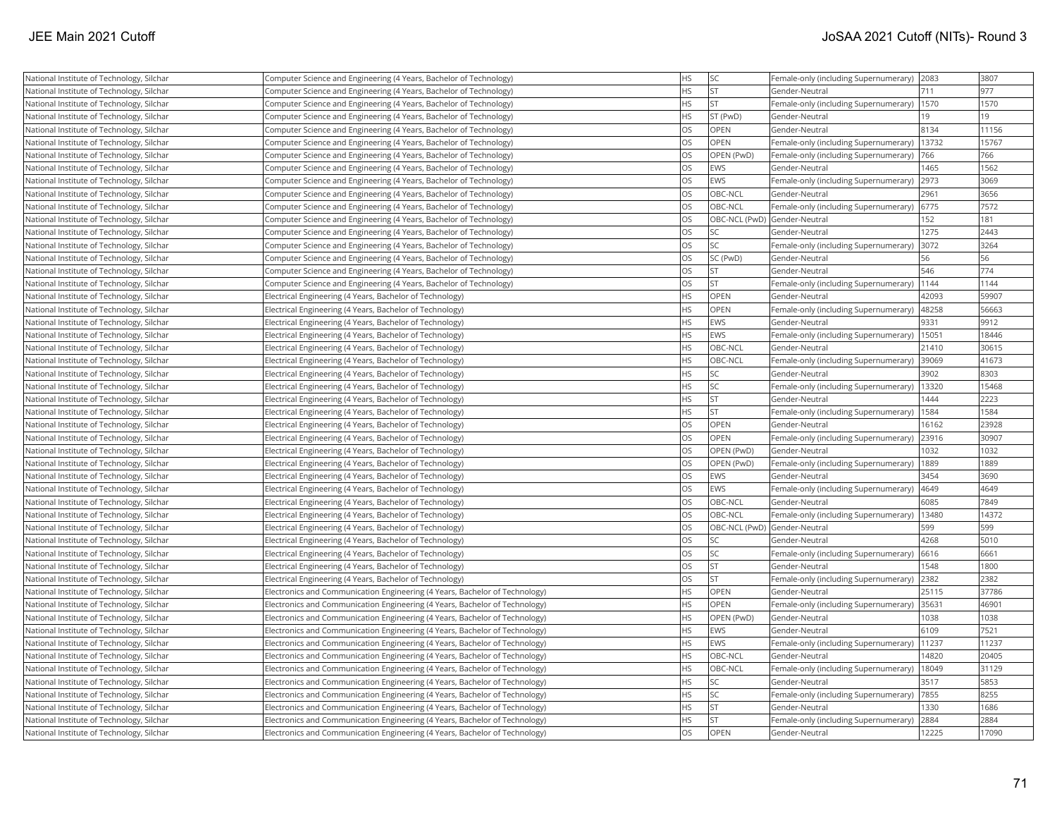| National Institute of Technology, Silchar | Computer Science and Engineering (4 Years, Bachelor of Technology)          | <b>HS</b> | <b>SC</b>                    | Female-only (including Supernumerary) | 2083  | 3807  |
|-------------------------------------------|-----------------------------------------------------------------------------|-----------|------------------------------|---------------------------------------|-------|-------|
| National Institute of Technology, Silchar | Computer Science and Engineering (4 Years, Bachelor of Technology)          | <b>HS</b> | <b>ST</b>                    | Gender-Neutral                        | 711   | 977   |
| National Institute of Technology, Silchar | Computer Science and Engineering (4 Years, Bachelor of Technology)          | <b>HS</b> | İst                          | Female-only (including Supernumerary) | 1570  | 1570  |
| National Institute of Technology, Silchar | Computer Science and Engineering (4 Years, Bachelor of Technology)          | <b>HS</b> | ST (PwD)                     | Gender-Neutral                        | 19    | 19    |
| National Institute of Technology, Silchar | Computer Science and Engineering (4 Years, Bachelor of Technology)          | <b>OS</b> | <b>OPEN</b>                  | Gender-Neutral                        | 8134  | 11156 |
| National Institute of Technology, Silchar | Computer Science and Engineering (4 Years, Bachelor of Technology)          | <b>OS</b> | OPEN                         | Female-only (including Supernumerary) | 13732 | 15767 |
| National Institute of Technology, Silchar | Computer Science and Engineering (4 Years, Bachelor of Technology)          | <b>OS</b> | OPEN (PwD)                   | Female-only (including Supernumerary) | 766   | 766   |
| National Institute of Technology, Silchar | Computer Science and Engineering (4 Years, Bachelor of Technology)          | <b>OS</b> | <b>EWS</b>                   | Gender-Neutral                        | 1465  | 1562  |
| National Institute of Technology, Silchar | Computer Science and Engineering (4 Years, Bachelor of Technology)          | <b>OS</b> | <b>EWS</b>                   | Female-only (including Supernumerary) | 2973  | 3069  |
| National Institute of Technology, Silchar | Computer Science and Engineering (4 Years, Bachelor of Technology)          | <b>OS</b> | OBC-NCL                      | Gender-Neutral                        | 2961  | 3656  |
| National Institute of Technology, Silchar | Computer Science and Engineering (4 Years, Bachelor of Technology)          | <b>OS</b> | OBC-NCL                      | Female-only (including Supernumerary) | 6775  | 7572  |
| National Institute of Technology, Silchar | Computer Science and Engineering (4 Years, Bachelor of Technology)          | <b>OS</b> | OBC-NCL (PwD) Gender-Neutral |                                       | 152   | 181   |
| National Institute of Technology, Silchar | Computer Science and Engineering (4 Years, Bachelor of Technology)          | <b>OS</b> | lsc                          | Gender-Neutral                        | 1275  | 2443  |
| National Institute of Technology, Silchar | Computer Science and Engineering (4 Years, Bachelor of Technology)          | <b>OS</b> | <b>SC</b>                    | Female-only (including Supernumerary) | 3072  | 3264  |
| National Institute of Technology, Silchar | Computer Science and Engineering (4 Years, Bachelor of Technology)          | <b>OS</b> | SC (PwD)                     | Gender-Neutral                        | 56    | 56    |
| National Institute of Technology, Silchar | Computer Science and Engineering (4 Years, Bachelor of Technology)          | <b>OS</b> | <b>ST</b>                    | Gender-Neutral                        | 546   | 774   |
| National Institute of Technology, Silchar | Computer Science and Engineering (4 Years, Bachelor of Technology)          | <b>OS</b> | İst                          | Female-only (including Supernumerary) | 1144  | 1144  |
| National Institute of Technology, Silchar | Electrical Engineering (4 Years, Bachelor of Technology)                    | <b>HS</b> | <b>OPEN</b>                  | Gender-Neutral                        | 42093 | 59907 |
| National Institute of Technology, Silchar | Electrical Engineering (4 Years, Bachelor of Technology)                    | <b>HS</b> | OPEN                         | Female-only (including Supernumerary) | 48258 | 56663 |
| National Institute of Technology, Silchar | Electrical Engineering (4 Years, Bachelor of Technology)                    | <b>HS</b> | <b>EWS</b>                   | Gender-Neutral                        | 9331  | 9912  |
| National Institute of Technology, Silchar | Electrical Engineering (4 Years, Bachelor of Technology)                    | <b>HS</b> | <b>EWS</b>                   | Female-only (including Supernumerary) | 15051 | 18446 |
| National Institute of Technology, Silchar | Electrical Engineering (4 Years, Bachelor of Technology)                    | <b>HS</b> | OBC-NCL                      | Gender-Neutral                        | 21410 | 30615 |
| National Institute of Technology, Silchar | Electrical Engineering (4 Years, Bachelor of Technology)                    | <b>HS</b> | OBC-NCL                      | Female-only (including Supernumerary) | 39069 | 41673 |
| National Institute of Technology, Silchar | Electrical Engineering (4 Years, Bachelor of Technology)                    | <b>HS</b> | SC <sub>1</sub>              | Gender-Neutral                        | 3902  | 8303  |
| National Institute of Technology, Silchar | Electrical Engineering (4 Years, Bachelor of Technology)                    | <b>HS</b> | lsc                          | Female-only (including Supernumerary) | 13320 | 15468 |
| National Institute of Technology, Silchar | Electrical Engineering (4 Years, Bachelor of Technology)                    | <b>HS</b> | st                           | Gender-Neutral                        | 1444  | 2223  |
| National Institute of Technology, Silchar | Electrical Engineering (4 Years, Bachelor of Technology)                    | <b>HS</b> | <b>ST</b>                    | Female-only (including Supernumerary) | 1584  | 1584  |
| National Institute of Technology, Silchar | Electrical Engineering (4 Years, Bachelor of Technology)                    | <b>OS</b> | OPEN                         | Gender-Neutral                        | 16162 | 23928 |
| National Institute of Technology, Silchar | Electrical Engineering (4 Years, Bachelor of Technology)                    | <b>OS</b> | <b>OPEN</b>                  | Female-only (including Supernumerary) | 23916 | 30907 |
| National Institute of Technology, Silchar | Electrical Engineering (4 Years, Bachelor of Technology)                    | <b>OS</b> | OPEN (PwD)                   | Gender-Neutral                        | 1032  | 1032  |
| National Institute of Technology, Silchar | Electrical Engineering (4 Years, Bachelor of Technology)                    | <b>OS</b> | OPEN (PwD)                   | Female-only (including Supernumerary) | 1889  | 1889  |
| National Institute of Technology, Silchar | Electrical Engineering (4 Years, Bachelor of Technology)                    | <b>OS</b> | <b>EWS</b>                   | Gender-Neutral                        | 3454  | 3690  |
| National Institute of Technology, Silchar | Electrical Engineering (4 Years, Bachelor of Technology)                    | <b>OS</b> | <b>EWS</b>                   | Female-only (including Supernumerary) | 4649  | 4649  |
| National Institute of Technology, Silchar | Electrical Engineering (4 Years, Bachelor of Technology)                    | <b>OS</b> | OBC-NCL                      | Gender-Neutral                        | 6085  | 7849  |
| National Institute of Technology, Silchar | Electrical Engineering (4 Years, Bachelor of Technology)                    | <b>OS</b> | OBC-NCL                      | Female-only (including Supernumerary) | 13480 | 14372 |
| National Institute of Technology, Silchar | Electrical Engineering (4 Years, Bachelor of Technology)                    | <b>OS</b> | OBC-NCL (PwD) Gender-Neutral |                                       | 599   | 599   |
| National Institute of Technology, Silchar | Electrical Engineering (4 Years, Bachelor of Technology)                    | <b>OS</b> | lsc                          | Gender-Neutral                        | 4268  | 5010  |
| National Institute of Technology, Silchar | Electrical Engineering (4 Years, Bachelor of Technology)                    | <b>OS</b> | <b>SC</b>                    | Female-only (including Supernumerary) | 6616  | 6661  |
| National Institute of Technology, Silchar | Electrical Engineering (4 Years, Bachelor of Technology)                    | <b>OS</b> | <b>ST</b>                    | Gender-Neutral                        | 1548  | 1800  |
| National Institute of Technology, Silchar | Electrical Engineering (4 Years, Bachelor of Technology)                    | <b>OS</b> | <b>ST</b>                    | Female-only (including Supernumerary) | 2382  | 2382  |
| National Institute of Technology, Silchar | Electronics and Communication Engineering (4 Years, Bachelor of Technology) | <b>HS</b> | <b>OPEN</b>                  | Gender-Neutral                        | 25115 | 37786 |
| National Institute of Technology, Silchar | Electronics and Communication Engineering (4 Years, Bachelor of Technology) | <b>HS</b> | OPEN                         | Female-only (including Supernumerary) | 35631 | 46901 |
| National Institute of Technology, Silchar | Electronics and Communication Engineering (4 Years, Bachelor of Technology) | <b>HS</b> | OPEN (PwD)                   | Gender-Neutral                        | 1038  | 1038  |
| National Institute of Technology, Silchar | Electronics and Communication Engineering (4 Years, Bachelor of Technology) | <b>HS</b> | <b>EWS</b>                   | Gender-Neutral                        | 6109  | 7521  |
| National Institute of Technology, Silchar | Electronics and Communication Engineering (4 Years, Bachelor of Technology) | <b>HS</b> | EWS                          | Female-only (including Supernumerary) | 11237 | 11237 |
| National Institute of Technology, Silchar | Electronics and Communication Engineering (4 Years, Bachelor of Technology) | <b>HS</b> | OBC-NCL                      | Gender-Neutral                        | 14820 | 20405 |
| National Institute of Technology, Silchar | Electronics and Communication Engineering (4 Years, Bachelor of Technology) | <b>HS</b> | OBC-NCL                      | Female-only (including Supernumerary) | 18049 | 31129 |
| National Institute of Technology, Silchar | Electronics and Communication Engineering (4 Years, Bachelor of Technology) | <b>HS</b> | SC <sub>1</sub>              | Gender-Neutral                        | 3517  | 5853  |
| National Institute of Technology, Silchar | Electronics and Communication Engineering (4 Years, Bachelor of Technology) | <b>HS</b> | SC]                          | Female-only (including Supernumerary) | 7855  | 8255  |
| National Institute of Technology, Silchar | Electronics and Communication Engineering (4 Years, Bachelor of Technology) | <b>HS</b> | İst                          | Gender-Neutral                        | 1330  | 1686  |
| National Institute of Technology, Silchar | Electronics and Communication Engineering (4 Years, Bachelor of Technology) | <b>HS</b> | İst                          | Female-only (including Supernumerary) | 2884  | 2884  |
| National Institute of Technology, Silchar | Electronics and Communication Engineering (4 Years, Bachelor of Technology) | <b>OS</b> | OPEN                         | Gender-Neutral                        | 12225 | 17090 |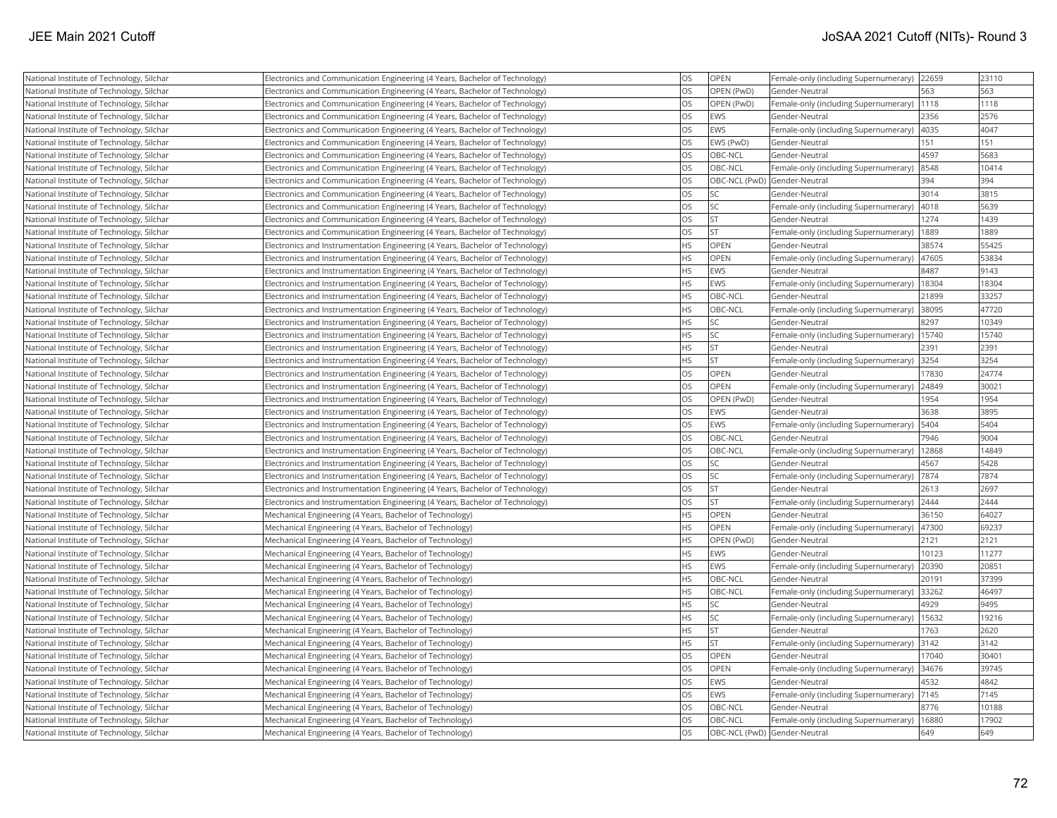| National Institute of Technology, Silchar | Electronics and Communication Engineering (4 Years, Bachelor of Technology)   | <b>OS</b> | OPEN                         | Female-only (including Supernumerary)         | 22659 | 23110 |
|-------------------------------------------|-------------------------------------------------------------------------------|-----------|------------------------------|-----------------------------------------------|-------|-------|
| National Institute of Technology, Silchar | Electronics and Communication Engineering (4 Years, Bachelor of Technology)   | <b>OS</b> | OPEN (PwD)                   | Gender-Neutral                                | 563   | 563   |
| National Institute of Technology, Silchar | Electronics and Communication Engineering (4 Years, Bachelor of Technology)   | OS        | OPEN (PwD)                   | Female-only (including Supernumerary)         | 1118  | 1118  |
| National Institute of Technology, Silchar | Electronics and Communication Engineering (4 Years, Bachelor of Technology)   | <b>OS</b> | EWS                          | Gender-Neutral                                | 2356  | 2576  |
| National Institute of Technology, Silchar | Electronics and Communication Engineering (4 Years, Bachelor of Technology)   | OS        | EWS                          | Female-only (including Supernumerary)         | 4035  | 4047  |
| National Institute of Technology, Silchar | Electronics and Communication Engineering (4 Years, Bachelor of Technology)   | <b>OS</b> | EWS (PwD)                    | Gender-Neutral                                | 151   | 151   |
| National Institute of Technology, Silchar | Electronics and Communication Engineering (4 Years, Bachelor of Technology)   | <b>OS</b> | OBC-NCL                      | Gender-Neutral                                | 4597  | 5683  |
| National Institute of Technology, Silchar | Electronics and Communication Engineering (4 Years, Bachelor of Technology)   | OS        | OBC-NCL                      | Female-only (including Supernumerary)         | 8548  | 10414 |
| National Institute of Technology, Silchar | Electronics and Communication Engineering (4 Years, Bachelor of Technology)   | <b>OS</b> | OBC-NCL (PwD) Gender-Neutral |                                               | 394   | 394   |
| National Institute of Technology, Silchar | Electronics and Communication Engineering (4 Years, Bachelor of Technology)   | OS        | <b>SC</b>                    | Gender-Neutral                                | 3014  | 3815  |
| National Institute of Technology, Silchar | Electronics and Communication Engineering (4 Years, Bachelor of Technology)   | <b>OS</b> | lsc                          | Female-only (including Supernumerary)         | 4018  | 5639  |
| National Institute of Technology, Silchar | Electronics and Communication Engineering (4 Years, Bachelor of Technology)   | OS        | <b>ST</b>                    | Gender-Neutral                                | 1274  | 1439  |
| National Institute of Technology, Silchar | Electronics and Communication Engineering (4 Years, Bachelor of Technology)   | OS        | <b>ST</b>                    | Female-only (including Supernumerary)         | 1889  | 1889  |
| National Institute of Technology, Silchar | Electronics and Instrumentation Engineering (4 Years, Bachelor of Technology) | <b>HS</b> | <b>OPEN</b>                  | Gender-Neutral                                | 38574 | 55425 |
| National Institute of Technology, Silchar | Electronics and Instrumentation Engineering (4 Years, Bachelor of Technology) | <b>HS</b> | <b>OPEN</b>                  | Female-only (including Supernumerary)         | 47605 | 53834 |
| National Institute of Technology, Silchar | Electronics and Instrumentation Engineering (4 Years, Bachelor of Technology) | <b>HS</b> | EWS                          | Gender-Neutral                                | 8487  | 9143  |
| National Institute of Technology, Silchar | Electronics and Instrumentation Engineering (4 Years, Bachelor of Technology) | HS        | EWS                          | Female-only (including Supernumerary)         | 18304 | 18304 |
| National Institute of Technology, Silchar | Electronics and Instrumentation Engineering (4 Years, Bachelor of Technology) | <b>HS</b> | OBC-NCL                      | Gender-Neutral                                | 21899 | 33257 |
| National Institute of Technology, Silchar | Electronics and Instrumentation Engineering (4 Years, Bachelor of Technology) | <b>HS</b> | OBC-NCL                      | Female-only (including Supernumerary)         | 38095 | 47720 |
| National Institute of Technology, Silchar | Electronics and Instrumentation Engineering (4 Years, Bachelor of Technology) | <b>HS</b> | <b>SC</b>                    | Gender-Neutral                                | 8297  | 10349 |
| National Institute of Technology, Silchar | Electronics and Instrumentation Engineering (4 Years, Bachelor of Technology) | <b>HS</b> | <b>SC</b>                    | Female-only (including Supernumerary)   15740 |       | 15740 |
| National Institute of Technology, Silchar | Electronics and Instrumentation Engineering (4 Years, Bachelor of Technology) | <b>HS</b> | <b>ST</b>                    | Gender-Neutral                                | 2391  | 2391  |
| National Institute of Technology, Silchar | Electronics and Instrumentation Engineering (4 Years, Bachelor of Technology) | <b>HS</b> | <b>ST</b>                    | Female-only (including Supernumerary)         | 3254  | 3254  |
| National Institute of Technology, Silchar | Electronics and Instrumentation Engineering (4 Years, Bachelor of Technology) | <b>OS</b> | <b>OPEN</b>                  | Gender-Neutral                                | 17830 | 24774 |
| National Institute of Technology, Silchar | Electronics and Instrumentation Engineering (4 Years, Bachelor of Technology) | OS        | OPEN                         | Female-only (including Supernumerary)         | 24849 | 30021 |
| National Institute of Technology, Silchar | Electronics and Instrumentation Engineering (4 Years, Bachelor of Technology) | OS        | OPEN (PwD)                   | Gender-Neutral                                | 1954  | 1954  |
| National Institute of Technology, Silchar | Electronics and Instrumentation Engineering (4 Years, Bachelor of Technology) | OS        | EWS                          | Gender-Neutral                                | 3638  | 3895  |
| National Institute of Technology, Silchar | Electronics and Instrumentation Engineering (4 Years, Bachelor of Technology) | OS        | EWS                          | Female-only (including Supernumerary)         | 5404  | 5404  |
| National Institute of Technology, Silchar | Electronics and Instrumentation Engineering (4 Years, Bachelor of Technology) | OS        | OBC-NCL                      | Gender-Neutral                                | 7946  | 9004  |
| National Institute of Technology, Silchar | Electronics and Instrumentation Engineering (4 Years, Bachelor of Technology) | OS        | OBC-NCL                      | Female-only (including Supernumerary)  12868  |       | 14849 |
| National Institute of Technology, Silchar | Electronics and Instrumentation Engineering (4 Years, Bachelor of Technology) | <b>OS</b> | SC                           | Gender-Neutral                                | 4567  | 5428  |
| National Institute of Technology, Silchar | Electronics and Instrumentation Engineering (4 Years, Bachelor of Technology) | OS        | <b>SC</b>                    | Female-only (including Supernumerary)         | 7874  | 7874  |
| National Institute of Technology, Silchar | Electronics and Instrumentation Engineering (4 Years, Bachelor of Technology) | OS        | <b>ST</b>                    | Gender-Neutral                                | 2613  | 2697  |
| National Institute of Technology, Silchar | Electronics and Instrumentation Engineering (4 Years, Bachelor of Technology) | OS        | <b>ST</b>                    | Female-only (including Supernumerary)         | 2444  | 2444  |
| National Institute of Technology, Silchar | Mechanical Engineering (4 Years, Bachelor of Technology)                      | HS        | OPEN                         | Gender-Neutral                                | 36150 | 64027 |
| National Institute of Technology, Silchar | Mechanical Engineering (4 Years, Bachelor of Technology)                      | HS        | OPEN                         | Female-only (including Supernumerary)         | 47300 | 69237 |
| National Institute of Technology, Silchar | Mechanical Engineering (4 Years, Bachelor of Technology)                      | <b>HS</b> | OPEN (PwD)                   | Gender-Neutral                                | 2121  | 2121  |
| National Institute of Technology, Silchar | Mechanical Engineering (4 Years, Bachelor of Technology)                      | <b>HS</b> | EWS                          | Gender-Neutral                                | 10123 | 11277 |
| National Institute of Technology, Silchar | Mechanical Engineering (4 Years, Bachelor of Technology)                      | HS        | EWS                          | Female-only (including Supernumerary)         | 20390 | 20851 |
| National Institute of Technology, Silchar | Mechanical Engineering (4 Years, Bachelor of Technology)                      | <b>HS</b> | OBC-NCL                      | Gender-Neutral                                | 20191 | 37399 |
| National Institute of Technology, Silchar | Mechanical Engineering (4 Years, Bachelor of Technology)                      | <b>HS</b> | OBC-NCL                      | Female-only (including Supernumerary)         | 33262 | 46497 |
| National Institute of Technology, Silchar | Mechanical Engineering (4 Years, Bachelor of Technology)                      | <b>HS</b> | lsc                          | Gender-Neutral                                | 4929  | 9495  |
| National Institute of Technology, Silchar | Mechanical Engineering (4 Years, Bachelor of Technology)                      | HS        | <b>SC</b>                    | Female-only (including Supernumerary)         | 15632 | 19216 |
| National Institute of Technology, Silchar | Mechanical Engineering (4 Years, Bachelor of Technology)                      | HS        | <b>ST</b>                    | Gender-Neutral                                | 1763  | 2620  |
| National Institute of Technology, Silchar | Mechanical Engineering (4 Years, Bachelor of Technology)                      | <b>HS</b> | lst                          | Female-only (including Supernumerary)         | 3142  | 3142  |
| National Institute of Technology, Silchar | Mechanical Engineering (4 Years, Bachelor of Technology)                      | OS        | OPEN                         | Gender-Neutral                                | 17040 | 30401 |
| National Institute of Technology, Silchar | Mechanical Engineering (4 Years, Bachelor of Technology)                      | OS        | OPEN                         | Female-only (including Supernumerary)         | 34676 | 39745 |
| National Institute of Technology, Silchar | Mechanical Engineering (4 Years, Bachelor of Technology)                      | OS        | EWS                          | Gender-Neutral                                | 4532  | 4842  |
| National Institute of Technology, Silchar | Mechanical Engineering (4 Years, Bachelor of Technology)                      | OS        | EWS                          | Female-only (including Supernumerary)         | 7145  | 7145  |
| National Institute of Technology, Silchar | Mechanical Engineering (4 Years, Bachelor of Technology)                      | <b>OS</b> | OBC-NCL                      | Gender-Neutral                                | 8776  | 10188 |
| National Institute of Technology, Silchar | Mechanical Engineering (4 Years, Bachelor of Technology)                      | OS        | OBC-NCL                      | Female-only (including Supernumerary)         | 16880 | 17902 |
| National Institute of Technology, Silchar | Mechanical Engineering (4 Years, Bachelor of Technology)                      | <b>OS</b> | OBC-NCL (PwD) Gender-Neutral |                                               | 649   | 649   |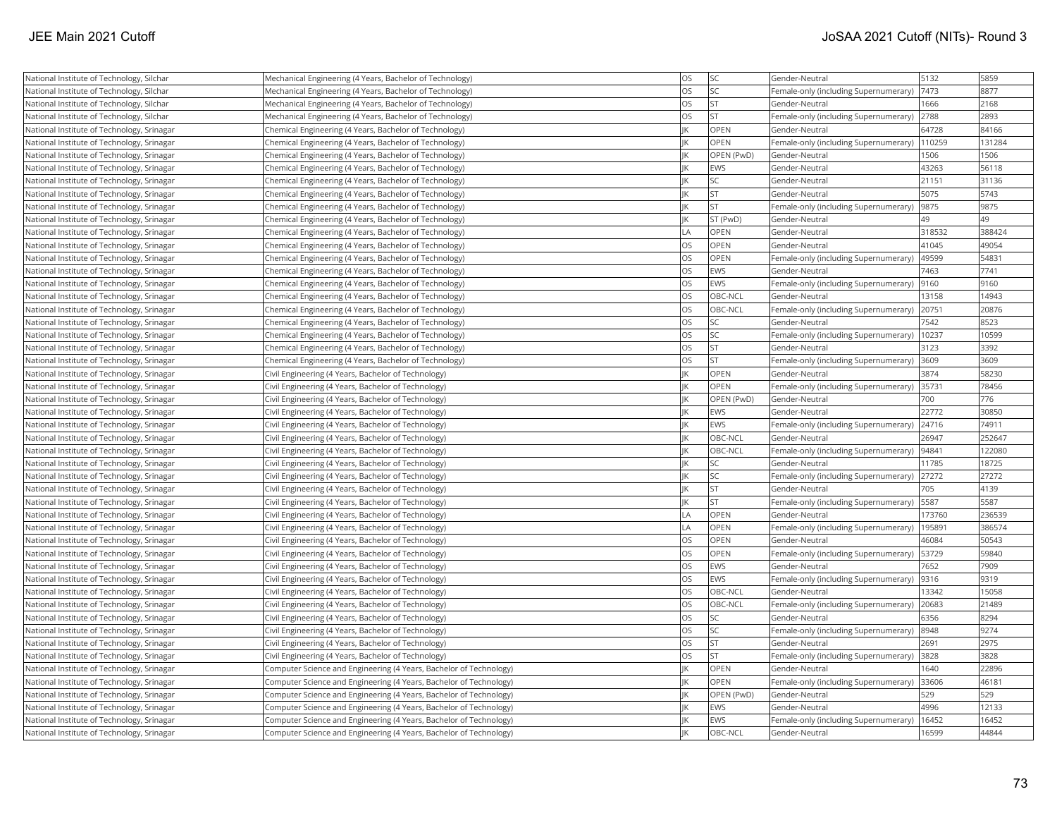| National Institute of Technology, Silchar  | Mechanical Engineering (4 Years, Bachelor of Technology)           | OS        | <b>SC</b>  | Gender-Neutral                        | 5132   | 5859   |
|--------------------------------------------|--------------------------------------------------------------------|-----------|------------|---------------------------------------|--------|--------|
| National Institute of Technology, Silchar  | Mechanical Engineering (4 Years, Bachelor of Technology)           | <b>OS</b> | <b>SC</b>  | Female-only (including Supernumerary) | 7473   | 8877   |
| National Institute of Technology, Silchar  | Mechanical Engineering (4 Years, Bachelor of Technology)           | <b>OS</b> | lst.       | Gender-Neutral                        | 1666   | 2168   |
| National Institute of Technology, Silchar  | Mechanical Engineering (4 Years, Bachelor of Technology)           | <b>OS</b> | <b>ST</b>  | Female-only (including Supernumerary) | 2788   | 2893   |
| National Institute of Technology, Srinagar | Chemical Engineering (4 Years, Bachelor of Technology)             | IK        | OPEN       | Gender-Neutral                        | 64728  | 84166  |
| National Institute of Technology, Srinagar | Chemical Engineering (4 Years, Bachelor of Technology)             | İΙK       | OPEN       | Female-only (including Supernumerary) | 110259 | 131284 |
| National Institute of Technology, Srinagar | Chemical Engineering (4 Years, Bachelor of Technology)             | İіK       | OPEN (PwD) | Gender-Neutral                        | 1506   | 1506   |
| National Institute of Technology, Srinagar | Chemical Engineering (4 Years, Bachelor of Technology)             | İіK       | EWS        | Gender-Neutral                        | 43263  | 56118  |
| National Institute of Technology, Srinagar | Chemical Engineering (4 Years, Bachelor of Technology)             | IK        | SC         | Gender-Neutral                        | 21151  | 31136  |
| National Institute of Technology, Srinagar | Chemical Engineering (4 Years, Bachelor of Technology)             | lικ       | lst.       | Gender-Neutral                        | 5075   | 5743   |
| National Institute of Technology, Srinagar | Chemical Engineering (4 Years, Bachelor of Technology)             | İІK       | İst        | Female-only (including Supernumerary) | 9875   | 9875   |
| National Institute of Technology, Srinagar | Chemical Engineering (4 Years, Bachelor of Technology)             | İІК       | ST (PwD)   | Gender-Neutral                        | 49     | 49     |
| National Institute of Technology, Srinagar | Chemical Engineering (4 Years, Bachelor of Technology)             | LA        | OPEN       | Gender-Neutral                        | 318532 | 388424 |
| National Institute of Technology, Srinagar | Chemical Engineering (4 Years, Bachelor of Technology)             | <b>OS</b> | OPEN       | Gender-Neutral                        | 41045  | 49054  |
| National Institute of Technology, Srinagar | Chemical Engineering (4 Years, Bachelor of Technology)             | <b>OS</b> | OPEN       | Female-only (including Supernumerary) | 49599  | 54831  |
| National Institute of Technology, Srinagar | Chemical Engineering (4 Years, Bachelor of Technology)             | los       | EWS        | Gender-Neutral                        | 7463   | 7741   |
| National Institute of Technology, Srinagar | Chemical Engineering (4 Years, Bachelor of Technology)             | <b>OS</b> | EWS        | Female-only (including Supernumerary) | 9160   | 9160   |
| National Institute of Technology, Srinagar | Chemical Engineering (4 Years, Bachelor of Technology)             | <b>OS</b> | OBC-NCL    | Gender-Neutral                        | 13158  | 14943  |
| National Institute of Technology, Srinagar | Chemical Engineering (4 Years, Bachelor of Technology)             | <b>OS</b> | OBC-NCL    | Female-only (including Supernumerary) | 20751  | 20876  |
| National Institute of Technology, Srinagar | Chemical Engineering (4 Years, Bachelor of Technology)             | <b>OS</b> | SC         | Gender-Neutral                        | 7542   | 8523   |
| National Institute of Technology, Srinagar | Chemical Engineering (4 Years, Bachelor of Technology)             | <b>OS</b> | <b>SC</b>  | Female-only (including Supernumerary) | 10237  | 10599  |
| National Institute of Technology, Srinagar | Chemical Engineering (4 Years, Bachelor of Technology)             | <b>OS</b> | <b>ST</b>  | Gender-Neutral                        | 3123   | 3392   |
| National Institute of Technology, Srinagar | Chemical Engineering (4 Years, Bachelor of Technology)             | <b>OS</b> | <b>ST</b>  | Female-only (including Supernumerary) | 3609   | 3609   |
| National Institute of Technology, Srinagar | Civil Engineering (4 Years, Bachelor of Technology)                | İІК       | OPEN       | Gender-Neutral                        | 3874   | 58230  |
| National Institute of Technology, Srinagar | Civil Engineering (4 Years, Bachelor of Technology)                | İік       | OPEN       | Female-only (including Supernumerary) | 35731  | 78456  |
| National Institute of Technology, Srinagar | Civil Engineering (4 Years, Bachelor of Technology)                | lικ       | OPEN (PwD) | Gender-Neutral                        | 700    | 776    |
| National Institute of Technology, Srinagar | Civil Engineering (4 Years, Bachelor of Technology)                | İІK       | EWS        | Gender-Neutral                        | 22772  | 30850  |
| National Institute of Technology, Srinagar | Civil Engineering (4 Years, Bachelor of Technology)                | lіk       | EWS        | Female-only (including Supernumerary) | 24716  | 74911  |
| National Institute of Technology, Srinagar | Civil Engineering (4 Years, Bachelor of Technology)                | IK        | OBC-NCL    | Gender-Neutral                        | 26947  | 252647 |
| National Institute of Technology, Srinagar | Civil Engineering (4 Years, Bachelor of Technology)                | İІK       | OBC-NCL    | Female-only (including Supernumerary) | 94841  | 122080 |
| National Institute of Technology, Srinagar | Civil Engineering (4 Years, Bachelor of Technology)                | IK        | SC         | Gender-Neutral                        | 11785  | 18725  |
| National Institute of Technology, Srinagar | Civil Engineering (4 Years, Bachelor of Technology)                | İік       | SC         | Female-only (including Supernumerary) | 27272  | 27272  |
| National Institute of Technology, Srinagar | Civil Engineering (4 Years, Bachelor of Technology)                | İіK       | <b>ST</b>  | Gender-Neutral                        | 705    | 4139   |
| National Institute of Technology, Srinagar | Civil Engineering (4 Years, Bachelor of Technology)                | IK        | <b>ST</b>  | Female-only (including Supernumerary) | 5587   | 5587   |
| National Institute of Technology, Srinagar | Civil Engineering (4 Years, Bachelor of Technology)                | LA        | OPEN       | Gender-Neutral                        | 173760 | 236539 |
| National Institute of Technology, Srinagar | Civil Engineering (4 Years, Bachelor of Technology)                | LA        | OPEN       | Female-only (including Supernumerary) | 195891 | 386574 |
| National Institute of Technology, Srinagar | Civil Engineering (4 Years, Bachelor of Technology)                | <b>OS</b> | OPEN       | Gender-Neutral                        | 46084  | 50543  |
| National Institute of Technology, Srinagar | Civil Engineering (4 Years, Bachelor of Technology)                | <b>OS</b> | OPEN       | Female-only (including Supernumerary) | 53729  | 59840  |
| National Institute of Technology, Srinagar | Civil Engineering (4 Years, Bachelor of Technology)                | <b>OS</b> | EWS        | Gender-Neutral                        | 7652   | 7909   |
| National Institute of Technology, Srinagar | Civil Engineering (4 Years, Bachelor of Technology)                | <b>OS</b> | EWS        | Female-only (including Supernumerary) | 9316   | 9319   |
| National Institute of Technology, Srinagar | Civil Engineering (4 Years, Bachelor of Technology)                | <b>OS</b> | OBC-NCL    | Gender-Neutral                        | 13342  | 15058  |
| National Institute of Technology, Srinagar | Civil Engineering (4 Years, Bachelor of Technology)                | <b>OS</b> | OBC-NCL    | Female-only (including Supernumerary) | 20683  | 21489  |
| National Institute of Technology, Srinagar | Civil Engineering (4 Years, Bachelor of Technology)                | <b>OS</b> | SC         | Gender-Neutral                        | 6356   | 8294   |
| National Institute of Technology, Srinagar | Civil Engineering (4 Years, Bachelor of Technology)                | <b>OS</b> | <b>SC</b>  | Female-only (including Supernumerary) | 8948   | 9274   |
| National Institute of Technology, Srinagar | Civil Engineering (4 Years, Bachelor of Technology)                | <b>OS</b> | <b>ST</b>  | Gender-Neutral                        | 2691   | 2975   |
| National Institute of Technology, Srinagar | Civil Engineering (4 Years, Bachelor of Technology)                | <b>OS</b> | <b>ST</b>  | Female-only (including Supernumerary) | 3828   | 3828   |
| National Institute of Technology, Srinagar | Computer Science and Engineering (4 Years, Bachelor of Technology) | IK        | OPEN       | Gender-Neutral                        | 640    | 22896  |
| National Institute of Technology, Srinagar | Computer Science and Engineering (4 Years, Bachelor of Technology) | İІK       | OPEN       | Female-only (including Supernumerary) | 33606  | 46181  |
| National Institute of Technology, Srinagar | Computer Science and Engineering (4 Years, Bachelor of Technology) | lικ       | OPEN (PwD) | Gender-Neutral                        | 529    | 529    |
| National Institute of Technology, Srinagar | Computer Science and Engineering (4 Years, Bachelor of Technology) | lık       | EWS        | Gender-Neutral                        | 4996   | 12133  |
| National Institute of Technology, Srinagar | Computer Science and Engineering (4 Years, Bachelor of Technology) | lικ       | EWS        | Female-only (including Supernumerary) | 16452  | 16452  |
| National Institute of Technology, Srinagar | Computer Science and Engineering (4 Years, Bachelor of Technology) | İІК       | OBC-NCL    | Gender-Neutral                        | 16599  | 44844  |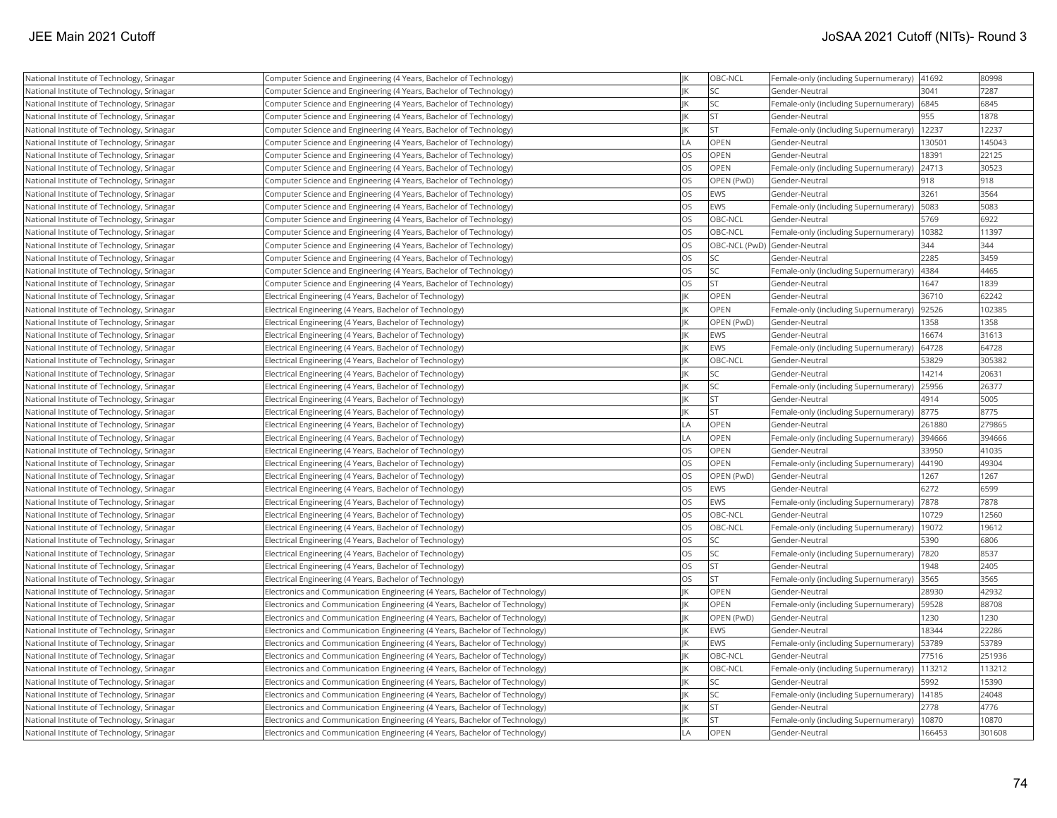| National Institute of Technology, Srinagar | Computer Science and Engineering (4 Years, Bachelor of Technology)          | IK        | OBC-NCL          | Female-only (including Supernumerary) | 41692  | 80998  |
|--------------------------------------------|-----------------------------------------------------------------------------|-----------|------------------|---------------------------------------|--------|--------|
| National Institute of Technology, Srinagar | Computer Science and Engineering (4 Years, Bachelor of Technology)          | JK        | SC <sub>15</sub> | Gender-Neutral                        | 3041   | 7287   |
| National Institute of Technology, Srinagar | Computer Science and Engineering (4 Years, Bachelor of Technology)          | IK        | <b>SC</b>        | Female-only (including Supernumerary) | 6845   | 6845   |
| National Institute of Technology, Srinagar | Computer Science and Engineering (4 Years, Bachelor of Technology)          | IK        | <b>ST</b>        | Gender-Neutral                        | 955    | 1878   |
| National Institute of Technology, Srinagar | Computer Science and Engineering (4 Years, Bachelor of Technology)          | IK        | lst              | Female-only (including Supernumerary) | 12237  | 12237  |
| National Institute of Technology, Srinagar | Computer Science and Engineering (4 Years, Bachelor of Technology)          | LA        | OPEN             | Gender-Neutral                        | 130501 | 145043 |
| National Institute of Technology, Srinagar | Computer Science and Engineering (4 Years, Bachelor of Technology)          | <b>OS</b> | OPEN             | Gender-Neutral                        | 18391  | 22125  |
| National Institute of Technology, Srinagar | Computer Science and Engineering (4 Years, Bachelor of Technology)          | OS        | <b>OPEN</b>      | Female-only (including Supernumerary) | 24713  | 30523  |
| National Institute of Technology, Srinagar | Computer Science and Engineering (4 Years, Bachelor of Technology)          | <b>OS</b> | OPEN (PwD)       | Gender-Neutral                        | 918    | 918    |
| National Institute of Technology, Srinagar | Computer Science and Engineering (4 Years, Bachelor of Technology)          | OS        | <b>EWS</b>       | Gender-Neutral                        | 3261   | 3564   |
| National Institute of Technology, Srinagar | Computer Science and Engineering (4 Years, Bachelor of Technology)          | <b>OS</b> | <b>EWS</b>       | Female-only (including Supernumerary) | 5083   | 5083   |
| National Institute of Technology, Srinagar | Computer Science and Engineering (4 Years, Bachelor of Technology)          | <b>OS</b> | OBC-NCL          | Gender-Neutral                        | 5769   | 6922   |
| National Institute of Technology, Srinagar | Computer Science and Engineering (4 Years, Bachelor of Technology)          | <b>OS</b> | OBC-NCL          | Female-only (including Supernumerary) | 10382  | 11397  |
| National Institute of Technology, Srinagar | Computer Science and Engineering (4 Years, Bachelor of Technology)          | <b>OS</b> |                  | OBC-NCL (PwD) Gender-Neutral          | 344    | 344    |
| National Institute of Technology, Srinagar | Computer Science and Engineering (4 Years, Bachelor of Technology)          | <b>OS</b> | <b>SC</b>        | Gender-Neutral                        | 2285   | 3459   |
| National Institute of Technology, Srinagar | Computer Science and Engineering (4 Years, Bachelor of Technology)          | OS        | <b>SC</b>        | Female-only (including Supernumerary) | 4384   | 4465   |
| National Institute of Technology, Srinagar | Computer Science and Engineering (4 Years, Bachelor of Technology)          | <b>OS</b> | <b>ST</b>        | Gender-Neutral                        | 1647   | 1839   |
| National Institute of Technology, Srinagar | Electrical Engineering (4 Years, Bachelor of Technology)                    | IK        | OPEN             | Gender-Neutral                        | 36710  | 62242  |
| National Institute of Technology, Srinagar | Electrical Engineering (4 Years, Bachelor of Technology)                    | IK        | OPEN             | Female-only (including Supernumerary) | 92526  | 102385 |
| National Institute of Technology, Srinagar | Electrical Engineering (4 Years, Bachelor of Technology)                    | JK        | OPEN (PwD)       | Gender-Neutral                        | 1358   | 1358   |
| National Institute of Technology, Srinagar | Electrical Engineering (4 Years, Bachelor of Technology)                    | IK        | <b>EWS</b>       | Gender-Neutral                        | 16674  | 31613  |
| National Institute of Technology, Srinagar | Electrical Engineering (4 Years, Bachelor of Technology)                    | JK        | <b>EWS</b>       | Female-only (including Supernumerary) | 64728  | 64728  |
| National Institute of Technology, Srinagar | Electrical Engineering (4 Years, Bachelor of Technology)                    | IK        | OBC-NCL          | Gender-Neutral                        | 53829  | 305382 |
| National Institute of Technology, Srinagar | Electrical Engineering (4 Years, Bachelor of Technology)                    | JK        | lsc              | Gender-Neutral                        | 14214  | 20631  |
| National Institute of Technology, Srinagar | Electrical Engineering (4 Years, Bachelor of Technology)                    | IK        | <b>SC</b>        | Female-only (including Supernumerary) | 25956  | 26377  |
| National Institute of Technology, Srinagar | Electrical Engineering (4 Years, Bachelor of Technology)                    | IK        | <b>ST</b>        | Gender-Neutral                        | 4914   | 5005   |
| National Institute of Technology, Srinagar | Electrical Engineering (4 Years, Bachelor of Technology)                    | IK        | <b>ST</b>        | Female-only (including Supernumerary) | 8775   | 8775   |
| National Institute of Technology, Srinagar | Electrical Engineering (4 Years, Bachelor of Technology)                    | LA        | OPEN             | Gender-Neutral                        | 261880 | 279865 |
| National Institute of Technology, Srinagar | Electrical Engineering (4 Years, Bachelor of Technology)                    | LA        | <b>OPEN</b>      | Female-only (including Supernumerary) | 394666 | 394666 |
| National Institute of Technology, Srinagar | Electrical Engineering (4 Years, Bachelor of Technology)                    | <b>OS</b> | OPEN             | Gender-Neutral                        | 33950  | 41035  |
| National Institute of Technology, Srinagar | Electrical Engineering (4 Years, Bachelor of Technology)                    | <b>OS</b> | <b>OPEN</b>      | Female-only (including Supernumerary) | 44190  | 49304  |
| National Institute of Technology, Srinagar | Electrical Engineering (4 Years, Bachelor of Technology)                    | <b>OS</b> | OPEN (PwD)       | Gender-Neutral                        | 1267   | 1267   |
| National Institute of Technology, Srinagar | Electrical Engineering (4 Years, Bachelor of Technology)                    | OS        | EWS              | Gender-Neutral                        | 6272   | 6599   |
| National Institute of Technology, Srinagar | Electrical Engineering (4 Years, Bachelor of Technology)                    | <b>OS</b> | <b>EWS</b>       | Female-only (including Supernumerary) | 7878   | 7878   |
| National Institute of Technology, Srinagar | Electrical Engineering (4 Years, Bachelor of Technology)                    | <b>OS</b> | OBC-NCL          | Gender-Neutral                        | 10729  | 12560  |
| National Institute of Technology, Srinagar | Electrical Engineering (4 Years, Bachelor of Technology)                    | <b>OS</b> | OBC-NCL          | Female-only (including Supernumerary) | 19072  | 19612  |
| National Institute of Technology, Srinagar | Electrical Engineering (4 Years, Bachelor of Technology)                    | <b>OS</b> | <b>SC</b>        | Gender-Neutral                        | 5390   | 6806   |
| National Institute of Technology, Srinagar | Electrical Engineering (4 Years, Bachelor of Technology)                    | <b>OS</b> | SC <sub>1</sub>  | Female-only (including Supernumerary) | 7820   | 8537   |
| National Institute of Technology, Srinagar | Electrical Engineering (4 Years, Bachelor of Technology)                    | <b>OS</b> | <b>ST</b>        | Gender-Neutral                        | 1948   | 2405   |
| National Institute of Technology, Srinagar | Electrical Engineering (4 Years, Bachelor of Technology)                    | <b>OS</b> | <b>ST</b>        | Female-only (including Supernumerary) | 3565   | 3565   |
| National Institute of Technology, Srinagar | Electronics and Communication Engineering (4 Years, Bachelor of Technology) | IK        | <b>OPEN</b>      | Gender-Neutral                        | 28930  | 42932  |
| National Institute of Technology, Srinagar | Electronics and Communication Engineering (4 Years, Bachelor of Technology) | IK        | OPEN             | Female-only (including Supernumerary) | 59528  | 88708  |
| National Institute of Technology, Srinagar | Electronics and Communication Engineering (4 Years, Bachelor of Technology) | JK        | OPEN (PwD)       | Gender-Neutral                        | 1230   | 1230   |
| National Institute of Technology, Srinagar | Electronics and Communication Engineering (4 Years, Bachelor of Technology) | IK        | EWS              | Gender-Neutral                        | 18344  | 22286  |
| National Institute of Technology, Srinagar | Electronics and Communication Engineering (4 Years, Bachelor of Technology) | IK        | EWS              | Female-only (including Supernumerary) | 53789  | 53789  |
| National Institute of Technology, Srinagar | Electronics and Communication Engineering (4 Years, Bachelor of Technology) | IK        | OBC-NCL          | Gender-Neutral                        | 77516  | 251936 |
| National Institute of Technology, Srinagar | Electronics and Communication Engineering (4 Years, Bachelor of Technology) | JK        | OBC-NCL          | Female-only (including Supernumerary) | 113212 | 113212 |
| National Institute of Technology, Srinagar | Electronics and Communication Engineering (4 Years, Bachelor of Technology) | JK        | SC <sub>1</sub>  | Gender-Neutral                        | 5992   | 15390  |
| National Institute of Technology, Srinagar | Electronics and Communication Engineering (4 Years, Bachelor of Technology) | IK        | lsc              | Female-only (including Supernumerary) | 14185  | 24048  |
| National Institute of Technology, Srinagar | Electronics and Communication Engineering (4 Years, Bachelor of Technology) | IK        | st               | Gender-Neutral                        | 2778   | 4776   |
| National Institute of Technology, Srinagar | Electronics and Communication Engineering (4 Years, Bachelor of Technology) | IK        | <b>ST</b>        | Female-only (including Supernumerary) | 10870  | 10870  |
| National Institute of Technology, Srinagar | Electronics and Communication Engineering (4 Years, Bachelor of Technology) | LA        | OPEN             | Gender-Neutral                        | 166453 | 301608 |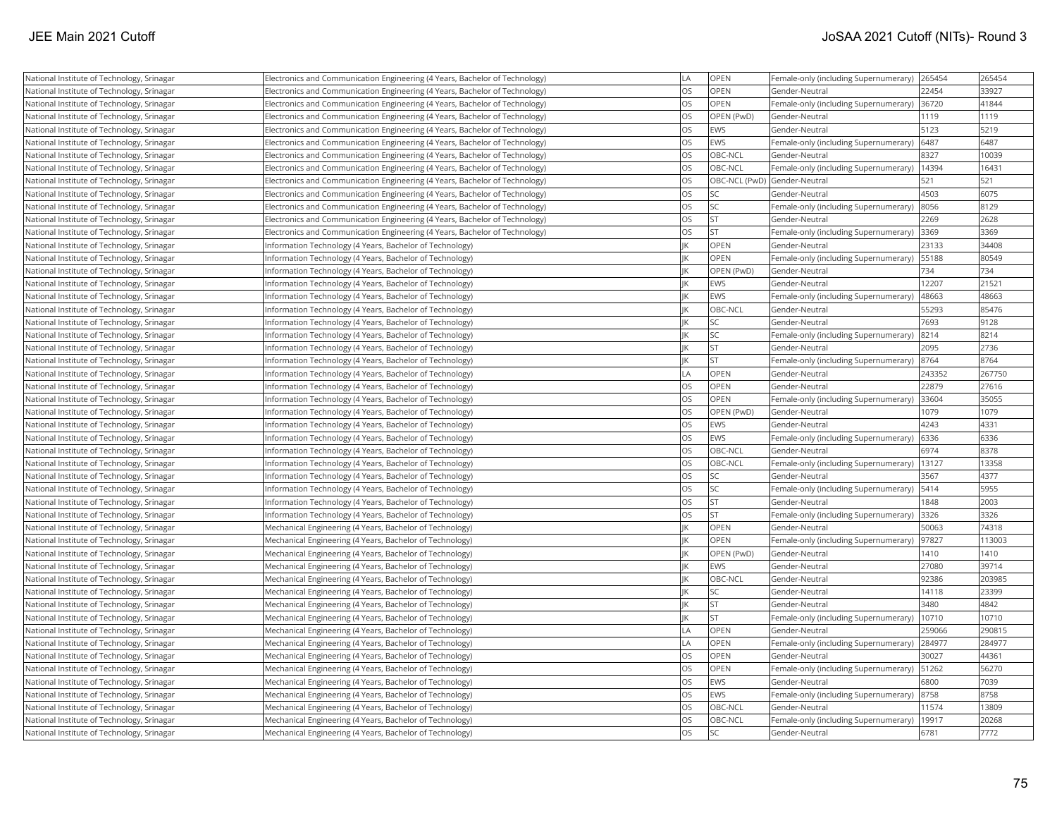| National Institute of Technology, Srinagar | Electronics and Communication Engineering (4 Years, Bachelor of Technology) | LA        | <b>OPEN</b>                  | Female-only (including Supernumerary) | 265454 | 265454 |
|--------------------------------------------|-----------------------------------------------------------------------------|-----------|------------------------------|---------------------------------------|--------|--------|
| National Institute of Technology, Srinagar | Electronics and Communication Engineering (4 Years, Bachelor of Technology) | <b>OS</b> | OPEN                         | Gender-Neutral                        | 22454  | 33927  |
| National Institute of Technology, Srinagar | Electronics and Communication Engineering (4 Years, Bachelor of Technology) | <b>OS</b> | <b>OPEN</b>                  | Female-only (including Supernumerary) | 36720  | 41844  |
| National Institute of Technology, Srinagar | Electronics and Communication Engineering (4 Years, Bachelor of Technology) | <b>OS</b> | OPEN (PwD)                   | Gender-Neutral                        | 1119   | 1119   |
| National Institute of Technology, Srinagar | Electronics and Communication Engineering (4 Years, Bachelor of Technology) | <b>OS</b> | <b>EWS</b>                   | Gender-Neutral                        | 5123   | 5219   |
| National Institute of Technology, Srinagar | Electronics and Communication Engineering (4 Years, Bachelor of Technology) | <b>OS</b> | EWS                          | Female-only (including Supernumerary) | 6487   | 6487   |
| National Institute of Technology, Srinagar | Electronics and Communication Engineering (4 Years, Bachelor of Technology) | <b>OS</b> | OBC-NCL                      | Gender-Neutral                        | 8327   | 10039  |
| National Institute of Technology, Srinagar | Electronics and Communication Engineering (4 Years, Bachelor of Technology) | <b>OS</b> | OBC-NCL                      | Female-only (including Supernumerary) | 14394  | 16431  |
| National Institute of Technology, Srinagar | Electronics and Communication Engineering (4 Years, Bachelor of Technology) | <b>OS</b> | OBC-NCL (PwD) Gender-Neutral |                                       | 521    | 521    |
| National Institute of Technology, Srinagar | Electronics and Communication Engineering (4 Years, Bachelor of Technology) | <b>OS</b> | lsc                          | Gender-Neutral                        | 4503   | 6075   |
| National Institute of Technology, Srinagar | Electronics and Communication Engineering (4 Years, Bachelor of Technology) | <b>OS</b> | <b>SC</b>                    | Female-only (including Supernumerary) | 8056   | 8129   |
| National Institute of Technology, Srinagar | Electronics and Communication Engineering (4 Years, Bachelor of Technology) | <b>OS</b> | <b>ST</b>                    | Gender-Neutral                        | 2269   | 2628   |
| National Institute of Technology, Srinagar | Electronics and Communication Engineering (4 Years, Bachelor of Technology) | <b>OS</b> | <b>ST</b>                    | Female-only (including Supernumerary) | 3369   | 3369   |
| National Institute of Technology, Srinagar | Information Technology (4 Years, Bachelor of Technology)                    | JK        | OPEN                         | Gender-Neutral                        | 23133  | 34408  |
| National Institute of Technology, Srinagar | Information Technology (4 Years, Bachelor of Technology)                    | IK        | <b>OPEN</b>                  | Female-only (including Supernumerary) | 55188  | 80549  |
| National Institute of Technology, Srinagar | Information Technology (4 Years, Bachelor of Technology)                    | IK        | OPEN (PwD)                   | Gender-Neutral                        | 734    | 734    |
| National Institute of Technology, Srinagar | nformation Technology (4 Years, Bachelor of Technology)                     | IK        | EWS                          | Gender-Neutral                        | 12207  | 21521  |
| National Institute of Technology, Srinagar | Information Technology (4 Years, Bachelor of Technology)                    | IK        | <b>EWS</b>                   | Female-only (including Supernumerary) | 48663  | 48663  |
| National Institute of Technology, Srinagar | Information Technology (4 Years, Bachelor of Technology)                    | IK        | OBC-NCL                      | Gender-Neutral                        | 55293  | 85476  |
| National Institute of Technology, Srinagar | Information Technology (4 Years, Bachelor of Technology)                    | IK        | <b>SC</b>                    | Gender-Neutral                        | 7693   | 9128   |
| National Institute of Technology, Srinagar | Information Technology (4 Years, Bachelor of Technology)                    | IK        | SC                           | Female-only (including Supernumerary) | 8214   | 8214   |
| National Institute of Technology, Srinagar | Information Technology (4 Years, Bachelor of Technology)                    | JK        | <b>ST</b>                    | Gender-Neutral                        | 2095   | 2736   |
| National Institute of Technology, Srinagar | Information Technology (4 Years, Bachelor of Technology)                    | IK        | İst                          | Female-only (including Supernumerary) | 8764   | 8764   |
| National Institute of Technology, Srinagar | nformation Technology (4 Years, Bachelor of Technology)                     | LA        | OPEN                         | Gender-Neutral                        | 243352 | 267750 |
| National Institute of Technology, Srinagar | Information Technology (4 Years, Bachelor of Technology)                    | <b>OS</b> | OPEN                         | Gender-Neutral                        | 22879  | 27616  |
| National Institute of Technology, Srinagar | nformation Technology (4 Years, Bachelor of Technology)                     | <b>OS</b> | OPEN                         | Female-only (including Supernumerary) | 33604  | 35055  |
| National Institute of Technology, Srinagar | Information Technology (4 Years, Bachelor of Technology)                    | <b>OS</b> | OPEN (PwD)                   | Gender-Neutral                        | 1079   | 1079   |
| National Institute of Technology, Srinagar | Information Technology (4 Years, Bachelor of Technology)                    | <b>OS</b> | <b>EWS</b>                   | Gender-Neutral                        | 4243   | 4331   |
| National Institute of Technology, Srinagar | Information Technology (4 Years, Bachelor of Technology)                    | <b>OS</b> | <b>EWS</b>                   | Female-only (including Supernumerary) | 6336   | 6336   |
| National Institute of Technology, Srinagar | Information Technology (4 Years, Bachelor of Technology)                    | <b>OS</b> | OBC-NCL                      | Gender-Neutral                        | 6974   | 8378   |
| National Institute of Technology, Srinagar | Information Technology (4 Years, Bachelor of Technology)                    | <b>OS</b> | OBC-NCL                      | Female-only (including Supernumerary) | 13127  | 13358  |
| National Institute of Technology, Srinagar | Information Technology (4 Years, Bachelor of Technology)                    | <b>OS</b> | SC.                          | Gender-Neutral                        | 3567   | 4377   |
| National Institute of Technology, Srinagar | nformation Technology (4 Years, Bachelor of Technology)                     | <b>OS</b> | <b>SC</b>                    | Female-only (including Supernumerary) | 5414   | 5955   |
| National Institute of Technology, Srinagar | Information Technology (4 Years, Bachelor of Technology)                    | <b>OS</b> | <b>ST</b>                    | Gender-Neutral                        | 1848   | 2003   |
| National Institute of Technology, Srinagar | Information Technology (4 Years, Bachelor of Technology)                    | <b>OS</b> | <b>ST</b>                    | Female-only (including Supernumerary) | 3326   | 3326   |
| National Institute of Technology, Srinagar | Mechanical Engineering (4 Years, Bachelor of Technology)                    | IK        | <b>OPEN</b>                  | Gender-Neutral                        | 50063  | 74318  |
| National Institute of Technology, Srinagar | Mechanical Engineering (4 Years, Bachelor of Technology)                    | IK        | OPEN                         | Female-only (including Supernumerary) | 97827  | 113003 |
| National Institute of Technology, Srinagar | Mechanical Engineering (4 Years, Bachelor of Technology)                    | IK        | OPEN (PwD)                   | Gender-Neutral                        | 1410   | 1410   |
| National Institute of Technology, Srinagar | Mechanical Engineering (4 Years, Bachelor of Technology)                    | IK        | <b>EWS</b>                   | Gender-Neutral                        | 27080  | 39714  |
| National Institute of Technology, Srinagar | Mechanical Engineering (4 Years, Bachelor of Technology)                    | JK        | OBC-NCL                      | Gender-Neutral                        | 92386  | 203985 |
| National Institute of Technology, Srinagar | Mechanical Engineering (4 Years, Bachelor of Technology)                    | IK        | <b>SC</b>                    | Gender-Neutral                        | 14118  | 23399  |
| National Institute of Technology, Srinagar | Mechanical Engineering (4 Years, Bachelor of Technology)                    | IK        | <b>ST</b>                    | Gender-Neutral                        | 3480   | 4842   |
| National Institute of Technology, Srinagar | Mechanical Engineering (4 Years, Bachelor of Technology)                    | IK        | İst                          | Female-only (including Supernumerary) | 10710  | 10710  |
| National Institute of Technology, Srinagar | Mechanical Engineering (4 Years, Bachelor of Technology)                    | LA        | <b>OPEN</b>                  | Gender-Neutral                        | 259066 | 290815 |
| National Institute of Technology, Srinagar | Mechanical Engineering (4 Years, Bachelor of Technology)                    | LA        | OPEN                         | Female-only (including Supernumerary) | 284977 | 284977 |
| National Institute of Technology, Srinagar | Mechanical Engineering (4 Years, Bachelor of Technology)                    | <b>OS</b> | OPEN                         | Gender-Neutral                        | 30027  | 44361  |
| National Institute of Technology, Srinagar | Mechanical Engineering (4 Years, Bachelor of Technology)                    | <b>OS</b> | OPEN                         | Female-only (including Supernumerary) | 51262  | 56270  |
| National Institute of Technology, Srinagar | Mechanical Engineering (4 Years, Bachelor of Technology)                    | <b>OS</b> | <b>IEWS</b>                  | Gender-Neutral                        | 6800   | 7039   |
| National Institute of Technology, Srinagar | Mechanical Engineering (4 Years, Bachelor of Technology)                    | <b>OS</b> | <b>EWS</b>                   | Female-only (including Supernumerary) | 8758   | 8758   |
| National Institute of Technology, Srinagar | Mechanical Engineering (4 Years, Bachelor of Technology)                    | <b>OS</b> | OBC-NCL                      | Gender-Neutral                        | 11574  | 13809  |
| National Institute of Technology, Srinagar | Mechanical Engineering (4 Years, Bachelor of Technology)                    | <b>OS</b> | OBC-NCL                      | Female-only (including Supernumerary) | 19917  | 20268  |
| National Institute of Technology, Srinagar | Mechanical Engineering (4 Years, Bachelor of Technology)                    | <b>OS</b> | lsc                          | Gender-Neutral                        | 6781   | 7772   |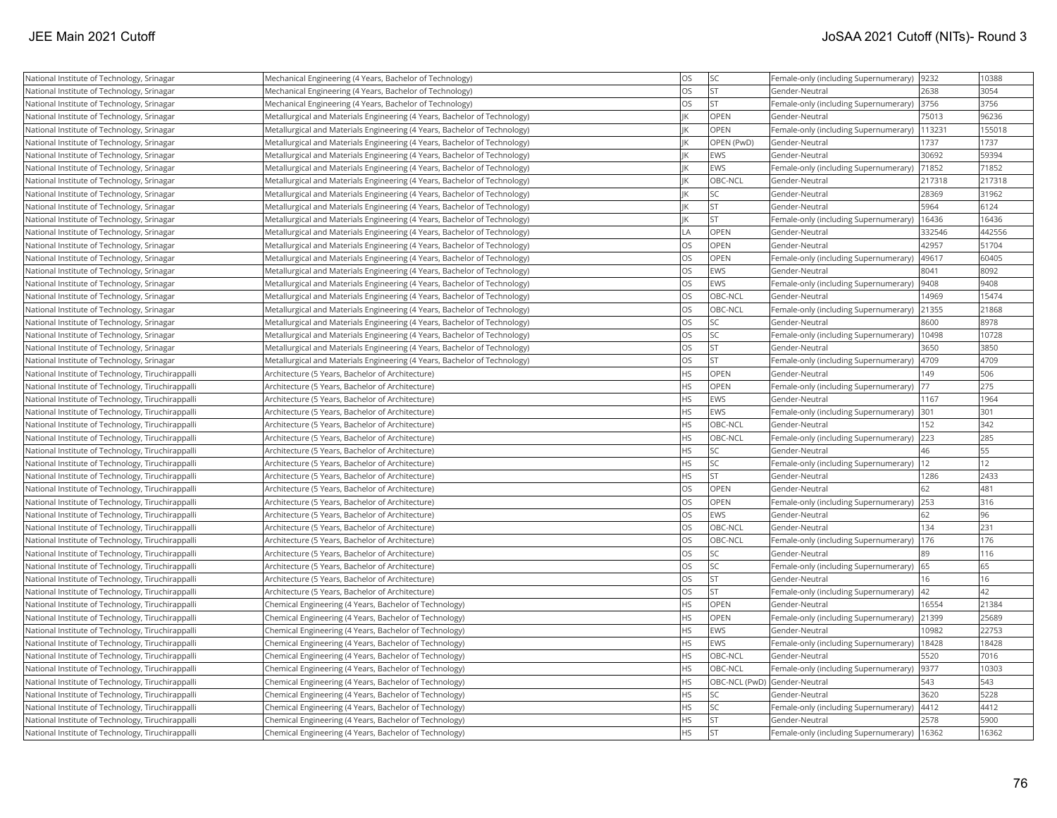| National Institute of Technology, Srinagar        | Mechanical Engineering (4 Years, Bachelor of Technology)                  | <b>OS</b>  | SC              | Female-only (including Supernumerary)  9232    |        | 10388  |
|---------------------------------------------------|---------------------------------------------------------------------------|------------|-----------------|------------------------------------------------|--------|--------|
| National Institute of Technology, Srinagar        | Mechanical Engineering (4 Years, Bachelor of Technology)                  | los        | <b>ST</b>       | Gender-Neutral                                 | 2638   | 3054   |
| National Institute of Technology, Srinagar        | Mechanical Engineering (4 Years, Bachelor of Technology)                  | los        | lst             | Female-only (including Supernumerary) 3756     |        | 3756   |
| National Institute of Technology, Srinagar        | Metallurgical and Materials Engineering (4 Years, Bachelor of Technology) | IK         | OPEN            | Gender-Neutral                                 | 75013  | 96236  |
| National Institute of Technology, Srinagar        | Metallurgical and Materials Engineering (4 Years, Bachelor of Technology) | IK         | OPEN            | Female-only (including Supernumerary)   113231 |        | 155018 |
| National Institute of Technology, Srinagar        | Metallurgical and Materials Engineering (4 Years, Bachelor of Technology) | IK         | OPEN (PwD)      | Gender-Neutral                                 | 1737   | 1737   |
| National Institute of Technology, Srinagar        | Metallurgical and Materials Engineering (4 Years, Bachelor of Technology) | IK         | EWS             | Gender-Neutral                                 | 30692  | 59394  |
| National Institute of Technology, Srinagar        | Metallurgical and Materials Engineering (4 Years, Bachelor of Technology) | IK         | EWS             | Female-only (including Supernumerary)          | 71852  | 71852  |
| National Institute of Technology, Srinagar        | Metallurgical and Materials Engineering (4 Years, Bachelor of Technology) | IK         | OBC-NCL         | Gender-Neutral                                 | 217318 | 217318 |
| National Institute of Technology, Srinagar        | Metallurgical and Materials Engineering (4 Years, Bachelor of Technology) | IK         | SC.             | Gender-Neutral                                 | 28369  | 31962  |
| National Institute of Technology, Srinagar        | Metallurgical and Materials Engineering (4 Years, Bachelor of Technology) | IK         | <b>ST</b>       | Gender-Neutral                                 | 5964   | 6124   |
| National Institute of Technology, Srinagar        | Metallurgical and Materials Engineering (4 Years, Bachelor of Technology) | IK         | lst             | Female-only (including Supernumerary)          | 16436  | 16436  |
| National Institute of Technology, Srinagar        | Metallurgical and Materials Engineering (4 Years, Bachelor of Technology) | <b>LA</b>  | <b>OPEN</b>     | Gender-Neutral                                 | 332546 | 442556 |
| National Institute of Technology, Srinagar        | Metallurgical and Materials Engineering (4 Years, Bachelor of Technology) | <b>OS</b>  | <b>OPEN</b>     | Gender-Neutral                                 | 42957  | 51704  |
| National Institute of Technology, Srinagar        | Metallurgical and Materials Engineering (4 Years, Bachelor of Technology) | <b>OS</b>  | OPEN            | Female-only (including Supernumerary)          | 49617  | 60405  |
| National Institute of Technology, Srinagar        | Metallurgical and Materials Engineering (4 Years, Bachelor of Technology) | los        | EWS             | Gender-Neutral                                 | 8041   | 8092   |
| National Institute of Technology, Srinagar        | Metallurgical and Materials Engineering (4 Years, Bachelor of Technology) | <b>OS</b>  | EWS             | Female-only (including Supernumerary)          | 9408   | 9408   |
| National Institute of Technology, Srinagar        | Metallurgical and Materials Engineering (4 Years, Bachelor of Technology) | <b>OS</b>  | OBC-NCL         | Gender-Neutral                                 | 14969  | 15474  |
| National Institute of Technology, Srinagar        | Metallurgical and Materials Engineering (4 Years, Bachelor of Technology) | <b>OS</b>  | OBC-NCL         | Female-only (including Supernumerary)          | 21355  | 21868  |
| National Institute of Technology, Srinagar        | Metallurgical and Materials Engineering (4 Years, Bachelor of Technology) | los        | SC              | Gender-Neutral                                 | 8600   | 8978   |
| National Institute of Technology, Srinagar        | Metallurgical and Materials Engineering (4 Years, Bachelor of Technology) | los        | SC.             | Female-only (including Supernumerary)          | 10498  | 10728  |
| National Institute of Technology, Srinagar        | Metallurgical and Materials Engineering (4 Years, Bachelor of Technology) | los        | lst             | Gender-Neutral                                 | 3650   | 3850   |
| National Institute of Technology, Srinagar        | Metallurgical and Materials Engineering (4 Years, Bachelor of Technology) | <b>OS</b>  | <b>ST</b>       | Female-only (including Supernumerary)          | 4709   | 4709   |
| National Institute of Technology, Tiruchirappalli | Architecture (5 Years, Bachelor of Architecture)                          | <b>HS</b>  | OPEN            | Gender-Neutral                                 | 149    | 506    |
| National Institute of Technology, Tiruchirappalli | Architecture (5 Years, Bachelor of Architecture)                          | <b>HS</b>  | OPEN            | Female-only (including Supernumerary)          | 177    | 275    |
| National Institute of Technology, Tiruchirappalli | Architecture (5 Years, Bachelor of Architecture)                          | <b>HS</b>  | EWS             | Gender-Neutral                                 | 1167   | 1964   |
| National Institute of Technology, Tiruchirappalli | Architecture (5 Years, Bachelor of Architecture)                          | <b>HS</b>  | EWS             | Female-only (including Supernumerary)          | 301    | 301    |
| National Institute of Technology, Tiruchirappalli | Architecture (5 Years, Bachelor of Architecture)                          | <b>HS</b>  | OBC-NCL         | Gender-Neutral                                 | 152    | 342    |
| National Institute of Technology, Tiruchirappalli | Architecture (5 Years, Bachelor of Architecture)                          | <b>HS</b>  | OBC-NCL         | Female-only (including Supernumerary)          | 223    | 285    |
| National Institute of Technology, Tiruchirappalli | Architecture (5 Years, Bachelor of Architecture)                          | <b>HS</b>  | lsc             | Gender-Neutral                                 | 46     | 55     |
| National Institute of Technology, Tiruchirappalli | Architecture (5 Years, Bachelor of Architecture)                          | <b>HS</b>  | SC <sub>1</sub> | Female-only (including Supernumerary)          | 12     | 12     |
| National Institute of Technology, Tiruchirappalli | Architecture (5 Years, Bachelor of Architecture)                          | <b>HS</b>  | <b>ST</b>       | Gender-Neutral                                 | 1286   | 2433   |
| National Institute of Technology, Tiruchirappalli | Architecture (5 Years, Bachelor of Architecture)                          | <b>OS</b>  | OPEN            | Gender-Neutral                                 | 62     | 481    |
| National Institute of Technology, Tiruchirappalli | Architecture (5 Years, Bachelor of Architecture)                          | los        | OPEN            | Female-only (including Supernumerary)          | 253    | 316    |
| National Institute of Technology, Tiruchirappalli | Architecture (5 Years, Bachelor of Architecture)                          | <b>OS</b>  | EWS             | Gender-Neutral                                 | 62     | 96     |
| National Institute of Technology, Tiruchirappalli | Architecture (5 Years, Bachelor of Architecture)                          | los        | OBC-NCL         | Gender-Neutral                                 | 134    | 231    |
| National Institute of Technology, Tiruchirappalli | Architecture (5 Years, Bachelor of Architecture)                          | <b>OS</b>  | OBC-NCL         | Female-only (including Supernumerary)          | 176    | 176    |
| National Institute of Technology, Tiruchirappalli | Architecture (5 Years, Bachelor of Architecture)                          | los        | lsc             | Gender-Neutral                                 | 89     | 116    |
| National Institute of Technology, Tiruchirappalli | Architecture (5 Years, Bachelor of Architecture)                          | <b>OS</b>  | SC.             | Female-only (including Supernumerary) 65       |        | 65     |
| National Institute of Technology, Tiruchirappalli | Architecture (5 Years, Bachelor of Architecture)                          | <b>OS</b>  | <b>ST</b>       | Gender-Neutral                                 | 16     | 16     |
| National Institute of Technology, Tiruchirappalli | Architecture (5 Years, Bachelor of Architecture)                          | <b>OS</b>  | <b>ST</b>       | Female-only (including Supernumerary)  42      |        | 42     |
| National Institute of Technology, Tiruchirappalli | Chemical Engineering (4 Years, Bachelor of Technology)                    | <b>HS</b>  | OPEN            | Gender-Neutral                                 | 16554  | 21384  |
| National Institute of Technology, Tiruchirappalli | Chemical Engineering (4 Years, Bachelor of Technology)                    | <b>HS</b>  | OPEN            | Female-only (including Supernumerary)          | 21399  | 25689  |
| National Institute of Technology, Tiruchirappalli | Chemical Engineering (4 Years, Bachelor of Technology)                    | <b>HS</b>  | EWS             | Gender-Neutral                                 | 10982  | 22753  |
| National Institute of Technology, Tiruchirappalli | Chemical Engineering (4 Years, Bachelor of Technology)                    | <b>IHS</b> | EWS             | Female-only (including Supernumerary)          | 18428  | 18428  |
| National Institute of Technology, Tiruchirappalli | Chemical Engineering (4 Years, Bachelor of Technology)                    | <b>HS</b>  | OBC-NCL         | Gender-Neutral                                 | 5520   | 7016   |
| National Institute of Technology, Tiruchirappalli | Chemical Engineering (4 Years, Bachelor of Technology)                    | <b>HS</b>  | OBC-NCL         | Female-only (including Supernumerary)          | 9377   | 10303  |
| National Institute of Technology, Tiruchirappalli | Chemical Engineering (4 Years, Bachelor of Technology)                    | <b>HS</b>  |                 | OBC-NCL (PwD) Gender-Neutral                   | 543    | 543    |
| National Institute of Technology, Tiruchirappalli | Chemical Engineering (4 Years, Bachelor of Technology)                    | <b>HS</b>  | SC              | Gender-Neutral                                 | 3620   | 5228   |
| National Institute of Technology, Tiruchirappalli | Chemical Engineering (4 Years, Bachelor of Technology)                    | <b>HS</b>  | SC              | Female-only (including Supernumerary)          | 4412   | 4412   |
| National Institute of Technology, Tiruchirappalli | Chemical Engineering (4 Years, Bachelor of Technology)                    | <b>HS</b>  | ST              | Gender-Neutral                                 | 2578   | 5900   |
| National Institute of Technology, Tiruchirappalli | Chemical Engineering (4 Years, Bachelor of Technology)                    | <b>HS</b>  | İst             | Female-only (including Supernumerary)          | 16362  | 16362  |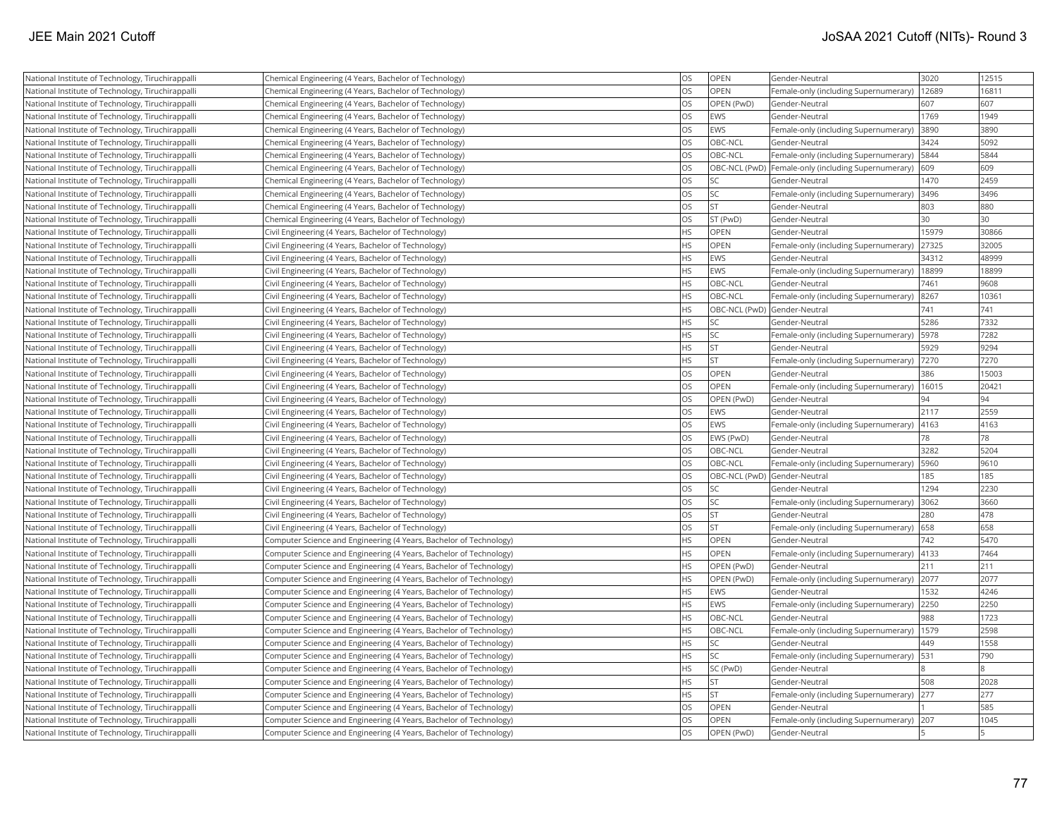| National Institute of Technology, Tiruchirappalli | Chemical Engineering (4 Years, Bachelor of Technology)             | <b>OS</b> | OPEN                         | Gender-Neutral                                      | 3020  | 12515 |
|---------------------------------------------------|--------------------------------------------------------------------|-----------|------------------------------|-----------------------------------------------------|-------|-------|
| National Institute of Technology, Tiruchirappalli | Chemical Engineering (4 Years, Bachelor of Technology)             | <b>OS</b> | OPEN                         | Female-only (including Supernumerary)               | 12689 | 16811 |
| National Institute of Technology, Tiruchirappalli | Chemical Engineering (4 Years, Bachelor of Technology)             | <b>OS</b> | OPEN (PwD)                   | Gender-Neutral                                      | 607   | 607   |
| National Institute of Technology, Tiruchirappalli | Chemical Engineering (4 Years, Bachelor of Technology)             | <b>OS</b> | <b>EWS</b>                   | Gender-Neutral                                      | 1769  | 1949  |
| National Institute of Technology, Tiruchirappalli | Chemical Engineering (4 Years, Bachelor of Technology)             | <b>OS</b> | EWS                          | Female-only (including Supernumerary)               | 3890  | 3890  |
| National Institute of Technology, Tiruchirappalli | Chemical Engineering (4 Years, Bachelor of Technology)             | <b>OS</b> | OBC-NCL                      | Gender-Neutral                                      | 3424  | 5092  |
| National Institute of Technology, Tiruchirappalli | Chemical Engineering (4 Years, Bachelor of Technology)             | <b>OS</b> | OBC-NCL                      | Female-only (including Supernumerary)               | 5844  | 5844  |
| National Institute of Technology, Tiruchirappalli | Chemical Engineering (4 Years, Bachelor of Technology)             | <b>OS</b> |                              | OBC-NCL (PwD) Female-only (including Supernumerary) | 609   | 609   |
| National Institute of Technology, Tiruchirappalli | Chemical Engineering (4 Years, Bachelor of Technology)             | <b>OS</b> | SC.                          | Gender-Neutral                                      | 1470  | 2459  |
| National Institute of Technology, Tiruchirappalli | Chemical Engineering (4 Years, Bachelor of Technology)             | <b>OS</b> | <b>SC</b>                    | Female-only (including Supernumerary)               | 3496  | 3496  |
| National Institute of Technology, Tiruchirappalli | Chemical Engineering (4 Years, Bachelor of Technology)             | <b>OS</b> | İst                          | Gender-Neutral                                      | 803   | 880   |
| National Institute of Technology, Tiruchirappalli | Chemical Engineering (4 Years, Bachelor of Technology)             | <b>OS</b> | ST (PwD)                     | Gender-Neutral                                      | 30    | 30    |
| National Institute of Technology, Tiruchirappalli | Civil Engineering (4 Years, Bachelor of Technology)                | <b>HS</b> | OPEN                         | Gender-Neutral                                      | 15979 | 30866 |
| National Institute of Technology, Tiruchirappalli | Civil Engineering (4 Years, Bachelor of Technology)                | <b>HS</b> | <b>OPEN</b>                  | Female-only (including Supernumerary)               | 27325 | 32005 |
| National Institute of Technology, Tiruchirappalli | Civil Engineering (4 Years, Bachelor of Technology)                | <b>HS</b> | EWS                          | Gender-Neutral                                      | 34312 | 48999 |
| National Institute of Technology, Tiruchirappalli | Civil Engineering (4 Years, Bachelor of Technology)                | <b>HS</b> | <b>EWS</b>                   | Female-only (including Supernumerary)               | 18899 | 18899 |
| National Institute of Technology, Tiruchirappalli | Civil Engineering (4 Years, Bachelor of Technology)                | <b>HS</b> | OBC-NCL                      | Gender-Neutral                                      | 7461  | 9608  |
| National Institute of Technology, Tiruchirappalli | Civil Engineering (4 Years, Bachelor of Technology)                | <b>HS</b> | OBC-NCL                      | Female-only (including Supernumerary)               | 8267  | 10361 |
| National Institute of Technology, Tiruchirappalli | Civil Engineering (4 Years, Bachelor of Technology)                | <b>HS</b> | OBC-NCL (PwD) Gender-Neutral |                                                     | 741   | 741   |
| National Institute of Technology, Tiruchirappalli | Civil Engineering (4 Years, Bachelor of Technology)                | <b>HS</b> | lsc                          | Gender-Neutral                                      | 5286  | 7332  |
| National Institute of Technology, Tiruchirappalli | Civil Engineering (4 Years, Bachelor of Technology)                | <b>HS</b> | <b>SC</b>                    | Female-only (including Supernumerary)               | 5978  | 7282  |
| National Institute of Technology, Tiruchirappalli | Civil Engineering (4 Years, Bachelor of Technology)                | <b>HS</b> | İst                          | Gender-Neutral                                      | 5929  | 9294  |
| National Institute of Technology, Tiruchirappalli | Civil Engineering (4 Years, Bachelor of Technology)                | <b>HS</b> | <b>ST</b>                    | Female-only (including Supernumerary)               | 7270  | 7270  |
| National Institute of Technology, Tiruchirappalli | Civil Engineering (4 Years, Bachelor of Technology)                | <b>OS</b> | <b>OPEN</b>                  | Gender-Neutral                                      | 386   | 15003 |
| National Institute of Technology, Tiruchirappalli | Civil Engineering (4 Years, Bachelor of Technology)                | OS        | <b>OPEN</b>                  | Female-only (including Supernumerary)               | 16015 | 20421 |
| National Institute of Technology, Tiruchirappalli | Civil Engineering (4 Years, Bachelor of Technology)                | <b>OS</b> | OPEN (PwD)                   | Gender-Neutral                                      | 94    | 94    |
| National Institute of Technology, Tiruchirappalli | Civil Engineering (4 Years, Bachelor of Technology)                | OS        | <b>EWS</b>                   | Gender-Neutral                                      | 2117  | 2559  |
| National Institute of Technology, Tiruchirappalli | Civil Engineering (4 Years, Bachelor of Technology)                | <b>OS</b> | <b>EWS</b>                   | Female-only (including Supernumerary)               | 4163  | 4163  |
| National Institute of Technology, Tiruchirappalli | Civil Engineering (4 Years, Bachelor of Technology)                | <b>OS</b> | EWS (PwD)                    | Gender-Neutral                                      | 78    | 78    |
| National Institute of Technology, Tiruchirappalli | Civil Engineering (4 Years, Bachelor of Technology)                | <b>OS</b> | OBC-NCL                      | Gender-Neutral                                      | 3282  | 5204  |
| National Institute of Technology, Tiruchirappalli | Civil Engineering (4 Years, Bachelor of Technology)                | <b>OS</b> | OBC-NCL                      | Female-only (including Supernumerary)               | 5960  | 9610  |
| National Institute of Technology, Tiruchirappalli | Civil Engineering (4 Years, Bachelor of Technology)                | OS        | OBC-NCL (PwD) Gender-Neutral |                                                     | 185   | 185   |
| National Institute of Technology, Tiruchirappalli | Civil Engineering (4 Years, Bachelor of Technology)                | <b>OS</b> | lsc                          | Gender-Neutral                                      | 1294  | 2230  |
| National Institute of Technology, Tiruchirappalli | Civil Engineering (4 Years, Bachelor of Technology)                | <b>OS</b> | SC <sub>15</sub>             | Female-only (including Supernumerary)               | 3062  | 3660  |
| National Institute of Technology, Tiruchirappalli | Civil Engineering (4 Years, Bachelor of Technology)                | OS        | <b>ST</b>                    | Gender-Neutral                                      | 280   | 478   |
| National Institute of Technology, Tiruchirappalli | Civil Engineering (4 Years, Bachelor of Technology)                | <b>OS</b> | <b>ST</b>                    | Female-only (including Supernumerary)               | 658   | 658   |
| National Institute of Technology, Tiruchirappalli | Computer Science and Engineering (4 Years, Bachelor of Technology) | <b>HS</b> | OPEN                         | Gender-Neutral                                      | 742   | 5470  |
| National Institute of Technology, Tiruchirappalli | Computer Science and Engineering (4 Years, Bachelor of Technology) | <b>HS</b> | OPEN                         | Female-only (including Supernumerary)               | 4133  | 7464  |
| National Institute of Technology, Tiruchirappalli | Computer Science and Engineering (4 Years, Bachelor of Technology) | <b>HS</b> | OPEN (PwD)                   | Gender-Neutral                                      | 211   | 211   |
| National Institute of Technology, Tiruchirappalli | Computer Science and Engineering (4 Years, Bachelor of Technology) | <b>HS</b> | OPEN (PwD)                   | Female-only (including Supernumerary)               | 2077  | 2077  |
| National Institute of Technology, Tiruchirappalli | Computer Science and Engineering (4 Years, Bachelor of Technology) | <b>HS</b> | <b>EWS</b>                   | Gender-Neutral                                      | 1532  | 4246  |
| National Institute of Technology, Tiruchirappalli | Computer Science and Engineering (4 Years, Bachelor of Technology) | <b>HS</b> | <b>EWS</b>                   | Female-only (including Supernumerary)               | 2250  | 2250  |
| National Institute of Technology, Tiruchirappalli | Computer Science and Engineering (4 Years, Bachelor of Technology) | <b>HS</b> | OBC-NCL                      | Gender-Neutral                                      | 988   | 1723  |
| National Institute of Technology, Tiruchirappalli | Computer Science and Engineering (4 Years, Bachelor of Technology) | <b>HS</b> | OBC-NCL                      | Female-only (including Supernumerary)               | 1579  | 2598  |
| National Institute of Technology, Tiruchirappalli | Computer Science and Engineering (4 Years, Bachelor of Technology) | <b>HS</b> | <b>SC</b>                    | Gender-Neutral                                      | 449   | 1558  |
| National Institute of Technology, Tiruchirappalli | Computer Science and Engineering (4 Years, Bachelor of Technology) | <b>HS</b> | lsc                          | Female-only (including Supernumerary)               | 531   | 790   |
| National Institute of Technology, Tiruchirappalli | Computer Science and Engineering (4 Years, Bachelor of Technology) | <b>HS</b> | SC (PwD)                     | Gender-Neutral                                      |       | 8     |
| National Institute of Technology, Tiruchirappalli | Computer Science and Engineering (4 Years, Bachelor of Technology) | <b>HS</b> | lst                          | Gender-Neutral                                      | 508   | 2028  |
| National Institute of Technology, Tiruchirappalli | Computer Science and Engineering (4 Years, Bachelor of Technology) | <b>HS</b> | lst                          | Female-only (including Supernumerary)               | 277   | 277   |
| National Institute of Technology, Tiruchirappalli | Computer Science and Engineering (4 Years, Bachelor of Technology) | <b>OS</b> | OPEN                         | Gender-Neutral                                      |       | 585   |
| National Institute of Technology, Tiruchirappalli | Computer Science and Engineering (4 Years, Bachelor of Technology) | <b>OS</b> | OPEN                         | Female-only (including Supernumerary) 207           |       | 1045  |
| National Institute of Technology, Tiruchirappalli | Computer Science and Engineering (4 Years, Bachelor of Technology) | <b>OS</b> | OPEN (PwD)                   | Gender-Neutral                                      |       | 15    |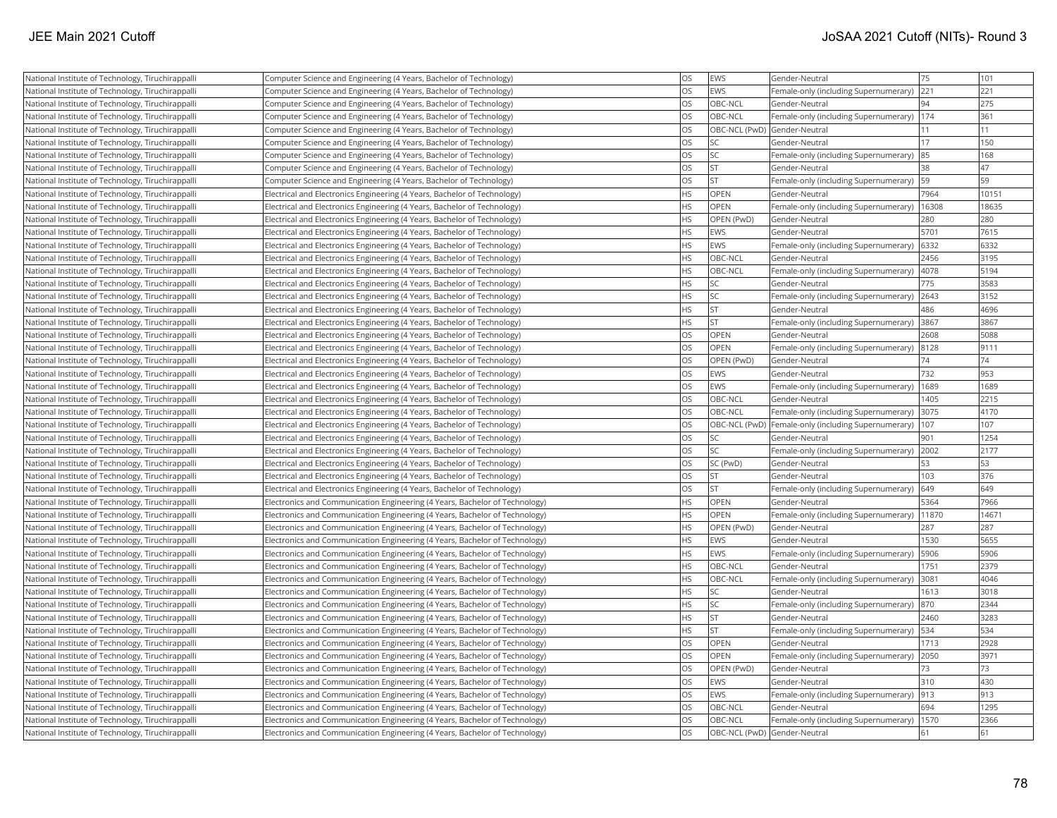| National Institute of Technology, Tiruchirappalli | Computer Science and Engineering (4 Years, Bachelor of Technology)          | <b>OS</b> | EWS                          | Gender-Neutral                                       | 75    | 101   |
|---------------------------------------------------|-----------------------------------------------------------------------------|-----------|------------------------------|------------------------------------------------------|-------|-------|
| National Institute of Technology, Tiruchirappalli | Computer Science and Engineering (4 Years, Bachelor of Technology)          | <b>OS</b> | EWS                          | Female-only (including Supernumerary)                | 221   | 221   |
| National Institute of Technology, Tiruchirappalli | Computer Science and Engineering (4 Years, Bachelor of Technology)          | <b>OS</b> | OBC-NCL                      | Gender-Neutral                                       | 94    | 275   |
| National Institute of Technology, Tiruchirappalli | Computer Science and Engineering (4 Years, Bachelor of Technology)          | <b>OS</b> | OBC-NCL                      | Female-only (including Supernumerary)                | 174   | 361   |
| National Institute of Technology, Tiruchirappalli | Computer Science and Engineering (4 Years, Bachelor of Technology)          | <b>OS</b> | OBC-NCL (PwD) Gender-Neutral |                                                      | 11    | 11    |
| National Institute of Technology, Tiruchirappalli | Computer Science and Engineering (4 Years, Bachelor of Technology)          | <b>OS</b> | <b>SC</b>                    | Gender-Neutral                                       | 17    | 150   |
| National Institute of Technology, Tiruchirappalli | Computer Science and Engineering (4 Years, Bachelor of Technology)          | <b>OS</b> | lsc                          | Female-only (including Supernumerary)                | 85    | 168   |
| National Institute of Technology, Tiruchirappalli | Computer Science and Engineering (4 Years, Bachelor of Technology)          | <b>OS</b> | <b>ST</b>                    | Gender-Neutral                                       | 38    | 47    |
| National Institute of Technology, Tiruchirappalli | Computer Science and Engineering (4 Years, Bachelor of Technology)          | <b>OS</b> | <b>ST</b>                    | Female-only (including Supernumerary)                | 59    | 59    |
| National Institute of Technology, Tiruchirappalli | Electrical and Electronics Engineering (4 Years, Bachelor of Technology)    | <b>HS</b> | OPEN                         | Gender-Neutral                                       | 7964  | 10151 |
| National Institute of Technology, Tiruchirappalli | Electrical and Electronics Engineering (4 Years, Bachelor of Technology)    | <b>HS</b> | OPEN                         | Female-only (including Supernumerary)                | 16308 | 18635 |
| National Institute of Technology, Tiruchirappalli | Electrical and Electronics Engineering (4 Years, Bachelor of Technology)    | <b>HS</b> | OPEN (PwD)                   | Gender-Neutral                                       | 280   | 280   |
| National Institute of Technology, Tiruchirappalli | Electrical and Electronics Engineering (4 Years, Bachelor of Technology)    | <b>HS</b> | EWS                          | Gender-Neutral                                       | 5701  | 7615  |
| National Institute of Technology, Tiruchirappalli | Electrical and Electronics Engineering (4 Years, Bachelor of Technology)    | <b>HS</b> | EWS                          | Female-only (including Supernumerary)                | 6332  | 6332  |
| National Institute of Technology, Tiruchirappalli | Electrical and Electronics Engineering (4 Years, Bachelor of Technology)    | <b>HS</b> | OBC-NCL                      | Gender-Neutral                                       | 2456  | 3195  |
| National Institute of Technology, Tiruchirappalli | Electrical and Electronics Engineering (4 Years, Bachelor of Technology)    | <b>HS</b> | OBC-NCL                      | Female-only (including Supernumerary)                | 4078  | 5194  |
| National Institute of Technology, Tiruchirappalli | Electrical and Electronics Engineering (4 Years, Bachelor of Technology)    | <b>HS</b> | <b>SC</b>                    | Gender-Neutral                                       | 775   | 3583  |
| National Institute of Technology, Tiruchirappalli | Electrical and Electronics Engineering (4 Years, Bachelor of Technology)    | <b>HS</b> | <b>SC</b>                    | Female-only (including Supernumerary)                | 2643  | 3152  |
| National Institute of Technology, Tiruchirappalli | Electrical and Electronics Engineering (4 Years, Bachelor of Technology)    | <b>HS</b> | İst                          | Gender-Neutral                                       | 486   | 4696  |
| National Institute of Technology, Tiruchirappalli | Electrical and Electronics Engineering (4 Years, Bachelor of Technology)    | <b>HS</b> | <b>ST</b>                    | Female-only (including Supernumerary)                | 3867  | 3867  |
| National Institute of Technology, Tiruchirappalli | Electrical and Electronics Engineering (4 Years, Bachelor of Technology)    | <b>OS</b> | OPEN                         | Gender-Neutral                                       | 2608  | 5088  |
| National Institute of Technology, Tiruchirappalli | Electrical and Electronics Engineering (4 Years, Bachelor of Technology)    | <b>OS</b> | OPEN                         | Female-only (including Supernumerary)                | 8128  | 9111  |
| National Institute of Technology, Tiruchirappalli | Electrical and Electronics Engineering (4 Years, Bachelor of Technology)    | <b>OS</b> | OPEN (PwD)                   | Gender-Neutral                                       | 74    | 74    |
| National Institute of Technology, Tiruchirappalli | Electrical and Electronics Engineering (4 Years, Bachelor of Technology)    | <b>OS</b> | <b>EWS</b>                   | Gender-Neutral                                       | 732   | 953   |
| National Institute of Technology, Tiruchirappalli | Electrical and Electronics Engineering (4 Years, Bachelor of Technology)    | <b>OS</b> | EWS                          | Female-only (including Supernumerary)                | 1689  | 1689  |
| National Institute of Technology, Tiruchirappalli | Electrical and Electronics Engineering (4 Years, Bachelor of Technology)    | <b>OS</b> | OBC-NCL                      | Gender-Neutral                                       | 1405  | 2215  |
| National Institute of Technology, Tiruchirappalli | Electrical and Electronics Engineering (4 Years, Bachelor of Technology)    | <b>OS</b> | <b>OBC-NCL</b>               | Female-only (including Supernumerary)                | 3075  | 4170  |
| National Institute of Technology, Tiruchirappalli | Electrical and Electronics Engineering (4 Years, Bachelor of Technology)    | <b>OS</b> |                              | OBC-NCL (PwD)  Female-only (including Supernumerary) | 107   | 107   |
| National Institute of Technology, Tiruchirappalli | Electrical and Electronics Engineering (4 Years, Bachelor of Technology)    | <b>OS</b> | <b>SC</b>                    | Gender-Neutral                                       | 901   | 1254  |
| National Institute of Technology, Tiruchirappalli | Electrical and Electronics Engineering (4 Years, Bachelor of Technology)    | <b>OS</b> | <b>SC</b>                    | Female-only (including Supernumerary)                | 2002  | 2177  |
| National Institute of Technology, Tiruchirappalli | Electrical and Electronics Engineering (4 Years, Bachelor of Technology)    | <b>OS</b> | SC (PwD)                     | Gender-Neutral                                       | 53    | 53    |
| National Institute of Technology, Tiruchirappalli | Electrical and Electronics Engineering (4 Years, Bachelor of Technology)    | <b>OS</b> | İST                          | Gender-Neutral                                       | 103   | 376   |
| National Institute of Technology, Tiruchirappalli | Electrical and Electronics Engineering (4 Years, Bachelor of Technology)    | <b>OS</b> | <b>ST</b>                    | Female-only (including Supernumerary)                | 649   | 649   |
| National Institute of Technology, Tiruchirappalli | Electronics and Communication Engineering (4 Years, Bachelor of Technology) | <b>HS</b> | OPEN                         | Gender-Neutral                                       | 5364  | 7966  |
| National Institute of Technology, Tiruchirappalli | Electronics and Communication Engineering (4 Years, Bachelor of Technology) | <b>HS</b> | OPEN                         | Female-only (including Supernumerary)                | 11870 | 14671 |
| National Institute of Technology, Tiruchirappalli | Electronics and Communication Engineering (4 Years, Bachelor of Technology) | <b>HS</b> | OPEN (PwD)                   | Gender-Neutral                                       | 287   | 287   |
| National Institute of Technology, Tiruchirappalli | Electronics and Communication Engineering (4 Years, Bachelor of Technology) | <b>HS</b> | EWS                          | Gender-Neutral                                       | 1530  | 5655  |
| National Institute of Technology, Tiruchirappalli | Electronics and Communication Engineering (4 Years, Bachelor of Technology) | <b>HS</b> | EWS                          | Female-only (including Supernumerary)                | 5906  | 5906  |
| National Institute of Technology, Tiruchirappalli | Electronics and Communication Engineering (4 Years, Bachelor of Technology) | <b>HS</b> | OBC-NCL                      | Gender-Neutral                                       | 1751  | 2379  |
| National Institute of Technology, Tiruchirappalli | Electronics and Communication Engineering (4 Years, Bachelor of Technology) | HS        | <b>OBC-NCL</b>               | Female-only (including Supernumerary)                | 3081  | 4046  |
| National Institute of Technology, Tiruchirappalli | Electronics and Communication Engineering (4 Years, Bachelor of Technology) | <b>HS</b> | lsc                          | Gender-Neutral                                       | 1613  | 3018  |
| National Institute of Technology, Tiruchirappalli | Electronics and Communication Engineering (4 Years, Bachelor of Technology) | <b>HS</b> | <b>SC</b>                    | Female-only (including Supernumerary)                | 870   | 2344  |
| National Institute of Technology, Tiruchirappalli | Electronics and Communication Engineering (4 Years, Bachelor of Technology) | <b>HS</b> | <b>ST</b>                    | Gender-Neutral                                       | 2460  | 3283  |
| National Institute of Technology, Tiruchirappalli | Electronics and Communication Engineering (4 Years, Bachelor of Technology) | <b>HS</b> | lst                          | Female-only (including Supernumerary)                | 534   | 534   |
| National Institute of Technology, Tiruchirappalli | Electronics and Communication Engineering (4 Years, Bachelor of Technology) | <b>OS</b> | OPEN                         | Gender-Neutral                                       | 1713  | 2928  |
| National Institute of Technology, Tiruchirappalli | Electronics and Communication Engineering (4 Years, Bachelor of Technology) | <b>OS</b> | <b>OPEN</b>                  | Female-only (including Supernumerary)                | 2050  | 3971  |
| National Institute of Technology, Tiruchirappalli | Electronics and Communication Engineering (4 Years, Bachelor of Technology) | <b>OS</b> | OPEN (PwD)                   | Gender-Neutral                                       | 73    | 73    |
| National Institute of Technology, Tiruchirappalli | Electronics and Communication Engineering (4 Years, Bachelor of Technology) | <b>OS</b> | <b>EWS</b>                   | Gender-Neutral                                       | 310   | 430   |
| National Institute of Technology, Tiruchirappalli | Electronics and Communication Engineering (4 Years, Bachelor of Technology) | <b>OS</b> | <b>EWS</b>                   | Female-only (including Supernumerary)                | 913   | 913   |
| National Institute of Technology, Tiruchirappalli | Electronics and Communication Engineering (4 Years, Bachelor of Technology) | <b>OS</b> | OBC-NCL                      | Gender-Neutral                                       | 694   | 1295  |
| National Institute of Technology, Tiruchirappalli | Electronics and Communication Engineering (4 Years, Bachelor of Technology) | <b>OS</b> | OBC-NCL                      | Female-only (including Supernumerary)                | 1570  | 2366  |
| National Institute of Technology, Tiruchirappalli | Electronics and Communication Engineering (4 Years, Bachelor of Technology) | <b>OS</b> | OBC-NCL (PwD) Gender-Neutral |                                                      | 61    | 61    |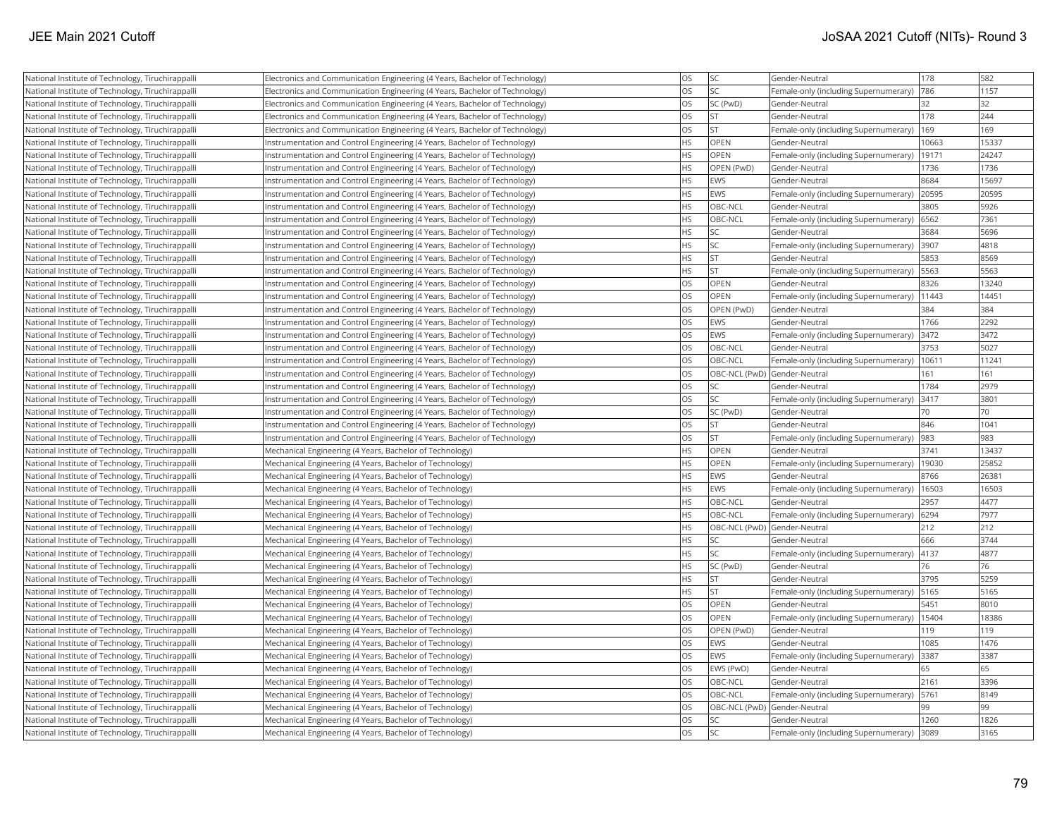| National Institute of Technology, Tiruchirappalli | Electronics and Communication Engineering (4 Years, Bachelor of Technology) | OS        | <b>SC</b>                    | Gender-Neutral                             | 178   | 582   |
|---------------------------------------------------|-----------------------------------------------------------------------------|-----------|------------------------------|--------------------------------------------|-------|-------|
| National Institute of Technology, Tiruchirappalli | Electronics and Communication Engineering (4 Years, Bachelor of Technology) | <b>OS</b> | lsc                          | Female-only (including Supernumerary)      | 786   | 1157  |
| National Institute of Technology, Tiruchirappalli | Electronics and Communication Engineering (4 Years, Bachelor of Technology) | <b>OS</b> | SC (PwD)                     | Gender-Neutral                             | 32    | 32    |
| National Institute of Technology, Tiruchirappalli | Electronics and Communication Engineering (4 Years, Bachelor of Technology) | <b>OS</b> | lst.                         | Gender-Neutral                             | 178   | 244   |
| National Institute of Technology, Tiruchirappalli | Electronics and Communication Engineering (4 Years, Bachelor of Technology) | <b>OS</b> | <b>ST</b>                    | Female-only (including Supernumerary)  169 |       | 169   |
| National Institute of Technology, Tiruchirappalli | Instrumentation and Control Engineering (4 Years, Bachelor of Technology)   | HS        | <b>OPEN</b>                  | Gender-Neutral                             | 10663 | 15337 |
| National Institute of Technology, Tiruchirappalli | Instrumentation and Control Engineering (4 Years, Bachelor of Technology)   | <b>HS</b> | OPEN                         | Female-only (including Supernumerary)      | 19171 | 24247 |
| National Institute of Technology, Tiruchirappalli | Instrumentation and Control Engineering (4 Years, Bachelor of Technology)   | HS        | OPEN (PwD)                   | Gender-Neutral                             | 1736  | 1736  |
| National Institute of Technology, Tiruchirappalli | Instrumentation and Control Engineering (4 Years, Bachelor of Technology)   | <b>HS</b> | EWS                          | Gender-Neutral                             | 8684  | 15697 |
| National Institute of Technology, Tiruchirappalli | Instrumentation and Control Engineering (4 Years, Bachelor of Technology)   | <b>HS</b> | <b>EWS</b>                   | Female-only (including Supernumerary)      | 20595 | 20595 |
| National Institute of Technology, Tiruchirappalli | Instrumentation and Control Engineering (4 Years, Bachelor of Technology)   | <b>HS</b> | OBC-NCL                      | Gender-Neutral                             | 3805  | 5926  |
| National Institute of Technology, Tiruchirappalli | Instrumentation and Control Engineering (4 Years, Bachelor of Technology)   | <b>HS</b> | OBC-NCL                      | Female-only (including Supernumerary)      | 6562  | 7361  |
| National Institute of Technology, Tiruchirappalli | Instrumentation and Control Engineering (4 Years, Bachelor of Technology)   | <b>HS</b> | lsc                          | Gender-Neutral                             | 3684  | 5696  |
| National Institute of Technology, Tiruchirappalli | Instrumentation and Control Engineering (4 Years, Bachelor of Technology)   | <b>HS</b> | <b>SC</b>                    | Female-only (including Supernumerary)      | 3907  | 4818  |
| National Institute of Technology, Tiruchirappalli | Instrumentation and Control Engineering (4 Years, Bachelor of Technology)   | <b>HS</b> | <b>ST</b>                    | Gender-Neutral                             | 5853  | 8569  |
| National Institute of Technology, Tiruchirappalli | Instrumentation and Control Engineering (4 Years, Bachelor of Technology)   | <b>HS</b> | <b>ST</b>                    | Female-only (including Supernumerary)      | 5563  | 5563  |
| National Institute of Technology, Tiruchirappalli | Instrumentation and Control Engineering (4 Years, Bachelor of Technology)   | OS        | OPEN                         | Gender-Neutral                             | 8326  | 13240 |
| National Institute of Technology, Tiruchirappalli | Instrumentation and Control Engineering (4 Years, Bachelor of Technology)   | OS        | OPEN                         | Female-only (including Supernumerary)      | 11443 | 14451 |
| National Institute of Technology, Tiruchirappalli | Instrumentation and Control Engineering (4 Years, Bachelor of Technology)   | OS        | OPEN (PwD)                   | Gender-Neutral                             | 384   | 384   |
| National Institute of Technology, Tiruchirappalli | Instrumentation and Control Engineering (4 Years, Bachelor of Technology)   | <b>OS</b> | EWS                          | Gender-Neutral                             | 1766  | 2292  |
| National Institute of Technology, Tiruchirappalli | Instrumentation and Control Engineering (4 Years, Bachelor of Technology)   | <b>OS</b> | EWS                          | Female-only (including Supernumerary)      | 3472  | 3472  |
| National Institute of Technology, Tiruchirappalli | Instrumentation and Control Engineering (4 Years, Bachelor of Technology)   | <b>OS</b> | OBC-NCL                      | Gender-Neutral                             | 3753  | 5027  |
| National Institute of Technology, Tiruchirappalli | Instrumentation and Control Engineering (4 Years, Bachelor of Technology)   | <b>OS</b> | OBC-NCL                      | Female-only (including Supernumerary)      | 10611 | 11241 |
| National Institute of Technology, Tiruchirappalli | Instrumentation and Control Engineering (4 Years, Bachelor of Technology)   | <b>OS</b> | OBC-NCL (PwD) Gender-Neutral |                                            | 161   | 161   |
| National Institute of Technology, Tiruchirappalli | Instrumentation and Control Engineering (4 Years, Bachelor of Technology)   | <b>OS</b> | <b>SC</b>                    | Gender-Neutral                             | 1784  | 2979  |
| National Institute of Technology, Tiruchirappalli | Instrumentation and Control Engineering (4 Years, Bachelor of Technology)   | OS        | <b>SC</b>                    | Female-only (including Supernumerary)      | 3417  | 3801  |
| National Institute of Technology, Tiruchirappalli | Instrumentation and Control Engineering (4 Years, Bachelor of Technology)   | OS        | SC (PwD)                     | Gender-Neutral                             | 70    | 70    |
| National Institute of Technology, Tiruchirappalli | Instrumentation and Control Engineering (4 Years, Bachelor of Technology)   | OS        | İst                          | Gender-Neutral                             | 846   | 1041  |
| National Institute of Technology, Tiruchirappalli | Instrumentation and Control Engineering (4 Years, Bachelor of Technology)   | <b>OS</b> | <b>ST</b>                    | Female-only (including Supernumerary)      | 983   | 983   |
| National Institute of Technology, Tiruchirappalli | Mechanical Engineering (4 Years, Bachelor of Technology)                    | HS        | OPEN                         | Gender-Neutral                             | 3741  | 13437 |
| National Institute of Technology, Tiruchirappalli | Mechanical Engineering (4 Years, Bachelor of Technology)                    | HS        | <b>OPEN</b>                  | Female-only (including Supernumerary)      | 19030 | 25852 |
| National Institute of Technology, Tiruchirappalli | Mechanical Engineering (4 Years, Bachelor of Technology)                    | <b>HS</b> | <b>EWS</b>                   | Gender-Neutral                             | 8766  | 26381 |
| National Institute of Technology, Tiruchirappalli | Mechanical Engineering (4 Years, Bachelor of Technology)                    | <b>HS</b> | EWS                          | Female-only (including Supernumerary)      | 16503 | 16503 |
| National Institute of Technology, Tiruchirappalli | Mechanical Engineering (4 Years, Bachelor of Technology)                    | <b>HS</b> | OBC-NCL                      | Gender-Neutral                             | 2957  | 4477  |
| National Institute of Technology, Tiruchirappalli | Mechanical Engineering (4 Years, Bachelor of Technology)                    | <b>HS</b> | OBC-NCL                      | Female-only (including Supernumerary)      | 6294  | 7977  |
| National Institute of Technology, Tiruchirappalli | Mechanical Engineering (4 Years, Bachelor of Technology)                    | <b>HS</b> | OBC-NCL (PwD) Gender-Neutral |                                            | 212   | 212   |
| National Institute of Technology, Tiruchirappalli | Mechanical Engineering (4 Years, Bachelor of Technology)                    | <b>HS</b> | lsc                          | Gender-Neutral                             | 666   | 3744  |
| National Institute of Technology, Tiruchirappalli | Mechanical Engineering (4 Years, Bachelor of Technology)                    | <b>HS</b> | lsc                          | Female-only (including Supernumerary)      | 4137  | 4877  |
| National Institute of Technology, Tiruchirappalli | Mechanical Engineering (4 Years, Bachelor of Technology)                    | <b>HS</b> | SC (PwD)                     | Gender-Neutral                             | 76    | 76    |
| National Institute of Technology, Tiruchirappalli | Mechanical Engineering (4 Years, Bachelor of Technology)                    | HS        | <b>ST</b>                    | Gender-Neutral                             | 3795  | 5259  |
| National Institute of Technology, Tiruchirappalli | Mechanical Engineering (4 Years, Bachelor of Technology)                    | <b>HS</b> | <b>ST</b>                    | Female-only (including Supernumerary)      | 5165  | 5165  |
| National Institute of Technology, Tiruchirappalli | Mechanical Engineering (4 Years, Bachelor of Technology)                    | <b>OS</b> | OPEN                         | Gender-Neutral                             | 5451  | 8010  |
| National Institute of Technology, Tiruchirappalli | Mechanical Engineering (4 Years, Bachelor of Technology)                    | <b>OS</b> | <b>OPEN</b>                  | Female-only (including Supernumerary)      | 15404 | 18386 |
| National Institute of Technology, Tiruchirappalli | Mechanical Engineering (4 Years, Bachelor of Technology)                    | OS        | OPEN (PwD)                   | Gender-Neutral                             | 119   | 119   |
| National Institute of Technology, Tiruchirappalli | Mechanical Engineering (4 Years, Bachelor of Technology)                    | OS        | EWS                          | Gender-Neutral                             | 1085  | 1476  |
| National Institute of Technology, Tiruchirappalli | Mechanical Engineering (4 Years, Bachelor of Technology)                    | <b>OS</b> | <b>EWS</b>                   | Female-only (including Supernumerary)      | 3387  | 3387  |
| National Institute of Technology, Tiruchirappalli | Mechanical Engineering (4 Years, Bachelor of Technology)                    | <b>OS</b> | EWS (PwD)                    | Gender-Neutral                             | 65    | 65    |
| National Institute of Technology, Tiruchirappalli | Mechanical Engineering (4 Years, Bachelor of Technology)                    | <b>OS</b> | OBC-NCL                      | Gender-Neutral                             | 2161  | 3396  |
| National Institute of Technology, Tiruchirappalli | Mechanical Engineering (4 Years, Bachelor of Technology)                    | <b>OS</b> | OBC-NCL                      | Female-only (including Supernumerary)      | 5761  | 8149  |
| National Institute of Technology, Tiruchirappalli | Mechanical Engineering (4 Years, Bachelor of Technology)                    | OS        | OBC-NCL (PwD) Gender-Neutral |                                            | 99    | 99    |
| National Institute of Technology, Tiruchirappalli | Mechanical Engineering (4 Years, Bachelor of Technology)                    | <b>OS</b> | <b>SC</b>                    | Gender-Neutral                             | 1260  | 1826  |
| National Institute of Technology, Tiruchirappalli | Mechanical Engineering (4 Years, Bachelor of Technology)                    | <b>OS</b> | lsc                          | Female-only (including Supernumerary)      | 3089  | 3165  |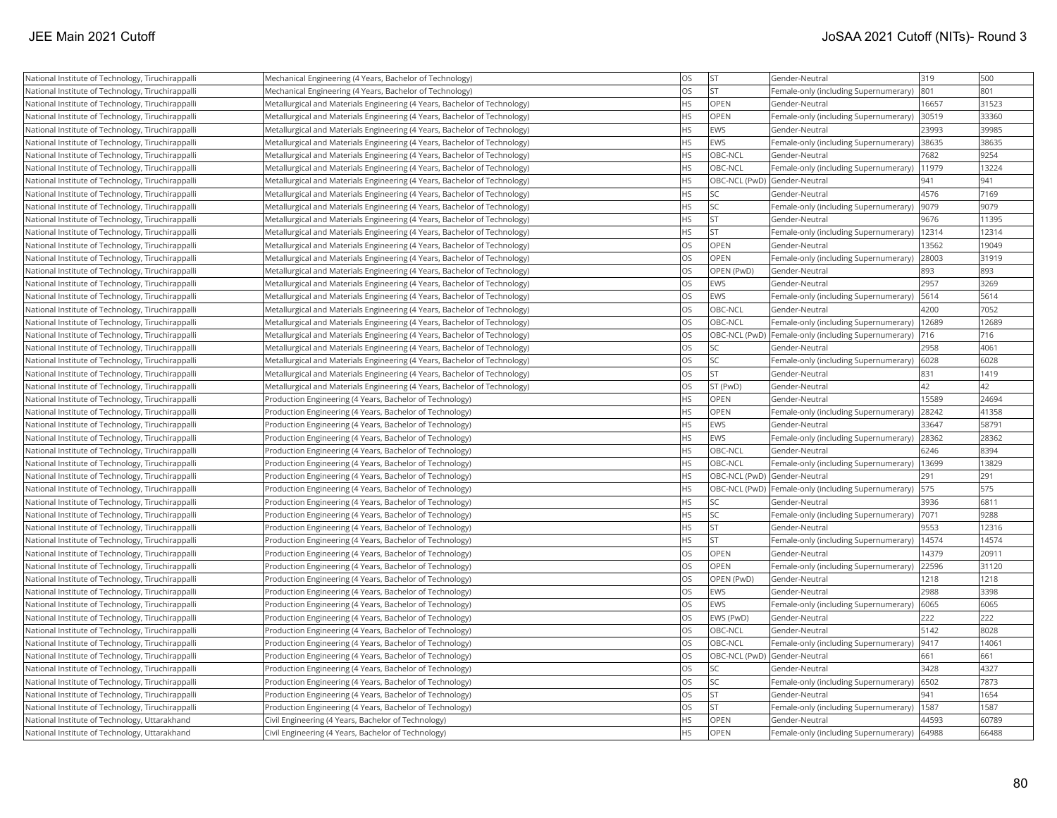| National Institute of Technology, Tiruchirappalli                                                  | Mechanical Engineering (4 Years, Bachelor of Technology)                                                        | <b>OS</b> | <b>ST</b>                    | Gender-Neutral                                          | 319   | 500   |
|----------------------------------------------------------------------------------------------------|-----------------------------------------------------------------------------------------------------------------|-----------|------------------------------|---------------------------------------------------------|-------|-------|
| National Institute of Technology, Tiruchirappalli                                                  | Mechanical Engineering (4 Years, Bachelor of Technology)                                                        | <b>OS</b> | <b>ST</b>                    | Female-only (including Supernumerary)                   | 801   | 801   |
| National Institute of Technology, Tiruchirappalli                                                  | Metallurgical and Materials Engineering (4 Years, Bachelor of Technology)                                       | <b>HS</b> | OPEN                         | Gender-Neutral                                          | 16657 | 31523 |
| National Institute of Technology, Tiruchirappalli                                                  | Metallurgical and Materials Engineering (4 Years, Bachelor of Technology)                                       | <b>HS</b> | OPEN                         | Female-only (including Supernumerary)                   | 30519 | 33360 |
| National Institute of Technology, Tiruchirappalli                                                  | Metallurgical and Materials Engineering (4 Years, Bachelor of Technology)                                       | <b>HS</b> | EWS                          | Gender-Neutral                                          | 23993 | 39985 |
| National Institute of Technology, Tiruchirappalli                                                  | Metallurgical and Materials Engineering (4 Years, Bachelor of Technology)                                       | <b>HS</b> | EWS                          | Female-only (including Supernumerary)                   | 38635 | 38635 |
| National Institute of Technology, Tiruchirappalli                                                  | Metallurgical and Materials Engineering (4 Years, Bachelor of Technology)                                       | <b>HS</b> | OBC-NCL                      | Gender-Neutral                                          | 7682  | 9254  |
| National Institute of Technology, Tiruchirappalli                                                  | Metallurgical and Materials Engineering (4 Years, Bachelor of Technology)                                       | <b>HS</b> | OBC-NCL                      | Female-only (including Supernumerary)                   | 11979 | 13224 |
| National Institute of Technology, Tiruchirappalli                                                  | Metallurgical and Materials Engineering (4 Years, Bachelor of Technology)                                       | <b>HS</b> | OBC-NCL (PwD) Gender-Neutral |                                                         | 941   | 941   |
| National Institute of Technology, Tiruchirappalli                                                  | Metallurgical and Materials Engineering (4 Years, Bachelor of Technology)                                       | <b>HS</b> | lsc                          | Gender-Neutral                                          | 4576  | 7169  |
| National Institute of Technology, Tiruchirappalli                                                  | Metallurgical and Materials Engineering (4 Years, Bachelor of Technology)                                       | <b>HS</b> | <b>SC</b>                    | Female-only (including Supernumerary)                   | 9079  | 9079  |
| National Institute of Technology, Tiruchirappalli                                                  | Metallurgical and Materials Engineering (4 Years, Bachelor of Technology)                                       | <b>HS</b> | <b>ST</b>                    | Gender-Neutral                                          | 9676  | 11395 |
| National Institute of Technology, Tiruchirappalli                                                  | Metallurgical and Materials Engineering (4 Years, Bachelor of Technology)                                       | <b>HS</b> | İst                          | Female-only (including Supernumerary)                   | 12314 | 12314 |
| National Institute of Technology, Tiruchirappalli                                                  | Metallurgical and Materials Engineering (4 Years, Bachelor of Technology)                                       | <b>OS</b> | <b>OPEN</b>                  | Gender-Neutral                                          | 13562 | 19049 |
| National Institute of Technology, Tiruchirappalli                                                  | Metallurgical and Materials Engineering (4 Years, Bachelor of Technology)                                       | <b>OS</b> | <b>OPEN</b>                  | Female-only (including Supernumerary)                   | 28003 | 31919 |
| National Institute of Technology, Tiruchirappalli                                                  | Metallurgical and Materials Engineering (4 Years, Bachelor of Technology)                                       | <b>OS</b> | OPEN (PwD)                   | Gender-Neutral                                          | 893   | 893   |
| National Institute of Technology, Tiruchirappalli                                                  | Metallurgical and Materials Engineering (4 Years, Bachelor of Technology)                                       | <b>OS</b> | EWS                          | Gender-Neutral                                          | 2957  | 3269  |
| National Institute of Technology, Tiruchirappalli                                                  | Metallurgical and Materials Engineering (4 Years, Bachelor of Technology)                                       | <b>OS</b> | EWS                          | Female-only (including Supernumerary)                   | 5614  | 5614  |
| National Institute of Technology, Tiruchirappalli                                                  | Metallurgical and Materials Engineering (4 Years, Bachelor of Technology)                                       | <b>OS</b> | OBC-NCL                      | Gender-Neutral                                          | 4200  | 7052  |
| National Institute of Technology, Tiruchirappalli                                                  | Metallurgical and Materials Engineering (4 Years, Bachelor of Technology)                                       | <b>OS</b> | OBC-NCL                      | Female-only (including Supernumerary)                   | 12689 | 12689 |
| National Institute of Technology, Tiruchirappalli                                                  | Metallurgical and Materials Engineering (4 Years, Bachelor of Technology)                                       | <b>OS</b> |                              | OBC-NCL (PwD) Female-only (including Supernumerary)     | 716   | 716   |
| National Institute of Technology, Tiruchirappalli                                                  | Metallurgical and Materials Engineering (4 Years, Bachelor of Technology)                                       | <b>OS</b> | <b>SC</b>                    | Gender-Neutral                                          | 2958  | 4061  |
| National Institute of Technology, Tiruchirappalli                                                  | Metallurgical and Materials Engineering (4 Years, Bachelor of Technology)                                       | <b>OS</b> | <b>SC</b>                    | Female-only (including Supernumerary)                   | 6028  | 6028  |
| National Institute of Technology, Tiruchirappalli                                                  | Metallurgical and Materials Engineering (4 Years, Bachelor of Technology)                                       | <b>OS</b> | <b>ST</b>                    | Gender-Neutral                                          | 831   | 1419  |
| National Institute of Technology, Tiruchirappalli                                                  | Metallurgical and Materials Engineering (4 Years, Bachelor of Technology)                                       | <b>OS</b> | ST (PwD)                     | Gender-Neutral                                          | 42    | 42    |
| National Institute of Technology, Tiruchirappalli                                                  | Production Engineering (4 Years, Bachelor of Technology)                                                        | <b>HS</b> | OPEN                         | Gender-Neutral                                          | 15589 | 24694 |
| National Institute of Technology, Tiruchirappalli                                                  | Production Engineering (4 Years, Bachelor of Technology)                                                        | <b>HS</b> | OPEN                         | Female-only (including Supernumerary)                   | 28242 | 41358 |
| National Institute of Technology, Tiruchirappalli                                                  | Production Engineering (4 Years, Bachelor of Technology)                                                        | <b>HS</b> | EWS                          | Gender-Neutral                                          | 33647 | 58791 |
| National Institute of Technology, Tiruchirappalli                                                  | Production Engineering (4 Years, Bachelor of Technology)                                                        | <b>HS</b> | EWS                          | Female-only (including Supernumerary)                   | 28362 | 28362 |
| National Institute of Technology, Tiruchirappalli                                                  | Production Engineering (4 Years, Bachelor of Technology)                                                        | <b>HS</b> | OBC-NCL                      | Gender-Neutral                                          | 6246  | 8394  |
| National Institute of Technology, Tiruchirappalli                                                  | Production Engineering (4 Years, Bachelor of Technology)                                                        | <b>HS</b> | OBC-NCL                      | Female-only (including Supernumerary)                   | 13699 | 13829 |
| National Institute of Technology, Tiruchirappalli                                                  | Production Engineering (4 Years, Bachelor of Technology)                                                        | <b>HS</b> | OBC-NCL (PwD) Gender-Neutral |                                                         | 291   | 291   |
| National Institute of Technology, Tiruchirappalli                                                  | Production Engineering (4 Years, Bachelor of Technology)                                                        | <b>HS</b> |                              | OBC-NCL (PwD) Female-only (including Supernumerary)     | 575   | 575   |
| National Institute of Technology, Tiruchirappalli                                                  | Production Engineering (4 Years, Bachelor of Technology)                                                        | <b>HS</b> | <b>SC</b>                    | Gender-Neutral                                          | 3936  | 6811  |
| National Institute of Technology, Tiruchirappalli                                                  | Production Engineering (4 Years, Bachelor of Technology)                                                        | <b>HS</b> | <b>SC</b>                    | Female-only (including Supernumerary)                   | 7071  | 9288  |
| National Institute of Technology, Tiruchirappalli                                                  | Production Engineering (4 Years, Bachelor of Technology)                                                        | <b>HS</b> | <b>ST</b>                    | Gender-Neutral                                          | 9553  | 12316 |
| National Institute of Technology, Tiruchirappalli                                                  | Production Engineering (4 Years, Bachelor of Technology)                                                        | <b>HS</b> | lst                          | Female-only (including Supernumerary)                   | 14574 | 14574 |
| National Institute of Technology, Tiruchirappalli                                                  | Production Engineering (4 Years, Bachelor of Technology)                                                        | <b>OS</b> | OPEN                         | Gender-Neutral                                          | 14379 | 20911 |
| National Institute of Technology, Tiruchirappalli                                                  | Production Engineering (4 Years, Bachelor of Technology)                                                        | <b>OS</b> | <b>OPEN</b>                  | Female-only (including Supernumerary)                   | 22596 | 31120 |
| National Institute of Technology, Tiruchirappalli                                                  | Production Engineering (4 Years, Bachelor of Technology)                                                        | <b>OS</b> | OPEN (PwD)                   | Gender-Neutral                                          | 1218  | 1218  |
| National Institute of Technology, Tiruchirappalli                                                  | Production Engineering (4 Years, Bachelor of Technology)                                                        | <b>OS</b> | EWS                          | Gender-Neutral                                          | 2988  | 3398  |
| National Institute of Technology, Tiruchirappalli                                                  | Production Engineering (4 Years, Bachelor of Technology)                                                        | <b>OS</b> | EWS                          | Female-only (including Supernumerary)                   | 6065  | 6065  |
| National Institute of Technology, Tiruchirappalli                                                  | Production Engineering (4 Years, Bachelor of Technology)                                                        | <b>OS</b> | EWS (PwD)                    | Gender-Neutral                                          | 222   | 222   |
| National Institute of Technology, Tiruchirappalli                                                  | Production Engineering (4 Years, Bachelor of Technology)                                                        | <b>OS</b> | OBC-NCL                      | Gender-Neutral                                          | 5142  | 8028  |
| National Institute of Technology, Tiruchirappalli                                                  | Production Engineering (4 Years, Bachelor of Technology)                                                        | <b>OS</b> | OBC-NCL                      | Female-only (including Supernumerary)                   | 9417  | 14061 |
| National Institute of Technology, Tiruchirappalli                                                  | Production Engineering (4 Years, Bachelor of Technology)                                                        | <b>OS</b> | OBC-NCL (PwD) Gender-Neutral |                                                         | 661   | 661   |
| National Institute of Technology, Tiruchirappalli                                                  | Production Engineering (4 Years, Bachelor of Technology)                                                        | <b>OS</b> | <b>SC</b>                    | Gender-Neutral                                          | 3428  | 4327  |
| National Institute of Technology, Tiruchirappalli                                                  |                                                                                                                 | <b>OS</b> | <b>SC</b>                    |                                                         | 6502  | 7873  |
|                                                                                                    | Production Engineering (4 Years, Bachelor of Technology)                                                        | <b>OS</b> | <b>ST</b>                    | Female-only (including Supernumerary)<br>Gender-Neutral | 941   | 1654  |
| National Institute of Technology, Tiruchirappalli                                                  | Production Engineering (4 Years, Bachelor of Technology)                                                        | <b>OS</b> | İst                          |                                                         | 1587  | 1587  |
| National Institute of Technology, Tiruchirappalli<br>National Institute of Technology, Uttarakhand | Production Engineering (4 Years, Bachelor of Technology)<br>Civil Engineering (4 Years, Bachelor of Technology) | <b>HS</b> | OPEN                         | Female-only (including Supernumerary)<br>Gender-Neutral | 44593 | 60789 |
|                                                                                                    |                                                                                                                 | <b>HS</b> | OPEN                         | Female-only (including Supernumerary)                   | 64988 | 66488 |
| National Institute of Technology, Uttarakhand                                                      | Civil Engineering (4 Years, Bachelor of Technology)                                                             |           |                              |                                                         |       |       |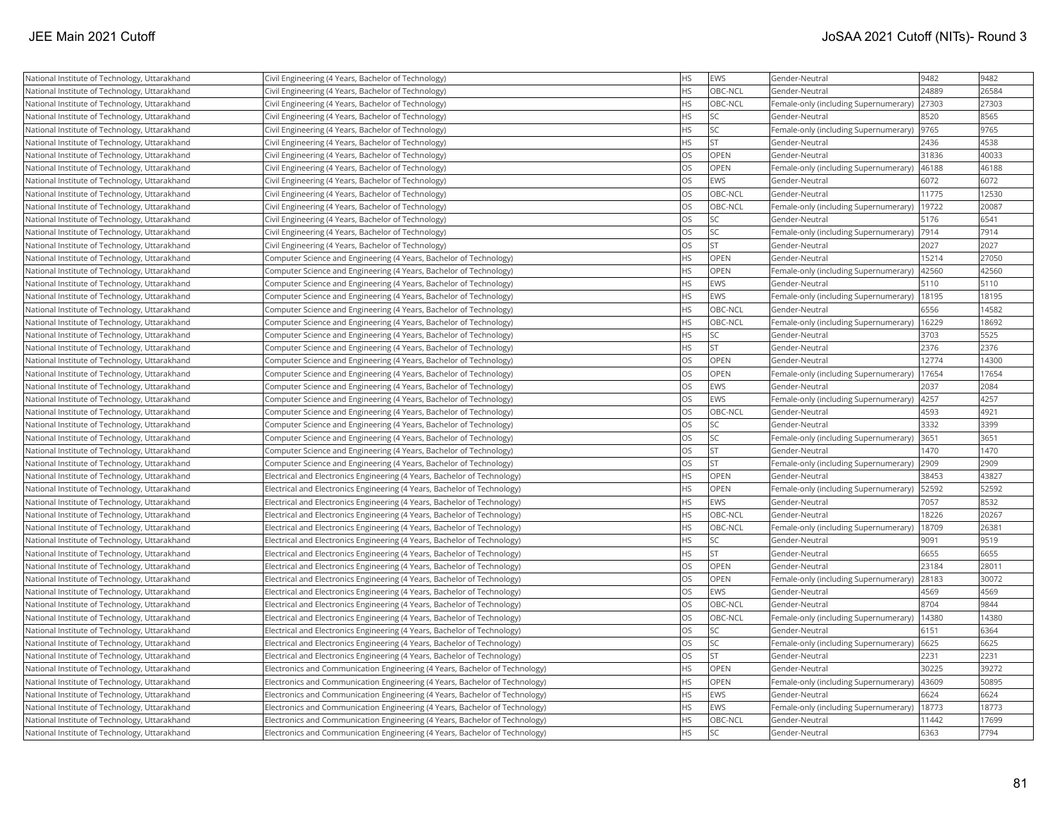| National Institute of Technology, Uttarakhand | Civil Engineering (4 Years, Bachelor of Technology)                         | <b>HS</b> | EWS         | Gender-Neutral                        | 9482  | 9482  |
|-----------------------------------------------|-----------------------------------------------------------------------------|-----------|-------------|---------------------------------------|-------|-------|
| National Institute of Technology, Uttarakhand | Civil Engineering (4 Years, Bachelor of Technology)                         | <b>HS</b> | OBC-NCL     | Gender-Neutral                        | 24889 | 26584 |
| National Institute of Technology, Uttarakhand | Civil Engineering (4 Years, Bachelor of Technology)                         | <b>HS</b> | OBC-NCL     | Female-only (including Supernumerary) | 27303 | 27303 |
| National Institute of Technology, Uttarakhand | Civil Engineering (4 Years, Bachelor of Technology)                         | <b>HS</b> | <b>SC</b>   | Gender-Neutral                        | 8520  | 8565  |
| National Institute of Technology, Uttarakhand | Civil Engineering (4 Years, Bachelor of Technology)                         | <b>HS</b> | <b>SC</b>   | Female-only (including Supernumerary) | 9765  | 9765  |
| National Institute of Technology, Uttarakhand | Civil Engineering (4 Years, Bachelor of Technology)                         | <b>HS</b> | <b>ST</b>   | Gender-Neutral                        | 2436  | 4538  |
| National Institute of Technology, Uttarakhand | Civil Engineering (4 Years, Bachelor of Technology)                         | <b>OS</b> | <b>OPEN</b> | Gender-Neutral                        | 31836 | 40033 |
| National Institute of Technology, Uttarakhand | Civil Engineering (4 Years, Bachelor of Technology)                         | <b>OS</b> | <b>OPEN</b> | Female-only (including Supernumerary) | 46188 | 46188 |
| National Institute of Technology, Uttarakhand | Civil Engineering (4 Years, Bachelor of Technology)                         | <b>OS</b> | <b>EWS</b>  | Gender-Neutral                        | 6072  | 6072  |
| National Institute of Technology, Uttarakhand | Civil Engineering (4 Years, Bachelor of Technology)                         | OS        | OBC-NCL     | Gender-Neutral                        | 11775 | 12530 |
| National Institute of Technology, Uttarakhand | Civil Engineering (4 Years, Bachelor of Technology)                         | <b>OS</b> | OBC-NCL     | Female-only (including Supernumerary) | 19722 | 20087 |
| National Institute of Technology, Uttarakhand | Civil Engineering (4 Years, Bachelor of Technology)                         | <b>OS</b> | <b>SC</b>   | Gender-Neutral                        | 5176  | 6541  |
| National Institute of Technology, Uttarakhand | Civil Engineering (4 Years, Bachelor of Technology)                         | <b>OS</b> | <b>SC</b>   | Female-only (including Supernumerary) | 7914  | 7914  |
| National Institute of Technology, Uttarakhand | Civil Engineering (4 Years, Bachelor of Technology)                         | <b>OS</b> | <b>ST</b>   | Gender-Neutral                        | 2027  | 2027  |
| National Institute of Technology, Uttarakhand | Computer Science and Engineering (4 Years, Bachelor of Technology)          | <b>HS</b> | OPEN        | Gender-Neutral                        | 15214 | 27050 |
| National Institute of Technology, Uttarakhand | Computer Science and Engineering (4 Years, Bachelor of Technology)          | <b>HS</b> | <b>OPEN</b> | Female-only (including Supernumerary) | 42560 | 42560 |
| National Institute of Technology, Uttarakhand | Computer Science and Engineering (4 Years, Bachelor of Technology)          | HS        | <b>EWS</b>  | Gender-Neutral                        | 5110  | 5110  |
| National Institute of Technology, Uttarakhand | Computer Science and Engineering (4 Years, Bachelor of Technology)          | <b>HS</b> | <b>EWS</b>  | Female-only (including Supernumerary) | 18195 | 18195 |
| National Institute of Technology, Uttarakhand | Computer Science and Engineering (4 Years, Bachelor of Technology)          | <b>HS</b> | OBC-NCL     | Gender-Neutral                        | 6556  | 14582 |
| National Institute of Technology, Uttarakhand | Computer Science and Engineering (4 Years, Bachelor of Technology)          | <b>HS</b> | OBC-NCL     | Female-only (including Supernumerary) | 16229 | 18692 |
| National Institute of Technology, Uttarakhand | Computer Science and Engineering (4 Years, Bachelor of Technology)          | <b>HS</b> | <b>SC</b>   | Gender-Neutral                        | 3703  | 5525  |
| National Institute of Technology, Uttarakhand | Computer Science and Engineering (4 Years, Bachelor of Technology)          | <b>HS</b> | <b>ST</b>   | Gender-Neutral                        | 2376  | 2376  |
| National Institute of Technology, Uttarakhand | Computer Science and Engineering (4 Years, Bachelor of Technology)          | <b>OS</b> | <b>OPEN</b> | Gender-Neutral                        | 12774 | 14300 |
| National Institute of Technology, Uttarakhand | Computer Science and Engineering (4 Years, Bachelor of Technology)          | <b>OS</b> | OPEN        | Female-only (including Supernumerary) | 17654 | 17654 |
| National Institute of Technology, Uttarakhand | Computer Science and Engineering (4 Years, Bachelor of Technology)          | <b>OS</b> | <b>EWS</b>  | Gender-Neutral                        | 2037  | 2084  |
| National Institute of Technology, Uttarakhand | Computer Science and Engineering (4 Years, Bachelor of Technology)          | <b>OS</b> | <b>EWS</b>  | Female-only (including Supernumerary) | 4257  | 4257  |
| National Institute of Technology, Uttarakhand | Computer Science and Engineering (4 Years, Bachelor of Technology)          | <b>OS</b> | OBC-NCL     | Gender-Neutral                        | 4593  | 4921  |
| National Institute of Technology, Uttarakhand | Computer Science and Engineering (4 Years, Bachelor of Technology)          | <b>OS</b> | lsc         | Gender-Neutral                        | 3332  | 3399  |
| National Institute of Technology, Uttarakhand | Computer Science and Engineering (4 Years, Bachelor of Technology)          | <b>OS</b> | <b>SC</b>   | Female-only (including Supernumerary) | 3651  | 3651  |
| National Institute of Technology, Uttarakhand | Computer Science and Engineering (4 Years, Bachelor of Technology)          | <b>OS</b> | <b>ST</b>   | Gender-Neutral                        | 1470  | 1470  |
| National Institute of Technology, Uttarakhand | Computer Science and Engineering (4 Years, Bachelor of Technology)          | <b>OS</b> | <b>ST</b>   | Female-only (including Supernumerary) | 2909  | 2909  |
| National Institute of Technology, Uttarakhand | Electrical and Electronics Engineering (4 Years, Bachelor of Technology)    | <b>HS</b> | OPEN        | Gender-Neutral                        | 38453 | 43827 |
| National Institute of Technology, Uttarakhand | Electrical and Electronics Engineering (4 Years, Bachelor of Technology)    | <b>HS</b> | <b>OPEN</b> | Female-only (including Supernumerary) | 52592 | 52592 |
| National Institute of Technology, Uttarakhand | Electrical and Electronics Engineering (4 Years, Bachelor of Technology)    | <b>HS</b> | <b>EWS</b>  | Gender-Neutral                        | 7057  | 8532  |
| National Institute of Technology, Uttarakhand | Electrical and Electronics Engineering (4 Years, Bachelor of Technology)    | <b>HS</b> | OBC-NCL     | Gender-Neutral                        | 18226 | 20267 |
| National Institute of Technology, Uttarakhand | Electrical and Electronics Engineering (4 Years, Bachelor of Technology)    | <b>HS</b> | OBC-NCL     | Female-only (including Supernumerary) | 18709 | 26381 |
| National Institute of Technology, Uttarakhand | Electrical and Electronics Engineering (4 Years, Bachelor of Technology)    | <b>HS</b> | <b>SC</b>   | Gender-Neutral                        | 9091  | 9519  |
| National Institute of Technology, Uttarakhand | Electrical and Electronics Engineering (4 Years, Bachelor of Technology)    | <b>HS</b> | İst         | Gender-Neutral                        | 6655  | 6655  |
| National Institute of Technology, Uttarakhand | Electrical and Electronics Engineering (4 Years, Bachelor of Technology)    | <b>OS</b> | <b>OPEN</b> | Gender-Neutral                        | 23184 | 28011 |
| National Institute of Technology, Uttarakhand | Electrical and Electronics Engineering (4 Years, Bachelor of Technology)    | <b>OS</b> | OPEN        | Female-only (including Supernumerary) | 28183 | 30072 |
| National Institute of Technology, Uttarakhand | Electrical and Electronics Engineering (4 Years, Bachelor of Technology)    | <b>OS</b> | <b>EWS</b>  | Gender-Neutral                        | 4569  | 4569  |
| National Institute of Technology, Uttarakhand | Electrical and Electronics Engineering (4 Years, Bachelor of Technology)    | <b>OS</b> | OBC-NCL     | Gender-Neutral                        | 8704  | 9844  |
| National Institute of Technology, Uttarakhand | Electrical and Electronics Engineering (4 Years, Bachelor of Technology)    | <b>OS</b> | OBC-NCL     | Female-only (including Supernumerary) | 14380 | 14380 |
| National Institute of Technology, Uttarakhand | Electrical and Electronics Engineering (4 Years, Bachelor of Technology)    | <b>OS</b> | lsc         | Gender-Neutral                        | 6151  | 6364  |
| National Institute of Technology, Uttarakhand | Electrical and Electronics Engineering (4 Years, Bachelor of Technology)    | <b>OS</b> | <b>SC</b>   | Female-only (including Supernumerary) | 6625  | 6625  |
| National Institute of Technology, Uttarakhand | Electrical and Electronics Engineering (4 Years, Bachelor of Technology)    | <b>OS</b> | İst         | Gender-Neutral                        | 2231  | 2231  |
| National Institute of Technology, Uttarakhand | Electronics and Communication Engineering (4 Years, Bachelor of Technology) | <b>HS</b> | <b>OPEN</b> | Gender-Neutral                        | 30225 | 39272 |
| National Institute of Technology, Uttarakhand | Electronics and Communication Engineering (4 Years, Bachelor of Technology) | <b>HS</b> | <b>OPEN</b> | Female-only (including Supernumerary) | 43609 | 50895 |
| National Institute of Technology, Uttarakhand | Electronics and Communication Engineering (4 Years, Bachelor of Technology) | <b>HS</b> | <b>IEWS</b> | Gender-Neutral                        | 6624  | 6624  |
| National Institute of Technology, Uttarakhand | Electronics and Communication Engineering (4 Years, Bachelor of Technology) | <b>HS</b> | <b>EWS</b>  | Female-only (including Supernumerary) | 18773 | 18773 |
| National Institute of Technology, Uttarakhand | Electronics and Communication Engineering (4 Years, Bachelor of Technology) | <b>HS</b> | OBC-NCL     | Gender-Neutral                        | 11442 | 17699 |
| National Institute of Technology, Uttarakhand | Electronics and Communication Engineering (4 Years, Bachelor of Technology) | <b>HS</b> | lsc         | Gender-Neutral                        | 6363  | 7794  |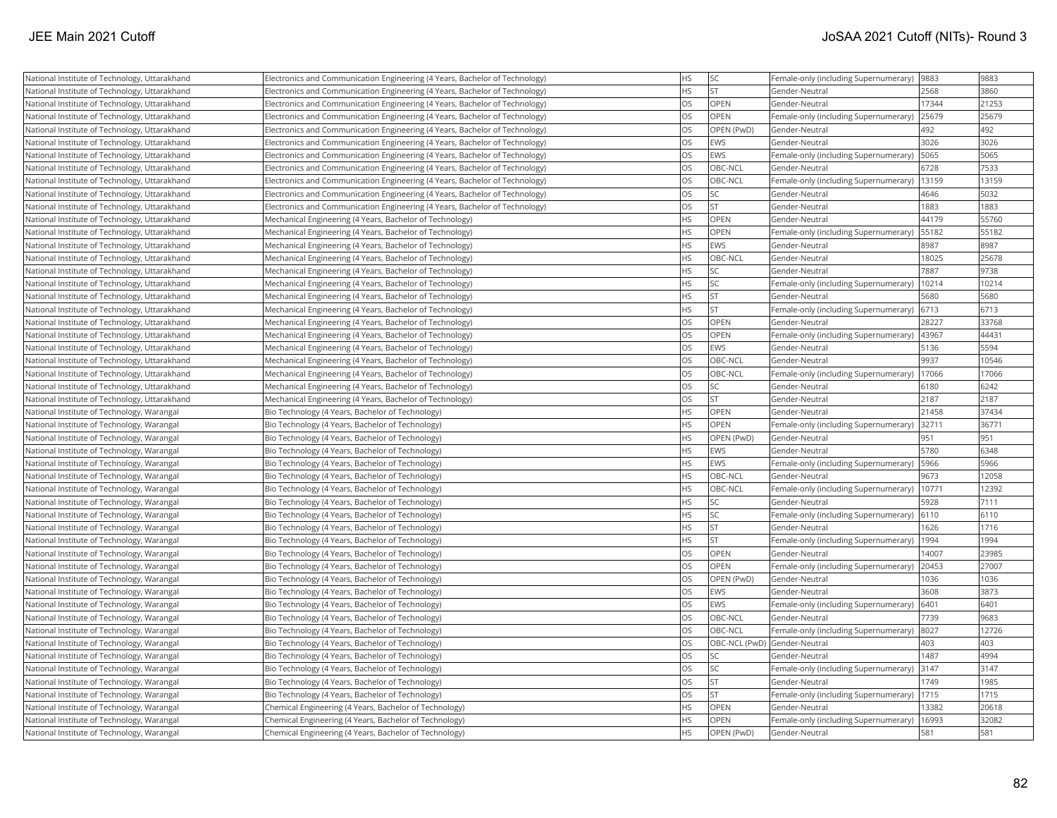| National Institute of Technology, Uttarakhand | Electronics and Communication Engineering (4 Years, Bachelor of Technology) | <b>HS</b> | <b>SC</b>   | Female-only (including Supernumerary)  9883  |       | 9883  |
|-----------------------------------------------|-----------------------------------------------------------------------------|-----------|-------------|----------------------------------------------|-------|-------|
| National Institute of Technology, Uttarakhand | Electronics and Communication Engineering (4 Years, Bachelor of Technology) | <b>HS</b> | İst         | Gender-Neutral                               | 2568  | 3860  |
| National Institute of Technology, Uttarakhand | Electronics and Communication Engineering (4 Years, Bachelor of Technology) | OS        | <b>OPEN</b> | Gender-Neutral                               | 17344 | 21253 |
| National Institute of Technology, Uttarakhand | Electronics and Communication Engineering (4 Years, Bachelor of Technology) | <b>OS</b> | <b>OPEN</b> | Female-only (including Supernumerary)        | 25679 | 25679 |
| National Institute of Technology, Uttarakhand | Electronics and Communication Engineering (4 Years, Bachelor of Technology) | OS        | OPEN (PwD)  | Gender-Neutral                               | 492   | 492   |
| National Institute of Technology, Uttarakhand | Electronics and Communication Engineering (4 Years, Bachelor of Technology) | OS        | <b>EWS</b>  | Gender-Neutral                               | 3026  | 3026  |
| National Institute of Technology, Uttarakhand | Electronics and Communication Engineering (4 Years, Bachelor of Technology) | OS        | <b>EWS</b>  | Female-only (including Supernumerary)        | 5065  | 5065  |
| National Institute of Technology, Uttarakhand | Electronics and Communication Engineering (4 Years, Bachelor of Technology) | OS        | OBC-NCL     | Gender-Neutral                               | 6728  | 7533  |
| National Institute of Technology, Uttarakhand | Electronics and Communication Engineering (4 Years, Bachelor of Technology) | OS        | OBC-NCL     | Female-only (including Supernumerary)        | 13159 | 13159 |
| National Institute of Technology, Uttarakhand | Electronics and Communication Engineering (4 Years, Bachelor of Technology) | OS        | SC.         | Gender-Neutral                               | 4646  | 5032  |
| National Institute of Technology, Uttarakhand | Electronics and Communication Engineering (4 Years, Bachelor of Technology) | OS        | İst         | Gender-Neutral                               | 1883  | 1883  |
| National Institute of Technology, Uttarakhand | Mechanical Engineering (4 Years, Bachelor of Technology)                    | HS        | <b>OPEN</b> | Gender-Neutral                               | 44179 | 55760 |
| National Institute of Technology, Uttarakhand | Mechanical Engineering (4 Years, Bachelor of Technology)                    | HS        | <b>OPEN</b> | Female-only (including Supernumerary)        | 55182 | 55182 |
| National Institute of Technology, Uttarakhand | Mechanical Engineering (4 Years, Bachelor of Technology)                    | <b>HS</b> | <b>EWS</b>  | Gender-Neutral                               | 8987  | 8987  |
| National Institute of Technology, Uttarakhand | Mechanical Engineering (4 Years, Bachelor of Technology)                    | <b>HS</b> | OBC-NCL     | Gender-Neutral                               | 18025 | 25678 |
| National Institute of Technology, Uttarakhand | Mechanical Engineering (4 Years, Bachelor of Technology)                    | <b>HS</b> | SC]         | lGender-Neutral                              | 7887  | 9738  |
| National Institute of Technology, Uttarakhand | Mechanical Engineering (4 Years, Bachelor of Technology)                    | <b>HS</b> | SC.         | Female-only (including Supernumerary)        | 10214 | 10214 |
| National Institute of Technology, Uttarakhand | Mechanical Engineering (4 Years, Bachelor of Technology)                    | <b>HS</b> | <b>ST</b>   | Gender-Neutral                               | 5680  | 5680  |
| National Institute of Technology, Uttarakhand | Mechanical Engineering (4 Years, Bachelor of Technology)                    | <b>HS</b> | İst         | Female-only (including Supernumerary)        | 6713  | 6713  |
| National Institute of Technology, Uttarakhand | Mechanical Engineering (4 Years, Bachelor of Technology)                    | OS        | <b>OPEN</b> | Gender-Neutral                               | 28227 | 33768 |
| National Institute of Technology, Uttarakhand | Mechanical Engineering (4 Years, Bachelor of Technology)                    | OS        | <b>OPEN</b> | Female-only (including Supernumerary)  43967 |       | 44431 |
| National Institute of Technology, Uttarakhand | Mechanical Engineering (4 Years, Bachelor of Technology)                    | OS        | <b>EWS</b>  | Gender-Neutral                               | 5136  | 5594  |
| National Institute of Technology, Uttarakhand | Mechanical Engineering (4 Years, Bachelor of Technology)                    | OS        | OBC-NCL     | Gender-Neutral                               | 9937  | 10546 |
| National Institute of Technology, Uttarakhand | Mechanical Engineering (4 Years, Bachelor of Technology)                    | OS        | OBC-NCL     | Female-only (including Supernumerary)        | 17066 | 17066 |
| National Institute of Technology, Uttarakhand | Mechanical Engineering (4 Years, Bachelor of Technology)                    | OS        | SC.         | Gender-Neutral                               | 6180  | 6242  |
| National Institute of Technology, Uttarakhand | Mechanical Engineering (4 Years, Bachelor of Technology)                    | OS        | İst         | Gender-Neutral                               | 2187  | 2187  |
| National Institute of Technology, Warangal    | Bio Technology (4 Years, Bachelor of Technology)                            | <b>HS</b> | OPEN        | Gender-Neutral                               | 21458 | 37434 |
| National Institute of Technology, Warangal    | Bio Technology (4 Years, Bachelor of Technology)                            | <b>HS</b> | <b>OPEN</b> | Female-only (including Supernumerary) 32711  |       | 36771 |
| National Institute of Technology, Warangal    | Bio Technology (4 Years, Bachelor of Technology)                            | HS        | OPEN (PwD)  | Gender-Neutral                               | 951   | 951   |
| National Institute of Technology, Warangal    | Bio Technology (4 Years, Bachelor of Technology)                            | <b>HS</b> | <b>EWS</b>  | Gender-Neutral                               | 5780  | 6348  |
| National Institute of Technology, Warangal    | Bio Technology (4 Years, Bachelor of Technology)                            | <b>HS</b> | <b>EWS</b>  | Female-only (including Supernumerary)        | 5966  | 5966  |
| National Institute of Technology, Warangal    | Bio Technology (4 Years, Bachelor of Technology)                            | <b>HS</b> | OBC-NCL     | Gender-Neutral                               | 9673  | 12058 |
| National Institute of Technology, Warangal    | Bio Technology (4 Years, Bachelor of Technology)                            | <b>HS</b> | OBC-NCL     | Female-only (including Supernumerary)        | 10771 | 12392 |
| National Institute of Technology, Warangal    | Bio Technology (4 Years, Bachelor of Technology)                            | <b>HS</b> | SC.         | Gender-Neutral                               | 5928  | 7111  |
| National Institute of Technology, Warangal    | Bio Technology (4 Years, Bachelor of Technology)                            | HS        | <b>SC</b>   | Female-only (including Supernumerary)        | 6110  | 6110  |
| National Institute of Technology, Warangal    | Bio Technology (4 Years, Bachelor of Technology)                            | <b>HS</b> | <b>ST</b>   | Gender-Neutral                               | 1626  | 1716  |
| National Institute of Technology, Warangal    | Bio Technology (4 Years, Bachelor of Technology)                            | HS        | <b>ST</b>   | Female-only (including Supernumerary)   1994 |       | 1994  |
| National Institute of Technology, Warangal    | Bio Technology (4 Years, Bachelor of Technology)                            | OS        | <b>OPEN</b> | Gender-Neutral                               | 14007 | 23985 |
| National Institute of Technology, Warangal    | Bio Technology (4 Years, Bachelor of Technology)                            | OS        | <b>OPEN</b> | Female-only (including Supernumerary)        | 20453 | 27007 |
| National Institute of Technology, Warangal    | Bio Technology (4 Years, Bachelor of Technology)                            | OS        | OPEN (PwD)  | Gender-Neutral                               | 1036  | 1036  |
| National Institute of Technology, Warangal    | Bio Technology (4 Years, Bachelor of Technology)                            | OS        | <b>EWS</b>  | Gender-Neutral                               | 3608  | 3873  |
| National Institute of Technology, Warangal    | Bio Technology (4 Years, Bachelor of Technology)                            | OS        | <b>EWS</b>  | Female-only (including Supernumerary)        | 6401  | 6401  |
| National Institute of Technology, Warangal    | Bio Technology (4 Years, Bachelor of Technology)                            | OS        | OBC-NCL     | Gender-Neutral                               | 7739  | 9683  |
| National Institute of Technology, Warangal    | Bio Technology (4 Years, Bachelor of Technology)                            | OS        | OBC-NCL     | Female-only (including Supernumerary) 8027   |       | 12726 |
| National Institute of Technology, Warangal    | Bio Technology (4 Years, Bachelor of Technology)                            | OS        |             | OBC-NCL (PwD) Gender-Neutral                 | 403   | 403   |
| National Institute of Technology, Warangal    | Bio Technology (4 Years, Bachelor of Technology)                            | OS        | SC          | Gender-Neutral                               | 1487  | 4994  |
| National Institute of Technology, Warangal    | Bio Technology (4 Years, Bachelor of Technology)                            | OS        | lsc         | Female-only (including Supernumerary)        | 3147  | 3147  |
| National Institute of Technology, Warangal    | Bio Technology (4 Years, Bachelor of Technology)                            | OS        | <b>ST</b>   | Gender-Neutral                               | 1749  | 1985  |
| National Institute of Technology, Warangal    | Bio Technology (4 Years, Bachelor of Technology)                            | OS        | <b>ST</b>   | Female-only (including Supernumerary)        | 1715  | 1715  |
| National Institute of Technology, Warangal    | Chemical Engineering (4 Years, Bachelor of Technology)                      | HS        | <b>OPEN</b> | Gender-Neutral                               | 13382 | 20618 |
| National Institute of Technology, Warangal    | Chemical Engineering (4 Years, Bachelor of Technology)                      | <b>HS</b> | <b>OPEN</b> | Female-only (including Supernumerary)        | 16993 | 32082 |
| National Institute of Technology, Warangal    | Chemical Engineering (4 Years, Bachelor of Technology)                      | <b>HS</b> | OPEN (PwD)  | Gender-Neutral                               | 581   | 581   |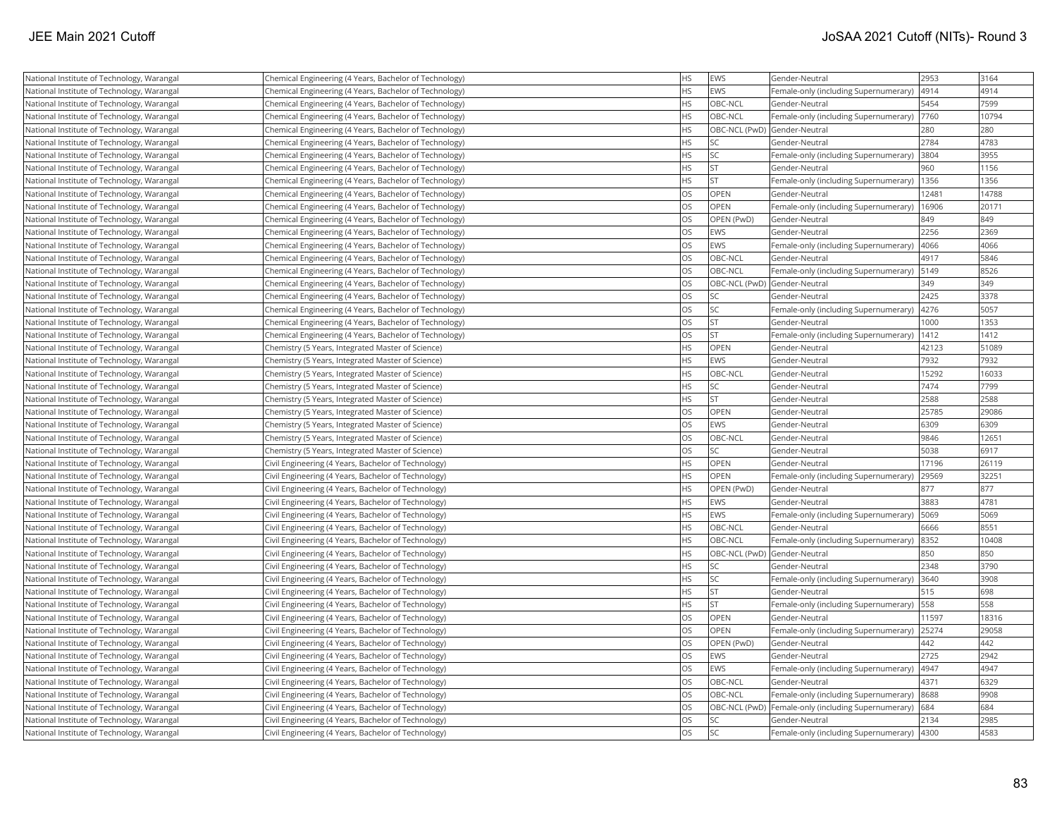| National Institute of Technology, Warangal | Chemical Engineering (4 Years, Bachelor of Technology) | <b>HS</b> | <b>EWS</b>                   | Gender-Neutral                                      | 2953  | 3164  |
|--------------------------------------------|--------------------------------------------------------|-----------|------------------------------|-----------------------------------------------------|-------|-------|
| National Institute of Technology, Warangal | Chemical Engineering (4 Years, Bachelor of Technology) | <b>HS</b> | EWS                          | Female-only (including Supernumerary)               | 4914  | 4914  |
| National Institute of Technology, Warangal | Chemical Engineering (4 Years, Bachelor of Technology) | <b>HS</b> | OBC-NCL                      | Gender-Neutral                                      | 5454  | 7599  |
| National Institute of Technology, Warangal | Chemical Engineering (4 Years, Bachelor of Technology) | <b>HS</b> | OBC-NCL                      | Female-only (including Supernumerary)               | 7760  | 10794 |
| National Institute of Technology, Warangal | Chemical Engineering (4 Years, Bachelor of Technology) | <b>HS</b> |                              | OBC-NCL (PwD) Gender-Neutral                        | 280   | 280   |
| National Institute of Technology, Warangal | Chemical Engineering (4 Years, Bachelor of Technology) | <b>HS</b> | SC                           | Gender-Neutral                                      | 2784  | 4783  |
| National Institute of Technology, Warangal | Chemical Engineering (4 Years, Bachelor of Technology) | <b>HS</b> | SC                           | Female-only (including Supernumerary)               | 3804  | 3955  |
| National Institute of Technology, Warangal | Chemical Engineering (4 Years, Bachelor of Technology) | <b>HS</b> | ST                           | Gender-Neutral                                      | 960   | 1156  |
| National Institute of Technology, Warangal | Chemical Engineering (4 Years, Bachelor of Technology) | <b>HS</b> | <b>ST</b>                    | Female-only (including Supernumerary)               | 1356  | 1356  |
| National Institute of Technology, Warangal | Chemical Engineering (4 Years, Bachelor of Technology) | los       | OPEN                         | Gender-Neutral                                      | 12481 | 14788 |
| National Institute of Technology, Warangal | Chemical Engineering (4 Years, Bachelor of Technology) | <b>OS</b> | OPEN                         | Female-only (including Supernumerary)               | 16906 | 20171 |
| National Institute of Technology, Warangal | Chemical Engineering (4 Years, Bachelor of Technology) | <b>OS</b> | OPEN (PwD)                   | Gender-Neutral                                      | 849   | 849   |
| National Institute of Technology, Warangal | Chemical Engineering (4 Years, Bachelor of Technology) | los       | <b>EWS</b>                   | Gender-Neutral                                      | 2256  | 2369  |
| National Institute of Technology, Warangal | Chemical Engineering (4 Years, Bachelor of Technology) | <b>OS</b> | <b>EWS</b>                   | Female-only (including Supernumerary)               | 4066  | 4066  |
| National Institute of Technology, Warangal | Chemical Engineering (4 Years, Bachelor of Technology) | <b>OS</b> | OBC-NCL                      | Gender-Neutral                                      | 4917  | 5846  |
| National Institute of Technology, Warangal | Chemical Engineering (4 Years, Bachelor of Technology) | <b>OS</b> | OBC-NCL                      | Female-only (including Supernumerary)               | 5149  | 8526  |
| National Institute of Technology, Warangal | Chemical Engineering (4 Years, Bachelor of Technology) | <b>OS</b> | OBC-NCL (PwD) Gender-Neutral |                                                     | 349   | 349   |
| National Institute of Technology, Warangal | Chemical Engineering (4 Years, Bachelor of Technology) | los       | SC                           | Gender-Neutral                                      | 2425  | 3378  |
| National Institute of Technology, Warangal | Chemical Engineering (4 Years, Bachelor of Technology) | <b>OS</b> | <b>SC</b>                    | Female-only (including Supernumerary)               | 4276  | 5057  |
| National Institute of Technology, Warangal | Chemical Engineering (4 Years, Bachelor of Technology) | <b>OS</b> | <b>ST</b>                    | Gender-Neutral                                      | 1000  | 1353  |
| National Institute of Technology, Warangal | Chemical Engineering (4 Years, Bachelor of Technology) | los       | lst.                         | Female-only (including Supernumerary)               | 1412  | 1412  |
| National Institute of Technology, Warangal | Chemistry (5 Years, Integrated Master of Science)      | <b>HS</b> | OPEN                         | Gender-Neutral                                      | 42123 | 51089 |
| National Institute of Technology, Warangal | Chemistry (5 Years, Integrated Master of Science)      | <b>HS</b> | <b>EWS</b>                   | Gender-Neutral                                      | 7932  | 7932  |
| National Institute of Technology, Warangal | Chemistry (5 Years, Integrated Master of Science)      | <b>HS</b> | OBC-NCL                      | Gender-Neutral                                      | 15292 | 16033 |
| National Institute of Technology, Warangal | Chemistry (5 Years, Integrated Master of Science)      | <b>HS</b> | SC                           | Gender-Neutral                                      | 7474  | 7799  |
| National Institute of Technology, Warangal | Chemistry (5 Years, Integrated Master of Science)      | <b>HS</b> | <b>ST</b>                    | Gender-Neutral                                      | 2588  | 2588  |
| National Institute of Technology, Warangal | Chemistry (5 Years, Integrated Master of Science)      | <b>OS</b> | OPEN                         | Gender-Neutral                                      | 25785 | 29086 |
| National Institute of Technology, Warangal | Chemistry (5 Years, Integrated Master of Science)      | los       | EWS                          | Gender-Neutral                                      | 6309  | 6309  |
| National Institute of Technology, Warangal | Chemistry (5 Years, Integrated Master of Science)      | los       | OBC-NCL                      | Gender-Neutral                                      | 9846  | 12651 |
| National Institute of Technology, Warangal | Chemistry (5 Years, Integrated Master of Science)      | <b>OS</b> | SC.                          | Gender-Neutral                                      | 5038  | 6917  |
| National Institute of Technology, Warangal | Civil Engineering (4 Years, Bachelor of Technology)    | <b>HS</b> | OPEN                         | Gender-Neutral                                      | 17196 | 26119 |
| National Institute of Technology, Warangal | Civil Engineering (4 Years, Bachelor of Technology)    | <b>HS</b> | OPEN                         | Female-only (including Supernumerary)               | 29569 | 32251 |
| National Institute of Technology, Warangal | Civil Engineering (4 Years, Bachelor of Technology)    | <b>HS</b> | OPEN (PwD)                   | Gender-Neutral                                      | 877   | 877   |
| National Institute of Technology, Warangal | Civil Engineering (4 Years, Bachelor of Technology)    | <b>HS</b> | <b>EWS</b>                   | Gender-Neutral                                      | 3883  | 4781  |
| National Institute of Technology, Warangal | Civil Engineering (4 Years, Bachelor of Technology)    | <b>HS</b> | EWS                          | Female-only (including Supernumerary)               | 5069  | 5069  |
| National Institute of Technology, Warangal | Civil Engineering (4 Years, Bachelor of Technology)    | <b>HS</b> | OBC-NCL                      | Gender-Neutral                                      | 6666  | 8551  |
| National Institute of Technology, Warangal | Civil Engineering (4 Years, Bachelor of Technology)    | <b>HS</b> | OBC-NCL                      | Female-only (including Supernumerary)               | 8352  | 10408 |
| National Institute of Technology, Warangal | Civil Engineering (4 Years, Bachelor of Technology)    | <b>HS</b> |                              | OBC-NCL (PwD) Gender-Neutral                        | 850   | 850   |
| National Institute of Technology, Warangal | Civil Engineering (4 Years, Bachelor of Technology)    | <b>HS</b> | SC.                          | Gender-Neutral                                      | 2348  | 3790  |
| National Institute of Technology, Warangal | Civil Engineering (4 Years, Bachelor of Technology)    | <b>HS</b> | SC <sub>1</sub>              | Female-only (including Supernumerary)               | 3640  | 3908  |
| National Institute of Technology, Warangal | Civil Engineering (4 Years, Bachelor of Technology)    | <b>HS</b> | <b>ST</b>                    | Gender-Neutral                                      | 515   | 698   |
| National Institute of Technology, Warangal | Civil Engineering (4 Years, Bachelor of Technology)    | <b>HS</b> | <b>ST</b>                    | Female-only (including Supernumerary)               | 558   | 558   |
| National Institute of Technology, Warangal | Civil Engineering (4 Years, Bachelor of Technology)    | <b>OS</b> | OPEN                         | Gender-Neutral                                      | 11597 | 18316 |
| National Institute of Technology, Warangal | Civil Engineering (4 Years, Bachelor of Technology)    | <b>OS</b> | OPEN                         | Female-only (including Supernumerary)               | 25274 | 29058 |
| National Institute of Technology, Warangal | Civil Engineering (4 Years, Bachelor of Technology)    | <b>OS</b> | OPEN (PwD)                   | Gender-Neutral                                      | 442   | 442   |
| National Institute of Technology, Warangal | Civil Engineering (4 Years, Bachelor of Technology)    | los       | <b>EWS</b>                   | Gender-Neutral                                      | 2725  | 2942  |
| National Institute of Technology, Warangal | Civil Engineering (4 Years, Bachelor of Technology)    | <b>OS</b> | EWS                          | Female-only (including Supernumerary)               | 4947  | 4947  |
| National Institute of Technology, Warangal | Civil Engineering (4 Years, Bachelor of Technology)    | <b>OS</b> | OBC-NCL                      | Gender-Neutral                                      | 4371  | 6329  |
| National Institute of Technology, Warangal | Civil Engineering (4 Years, Bachelor of Technology)    | <b>OS</b> | OBC-NCL                      | Female-only (including Supernumerary)               | 8688  | 9908  |
| National Institute of Technology, Warangal | Civil Engineering (4 Years, Bachelor of Technology)    | <b>OS</b> |                              | OBC-NCL (PwD) Female-only (including Supernumerary) | 684   | 684   |
| National Institute of Technology, Warangal | Civil Engineering (4 Years, Bachelor of Technology)    | los       | SC                           | Gender-Neutral                                      | 2134  | 2985  |
| National Institute of Technology, Warangal | Civil Engineering (4 Years, Bachelor of Technology)    | los       | <b>SC</b>                    | Female-only (including Supernumerary) 4300          |       | 4583  |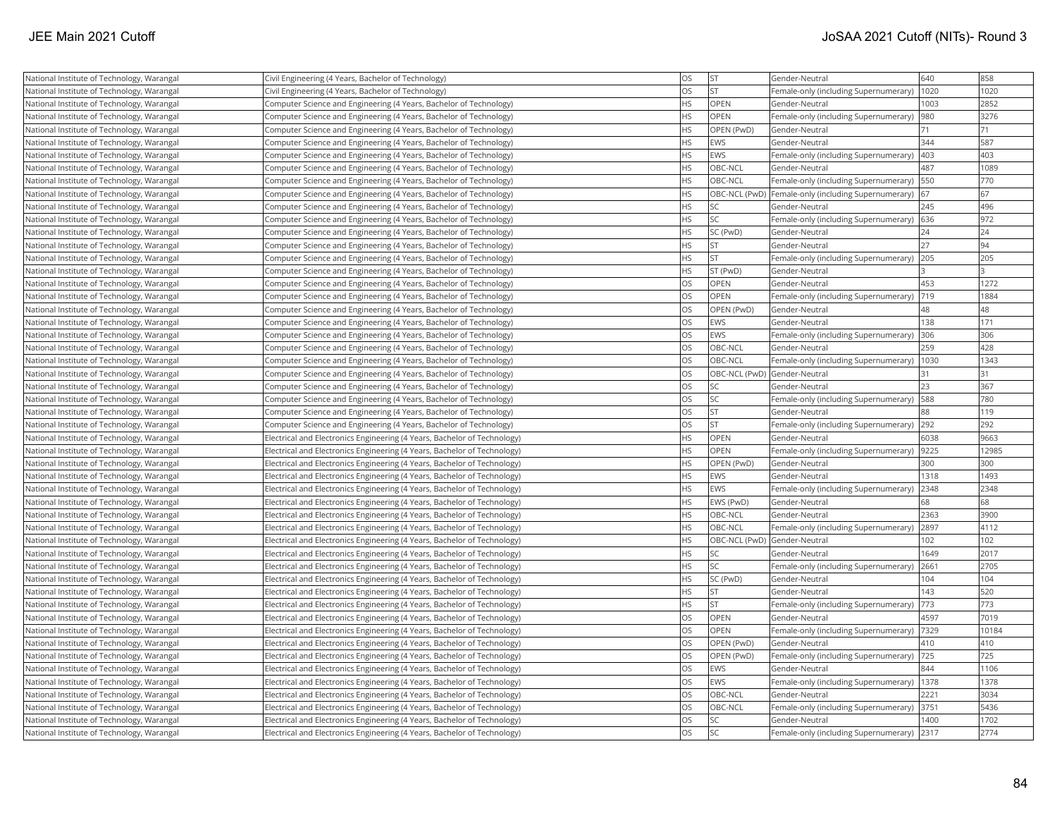| National Institute of Technology, Warangal | Civil Engineering (4 Years, Bachelor of Technology)                      | <b>OS</b>  | <b>ST</b>                    | Gender-Neutral                                        | 640  | 858   |
|--------------------------------------------|--------------------------------------------------------------------------|------------|------------------------------|-------------------------------------------------------|------|-------|
| National Institute of Technology, Warangal | Civil Engineering (4 Years, Bachelor of Technology)                      | los        | lst                          | Female-only (including Supernumerary)                 | 1020 | 1020  |
| National Institute of Technology, Warangal | Computer Science and Engineering (4 Years, Bachelor of Technology)       | <b>HS</b>  | OPEN                         | Gender-Neutral                                        | 1003 | 2852  |
| National Institute of Technology, Warangal | Computer Science and Engineering (4 Years, Bachelor of Technology)       | <b>HS</b>  | <b>OPEN</b>                  | Female-only (including Supernumerary)                 | 980  | 3276  |
| National Institute of Technology, Warangal | Computer Science and Engineering (4 Years, Bachelor of Technology)       | <b>HS</b>  | OPEN (PwD)                   | Gender-Neutral                                        | 71   | 71    |
| National Institute of Technology, Warangal | Computer Science and Engineering (4 Years, Bachelor of Technology)       | <b>HS</b>  | <b>EWS</b>                   | Gender-Neutral                                        | 344  | 587   |
| National Institute of Technology, Warangal | Computer Science and Engineering (4 Years, Bachelor of Technology)       | <b>HS</b>  | EWS                          | Female-only (including Supernumerary)                 | 403  | 403   |
| National Institute of Technology, Warangal | Computer Science and Engineering (4 Years, Bachelor of Technology)       | <b>HS</b>  | OBC-NCL                      | Gender-Neutral                                        | 487  | 1089  |
| National Institute of Technology, Warangal | Computer Science and Engineering (4 Years, Bachelor of Technology)       | <b>HS</b>  | OBC-NCL                      | Female-only (including Supernumerary)   550           |      | 770   |
| National Institute of Technology, Warangal | Computer Science and Engineering (4 Years, Bachelor of Technology)       | <b>HS</b>  |                              | OBC-NCL (PwD)   Female-only (including Supernumerary) | 67   | 67    |
| National Institute of Technology, Warangal | Computer Science and Engineering (4 Years, Bachelor of Technology)       | <b>HS</b>  | SC                           | Gender-Neutral                                        | 245  | 496   |
| National Institute of Technology, Warangal | Computer Science and Engineering (4 Years, Bachelor of Technology)       | <b>HS</b>  | SC                           | Female-only (including Supernumerary)                 | 636  | 972   |
| National Institute of Technology, Warangal | Computer Science and Engineering (4 Years, Bachelor of Technology)       | <b>IHS</b> | SC (PwD)                     | Gender-Neutral                                        | 24   | 24    |
| National Institute of Technology, Warangal | Computer Science and Engineering (4 Years, Bachelor of Technology)       | <b>HS</b>  | <b>ST</b>                    | Gender-Neutral                                        | 27   | 94    |
| National Institute of Technology, Warangal | Computer Science and Engineering (4 Years, Bachelor of Technology)       | <b>HS</b>  | <b>ST</b>                    | Female-only (including Supernumerary)                 | 205  | 205   |
| National Institute of Technology, Warangal | Computer Science and Engineering (4 Years, Bachelor of Technology)       | <b>HS</b>  | ST (PwD)                     | Gender-Neutral                                        |      |       |
| National Institute of Technology, Warangal | Computer Science and Engineering (4 Years, Bachelor of Technology)       | <b>OS</b>  | OPEN                         | Gender-Neutral                                        | 453  | 1272  |
| National Institute of Technology, Warangal | Computer Science and Engineering (4 Years, Bachelor of Technology)       | los        | OPEN                         | Female-only (including Supernumerary)  719            |      | 1884  |
| National Institute of Technology, Warangal | Computer Science and Engineering (4 Years, Bachelor of Technology)       | <b>OS</b>  | OPEN (PwD)                   | Gender-Neutral                                        | 48   | 48    |
| National Institute of Technology, Warangal | Computer Science and Engineering (4 Years, Bachelor of Technology)       | los        | <b>EWS</b>                   | Gender-Neutral                                        | 138  | 171   |
| National Institute of Technology, Warangal | Computer Science and Engineering (4 Years, Bachelor of Technology)       | <b>OS</b>  | EWS                          | Female-only (including Supernumerary)                 | 306  | 306   |
| National Institute of Technology, Warangal | Computer Science and Engineering (4 Years, Bachelor of Technology)       | los        | OBC-NCL                      | Gender-Neutral                                        | 259  | 428   |
| National Institute of Technology, Warangal | Computer Science and Engineering (4 Years, Bachelor of Technology)       | <b>OS</b>  | OBC-NCL                      | Female-only (including Supernumerary)                 | 1030 | 1343  |
| National Institute of Technology, Warangal | Computer Science and Engineering (4 Years, Bachelor of Technology)       | <b>OS</b>  | OBC-NCL (PwD) Gender-Neutral |                                                       | 31   | 31    |
| National Institute of Technology, Warangal | Computer Science and Engineering (4 Years, Bachelor of Technology)       | los        | SC                           | Gender-Neutral                                        | 23   | 367   |
| National Institute of Technology, Warangal | Computer Science and Engineering (4 Years, Bachelor of Technology)       | <b>OS</b>  | SC                           | Female-only (including Supernumerary)                 | 588  | 780   |
| National Institute of Technology, Warangal | Computer Science and Engineering (4 Years, Bachelor of Technology)       | <b>OS</b>  | <b>ST</b>                    | Gender-Neutral                                        | 88   | 119   |
| National Institute of Technology, Warangal | Computer Science and Engineering (4 Years, Bachelor of Technology)       | <b>OS</b>  | lst                          | Female-only (including Supernumerary) 292             |      | 292   |
| National Institute of Technology, Warangal | Electrical and Electronics Engineering (4 Years, Bachelor of Technology) | <b>HS</b>  | OPEN                         | Gender-Neutral                                        | 6038 | 9663  |
| National Institute of Technology, Warangal | Electrical and Electronics Engineering (4 Years, Bachelor of Technology) | <b>HS</b>  | OPEN                         | Female-only (including Supernumerary)                 | 9225 | 12985 |
| National Institute of Technology, Warangal | Electrical and Electronics Engineering (4 Years, Bachelor of Technology) | <b>HS</b>  | OPEN (PwD)                   | Gender-Neutral                                        | 300  | 300   |
| National Institute of Technology, Warangal | Electrical and Electronics Engineering (4 Years, Bachelor of Technology) | <b>HS</b>  | <b>EWS</b>                   | Gender-Neutral                                        | 1318 | 1493  |
| National Institute of Technology, Warangal | Electrical and Electronics Engineering (4 Years, Bachelor of Technology) | <b>HS</b>  | EWS                          | Female-only (including Supernumerary)                 | 2348 | 2348  |
| National Institute of Technology, Warangal | Electrical and Electronics Engineering (4 Years, Bachelor of Technology) | <b>HS</b>  | EWS (PwD)                    | Gender-Neutral                                        | 68   | 68    |
| National Institute of Technology, Warangal | Electrical and Electronics Engineering (4 Years, Bachelor of Technology) | <b>HS</b>  | OBC-NCL                      | Gender-Neutral                                        | 2363 | 3900  |
| National Institute of Technology, Warangal | Electrical and Electronics Engineering (4 Years, Bachelor of Technology) | <b>HS</b>  | OBC-NCL                      | Female-only (including Supernumerary)                 | 2897 | 4112  |
| National Institute of Technology, Warangal | Electrical and Electronics Engineering (4 Years, Bachelor of Technology) | <b>HS</b>  | OBC-NCL (PwD) Gender-Neutral |                                                       | 102  | 102   |
| National Institute of Technology, Warangal | Electrical and Electronics Engineering (4 Years, Bachelor of Technology) | <b>IHS</b> | SC                           | Gender-Neutral                                        | 1649 | 2017  |
| National Institute of Technology, Warangal | Electrical and Electronics Engineering (4 Years, Bachelor of Technology) | <b>HS</b>  | SC                           | Female-only (including Supernumerary)                 | 2661 | 2705  |
| National Institute of Technology, Warangal | Electrical and Electronics Engineering (4 Years, Bachelor of Technology) | <b>HS</b>  | SC (PwD)                     | Gender-Neutral                                        | 104  | 104   |
| National Institute of Technology, Warangal | Electrical and Electronics Engineering (4 Years, Bachelor of Technology) | <b>HS</b>  | ST                           | Gender-Neutral                                        | 143  | 520   |
| National Institute of Technology, Warangal | Electrical and Electronics Engineering (4 Years, Bachelor of Technology) | <b>HS</b>  | <b>ST</b>                    | Female-only (including Supernumerary)                 | 773  | 773   |
| National Institute of Technology, Warangal | Electrical and Electronics Engineering (4 Years, Bachelor of Technology) | los        | OPEN                         | Gender-Neutral                                        | 4597 | 7019  |
| National Institute of Technology, Warangal | Electrical and Electronics Engineering (4 Years, Bachelor of Technology) | <b>OS</b>  | OPEN                         | Female-only (including Supernumerary)                 | 7329 | 10184 |
| National Institute of Technology, Warangal | Electrical and Electronics Engineering (4 Years, Bachelor of Technology) | los        | OPEN (PwD)                   | Gender-Neutral                                        | 410  | 410   |
| National Institute of Technology, Warangal | Electrical and Electronics Engineering (4 Years, Bachelor of Technology) | los        | OPEN (PwD)                   | Female-only (including Supernumerary)                 | 725  | 725   |
| National Institute of Technology, Warangal | Electrical and Electronics Engineering (4 Years, Bachelor of Technology) | los        | EWS                          | Gender-Neutral                                        | 844  | 1106  |
| National Institute of Technology, Warangal | Electrical and Electronics Engineering (4 Years, Bachelor of Technology) | <b>OS</b>  | <b>EWS</b>                   | Female-only (including Supernumerary)   1378          |      | 1378  |
| National Institute of Technology, Warangal | Electrical and Electronics Engineering (4 Years, Bachelor of Technology) | <b>OS</b>  | OBC-NCL                      | Gender-Neutral                                        | 2221 | 3034  |
| National Institute of Technology, Warangal | Electrical and Electronics Engineering (4 Years, Bachelor of Technology) | <b>OS</b>  | OBC-NCL                      | Female-only (including Supernumerary) 3751            |      | 5436  |
| National Institute of Technology, Warangal | Electrical and Electronics Engineering (4 Years, Bachelor of Technology) | <b>OS</b>  | SC                           | Gender-Neutral                                        | 1400 | 1702  |
| National Institute of Technology, Warangal | Electrical and Electronics Engineering (4 Years, Bachelor of Technology) | los        | lsc                          | Female-only (including Supernumerary)                 | 2317 | 2774  |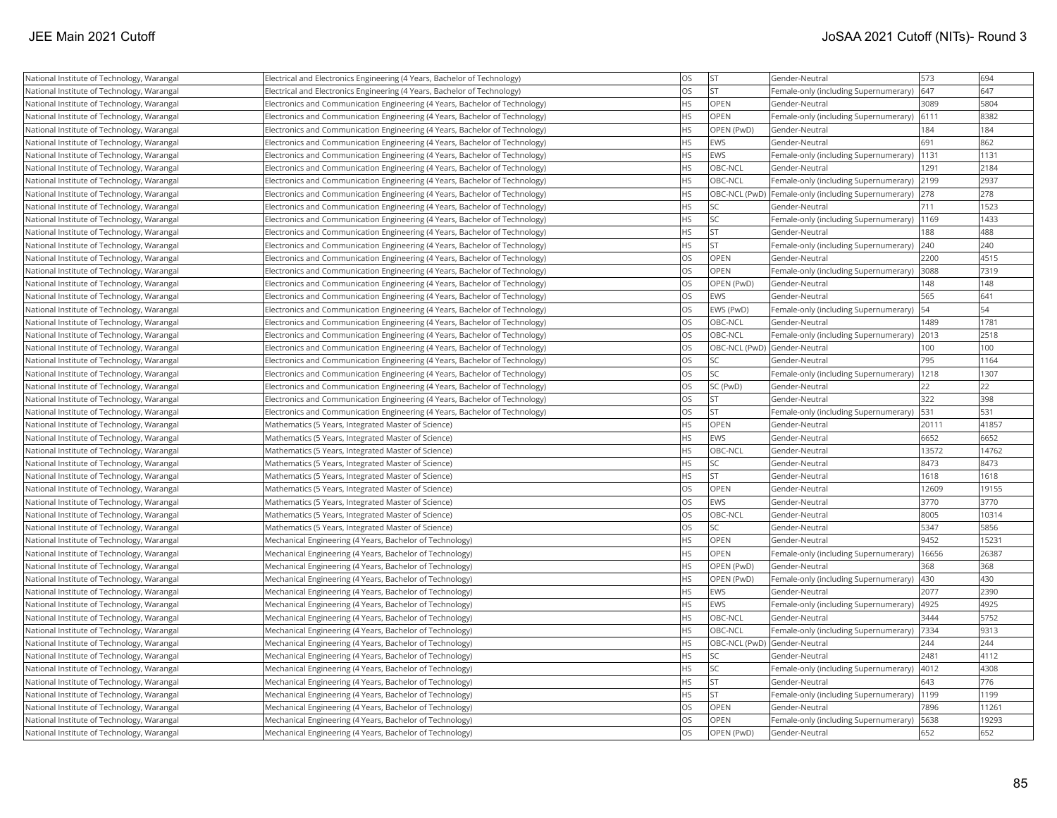| National Institute of Technology, Warangal | Electrical and Electronics Engineering (4 Years, Bachelor of Technology)    | <b>OS</b> | <b>ST</b>                    | Gender-Neutral                                      | 573   | 694   |
|--------------------------------------------|-----------------------------------------------------------------------------|-----------|------------------------------|-----------------------------------------------------|-------|-------|
| National Institute of Technology, Warangal | Electrical and Electronics Engineering (4 Years, Bachelor of Technology)    | <b>OS</b> | İst                          | Female-only (including Supernumerary)               | 647   | 647   |
| National Institute of Technology, Warangal | Electronics and Communication Engineering (4 Years, Bachelor of Technology) | <b>HS</b> | <b>OPEN</b>                  | Gender-Neutral                                      | 3089  | 5804  |
| National Institute of Technology, Warangal | Electronics and Communication Engineering (4 Years, Bachelor of Technology) | <b>HS</b> | OPEN                         | Female-only (including Supernumerary)               | 6111  | 8382  |
| National Institute of Technology, Warangal | Electronics and Communication Engineering (4 Years, Bachelor of Technology) | <b>HS</b> | OPEN (PwD)                   | Gender-Neutral                                      | 184   | 184   |
| National Institute of Technology, Warangal | Electronics and Communication Engineering (4 Years, Bachelor of Technology) | <b>HS</b> | EWS                          | Gender-Neutral                                      | 691   | 862   |
| National Institute of Technology, Warangal | Electronics and Communication Engineering (4 Years, Bachelor of Technology) | <b>HS</b> | <b>EWS</b>                   | Female-only (including Supernumerary)               | 1131  | 1131  |
| National Institute of Technology, Warangal | Electronics and Communication Engineering (4 Years, Bachelor of Technology) | <b>HS</b> | OBC-NCL                      | Gender-Neutral                                      | 1291  | 2184  |
| National Institute of Technology, Warangal | Electronics and Communication Engineering (4 Years, Bachelor of Technology) | <b>HS</b> | OBC-NCL                      | Female-only (including Supernumerary)               | 2199  | 2937  |
| National Institute of Technology, Warangal | Electronics and Communication Engineering (4 Years, Bachelor of Technology) | <b>HS</b> |                              | OBC-NCL (PwD) Female-only (including Supernumerary) | 278   | 278   |
| National Institute of Technology, Warangal | Electronics and Communication Engineering (4 Years, Bachelor of Technology) | <b>HS</b> | <b>SC</b>                    | Gender-Neutral                                      | 711   | 1523  |
| National Institute of Technology, Warangal | Electronics and Communication Engineering (4 Years, Bachelor of Technology) | <b>HS</b> | <b>SC</b>                    | Female-only (including Supernumerary)               | 1169  | 1433  |
| National Institute of Technology, Warangal | Electronics and Communication Engineering (4 Years, Bachelor of Technology) | <b>HS</b> | <b>ST</b>                    | Gender-Neutral                                      | 188   | 488   |
| National Institute of Technology, Warangal | Electronics and Communication Engineering (4 Years, Bachelor of Technology) | <b>HS</b> | <b>ST</b>                    | Female-only (including Supernumerary)               | 240   | 240   |
| National Institute of Technology, Warangal | Electronics and Communication Engineering (4 Years, Bachelor of Technology) | <b>OS</b> | <b>OPEN</b>                  | Gender-Neutral                                      | 2200  | 4515  |
| National Institute of Technology, Warangal | Electronics and Communication Engineering (4 Years, Bachelor of Technology) | <b>OS</b> | OPEN                         | Female-only (including Supernumerary)               | 3088  | 7319  |
| National Institute of Technology, Warangal | Electronics and Communication Engineering (4 Years, Bachelor of Technology) | <b>OS</b> | OPEN (PwD)                   | Gender-Neutral                                      | 148   | 148   |
| National Institute of Technology, Warangal | Electronics and Communication Engineering (4 Years, Bachelor of Technology) | <b>OS</b> | EWS                          | Gender-Neutral                                      | 565   | 641   |
| National Institute of Technology, Warangal | Electronics and Communication Engineering (4 Years, Bachelor of Technology) | <b>OS</b> | EWS (PwD)                    | Female-only (including Supernumerary)               | 54    | 54    |
| National Institute of Technology, Warangal | Electronics and Communication Engineering (4 Years, Bachelor of Technology) | <b>OS</b> | OBC-NCL                      | Gender-Neutral                                      | 1489  | 1781  |
| National Institute of Technology, Warangal | Electronics and Communication Engineering (4 Years, Bachelor of Technology) | <b>OS</b> | OBC-NCL                      | Female-only (including Supernumerary)               | 2013  | 2518  |
| National Institute of Technology, Warangal | Electronics and Communication Engineering (4 Years, Bachelor of Technology) | <b>OS</b> | OBC-NCL (PwD) Gender-Neutral |                                                     | 100   | 100   |
| National Institute of Technology, Warangal | Electronics and Communication Engineering (4 Years, Bachelor of Technology) | <b>OS</b> | <b>SC</b>                    | Gender-Neutral                                      | 795   | 1164  |
| National Institute of Technology, Warangal | Electronics and Communication Engineering (4 Years, Bachelor of Technology) | <b>OS</b> | lsc                          | Female-only (including Supernumerary)               | 1218  | 1307  |
| National Institute of Technology, Warangal | Electronics and Communication Engineering (4 Years, Bachelor of Technology) | <b>OS</b> | SC (PwD)                     | Gender-Neutral                                      | 22    | 22    |
| National Institute of Technology, Warangal | Electronics and Communication Engineering (4 Years, Bachelor of Technology) | <b>OS</b> | <b>ST</b>                    | Gender-Neutral                                      | 322   | 398   |
| National Institute of Technology, Warangal | Electronics and Communication Engineering (4 Years, Bachelor of Technology) | <b>OS</b> | İst                          | Female-only (including Supernumerary)               | 531   | 531   |
| National Institute of Technology, Warangal | Mathematics (5 Years, Integrated Master of Science)                         | <b>HS</b> | OPEN                         | Gender-Neutral                                      | 20111 | 41857 |
| National Institute of Technology, Warangal | Mathematics (5 Years, Integrated Master of Science)                         | <b>HS</b> | EWS                          | Gender-Neutral                                      | 6652  | 6652  |
| National Institute of Technology, Warangal | Mathematics (5 Years, Integrated Master of Science)                         | <b>HS</b> | OBC-NCL                      | Gender-Neutral                                      | 13572 | 14762 |
| National Institute of Technology, Warangal | Mathematics (5 Years, Integrated Master of Science)                         | <b>HS</b> | <b>SC</b>                    | Gender-Neutral                                      | 8473  | 8473  |
| National Institute of Technology, Warangal | Mathematics (5 Years, Integrated Master of Science)                         | <b>HS</b> | lst                          | Gender-Neutral                                      | 1618  | 1618  |
| National Institute of Technology, Warangal | Mathematics (5 Years, Integrated Master of Science)                         | <b>OS</b> | OPEN                         | Gender-Neutral                                      | 12609 | 19155 |
| National Institute of Technology, Warangal | Mathematics (5 Years, Integrated Master of Science)                         | <b>OS</b> | EWS                          | Gender-Neutral                                      | 3770  | 3770  |
| National Institute of Technology, Warangal | Mathematics (5 Years, Integrated Master of Science)                         | <b>OS</b> | OBC-NCL                      | Gender-Neutral                                      | 8005  | 10314 |
| National Institute of Technology, Warangal | Mathematics (5 Years, Integrated Master of Science)                         | <b>OS</b> | <b>SC</b>                    | Gender-Neutral                                      | 5347  | 5856  |
| National Institute of Technology, Warangal | Mechanical Engineering (4 Years, Bachelor of Technology)                    | <b>HS</b> | <b>OPEN</b>                  | Gender-Neutral                                      | 9452  | 15231 |
| National Institute of Technology, Warangal | Mechanical Engineering (4 Years, Bachelor of Technology)                    | <b>HS</b> | OPEN                         | Female-only (including Supernumerary)               | 16656 | 26387 |
| National Institute of Technology, Warangal | Mechanical Engineering (4 Years, Bachelor of Technology)                    | <b>HS</b> | OPEN (PwD)                   | Gender-Neutral                                      | 368   | 368   |
| National Institute of Technology, Warangal | Mechanical Engineering (4 Years, Bachelor of Technology)                    | <b>HS</b> | OPEN (PwD)                   | Female-only (including Supernumerary)               | 430   | 430   |
| National Institute of Technology, Warangal | Mechanical Engineering (4 Years, Bachelor of Technology)                    | <b>HS</b> | <b>EWS</b>                   | Gender-Neutral                                      | 2077  | 2390  |
| National Institute of Technology, Warangal | Mechanical Engineering (4 Years, Bachelor of Technology)                    | <b>HS</b> | EWS                          | Female-only (including Supernumerary)               | 4925  | 4925  |
| National Institute of Technology, Warangal | Mechanical Engineering (4 Years, Bachelor of Technology)                    | <b>HS</b> | OBC-NCL                      | Gender-Neutral                                      | 3444  | 5752  |
| National Institute of Technology, Warangal | Mechanical Engineering (4 Years, Bachelor of Technology)                    | <b>HS</b> | OBC-NCL                      | Female-only (including Supernumerary)               | 7334  | 9313  |
| National Institute of Technology, Warangal | Mechanical Engineering (4 Years, Bachelor of Technology)                    | <b>HS</b> | OBC-NCL (PwD) Gender-Neutral |                                                     | 244   | 244   |
| National Institute of Technology, Warangal | Mechanical Engineering (4 Years, Bachelor of Technology)                    | <b>HS</b> | <b>SC</b>                    | Gender-Neutral                                      | 2481  | 4112  |
| National Institute of Technology, Warangal | Mechanical Engineering (4 Years, Bachelor of Technology)                    | <b>HS</b> | <b>SC</b>                    | Female-only (including Supernumerary)               | 4012  | 4308  |
| National Institute of Technology, Warangal | Mechanical Engineering (4 Years, Bachelor of Technology)                    | <b>HS</b> | <b>ST</b>                    | Gender-Neutral                                      | 643   | 776   |
| National Institute of Technology, Warangal | Mechanical Engineering (4 Years, Bachelor of Technology)                    | <b>HS</b> | lst                          | Female-only (including Supernumerary)               | 1199  | 1199  |
| National Institute of Technology, Warangal | Mechanical Engineering (4 Years, Bachelor of Technology)                    | <b>OS</b> | OPEN                         | Gender-Neutral                                      | 7896  | 11261 |
| National Institute of Technology, Warangal | Mechanical Engineering (4 Years, Bachelor of Technology)                    | <b>OS</b> | <b>OPEN</b>                  | Female-only (including Supernumerary)               | 5638  | 19293 |
| National Institute of Technology, Warangal | Mechanical Engineering (4 Years, Bachelor of Technology)                    | <b>OS</b> | OPEN (PwD)                   | Gender-Neutral                                      | 652   | 652   |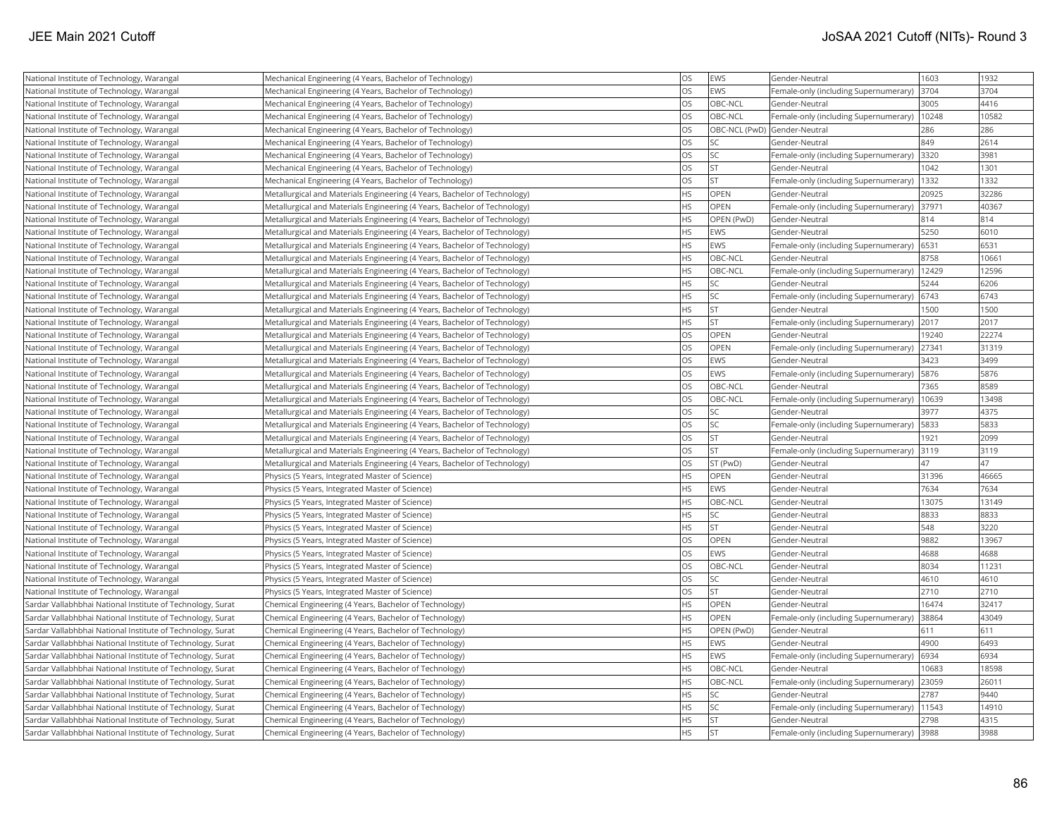| National Institute of Technology, Warangal                 | Mechanical Engineering (4 Years, Bachelor of Technology)                  | <b>OS</b> | <b>EWS</b>  | Gender-Neutral                        | 1603  | 1932  |
|------------------------------------------------------------|---------------------------------------------------------------------------|-----------|-------------|---------------------------------------|-------|-------|
| National Institute of Technology, Warangal                 | Mechanical Engineering (4 Years, Bachelor of Technology)                  | <b>OS</b> | EWS         | Female-only (including Supernumerary) | 3704  | 3704  |
| National Institute of Technology, Warangal                 | Mechanical Engineering (4 Years, Bachelor of Technology)                  | <b>OS</b> | OBC-NCL     | Gender-Neutral                        | 3005  | 4416  |
| National Institute of Technology, Warangal                 | Mechanical Engineering (4 Years, Bachelor of Technology)                  | <b>OS</b> | OBC-NCL     | Female-only (including Supernumerary) | 10248 | 10582 |
| National Institute of Technology, Warangal                 | Mechanical Engineering (4 Years, Bachelor of Technology)                  | <b>OS</b> |             | OBC-NCL (PwD) Gender-Neutral          | 286   | 286   |
| National Institute of Technology, Warangal                 | Mechanical Engineering (4 Years, Bachelor of Technology)                  | OS        | SC.         | Gender-Neutral                        | 849   | 2614  |
| National Institute of Technology, Warangal                 | Mechanical Engineering (4 Years, Bachelor of Technology)                  | <b>OS</b> | SC          | Female-only (including Supernumerary) | 3320  | 3981  |
| National Institute of Technology, Warangal                 | Mechanical Engineering (4 Years, Bachelor of Technology)                  | <b>OS</b> | <b>ST</b>   | Gender-Neutral                        | 1042  | 1301  |
| National Institute of Technology, Warangal                 | Mechanical Engineering (4 Years, Bachelor of Technology)                  | <b>OS</b> | <b>ST</b>   | Female-only (including Supernumerary) | 1332  | 1332  |
| National Institute of Technology, Warangal                 | Metallurgical and Materials Engineering (4 Years, Bachelor of Technology) | <b>HS</b> | OPEN        | Gender-Neutral                        | 20925 | 32286 |
| National Institute of Technology, Warangal                 | Metallurgical and Materials Engineering (4 Years, Bachelor of Technology) | <b>HS</b> | OPEN        | Female-only (including Supernumerary) | 37971 | 40367 |
| National Institute of Technology, Warangal                 | Metallurgical and Materials Engineering (4 Years, Bachelor of Technology) | <b>HS</b> | OPEN (PwD)  | Gender-Neutral                        | 814   | 814   |
| National Institute of Technology, Warangal                 | Metallurgical and Materials Engineering (4 Years, Bachelor of Technology) | <b>HS</b> | <b>EWS</b>  | Gender-Neutral                        | 5250  | 6010  |
| National Institute of Technology, Warangal                 | Metallurgical and Materials Engineering (4 Years, Bachelor of Technology) | <b>HS</b> | <b>EWS</b>  | Female-only (including Supernumerary) | 6531  | 6531  |
| National Institute of Technology, Warangal                 | Metallurgical and Materials Engineering (4 Years, Bachelor of Technology) | <b>HS</b> | OBC-NCL     | Gender-Neutral                        | 8758  | 10661 |
| National Institute of Technology, Warangal                 | Metallurgical and Materials Engineering (4 Years, Bachelor of Technology) | <b>HS</b> | OBC-NCL     | Female-only (including Supernumerary) | 12429 | 12596 |
| National Institute of Technology, Warangal                 | Metallurgical and Materials Engineering (4 Years, Bachelor of Technology) | <b>HS</b> | SC          | Gender-Neutral                        | 5244  | 6206  |
| National Institute of Technology, Warangal                 | Metallurgical and Materials Engineering (4 Years, Bachelor of Technology) | <b>HS</b> | SC          | Female-only (including Supernumerary) | 6743  | 6743  |
| National Institute of Technology, Warangal                 | Metallurgical and Materials Engineering (4 Years, Bachelor of Technology) | <b>HS</b> | ST.         | Gender-Neutral                        | 1500  | 1500  |
| National Institute of Technology, Warangal                 | Metallurgical and Materials Engineering (4 Years, Bachelor of Technology) | <b>HS</b> | lst.        | Female-only (including Supernumerary) | 2017  | 2017  |
| National Institute of Technology, Warangal                 | Metallurgical and Materials Engineering (4 Years, Bachelor of Technology) | <b>OS</b> | OPEN        | Gender-Neutral                        | 19240 | 22274 |
| National Institute of Technology, Warangal                 | Metallurgical and Materials Engineering (4 Years, Bachelor of Technology) | <b>OS</b> | OPEN        | Female-only (including Supernumerary) | 27341 | 31319 |
| National Institute of Technology, Warangal                 | Metallurgical and Materials Engineering (4 Years, Bachelor of Technology) | <b>OS</b> | <b>EWS</b>  | Gender-Neutral                        | 3423  | 3499  |
| National Institute of Technology, Warangal                 | Metallurgical and Materials Engineering (4 Years, Bachelor of Technology) | OS        | <b>EWS</b>  | Female-only (including Supernumerary) | 5876  | 5876  |
| National Institute of Technology, Warangal                 | Metallurgical and Materials Engineering (4 Years, Bachelor of Technology) | <b>OS</b> | OBC-NCL     | Gender-Neutral                        | 7365  | 8589  |
| National Institute of Technology, Warangal                 | Metallurgical and Materials Engineering (4 Years, Bachelor of Technology) | <b>OS</b> | OBC-NCL     | Female-only (including Supernumerary) | 10639 | 13498 |
| National Institute of Technology, Warangal                 | Metallurgical and Materials Engineering (4 Years, Bachelor of Technology) | <b>OS</b> | SC          | Gender-Neutral                        | 3977  | 4375  |
| National Institute of Technology, Warangal                 | Metallurgical and Materials Engineering (4 Years, Bachelor of Technology) | <b>OS</b> | SC          | Female-only (including Supernumerary) | 5833  | 5833  |
| National Institute of Technology, Warangal                 | Metallurgical and Materials Engineering (4 Years, Bachelor of Technology) | <b>OS</b> | lst         | Gender-Neutral                        | 1921  | 2099  |
| National Institute of Technology, Warangal                 | Metallurgical and Materials Engineering (4 Years, Bachelor of Technology) | <b>OS</b> | lst         | Female-only (including Supernumerary) | 3119  | 3119  |
| National Institute of Technology, Warangal                 | Metallurgical and Materials Engineering (4 Years, Bachelor of Technology) | OS        | ST (PwD)    | Gender-Neutral                        | 47    | 47    |
| National Institute of Technology, Warangal                 | Physics (5 Years, Integrated Master of Science)                           | <b>HS</b> | OPEN        | Gender-Neutral                        | 31396 | 46665 |
| National Institute of Technology, Warangal                 | Physics (5 Years, Integrated Master of Science)                           | <b>HS</b> | EWS         | Gender-Neutral                        | 7634  | 7634  |
| National Institute of Technology, Warangal                 | Physics (5 Years, Integrated Master of Science)                           | <b>HS</b> | OBC-NCL     | Gender-Neutral                        | 13075 | 13149 |
| National Institute of Technology, Warangal                 | Physics (5 Years, Integrated Master of Science)                           | <b>HS</b> | <b>SC</b>   | Gender-Neutral                        | 8833  | 8833  |
| National Institute of Technology, Warangal                 | Physics (5 Years, Integrated Master of Science)                           | <b>HS</b> | İst         | Gender-Neutral                        | 548   | 3220  |
| National Institute of Technology, Warangal                 | Physics (5 Years, Integrated Master of Science)                           | OS        | OPEN        | Gender-Neutral                        | 9882  | 13967 |
| National Institute of Technology, Warangal                 | Physics (5 Years, Integrated Master of Science)                           | <b>OS</b> | <b>EWS</b>  | Gender-Neutral                        | 4688  | 4688  |
| National Institute of Technology, Warangal                 | Physics (5 Years, Integrated Master of Science)                           | <b>OS</b> | OBC-NCL     | Gender-Neutral                        | 8034  | 11231 |
| National Institute of Technology, Warangal                 | Physics (5 Years, Integrated Master of Science)                           | <b>OS</b> | SC.         | Gender-Neutral                        | 4610  | 4610  |
| National Institute of Technology, Warangal                 | Physics (5 Years, Integrated Master of Science)                           | <b>OS</b> | <b>ST</b>   | Gender-Neutral                        | 2710  | 2710  |
| Sardar Vallabhbhai National Institute of Technology, Surat | Chemical Engineering (4 Years, Bachelor of Technology)                    | <b>HS</b> | <b>OPEN</b> | Gender-Neutral                        | 16474 | 32417 |
| Sardar Vallabhbhai National Institute of Technology, Surat | Chemical Engineering (4 Years, Bachelor of Technology)                    | <b>HS</b> | OPEN        | Female-only (including Supernumerary) | 38864 | 43049 |
| Sardar Vallabhbhai National Institute of Technology, Surat | Chemical Engineering (4 Years, Bachelor of Technology)                    | <b>HS</b> | OPEN (PwD)  | Gender-Neutral                        | 611   | 611   |
| Sardar Vallabhbhai National Institute of Technology, Surat | Chemical Engineering (4 Years, Bachelor of Technology)                    | <b>HS</b> | <b>EWS</b>  | Gender-Neutral                        | 4900  | 6493  |
| Sardar Vallabhbhai National Institute of Technology, Surat | Chemical Engineering (4 Years, Bachelor of Technology)                    | <b>HS</b> | <b>EWS</b>  | Female-only (including Supernumerary) | 6934  | 6934  |
| Sardar Vallabhbhai National Institute of Technology, Surat | Chemical Engineering (4 Years, Bachelor of Technology)                    | <b>HS</b> | OBC-NCL     | Gender-Neutral                        | 10683 | 18598 |
| Sardar Vallabhbhai National Institute of Technology, Surat | Chemical Engineering (4 Years, Bachelor of Technology)                    | <b>HS</b> | OBC-NCL     | Female-only (including Supernumerary) | 23059 | 26011 |
| Sardar Vallabhbhai National Institute of Technology, Surat | Chemical Engineering (4 Years, Bachelor of Technology)                    | <b>HS</b> | SC          | Gender-Neutral                        | 2787  | 9440  |
| Sardar Vallabhbhai National Institute of Technology, Surat | Chemical Engineering (4 Years, Bachelor of Technology)                    | <b>HS</b> | SC          | Female-only (including Supernumerary) | 11543 | 14910 |
| Sardar Vallabhbhai National Institute of Technology, Surat | Chemical Engineering (4 Years, Bachelor of Technology)                    | HS        | <b>ST</b>   | Gender-Neutral                        | 2798  | 4315  |
| Sardar Vallabhbhai National Institute of Technology, Surat | Chemical Engineering (4 Years, Bachelor of Technology)                    | <b>HS</b> | İst         | Female-only (including Supernumerary) | 3988  | 3988  |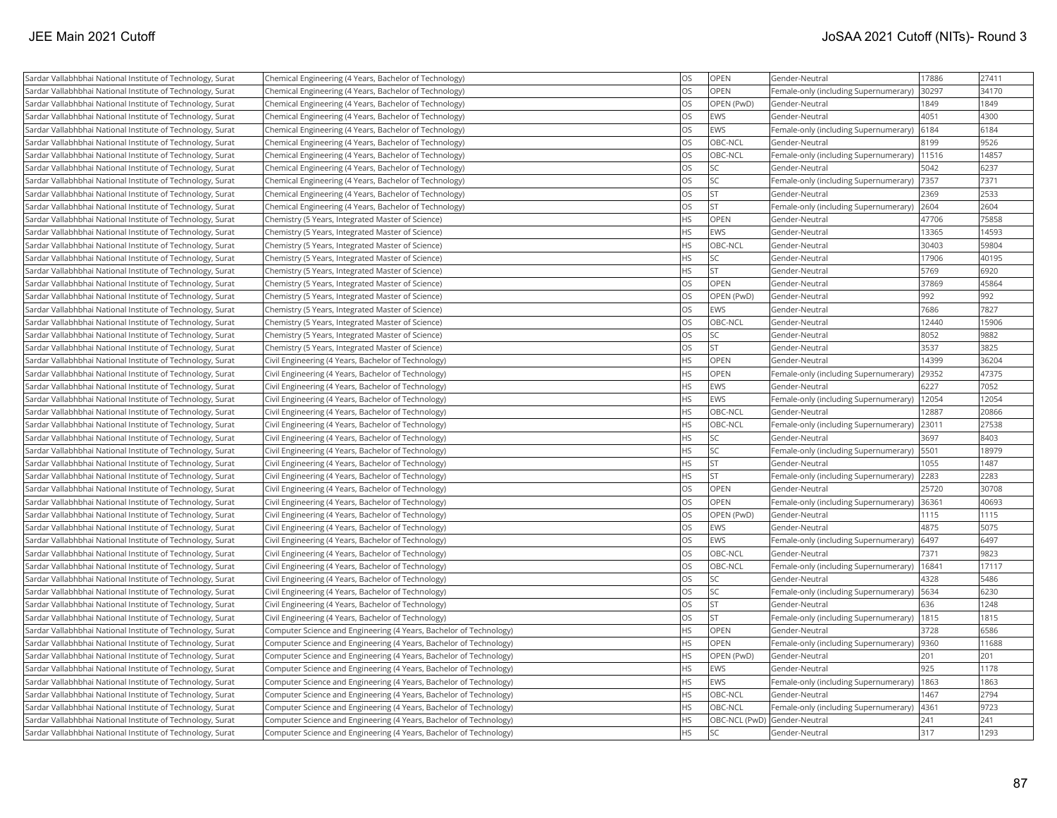| Sardar Vallabhbhai National Institute of Technology, Surat | Chemical Engineering (4 Years, Bachelor of Technology)             | OS        | OPEN          | Gender-Neutral                        | 17886 | 27411 |
|------------------------------------------------------------|--------------------------------------------------------------------|-----------|---------------|---------------------------------------|-------|-------|
| Sardar Vallabhbhai National Institute of Technology, Surat | Chemical Engineering (4 Years, Bachelor of Technology)             | OS        | <b>OPEN</b>   | Female-only (including Supernumerary) | 30297 | 34170 |
| Sardar Vallabhbhai National Institute of Technology, Surat | Chemical Engineering (4 Years, Bachelor of Technology)             | OS        | OPEN (PwD)    | Gender-Neutral                        | 1849  | 1849  |
| Sardar Vallabhbhai National Institute of Technology, Surat | Chemical Engineering (4 Years, Bachelor of Technology)             | OS        | <b>EWS</b>    | Gender-Neutral                        | 4051  | 4300  |
| Sardar Vallabhbhai National Institute of Technology, Surat | Chemical Engineering (4 Years, Bachelor of Technology)             | OS        | <b>EWS</b>    | Female-only (including Supernumerary) | 6184  | 6184  |
| Sardar Vallabhbhai National Institute of Technology, Surat | Chemical Engineering (4 Years, Bachelor of Technology)             | OS        | OBC-NCL       | Gender-Neutral                        | 8199  | 9526  |
| Sardar Vallabhbhai National Institute of Technology, Surat | Chemical Engineering (4 Years, Bachelor of Technology)             | OS        | OBC-NCL       | Female-only (including Supernumerary) | 11516 | 14857 |
| Sardar Vallabhbhai National Institute of Technology, Surat | Chemical Engineering (4 Years, Bachelor of Technology)             | OS        | SC.           | Gender-Neutral                        | 5042  | 6237  |
| Sardar Vallabhbhai National Institute of Technology, Surat | Chemical Engineering (4 Years, Bachelor of Technology)             | OS        | SC.           | Female-only (including Supernumerary) | 7357  | 7371  |
| Sardar Vallabhbhai National Institute of Technology, Surat | Chemical Engineering (4 Years, Bachelor of Technology)             | OS        | <b>ST</b>     | Gender-Neutral                        | 2369  | 2533  |
| Sardar Vallabhbhai National Institute of Technology, Surat | Chemical Engineering (4 Years, Bachelor of Technology)             | OS        | <b>ST</b>     | Female-only (including Supernumerary) | 2604  | 2604  |
| Sardar Vallabhbhai National Institute of Technology, Surat | Chemistry (5 Years, Integrated Master of Science)                  | <b>HS</b> | OPEN          | Gender-Neutral                        | 47706 | 75858 |
| Sardar Vallabhbhai National Institute of Technology, Surat | Chemistry (5 Years, Integrated Master of Science)                  | <b>HS</b> | <b>EWS</b>    | Gender-Neutral                        | 13365 | 14593 |
| Sardar Vallabhbhai National Institute of Technology, Surat | Chemistry (5 Years, Integrated Master of Science)                  | HS        | OBC-NCL       | Gender-Neutral                        | 30403 | 59804 |
| Sardar Vallabhbhai National Institute of Technology, Surat | Chemistry (5 Years, Integrated Master of Science)                  | <b>HS</b> | SC.           | Gender-Neutral                        | 17906 | 40195 |
| Sardar Vallabhbhai National Institute of Technology, Surat | Chemistry (5 Years, Integrated Master of Science)                  | HS        | <b>ST</b>     | Gender-Neutral                        | 5769  | 6920  |
| Sardar Vallabhbhai National Institute of Technology, Surat | Chemistry (5 Years, Integrated Master of Science)                  | OS        | <b>OPEN</b>   | Gender-Neutral                        | 37869 | 45864 |
| Sardar Vallabhbhai National Institute of Technology, Surat | Chemistry (5 Years, Integrated Master of Science)                  | OS        | OPEN (PwD)    | Gender-Neutral                        | 992   | 992   |
| Sardar Vallabhbhai National Institute of Technology, Surat | Chemistry (5 Years, Integrated Master of Science)                  | OS        | <b>EWS</b>    | Gender-Neutral                        | 7686  | 7827  |
| Sardar Vallabhbhai National Institute of Technology, Surat | Chemistry (5 Years, Integrated Master of Science)                  | OS        | OBC-NCL       | Gender-Neutral                        | 12440 | 15906 |
| Sardar Vallabhbhai National Institute of Technology, Surat | Chemistry (5 Years, Integrated Master of Science)                  | OS        | SC.           | Gender-Neutral                        | 8052  | 9882  |
| Sardar Vallabhbhai National Institute of Technology, Surat | Chemistry (5 Years, Integrated Master of Science)                  | OS        | <b>ST</b>     | Gender-Neutral                        | 3537  | 3825  |
| Sardar Vallabhbhai National Institute of Technology, Surat | Civil Engineering (4 Years, Bachelor of Technology)                | <b>HS</b> | OPEN          | Gender-Neutral                        | 14399 | 36204 |
| Sardar Vallabhbhai National Institute of Technology, Surat | Civil Engineering (4 Years, Bachelor of Technology)                | <b>HS</b> | <b>OPEN</b>   | Female-only (including Supernumerary) | 29352 | 47375 |
| Sardar Vallabhbhai National Institute of Technology, Surat | Civil Engineering (4 Years, Bachelor of Technology)                | <b>HS</b> | <b>EWS</b>    | Gender-Neutral                        | 6227  | 7052  |
| Sardar Vallabhbhai National Institute of Technology, Surat | Civil Engineering (4 Years, Bachelor of Technology)                | <b>HS</b> | <b>EWS</b>    | Female-only (including Supernumerary) | 12054 | 12054 |
| Sardar Vallabhbhai National Institute of Technology, Surat | Civil Engineering (4 Years, Bachelor of Technology)                | <b>HS</b> | OBC-NCL       | Gender-Neutral                        | 12887 | 20866 |
| Sardar Vallabhbhai National Institute of Technology, Surat | Civil Engineering (4 Years, Bachelor of Technology)                | HS        | OBC-NCL       | Female-only (including Supernumerary) | 23011 | 27538 |
| Sardar Vallabhbhai National Institute of Technology, Surat | Civil Engineering (4 Years, Bachelor of Technology)                | <b>HS</b> | lsc           | Gender-Neutral                        | 3697  | 8403  |
| Sardar Vallabhbhai National Institute of Technology, Surat | Civil Engineering (4 Years, Bachelor of Technology)                | HS        | <b>SC</b>     | Female-only (including Supernumerary) | 5501  | 18979 |
| Sardar Vallabhbhai National Institute of Technology, Surat | Civil Engineering (4 Years, Bachelor of Technology)                | <b>HS</b> | <b>ST</b>     | Gender-Neutral                        | 1055  | 1487  |
| Sardar Vallabhbhai National Institute of Technology, Surat | Civil Engineering (4 Years, Bachelor of Technology)                | <b>HS</b> | <b>ST</b>     | Female-only (including Supernumerary) | 2283  | 2283  |
| Sardar Vallabhbhai National Institute of Technology, Surat | Civil Engineering (4 Years, Bachelor of Technology)                | OS        | OPEN          | Gender-Neutral                        | 25720 | 30708 |
| Sardar Vallabhbhai National Institute of Technology, Surat | Civil Engineering (4 Years, Bachelor of Technology)                | OS        | <b>OPEN</b>   | Female-only (including Supernumerary) | 36361 | 40693 |
| Sardar Vallabhbhai National Institute of Technology, Surat | Civil Engineering (4 Years, Bachelor of Technology)                | OS        | OPEN (PwD)    | Gender-Neutral                        | 1115  | 1115  |
| Sardar Vallabhbhai National Institute of Technology, Surat | Civil Engineering (4 Years, Bachelor of Technology)                | OS        | <b>EWS</b>    | Gender-Neutral                        | 4875  | 5075  |
| Sardar Vallabhbhai National Institute of Technology, Surat | Civil Engineering (4 Years, Bachelor of Technology)                | OS        | <b>EWS</b>    | Female-only (including Supernumerary) | 6497  | 6497  |
| Sardar Vallabhbhai National Institute of Technology, Surat | Civil Engineering (4 Years, Bachelor of Technology)                | OS        | OBC-NCL       | Gender-Neutral                        | 7371  | 9823  |
| Sardar Vallabhbhai National Institute of Technology, Surat | Civil Engineering (4 Years, Bachelor of Technology)                | OS        | OBC-NCL       | Female-only (including Supernumerary) | 16841 | 17117 |
| Sardar Vallabhbhai National Institute of Technology, Surat | Civil Engineering (4 Years, Bachelor of Technology)                | OS        | SC.           | Gender-Neutral                        | 4328  | 5486  |
| Sardar Vallabhbhai National Institute of Technology, Surat | Civil Engineering (4 Years, Bachelor of Technology)                | OS        | SC.           | Female-only (including Supernumerary) | 5634  | 6230  |
| Sardar Vallabhbhai National Institute of Technology, Surat | Civil Engineering (4 Years, Bachelor of Technology)                | OS        | <b>ST</b>     | Gender-Neutral                        | 636   | 1248  |
| Sardar Vallabhbhai National Institute of Technology, Surat | Civil Engineering (4 Years, Bachelor of Technology)                | OS        | <b>ST</b>     | Female-only (including Supernumerary) | 1815  | 1815  |
| Sardar Vallabhbhai National Institute of Technology, Surat | Computer Science and Engineering (4 Years, Bachelor of Technology) | <b>HS</b> | OPEN          | Gender-Neutral                        | 3728  | 6586  |
| Sardar Vallabhbhai National Institute of Technology, Surat | Computer Science and Engineering (4 Years, Bachelor of Technology) | <b>HS</b> | <b>OPEN</b>   | Female-only (including Supernumerary) | 9360  | 11688 |
| Sardar Vallabhbhai National Institute of Technology, Surat | Computer Science and Engineering (4 Years, Bachelor of Technology) | <b>HS</b> | OPEN (PwD)    | Gender-Neutral                        | 201   | 201   |
| Sardar Vallabhbhai National Institute of Technology, Surat | Computer Science and Engineering (4 Years, Bachelor of Technology) | <b>HS</b> | <b>EWS</b>    | Gender-Neutral                        | 925   | 1178  |
| Sardar Vallabhbhai National Institute of Technology, Surat | Computer Science and Engineering (4 Years, Bachelor of Technology) | <b>HS</b> | <b>EWS</b>    | Female-only (including Supernumerary) | 1863  | 1863  |
| Sardar Vallabhbhai National Institute of Technology, Surat | Computer Science and Engineering (4 Years, Bachelor of Technology) | <b>HS</b> | OBC-NCL       | Gender-Neutral                        | 1467  | 2794  |
| Sardar Vallabhbhai National Institute of Technology, Surat | Computer Science and Engineering (4 Years, Bachelor of Technology) | HS        | OBC-NCL       | Female-only (including Supernumerary) | 4361  | 9723  |
| Sardar Vallabhbhai National Institute of Technology, Surat | Computer Science and Engineering (4 Years, Bachelor of Technology) | <b>HS</b> | OBC-NCL (PwD) | Gender-Neutral                        | 241   | 241   |
| Sardar Vallabhbhai National Institute of Technology, Surat | Computer Science and Engineering (4 Years, Bachelor of Technology) | <b>HS</b> | SC.           | Gender-Neutral                        | 317   | 1293  |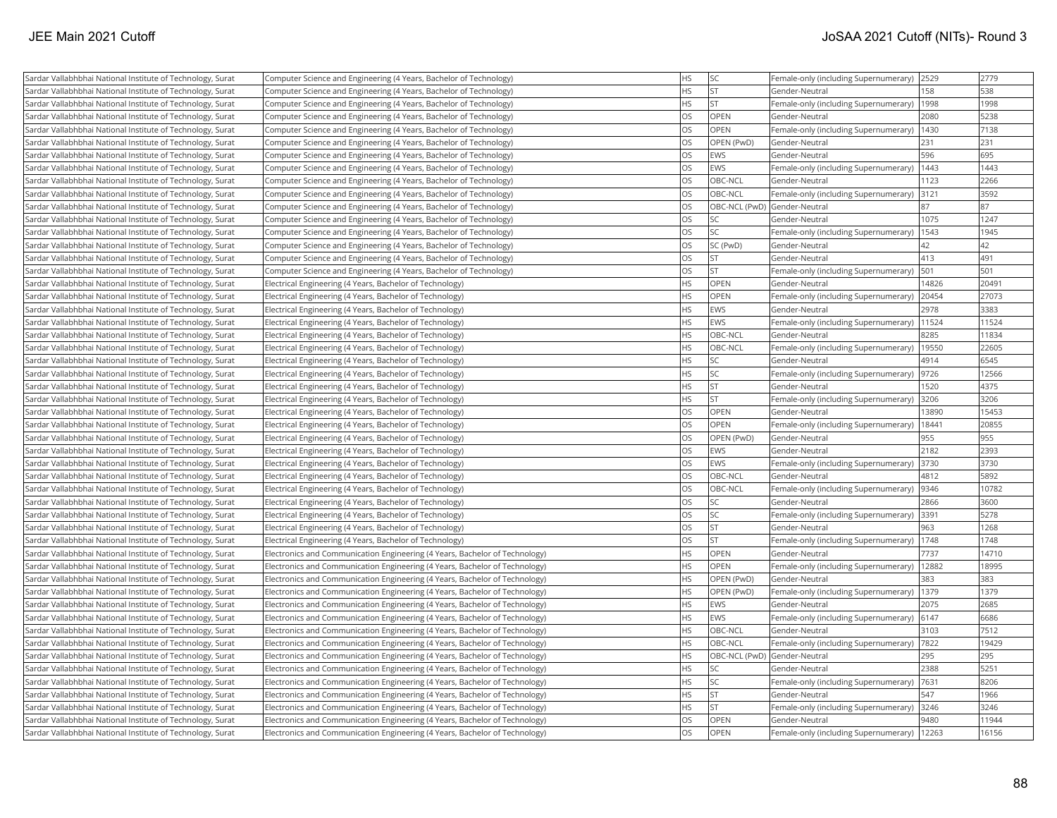| Sardar Vallabhbhai National Institute of Technology, Surat | Computer Science and Engineering (4 Years, Bachelor of Technology)          | <b>HS</b> | <b>SC</b>     | Female-only (including Supernumerary)  2529  |       | 2779  |
|------------------------------------------------------------|-----------------------------------------------------------------------------|-----------|---------------|----------------------------------------------|-------|-------|
| Sardar Vallabhbhai National Institute of Technology, Surat | Computer Science and Engineering (4 Years, Bachelor of Technology)          | <b>HS</b> | İst           | Gender-Neutral                               | 158   | 538   |
| Sardar Vallabhbhai National Institute of Technology, Surat | Computer Science and Engineering (4 Years, Bachelor of Technology)          | <b>HS</b> | İst           | Female-only (including Supernumerary)        | 1998  | 1998  |
| Sardar Vallabhbhai National Institute of Technology, Surat | Computer Science and Engineering (4 Years, Bachelor of Technology)          | <b>OS</b> | OPEN          | Gender-Neutral                               | 2080  | 5238  |
| Sardar Vallabhbhai National Institute of Technology, Surat | Computer Science and Engineering (4 Years, Bachelor of Technology)          | <b>OS</b> | <b>OPEN</b>   | Female-only (including Supernumerary)  1430  |       | 7138  |
| Sardar Vallabhbhai National Institute of Technology, Surat | Computer Science and Engineering (4 Years, Bachelor of Technology)          | <b>OS</b> | OPEN (PwD)    | Gender-Neutral                               | 231   | 231   |
| Sardar Vallabhbhai National Institute of Technology, Surat | Computer Science and Engineering (4 Years, Bachelor of Technology)          | <b>OS</b> | <b>EWS</b>    | Gender-Neutral                               | 596   | 695   |
| Sardar Vallabhbhai National Institute of Technology, Surat | Computer Science and Engineering (4 Years, Bachelor of Technology)          | OS        | EWS           | Female-only (including Supernumerary)        | 1443  | 1443  |
| Sardar Vallabhbhai National Institute of Technology, Surat | Computer Science and Engineering (4 Years, Bachelor of Technology)          | <b>OS</b> | OBC-NCL       | Gender-Neutral                               | 1123  | 2266  |
| Sardar Vallabhbhai National Institute of Technology, Surat | Computer Science and Engineering (4 Years, Bachelor of Technology)          | <b>OS</b> | OBC-NCL       | Female-only (including Supernumerary)        | 3121  | 3592  |
| Sardar Vallabhbhai National Institute of Technology, Surat | Computer Science and Engineering (4 Years, Bachelor of Technology)          | <b>OS</b> |               | OBC-NCL (PwD) Gender-Neutral                 | 87    | 87    |
| Sardar Vallabhbhai National Institute of Technology, Surat | Computer Science and Engineering (4 Years, Bachelor of Technology)          | <b>OS</b> | <b>SC</b>     | Gender-Neutral                               | 1075  | 1247  |
| Sardar Vallabhbhai National Institute of Technology, Surat | Computer Science and Engineering (4 Years, Bachelor of Technology)          | <b>OS</b> | lsc           | Female-only (including Supernumerary)        | 1543  | 1945  |
| Sardar Vallabhbhai National Institute of Technology, Surat | Computer Science and Engineering (4 Years, Bachelor of Technology)          | <b>OS</b> | SC (PwD)      | Gender-Neutral                               | 42    | 42    |
| Sardar Vallabhbhai National Institute of Technology, Surat | Computer Science and Engineering (4 Years, Bachelor of Technology)          | OS        | <b>ST</b>     | Gender-Neutral                               | 413   | 491   |
| Sardar Vallabhbhai National Institute of Technology, Surat | Computer Science and Engineering (4 Years, Bachelor of Technology)          | <b>OS</b> | <b>ST</b>     | Female-only (including Supernumerary)        | 501   | 501   |
| Sardar Vallabhbhai National Institute of Technology, Surat | Electrical Engineering (4 Years, Bachelor of Technology)                    | <b>HS</b> | OPEN          | Gender-Neutral                               | 14826 | 20491 |
| Sardar Vallabhbhai National Institute of Technology, Surat | Electrical Engineering (4 Years, Bachelor of Technology)                    | <b>HS</b> | <b>OPEN</b>   | Female-only (including Supernumerary)        | 20454 | 27073 |
| Sardar Vallabhbhai National Institute of Technology, Surat | Electrical Engineering (4 Years, Bachelor of Technology)                    | <b>HS</b> | EWS           | Gender-Neutral                               | 2978  | 3383  |
| Sardar Vallabhbhai National Institute of Technology, Surat | Electrical Engineering (4 Years, Bachelor of Technology)                    | <b>HS</b> | <b>EWS</b>    | Female-only (including Supernumerary)        | 11524 | 11524 |
| Sardar Vallabhbhai National Institute of Technology, Surat | Electrical Engineering (4 Years, Bachelor of Technology)                    | <b>HS</b> | OBC-NCL       | Gender-Neutral                               | 8285  | 11834 |
| Sardar Vallabhbhai National Institute of Technology, Surat | Electrical Engineering (4 Years, Bachelor of Technology)                    | <b>HS</b> | OBC-NCL       | Female-only (including Supernumerary)        | 19550 | 22605 |
| Sardar Vallabhbhai National Institute of Technology, Surat | Electrical Engineering (4 Years, Bachelor of Technology)                    | <b>HS</b> | <b>SC</b>     | Gender-Neutral                               | 4914  | 6545  |
| Sardar Vallabhbhai National Institute of Technology, Surat | Electrical Engineering (4 Years, Bachelor of Technology)                    | <b>HS</b> | SC            | Female-only (including Supernumerary)        | 9726  | 12566 |
| Sardar Vallabhbhai National Institute of Technology, Surat | Electrical Engineering (4 Years, Bachelor of Technology)                    | <b>HS</b> | <b>ST</b>     | Gender-Neutral                               | 1520  | 4375  |
| Sardar Vallabhbhai National Institute of Technology, Surat | Electrical Engineering (4 Years, Bachelor of Technology)                    | <b>HS</b> | <b>ST</b>     | Female-only (including Supernumerary)        | 3206  | 3206  |
| Sardar Vallabhbhai National Institute of Technology, Surat | Electrical Engineering (4 Years, Bachelor of Technology)                    | <b>OS</b> | <b>OPEN</b>   | Gender-Neutral                               | 13890 | 15453 |
| Sardar Vallabhbhai National Institute of Technology, Surat | Electrical Engineering (4 Years, Bachelor of Technology)                    | <b>OS</b> | OPEN          | Female-only (including Supernumerary)        | 18441 | 20855 |
| Sardar Vallabhbhai National Institute of Technology, Surat | Electrical Engineering (4 Years, Bachelor of Technology)                    | <b>OS</b> | OPEN (PwD)    | Gender-Neutral                               | 955   | 955   |
| Sardar Vallabhbhai National Institute of Technology, Surat | Electrical Engineering (4 Years, Bachelor of Technology)                    | <b>OS</b> | <b>EWS</b>    | Gender-Neutral                               | 2182  | 2393  |
| Sardar Vallabhbhai National Institute of Technology, Surat | Electrical Engineering (4 Years, Bachelor of Technology)                    | <b>OS</b> | EWS           | Female-only (including Supernumerary)        | 3730  | 3730  |
| Sardar Vallabhbhai National Institute of Technology, Surat | Electrical Engineering (4 Years, Bachelor of Technology)                    | OS        | OBC-NCL       | Gender-Neutral                               | 4812  | 5892  |
| Sardar Vallabhbhai National Institute of Technology, Surat | Electrical Engineering (4 Years, Bachelor of Technology)                    | <b>OS</b> | OBC-NCL       | Female-only (including Supernumerary)        | 9346  | 10782 |
| Sardar Vallabhbhai National Institute of Technology, Surat | Electrical Engineering (4 Years, Bachelor of Technology)                    | <b>OS</b> |               | Gender-Neutral                               | 2866  | 3600  |
| Sardar Vallabhbhai National Institute of Technology, Surat | Electrical Engineering (4 Years, Bachelor of Technology)                    | OS        | <b>SC</b>     | Female-only (including Supernumerary)        | 3391  | 5278  |
| Sardar Vallabhbhai National Institute of Technology, Surat | Electrical Engineering (4 Years, Bachelor of Technology)                    | <b>OS</b> | <b>ST</b>     | Gender-Neutral                               | 963   | 1268  |
| Sardar Vallabhbhai National Institute of Technology, Surat | Electrical Engineering (4 Years, Bachelor of Technology)                    | OS        | lst           | Female-only (including Supernumerary)        | 1748  | 1748  |
| Sardar Vallabhbhai National Institute of Technology, Surat | Electronics and Communication Engineering (4 Years, Bachelor of Technology) | <b>HS</b> | OPEN          | Gender-Neutral                               | 7737  | 14710 |
| Sardar Vallabhbhai National Institute of Technology, Surat | Electronics and Communication Engineering (4 Years, Bachelor of Technology) | <b>HS</b> | OPEN          | Female-only (including Supernumerary)        | 12882 | 18995 |
| Sardar Vallabhbhai National Institute of Technology, Surat | Electronics and Communication Engineering (4 Years, Bachelor of Technology) | <b>HS</b> | OPEN (PwD)    | Gender-Neutral                               | 383   | 383   |
| Sardar Vallabhbhai National Institute of Technology, Surat | Electronics and Communication Engineering (4 Years, Bachelor of Technology) | <b>HS</b> | OPEN (PwD)    | Female-only (including Supernumerary)        | 1379  | 1379  |
| Sardar Vallabhbhai National Institute of Technology, Surat | Electronics and Communication Engineering (4 Years, Bachelor of Technology) | <b>HS</b> | <b>EWS</b>    | Gender-Neutral                               | 2075  | 2685  |
| Sardar Vallabhbhai National Institute of Technology, Surat | Electronics and Communication Engineering (4 Years, Bachelor of Technology) | <b>HS</b> | <b>EWS</b>    | Female-only (including Supernumerary)        | 6147  | 6686  |
| Sardar Vallabhbhai National Institute of Technology, Surat | Electronics and Communication Engineering (4 Years, Bachelor of Technology) | <b>HS</b> | OBC-NCL       | Gender-Neutral                               | 3103  | 7512  |
| Sardar Vallabhbhai National Institute of Technology, Surat | Electronics and Communication Engineering (4 Years, Bachelor of Technology) | <b>HS</b> | OBC-NCL       | Female-only (including Supernumerary)        | 7822  | 19429 |
| Sardar Vallabhbhai National Institute of Technology, Surat | Electronics and Communication Engineering (4 Years, Bachelor of Technology) | <b>HS</b> |               | OBC-NCL (PwD) Gender-Neutral                 | 295   | 295   |
| Sardar Vallabhbhai National Institute of Technology, Surat | Electronics and Communication Engineering (4 Years, Bachelor of Technology) | <b>HS</b> | $\varsigma$ c | Gender-Neutral                               | 2388  | 5251  |
| Sardar Vallabhbhai National Institute of Technology, Surat | Electronics and Communication Engineering (4 Years, Bachelor of Technology) | <b>HS</b> | <b>SC</b>     | Female-only (including Supernumerary)        | 7631  | 8206  |
| Sardar Vallabhbhai National Institute of Technology, Surat | Electronics and Communication Engineering (4 Years, Bachelor of Technology) | <b>HS</b> | <b>ST</b>     | Gender-Neutral                               | 547   | 1966  |
| Sardar Vallabhbhai National Institute of Technology, Surat | Electronics and Communication Engineering (4 Years, Bachelor of Technology) | <b>HS</b> | <b>ST</b>     | Female-only (including Supernumerary)   3246 |       | 3246  |
| Sardar Vallabhbhai National Institute of Technology, Surat | Electronics and Communication Engineering (4 Years, Bachelor of Technology) | <b>OS</b> | <b>OPEN</b>   | Gender-Neutral                               | 9480  | 11944 |
| Sardar Vallabhbhai National Institute of Technology, Surat | Electronics and Communication Engineering (4 Years, Bachelor of Technology) | <b>OS</b> | OPEN          | Female-only (including Supernumerary)        | 12263 | 16156 |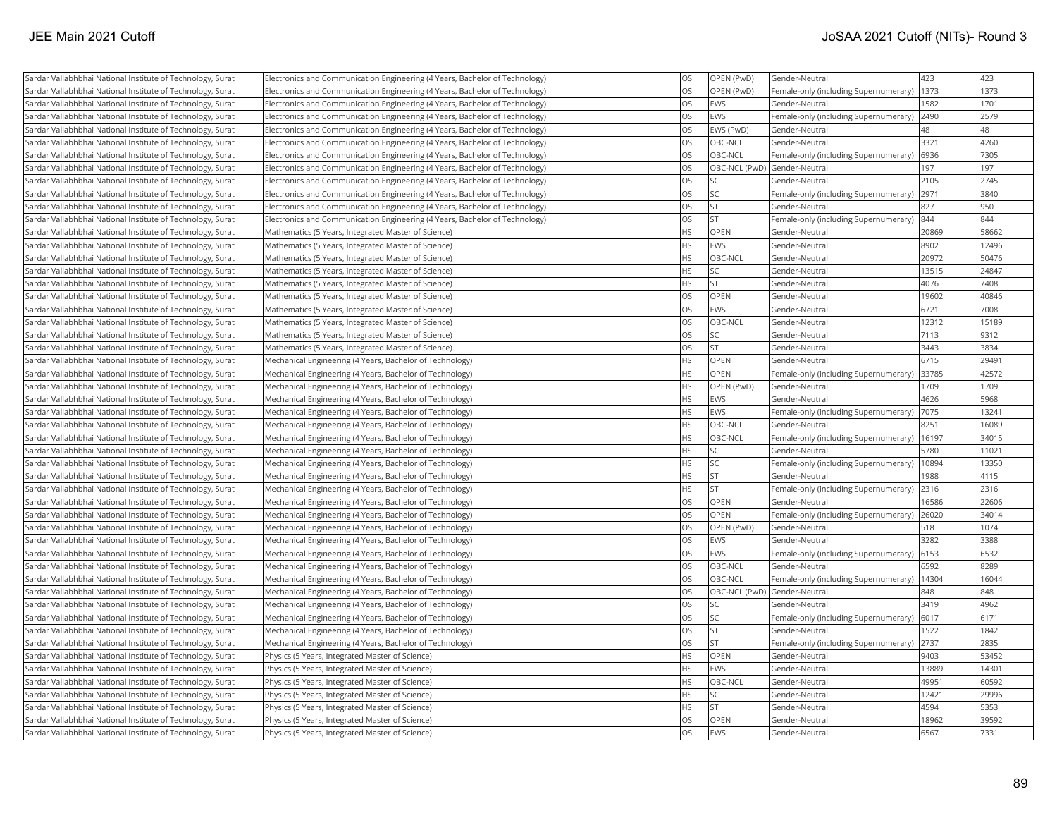| Sardar Vallabhbhai National Institute of Technology, Surat | Electronics and Communication Engineering (4 Years, Bachelor of Technology) | OS        | OPEN (PwD)                   | Gender-Neutral                        | 423   | 423   |
|------------------------------------------------------------|-----------------------------------------------------------------------------|-----------|------------------------------|---------------------------------------|-------|-------|
| Sardar Vallabhbhai National Institute of Technology, Surat | Electronics and Communication Engineering (4 Years, Bachelor of Technology) | OS        | OPEN (PwD)                   | Female-only (including Supernumerary) | 1373  | 1373  |
| Sardar Vallabhbhai National Institute of Technology, Surat | Electronics and Communication Engineering (4 Years, Bachelor of Technology) | OS        | EWS                          | Gender-Neutral                        | 1582  | 1701  |
| Sardar Vallabhbhai National Institute of Technology, Surat | Electronics and Communication Engineering (4 Years, Bachelor of Technology) | OS        | EWS                          | Female-only (including Supernumerary) | 2490  | 2579  |
| Sardar Vallabhbhai National Institute of Technology, Surat | Electronics and Communication Engineering (4 Years, Bachelor of Technology) | OS        | EWS (PwD)                    | Gender-Neutral                        | 48    | 48    |
| Sardar Vallabhbhai National Institute of Technology, Surat | Electronics and Communication Engineering (4 Years, Bachelor of Technology) | <b>OS</b> | OBC-NCL                      | Gender-Neutral                        | 3321  | 4260  |
| Sardar Vallabhbhai National Institute of Technology, Surat | Electronics and Communication Engineering (4 Years, Bachelor of Technology) | OS        | OBC-NCL                      | Female-only (including Supernumerary) | 6936  | 7305  |
| Sardar Vallabhbhai National Institute of Technology, Surat | Electronics and Communication Engineering (4 Years, Bachelor of Technology) | OS        |                              | OBC-NCL (PwD) Gender-Neutral          | 197   | 197   |
| Sardar Vallabhbhai National Institute of Technology, Surat | Electronics and Communication Engineering (4 Years, Bachelor of Technology) | OS        | SC                           | Gender-Neutral                        | 2105  | 2745  |
| Sardar Vallabhbhai National Institute of Technology, Surat | Electronics and Communication Engineering (4 Years, Bachelor of Technology) | OS        | SC                           | Female-only (including Supernumerary) | 2971  | 3840  |
| Sardar Vallabhbhai National Institute of Technology, Surat | Electronics and Communication Engineering (4 Years, Bachelor of Technology) | <b>OS</b> | ST                           | Gender-Neutral                        | 827   | 950   |
| Sardar Vallabhbhai National Institute of Technology, Surat | Electronics and Communication Engineering (4 Years, Bachelor of Technology) | <b>OS</b> | <b>ST</b>                    | Female-only (including Supernumerary) | 844   | 844   |
| Sardar Vallabhbhai National Institute of Technology, Surat | Mathematics (5 Years, Integrated Master of Science)                         | HS        | OPEN                         | Gender-Neutral                        | 20869 | 58662 |
| Sardar Vallabhbhai National Institute of Technology, Surat | Mathematics (5 Years, Integrated Master of Science)                         | <b>HS</b> | <b>EWS</b>                   | Gender-Neutral                        | 8902  | 12496 |
| Sardar Vallabhbhai National Institute of Technology, Surat | Mathematics (5 Years, Integrated Master of Science)                         | <b>HS</b> | OBC-NCL                      | Gender-Neutral                        | 20972 | 50476 |
| Sardar Vallabhbhai National Institute of Technology, Surat | Mathematics (5 Years, Integrated Master of Science)                         | <b>HS</b> | SC                           | Gender-Neutral                        | 13515 | 24847 |
| Sardar Vallabhbhai National Institute of Technology, Surat | Mathematics (5 Years, Integrated Master of Science)                         | <b>HS</b> | <b>ST</b>                    | Gender-Neutral                        | 4076  | 7408  |
| Sardar Vallabhbhai National Institute of Technology, Surat | Mathematics (5 Years, Integrated Master of Science)                         | OS        | OPEN                         | Gender-Neutral                        | 19602 | 40846 |
| Sardar Vallabhbhai National Institute of Technology, Surat | Mathematics (5 Years, Integrated Master of Science)                         | OS        | EWS                          | Gender-Neutral                        | 6721  | 7008  |
| Sardar Vallabhbhai National Institute of Technology, Surat | Mathematics (5 Years, Integrated Master of Science)                         | OS        | OBC-NCL                      | Gender-Neutral                        | 12312 | 15189 |
| Sardar Vallabhbhai National Institute of Technology, Surat | Mathematics (5 Years, Integrated Master of Science)                         | OS        | SC                           | Gender-Neutral                        | 7113  | 9312  |
| Sardar Vallabhbhai National Institute of Technology, Surat | Mathematics (5 Years, Integrated Master of Science)                         | OS        | <b>ST</b>                    | Gender-Neutral                        | 3443  | 3834  |
| Sardar Vallabhbhai National Institute of Technology, Surat | Mechanical Engineering (4 Years, Bachelor of Technology)                    | <b>HS</b> | OPEN                         | Gender-Neutral                        | 6715  | 29491 |
| Sardar Vallabhbhai National Institute of Technology, Surat | Mechanical Engineering (4 Years, Bachelor of Technology)                    | HS        | OPEN                         | Female-only (including Supernumerary) | 33785 | 42572 |
| Sardar Vallabhbhai National Institute of Technology, Surat | Mechanical Engineering (4 Years, Bachelor of Technology)                    | HS        | OPEN (PwD)                   | Gender-Neutral                        | 1709  | 1709  |
| Sardar Vallabhbhai National Institute of Technology, Surat | Mechanical Engineering (4 Years, Bachelor of Technology)                    | HS        | <b>EWS</b>                   | Gender-Neutral                        | 4626  | 5968  |
| Sardar Vallabhbhai National Institute of Technology, Surat | Mechanical Engineering (4 Years, Bachelor of Technology)                    | <b>HS</b> | EWS                          | Female-only (including Supernumerary) | 7075  | 13241 |
| Sardar Vallabhbhai National Institute of Technology, Surat | Mechanical Engineering (4 Years, Bachelor of Technology)                    | <b>HS</b> | OBC-NCL                      | Gender-Neutral                        | 8251  | 16089 |
| Sardar Vallabhbhai National Institute of Technology, Surat | Mechanical Engineering (4 Years, Bachelor of Technology)                    | HS        | OBC-NCL                      | Female-only (including Supernumerary) | 16197 | 34015 |
| Sardar Vallabhbhai National Institute of Technology, Surat | Mechanical Engineering (4 Years, Bachelor of Technology)                    | <b>HS</b> | SC                           | Gender-Neutral                        | 5780  | 11021 |
| Sardar Vallabhbhai National Institute of Technology, Surat | Mechanical Engineering (4 Years, Bachelor of Technology)                    | HS        | SC                           | Female-only (including Supernumerary) | 10894 | 13350 |
| Sardar Vallabhbhai National Institute of Technology, Surat | Mechanical Engineering (4 Years, Bachelor of Technology)                    | HS        | <b>ST</b>                    | Gender-Neutral                        | 1988  | 4115  |
| Sardar Vallabhbhai National Institute of Technology, Surat | Mechanical Engineering (4 Years, Bachelor of Technology)                    | HS        | <b>ST</b>                    | Female-only (including Supernumerary) | 2316  | 2316  |
| Sardar Vallabhbhai National Institute of Technology, Surat | Mechanical Engineering (4 Years, Bachelor of Technology)                    | OS        | OPEN                         | Gender-Neutral                        | 16586 | 22606 |
| Sardar Vallabhbhai National Institute of Technology, Surat | Mechanical Engineering (4 Years, Bachelor of Technology)                    | OS        | OPEN                         | Female-only (including Supernumerary) | 26020 | 34014 |
| Sardar Vallabhbhai National Institute of Technology, Surat | Mechanical Engineering (4 Years, Bachelor of Technology)                    | OS        | OPEN (PwD)                   | Gender-Neutral                        | 518   | 1074  |
| Sardar Vallabhbhai National Institute of Technology, Surat | Mechanical Engineering (4 Years, Bachelor of Technology)                    | OS        | EWS                          | Gender-Neutral                        | 3282  | 3388  |
| Sardar Vallabhbhai National Institute of Technology, Surat | Mechanical Engineering (4 Years, Bachelor of Technology)                    | OS        | <b>EWS</b>                   | Female-only (including Supernumerary) | 6153  | 6532  |
| Sardar Vallabhbhai National Institute of Technology, Surat | Mechanical Engineering (4 Years, Bachelor of Technology)                    | OS        | OBC-NCL                      | Gender-Neutral                        | 6592  | 8289  |
| Sardar Vallabhbhai National Institute of Technology, Surat | Mechanical Engineering (4 Years, Bachelor of Technology)                    | <b>OS</b> | OBC-NCL                      | Female-only (including Supernumerary) | 14304 | 16044 |
| Sardar Vallabhbhai National Institute of Technology, Surat | Mechanical Engineering (4 Years, Bachelor of Technology)                    | OS        | OBC-NCL (PwD) Gender-Neutral |                                       | 848   | 848   |
| Sardar Vallabhbhai National Institute of Technology, Surat | Mechanical Engineering (4 Years, Bachelor of Technology)                    | OS        | SC                           | Gender-Neutral                        | 3419  | 4962  |
| Sardar Vallabhbhai National Institute of Technology, Surat | Mechanical Engineering (4 Years, Bachelor of Technology)                    | OS        | SC                           | Female-only (including Supernumerary) | 6017  | 6171  |
| Sardar Vallabhbhai National Institute of Technology, Surat | Mechanical Engineering (4 Years, Bachelor of Technology)                    | OS        | <b>ST</b>                    | Gender-Neutral                        | 1522  | 1842  |
| Sardar Vallabhbhai National Institute of Technology, Surat | Mechanical Engineering (4 Years, Bachelor of Technology)                    | OS        | <b>ST</b>                    | Female-only (including Supernumerary) | 2737  | 2835  |
| Sardar Vallabhbhai National Institute of Technology, Surat | Physics (5 Years, Integrated Master of Science)                             | <b>HS</b> | <b>OPEN</b>                  | Gender-Neutral                        | 9403  | 53452 |
| Sardar Vallabhbhai National Institute of Technology, Surat | Physics (5 Years, Integrated Master of Science)                             | <b>HS</b> | EWS                          | Gender-Neutral                        | 13889 | 14301 |
| Sardar Vallabhbhai National Institute of Technology, Surat | Physics (5 Years, Integrated Master of Science)                             | <b>HS</b> | OBC-NCL                      | Gender-Neutral                        | 49951 | 60592 |
| Sardar Vallabhbhai National Institute of Technology, Surat | Physics (5 Years, Integrated Master of Science)                             | HS        | SC                           | Gender-Neutral                        | 12421 | 29996 |
| Sardar Vallabhbhai National Institute of Technology, Surat | Physics (5 Years, Integrated Master of Science)                             | HS        | <b>ST</b>                    | Gender-Neutral                        | 4594  | 5353  |
| Sardar Vallabhbhai National Institute of Technology, Surat | Physics (5 Years, Integrated Master of Science)                             | OS        | OPEN                         | Gender-Neutral                        | 18962 | 39592 |
| Sardar Vallabhbhai National Institute of Technology, Surat | Physics (5 Years, Integrated Master of Science)                             | <b>OS</b> | EWS                          | Gender-Neutral                        | 6567  | 7331  |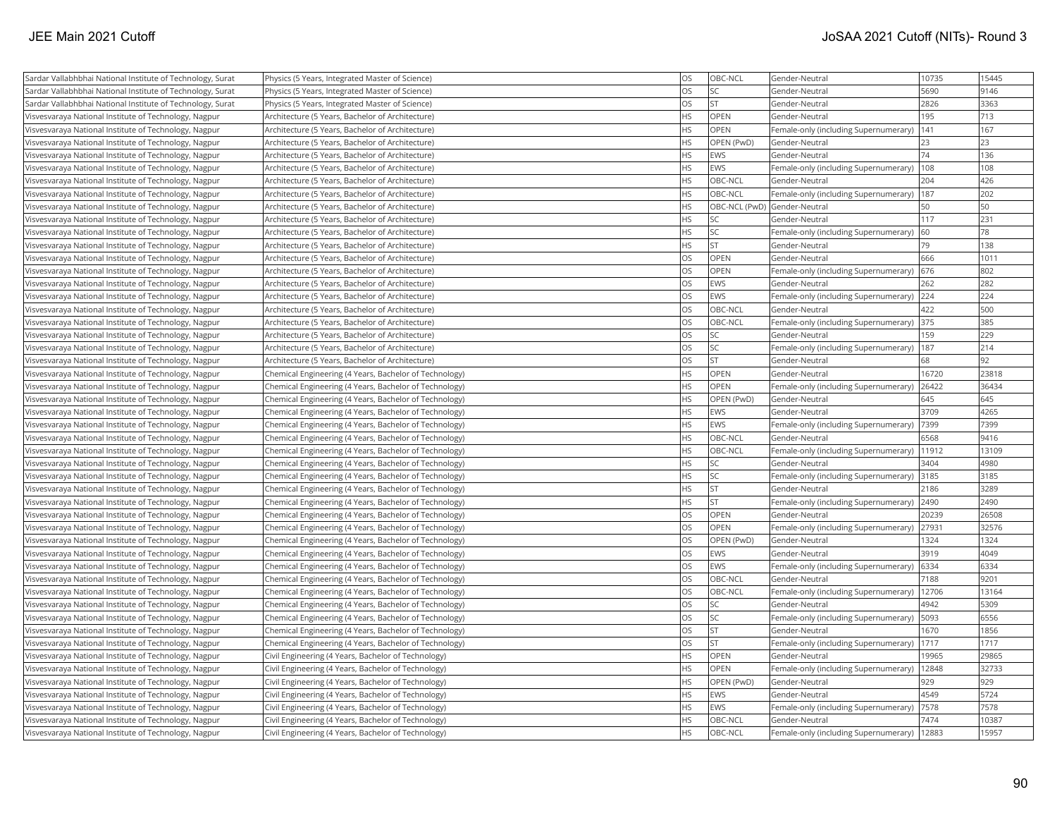| Sardar Vallabhbhai National Institute of Technology, Surat                                                     | Physics (5 Years, Integrated Master of Science)                                                            | OS        | OBC-NCL     | Gender-Neutral                               | 10735 | 15445 |
|----------------------------------------------------------------------------------------------------------------|------------------------------------------------------------------------------------------------------------|-----------|-------------|----------------------------------------------|-------|-------|
| Sardar Vallabhbhai National Institute of Technology, Surat                                                     | Physics (5 Years, Integrated Master of Science)                                                            | OS        | <b>SC</b>   | Gender-Neutral                               | 5690  | 9146  |
| Sardar Vallabhbhai National Institute of Technology, Surat                                                     | Physics (5 Years, Integrated Master of Science)                                                            | OS        | <b>ST</b>   | Gender-Neutral                               | 2826  | 3363  |
| Visvesvaraya National Institute of Technology, Nagpur                                                          | Architecture (5 Years, Bachelor of Architecture)                                                           | HS        | <b>OPEN</b> | Gender-Neutral                               | 195   | 713   |
| Visvesvaraya National Institute of Technology, Nagpur                                                          | Architecture (5 Years, Bachelor of Architecture)                                                           | <b>HS</b> | OPEN        | Female-only (including Supernumerary)        | 141   | 167   |
| Visvesvaraya National Institute of Technology, Nagpur                                                          | Architecture (5 Years, Bachelor of Architecture)                                                           | HS        | OPEN (PwD)  | Gender-Neutral                               | 23    | 23    |
| Visvesvaraya National Institute of Technology, Nagpur                                                          | Architecture (5 Years, Bachelor of Architecture)                                                           | HS        | EWS         | Gender-Neutral                               | 74    | 136   |
| Visvesvaraya National Institute of Technology, Nagpur                                                          | Architecture (5 Years, Bachelor of Architecture)                                                           | HS        | <b>EWS</b>  | Female-only (including Supernumerary)        | 108   | 108   |
| Visvesvaraya National Institute of Technology, Nagpur                                                          | Architecture (5 Years, Bachelor of Architecture)                                                           | HS        | OBC-NCL     | Gender-Neutral                               | 204   | 426   |
| Visvesvaraya National Institute of Technology, Nagpur                                                          | Architecture (5 Years, Bachelor of Architecture)                                                           | <b>HS</b> | OBC-NCL     | Female-only (including Supernumerary)        | 187   | 202   |
| Visvesvaraya National Institute of Technology, Nagpur                                                          | Architecture (5 Years, Bachelor of Architecture)                                                           | HS        |             | OBC-NCL (PwD) Gender-Neutral                 | 50    | 50    |
| Visvesvaraya National Institute of Technology, Nagpur                                                          | Architecture (5 Years, Bachelor of Architecture)                                                           | HS        | SC          | Gender-Neutral                               | 117   | 231   |
| Visvesvaraya National Institute of Technology, Nagpur                                                          | Architecture (5 Years, Bachelor of Architecture)                                                           | HS        | <b>SC</b>   | Female-only (including Supernumerary)        | 60    | 78    |
| Visvesvaraya National Institute of Technology, Nagpur                                                          | Architecture (5 Years, Bachelor of Architecture)                                                           | HS        | <b>ST</b>   | Gender-Neutral                               | 79    | 138   |
| Visvesvaraya National Institute of Technology, Nagpur                                                          | Architecture (5 Years, Bachelor of Architecture)                                                           | OS        | <b>OPEN</b> | Gender-Neutral                               | 666   | 1011  |
| Visvesvaraya National Institute of Technology, Nagpur                                                          | Architecture (5 Years, Bachelor of Architecture)                                                           | OS        | <b>OPEN</b> | Female-only (including Supernumerary) 676    |       | 802   |
| Visvesvaraya National Institute of Technology, Nagpur                                                          | Architecture (5 Years, Bachelor of Architecture)                                                           | OS        | <b>EWS</b>  | Gender-Neutral                               | 262   | 282   |
| Visvesvaraya National Institute of Technology, Nagpur                                                          | Architecture (5 Years, Bachelor of Architecture)                                                           | OS        | <b>EWS</b>  | Female-only (including Supernumerary)        | 224   | 224   |
| Visvesvaraya National Institute of Technology, Nagpur                                                          | Architecture (5 Years, Bachelor of Architecture)                                                           | OS        | OBC-NCL     | Gender-Neutral                               | 422   | 500   |
| Visvesvaraya National Institute of Technology, Nagpur                                                          | Architecture (5 Years, Bachelor of Architecture)                                                           | OS        | OBC-NCL     | Female-only (including Supernumerary)        | 375   | 385   |
| Visvesvaraya National Institute of Technology, Nagpur                                                          | Architecture (5 Years, Bachelor of Architecture)                                                           | OS        | SC          | Gender-Neutral                               | 159   | 229   |
| Visvesvaraya National Institute of Technology, Nagpur                                                          | Architecture (5 Years, Bachelor of Architecture)                                                           | OS        | <b>SC</b>   | Female-only (including Supernumerary)        | 187   | 214   |
| Visvesvaraya National Institute of Technology, Nagpur                                                          | Architecture (5 Years, Bachelor of Architecture)                                                           | OS        | <b>ST</b>   | Gender-Neutral                               | 68    | 92    |
| Visvesvaraya National Institute of Technology, Nagpur                                                          | Chemical Engineering (4 Years, Bachelor of Technology)                                                     | HS        | OPEN        | Gender-Neutral                               | 16720 | 23818 |
| Visvesvaraya National Institute of Technology, Nagpur                                                          | Chemical Engineering (4 Years, Bachelor of Technology)                                                     | HS        | <b>OPEN</b> | Female-only (including Supernumerary)        | 26422 | 36434 |
| Visvesvaraya National Institute of Technology, Nagpur                                                          | Chemical Engineering (4 Years, Bachelor of Technology)                                                     | <b>HS</b> | OPEN (PwD)  | Gender-Neutral                               | 645   | 645   |
| Visvesvaraya National Institute of Technology, Nagpur                                                          | Chemical Engineering (4 Years, Bachelor of Technology)                                                     | HS        | EWS         | Gender-Neutral                               | 3709  | 4265  |
| Visvesvaraya National Institute of Technology, Nagpur                                                          | Chemical Engineering (4 Years, Bachelor of Technology)                                                     | <b>HS</b> | <b>EWS</b>  | Female-only (including Supernumerary)        | 7399  | 7399  |
| Visvesvaraya National Institute of Technology, Nagpur                                                          | Chemical Engineering (4 Years, Bachelor of Technology)                                                     | HS        | OBC-NCL     | Gender-Neutral                               | 6568  | 9416  |
| Visvesvaraya National Institute of Technology, Nagpur                                                          | Chemical Engineering (4 Years, Bachelor of Technology)                                                     | HS        | OBC-NCL     | Female-only (including Supernumerary)   1912 |       | 13109 |
| Visvesvaraya National Institute of Technology, Nagpur                                                          | Chemical Engineering (4 Years, Bachelor of Technology)                                                     | HS        | SC          | Gender-Neutral                               | 3404  | 4980  |
| Visvesvaraya National Institute of Technology, Nagpur                                                          | Chemical Engineering (4 Years, Bachelor of Technology)                                                     | HS        | <b>SC</b>   | Female-only (including Supernumerary)        | 3185  | 3185  |
| Visvesvaraya National Institute of Technology, Nagpur                                                          | Chemical Engineering (4 Years, Bachelor of Technology)                                                     | HS        | <b>ST</b>   | Gender-Neutral                               | 2186  | 3289  |
| Visvesvaraya National Institute of Technology, Nagpur                                                          | Chemical Engineering (4 Years, Bachelor of Technology)                                                     | HS        | <b>ST</b>   | Female-only (including Supernumerary)        | 2490  | 2490  |
| Visvesvaraya National Institute of Technology, Nagpur                                                          | Chemical Engineering (4 Years, Bachelor of Technology)                                                     | OS        | OPEN        | Gender-Neutral                               | 20239 | 26508 |
| Visvesvaraya National Institute of Technology, Nagpur                                                          | Chemical Engineering (4 Years, Bachelor of Technology)                                                     | OS        | <b>OPEN</b> | Female-only (including Supernumerary)        | 27931 | 32576 |
| Visvesvaraya National Institute of Technology, Nagpur                                                          | Chemical Engineering (4 Years, Bachelor of Technology)                                                     | OS        | OPEN (PwD)  | Gender-Neutral                               | 1324  | 1324  |
| Visvesvaraya National Institute of Technology, Nagpur                                                          | Chemical Engineering (4 Years, Bachelor of Technology)                                                     | OS        | EWS         | Gender-Neutral                               | 3919  | 4049  |
| Visvesvaraya National Institute of Technology, Nagpur                                                          | Chemical Engineering (4 Years, Bachelor of Technology)                                                     | OS        | <b>EWS</b>  | Female-only (including Supernumerary)        | 6334  | 6334  |
| Visvesvaraya National Institute of Technology, Nagpur                                                          | Chemical Engineering (4 Years, Bachelor of Technology)                                                     | OS        | OBC-NCL     | Gender-Neutral                               | 7188  | 9201  |
| Visvesvaraya National Institute of Technology, Nagpur                                                          | Chemical Engineering (4 Years, Bachelor of Technology)                                                     | OS        | OBC-NCL     | Female-only (including Supernumerary)        | 12706 | 13164 |
| Visvesvaraya National Institute of Technology, Nagpur                                                          | Chemical Engineering (4 Years, Bachelor of Technology)                                                     | OS        | <b>SC</b>   | Gender-Neutral                               | 4942  | 5309  |
| Visvesvaraya National Institute of Technology, Nagpur                                                          | Chemical Engineering (4 Years, Bachelor of Technology)                                                     | OS        | SC          | Female-only (including Supernumerary)        | 5093  | 6556  |
| Visvesvaraya National Institute of Technology, Nagpur                                                          | Chemical Engineering (4 Years, Bachelor of Technology)                                                     | OS        | <b>ST</b>   | Gender-Neutral                               | 1670  | 1856  |
| Visvesvaraya National Institute of Technology, Nagpur                                                          | Chemical Engineering (4 Years, Bachelor of Technology)                                                     | OS        | <b>ST</b>   | Female-only (including Supernumerary)        | 1717  | 1717  |
| Visvesvaraya National Institute of Technology, Nagpur                                                          | Civil Engineering (4 Years, Bachelor of Technology)                                                        | <b>HS</b> | <b>OPEN</b> | Gender-Neutral                               | 19965 | 29865 |
|                                                                                                                |                                                                                                            | HS        | <b>OPEN</b> | Female-only (including Supernumerary)        | 12848 | 32733 |
| Visvesvaraya National Institute of Technology, Nagpur<br>Visvesvaraya National Institute of Technology, Nagpur | Civil Engineering (4 Years, Bachelor of Technology)<br>Civil Engineering (4 Years, Bachelor of Technology) | HS        | OPEN (PwD)  | Gender-Neutral                               | 929   | 929   |
| Visvesvaraya National Institute of Technology, Nagpur                                                          | Civil Engineering (4 Years, Bachelor of Technology)                                                        | HS        | <b>EWS</b>  | Gender-Neutral                               | 4549  | 5724  |
| Visvesvaraya National Institute of Technology, Nagpur                                                          | Civil Engineering (4 Years, Bachelor of Technology)                                                        | HS        | EWS         | Female-only (including Supernumerary)        | 7578  | 7578  |
| Visvesvaraya National Institute of Technology, Nagpur                                                          | Civil Engineering (4 Years, Bachelor of Technology)                                                        | <b>HS</b> | OBC-NCL     | Gender-Neutral                               | 7474  | 10387 |
| Visvesvaraya National Institute of Technology, Nagpur                                                          | Civil Engineering (4 Years, Bachelor of Technology)                                                        | <b>HS</b> | OBC-NCL     | Female-only (including Supernumerary)        | 12883 | 15957 |
|                                                                                                                |                                                                                                            |           |             |                                              |       |       |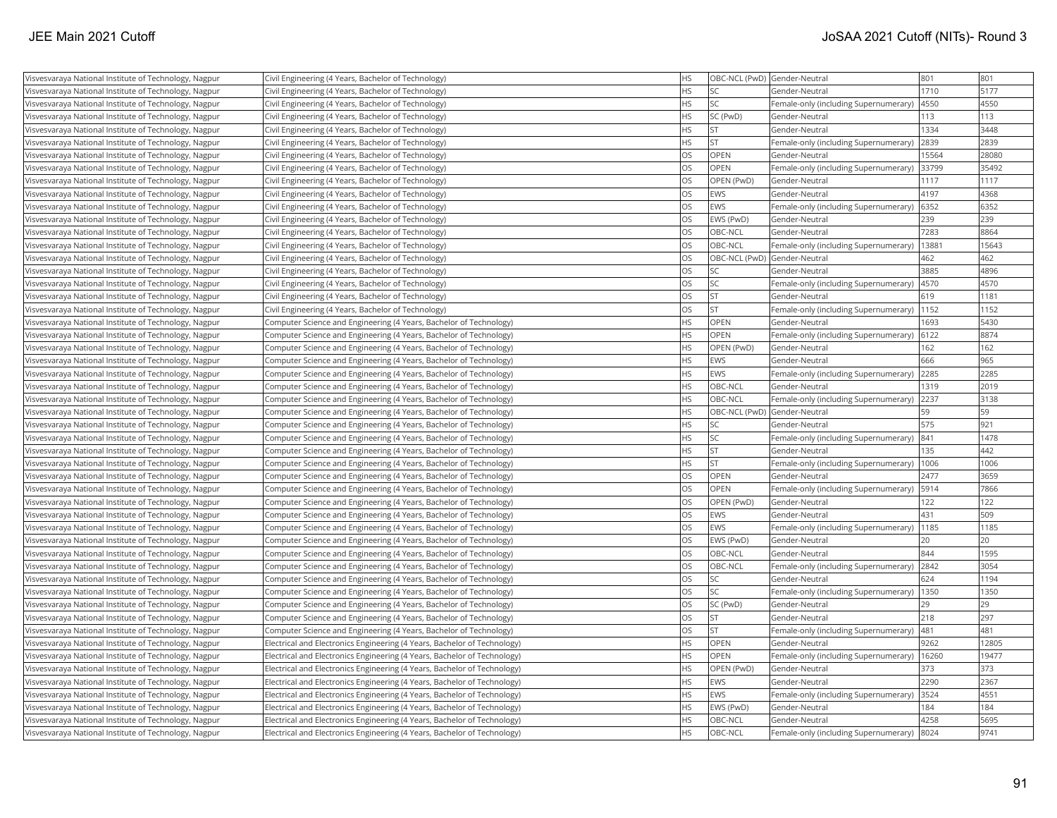| Visvesvaraya National Institute of Technology, Nagpur | Civil Engineering (4 Years, Bachelor of Technology)                      | <b>HS</b> |             | OBC-NCL (PwD) Gender-Neutral                 | 801   | 801   |
|-------------------------------------------------------|--------------------------------------------------------------------------|-----------|-------------|----------------------------------------------|-------|-------|
| Visvesvaraya National Institute of Technology, Nagpur | Civil Engineering (4 Years, Bachelor of Technology)                      | <b>HS</b> | SC.         | Gender-Neutral                               | 1710  | 5177  |
| Visvesvaraya National Institute of Technology, Nagpur | Civil Engineering (4 Years, Bachelor of Technology)                      | <b>HS</b> | lsc         | Female-only (including Supernumerary)        | 4550  | 4550  |
| Visvesvaraya National Institute of Technology, Nagpur | Civil Engineering (4 Years, Bachelor of Technology)                      | HS        | SC (PwD)    | Gender-Neutral                               | 113   | 113   |
| Visvesvaraya National Institute of Technology, Nagpur | Civil Engineering (4 Years, Bachelor of Technology)                      | <b>HS</b> | <b>ST</b>   | Gender-Neutral                               | 1334  | 3448  |
| Visvesvaraya National Institute of Technology, Nagpur | Civil Engineering (4 Years, Bachelor of Technology)                      | HS        | ST.         | Female-only (including Supernumerary)        | 2839  | 2839  |
| Visvesvaraya National Institute of Technology, Nagpur | Civil Engineering (4 Years, Bachelor of Technology)                      | OS        | <b>OPEN</b> | Gender-Neutral                               | 15564 | 28080 |
| Visvesvaraya National Institute of Technology, Nagpur | Civil Engineering (4 Years, Bachelor of Technology)                      | OS        | OPEN        | Female-only (including Supernumerary)        | 33799 | 35492 |
| Visvesvaraya National Institute of Technology, Nagpur | Civil Engineering (4 Years, Bachelor of Technology)                      | OS        | OPEN (PwD)  | Gender-Neutral                               | 1117  | 1117  |
| Visvesvaraya National Institute of Technology, Nagpur | Civil Engineering (4 Years, Bachelor of Technology)                      | OS        | <b>EWS</b>  | Gender-Neutral                               | 4197  | 4368  |
| Visvesvaraya National Institute of Technology, Nagpur | Civil Engineering (4 Years, Bachelor of Technology)                      | OS        | <b>EWS</b>  | Female-only (including Supernumerary)        | 6352  | 6352  |
| Visvesvaraya National Institute of Technology, Nagpur | Civil Engineering (4 Years, Bachelor of Technology)                      | OS        | EWS (PwD)   | Gender-Neutral                               | 239   | 239   |
| Visvesvaraya National Institute of Technology, Nagpur | Civil Engineering (4 Years, Bachelor of Technology)                      | OS        | OBC-NCL     | Gender-Neutral                               | 7283  | 8864  |
| Visvesvaraya National Institute of Technology, Nagpur | Civil Engineering (4 Years, Bachelor of Technology)                      | OS        | OBC-NCL     | Female-only (including Supernumerary)        | 13881 | 15643 |
| Visvesvaraya National Institute of Technology, Nagpur | Civil Engineering (4 Years, Bachelor of Technology)                      | OS        |             | OBC-NCL (PwD) Gender-Neutral                 | 462   | 462   |
| Visvesvaraya National Institute of Technology, Nagpur | Civil Engineering (4 Years, Bachelor of Technology)                      | OS        | lsc         | Gender-Neutral                               | 3885  | 4896  |
| Visvesvaraya National Institute of Technology, Nagpur | Civil Engineering (4 Years, Bachelor of Technology)                      | OS        | <b>SC</b>   | Female-only (including Supernumerary)        | 4570  | 4570  |
| Visvesvaraya National Institute of Technology, Nagpur | Civil Engineering (4 Years, Bachelor of Technology)                      | OS        | ST.         | Gender-Neutral                               | 619   | 1181  |
| Visvesvaraya National Institute of Technology, Nagpur | Civil Engineering (4 Years, Bachelor of Technology)                      | OS        | İst         | Female-only (including Supernumerary)        | 1152  | 1152  |
| Visvesvaraya National Institute of Technology, Nagpur | Computer Science and Engineering (4 Years, Bachelor of Technology)       | <b>HS</b> | OPEN        | Gender-Neutral                               | 1693  | 5430  |
| Visvesvaraya National Institute of Technology, Nagpur | Computer Science and Engineering (4 Years, Bachelor of Technology)       | <b>HS</b> | <b>OPEN</b> | Female-only (including Supernumerary)        | 6122  | 8874  |
| Visvesvaraya National Institute of Technology, Nagpur | Computer Science and Engineering (4 Years, Bachelor of Technology)       | <b>HS</b> | OPEN (PwD)  | Gender-Neutral                               | 162   | 162   |
| Visvesvaraya National Institute of Technology, Nagpur | Computer Science and Engineering (4 Years, Bachelor of Technology)       | <b>HS</b> | <b>EWS</b>  | Gender-Neutral                               | 666   | 965   |
| Visvesvaraya National Institute of Technology, Nagpur | Computer Science and Engineering (4 Years, Bachelor of Technology)       | <b>HS</b> | <b>EWS</b>  | Female-only (including Supernumerary)        | 2285  | 2285  |
| Visvesvaraya National Institute of Technology, Nagpur | Computer Science and Engineering (4 Years, Bachelor of Technology)       | <b>HS</b> | OBC-NCL     | Gender-Neutral                               | 1319  | 2019  |
| Visvesvaraya National Institute of Technology, Nagpur | Computer Science and Engineering (4 Years, Bachelor of Technology)       | <b>HS</b> | OBC-NCL     | Female-only (including Supernumerary)        | 2237  | 3138  |
| Visvesvaraya National Institute of Technology, Nagpur | Computer Science and Engineering (4 Years, Bachelor of Technology)       | <b>HS</b> |             | OBC-NCL (PwD) Gender-Neutral                 | 59    | 59    |
| Visvesvaraya National Institute of Technology, Nagpur | Computer Science and Engineering (4 Years, Bachelor of Technology)       | <b>HS</b> | SC.         | Gender-Neutral                               | 575   | 921   |
| Visvesvaraya National Institute of Technology, Nagpur | Computer Science and Engineering (4 Years, Bachelor of Technology)       | <b>HS</b> | SC.         | Female-only (including Supernumerary)        | 841   | 1478  |
| Visvesvaraya National Institute of Technology, Nagpur | Computer Science and Engineering (4 Years, Bachelor of Technology)       | <b>HS</b> | <b>ST</b>   | Gender-Neutral                               | 135   | 442   |
| Visvesvaraya National Institute of Technology, Nagpur | Computer Science and Engineering (4 Years, Bachelor of Technology)       | HS        | ST          | Female-only (including Supernumerary)        | 1006  | 1006  |
| Visvesvaraya National Institute of Technology, Nagpur | Computer Science and Engineering (4 Years, Bachelor of Technology)       | OS        | OPEN        | Gender-Neutral                               | 2477  | 3659  |
| Visvesvaraya National Institute of Technology, Nagpur | Computer Science and Engineering (4 Years, Bachelor of Technology)       | OS        | <b>OPEN</b> | Female-only (including Supernumerary)        | 5914  | 7866  |
| Visvesvaraya National Institute of Technology, Nagpur | Computer Science and Engineering (4 Years, Bachelor of Technology)       | OS        | OPEN (PwD)  | Gender-Neutral                               | 122   | 122   |
| Visvesvaraya National Institute of Technology, Nagpur | Computer Science and Engineering (4 Years, Bachelor of Technology)       | OS        | <b>EWS</b>  | Gender-Neutral                               | 431   | 509   |
| Visvesvaraya National Institute of Technology, Nagpur | Computer Science and Engineering (4 Years, Bachelor of Technology)       | OS        | <b>EWS</b>  | Female-only (including Supernumerary)        | 1185  | 1185  |
| Visvesvaraya National Institute of Technology, Nagpur | Computer Science and Engineering (4 Years, Bachelor of Technology)       | OS        | EWS (PwD)   | Gender-Neutral                               | 20    | 20    |
| Visvesvaraya National Institute of Technology, Nagpur | Computer Science and Engineering (4 Years, Bachelor of Technology)       | OS        | OBC-NCL     | Gender-Neutral                               | 844   | 1595  |
| Visvesvaraya National Institute of Technology, Nagpur | Computer Science and Engineering (4 Years, Bachelor of Technology)       | OS        | OBC-NCL     | Female-only (including Supernumerary) 2842   |       | 3054  |
| Visvesvaraya National Institute of Technology, Nagpur | Computer Science and Engineering (4 Years, Bachelor of Technology)       | OS        | SC.         | Gender-Neutral                               | 624   | 1194  |
| Visvesvaraya National Institute of Technology, Nagpur | Computer Science and Engineering (4 Years, Bachelor of Technology)       | OS        | SC.         | Female-only (including Supernumerary)   1350 |       | 1350  |
| Visvesvaraya National Institute of Technology, Nagpur | Computer Science and Engineering (4 Years, Bachelor of Technology)       | OS        | SC (PwD)    | Gender-Neutral                               | 29    | 29    |
| Visvesvaraya National Institute of Technology, Nagpur | Computer Science and Engineering (4 Years, Bachelor of Technology)       | OS        | <b>ST</b>   | Gender-Neutral                               | 218   | 297   |
| Visvesvaraya National Institute of Technology, Nagpur | Computer Science and Engineering (4 Years, Bachelor of Technology)       | OS        | ST          | Female-only (including Supernumerary)        | 481   | 481   |
| Visvesvaraya National Institute of Technology, Nagpur | Electrical and Electronics Engineering (4 Years, Bachelor of Technology) | <b>HS</b> | <b>OPEN</b> | Gender-Neutral                               | 9262  | 12805 |
| Visvesvaraya National Institute of Technology, Nagpur | Electrical and Electronics Engineering (4 Years, Bachelor of Technology) | HS        | <b>OPEN</b> | Female-only (including Supernumerary)        | 16260 | 19477 |
| Visvesvaraya National Institute of Technology, Nagpur | Electrical and Electronics Engineering (4 Years, Bachelor of Technology) | <b>HS</b> | OPEN (PwD)  | Gender-Neutral                               | 373   | 373   |
| Visvesvaraya National Institute of Technology, Nagpur | Electrical and Electronics Engineering (4 Years, Bachelor of Technology) | <b>HS</b> | <b>EWS</b>  | Gender-Neutral                               | 2290  | 2367  |
| Visvesvaraya National Institute of Technology, Nagpur | Electrical and Electronics Engineering (4 Years, Bachelor of Technology) | <b>HS</b> | <b>EWS</b>  | Female-only (including Supernumerary)        | 3524  | 4551  |
| Visvesvaraya National Institute of Technology, Nagpur | Electrical and Electronics Engineering (4 Years, Bachelor of Technology) | <b>HS</b> | EWS (PwD)   | Gender-Neutral                               | 184   | 184   |
| Visvesvaraya National Institute of Technology, Nagpur | Electrical and Electronics Engineering (4 Years, Bachelor of Technology) | HS        | OBC-NCL     | Gender-Neutral                               | 4258  | 5695  |
| Visvesvaraya National Institute of Technology, Nagpur | Electrical and Electronics Engineering (4 Years, Bachelor of Technology) | <b>HS</b> | OBC-NCL     | Female-only (including Supernumerary)        | 8024  | 9741  |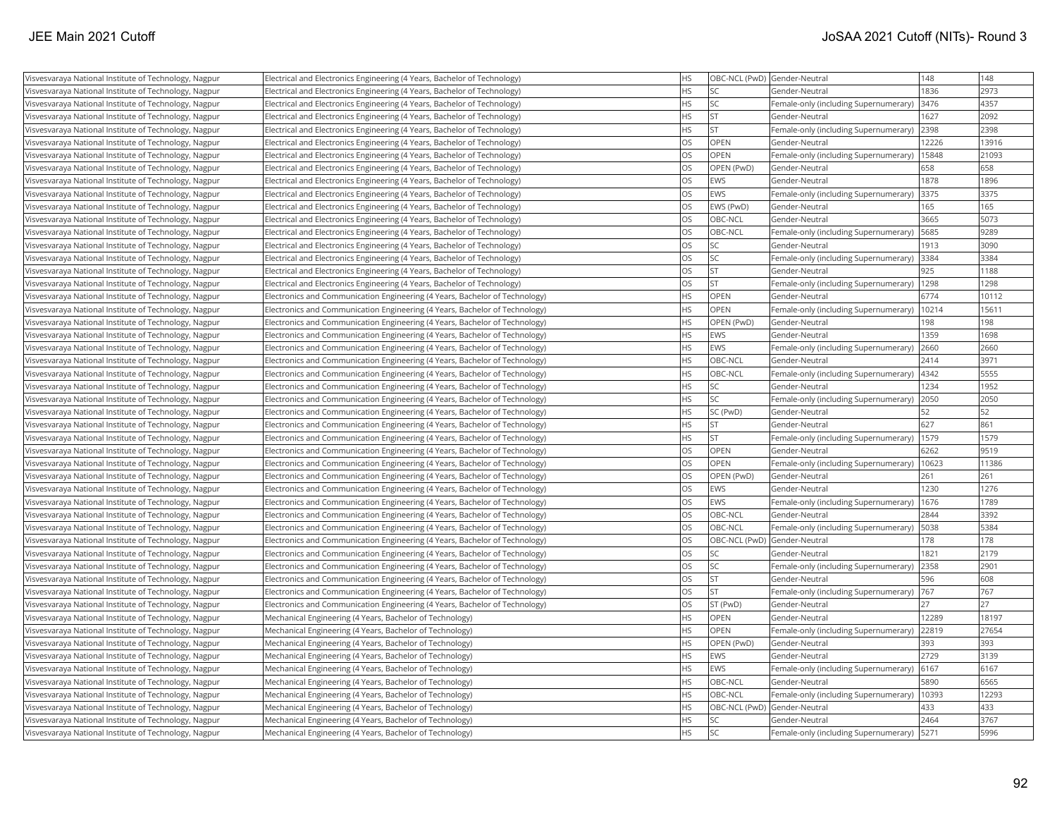| Visvesvaraya National Institute of Technology, Nagpur | Electrical and Electronics Engineering (4 Years, Bachelor of Technology)     | <b>HS</b> | OBC-NCL (PwD) Gender-Neutral |                                            | 148   | 148   |
|-------------------------------------------------------|------------------------------------------------------------------------------|-----------|------------------------------|--------------------------------------------|-------|-------|
| Visvesvaraya National Institute of Technology, Nagpur | Electrical and Electronics Engineering (4 Years, Bachelor of Technology)     | <b>HS</b> | SC                           | lGender-Neutral                            | 1836  | 2973  |
| Visvesvaraya National Institute of Technology, Nagpur | Electrical and Electronics Engineering (4 Years, Bachelor of Technology)     | <b>HS</b> | <b>SC</b>                    | Female-only (including Supernumerary)      | 3476  | 4357  |
| Visvesvaraya National Institute of Technology, Nagpur | Electrical and Electronics Engineering (4 Years, Bachelor of Technology)     | <b>HS</b> | İst                          | Gender-Neutral                             | 1627  | 2092  |
| Visvesvaraya National Institute of Technology, Nagpur | Electrical and Electronics Engineering (4 Years, Bachelor of Technology)     | <b>HS</b> | ST.                          | Female-only (including Supernumerary)      | 2398  | 2398  |
| Visvesvaraya National Institute of Technology, Nagpur | Electrical and Electronics Engineering (4 Years, Bachelor of Technology)     | OS        | <b>OPEN</b>                  | Gender-Neutral                             | 12226 | 13916 |
| Visvesvaraya National Institute of Technology, Nagpur | Electrical and Electronics Engineering (4 Years, Bachelor of Technology)     | <b>OS</b> | <b>OPEN</b>                  | Female-only (including Supernumerary)      | 15848 | 21093 |
| Visvesvaraya National Institute of Technology, Nagpur | Electrical and Electronics Engineering (4 Years, Bachelor of Technology)     | OS        | OPEN (PwD)                   | Gender-Neutral                             | 658   | 658   |
| Visvesvaraya National Institute of Technology, Nagpur | Electrical and Electronics Engineering (4 Years, Bachelor of Technology)     | <b>OS</b> | <b>EWS</b>                   | Gender-Neutral                             | 1878  | 1896  |
| Visvesvaraya National Institute of Technology, Nagpur | Electrical and Electronics Engineering (4 Years, Bachelor of Technology)     | <b>OS</b> | <b>EWS</b>                   | Female-only (including Supernumerary)      | 3375  | 3375  |
| Visvesvaraya National Institute of Technology, Nagpur | Electrical and Electronics Engineering (4 Years, Bachelor of Technology)     | <b>OS</b> | EWS (PwD)                    | Gender-Neutral                             | 165   | 165   |
| Visvesvaraya National Institute of Technology, Nagpur | Electrical and Electronics Engineering (4 Years, Bachelor of Technology)     | OS        | OBC-NCL                      | Gender-Neutral                             | 3665  | 5073  |
| Visvesvaraya National Institute of Technology, Nagpur | Electrical and Electronics Engineering (4 Years, Bachelor of Technology)     | <b>OS</b> | OBC-NCL                      | [Female-only (including Supernumerary)     | 5685  | 9289  |
| Visvesvaraya National Institute of Technology, Nagpur | Electrical and Electronics Engineering (4 Years, Bachelor of Technology)     | <b>OS</b> | SC.                          | Gender-Neutral                             | 1913  | 3090  |
| Visvesvaraya National Institute of Technology, Nagpur | Electrical and Electronics Engineering (4 Years, Bachelor of Technology)     | OS        | SC                           | Female-only (including Supernumerary)      | 3384  | 3384  |
| Visvesvaraya National Institute of Technology, Nagpur | Electrical and Electronics Engineering (4 Years, Bachelor of Technology)     | <b>OS</b> | İst                          | Gender-Neutral                             | 925   | 1188  |
| Visvesvaraya National Institute of Technology, Nagpur | Electrical and Electronics Engineering (4 Years, Bachelor of Technology)     | OS        | İst                          | Female-only (including Supernumerary)      | 1298  | 1298  |
| Visvesvaraya National Institute of Technology, Nagpur | Electronics and Communication Engineering (4 Years, Bachelor of Technology)  | <b>HS</b> | OPEN                         | Gender-Neutral                             | 6774  | 10112 |
| Visvesvaraya National Institute of Technology, Nagpur | Electronics and Communication Engineering (4 Years, Bachelor of Technology)  | <b>HS</b> | <b>OPEN</b>                  | Female-only (including Supernumerary)      | 10214 | 15611 |
| Visvesvaraya National Institute of Technology, Nagpur | Electronics and Communication Engineering (4 Years, Bachelor of Technology)  | <b>HS</b> | OPEN (PwD)                   | Gender-Neutral                             | 198   | 198   |
| Visvesvaraya National Institute of Technology, Nagpur | Electronics and Communication Engineering (4 Years, Bachelor of Technology)  | <b>HS</b> | <b>EWS</b>                   | Gender-Neutral                             | 1359  | 1698  |
| Visvesvaraya National Institute of Technology, Nagpur | [Electronics and Communication Engineering (4 Years, Bachelor of Technology) | <b>HS</b> | <b>EWS</b>                   | Female-only (including Supernumerary)      | 2660  | 2660  |
| Visvesvaraya National Institute of Technology, Nagpur | Electronics and Communication Engineering (4 Years, Bachelor of Technology)  | <b>HS</b> | OBC-NCL                      | Gender-Neutral                             | 2414  | 3971  |
| Visvesvaraya National Institute of Technology, Nagpur | Electronics and Communication Engineering (4 Years, Bachelor of Technology)  | <b>HS</b> | OBC-NCL                      | Female-only (including Supernumerary)      | 4342  | 5555  |
| Visvesvaraya National Institute of Technology, Nagpur | Electronics and Communication Engineering (4 Years, Bachelor of Technology)  | HS        | SC                           | Gender-Neutral                             | 1234  | 1952  |
| Visvesvaraya National Institute of Technology, Nagpur | Electronics and Communication Engineering (4 Years, Bachelor of Technology)  | <b>HS</b> | SC.                          | Female-only (including Supernumerary)      | 2050  | 2050  |
| Visvesvaraya National Institute of Technology, Nagpur | Electronics and Communication Engineering (4 Years, Bachelor of Technology)  | HS        | SC (PwD)                     | Gender-Neutral                             | 52    | 52    |
| Visvesvaraya National Institute of Technology, Nagpur | Electronics and Communication Engineering (4 Years, Bachelor of Technology)  | <b>HS</b> | lst                          | Gender-Neutral                             | 627   | 861   |
| Visvesvaraya National Institute of Technology, Nagpur | Electronics and Communication Engineering (4 Years, Bachelor of Technology)  | HS        | İst                          | Female-only (including Supernumerary)      | 1579  | 1579  |
| Visvesvaraya National Institute of Technology, Nagpur | Electronics and Communication Engineering (4 Years, Bachelor of Technology)  | <b>OS</b> | <b>OPEN</b>                  | Gender-Neutral                             | 6262  | 9519  |
| Visvesvaraya National Institute of Technology, Nagpur | Electronics and Communication Engineering (4 Years, Bachelor of Technology)  | <b>OS</b> | <b>OPEN</b>                  | Female-only (including Supernumerary)      | 10623 | 11386 |
| Visvesvaraya National Institute of Technology, Nagpur | Electronics and Communication Engineering (4 Years, Bachelor of Technology)  | OS        | OPEN (PwD)                   | Gender-Neutral                             | 261   | 261   |
| Visvesvaraya National Institute of Technology, Nagpur | Electronics and Communication Engineering (4 Years, Bachelor of Technology)  | <b>OS</b> | <b>EWS</b>                   | Gender-Neutral                             | 1230  | 1276  |
| Visvesvaraya National Institute of Technology, Nagpur | Electronics and Communication Engineering (4 Years, Bachelor of Technology)  | <b>OS</b> | <b>EWS</b>                   | Female-only (including Supernumerary)      | 1676  | 1789  |
| Visvesvaraya National Institute of Technology, Nagpur | Electronics and Communication Engineering (4 Years, Bachelor of Technology)  | <b>OS</b> | OBC-NCL                      | Gender-Neutral                             | 2844  | 3392  |
| Visvesvaraya National Institute of Technology, Nagpur | Electronics and Communication Engineering (4 Years, Bachelor of Technology)  | <b>OS</b> | OBC-NCL                      | Female-only (including Supernumerary)      | 5038  | 5384  |
| Visvesvaraya National Institute of Technology, Nagpur | Electronics and Communication Engineering (4 Years, Bachelor of Technology)  | <b>OS</b> | OBC-NCL (PwD) Gender-Neutral |                                            | 178   | 178   |
| Visvesvaraya National Institute of Technology, Nagpur | Electronics and Communication Engineering (4 Years, Bachelor of Technology)  | <b>OS</b> | SC                           | Gender-Neutral                             | 1821  | 2179  |
| Visvesvaraya National Institute of Technology, Nagpur | Electronics and Communication Engineering (4 Years, Bachelor of Technology)  | OS        | SC                           | Female-only (including Supernumerary) 2358 |       | 2901  |
| Visvesvaraya National Institute of Technology, Nagpur | Electronics and Communication Engineering (4 Years, Bachelor of Technology)  | OS        | <b>ST</b>                    | Gender-Neutral                             | 596   | 608   |
| Visvesvaraya National Institute of Technology, Nagpur | Electronics and Communication Engineering (4 Years, Bachelor of Technology)  | OS        | İst                          | Female-only (including Supernumerary) 767  |       | 767   |
| Visvesvaraya National Institute of Technology, Nagpur | Electronics and Communication Engineering (4 Years, Bachelor of Technology)  | <b>OS</b> | ST (PwD)                     | Gender-Neutral                             | 27    | 27    |
| Visvesvaraya National Institute of Technology, Nagpur | Mechanical Engineering (4 Years, Bachelor of Technology)                     | HS        | OPEN                         | Gender-Neutral                             | 12289 | 18197 |
| Visvesvaraya National Institute of Technology, Nagpur | Mechanical Engineering (4 Years, Bachelor of Technology)                     | HS        | OPEN                         | Female-only (including Supernumerary)      | 22819 | 27654 |
| Visvesvaraya National Institute of Technology, Nagpur | Mechanical Engineering (4 Years, Bachelor of Technology)                     | <b>HS</b> | OPEN (PwD)                   | Gender-Neutral                             | 393   | 393   |
| Visvesvaraya National Institute of Technology, Nagpur | Mechanical Engineering (4 Years, Bachelor of Technology)                     | HS        | <b>EWS</b>                   | Gender-Neutral                             | 2729  | 3139  |
| Visvesvaraya National Institute of Technology, Nagpur | Mechanical Engineering (4 Years, Bachelor of Technology)                     | <b>HS</b> | <b>EWS</b>                   | Female-only (including Supernumerary)      | 6167  | 6167  |
| Visvesvaraya National Institute of Technology, Nagpur | Mechanical Engineering (4 Years, Bachelor of Technology)                     | HS        | OBC-NCL                      | Gender-Neutral                             | 5890  | 6565  |
| Visvesvaraya National Institute of Technology, Nagpur | Mechanical Engineering (4 Years, Bachelor of Technology)                     | <b>HS</b> | OBC-NCL                      | Female-only (including Supernumerary)      | 10393 | 12293 |
| Visvesvaraya National Institute of Technology, Nagpur | Mechanical Engineering (4 Years, Bachelor of Technology)                     | <b>HS</b> | OBC-NCL (PwD) Gender-Neutral |                                            | 433   | 433   |
| Visvesvaraya National Institute of Technology, Nagpur | Mechanical Engineering (4 Years, Bachelor of Technology)                     | <b>HS</b> | lsc                          | Gender-Neutral                             | 2464  | 3767  |
| Visvesvaraya National Institute of Technology, Nagpur | Mechanical Engineering (4 Years, Bachelor of Technology)                     | <b>HS</b> | lsc                          | Female-only (including Supernumerary)      | 5271  | 5996  |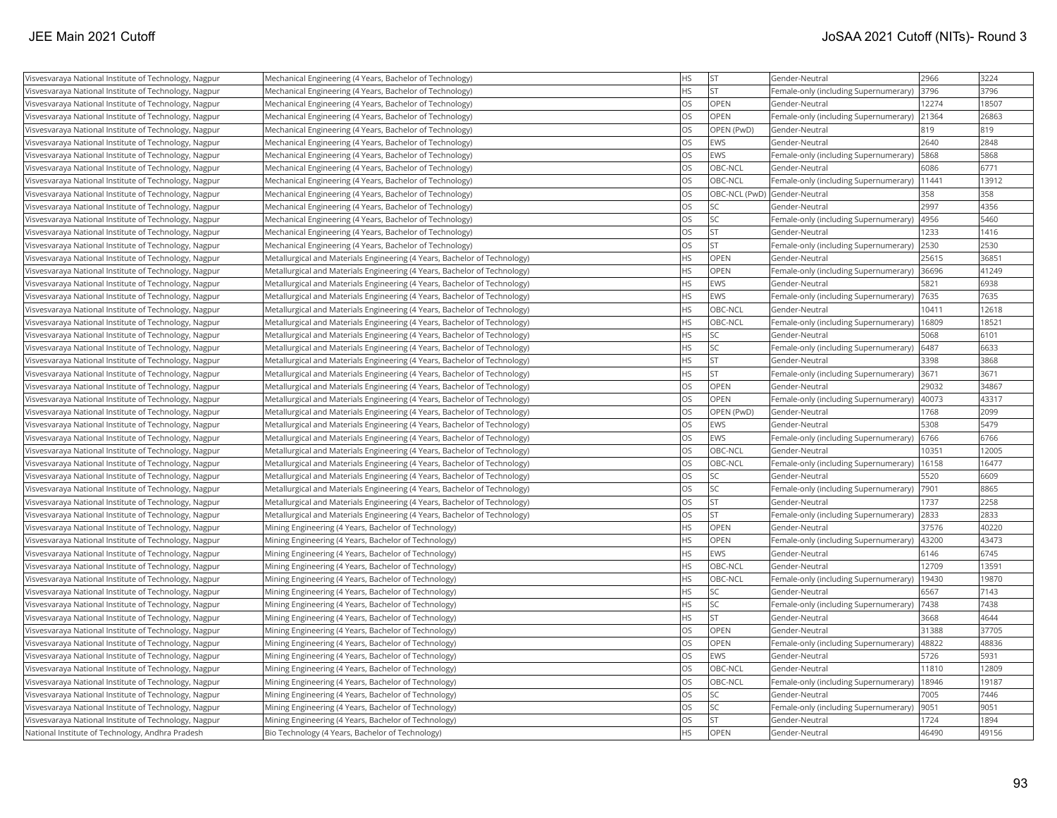| Visvesvaraya National Institute of Technology, Nagpur | Mechanical Engineering (4 Years, Bachelor of Technology)                  | <b>HS</b> | <b>ST</b>   | Gender-Neutral                              | 2966  | 3224  |
|-------------------------------------------------------|---------------------------------------------------------------------------|-----------|-------------|---------------------------------------------|-------|-------|
| Visvesvaraya National Institute of Technology, Nagpur | Mechanical Engineering (4 Years, Bachelor of Technology)                  | <b>HS</b> | <b>ST</b>   | Female-only (including Supernumerary)       | 3796  | 3796  |
| Visvesvaraya National Institute of Technology, Nagpur | Mechanical Engineering (4 Years, Bachelor of Technology)                  | <b>OS</b> | OPEN        | Gender-Neutral                              | 12274 | 18507 |
| Visvesvaraya National Institute of Technology, Nagpur | Mechanical Engineering (4 Years, Bachelor of Technology)                  | OS        | OPEN        | Female-only (including Supernumerary)       | 21364 | 26863 |
| Visvesvaraya National Institute of Technology, Nagpur | Mechanical Engineering (4 Years, Bachelor of Technology)                  | <b>OS</b> | OPEN (PwD)  | Gender-Neutral                              | 819   | 819   |
| Visvesvaraya National Institute of Technology, Nagpur | Mechanical Engineering (4 Years, Bachelor of Technology)                  | <b>OS</b> | EWS         | Gender-Neutral                              | 2640  | 2848  |
| Visvesvaraya National Institute of Technology, Nagpur | Mechanical Engineering (4 Years, Bachelor of Technology)                  | OS        | EWS         | Female-only (including Supernumerary)       | 5868  | 5868  |
| Visvesvaraya National Institute of Technology, Nagpur | Mechanical Engineering (4 Years, Bachelor of Technology)                  | OS        | OBC-NCL     | Gender-Neutral                              | 6086  | 6771  |
| Visvesvaraya National Institute of Technology, Nagpur | Mechanical Engineering (4 Years, Bachelor of Technology)                  | <b>OS</b> | OBC-NCL     | Female-only (including Supernumerary)       | 11441 | 13912 |
| Visvesvaraya National Institute of Technology, Nagpur | Mechanical Engineering (4 Years, Bachelor of Technology)                  | <b>OS</b> |             | OBC-NCL (PwD) Gender-Neutral                | 358   | 358   |
| Visvesvaraya National Institute of Technology, Nagpur | Mechanical Engineering (4 Years, Bachelor of Technology)                  | OS        | SC          | Gender-Neutral                              | 2997  | 4356  |
| Visvesvaraya National Institute of Technology, Nagpur | Mechanical Engineering (4 Years, Bachelor of Technology)                  | OS        | lsc         | Female-only (including Supernumerary)       | 4956  | 5460  |
| Visvesvaraya National Institute of Technology, Nagpur | Mechanical Engineering (4 Years, Bachelor of Technology)                  | <b>OS</b> | <b>ST</b>   | Gender-Neutral                              | 1233  | 1416  |
| Visvesvaraya National Institute of Technology, Nagpur | Mechanical Engineering (4 Years, Bachelor of Technology)                  | OS        | lst.        | Female-only (including Supernumerary)       | 2530  | 2530  |
| Visvesvaraya National Institute of Technology, Nagpur | Metallurgical and Materials Engineering (4 Years, Bachelor of Technology) | <b>HS</b> | OPEN        | Gender-Neutral                              | 25615 | 36851 |
| Visvesvaraya National Institute of Technology, Nagpur | Metallurgical and Materials Engineering (4 Years, Bachelor of Technology) | <b>HS</b> | OPEN        | Female-only (including Supernumerary) 36696 |       | 41249 |
| Visvesvaraya National Institute of Technology, Nagpur | Metallurgical and Materials Engineering (4 Years, Bachelor of Technology) | <b>HS</b> | EWS         | Gender-Neutral                              | 5821  | 6938  |
| Visvesvaraya National Institute of Technology, Nagpur | Metallurgical and Materials Engineering (4 Years, Bachelor of Technology) | <b>HS</b> | EWS         | Female-only (including Supernumerary)       | 7635  | 7635  |
| Visvesvaraya National Institute of Technology, Nagpur | Metallurgical and Materials Engineering (4 Years, Bachelor of Technology) | <b>HS</b> | OBC-NCL     | Gender-Neutral                              | 10411 | 12618 |
| Visvesvaraya National Institute of Technology, Nagpur | Metallurgical and Materials Engineering (4 Years, Bachelor of Technology) | <b>HS</b> | OBC-NCL     | Female-only (including Supernumerary)       | 16809 | 18521 |
| Visvesvaraya National Institute of Technology, Nagpur | Metallurgical and Materials Engineering (4 Years, Bachelor of Technology) | <b>HS</b> | <b>SC</b>   | Gender-Neutral                              | 5068  | 6101  |
| Visvesvaraya National Institute of Technology, Nagpur | Metallurgical and Materials Engineering (4 Years, Bachelor of Technology) | <b>HS</b> | SC          | Female-only (including Supernumerary)       | 6487  | 6633  |
| Visvesvaraya National Institute of Technology, Nagpur | Metallurgical and Materials Engineering (4 Years, Bachelor of Technology) | <b>HS</b> | <b>ST</b>   | Gender-Neutral                              | 3398  | 3868  |
| Visvesvaraya National Institute of Technology, Nagpur | Metallurgical and Materials Engineering (4 Years, Bachelor of Technology) | <b>HS</b> | <b>ST</b>   | Female-only (including Supernumerary)       | 3671  | 3671  |
| Visvesvaraya National Institute of Technology, Nagpur | Metallurgical and Materials Engineering (4 Years, Bachelor of Technology) | OS        | <b>OPEN</b> | Gender-Neutral                              | 29032 | 34867 |
| Visvesvaraya National Institute of Technology, Nagpur | Metallurgical and Materials Engineering (4 Years, Bachelor of Technology) | <b>OS</b> | OPEN        | Female-only (including Supernumerary)       | 40073 | 43317 |
| Visvesvaraya National Institute of Technology, Nagpur | Metallurgical and Materials Engineering (4 Years, Bachelor of Technology) | <b>OS</b> | OPEN (PwD)  | Gender-Neutral                              | 1768  | 2099  |
| Visvesvaraya National Institute of Technology, Nagpur | Metallurgical and Materials Engineering (4 Years, Bachelor of Technology) | <b>OS</b> | EWS         | Gender-Neutral                              | 5308  | 5479  |
| Visvesvaraya National Institute of Technology, Nagpur | Metallurgical and Materials Engineering (4 Years, Bachelor of Technology) | <b>OS</b> | EWS         | Female-only (including Supernumerary)       | 6766  | 6766  |
| Visvesvaraya National Institute of Technology, Nagpur | Metallurgical and Materials Engineering (4 Years, Bachelor of Technology) | <b>OS</b> | OBC-NCL     | Gender-Neutral                              | 10351 | 12005 |
| Visvesvaraya National Institute of Technology, Nagpur | Metallurgical and Materials Engineering (4 Years, Bachelor of Technology) | OS        | OBC-NCL     | Female-only (including Supernumerary)       | 16158 | 16477 |
| Visvesvaraya National Institute of Technology, Nagpur | Metallurgical and Materials Engineering (4 Years, Bachelor of Technology) | <b>OS</b> | SC          | Gender-Neutral                              | 5520  | 6609  |
| Visvesvaraya National Institute of Technology, Nagpur | Metallurgical and Materials Engineering (4 Years, Bachelor of Technology) | <b>OS</b> | SC          | Female-only (including Supernumerary)       | 7901  | 8865  |
| Visvesvaraya National Institute of Technology, Nagpur | Metallurgical and Materials Engineering (4 Years, Bachelor of Technology) | <b>OS</b> | <b>ST</b>   | Gender-Neutral                              | 1737  | 2258  |
| Visvesvaraya National Institute of Technology, Nagpur | Metallurgical and Materials Engineering (4 Years, Bachelor of Technology) | <b>OS</b> | lst.        | Female-only (including Supernumerary)       | 2833  | 2833  |
| Visvesvaraya National Institute of Technology, Nagpur | Mining Engineering (4 Years, Bachelor of Technology)                      | <b>HS</b> | OPEN        | Gender-Neutral                              | 37576 | 40220 |
| Visvesvaraya National Institute of Technology, Nagpur | Mining Engineering (4 Years, Bachelor of Technology)                      | <b>HS</b> | <b>OPEN</b> | Female-only (including Supernumerary)       | 43200 | 43473 |
| Visvesvaraya National Institute of Technology, Nagpur | Mining Engineering (4 Years, Bachelor of Technology)                      | <b>HS</b> | EWS         | Gender-Neutral                              | 6146  | 6745  |
| Visvesvaraya National Institute of Technology, Nagpur | Mining Engineering (4 Years, Bachelor of Technology)                      | <b>HS</b> | OBC-NCL     | Gender-Neutral                              | 12709 | 13591 |
| Visvesvaraya National Institute of Technology, Nagpur | Mining Engineering (4 Years, Bachelor of Technology)                      | <b>HS</b> | OBC-NCL     | Female-only (including Supernumerary)       | 19430 | 19870 |
| Visvesvaraya National Institute of Technology, Nagpur | Mining Engineering (4 Years, Bachelor of Technology)                      | <b>HS</b> | SC          | Gender-Neutral                              | 6567  | 7143  |
| Visvesvaraya National Institute of Technology, Nagpur | Mining Engineering (4 Years, Bachelor of Technology)                      | <b>HS</b> | SC          | Female-only (including Supernumerary)       | 7438  | 7438  |
| Visvesvaraya National Institute of Technology, Nagpur | Mining Engineering (4 Years, Bachelor of Technology)                      | <b>HS</b> | lst         | Gender-Neutral                              | 3668  | 4644  |
| Visvesvaraya National Institute of Technology, Nagpur | Mining Engineering (4 Years, Bachelor of Technology)                      | <b>OS</b> | OPEN        | Gender-Neutral                              | 31388 | 37705 |
| Visvesvaraya National Institute of Technology, Nagpur | Mining Engineering (4 Years, Bachelor of Technology)                      | <b>OS</b> | OPEN        | Female-only (including Supernumerary)       | 48822 | 48836 |
| Visvesvaraya National Institute of Technology, Nagpur | Mining Engineering (4 Years, Bachelor of Technology)                      | <b>OS</b> | EWS         | Gender-Neutral                              | 5726  | 5931  |
| Visvesvaraya National Institute of Technology, Nagpur | Mining Engineering (4 Years, Bachelor of Technology)                      | <b>OS</b> | OBC-NCL     | Gender-Neutral                              | 11810 | 12809 |
| Visvesvaraya National Institute of Technology, Nagpur | Mining Engineering (4 Years, Bachelor of Technology)                      | <b>OS</b> | OBC-NCL     | Female-only (including Supernumerary)       | 18946 | 19187 |
| Visvesvaraya National Institute of Technology, Nagpur | Mining Engineering (4 Years, Bachelor of Technology)                      | <b>OS</b> | SC          | Gender-Neutral                              | 7005  | 7446  |
| Visvesvaraya National Institute of Technology, Nagpur | Mining Engineering (4 Years, Bachelor of Technology)                      | <b>OS</b> | SC          | Female-only (including Supernumerary)       | 9051  | 9051  |
| Visvesvaraya National Institute of Technology, Nagpur | Mining Engineering (4 Years, Bachelor of Technology)                      | <b>OS</b> | İst         | Gender-Neutral                              | 1724  | 1894  |
| National Institute of Technology, Andhra Pradesh      | Bio Technology (4 Years, Bachelor of Technology)                          | <b>HS</b> | OPEN        | Gender-Neutral                              | 46490 | 49156 |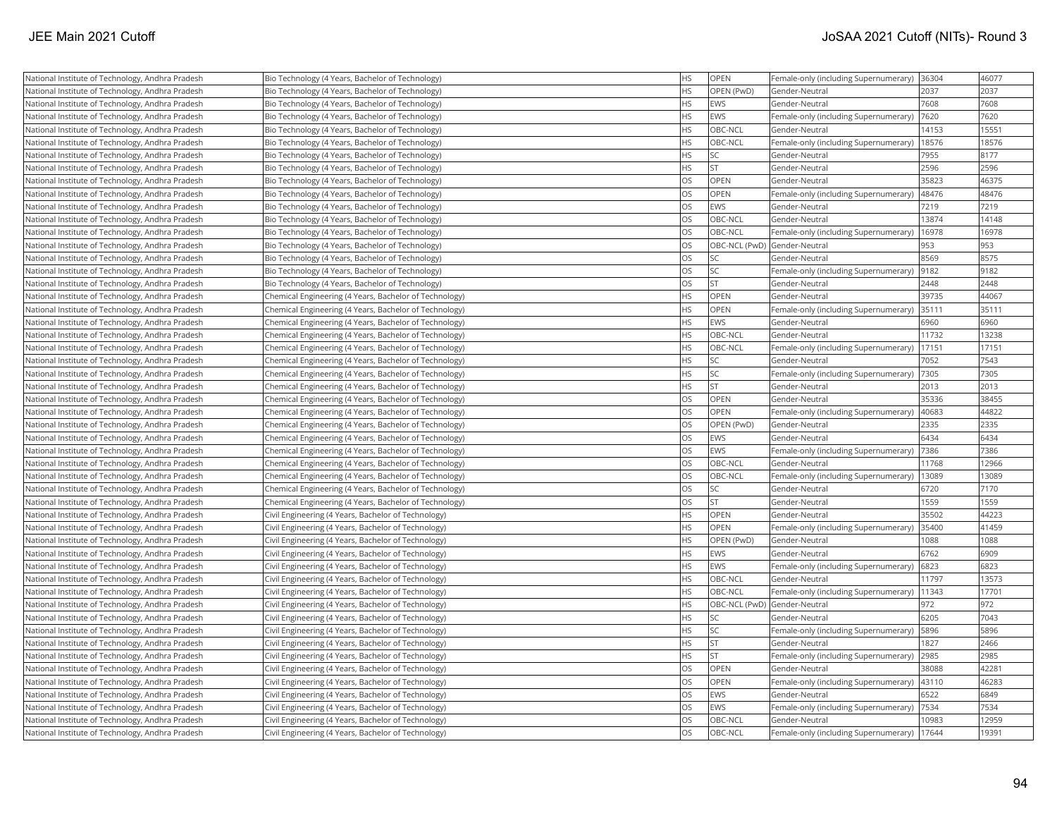| National Institute of Technology, Andhra Pradesh | Bio Technology (4 Years, Bachelor of Technology)       | НS        | OPEN                         | Female-only (including Supernumerary)  36304  |       | 46077 |
|--------------------------------------------------|--------------------------------------------------------|-----------|------------------------------|-----------------------------------------------|-------|-------|
| National Institute of Technology, Andhra Pradesh | Bio Technology (4 Years, Bachelor of Technology)       | <b>HS</b> | OPEN (PwD)                   | Gender-Neutral                                | 2037  | 2037  |
| National Institute of Technology, Andhra Pradesh | Bio Technology (4 Years, Bachelor of Technology)       | <b>HS</b> | <b>EWS</b>                   | Gender-Neutral                                | 7608  | 7608  |
| National Institute of Technology, Andhra Pradesh | Bio Technology (4 Years, Bachelor of Technology)       | <b>HS</b> | <b>EWS</b>                   | Female-only (including Supernumerary)         | 7620  | 7620  |
| National Institute of Technology, Andhra Pradesh | Bio Technology (4 Years, Bachelor of Technology)       | <b>HS</b> | OBC-NCL                      | Gender-Neutral                                | 14153 | 15551 |
| National Institute of Technology, Andhra Pradesh | Bio Technology (4 Years, Bachelor of Technology)       | <b>HS</b> | OBC-NCL                      | Female-only (including Supernumerary)         | 18576 | 18576 |
| National Institute of Technology, Andhra Pradesh | Bio Technology (4 Years, Bachelor of Technology)       | <b>HS</b> | SC                           | Gender-Neutral                                | 7955  | 8177  |
| National Institute of Technology, Andhra Pradesh | Bio Technology (4 Years, Bachelor of Technology)       | HS        | <b>ST</b>                    | Gender-Neutral                                | 2596  | 2596  |
| National Institute of Technology, Andhra Pradesh | Bio Technology (4 Years, Bachelor of Technology)       | <b>OS</b> | <b>OPEN</b>                  | Gender-Neutral                                | 35823 | 46375 |
| National Institute of Technology, Andhra Pradesh | Bio Technology (4 Years, Bachelor of Technology)       | OS        | OPEN                         | Female-only (including Supernumerary)         | 48476 | 48476 |
| National Institute of Technology, Andhra Pradesh | Bio Technology (4 Years, Bachelor of Technology)       | OS        | <b>EWS</b>                   | Gender-Neutral                                | 7219  | 7219  |
| National Institute of Technology, Andhra Pradesh | Bio Technology (4 Years, Bachelor of Technology)       | OS        | OBC-NCL                      | Gender-Neutral                                | 13874 | 14148 |
| National Institute of Technology, Andhra Pradesh | Bio Technology (4 Years, Bachelor of Technology)       | OS        | OBC-NCL                      | Female-only (including Supernumerary)         | 16978 | 16978 |
| National Institute of Technology, Andhra Pradesh | Bio Technology (4 Years, Bachelor of Technology)       | OS        |                              | OBC-NCL (PwD) Gender-Neutral                  | 953   | 953   |
| National Institute of Technology, Andhra Pradesh | Bio Technology (4 Years, Bachelor of Technology)       | OS        | SC                           | Gender-Neutral                                | 8569  | 8575  |
| National Institute of Technology, Andhra Pradesh | Bio Technology (4 Years, Bachelor of Technology)       | OS        | SC                           | Female-only (including Supernumerary)  9182   |       | 9182  |
| National Institute of Technology, Andhra Pradesh | Bio Technology (4 Years, Bachelor of Technology)       | OS        | <b>ST</b>                    | Gender-Neutral                                | 2448  | 2448  |
| National Institute of Technology, Andhra Pradesh | Chemical Engineering (4 Years, Bachelor of Technology) | <b>HS</b> | OPEN                         | Gender-Neutral                                | 39735 | 44067 |
| National Institute of Technology, Andhra Pradesh | Chemical Engineering (4 Years, Bachelor of Technology) | <b>HS</b> | OPEN                         | Female-only (including Supernumerary)         | 35111 | 35111 |
| National Institute of Technology, Andhra Pradesh | Chemical Engineering (4 Years, Bachelor of Technology) | <b>HS</b> | EWS                          | Gender-Neutral                                | 6960  | 6960  |
| National Institute of Technology, Andhra Pradesh | Chemical Engineering (4 Years, Bachelor of Technology) | <b>HS</b> | OBC-NCL                      | Gender-Neutral                                | 11732 | 13238 |
| National Institute of Technology, Andhra Pradesh | Chemical Engineering (4 Years, Bachelor of Technology) | <b>HS</b> | OBC-NCL                      | Female-only (including Supernumerary)         | 17151 | 17151 |
| National Institute of Technology, Andhra Pradesh | Chemical Engineering (4 Years, Bachelor of Technology) | <b>HS</b> | SC                           | Gender-Neutral                                | 7052  | 7543  |
| National Institute of Technology, Andhra Pradesh | Chemical Engineering (4 Years, Bachelor of Technology) | HS        | SC                           | Female-only (including Supernumerary)   7305  |       | 7305  |
| National Institute of Technology, Andhra Pradesh | Chemical Engineering (4 Years, Bachelor of Technology) | <b>HS</b> | <b>ST</b>                    | Gender-Neutral                                | 2013  | 2013  |
| National Institute of Technology, Andhra Pradesh | Chemical Engineering (4 Years, Bachelor of Technology) | OS        | OPEN                         | Gender-Neutral                                | 35336 | 38455 |
| National Institute of Technology, Andhra Pradesh | Chemical Engineering (4 Years, Bachelor of Technology) | OS        | OPEN                         | Female-only (including Supernumerary)         | 40683 | 44822 |
| National Institute of Technology, Andhra Pradesh | Chemical Engineering (4 Years, Bachelor of Technology) | OS        | OPEN (PwD)                   | Gender-Neutral                                | 2335  | 2335  |
| National Institute of Technology, Andhra Pradesh | Chemical Engineering (4 Years, Bachelor of Technology) | OS        | EWS                          | Gender-Neutral                                | 6434  | 6434  |
| National Institute of Technology, Andhra Pradesh | Chemical Engineering (4 Years, Bachelor of Technology) | OS        | <b>EWS</b>                   | Female-only (including Supernumerary)         | 7386  | 7386  |
| National Institute of Technology, Andhra Pradesh | Chemical Engineering (4 Years, Bachelor of Technology) | OS        | OBC-NCL                      | Gender-Neutral                                | 11768 | 12966 |
| National Institute of Technology, Andhra Pradesh | Chemical Engineering (4 Years, Bachelor of Technology) | OS        | OBC-NCL                      | Female-only (including Supernumerary)   13089 |       | 13089 |
| National Institute of Technology, Andhra Pradesh | Chemical Engineering (4 Years, Bachelor of Technology) | OS        | <b>SC</b>                    | Gender-Neutral                                | 6720  | 7170  |
| National Institute of Technology, Andhra Pradesh | Chemical Engineering (4 Years, Bachelor of Technology) | OS        | <b>ST</b>                    | Gender-Neutral                                | 1559  | 1559  |
| National Institute of Technology, Andhra Pradesh | Civil Engineering (4 Years, Bachelor of Technology)    | <b>HS</b> | OPEN                         | Gender-Neutral                                | 35502 | 44223 |
| National Institute of Technology, Andhra Pradesh | Civil Engineering (4 Years, Bachelor of Technology)    | <b>HS</b> | <b>OPEN</b>                  | Female-only (including Supernumerary)         | 35400 | 41459 |
| National Institute of Technology, Andhra Pradesh | Civil Engineering (4 Years, Bachelor of Technology)    | <b>HS</b> | OPEN (PwD)                   | Gender-Neutral                                | 1088  | 1088  |
| National Institute of Technology, Andhra Pradesh | Civil Engineering (4 Years, Bachelor of Technology)    | <b>HS</b> | <b>EWS</b>                   | Gender-Neutral                                | 6762  | 6909  |
| National Institute of Technology, Andhra Pradesh | Civil Engineering (4 Years, Bachelor of Technology)    | HS        | EWS                          | Female-only (including Supernumerary)         | 6823  | 6823  |
| National Institute of Technology, Andhra Pradesh | Civil Engineering (4 Years, Bachelor of Technology)    | HS        | OBC-NCL                      | Gender-Neutral                                | 11797 | 13573 |
| National Institute of Technology, Andhra Pradesh | Civil Engineering (4 Years, Bachelor of Technology)    | <b>HS</b> | OBC-NCL                      | Female-only (including Supernumerary)   11343 |       | 17701 |
| National Institute of Technology, Andhra Pradesh | Civil Engineering (4 Years, Bachelor of Technology)    | НS        | OBC-NCL (PwD) Gender-Neutral |                                               | 972   | 972   |
| National Institute of Technology, Andhra Pradesh | Civil Engineering (4 Years, Bachelor of Technology)    | <b>HS</b> | SC                           | Gender-Neutral                                | 6205  | 7043  |
| National Institute of Technology, Andhra Pradesh | Civil Engineering (4 Years, Bachelor of Technology)    | <b>HS</b> | SC                           | Female-only (including Supernumerary)         | 5896  | 5896  |
| National Institute of Technology, Andhra Pradesh | Civil Engineering (4 Years, Bachelor of Technology)    | <b>HS</b> | <b>ST</b>                    | Gender-Neutral                                | 1827  | 2466  |
| National Institute of Technology, Andhra Pradesh | Civil Engineering (4 Years, Bachelor of Technology)    | <b>HS</b> | <b>ST</b>                    | Female-only (including Supernumerary)         | 2985  | 2985  |
| National Institute of Technology, Andhra Pradesh | Civil Engineering (4 Years, Bachelor of Technology)    | OS        | OPEN                         | Gender-Neutral                                | 38088 | 42281 |
| National Institute of Technology, Andhra Pradesh | Civil Engineering (4 Years, Bachelor of Technology)    | OS        | OPEN                         | Female-only (including Supernumerary)   43110 |       | 46283 |
| National Institute of Technology, Andhra Pradesh | Civil Engineering (4 Years, Bachelor of Technology)    | OS        | <b>EWS</b>                   | Gender-Neutral                                | 6522  | 6849  |
| National Institute of Technology, Andhra Pradesh | Civil Engineering (4 Years, Bachelor of Technology)    | OS        | <b>EWS</b>                   | Female-only (including Supernumerary)         | 7534  | 7534  |
| National Institute of Technology, Andhra Pradesh | Civil Engineering (4 Years, Bachelor of Technology)    | OS        | OBC-NCL                      | Gender-Neutral                                | 10983 | 12959 |
| National Institute of Technology, Andhra Pradesh | Civil Engineering (4 Years, Bachelor of Technology)    | <b>OS</b> | OBC-NCL                      | Female-only (including Supernumerary)   17644 |       | 19391 |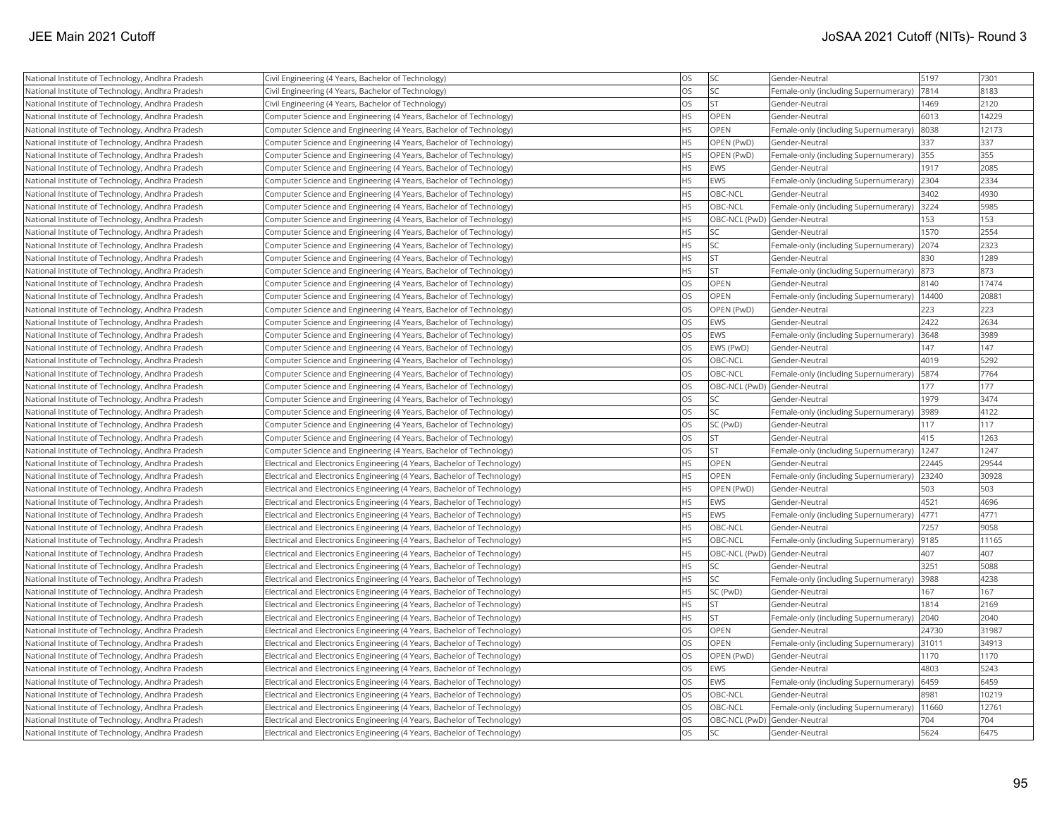| National Institute of Technology, Andhra Pradesh | Civil Engineering (4 Years, Bachelor of Technology)                      | OS        | SC <sub>1</sub>              | Gender-Neutral                        | 5197  | 7301  |
|--------------------------------------------------|--------------------------------------------------------------------------|-----------|------------------------------|---------------------------------------|-------|-------|
| National Institute of Technology, Andhra Pradesh | Civil Engineering (4 Years, Bachelor of Technology)                      | <b>OS</b> | lsc                          | Female-only (including Supernumerary) | 7814  | 8183  |
| National Institute of Technology, Andhra Pradesh | Civil Engineering (4 Years, Bachelor of Technology)                      | <b>OS</b> | İst                          | Gender-Neutral                        | 1469  | 2120  |
| National Institute of Technology, Andhra Pradesh | Computer Science and Engineering (4 Years, Bachelor of Technology)       | <b>HS</b> | <b>OPEN</b>                  | Gender-Neutral                        | 6013  | 14229 |
| National Institute of Technology, Andhra Pradesh | Computer Science and Engineering (4 Years, Bachelor of Technology)       | <b>HS</b> | <b>OPEN</b>                  | Female-only (including Supernumerary) | 8038  | 12173 |
| National Institute of Technology, Andhra Pradesh | Computer Science and Engineering (4 Years, Bachelor of Technology)       | <b>HS</b> | OPEN (PwD)                   | Gender-Neutral                        | 337   | 337   |
| National Institute of Technology, Andhra Pradesh | Computer Science and Engineering (4 Years, Bachelor of Technology)       | <b>HS</b> | OPEN (PwD)                   | Female-only (including Supernumerary) | 355   | 355   |
| National Institute of Technology, Andhra Pradesh | Computer Science and Engineering (4 Years, Bachelor of Technology)       | HS        | <b>EWS</b>                   | Gender-Neutral                        | 1917  | 2085  |
| National Institute of Technology, Andhra Pradesh | Computer Science and Engineering (4 Years, Bachelor of Technology)       | <b>HS</b> | <b>EWS</b>                   | Female-only (including Supernumerary) | 2304  | 2334  |
| National Institute of Technology, Andhra Pradesh | Computer Science and Engineering (4 Years, Bachelor of Technology)       | <b>HS</b> | OBC-NCL                      | Gender-Neutral                        | 3402  | 4930  |
| National Institute of Technology, Andhra Pradesh | Computer Science and Engineering (4 Years, Bachelor of Technology)       | <b>HS</b> | OBC-NCL                      | Female-only (including Supernumerary) | 3224  | 5985  |
| National Institute of Technology, Andhra Pradesh | Computer Science and Engineering (4 Years, Bachelor of Technology)       | <b>HS</b> | OBC-NCL (PwD) Gender-Neutral |                                       | 153   | 153   |
| National Institute of Technology, Andhra Pradesh | Computer Science and Engineering (4 Years, Bachelor of Technology)       | <b>HS</b> | lsc                          | Gender-Neutral                        | 1570  | 2554  |
| National Institute of Technology, Andhra Pradesh | Computer Science and Engineering (4 Years, Bachelor of Technology)       | <b>HS</b> | <b>SC</b>                    | Female-only (including Supernumerary) | 2074  | 2323  |
| National Institute of Technology, Andhra Pradesh | Computer Science and Engineering (4 Years, Bachelor of Technology)       | <b>HS</b> | <b>ST</b>                    | Gender-Neutral                        | 830   | 1289  |
| National Institute of Technology, Andhra Pradesh | Computer Science and Engineering (4 Years, Bachelor of Technology)       | <b>HS</b> | İst                          | Female-only (including Supernumerary) | 873   | 873   |
| National Institute of Technology, Andhra Pradesh | Computer Science and Engineering (4 Years, Bachelor of Technology)       | <b>OS</b> | OPEN                         | Gender-Neutral                        | 8140  | 17474 |
| National Institute of Technology, Andhra Pradesh | Computer Science and Engineering (4 Years, Bachelor of Technology)       | <b>OS</b> | OPEN                         | Female-only (including Supernumerary) | 14400 | 20881 |
| National Institute of Technology, Andhra Pradesh | Computer Science and Engineering (4 Years, Bachelor of Technology)       | <b>OS</b> | OPEN (PwD)                   | Gender-Neutral                        | 223   | 223   |
| National Institute of Technology, Andhra Pradesh | Computer Science and Engineering (4 Years, Bachelor of Technology)       | <b>OS</b> | <b>IEWS</b>                  | Gender-Neutral                        | 2422  | 2634  |
| National Institute of Technology, Andhra Pradesh | Computer Science and Engineering (4 Years, Bachelor of Technology)       | <b>OS</b> | <b>EWS</b>                   | Female-only (including Supernumerary) | 3648  | 3989  |
| National Institute of Technology, Andhra Pradesh | Computer Science and Engineering (4 Years, Bachelor of Technology)       | <b>OS</b> | EWS (PwD)                    | Gender-Neutral                        | 147   | 147   |
| National Institute of Technology, Andhra Pradesh | Computer Science and Engineering (4 Years, Bachelor of Technology)       | <b>OS</b> | OBC-NCL                      | Gender-Neutral                        | 4019  | 5292  |
| National Institute of Technology, Andhra Pradesh | Computer Science and Engineering (4 Years, Bachelor of Technology)       | <b>OS</b> | OBC-NCL                      | Female-only (including Supernumerary) | 5874  | 7764  |
| National Institute of Technology, Andhra Pradesh | Computer Science and Engineering (4 Years, Bachelor of Technology)       | <b>OS</b> | OBC-NCL (PwD) Gender-Neutral |                                       | 177   | 177   |
| National Institute of Technology, Andhra Pradesh | Computer Science and Engineering (4 Years, Bachelor of Technology)       | <b>OS</b> | SC.                          | Gender-Neutral                        | 1979  | 3474  |
| National Institute of Technology, Andhra Pradesh | Computer Science and Engineering (4 Years, Bachelor of Technology)       | <b>OS</b> | <b>SC</b>                    | Female-only (including Supernumerary) | 3989  | 4122  |
| National Institute of Technology, Andhra Pradesh | Computer Science and Engineering (4 Years, Bachelor of Technology)       | <b>OS</b> | SC (PwD)                     | Gender-Neutral                        | 117   | 117   |
| National Institute of Technology, Andhra Pradesh | Computer Science and Engineering (4 Years, Bachelor of Technology)       | <b>OS</b> | İst                          | Gender-Neutral                        | 415   | 1263  |
| National Institute of Technology, Andhra Pradesh | Computer Science and Engineering (4 Years, Bachelor of Technology)       | <b>OS</b> | lst                          | Female-only (including Supernumerary) | 1247  | 1247  |
| National Institute of Technology, Andhra Pradesh | Electrical and Electronics Engineering (4 Years, Bachelor of Technology) | <b>HS</b> | <b>OPEN</b>                  | Gender-Neutral                        | 22445 | 29544 |
| National Institute of Technology, Andhra Pradesh | Electrical and Electronics Engineering (4 Years, Bachelor of Technology) | <b>HS</b> | <b>OPEN</b>                  | Female-only (including Supernumerary) | 23240 | 30928 |
| National Institute of Technology, Andhra Pradesh | Electrical and Electronics Engineering (4 Years, Bachelor of Technology) | <b>HS</b> | OPEN (PwD)                   | Gender-Neutral                        | 503   | 503   |
| National Institute of Technology, Andhra Pradesh | Electrical and Electronics Engineering (4 Years, Bachelor of Technology) | <b>HS</b> | <b>EWS</b>                   | Gender-Neutral                        | 4521  | 4696  |
| National Institute of Technology, Andhra Pradesh | Electrical and Electronics Engineering (4 Years, Bachelor of Technology) | <b>HS</b> | <b>EWS</b>                   | Female-only (including Supernumerary) | 4771  | 4771  |
| National Institute of Technology, Andhra Pradesh | Electrical and Electronics Engineering (4 Years, Bachelor of Technology) | <b>HS</b> | OBC-NCL                      | Gender-Neutral                        | 7257  | 9058  |
| National Institute of Technology, Andhra Pradesh | Electrical and Electronics Engineering (4 Years, Bachelor of Technology) | <b>HS</b> | OBC-NCL                      | Female-only (including Supernumerary) | 9185  | 11165 |
| National Institute of Technology, Andhra Pradesh | Electrical and Electronics Engineering (4 Years, Bachelor of Technology) | <b>HS</b> | OBC-NCL (PwD) Gender-Neutral |                                       | 407   | 407   |
| National Institute of Technology, Andhra Pradesh | Electrical and Electronics Engineering (4 Years, Bachelor of Technology) | <b>HS</b> | lsc                          | Gender-Neutral                        | 3251  | 5088  |
| National Institute of Technology, Andhra Pradesh | Electrical and Electronics Engineering (4 Years, Bachelor of Technology) | <b>HS</b> | SC <sub>1</sub>              | Female-only (including Supernumerary) | 3988  | 4238  |
| National Institute of Technology, Andhra Pradesh | Electrical and Electronics Engineering (4 Years, Bachelor of Technology) | <b>HS</b> | SC (PwD)                     | Gender-Neutral                        | 167   | 167   |
| National Institute of Technology, Andhra Pradesh | Electrical and Electronics Engineering (4 Years, Bachelor of Technology) | <b>HS</b> | <b>ST</b>                    | Gender-Neutral                        | 1814  | 2169  |
| National Institute of Technology, Andhra Pradesh | Electrical and Electronics Engineering (4 Years, Bachelor of Technology) | <b>HS</b> | İst                          | Female-only (including Supernumerary) | 2040  | 2040  |
| National Institute of Technology, Andhra Pradesh | Electrical and Electronics Engineering (4 Years, Bachelor of Technology) | <b>OS</b> | OPEN                         | Gender-Neutral                        | 24730 | 31987 |
| National Institute of Technology, Andhra Pradesh | Electrical and Electronics Engineering (4 Years, Bachelor of Technology) | <b>OS</b> | OPEN                         | Female-only (including Supernumerary) | 31011 | 34913 |
| National Institute of Technology, Andhra Pradesh | Electrical and Electronics Engineering (4 Years, Bachelor of Technology) | <b>OS</b> | OPEN (PwD)                   | Gender-Neutral                        | 1170  | 1170  |
| National Institute of Technology, Andhra Pradesh | Electrical and Electronics Engineering (4 Years, Bachelor of Technology) | OS        | <b>IEWS</b>                  | Gender-Neutral                        | 4803  | 5243  |
| National Institute of Technology, Andhra Pradesh | Electrical and Electronics Engineering (4 Years, Bachelor of Technology) | <b>OS</b> | <b>EWS</b>                   | Female-only (including Supernumerary) | 6459  | 6459  |
| National Institute of Technology, Andhra Pradesh | Electrical and Electronics Engineering (4 Years, Bachelor of Technology) | OS        | OBC-NCL                      | Gender-Neutral                        | 8981  | 10219 |
| National Institute of Technology, Andhra Pradesh | Electrical and Electronics Engineering (4 Years, Bachelor of Technology) | <b>OS</b> | OBC-NCL                      | Female-only (including Supernumerary) | 11660 | 12761 |
| National Institute of Technology, Andhra Pradesh | Electrical and Electronics Engineering (4 Years, Bachelor of Technology) | <b>OS</b> | OBC-NCL (PwD) Gender-Neutral |                                       | 704   | 704   |
| National Institute of Technology, Andhra Pradesh | Electrical and Electronics Engineering (4 Years, Bachelor of Technology) | <b>OS</b> | lsc                          | Gender-Neutral                        | 5624  | 6475  |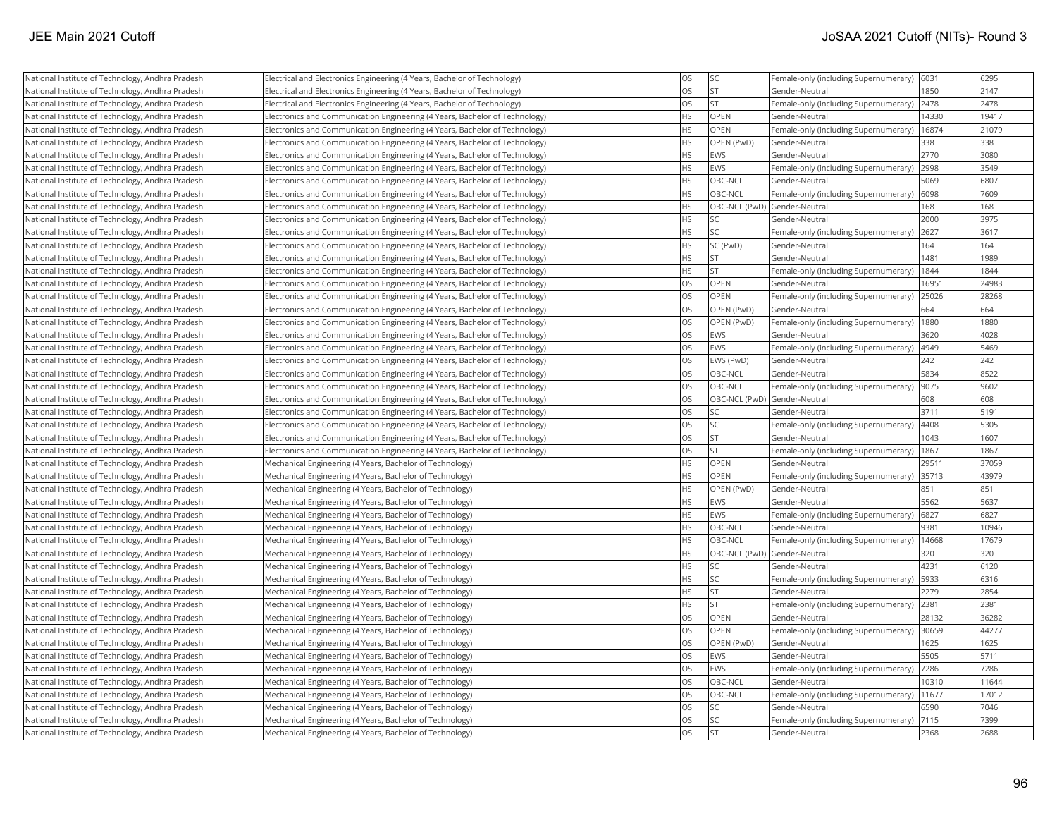| National Institute of Technology, Andhra Pradesh | Electrical and Electronics Engineering (4 Years, Bachelor of Technology)    | OS        | SC                           | Female-only (including Supernumerary) 6031 |       | 6295  |
|--------------------------------------------------|-----------------------------------------------------------------------------|-----------|------------------------------|--------------------------------------------|-------|-------|
| National Institute of Technology, Andhra Pradesh | Electrical and Electronics Engineering (4 Years, Bachelor of Technology)    | OS        | İst                          | Gender-Neutral                             | 1850  | 2147  |
| National Institute of Technology, Andhra Pradesh | Electrical and Electronics Engineering (4 Years, Bachelor of Technology)    | <b>OS</b> | İst                          | Female-only (including Supernumerary)      | 2478  | 2478  |
| National Institute of Technology, Andhra Pradesh | Electronics and Communication Engineering (4 Years, Bachelor of Technology) | <b>HS</b> | <b>OPEN</b>                  | Gender-Neutral                             | 14330 | 19417 |
| National Institute of Technology, Andhra Pradesh | Electronics and Communication Engineering (4 Years, Bachelor of Technology) | <b>HS</b> | <b>OPEN</b>                  | Female-only (including Supernumerary)      | 16874 | 21079 |
| National Institute of Technology, Andhra Pradesh | Electronics and Communication Engineering (4 Years, Bachelor of Technology) | <b>HS</b> | OPEN (PwD)                   | Gender-Neutral                             | 338   | 338   |
| National Institute of Technology, Andhra Pradesh | Electronics and Communication Engineering (4 Years, Bachelor of Technology) | <b>HS</b> | <b>EWS</b>                   | Gender-Neutral                             | 2770  | 3080  |
| National Institute of Technology, Andhra Pradesh | Electronics and Communication Engineering (4 Years, Bachelor of Technology) | <b>HS</b> | <b>EWS</b>                   | Female-only (including Supernumerary)      | 2998  | 3549  |
| National Institute of Technology, Andhra Pradesh | Electronics and Communication Engineering (4 Years, Bachelor of Technology) | <b>HS</b> | OBC-NCL                      | Gender-Neutral                             | 5069  | 6807  |
| National Institute of Technology, Andhra Pradesh | Electronics and Communication Engineering (4 Years, Bachelor of Technology) | <b>HS</b> | OBC-NCL                      | Female-only (including Supernumerary)      | 6098  | 7609  |
| National Institute of Technology, Andhra Pradesh | Electronics and Communication Engineering (4 Years, Bachelor of Technology) | <b>HS</b> | OBC-NCL (PwD) Gender-Neutral |                                            | 168   | 168   |
| National Institute of Technology, Andhra Pradesh | Electronics and Communication Engineering (4 Years, Bachelor of Technology) | <b>HS</b> | lsc                          | Gender-Neutral                             | 2000  | 3975  |
| National Institute of Technology, Andhra Pradesh | Electronics and Communication Engineering (4 Years, Bachelor of Technology) | <b>HS</b> | SC.                          | Female-only (including Supernumerary)      | 2627  | 3617  |
| National Institute of Technology, Andhra Pradesh | Electronics and Communication Engineering (4 Years, Bachelor of Technology) | <b>HS</b> | SC (PwD)                     | Gender-Neutral                             | 164   | 164   |
| National Institute of Technology, Andhra Pradesh | Electronics and Communication Engineering (4 Years, Bachelor of Technology) | <b>HS</b> | <b>ST</b>                    | Gender-Neutral                             | 1481  | 1989  |
| National Institute of Technology, Andhra Pradesh | Electronics and Communication Engineering (4 Years, Bachelor of Technology) | <b>HS</b> | <b>ST</b>                    | Female-only (including Supernumerary)      | 1844  | 1844  |
| National Institute of Technology, Andhra Pradesh | Electronics and Communication Engineering (4 Years, Bachelor of Technology) | <b>OS</b> | OPEN                         | Gender-Neutral                             | 16951 | 24983 |
| National Institute of Technology, Andhra Pradesh | Electronics and Communication Engineering (4 Years, Bachelor of Technology) | <b>OS</b> | OPEN                         | Female-only (including Supernumerary)      | 25026 | 28268 |
| National Institute of Technology, Andhra Pradesh | Electronics and Communication Engineering (4 Years, Bachelor of Technology) | OS        | OPEN (PwD)                   | Gender-Neutral                             | 664   | 664   |
| National Institute of Technology, Andhra Pradesh | Electronics and Communication Engineering (4 Years, Bachelor of Technology) | <b>OS</b> | OPEN (PwD)                   | Female-only (including Supernumerary)      | 1880  | 1880  |
| National Institute of Technology, Andhra Pradesh | Electronics and Communication Engineering (4 Years, Bachelor of Technology) | <b>OS</b> | <b>EWS</b>                   | Gender-Neutral                             | 3620  | 4028  |
| National Institute of Technology, Andhra Pradesh | Electronics and Communication Engineering (4 Years, Bachelor of Technology) | OS        | <b>EWS</b>                   | Female-only (including Supernumerary)      | 4949  | 5469  |
| National Institute of Technology, Andhra Pradesh | Electronics and Communication Engineering (4 Years, Bachelor of Technology) | <b>OS</b> | EWS (PwD)                    | Gender-Neutral                             | 242   | 242   |
| National Institute of Technology, Andhra Pradesh | Electronics and Communication Engineering (4 Years, Bachelor of Technology) | <b>OS</b> | OBC-NCL                      | Gender-Neutral                             | 5834  | 8522  |
| National Institute of Technology, Andhra Pradesh | Electronics and Communication Engineering (4 Years, Bachelor of Technology) | OS        | OBC-NCL                      | Female-only (including Supernumerary)      | 9075  | 9602  |
| National Institute of Technology, Andhra Pradesh | Electronics and Communication Engineering (4 Years, Bachelor of Technology) | <b>OS</b> | OBC-NCL (PwD) Gender-Neutral |                                            | 608   | 608   |
| National Institute of Technology, Andhra Pradesh | Electronics and Communication Engineering (4 Years, Bachelor of Technology) | <b>OS</b> | SC.                          | Gender-Neutral                             | 3711  | 5191  |
| National Institute of Technology, Andhra Pradesh | Electronics and Communication Engineering (4 Years, Bachelor of Technology) | <b>OS</b> | <b>SC</b>                    | Female-only (including Supernumerary)      | 4408  | 5305  |
| National Institute of Technology, Andhra Pradesh | Electronics and Communication Engineering (4 Years, Bachelor of Technology) | <b>OS</b> | İst                          | Gender-Neutral                             | 1043  | 1607  |
| National Institute of Technology, Andhra Pradesh | Electronics and Communication Engineering (4 Years, Bachelor of Technology) | <b>OS</b> | <b>ST</b>                    | Female-only (including Supernumerary)      | 1867  | 1867  |
| National Institute of Technology, Andhra Pradesh | Mechanical Engineering (4 Years, Bachelor of Technology)                    | HS        | <b>OPEN</b>                  | Gender-Neutral                             | 29511 | 37059 |
| National Institute of Technology, Andhra Pradesh | Mechanical Engineering (4 Years, Bachelor of Technology)                    | <b>HS</b> | <b>OPEN</b>                  | Female-only (including Supernumerary)      | 35713 | 43979 |
| National Institute of Technology, Andhra Pradesh | Mechanical Engineering (4 Years, Bachelor of Technology)                    | <b>HS</b> | OPEN (PwD)                   | Gender-Neutral                             | 851   | 851   |
| National Institute of Technology, Andhra Pradesh | Mechanical Engineering (4 Years, Bachelor of Technology)                    | <b>HS</b> | <b>EWS</b>                   | Gender-Neutral                             | 5562  | 5637  |
| National Institute of Technology, Andhra Pradesh | Mechanical Engineering (4 Years, Bachelor of Technology)                    | <b>HS</b> | EWS                          | Female-only (including Supernumerary)      | 6827  | 6827  |
| National Institute of Technology, Andhra Pradesh | Mechanical Engineering (4 Years, Bachelor of Technology)                    | <b>HS</b> | OBC-NCL                      | Gender-Neutral                             | 9381  | 10946 |
| National Institute of Technology, Andhra Pradesh | Mechanical Engineering (4 Years, Bachelor of Technology)                    | <b>HS</b> | OBC-NCL                      | Female-only (including Supernumerary)      | 14668 | 17679 |
| National Institute of Technology, Andhra Pradesh | Mechanical Engineering (4 Years, Bachelor of Technology)                    | <b>HS</b> | OBC-NCL (PwD) Gender-Neutral |                                            | 320   | 320   |
| National Institute of Technology, Andhra Pradesh | Mechanical Engineering (4 Years, Bachelor of Technology)                    | <b>HS</b> | SC.                          | Gender-Neutral                             | 4231  | 6120  |
| National Institute of Technology, Andhra Pradesh | Mechanical Engineering (4 Years, Bachelor of Technology)                    | <b>HS</b> | SC.                          | Female-only (including Supernumerary)      | 5933  | 6316  |
| National Institute of Technology, Andhra Pradesh | Mechanical Engineering (4 Years, Bachelor of Technology)                    | <b>HS</b> | İst                          | Gender-Neutral                             | 2279  | 2854  |
| National Institute of Technology, Andhra Pradesh | Mechanical Engineering (4 Years, Bachelor of Technology)                    | <b>HS</b> | İst                          | Female-only (including Supernumerary)      | 2381  | 2381  |
| National Institute of Technology, Andhra Pradesh | Mechanical Engineering (4 Years, Bachelor of Technology)                    | <b>OS</b> | OPEN                         | Gender-Neutral                             | 28132 | 36282 |
| National Institute of Technology, Andhra Pradesh | Mechanical Engineering (4 Years, Bachelor of Technology)                    | <b>OS</b> | <b>OPEN</b>                  | Female-only (including Supernumerary)      | 30659 | 44277 |
| National Institute of Technology, Andhra Pradesh | Mechanical Engineering (4 Years, Bachelor of Technology)                    | <b>OS</b> | OPEN (PwD)                   | Gender-Neutral                             | 1625  | 1625  |
| National Institute of Technology, Andhra Pradesh | Mechanical Engineering (4 Years, Bachelor of Technology)                    | <b>OS</b> | <b>EWS</b>                   | Gender-Neutral                             | 5505  | 5711  |
| National Institute of Technology, Andhra Pradesh | Mechanical Engineering (4 Years, Bachelor of Technology)                    | <b>OS</b> | <b>EWS</b>                   | Female-only (including Supernumerary)      | 7286  | 7286  |
| National Institute of Technology, Andhra Pradesh | Mechanical Engineering (4 Years, Bachelor of Technology)                    | <b>OS</b> | OBC-NCL                      | Gender-Neutral                             | 10310 | 11644 |
| National Institute of Technology, Andhra Pradesh | Mechanical Engineering (4 Years, Bachelor of Technology)                    | <b>OS</b> | OBC-NCL                      | Female-only (including Supernumerary)      | 11677 | 17012 |
| National Institute of Technology, Andhra Pradesh | Mechanical Engineering (4 Years, Bachelor of Technology)                    | <b>OS</b> | SC                           | Gender-Neutral                             | 6590  | 7046  |
| National Institute of Technology, Andhra Pradesh | Mechanical Engineering (4 Years, Bachelor of Technology)                    | <b>OS</b> | SC.                          | Female-only (including Supernumerary)      | 7115  | 7399  |
| National Institute of Technology, Andhra Pradesh | Mechanical Engineering (4 Years, Bachelor of Technology)                    | <b>OS</b> | <b>ST</b>                    | Gender-Neutral                             | 2368  | 2688  |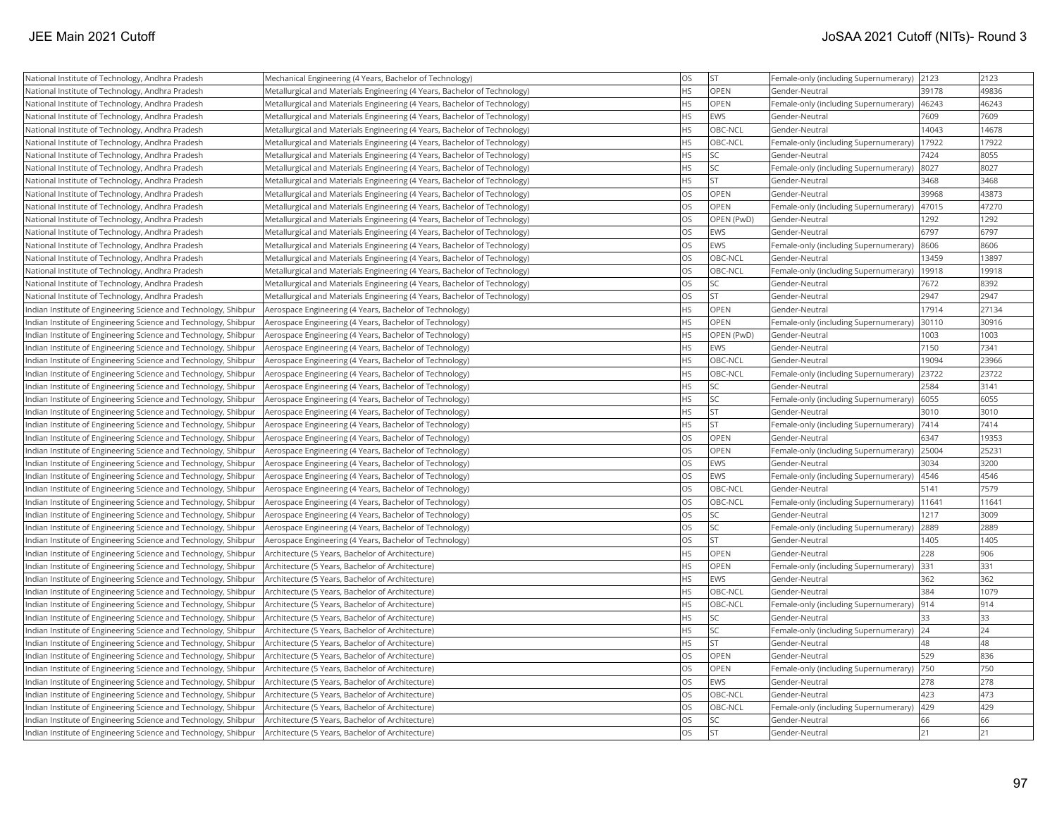| National Institute of Technology, Andhra Pradesh                | Mechanical Engineering (4 Years, Bachelor of Technology)                  | <b>OS</b> | İst         | Female-only (including Supernumerary)      | 2123  | 2123  |
|-----------------------------------------------------------------|---------------------------------------------------------------------------|-----------|-------------|--------------------------------------------|-------|-------|
| National Institute of Technology, Andhra Pradesh                | Metallurgical and Materials Engineering (4 Years, Bachelor of Technology) | <b>HS</b> | OPEN        | Gender-Neutral                             | 39178 | 49836 |
| National Institute of Technology, Andhra Pradesh                | Metallurgical and Materials Engineering (4 Years, Bachelor of Technology) | <b>HS</b> | <b>OPEN</b> | Female-only (including Supernumerary)      | 46243 | 46243 |
| National Institute of Technology, Andhra Pradesh                | Metallurgical and Materials Engineering (4 Years, Bachelor of Technology) | <b>HS</b> | <b>EWS</b>  | Gender-Neutral                             | 7609  | 7609  |
| National Institute of Technology, Andhra Pradesh                | Metallurgical and Materials Engineering (4 Years, Bachelor of Technology) | <b>HS</b> | OBC-NCL     | Gender-Neutral                             | 14043 | 14678 |
| National Institute of Technology, Andhra Pradesh                | Metallurgical and Materials Engineering (4 Years, Bachelor of Technology) | <b>HS</b> | OBC-NCL     | Female-only (including Supernumerary)      | 17922 | 17922 |
| National Institute of Technology, Andhra Pradesh                | Metallurgical and Materials Engineering (4 Years, Bachelor of Technology) | <b>HS</b> | SC.         | Gender-Neutral                             | 7424  | 8055  |
| National Institute of Technology, Andhra Pradesh                | Metallurgical and Materials Engineering (4 Years, Bachelor of Technology) | <b>HS</b> | SC          | Female-only (including Supernumerary)      | 8027  | 8027  |
| National Institute of Technology, Andhra Pradesh                | Metallurgical and Materials Engineering (4 Years, Bachelor of Technology) | <b>HS</b> | İst         | Gender-Neutral                             | 3468  | 3468  |
| National Institute of Technology, Andhra Pradesh                | Metallurgical and Materials Engineering (4 Years, Bachelor of Technology) | <b>OS</b> | OPEN        | Gender-Neutral                             | 39968 | 43873 |
| National Institute of Technology, Andhra Pradesh                | Metallurgical and Materials Engineering (4 Years, Bachelor of Technology) | <b>OS</b> | OPEN        | Female-only (including Supernumerary)      | 47015 | 47270 |
| National Institute of Technology, Andhra Pradesh                | Metallurgical and Materials Engineering (4 Years, Bachelor of Technology) | OS        | OPEN (PwD)  | Gender-Neutral                             | 1292  | 1292  |
| National Institute of Technology, Andhra Pradesh                | Metallurgical and Materials Engineering (4 Years, Bachelor of Technology) | <b>OS</b> | <b>EWS</b>  | Gender-Neutral                             | 6797  | 6797  |
| National Institute of Technology, Andhra Pradesh                | Metallurgical and Materials Engineering (4 Years, Bachelor of Technology) | <b>OS</b> | <b>EWS</b>  | Female-only (including Supernumerary)      | 8606  | 8606  |
| National Institute of Technology, Andhra Pradesh                | Metallurgical and Materials Engineering (4 Years, Bachelor of Technology) | OS        | OBC-NCL     | Gender-Neutral                             | 13459 | 13897 |
| National Institute of Technology, Andhra Pradesh                | Metallurgical and Materials Engineering (4 Years, Bachelor of Technology) | OS        | OBC-NCL     | Female-only (including Supernumerary)      | 19918 | 19918 |
| National Institute of Technology, Andhra Pradesh                | Metallurgical and Materials Engineering (4 Years, Bachelor of Technology) | <b>OS</b> | SC          | Gender-Neutral                             | 7672  | 8392  |
| National Institute of Technology, Andhra Pradesh                | Metallurgical and Materials Engineering (4 Years, Bachelor of Technology) | OS        | İst         | Gender-Neutral                             | 2947  | 2947  |
| Indian Institute of Engineering Science and Technology, Shibpur | Aerospace Engineering (4 Years, Bachelor of Technology)                   | <b>HS</b> | OPEN        | Gender-Neutral                             | 17914 | 27134 |
| Indian Institute of Engineering Science and Technology, Shibpur | Aerospace Engineering (4 Years, Bachelor of Technology)                   | <b>HS</b> | OPEN        | Female-only (including Supernumerary)      | 30110 | 30916 |
| Indian Institute of Engineering Science and Technology, Shibpur | Aerospace Engineering (4 Years, Bachelor of Technology)                   | <b>HS</b> | OPEN (PwD)  | Gender-Neutral                             | 1003  | 1003  |
| Indian Institute of Engineering Science and Technology, Shibpur | Aerospace Engineering (4 Years, Bachelor of Technology)                   | <b>HS</b> | <b>EWS</b>  | Gender-Neutral                             | 7150  | 7341  |
| Indian Institute of Engineering Science and Technology, Shibpur | Aerospace Engineering (4 Years, Bachelor of Technology)                   | <b>HS</b> | OBC-NCL     | Gender-Neutral                             | 19094 | 23966 |
| Indian Institute of Engineering Science and Technology, Shibpur | Aerospace Engineering (4 Years, Bachelor of Technology)                   | <b>HS</b> | OBC-NCL     | Female-only (including Supernumerary)      | 23722 | 23722 |
| Indian Institute of Engineering Science and Technology, Shibpur | Aerospace Engineering (4 Years, Bachelor of Technology)                   | <b>HS</b> | SC)         | Gender-Neutral                             | 2584  | 3141  |
| Indian Institute of Engineering Science and Technology, Shibpur | Aerospace Engineering (4 Years, Bachelor of Technology)                   | <b>HS</b> | SC.         | Female-only (including Supernumerary)      | 6055  | 6055  |
| Indian Institute of Engineering Science and Technology, Shibpur | Aerospace Engineering (4 Years, Bachelor of Technology)                   | <b>HS</b> | ST.         | Gender-Neutral                             | 3010  | 3010  |
| Indian Institute of Engineering Science and Technology, Shibpur | Aerospace Engineering (4 Years, Bachelor of Technology)                   | HS        | lst.        | Female-only (including Supernumerary)      | 7414  | 7414  |
| Indian Institute of Engineering Science and Technology, Shibpur | Aerospace Engineering (4 Years, Bachelor of Technology)                   | <b>OS</b> | OPEN        | Gender-Neutral                             | 6347  | 19353 |
| ndian Institute of Engineering Science and Technology, Shibpur  | Aerospace Engineering (4 Years, Bachelor of Technology)                   | <b>OS</b> | OPEN        | Female-only (including Supernumerary)      | 25004 | 25231 |
| Indian Institute of Engineering Science and Technology, Shibpur | Aerospace Engineering (4 Years, Bachelor of Technology)                   | OS        | <b>EWS</b>  | Gender-Neutral                             | 3034  | 3200  |
| Indian Institute of Engineering Science and Technology, Shibpur | Aerospace Engineering (4 Years, Bachelor of Technology)                   | OS        | EWS         | Female-only (including Supernumerary)      | 4546  | 4546  |
| Indian Institute of Engineering Science and Technology, Shibpur | Aerospace Engineering (4 Years, Bachelor of Technology)                   | <b>OS</b> | OBC-NCL     | Gender-Neutral                             | 5141  | 7579  |
| Indian Institute of Engineering Science and Technology, Shibpur | Aerospace Engineering (4 Years, Bachelor of Technology)                   | <b>OS</b> | OBC-NCL     | Female-only (including Supernumerary)      | 11641 | 11641 |
| Indian Institute of Engineering Science and Technology, Shibpur | Aerospace Engineering (4 Years, Bachelor of Technology)                   | <b>OS</b> | SC.         | Gender-Neutral                             | 1217  | 3009  |
| Indian Institute of Engineering Science and Technology, Shibpur | Aerospace Engineering (4 Years, Bachelor of Technology)                   | <b>OS</b> | SC.         | Female-only (including Supernumerary)      | 2889  | 2889  |
| Indian Institute of Engineering Science and Technology, Shibpur | Aerospace Engineering (4 Years, Bachelor of Technology)                   | <b>OS</b> | İst         | Gender-Neutral                             | 1405  | 1405  |
| Indian Institute of Engineering Science and Technology, Shibpur | Architecture (5 Years, Bachelor of Architecture)                          | <b>HS</b> | <b>OPEN</b> | Gender-Neutral                             | 228   | 906   |
| Indian Institute of Engineering Science and Technology, Shibpur | Architecture (5 Years, Bachelor of Architecture)                          | <b>HS</b> | <b>OPEN</b> | Female-only (including Supernumerary)  331 |       | 331   |
| Indian Institute of Engineering Science and Technology, Shibpur | Architecture (5 Years, Bachelor of Architecture)                          | <b>HS</b> | <b>EWS</b>  | Gender-Neutral                             | 362   | 362   |
| Indian Institute of Engineering Science and Technology, Shibpur | Architecture (5 Years, Bachelor of Architecture)                          | <b>HS</b> | OBC-NCL     | Gender-Neutral                             | 384   | 1079  |
| Indian Institute of Engineering Science and Technology, Shibpur | Architecture (5 Years, Bachelor of Architecture)                          | <b>HS</b> | OBC-NCL     | Female-only (including Supernumerary)      | 914   | 914   |
| Indian Institute of Engineering Science and Technology, Shibpur | Architecture (5 Years, Bachelor of Architecture)                          | <b>HS</b> | lsc         | Gender-Neutral                             | 33    | 33    |
| Indian Institute of Engineering Science and Technology, Shibpur | Architecture (5 Years, Bachelor of Architecture)                          | <b>HS</b> | SC.         | Female-only (including Supernumerary)      | 24    | 24    |
| Indian Institute of Engineering Science and Technology, Shibpur | Architecture (5 Years, Bachelor of Architecture)                          | <b>HS</b> | lst         | Gender-Neutral                             | 48    | 48    |
| Indian Institute of Engineering Science and Technology, Shibpur | Architecture (5 Years, Bachelor of Architecture)                          | <b>OS</b> | OPEN        | Gender-Neutral                             | 529   | 836   |
| Indian Institute of Engineering Science and Technology, Shibpur | Architecture (5 Years, Bachelor of Architecture)                          | OS        | OPEN        | Female-only (including Supernumerary)      | 750   | 750   |
| Indian Institute of Engineering Science and Technology, Shibpur | Architecture (5 Years, Bachelor of Architecture)                          | OS        | <b>EWS</b>  | Gender-Neutral                             | 278   | 278   |
| Indian Institute of Engineering Science and Technology, Shibpur | Architecture (5 Years, Bachelor of Architecture)                          | OS        | OBC-NCL     | Gender-Neutral                             | 423   | 473   |
| Indian Institute of Engineering Science and Technology, Shibpur | Architecture (5 Years, Bachelor of Architecture)                          | <b>OS</b> | OBC-NCL     | Female-only (including Supernumerary)      | 429   | 429   |
| Indian Institute of Engineering Science and Technology, Shibpur | Architecture (5 Years, Bachelor of Architecture)                          | <b>OS</b> | SC.         | Gender-Neutral                             | 66    | 66    |
| Indian Institute of Engineering Science and Technology, Shibpur | Architecture (5 Years, Bachelor of Architecture)                          | <b>OS</b> | <b>ST</b>   | lGender-Neutral                            | 21    | 21    |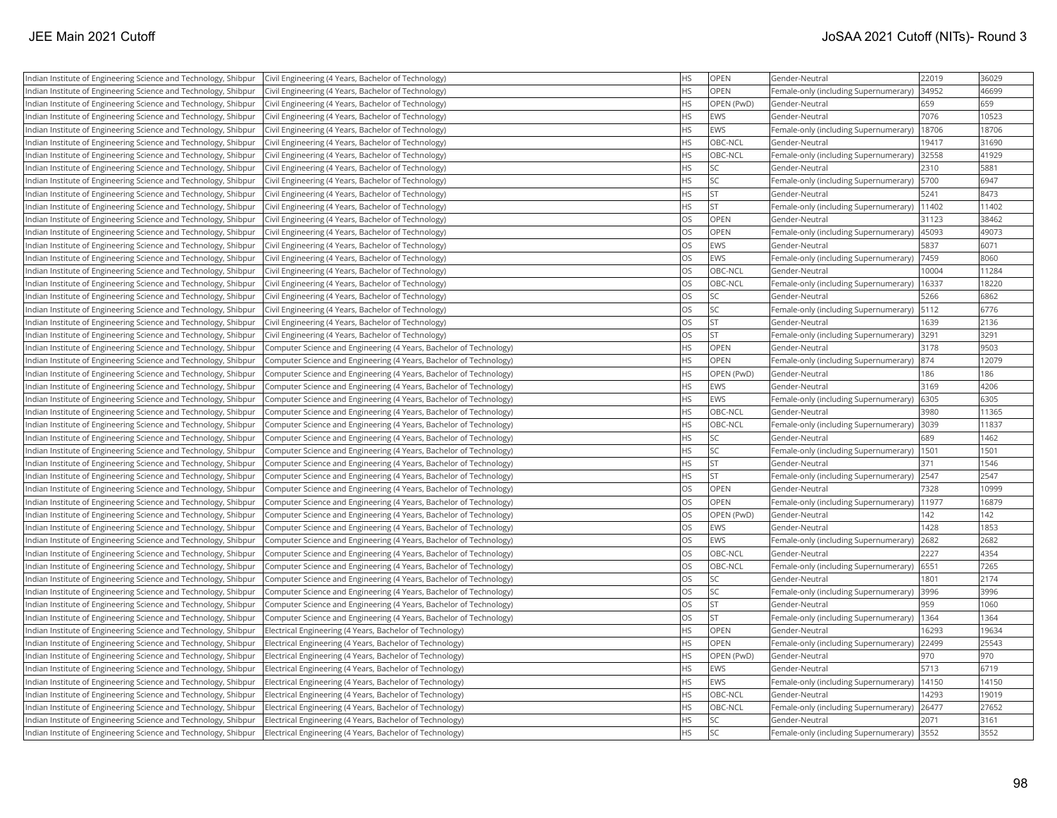| Indian Institute of Engineering Science and Technology, Shibpur | Civil Engineering (4 Years, Bachelor of Technology)                | <b>HS</b> | <b>OPEN</b> | Gender-Neutral                        | 22019 | 36029 |
|-----------------------------------------------------------------|--------------------------------------------------------------------|-----------|-------------|---------------------------------------|-------|-------|
| Indian Institute of Engineering Science and Technology, Shibpur | Civil Engineering (4 Years, Bachelor of Technology)                | <b>HS</b> | OPEN        | Female-only (including Supernumerary) | 34952 | 46699 |
| Indian Institute of Engineering Science and Technology, Shibpur | Civil Engineering (4 Years, Bachelor of Technology)                | <b>HS</b> | OPEN (PwD)  | Gender-Neutral                        | 659   | 659   |
| Indian Institute of Engineering Science and Technology, Shibpur | Civil Engineering (4 Years, Bachelor of Technology)                | <b>HS</b> | EWS         | Gender-Neutral                        | 7076  | 10523 |
| Indian Institute of Engineering Science and Technology, Shibpur | Civil Engineering (4 Years, Bachelor of Technology)                | <b>HS</b> | <b>EWS</b>  | Female-only (including Supernumerary) | 18706 | 18706 |
| Indian Institute of Engineering Science and Technology, Shibpur | Civil Engineering (4 Years, Bachelor of Technology)                | HS        | OBC-NCL     | Gender-Neutral                        | 19417 | 31690 |
| Indian Institute of Engineering Science and Technology, Shibpur | Civil Engineering (4 Years, Bachelor of Technology)                | <b>HS</b> | OBC-NCL     | Female-only (including Supernumerary) | 32558 | 41929 |
| Indian Institute of Engineering Science and Technology, Shibpur | Civil Engineering (4 Years, Bachelor of Technology)                | <b>HS</b> | <b>SC</b>   | Gender-Neutral                        | 2310  | 5881  |
| Indian Institute of Engineering Science and Technology, Shibpur | Civil Engineering (4 Years, Bachelor of Technology)                | HS        | <b>SC</b>   | Female-only (including Supernumerary) | 5700  | 6947  |
| Indian Institute of Engineering Science and Technology, Shibpur | Civil Engineering (4 Years, Bachelor of Technology)                | HS        | <b>ST</b>   | Gender-Neutral                        | 5241  | 8473  |
| Indian Institute of Engineering Science and Technology, Shibpur | Civil Engineering (4 Years, Bachelor of Technology)                | <b>HS</b> | lst         | Female-only (including Supernumerary) | 11402 | 11402 |
| Indian Institute of Engineering Science and Technology, Shibpur | Civil Engineering (4 Years, Bachelor of Technology)                | <b>OS</b> | OPEN        | Gender-Neutral                        | 31123 | 38462 |
| Indian Institute of Engineering Science and Technology, Shibpur | Civil Engineering (4 Years, Bachelor of Technology)                | OS        | OPEN        | Female-only (including Supernumerary) | 45093 | 49073 |
| Indian Institute of Engineering Science and Technology, Shibpur | Civil Engineering (4 Years, Bachelor of Technology)                | <b>OS</b> | EWS         | Gender-Neutral                        | 5837  | 6071  |
| Indian Institute of Engineering Science and Technology, Shibpur | Civil Engineering (4 Years, Bachelor of Technology)                | OS        | EWS         | Female-only (including Supernumerary) | 7459  | 8060  |
| Indian Institute of Engineering Science and Technology, Shibpur | Civil Engineering (4 Years, Bachelor of Technology)                | <b>OS</b> | OBC-NCL     | Gender-Neutral                        | 10004 | 11284 |
| Indian Institute of Engineering Science and Technology, Shibpur | Civil Engineering (4 Years, Bachelor of Technology)                | <b>OS</b> | OBC-NCL     | Female-only (including Supernumerary) | 16337 | 18220 |
| Indian Institute of Engineering Science and Technology, Shibpur | Civil Engineering (4 Years, Bachelor of Technology)                | <b>OS</b> | <b>SC</b>   | Gender-Neutral                        | 5266  | 6862  |
| Indian Institute of Engineering Science and Technology, Shibpur | Civil Engineering (4 Years, Bachelor of Technology)                | OS        | <b>SC</b>   | Female-only (including Supernumerary) | 5112  | 6776  |
| Indian Institute of Engineering Science and Technology, Shibpur | Civil Engineering (4 Years, Bachelor of Technology)                | OS        | <b>ST</b>   | Gender-Neutral                        | 1639  | 2136  |
| Indian Institute of Engineering Science and Technology, Shibpur | Civil Engineering (4 Years, Bachelor of Technology)                | OS        | <b>ST</b>   | Female-only (including Supernumerary) | 3291  | 3291  |
| Indian Institute of Engineering Science and Technology, Shibpur | Computer Science and Engineering (4 Years, Bachelor of Technology) | HS        | OPEN        | Gender-Neutral                        | 3178  | 9503  |
| Indian Institute of Engineering Science and Technology, Shibpur | Computer Science and Engineering (4 Years, Bachelor of Technology) | <b>HS</b> | <b>OPEN</b> | Female-only (including Supernumerary) | 874   | 12079 |
| Indian Institute of Engineering Science and Technology, Shibpur | Computer Science and Engineering (4 Years, Bachelor of Technology) | <b>HS</b> | OPEN (PwD)  | Gender-Neutral                        | 186   | 186   |
| Indian Institute of Engineering Science and Technology, Shibpur | Computer Science and Engineering (4 Years, Bachelor of Technology) | <b>HS</b> | EWS         | Gender-Neutral                        | 3169  | 4206  |
| Indian Institute of Engineering Science and Technology, Shibpur | Computer Science and Engineering (4 Years, Bachelor of Technology) | <b>HS</b> | EWS         | Female-only (including Supernumerary) | 6305  | 6305  |
| Indian Institute of Engineering Science and Technology, Shibpur | Computer Science and Engineering (4 Years, Bachelor of Technology) | HS        | OBC-NCL     | Gender-Neutral                        | 3980  | 11365 |
| Indian Institute of Engineering Science and Technology, Shibpur | Computer Science and Engineering (4 Years, Bachelor of Technology) | <b>HS</b> | OBC-NCL     | Female-only (including Supernumerary) | 3039  | 11837 |
| Indian Institute of Engineering Science and Technology, Shibpur | Computer Science and Engineering (4 Years, Bachelor of Technology) | <b>HS</b> | <b>SC</b>   | Gender-Neutral                        | 689   | 1462  |
| Indian Institute of Engineering Science and Technology, Shibpur | Computer Science and Engineering (4 Years, Bachelor of Technology) | <b>HS</b> | lsc         | Female-only (including Supernumerary) | 1501  | 1501  |
| Indian Institute of Engineering Science and Technology, Shibpur | Computer Science and Engineering (4 Years, Bachelor of Technology) | <b>HS</b> | <b>ST</b>   | Gender-Neutral                        | 371   | 1546  |
| Indian Institute of Engineering Science and Technology, Shibpur | Computer Science and Engineering (4 Years, Bachelor of Technology) | HS        | <b>ST</b>   | Female-only (including Supernumerary) | 2547  | 2547  |
| Indian Institute of Engineering Science and Technology, Shibpur | Computer Science and Engineering (4 Years, Bachelor of Technology) | OS        | <b>OPEN</b> | Gender-Neutral                        | 7328  | 10999 |
| Indian Institute of Engineering Science and Technology, Shibpur | Computer Science and Engineering (4 Years, Bachelor of Technology) | OS        | OPEN        | Female-only (including Supernumerary) | 11977 | 16879 |
| Indian Institute of Engineering Science and Technology, Shibpur | Computer Science and Engineering (4 Years, Bachelor of Technology) | OS        | OPEN (PwD)  | Gender-Neutral                        | 142   | 142   |
| Indian Institute of Engineering Science and Technology, Shibpur | Computer Science and Engineering (4 Years, Bachelor of Technology) | OS        | EWS         | Gender-Neutral                        | 1428  | 1853  |
| Indian Institute of Engineering Science and Technology, Shibpur | Computer Science and Engineering (4 Years, Bachelor of Technology) | OS        | EWS         | Female-only (including Supernumerary) | 2682  | 2682  |
| Indian Institute of Engineering Science and Technology, Shibpur | Computer Science and Engineering (4 Years, Bachelor of Technology) | OS        | OBC-NCL     | Gender-Neutral                        | 2227  | 4354  |
| Indian Institute of Engineering Science and Technology, Shibpur | Computer Science and Engineering (4 Years, Bachelor of Technology) | OS        | OBC-NCL     | Female-only (including Supernumerary) | 6551  | 7265  |
| Indian Institute of Engineering Science and Technology, Shibpur | Computer Science and Engineering (4 Years, Bachelor of Technology) | OS        | <b>SC</b>   | Gender-Neutral                        | 1801  | 2174  |
| Indian Institute of Engineering Science and Technology, Shibpur | Computer Science and Engineering (4 Years, Bachelor of Technology) | OS        | SC          | Female-only (including Supernumerary) | 3996  | 3996  |
| Indian Institute of Engineering Science and Technology, Shibpur | Computer Science and Engineering (4 Years, Bachelor of Technology) | OS        | <b>ST</b>   | Gender-Neutral                        | 959   | 1060  |
| Indian Institute of Engineering Science and Technology, Shibpur | Computer Science and Engineering (4 Years, Bachelor of Technology) | OS        | İst         | Female-only (including Supernumerary) | 1364  | 1364  |
| Indian Institute of Engineering Science and Technology, Shibpur | Electrical Engineering (4 Years, Bachelor of Technology)           | <b>HS</b> | OPEN        | Gender-Neutral                        | 16293 | 19634 |
| Indian Institute of Engineering Science and Technology, Shibpur | Electrical Engineering (4 Years, Bachelor of Technology)           | <b>HS</b> | OPEN        | Female-only (including Supernumerary) | 22499 | 25543 |
| Indian Institute of Engineering Science and Technology, Shibpur | Electrical Engineering (4 Years, Bachelor of Technology)           | <b>HS</b> | OPEN (PwD)  | Gender-Neutral                        | 970   | 970   |
| Indian Institute of Engineering Science and Technology, Shibpur | Electrical Engineering (4 Years, Bachelor of Technology)           | HS        | EWS         | Gender-Neutral                        | 5713  | 6719  |
| Indian Institute of Engineering Science and Technology, Shibpur | Electrical Engineering (4 Years, Bachelor of Technology)           | <b>HS</b> | EWS         | Female-only (including Supernumerary) | 14150 | 14150 |
| Indian Institute of Engineering Science and Technology, Shibpur | Electrical Engineering (4 Years, Bachelor of Technology)           | HS        | OBC-NCL     | Gender-Neutral                        | 14293 | 19019 |
| Indian Institute of Engineering Science and Technology, Shibpur | Electrical Engineering (4 Years, Bachelor of Technology)           | <b>HS</b> | OBC-NCL     | Female-only (including Supernumerary) | 26477 | 27652 |
| Indian Institute of Engineering Science and Technology, Shibpur | Electrical Engineering (4 Years, Bachelor of Technology)           | <b>HS</b> | <b>SC</b>   | Gender-Neutral                        | 2071  | 3161  |
| Indian Institute of Engineering Science and Technology, Shibpur | Electrical Engineering (4 Years, Bachelor of Technology)           | <b>HS</b> | lsc         | Female-only (including Supernumerary) | 3552  | 3552  |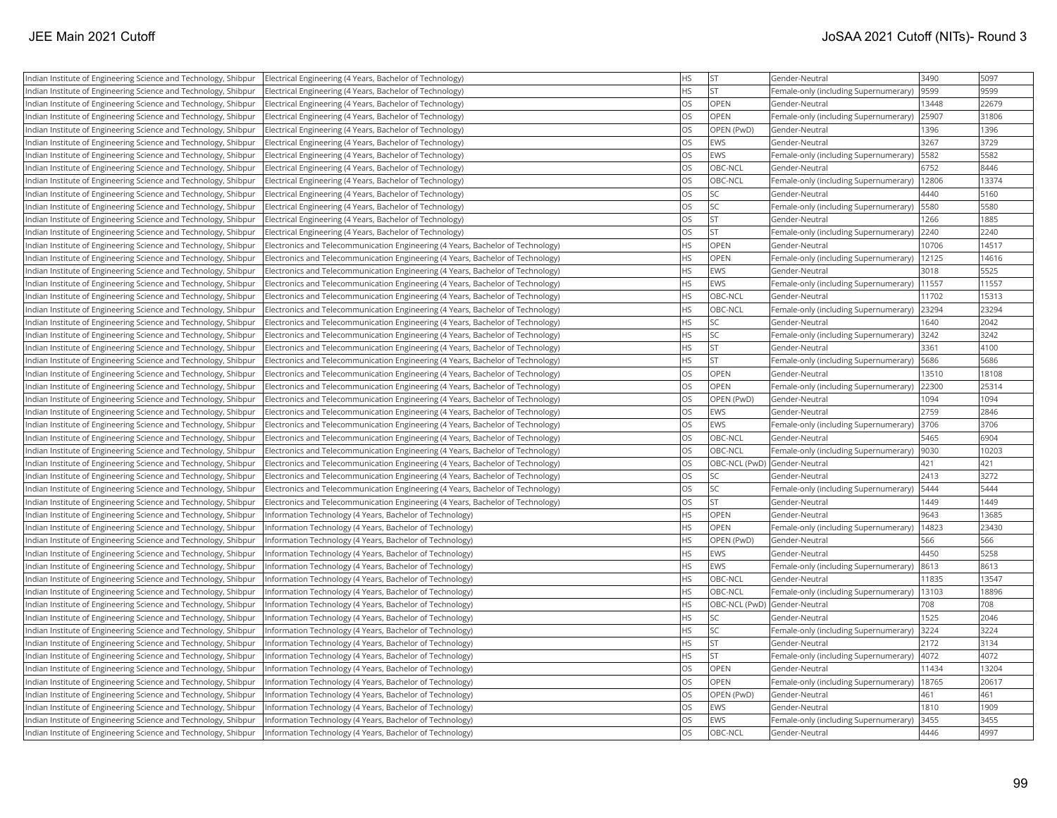| Indian Institute of Engineering Science and Technology, Shibpur | Electrical Engineering (4 Years, Bachelor of Technology)                        | <b>HS</b>  | <b>ST</b>   | Gender-Neutral                        | 3490  | 5097  |
|-----------------------------------------------------------------|---------------------------------------------------------------------------------|------------|-------------|---------------------------------------|-------|-------|
| Indian Institute of Engineering Science and Technology, Shibpur | Electrical Engineering (4 Years, Bachelor of Technology)                        | <b>IHS</b> | lst.        | Female-only (including Supernumerary) | 9599  | 9599  |
| Indian Institute of Engineering Science and Technology, Shibpur | Electrical Engineering (4 Years, Bachelor of Technology)                        | los        | OPEN        | Gender-Neutral                        | 13448 | 22679 |
| Indian Institute of Engineering Science and Technology, Shibpur | Electrical Engineering (4 Years, Bachelor of Technology)                        | los        | OPEN        | Female-only (including Supernumerary) | 25907 | 31806 |
| Indian Institute of Engineering Science and Technology, Shibpur | Electrical Engineering (4 Years, Bachelor of Technology)                        | <b>OS</b>  | OPEN (PwD)  | Gender-Neutral                        | 1396  | 1396  |
| Indian Institute of Engineering Science and Technology, Shibpur | Electrical Engineering (4 Years, Bachelor of Technology)                        | <b>OS</b>  | EWS         | Gender-Neutral                        | 3267  | 3729  |
| Indian Institute of Engineering Science and Technology, Shibpur | Electrical Engineering (4 Years, Bachelor of Technology)                        | los        | EWS         | Female-only (including Supernumerary) | 5582  | 5582  |
| Indian Institute of Engineering Science and Technology, Shibpur | Electrical Engineering (4 Years, Bachelor of Technology)                        | <b>OS</b>  | OBC-NCL     | Gender-Neutral                        | 6752  | 8446  |
| Indian Institute of Engineering Science and Technology, Shibpur | Electrical Engineering (4 Years, Bachelor of Technology)                        | los        | OBC-NCL     | Female-only (including Supernumerary) | 12806 | 13374 |
| ndian Institute of Engineering Science and Technology, Shibpur  | Electrical Engineering (4 Years, Bachelor of Technology)                        | <b>OS</b>  | SC          | Gender-Neutral                        | 4440  | 5160  |
| Indian Institute of Engineering Science and Technology, Shibpur | Electrical Engineering (4 Years, Bachelor of Technology)                        | los        | SC          | Female-only (including Supernumerary) | 5580  | 5580  |
| Indian Institute of Engineering Science and Technology, Shibpur | Electrical Engineering (4 Years, Bachelor of Technology)                        | <b>OS</b>  | <b>ST</b>   | Gender-Neutral                        | 1266  | 1885  |
| Indian Institute of Engineering Science and Technology, Shibpur | Electrical Engineering (4 Years, Bachelor of Technology)                        | los        | <b>ST</b>   | Female-only (including Supernumerary) | 2240  | 2240  |
| Indian Institute of Engineering Science and Technology, Shibpur | Electronics and Telecommunication Engineering (4 Years, Bachelor of Technology) | <b>HS</b>  | <b>OPEN</b> | Gender-Neutral                        | 10706 | 14517 |
| Indian Institute of Engineering Science and Technology, Shibpur | Electronics and Telecommunication Engineering (4 Years, Bachelor of Technology) | <b>HS</b>  | OPEN        | Female-only (including Supernumerary) | 12125 | 14616 |
| Indian Institute of Engineering Science and Technology, Shibpur | Electronics and Telecommunication Engineering (4 Years, Bachelor of Technology) | <b>HS</b>  | EWS         | Gender-Neutral                        | 3018  | 5525  |
| Indian Institute of Engineering Science and Technology, Shibpur | Electronics and Telecommunication Engineering (4 Years, Bachelor of Technology) | <b>HS</b>  | EWS         | Female-only (including Supernumerary) | 11557 | 11557 |
| Indian Institute of Engineering Science and Technology, Shibpur | Electronics and Telecommunication Engineering (4 Years, Bachelor of Technology) | <b>HS</b>  | OBC-NCL     | Gender-Neutral                        | 11702 | 15313 |
| ndian Institute of Engineering Science and Technology, Shibpur  | Electronics and Telecommunication Engineering (4 Years, Bachelor of Technology) | <b>HS</b>  | OBC-NCL     | Female-only (including Supernumerary) | 23294 | 23294 |
| Indian Institute of Engineering Science and Technology, Shibpur | Electronics and Telecommunication Engineering (4 Years, Bachelor of Technology) | <b>IHS</b> | SC          | Gender-Neutral                        | 1640  | 2042  |
| Indian Institute of Engineering Science and Technology, Shibpur | Electronics and Telecommunication Engineering (4 Years, Bachelor of Technology) | <b>HS</b>  | SC          | Female-only (including Supernumerary) | 3242  | 3242  |
| Indian Institute of Engineering Science and Technology, Shibpur | Electronics and Telecommunication Engineering (4 Years, Bachelor of Technology) | <b>HS</b>  | <b>ST</b>   | Gender-Neutral                        | 3361  | 4100  |
| Indian Institute of Engineering Science and Technology, Shibpur | Electronics and Telecommunication Engineering (4 Years, Bachelor of Technology) | <b>HS</b>  | <b>ST</b>   | Female-only (including Supernumerary) | 5686  | 5686  |
| Indian Institute of Engineering Science and Technology, Shibpur | Electronics and Telecommunication Engineering (4 Years, Bachelor of Technology) | <b>OS</b>  | OPEN        | Gender-Neutral                        | 13510 | 18108 |
| Indian Institute of Engineering Science and Technology, Shibpur | Electronics and Telecommunication Engineering (4 Years, Bachelor of Technology) | <b>OS</b>  | <b>OPEN</b> | Female-only (including Supernumerary) | 22300 | 25314 |
| Indian Institute of Engineering Science and Technology, Shibpur | Electronics and Telecommunication Engineering (4 Years, Bachelor of Technology) | <b>OS</b>  | OPEN (PwD)  | Gender-Neutral                        | 1094  | 1094  |
| Indian Institute of Engineering Science and Technology, Shibpur | Electronics and Telecommunication Engineering (4 Years, Bachelor of Technology) | <b>OS</b>  | EWS         | Gender-Neutral                        | 2759  | 2846  |
| Indian Institute of Engineering Science and Technology, Shibpur | Electronics and Telecommunication Engineering (4 Years, Bachelor of Technology) | <b>OS</b>  | EWS         | Female-only (including Supernumerary) | 3706  | 3706  |
| Indian Institute of Engineering Science and Technology, Shibpur | Electronics and Telecommunication Engineering (4 Years, Bachelor of Technology) | los        | OBC-NCL     | Gender-Neutral                        | 5465  | 6904  |
| Indian Institute of Engineering Science and Technology, Shibpur | Electronics and Telecommunication Engineering (4 Years, Bachelor of Technology) | los        | OBC-NCL     | Female-only (including Supernumerary) | 9030  | 10203 |
| Indian Institute of Engineering Science and Technology, Shibpur | Electronics and Telecommunication Engineering (4 Years, Bachelor of Technology) | <b>OS</b>  |             | OBC-NCL (PwD) Gender-Neutral          | 421   | 421   |
| Indian Institute of Engineering Science and Technology, Shibpur | Electronics and Telecommunication Engineering (4 Years, Bachelor of Technology) | <b>OS</b>  | SC          | Gender-Neutral                        | 2413  | 3272  |
| Indian Institute of Engineering Science and Technology, Shibpur | Electronics and Telecommunication Engineering (4 Years, Bachelor of Technology) | <b>OS</b>  | SC          | Female-only (including Supernumerary) | 5444  | 5444  |
| Indian Institute of Engineering Science and Technology, Shibpur | Electronics and Telecommunication Engineering (4 Years, Bachelor of Technology) | los        | <b>ST</b>   | Gender-Neutral                        | 1449  | 1449  |
| Indian Institute of Engineering Science and Technology, Shibpur | Information Technology (4 Years, Bachelor of Technology)                        | <b>HS</b>  | OPEN        | Gender-Neutral                        | 9643  | 13685 |
| Indian Institute of Engineering Science and Technology, Shibpur | Information Technology (4 Years, Bachelor of Technology)                        | <b>HS</b>  | OPEN        | Female-only (including Supernumerary) | 14823 | 23430 |
| Indian Institute of Engineering Science and Technology, Shibpur | Information Technology (4 Years, Bachelor of Technology)                        | <b>HS</b>  | OPEN (PwD)  | Gender-Neutral                        | 566   | 566   |
| Indian Institute of Engineering Science and Technology, Shibpur | Information Technology (4 Years, Bachelor of Technology)                        | <b>IHS</b> | EWS         | Gender-Neutral                        | 4450  | 5258  |
| Indian Institute of Engineering Science and Technology, Shibpur | Information Technology (4 Years, Bachelor of Technology)                        | <b>HS</b>  | EWS         | Female-only (including Supernumerary) | 8613  | 8613  |
| Indian Institute of Engineering Science and Technology, Shibpur | Information Technology (4 Years, Bachelor of Technology)                        | <b>HS</b>  | OBC-NCL     | Gender-Neutral                        | 11835 | 13547 |
| Indian Institute of Engineering Science and Technology, Shibpur | Information Technology (4 Years, Bachelor of Technology)                        | <b>HS</b>  | OBC-NCL     | Female-only (including Supernumerary) | 13103 | 18896 |
| Indian Institute of Engineering Science and Technology, Shibpur | Information Technology (4 Years, Bachelor of Technology)                        | <b>HS</b>  |             | OBC-NCL (PwD) Gender-Neutral          | 708   | 708   |
| Indian Institute of Engineering Science and Technology, Shibpur | Information Technology (4 Years, Bachelor of Technology)                        | <b>HS</b>  |             | Gender-Neutral                        | 1525  | 2046  |
| Indian Institute of Engineering Science and Technology, Shibpur | Information Technology (4 Years, Bachelor of Technology)                        | <b>HS</b>  | SC          | Female-only (including Supernumerary) | 3224  | 3224  |
| Indian Institute of Engineering Science and Technology, Shibpur | Information Technology (4 Years, Bachelor of Technology)                        | <b>IHS</b> | <b>ST</b>   | Gender-Neutral                        | 2172  | 3134  |
| Indian Institute of Engineering Science and Technology, Shibpur | Information Technology (4 Years, Bachelor of Technology)                        | <b>HS</b>  | <b>ST</b>   | Female-only (including Supernumerary) | 4072  | 4072  |
| Indian Institute of Engineering Science and Technology, Shibpur | Information Technology (4 Years, Bachelor of Technology)                        | los        | OPEN        | Gender-Neutral                        | 11434 | 13204 |
| Indian Institute of Engineering Science and Technology, Shibpur | Information Technology (4 Years, Bachelor of Technology)                        | <b>OS</b>  | OPEN        | Female-only (including Supernumerary) | 18765 | 20617 |
| Indian Institute of Engineering Science and Technology, Shibpur | Information Technology (4 Years, Bachelor of Technology)                        | <b>OS</b>  | OPEN (PwD)  | Gender-Neutral                        | 461   | 461   |
| Indian Institute of Engineering Science and Technology, Shibpur | Information Technology (4 Years, Bachelor of Technology)                        | <b>OS</b>  | EWS         | Gender-Neutral                        | 1810  | 1909  |
| Indian Institute of Engineering Science and Technology, Shibpur | Information Technology (4 Years, Bachelor of Technology)                        | <b>OS</b>  | EWS         | Female-only (including Supernumerary) | 3455  | 3455  |
| Indian Institute of Engineering Science and Technology, Shibpur | Information Technology (4 Years, Bachelor of Technology)                        | <b>OS</b>  | OBC-NCL     | Gender-Neutral                        | 4446  | 4997  |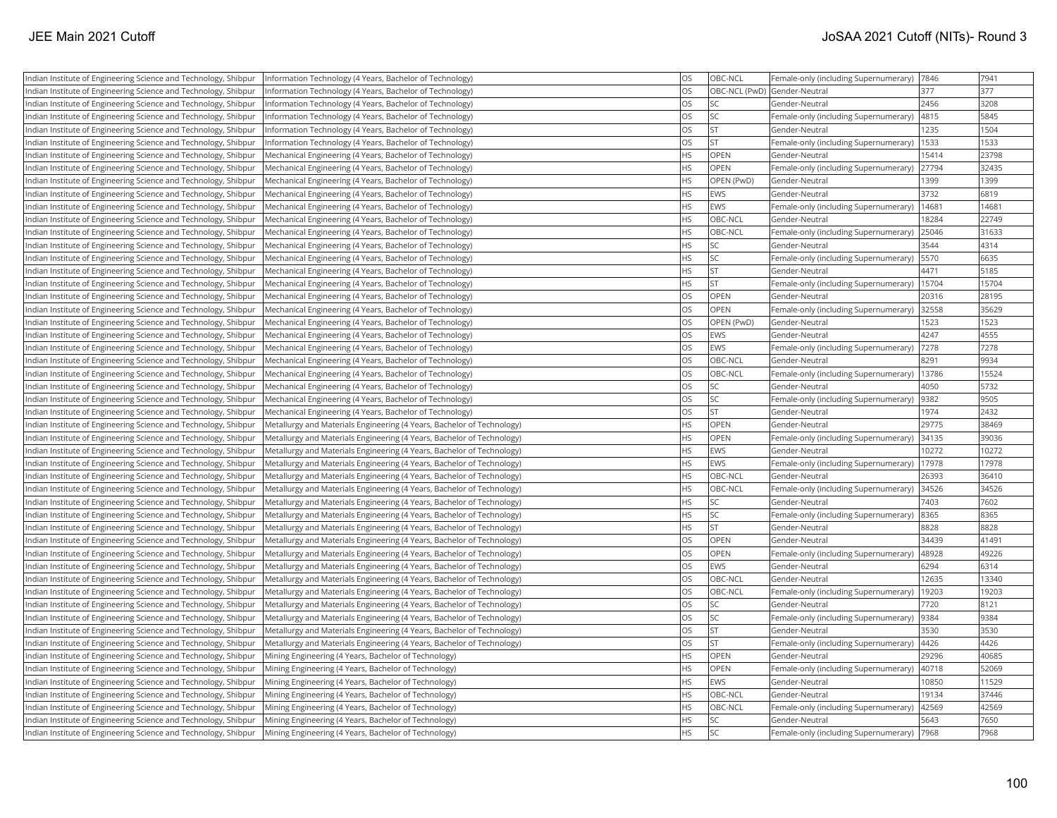| Indian Institute of Engineering Science and Technology, Shibpur                                                                    | Information Technology (4 Years, Bachelor of Technology)                | <b>OS</b> | OBC-NCL                      | Female-only (including Supernumerary)                   | 7846  | 7941  |
|------------------------------------------------------------------------------------------------------------------------------------|-------------------------------------------------------------------------|-----------|------------------------------|---------------------------------------------------------|-------|-------|
| Indian Institute of Engineering Science and Technology, Shibpur                                                                    | Information Technology (4 Years, Bachelor of Technology)                | <b>OS</b> | OBC-NCL (PwD) Gender-Neutral |                                                         | 377   | 377   |
| Indian Institute of Engineering Science and Technology, Shibpur                                                                    | (Information Technology (4 Years, Bachelor of Technology)               | <b>OS</b> | <b>SC</b>                    | Gender-Neutral                                          | 2456  | 3208  |
| Indian Institute of Engineering Science and Technology, Shibpur                                                                    | Information Technology (4 Years, Bachelor of Technology)                | <b>OS</b> | <b>SC</b>                    | Female-only (including Supernumerary)                   | 4815  | 5845  |
| Indian Institute of Engineering Science and Technology, Shibpur                                                                    | Information Technology (4 Years, Bachelor of Technology)                | <b>OS</b> | İst                          | Gender-Neutral                                          | 1235  | 1504  |
| Indian Institute of Engineering Science and Technology, Shibpur                                                                    | Information Technology (4 Years, Bachelor of Technology)                | <b>OS</b> | İst                          | Female-only (including Supernumerary)                   | 1533  | 1533  |
| Indian Institute of Engineering Science and Technology, Shibpur                                                                    | Mechanical Engineering (4 Years, Bachelor of Technology)                | <b>HS</b> | <b>OPEN</b>                  | Gender-Neutral                                          | 15414 | 23798 |
| Indian Institute of Engineering Science and Technology, Shibpur                                                                    | Mechanical Engineering (4 Years, Bachelor of Technology)                | <b>HS</b> | <b>OPEN</b>                  | Female-only (including Supernumerary)                   | 27794 | 32435 |
| Indian Institute of Engineering Science and Technology, Shibpur                                                                    | Mechanical Engineering (4 Years, Bachelor of Technology)                | HS        | OPEN (PwD)                   | Gender-Neutral                                          | 1399  | 1399  |
| Indian Institute of Engineering Science and Technology, Shibpur                                                                    | Mechanical Engineering (4 Years, Bachelor of Technology)                | <b>HS</b> | EWS                          | Gender-Neutral                                          | 3732  | 6819  |
| Indian Institute of Engineering Science and Technology, Shibpur                                                                    | Mechanical Engineering (4 Years, Bachelor of Technology)                | <b>HS</b> | EWS                          | Female-only (including Supernumerary)                   | 14681 | 14681 |
| Indian Institute of Engineering Science and Technology, Shibpur                                                                    | Mechanical Engineering (4 Years, Bachelor of Technology)                | <b>HS</b> | OBC-NCL                      | Gender-Neutral                                          | 18284 | 22749 |
| Indian Institute of Engineering Science and Technology, Shibpur                                                                    | Mechanical Engineering (4 Years, Bachelor of Technology)                | <b>HS</b> | OBC-NCL                      | Female-only (including Supernumerary)                   | 25046 | 31633 |
| Indian Institute of Engineering Science and Technology, Shibpur                                                                    | Mechanical Engineering (4 Years, Bachelor of Technology)                | <b>HS</b> | <b>SC</b>                    | Gender-Neutral                                          | 3544  | 4314  |
| Indian Institute of Engineering Science and Technology, Shibpur                                                                    | Mechanical Engineering (4 Years, Bachelor of Technology)                | <b>HS</b> | <b>SC</b>                    | Female-only (including Supernumerary)                   | 5570  | 6635  |
| Indian Institute of Engineering Science and Technology, Shibpur                                                                    | Mechanical Engineering (4 Years, Bachelor of Technology)                | <b>HS</b> | <b>ST</b>                    | Gender-Neutral                                          | 4471  | 5185  |
| Indian Institute of Engineering Science and Technology, Shibpur                                                                    | Mechanical Engineering (4 Years, Bachelor of Technology)                | <b>HS</b> | İst                          | Female-only (including Supernumerary)                   | 15704 | 15704 |
| Indian Institute of Engineering Science and Technology, Shibpur                                                                    | Mechanical Engineering (4 Years, Bachelor of Technology)                | <b>OS</b> | OPEN                         | Gender-Neutral                                          | 20316 | 28195 |
| Indian Institute of Engineering Science and Technology, Shibpur                                                                    | Mechanical Engineering (4 Years, Bachelor of Technology)                | <b>OS</b> | OPEN                         | Female-only (including Supernumerary)                   | 32558 | 35629 |
| Indian Institute of Engineering Science and Technology, Shibpur                                                                    | Mechanical Engineering (4 Years, Bachelor of Technology)                | <b>OS</b> | OPEN (PwD)                   | Gender-Neutral                                          | 1523  | 1523  |
| Indian Institute of Engineering Science and Technology, Shibpur                                                                    | Mechanical Engineering (4 Years, Bachelor of Technology)                | <b>OS</b> | EWS                          | Gender-Neutral                                          | 4247  | 4555  |
| Indian Institute of Engineering Science and Technology, Shibpur                                                                    | Mechanical Engineering (4 Years, Bachelor of Technology)                | <b>OS</b> | <b>EWS</b>                   | Female-only (including Supernumerary)                   | 7278  | 7278  |
| Indian Institute of Engineering Science and Technology, Shibpur                                                                    | Mechanical Engineering (4 Years, Bachelor of Technology)                | <b>OS</b> | OBC-NCL                      | Gender-Neutral                                          | 8291  | 9934  |
| Indian Institute of Engineering Science and Technology, Shibpur                                                                    | Mechanical Engineering (4 Years, Bachelor of Technology)                | <b>OS</b> | OBC-NCL                      | Female-only (including Supernumerary)                   | 13786 | 15524 |
| Indian Institute of Engineering Science and Technology, Shibpur                                                                    | Mechanical Engineering (4 Years, Bachelor of Technology)                | <b>OS</b> | <b>SC</b>                    | Gender-Neutral                                          | 4050  | 5732  |
| Indian Institute of Engineering Science and Technology, Shibpur                                                                    | Mechanical Engineering (4 Years, Bachelor of Technology)                | <b>OS</b> | <b>SC</b>                    | Female-only (including Supernumerary)                   | 9382  | 9505  |
| Indian Institute of Engineering Science and Technology, Shibpur                                                                    | Mechanical Engineering (4 Years, Bachelor of Technology)                | <b>OS</b> | İst                          | Gender-Neutral                                          | 1974  | 2432  |
| Indian Institute of Engineering Science and Technology, Shibpur                                                                    | (Metallurgy and Materials Engineering (4 Years, Bachelor of Technology) | <b>HS</b> | OPEN                         | Gender-Neutral                                          | 29775 | 38469 |
| Indian Institute of Engineering Science and Technology, Shibpur                                                                    | Metallurgy and Materials Engineering (4 Years, Bachelor of Technology)  | <b>HS</b> | OPEN                         | Female-only (including Supernumerary)                   | 34135 | 39036 |
| Indian Institute of Engineering Science and Technology, Shibpur                                                                    | Metallurgy and Materials Engineering (4 Years, Bachelor of Technology)  | <b>HS</b> | <b>EWS</b>                   | Gender-Neutral                                          | 10272 | 10272 |
| Indian Institute of Engineering Science and Technology, Shibpur                                                                    | Metallurgy and Materials Engineering (4 Years, Bachelor of Technology)  | <b>HS</b> | EWS                          | Female-only (including Supernumerary)                   | 17978 | 17978 |
| Indian Institute of Engineering Science and Technology, Shibpur                                                                    | Metallurgy and Materials Engineering (4 Years, Bachelor of Technology)  | <b>HS</b> | OBC-NCL                      | Gender-Neutral                                          | 26393 | 36410 |
| Indian Institute of Engineering Science and Technology, Shibpur                                                                    | Metallurgy and Materials Engineering (4 Years, Bachelor of Technology)  | <b>HS</b> | OBC-NCL                      | Female-only (including Supernumerary)                   | 34526 | 34526 |
| Indian Institute of Engineering Science and Technology, Shibpur                                                                    | Metallurgy and Materials Engineering (4 Years, Bachelor of Technology)  | <b>HS</b> | lsc                          | Gender-Neutral                                          | 7403  | 7602  |
| Indian Institute of Engineering Science and Technology, Shibpur                                                                    | Metallurgy and Materials Engineering (4 Years, Bachelor of Technology)  | <b>HS</b> | <b>SC</b>                    | Female-only (including Supernumerary)                   | 8365  | 8365  |
| Indian Institute of Engineering Science and Technology, Shibpur                                                                    | Metallurgy and Materials Engineering (4 Years, Bachelor of Technology)  | <b>HS</b> | <b>ST</b>                    | Gender-Neutral                                          | 8828  | 8828  |
| Indian Institute of Engineering Science and Technology, Shibpur                                                                    | Metallurgy and Materials Engineering (4 Years, Bachelor of Technology)  | <b>OS</b> | <b>OPEN</b>                  | Gender-Neutral                                          | 34439 | 41491 |
| Indian Institute of Engineering Science and Technology, Shibpur                                                                    | Metallurgy and Materials Engineering (4 Years, Bachelor of Technology)  | <b>OS</b> | OPEN                         | Female-only (including Supernumerary)                   | 48928 | 49226 |
| Indian Institute of Engineering Science and Technology, Shibpur                                                                    | Metallurgy and Materials Engineering (4 Years, Bachelor of Technology)  | <b>OS</b> | EWS                          | Gender-Neutral                                          | 6294  | 6314  |
| Indian Institute of Engineering Science and Technology, Shibpur                                                                    | Metallurgy and Materials Engineering (4 Years, Bachelor of Technology)  | <b>OS</b> | OBC-NCL                      | Gender-Neutral                                          | 12635 | 13340 |
|                                                                                                                                    |                                                                         | <b>OS</b> | OBC-NCL                      |                                                         | 19203 | 19203 |
| Indian Institute of Engineering Science and Technology, Shibpur<br>Indian Institute of Engineering Science and Technology, Shibpur | Metallurgy and Materials Engineering (4 Years, Bachelor of Technology)  | <b>OS</b> | <b>SC</b>                    | Female-only (including Supernumerary)<br>Gender-Neutral | 7720  | 8121  |
|                                                                                                                                    | Metallurgy and Materials Engineering (4 Years, Bachelor of Technology)  | <b>OS</b> | <b>SC</b>                    |                                                         | 9384  | 9384  |
| Indian Institute of Engineering Science and Technology, Shibpur                                                                    | Metallurgy and Materials Engineering (4 Years, Bachelor of Technology)  | <b>OS</b> | İst                          | Female-only (including Supernumerary)                   |       |       |
| Indian Institute of Engineering Science and Technology, Shibpur                                                                    | Metallurgy and Materials Engineering (4 Years, Bachelor of Technology)  |           |                              | Gender-Neutral                                          | 3530  | 3530  |
| Indian Institute of Engineering Science and Technology, Shibpur                                                                    | Metallurgy and Materials Engineering (4 Years, Bachelor of Technology)  | <b>OS</b> | <b>ST</b>                    | Female-only (including Supernumerary)                   | 4426  | 4426  |
| Indian Institute of Engineering Science and Technology, Shibpur                                                                    | Mining Engineering (4 Years, Bachelor of Technology)                    | <b>HS</b> | OPEN                         | Gender-Neutral                                          | 29296 | 40685 |
| Indian Institute of Engineering Science and Technology, Shibpur                                                                    | Mining Engineering (4 Years, Bachelor of Technology)                    | <b>HS</b> | <b>OPEN</b>                  | Female-only (including Supernumerary)                   | 40718 | 52069 |
| Indian Institute of Engineering Science and Technology, Shibpur                                                                    | Mining Engineering (4 Years, Bachelor of Technology)                    | <b>HS</b> | EWS                          | Gender-Neutral                                          | 10850 | 11529 |
| Indian Institute of Engineering Science and Technology, Shibpur                                                                    | Mining Engineering (4 Years, Bachelor of Technology)                    | <b>HS</b> | OBC-NCL                      | Gender-Neutral                                          | 19134 | 37446 |
| Indian Institute of Engineering Science and Technology, Shibpur                                                                    | Mining Engineering (4 Years, Bachelor of Technology)                    | HS        | OBC-NCL                      | Female-only (including Supernumerary)                   | 42569 | 42569 |
| Indian Institute of Engineering Science and Technology, Shibpur                                                                    | Mining Engineering (4 Years, Bachelor of Technology)                    | <b>HS</b> | <b>SC</b>                    | Gender-Neutral                                          | 5643  | 7650  |
| Indian Institute of Engineering Science and Technology, Shibpur                                                                    | Mining Engineering (4 Years, Bachelor of Technology)                    | <b>HS</b> | lsc                          | Female-only (including Supernumerary)                   | 7968  | 7968  |